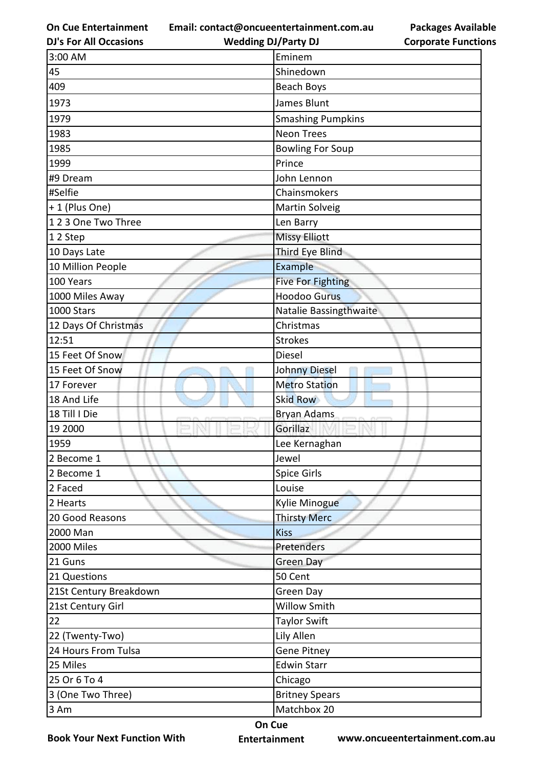**Email: contact@oncueentertainment.com.au Wedding DJ/Party DJ** 

**DJ's For All Occasions**

**Packages Available Corporate Functions**

| 3:00 AM                | Eminem                   |
|------------------------|--------------------------|
| 45                     | Shinedown                |
| 409                    | Beach Boys               |
| 1973                   | James Blunt              |
| 1979                   | <b>Smashing Pumpkins</b> |
| 1983                   | <b>Neon Trees</b>        |
| 1985                   | <b>Bowling For Soup</b>  |
| 1999                   | Prince                   |
| #9 Dream               | John Lennon              |
| #Selfie                | Chainsmokers             |
| +1 (Plus One)          | Martin Solveig           |
| 123 One Two Three      | Len Barry                |
| 12 Step                | <b>Missy Elliott</b>     |
| 10 Days Late           | Third Eye Blind          |
| 10 Million People      | Example                  |
| 100 Years              | <b>Five For Fighting</b> |
| 1000 Miles Away        | <b>Hoodoo Gurus</b>      |
| 1000 Stars             | Natalie Bassingthwaite   |
| 12 Days Of Christmas   | Christmas                |
| 12:51                  | <b>Strokes</b>           |
| 15 Feet Of Snow        | <b>Diesel</b>            |
| 15 Feet Of Snow        | Johnny Diesel            |
| 17 Forever             | <b>Metro Station</b>     |
| 18 And Life            | <b>Skid Row</b>          |
| 18 Till I Die          | <b>Bryan Adams</b>       |
| 19 2000                | Gorillaz                 |
| 1959                   | Lee Kernaghan            |
| 2 Become 1             | Jewel                    |
| 2 Become 1             | Spice Girls              |
| 2 Faced                | Louise                   |
| 2 Hearts               | Kylie Minogue            |
| 20 Good Reasons        | <b>Thirsty Merc</b>      |
| 2000 Man               | <b>Kiss</b>              |
| 2000 Miles             | Pretenders               |
| 21 Guns                | <b>Green Day</b>         |
| 21 Questions           | 50 Cent                  |
| 21St Century Breakdown | Green Day                |
| 21st Century Girl      | <b>Willow Smith</b>      |
| 22                     | <b>Taylor Swift</b>      |
| 22 (Twenty-Two)        | Lily Allen               |
| 24 Hours From Tulsa    | <b>Gene Pitney</b>       |
| 25 Miles               | <b>Edwin Starr</b>       |
| 25 Or 6 To 4           | Chicago                  |
| 3 (One Two Three)      | <b>Britney Spears</b>    |
| 3 Am                   | Matchbox 20              |

**Book Your Next Function With**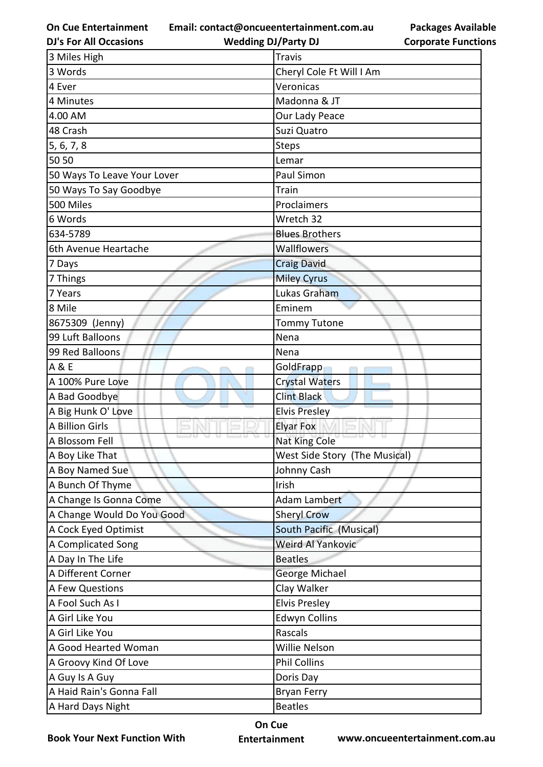**Email: contact@oncueentertainment.com.au Wedding DJ/Party DJ** 

**DJ's For All Occasions**

## **Packages Available Corporate Functions**

| 3 Miles High                | <b>Travis</b>                 |
|-----------------------------|-------------------------------|
| 3 Words                     | Cheryl Cole Ft Will I Am      |
| 4 Ever                      | Veronicas                     |
| 4 Minutes                   | Madonna & JT                  |
| 4.00 AM                     | Our Lady Peace                |
| 48 Crash                    | Suzi Quatro                   |
| 5, 6, 7, 8                  | <b>Steps</b>                  |
| 50 50                       | Lemar                         |
| 50 Ways To Leave Your Lover | Paul Simon                    |
| 50 Ways To Say Goodbye      | Train                         |
| 500 Miles                   | Proclaimers                   |
| 6 Words                     | Wretch 32                     |
| 634-5789                    | <b>Blues Brothers</b>         |
| 6th Avenue Heartache        | Wallflowers                   |
| 7 Days                      | <b>Craig David</b>            |
| 7 Things                    | <b>Miley Cyrus</b>            |
| 7 Years                     | Lukas Graham                  |
| 8 Mile                      | Eminem                        |
| 8675309 (Jenny)             | <b>Tommy Tutone</b>           |
| 99 Luft Balloons            | Nena                          |
| 99 Red Balloons             | Nena                          |
| A & E                       | GoldFrapp                     |
| A 100% Pure Love            | <b>Crystal Waters</b>         |
| A Bad Goodbye               | <b>Clint Black</b>            |
| A Big Hunk O' Love          | <b>Elvis Presley</b>          |
| A Billion Girls             | <b>Elyar Fox</b>              |
| A Blossom Fell              | Nat King Cole                 |
| A Boy Like That             | West Side Story (The Musical) |
| A Boy Named Sue             | Johnny Cash                   |
| A Bunch Of Thyme            | Irish                         |
| A Change Is Gonna Come      | Adam Lambert                  |
| A Change Would Do You Good  | <b>Sheryl Crow</b>            |
| A Cock Eyed Optimist        | South Pacific (Musical)       |
| A Complicated Song          | Weird Al Yankovic             |
| A Day In The Life           | <b>Beatles</b>                |
| A Different Corner          | George Michael                |
| A Few Questions             | Clay Walker                   |
| A Fool Such As I            | <b>Elvis Presley</b>          |
| A Girl Like You             | <b>Edwyn Collins</b>          |
| A Girl Like You             | Rascals                       |
| A Good Hearted Woman        | Willie Nelson                 |
| A Groovy Kind Of Love       | <b>Phil Collins</b>           |
| A Guy Is A Guy              | Doris Day                     |
| A Haid Rain's Gonna Fall    | <b>Bryan Ferry</b>            |
| A Hard Days Night           | <b>Beatles</b>                |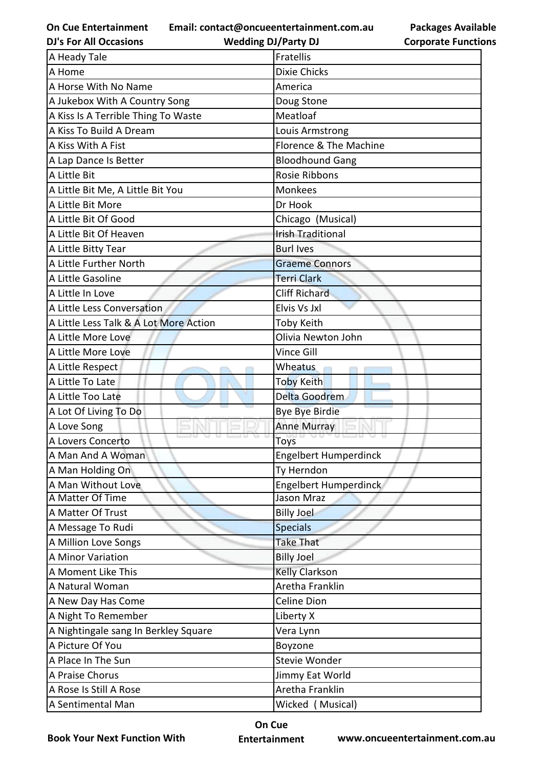**Email: contact@oncueentertainment.com.au**

**DJ's For All Occasions**

**Wedding DJ/Party DJ** 

**Packages Available Corporate Functions**

| A Heady Tale                           | <b>Fratellis</b>             |
|----------------------------------------|------------------------------|
| A Home                                 | <b>Dixie Chicks</b>          |
| A Horse With No Name                   | America                      |
| A Jukebox With A Country Song          | Doug Stone                   |
| A Kiss Is A Terrible Thing To Waste    | Meatloaf                     |
| A Kiss To Build A Dream                | Louis Armstrong              |
| A Kiss With A Fist                     | Florence & The Machine       |
| A Lap Dance Is Better                  | <b>Bloodhound Gang</b>       |
| A Little Bit                           | Rosie Ribbons                |
| A Little Bit Me, A Little Bit You      | <b>Monkees</b>               |
| A Little Bit More                      | Dr Hook                      |
| A Little Bit Of Good                   | Chicago (Musical)            |
| A Little Bit Of Heaven                 | <b>Irish Traditional</b>     |
| A Little Bitty Tear                    | <b>Burl Ives</b>             |
| A Little Further North                 | <b>Graeme Connors</b>        |
| A Little Gasoline                      | <b>Terri Clark</b>           |
| A Little In Love                       | <b>Cliff Richard</b>         |
| A Little Less Conversation             | Elvis Vs Jxl                 |
| A Little Less Talk & A Lot More Action | <b>Toby Keith</b>            |
| A Little More Love                     | Olivia Newton John           |
| A Little More Love                     | <b>Vince Gill</b>            |
| A Little Respect                       | Wheatus                      |
| A Little To Late                       | <b>Toby Keith</b>            |
| A Little Too Late                      | Delta Goodrem                |
| A Lot Of Living To Do                  | <b>Bye Bye Birdie</b>        |
| A Love Song                            | <b>Anne Murray</b>           |
| A Lovers Concerto                      | Toys                         |
| A Man And A Woman                      | Engelbert Humperdinck        |
| A Man Holding On                       | Ty Herndon                   |
| A Man Without Love                     | <b>Engelbert Humperdinck</b> |
| A Matter Of Time                       | Jason Mraz                   |
| A Matter Of Trust                      | <b>Billy Joel</b>            |
| A Message To Rudi                      | <b>Specials</b>              |
| A Million Love Songs                   | <b>Take That</b>             |
| A Minor Variation                      | <b>Billy Joel</b>            |
| A Moment Like This                     | <b>Kelly Clarkson</b>        |
| A Natural Woman                        | Aretha Franklin              |
| A New Day Has Come                     | <b>Celine Dion</b>           |
| A Night To Remember                    | Liberty X                    |
| A Nightingale sang In Berkley Square   | Vera Lynn                    |
| A Picture Of You                       | Boyzone                      |
| A Place In The Sun                     | Stevie Wonder                |
| A Praise Chorus                        | Jimmy Eat World              |
| A Rose Is Still A Rose                 | Aretha Franklin              |
| A Sentimental Man                      | Wicked (Musical)             |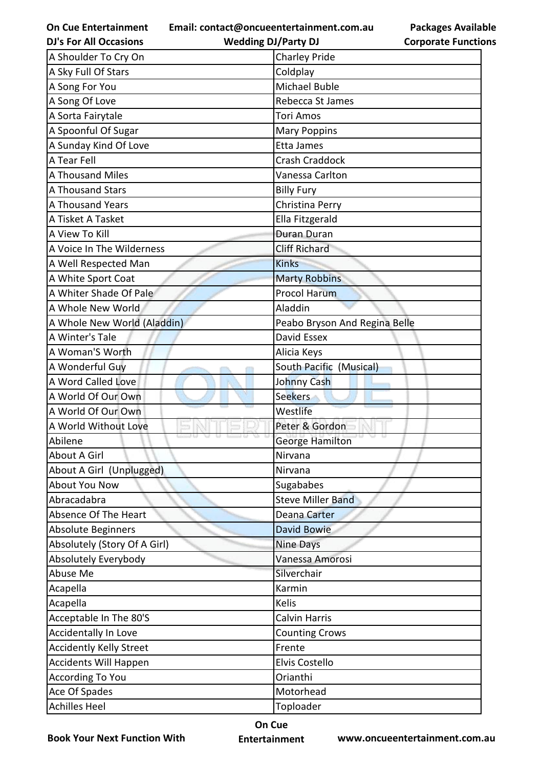**Email: contact@oncueentertainment.com.au**

| <b>DJ's For All Occasions</b>  | <b>Wedding DJ/Party DJ</b>    | <b>Corporate Function</b> |
|--------------------------------|-------------------------------|---------------------------|
| A Shoulder To Cry On           | <b>Charley Pride</b>          |                           |
| A Sky Full Of Stars            | Coldplay                      |                           |
| A Song For You                 | Michael Buble                 |                           |
| A Song Of Love                 | Rebecca St James              |                           |
| A Sorta Fairytale              | <b>Tori Amos</b>              |                           |
| A Spoonful Of Sugar            | <b>Mary Poppins</b>           |                           |
| A Sunday Kind Of Love          | Etta James                    |                           |
| A Tear Fell                    | Crash Craddock                |                           |
| <b>A Thousand Miles</b>        | Vanessa Carlton               |                           |
| A Thousand Stars               | <b>Billy Fury</b>             |                           |
| A Thousand Years               | Christina Perry               |                           |
| A Tisket A Tasket              | Ella Fitzgerald               |                           |
| A View To Kill                 | <b>Duran Duran</b>            |                           |
| A Voice In The Wilderness      | <b>Cliff Richard</b>          |                           |
| A Well Respected Man           | <b>Kinks</b>                  |                           |
| A White Sport Coat             | <b>Marty Robbins</b>          |                           |
| A Whiter Shade Of Pale         | <b>Procol Harum</b>           |                           |
| A Whole New World              | Aladdin                       |                           |
| A Whole New World (Aladdin)    | Peabo Bryson And Regina Belle |                           |
| A Winter's Tale                | David Essex                   |                           |
| A Woman'S Worth                | Alicia Keys                   |                           |
| A Wonderful Guy                | South Pacific (Musical)       |                           |
| A Word Called Love             | <b>Johnny Cash</b>            |                           |
| A World Of Our Own             | <b>Seekers</b>                |                           |
| A World Of Our Own             | Westlife                      |                           |
| A World Without Love           | Peter & Gordon                |                           |
| Abilene                        | <b>George Hamilton</b>        |                           |
| About A Girl                   | Nirvana                       |                           |
| About A Girl (Unplugged)       | Nirvana                       |                           |
| <b>About You Now</b>           | Sugababes                     |                           |
| Abracadabra                    | <b>Steve Miller Band</b>      |                           |
| Absence Of The Heart           | <b>Deana Carter</b>           |                           |
| Absolute Beginners             | David Bowie                   |                           |
| Absolutely (Story Of A Girl)   | <b>Nine Days</b>              |                           |
| Absolutely Everybody           | Vanessa Amorosi               |                           |
| Abuse Me                       | Silverchair                   |                           |
| Acapella                       | Karmin                        |                           |
| Acapella                       | Kelis                         |                           |
| Acceptable In The 80'S         | <b>Calvin Harris</b>          |                           |
| <b>Accidentally In Love</b>    | <b>Counting Crows</b>         |                           |
| <b>Accidently Kelly Street</b> | Frente                        |                           |
| Accidents Will Happen          | Elvis Costello                |                           |
| <b>According To You</b>        | Orianthi                      |                           |
| Ace Of Spades                  | Motorhead                     |                           |
| <b>Achilles Heel</b>           | Toploader                     |                           |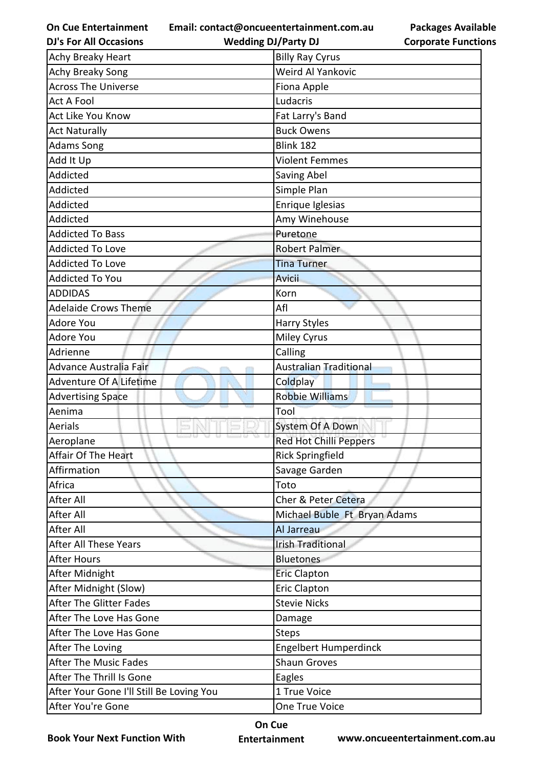**Email: contact@oncueentertainment.com.au**

| <b>DJ's For All Occasions</b>            | <b>Wedding DJ/Party DJ</b>    | <b>Corporate Functio</b> |
|------------------------------------------|-------------------------------|--------------------------|
| Achy Breaky Heart                        | <b>Billy Ray Cyrus</b>        |                          |
| Achy Breaky Song                         | Weird Al Yankovic             |                          |
| <b>Across The Universe</b>               | Fiona Apple                   |                          |
| <b>Act A Fool</b>                        | Ludacris                      |                          |
| Act Like You Know                        | Fat Larry's Band              |                          |
| <b>Act Naturally</b>                     | <b>Buck Owens</b>             |                          |
| <b>Adams Song</b>                        | <b>Blink 182</b>              |                          |
| Add It Up                                | <b>Violent Femmes</b>         |                          |
| Addicted                                 | Saving Abel                   |                          |
| Addicted                                 | Simple Plan                   |                          |
| Addicted                                 | Enrique Iglesias              |                          |
| Addicted                                 | Amy Winehouse                 |                          |
| <b>Addicted To Bass</b>                  | Puretone                      |                          |
| <b>Addicted To Love</b>                  | Robert Palmer                 |                          |
| <b>Addicted To Love</b>                  | <b>Tina Turner</b>            |                          |
| <b>Addicted To You</b>                   | <b>Avicii</b>                 |                          |
| <b>ADDIDAS</b>                           | Korn                          |                          |
| <b>Adelaide Crows Theme</b>              | Afl                           |                          |
| <b>Adore You</b>                         | Harry Styles                  |                          |
| Adore You                                | <b>Miley Cyrus</b>            |                          |
| Adrienne                                 | Calling                       |                          |
| Advance Australia Fair                   | <b>Australian Traditional</b> |                          |
| Adventure Of A Lifetime                  | Coldplay                      |                          |
| <b>Advertising Space</b>                 | <b>Robbie Williams</b>        |                          |
| Aenima                                   | Tool                          |                          |
| Aerials                                  | System Of A Down              |                          |
| Aeroplane                                | Red Hot Chilli Peppers        |                          |
| Affair Of The Heart                      | <b>Rick Springfield</b>       |                          |
| Affirmation                              | Savage Garden                 |                          |
| Africa                                   | Toto                          |                          |
| After All                                | Cher & Peter Cetera           |                          |
| <b>After All</b>                         | Michael Buble Ft Bryan Adams  |                          |
| <b>After All</b>                         | Al Jarreau                    |                          |
| <b>After All These Years</b>             | <b>Irish Traditional</b>      |                          |
| <b>After Hours</b>                       | <b>Bluetones</b>              |                          |
| After Midnight                           | <b>Eric Clapton</b>           |                          |
| After Midnight (Slow)                    | <b>Eric Clapton</b>           |                          |
| <b>After The Glitter Fades</b>           | <b>Stevie Nicks</b>           |                          |
| After The Love Has Gone                  | Damage                        |                          |
| After The Love Has Gone                  | <b>Steps</b>                  |                          |
| After The Loving                         | <b>Engelbert Humperdinck</b>  |                          |
| <b>After The Music Fades</b>             | <b>Shaun Groves</b>           |                          |
| After The Thrill Is Gone                 | Eagles                        |                          |
| After Your Gone I'll Still Be Loving You | 1 True Voice                  |                          |
| After You're Gone                        | One True Voice                |                          |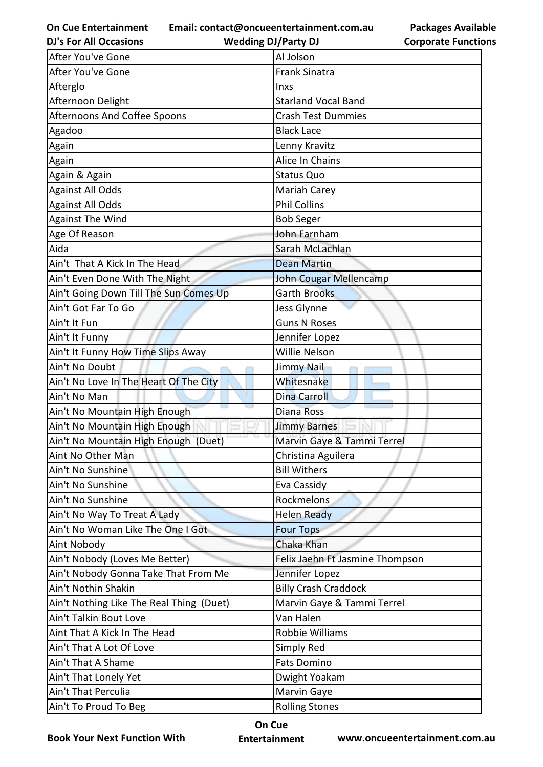**On Cue Entertainment DJ's For All Occasions**

After You've Gone Al Jolson

**Email: contact@oncueentertainment.com.au Wedding DJ/Party DJ** 

**Packages Available Corporate Functions**

| After You've Gone                        | <b>Frank Sinatra</b>            |
|------------------------------------------|---------------------------------|
| Afterglo                                 | Inxs                            |
| Afternoon Delight                        | <b>Starland Vocal Band</b>      |
| Afternoons And Coffee Spoons             | <b>Crash Test Dummies</b>       |
| Agadoo                                   | <b>Black Lace</b>               |
| Again                                    | Lenny Kravitz                   |
| Again                                    | Alice In Chains                 |
| Again & Again                            | <b>Status Quo</b>               |
| Against All Odds                         | Mariah Carey                    |
| <b>Against All Odds</b>                  | <b>Phil Collins</b>             |
| <b>Against The Wind</b>                  | <b>Bob Seger</b>                |
| Age Of Reason                            | John Farnham                    |
| Aida                                     | Sarah McLachlan                 |
| Ain't That A Kick In The Head            | <b>Dean Martin</b>              |
| Ain't Even Done With The Night           | <b>John Cougar Mellencamp</b>   |
| Ain't Going Down Till The Sun Comes Up   | <b>Garth Brooks</b>             |
| Ain't Got Far To Go                      | Jess Glynne                     |
| Ain't It Fun                             | <b>Guns N Roses</b>             |
| Ain't It Funny                           | Jennifer Lopez                  |
| Ain't It Funny How Time Slips Away       | Willie Nelson                   |
| Ain't No Doubt                           | Jimmy Nail                      |
| Ain't No Love In The Heart Of The City   | Whitesnake                      |
| Ain't No Man                             | <b>Dina Carroll</b>             |
| Ain't No Mountain High Enough            | <b>Diana Ross</b>               |
| Ain't No Mountain High Enough            | <b>Jimmy Barnes</b>             |
| Ain't No Mountain High Enough (Duet)     | Marvin Gaye & Tammi Terrel      |
| Aint No Other Man                        | Christina Aguilera              |
| Ain't No Sunshine                        | <b>Bill Withers</b>             |
| Ain't No Sunshine                        | Eva Cassidy                     |
| Ain't No Sunshine                        | <b>Rockmelons</b>               |
| Ain't No Way To Treat A Lady             | <b>Helen Ready</b>              |
| Ain't No Woman Like The One I Got        | <b>Four Tops</b>                |
| Aint Nobody                              | Chaka Khan                      |
| Ain't Nobody (Loves Me Better)           | Felix Jaehn Ft Jasmine Thompson |
| Ain't Nobody Gonna Take That From Me     | Jennifer Lopez                  |
| Ain't Nothin Shakin                      | <b>Billy Crash Craddock</b>     |
| Ain't Nothing Like The Real Thing (Duet) | Marvin Gaye & Tammi Terrel      |
| Ain't Talkin Bout Love                   | Van Halen                       |
| Aint That A Kick In The Head             | Robbie Williams                 |
| Ain't That A Lot Of Love                 | Simply Red                      |
| Ain't That A Shame                       | <b>Fats Domino</b>              |
| Ain't That Lonely Yet                    | Dwight Yoakam                   |
| Ain't That Perculia                      | Marvin Gaye                     |
| Ain't To Proud To Beg                    | <b>Rolling Stones</b>           |
|                                          |                                 |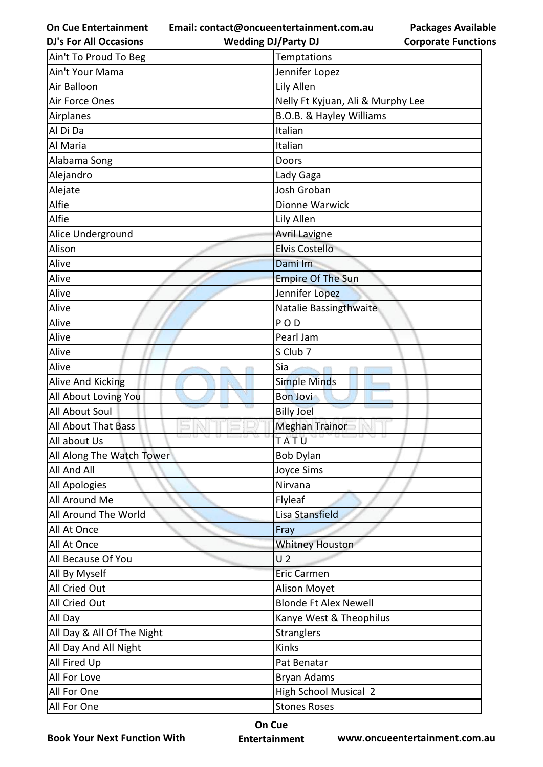**Email: contact@oncueentertainment.com.au**

**Packages Available Corporate Functions**

| <b>DJ's For All Occasions</b> | <b>Wedding DJ/Party DJ</b>        | <b>Corporate Functio</b> |
|-------------------------------|-----------------------------------|--------------------------|
| Ain't To Proud To Beg         | Temptations                       |                          |
| Ain't Your Mama               | Jennifer Lopez                    |                          |
| Air Balloon                   | Lily Allen                        |                          |
| Air Force Ones                | Nelly Ft Kyjuan, Ali & Murphy Lee |                          |
| Airplanes                     | B.O.B. & Hayley Williams          |                          |
| Al Di Da                      | Italian                           |                          |
| Al Maria                      | Italian                           |                          |
| Alabama Song                  | Doors                             |                          |
| Alejandro                     | Lady Gaga                         |                          |
| Alejate                       | Josh Groban                       |                          |
| Alfie                         | Dionne Warwick                    |                          |
| Alfie                         | Lily Allen                        |                          |
| Alice Underground             | <b>Avril Lavigne</b>              |                          |
| Alison                        | <b>Elvis Costello</b>             |                          |
| Alive                         | Dami Im                           |                          |
| Alive                         | <b>Empire Of The Sun</b>          |                          |
| Alive                         | Jennifer Lopez                    |                          |
| Alive                         | Natalie Bassingthwaite            |                          |
| Alive                         | <b>POD</b>                        |                          |
| Alive                         | Pearl Jam                         |                          |
| Alive                         | S Club 7                          |                          |
| Alive                         | Sia                               |                          |
| Alive And Kicking             | <b>Simple Minds</b>               |                          |
| All About Loving You          | <b>Bon Jovi</b>                   |                          |
| <b>All About Soul</b>         | <b>Billy Joel</b>                 |                          |
| All About That Bass           | <b>Meghan Trainor</b>             |                          |
| All about Us                  | TATU                              |                          |
| All Along The Watch Tower     | <b>Bob Dylan</b>                  |                          |
| All And All                   | <b>Joyce Sims</b>                 |                          |
| All Apologies                 | Nirvana                           |                          |
| All Around Me                 | Flyleaf                           |                          |
| All Around The World          | Lisa Stansfield                   |                          |
| All At Once                   | Fray                              |                          |
| All At Once                   | <b>Whitney Houston</b>            |                          |
| All Because Of You            | U <sub>2</sub>                    |                          |
| All By Myself                 | <b>Eric Carmen</b>                |                          |
| All Cried Out                 | Alison Moyet                      |                          |
| All Cried Out                 | <b>Blonde Ft Alex Newell</b>      |                          |
| All Day                       | Kanye West & Theophilus           |                          |
| All Day & All Of The Night    | <b>Stranglers</b>                 |                          |
| All Day And All Night         | Kinks                             |                          |
| All Fired Up                  | Pat Benatar                       |                          |
| All For Love                  | Bryan Adams                       |                          |
| All For One                   | <b>High School Musical 2</b>      |                          |
| All For One                   | <b>Stones Roses</b>               |                          |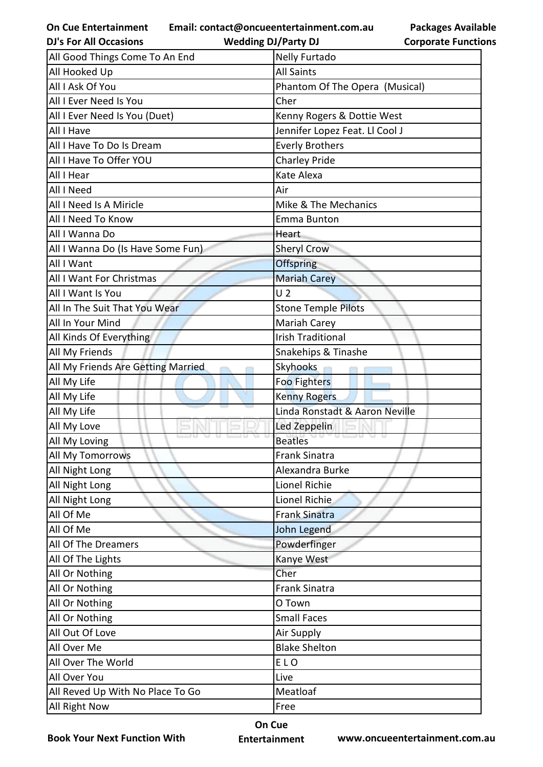**Email: contact@oncueentertainment.com.au Wedding DJ/Party DJ** 

| <b>Packages Available</b>  |
|----------------------------|
| <b>Corporate Functions</b> |

| <b>DJ's For All Occasions</b>      | <b>Wedding DJ/Party DJ</b>     | <b>Corporate Functio</b> |
|------------------------------------|--------------------------------|--------------------------|
| All Good Things Come To An End     | <b>Nelly Furtado</b>           |                          |
| All Hooked Up                      | <b>All Saints</b>              |                          |
| All I Ask Of You                   | Phantom Of The Opera (Musical) |                          |
| All I Ever Need Is You             | Cher                           |                          |
| All I Ever Need Is You (Duet)      | Kenny Rogers & Dottie West     |                          |
| All I Have                         | Jennifer Lopez Feat. Ll Cool J |                          |
| All I Have To Do Is Dream          | <b>Everly Brothers</b>         |                          |
| All I Have To Offer YOU            | <b>Charley Pride</b>           |                          |
| All I Hear                         | Kate Alexa                     |                          |
| All I Need                         | Air                            |                          |
| All I Need Is A Miricle            | Mike & The Mechanics           |                          |
| All I Need To Know                 | Emma Bunton                    |                          |
| All I Wanna Do                     | Heart                          |                          |
| All I Wanna Do (Is Have Some Fun)  | <b>Sheryl Crow</b>             |                          |
| All I Want                         | <b>Offspring</b>               |                          |
| All I Want For Christmas           | <b>Mariah Carey</b>            |                          |
| All I Want Is You                  | U <sub>2</sub>                 |                          |
| All In The Suit That You Wear      | <b>Stone Temple Pilots</b>     |                          |
| All In Your Mind                   | Mariah Carey                   |                          |
| All Kinds Of Everything            | <b>Irish Traditional</b>       |                          |
| All My Friends                     | Snakehips & Tinashe            |                          |
| All My Friends Are Getting Married | Skyhooks                       |                          |
| All My Life                        | Foo Fighters                   |                          |
| All My Life                        | <b>Kenny Rogers</b>            |                          |
| All My Life                        | Linda Ronstadt & Aaron Neville |                          |
| All My Love                        | Led Zeppelin                   |                          |
| All My Loving                      | <b>Beatles</b>                 |                          |
| All My Tomorrows                   | <b>Frank Sinatra</b>           |                          |
| All Night Long                     | Alexandra Burke                |                          |
| All Night Long                     | Lionel Richie                  |                          |
| All Night Long                     | Lionel Richie                  |                          |
| All Of Me                          | <b>Frank Sinatra</b>           |                          |
| All Of Me                          | John Legend                    |                          |
| All Of The Dreamers                | Powderfinger                   |                          |
| All Of The Lights                  | Kanye West                     |                          |
| All Or Nothing                     | Cher                           |                          |
| All Or Nothing                     | <b>Frank Sinatra</b>           |                          |
| All Or Nothing                     | O Town                         |                          |
| All Or Nothing                     | <b>Small Faces</b>             |                          |
| All Out Of Love                    | Air Supply                     |                          |
| All Over Me                        | <b>Blake Shelton</b>           |                          |
| All Over The World                 | <b>ELO</b>                     |                          |
| All Over You                       | Live                           |                          |
| All Reved Up With No Place To Go   | Meatloaf                       |                          |
| All Right Now                      | Free                           |                          |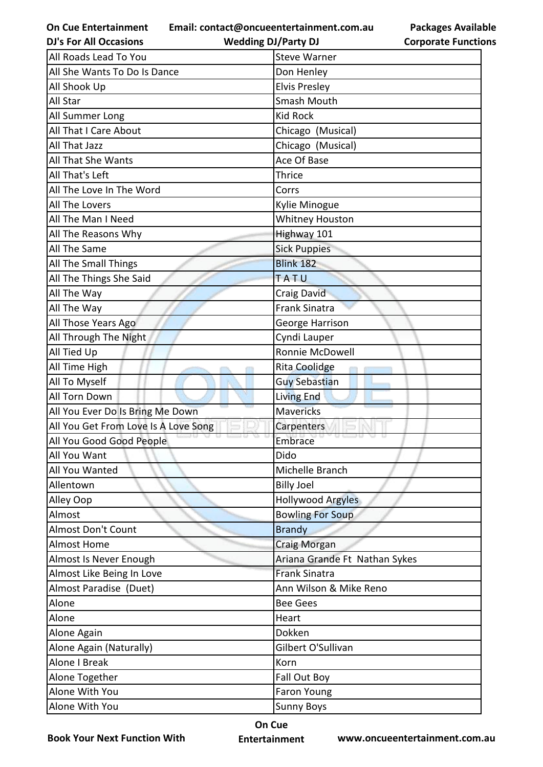**Email: contact@oncueentertainment.com.au**

| <b>Packages Available</b>  |
|----------------------------|
| <b>Corporate Functions</b> |

| <b>DJ's For All Occasions</b>        | <b>Wedding DJ/Party DJ</b>    | <b>Corporate Functio</b> |
|--------------------------------------|-------------------------------|--------------------------|
| All Roads Lead To You                | <b>Steve Warner</b>           |                          |
| All She Wants To Do Is Dance         | Don Henley                    |                          |
| All Shook Up                         | <b>Elvis Presley</b>          |                          |
| All Star                             | <b>Smash Mouth</b>            |                          |
| All Summer Long                      | <b>Kid Rock</b>               |                          |
| All That I Care About                | Chicago (Musical)             |                          |
| All That Jazz                        | Chicago (Musical)             |                          |
| All That She Wants                   | Ace Of Base                   |                          |
| All That's Left                      | <b>Thrice</b>                 |                          |
| All The Love In The Word             | Corrs                         |                          |
| All The Lovers                       | Kylie Minogue                 |                          |
| All The Man I Need                   | <b>Whitney Houston</b>        |                          |
| All The Reasons Why                  | Highway 101                   |                          |
| All The Same                         | <b>Sick Puppies</b>           |                          |
| All The Small Things                 | <b>Blink 182</b>              |                          |
| All The Things She Said              | <b>TATU</b>                   |                          |
| All The Way                          | Craig David                   |                          |
| All The Way                          | <b>Frank Sinatra</b>          |                          |
| All Those Years Ago                  | George Harrison               |                          |
| All Through The Night                | Cyndi Lauper                  |                          |
| All Tied Up                          | Ronnie McDowell               |                          |
| All Time High                        | <b>Rita Coolidge</b>          |                          |
| All To Myself                        | <b>Guy Sebastian</b>          |                          |
| All Torn Down                        | <b>Living End</b>             |                          |
| All You Ever Do Is Bring Me Down     | <b>Mavericks</b>              |                          |
| All You Get From Love Is A Love Song | Carpenters                    |                          |
| All You Good Good People             | Embrace                       |                          |
| All You Want                         | Dido                          |                          |
| All You Wanted                       | Michelle Branch               |                          |
| Allentown                            | <b>Billy Joel</b>             |                          |
| Alley Oop                            | <b>Hollywood Argyles</b>      |                          |
| Almost                               | <b>Bowling For Soup</b>       |                          |
| <b>Almost Don't Count</b>            | <b>Brandy</b>                 |                          |
| <b>Almost Home</b>                   | Craig Morgan                  |                          |
| Almost Is Never Enough               | Ariana Grande Ft Nathan Sykes |                          |
| Almost Like Being In Love            | <b>Frank Sinatra</b>          |                          |
| Almost Paradise (Duet)               | Ann Wilson & Mike Reno        |                          |
| Alone                                | <b>Bee Gees</b>               |                          |
| Alone                                | Heart                         |                          |
| Alone Again                          | Dokken                        |                          |
| Alone Again (Naturally)              | Gilbert O'Sullivan            |                          |
| <b>Alone I Break</b>                 | Korn                          |                          |
| Alone Together                       | Fall Out Boy                  |                          |
| Alone With You                       | Faron Young                   |                          |
| Alone With You                       | <b>Sunny Boys</b>             |                          |

**Book Your Next Function With**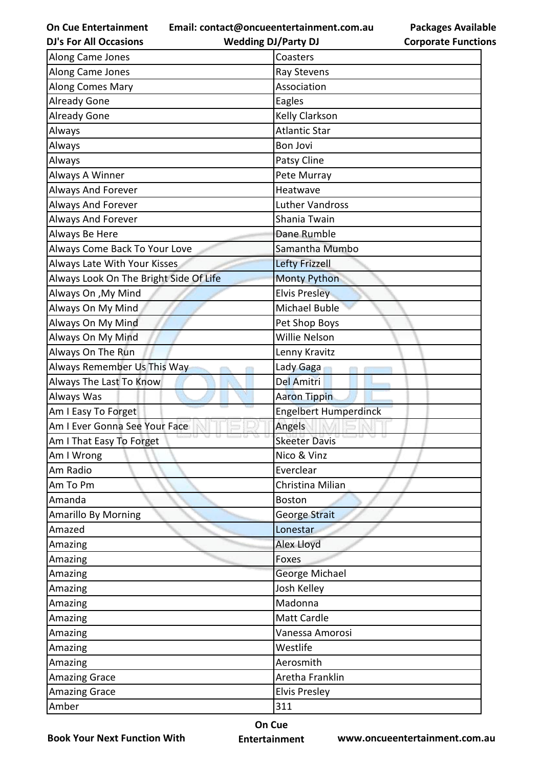**Email: contact@oncueentertainment.com.au**

**DJ's For All Occasions**

**Wedding DJ/Party DJ** 

| <b>Packages Available</b>  |
|----------------------------|
| <b>Corporate Functions</b> |

| Along Came Jones                       | Coasters                     |
|----------------------------------------|------------------------------|
| Along Came Jones                       | Ray Stevens                  |
| Along Comes Mary                       | Association                  |
| <b>Already Gone</b>                    | Eagles                       |
| <b>Already Gone</b>                    | <b>Kelly Clarkson</b>        |
| Always                                 | <b>Atlantic Star</b>         |
| Always                                 | <b>Bon Jovi</b>              |
| Always                                 | Patsy Cline                  |
| Always A Winner                        | Pete Murray                  |
| Always And Forever                     | Heatwave                     |
| Always And Forever                     | <b>Luther Vandross</b>       |
| Always And Forever                     | Shania Twain                 |
| Always Be Here                         | Dane Rumble                  |
| Always Come Back To Your Love          | Samantha Mumbo               |
| Always Late With Your Kisses           | <b>Lefty Frizzell</b>        |
| Always Look On The Bright Side Of Life | <b>Monty Python</b>          |
| Always On , My Mind                    | <b>Elvis Presley</b>         |
| Always On My Mind                      | Michael Buble                |
| Always On My Mind                      | Pet Shop Boys                |
| Always On My Mind                      | Willie Nelson                |
| Always On The Run                      | Lenny Kravitz                |
| Always Remember Us This Way            | Lady Gaga                    |
| Always The Last To Know                | <b>Del Amitri</b>            |
| Always Was                             | <b>Aaron Tippin</b>          |
| Am I Easy To Forget                    | <b>Engelbert Humperdinck</b> |
| Am I Ever Gonna See Your Face          | Angels                       |
| Am I That Easy To Forget               | <b>Skeeter Davis</b>         |
| Am I Wrong                             | Nico & Vinz                  |
| Am Radio                               | Everclear                    |
| Am To Pm                               | Christina Milian             |
| Amanda                                 | <b>Boston</b>                |
| <b>Amarillo By Morning</b>             | George Strait                |
| Amazed                                 | Lonestar                     |
| Amazing                                | <b>Alex Lloyd</b>            |
| Amazing                                | Foxes                        |
| Amazing                                | George Michael               |
| Amazing                                | Josh Kelley                  |
| Amazing                                | Madonna                      |
| Amazing                                | <b>Matt Cardle</b>           |
| Amazing                                | Vanessa Amorosi              |
| Amazing                                | Westlife                     |
| Amazing                                | Aerosmith                    |
| <b>Amazing Grace</b>                   | Aretha Franklin              |
| <b>Amazing Grace</b>                   | <b>Elvis Presley</b>         |
| Amber                                  | 311                          |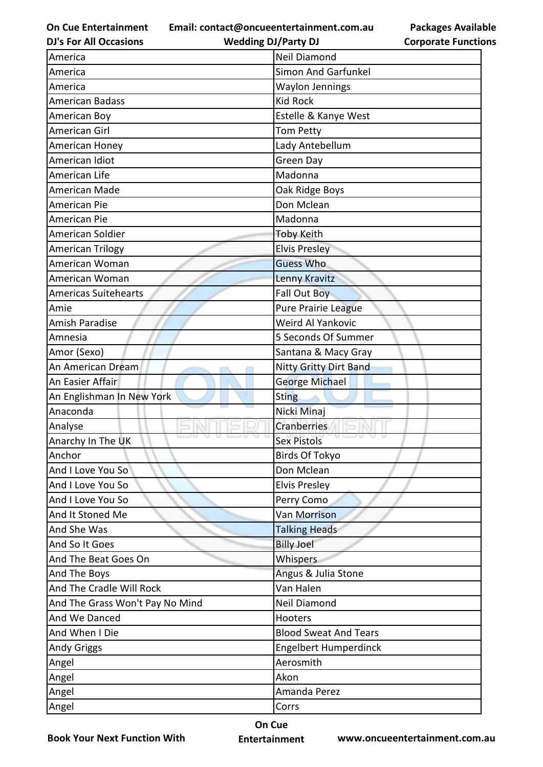**Email: contact@oncueentertainment.com.au Wedding DJ/Party DJ** 

**DJ's For All Occasions**

| <b>Packages Available</b>  |  |
|----------------------------|--|
| <b>Corporate Functions</b> |  |

| America                         | Neil Diamond                 |
|---------------------------------|------------------------------|
| America                         | <b>Simon And Garfunkel</b>   |
| America                         | <b>Waylon Jennings</b>       |
| <b>American Badass</b>          | <b>Kid Rock</b>              |
| American Boy                    | Estelle & Kanye West         |
| American Girl                   | <b>Tom Petty</b>             |
| American Honey                  | Lady Antebellum              |
| American Idiot                  | Green Day                    |
| American Life                   | Madonna                      |
| American Made                   | Oak Ridge Boys               |
| American Pie                    | Don Mclean                   |
| American Pie                    | Madonna                      |
| American Soldier                | <b>Toby Keith</b>            |
| <b>American Trilogy</b>         | <b>Elvis Presley</b>         |
| American Woman                  | <b>Guess Who</b>             |
| American Woman                  | Lenny Kravitz                |
| <b>Americas Suitehearts</b>     | Fall Out Boy                 |
| Amie                            | Pure Prairie League          |
| Amish Paradise                  | Weird Al Yankovic            |
| Amnesia                         | 5 Seconds Of Summer          |
| Amor (Sexo)                     | Santana & Macy Gray          |
| An American Dream               | Nitty Gritty Dirt Band       |
| An Easier Affair                | <b>George Michael</b>        |
| An Englishman In New York       | <b>Sting</b>                 |
| Anaconda                        | Nicki Minaj                  |
| Analyse                         | Cranberries                  |
| Anarchy In The UK               | <b>Sex Pistols</b>           |
| Anchor                          | Birds Of Tokyo               |
| And I Love You So               | Don Mclean                   |
| And I Love You So               | <b>Elvis Presley</b>         |
| And I Love You So               | Perry Como                   |
|                                 |                              |
| And It Stoned Me                | Van Morrison                 |
| And She Was                     | <b>Talking Heads</b>         |
| And So It Goes                  | <b>Billy Joel</b>            |
| And The Beat Goes On            | Whispers                     |
| And The Boys                    | Angus & Julia Stone          |
| And The Cradle Will Rock        | Van Halen                    |
| And The Grass Won't Pay No Mind | Neil Diamond                 |
| And We Danced                   | Hooters                      |
| And When I Die                  | <b>Blood Sweat And Tears</b> |
| <b>Andy Griggs</b>              | <b>Engelbert Humperdinck</b> |
| Angel                           | Aerosmith                    |
| Angel                           | Akon                         |
| Angel                           | Amanda Perez                 |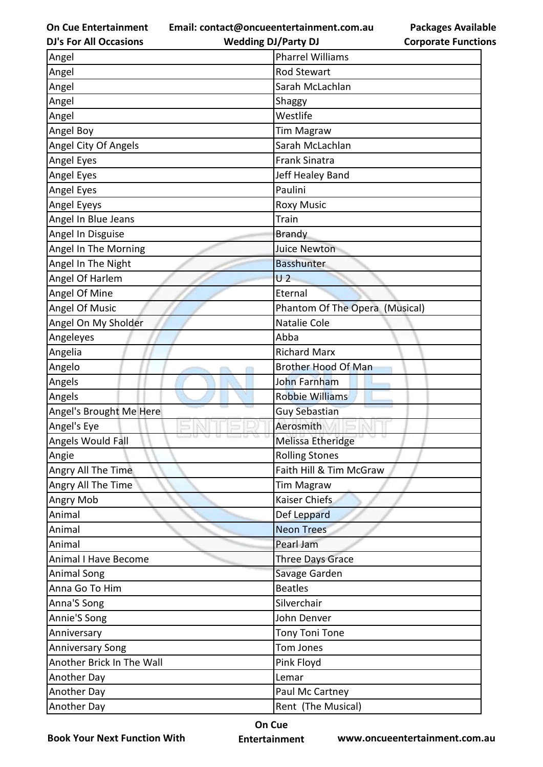**Email: contact@oncueentertainment.com.au**

**DJ's For All Occasions**

## **Wedding DJ/Party DJ**

**Packages Available Corporate Functions**

| Angel                       | <b>Pharrel Williams</b>        |
|-----------------------------|--------------------------------|
| Angel                       | <b>Rod Stewart</b>             |
| Angel                       | Sarah McLachlan                |
| Angel                       | Shaggy                         |
| Angel                       | Westlife                       |
| Angel Boy                   | <b>Tim Magraw</b>              |
| Angel City Of Angels        | Sarah McLachlan                |
| Angel Eyes                  | <b>Frank Sinatra</b>           |
| Angel Eyes                  | Jeff Healey Band               |
| Angel Eyes                  | Paulini                        |
| Angel Eyeys                 | <b>Roxy Music</b>              |
| Angel In Blue Jeans         | <b>Train</b>                   |
| Angel In Disguise           | <b>Brandy</b>                  |
| Angel In The Morning        | <b>Juice Newton</b>            |
| Angel In The Night          | <b>Basshunter</b>              |
| Angel Of Harlem             | U <sub>2</sub>                 |
| Angel Of Mine               | Eternal                        |
| Angel Of Music              | Phantom Of The Opera (Musical) |
| Angel On My Sholder         | Natalie Cole                   |
| Angeleyes                   | Abba                           |
| Angelia                     | <b>Richard Marx</b>            |
| Angelo                      | <b>Brother Hood Of Man</b>     |
| Angels                      | John Farnham                   |
| Angels                      | <b>Robbie Williams</b>         |
| Angel's Brought Me Here     | <b>Guy Sebastian</b>           |
| Angel's Eye                 | Aerosmith                      |
| Angels Would Fall           | Melissa Etheridge              |
| Angie                       | <b>Rolling Stones</b>          |
| Angry All The Time          | Faith Hill & Tim McGraw        |
| Angry All The Time          | <b>Tim Magraw</b>              |
| Angry Mob                   | Kaiser Chiefs                  |
| Animal                      | Def Leppard                    |
| Animal                      | <b>Neon Trees</b>              |
| Animal                      | Pearl Jam                      |
| <b>Animal I Have Become</b> | <b>Three Days Grace</b>        |
| <b>Animal Song</b>          | Savage Garden                  |
| Anna Go To Him              | <b>Beatles</b>                 |
| Anna'S Song                 | Silverchair                    |
| Annie'S Song                | John Denver                    |
| Anniversary                 | <b>Tony Toni Tone</b>          |
| <b>Anniversary Song</b>     | Tom Jones                      |
| Another Brick In The Wall   | Pink Floyd                     |
| Another Day                 | Lemar                          |
| Another Day                 | Paul Mc Cartney                |
| Another Day                 | Rent (The Musical)             |

**Book Your Next Function With**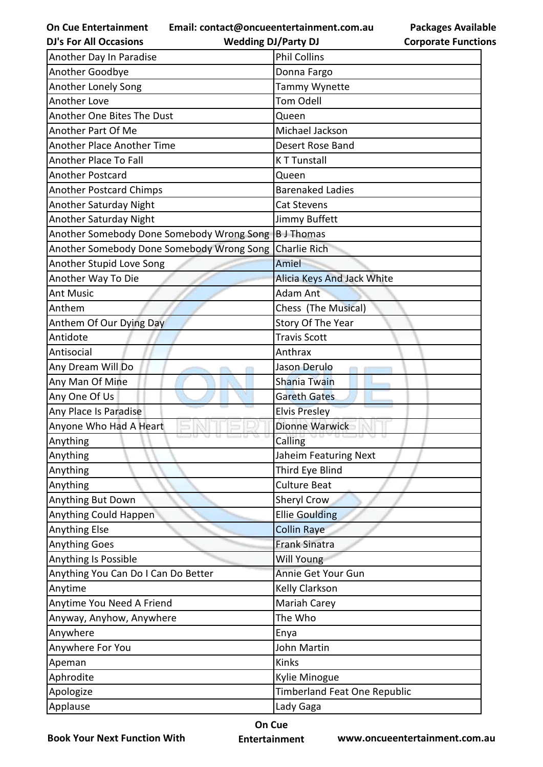**Email: contact@oncueentertainment.com.au**

| <b>Packages Available</b>  |
|----------------------------|
| <b>Corporate Functions</b> |

| <b>DJ's For All Occasions</b>             | <b>Wedding DJ/Party DJ</b>        | <b>Corporate Functio</b> |
|-------------------------------------------|-----------------------------------|--------------------------|
| Another Day In Paradise                   | <b>Phil Collins</b>               |                          |
| Another Goodbye                           | Donna Fargo                       |                          |
| Another Lonely Song                       | Tammy Wynette                     |                          |
| Another Love                              | <b>Tom Odell</b>                  |                          |
| Another One Bites The Dust                | Queen                             |                          |
| Another Part Of Me                        | Michael Jackson                   |                          |
| Another Place Another Time                | Desert Rose Band                  |                          |
| Another Place To Fall                     | <b>KT Tunstall</b>                |                          |
| Another Postcard                          | Queen                             |                          |
| <b>Another Postcard Chimps</b>            | <b>Barenaked Ladies</b>           |                          |
| Another Saturday Night                    | Cat Stevens                       |                          |
| Another Saturday Night                    | Jimmy Buffett                     |                          |
| Another Somebody Done Somebody Wrong Song | <b>B</b> J Thomas                 |                          |
| Another Somebody Done Somebody Wrong Song | <b>Charlie Rich</b>               |                          |
| Another Stupid Love Song                  | Amiel                             |                          |
| Another Way To Die                        | <b>Alicia Keys And Jack White</b> |                          |
| <b>Ant Music</b>                          | Adam Ant                          |                          |
| Anthem                                    | Chess (The Musical)               |                          |
| Anthem Of Our Dying Day                   | Story Of The Year                 |                          |
| Antidote                                  | <b>Travis Scott</b>               |                          |
| Antisocial                                | Anthrax                           |                          |
| Any Dream Will Do                         | Jason Derulo                      |                          |
| Any Man Of Mine                           | <b>Shania Twain</b>               |                          |
| Any One Of Us                             | <b>Gareth Gates</b>               |                          |
| Any Place Is Paradise                     | <b>Elvis Presley</b>              |                          |
| Anyone Who Had A Heart                    | <b>Dionne Warwick</b>             |                          |
| Anything                                  | Calling                           |                          |
| Anything                                  | Jaheim Featuring Next             |                          |
| Anything                                  | Third Eye Blind                   |                          |
| Anything                                  | <b>Culture Beat</b>               |                          |
| Anything But Down                         | Sheryl Crow                       |                          |
| Anything Could Happen                     | <b>Ellie Goulding</b>             |                          |
| Anything Else                             | Collin Raye                       |                          |
| <b>Anything Goes</b>                      | <b>Frank Sinatra</b>              |                          |
| Anything Is Possible                      | Will Young                        |                          |
| Anything You Can Do I Can Do Better       | Annie Get Your Gun                |                          |
| Anytime                                   | Kelly Clarkson                    |                          |
| Anytime You Need A Friend                 | Mariah Carey                      |                          |
| Anyway, Anyhow, Anywhere                  | The Who                           |                          |
| Anywhere                                  | Enya                              |                          |
| Anywhere For You                          | John Martin                       |                          |
| Apeman                                    | Kinks                             |                          |
| Aphrodite                                 | Kylie Minogue                     |                          |
| Apologize                                 | Timberland Feat One Republic      |                          |
| Applause                                  | Lady Gaga                         |                          |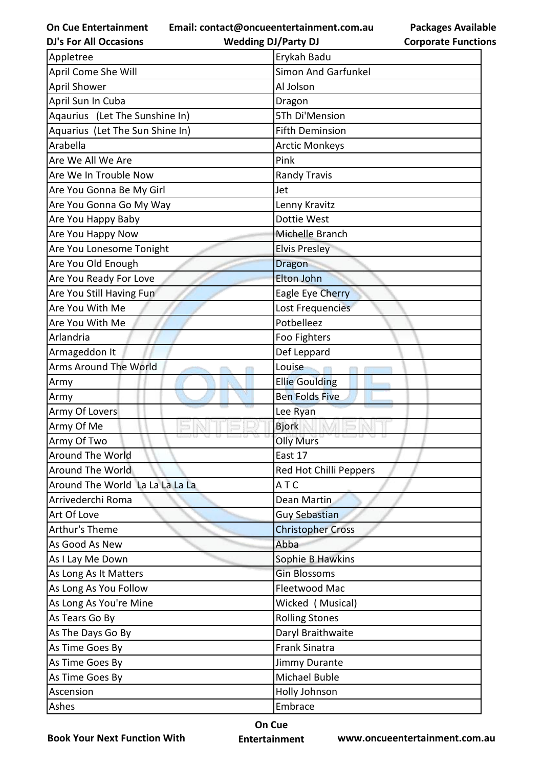**Email: contact@oncueentertainment.com.au**

**DJ's For All Occasions**

**Wedding DJ/Party DJ** 

**Packages Available Corporate Functions**

| Appletree                       | Erykah Badu                |
|---------------------------------|----------------------------|
| April Come She Will             | <b>Simon And Garfunkel</b> |
| April Shower                    | Al Jolson                  |
| April Sun In Cuba               | Dragon                     |
| Aqaurius (Let The Sunshine In)  | 5Th Di'Mension             |
| Aquarius (Let The Sun Shine In) | <b>Fifth Deminsion</b>     |
| Arabella                        | <b>Arctic Monkeys</b>      |
| Are We All We Are               | Pink                       |
| Are We In Trouble Now           | <b>Randy Travis</b>        |
| Are You Gonna Be My Girl        | Jet                        |
| Are You Gonna Go My Way         | Lenny Kravitz              |
| Are You Happy Baby              | Dottie West                |
| Are You Happy Now               | Michelle Branch            |
| Are You Lonesome Tonight        | <b>Elvis Presley</b>       |
| Are You Old Enough              | <b>Dragon</b>              |
| Are You Ready For Love          | <b>Elton John</b>          |
| Are You Still Having Fun        | Eagle Eye Cherry           |
| Are You With Me                 | Lost Frequencies           |
| Are You With Me                 | Potbelleez                 |
| Arlandria                       | Foo Fighters               |
| Armageddon It                   | Def Leppard                |
| Arms Around The World           | Louise                     |
| Army                            | <b>Ellie Goulding</b>      |
| Army                            | <b>Ben Folds Five</b>      |
| Army Of Lovers                  | Lee Ryan                   |
| Army Of Me                      | <b>Bjork</b>               |
| Army Of Two                     | <b>Olly Murs</b>           |
| Around The World                | East 17                    |
| Around The World                | Red Hot Chilli Peppers     |
| Around The World La La La La La | ATC                        |
| Arrivederchi Roma               | Dean Martin                |
| Art Of Love                     | Guy Sebastian              |
| Arthur's Theme                  | <b>Christopher Cross</b>   |
| As Good As New                  | Abba                       |
| As I Lay Me Down                | Sophie B Hawkins           |
| As Long As It Matters           | <b>Gin Blossoms</b>        |
| As Long As You Follow           | Fleetwood Mac              |
| As Long As You're Mine          | Wicked (Musical)           |
| As Tears Go By                  | <b>Rolling Stones</b>      |
| As The Days Go By               | Daryl Braithwaite          |
| As Time Goes By                 | <b>Frank Sinatra</b>       |
| As Time Goes By                 | Jimmy Durante              |
| As Time Goes By                 | Michael Buble              |
| Ascension                       | Holly Johnson              |
| Ashes                           | Embrace                    |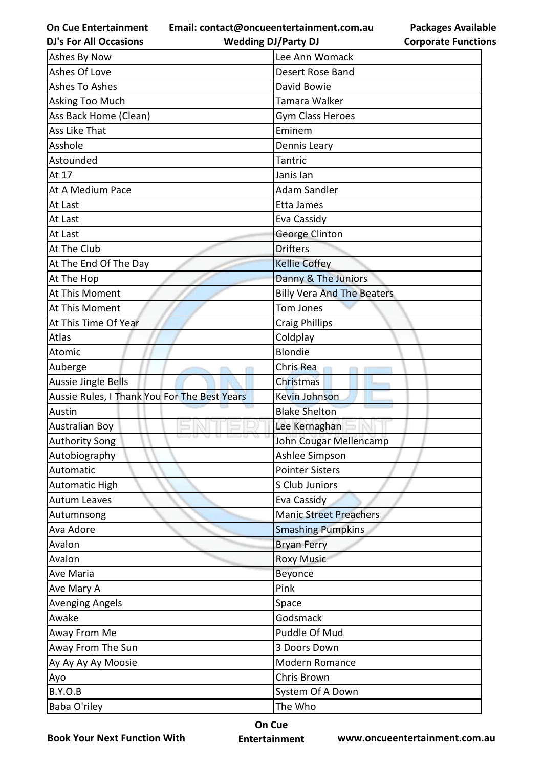**Email: contact@oncueentertainment.com.au Wedding DJ/Party DJ** 

**Packages Available Corporate Functions**

| <b>DJ's For All Occasions</b>                | <b>Wedding DJ/Party DJ</b>        | <b>Corporate Function</b> |
|----------------------------------------------|-----------------------------------|---------------------------|
| Ashes By Now                                 | Lee Ann Womack                    |                           |
| Ashes Of Love                                | Desert Rose Band                  |                           |
| <b>Ashes To Ashes</b>                        | David Bowie                       |                           |
| Asking Too Much                              | Tamara Walker                     |                           |
| Ass Back Home (Clean)                        | Gym Class Heroes                  |                           |
| Ass Like That                                | Eminem                            |                           |
| Asshole                                      | Dennis Leary                      |                           |
| Astounded                                    | Tantric                           |                           |
| At 17                                        | Janis lan                         |                           |
| At A Medium Pace                             | Adam Sandler                      |                           |
| At Last                                      | Etta James                        |                           |
| At Last                                      | Eva Cassidy                       |                           |
| At Last                                      | George Clinton                    |                           |
| At The Club                                  | <b>Drifters</b>                   |                           |
| At The End Of The Day                        | <b>Kellie Coffey</b>              |                           |
| At The Hop                                   | Danny & The Juniors               |                           |
| At This Moment                               | <b>Billy Vera And The Beaters</b> |                           |
| At This Moment                               | <b>Tom Jones</b>                  |                           |
| At This Time Of Year                         | <b>Craig Phillips</b>             |                           |
| Atlas                                        | Coldplay                          |                           |
| Atomic                                       | Blondie                           |                           |
| Auberge                                      | Chris Rea                         |                           |
| Aussie Jingle Bells                          | Christmas                         |                           |
| Aussie Rules, I Thank You For The Best Years | <b>Kevin Johnson</b>              |                           |
| Austin                                       | <b>Blake Shelton</b>              |                           |
| <b>Australian Boy</b>                        | Lee Kernaghan                     |                           |
| <b>Authority Song</b>                        | John Cougar Mellencamp            |                           |
| Autobiography                                | Ashlee Simpson                    |                           |
| Automatic                                    | <b>Pointer Sisters</b>            |                           |
| <b>Automatic High</b>                        | S Club Juniors                    |                           |
| <b>Autum Leaves</b>                          | Eva Cassidy                       |                           |
| Autumnsong                                   | <b>Manic Street Preachers</b>     |                           |
| Ava Adore                                    | <b>Smashing Pumpkins</b>          |                           |
| Avalon                                       | <b>Bryan Ferry</b>                |                           |
| Avalon                                       | <b>Roxy Music</b>                 |                           |
| Ave Maria                                    | Beyonce                           |                           |
| Ave Mary A                                   | Pink                              |                           |
| <b>Avenging Angels</b>                       | Space                             |                           |
| Awake                                        | Godsmack                          |                           |
| Away From Me                                 | Puddle Of Mud                     |                           |
| Away From The Sun                            | 3 Doors Down                      |                           |
| Ay Ay Ay Ay Moosie                           | Modern Romance                    |                           |
| Ayo                                          | Chris Brown                       |                           |
| <b>B.Y.O.B</b>                               | System Of A Down                  |                           |
| Baba O'riley                                 | The Who                           |                           |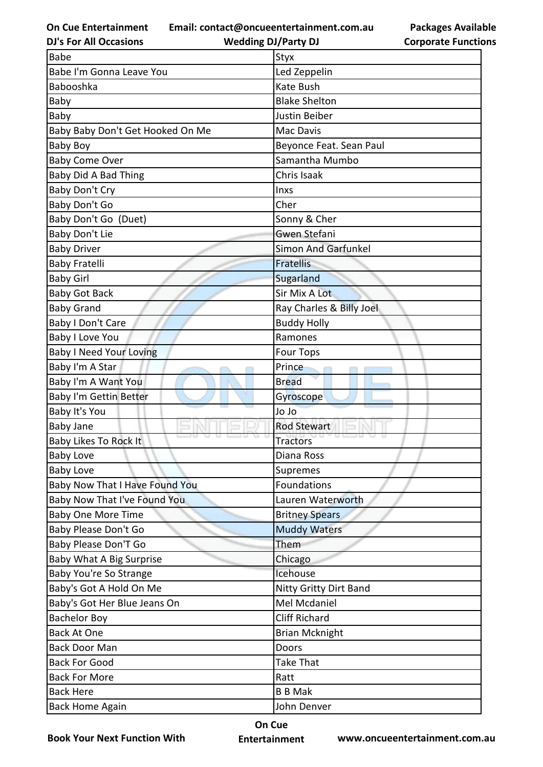**Email: contact@oncueentertainment.com.au**

**DJ's For All Occasions**

**Wedding DJ/Party DJ** 

**Packages Available Corporate Functions**

| <b>Babe</b>                      | Styx                          |
|----------------------------------|-------------------------------|
| Babe I'm Gonna Leave You         | Led Zeppelin                  |
| Babooshka                        | Kate Bush                     |
| Baby                             | <b>Blake Shelton</b>          |
| Baby                             | Justin Beiber                 |
| Baby Baby Don't Get Hooked On Me | Mac Davis                     |
| <b>Baby Boy</b>                  | Beyonce Feat. Sean Paul       |
| <b>Baby Come Over</b>            | Samantha Mumbo                |
| Baby Did A Bad Thing             | Chris Isaak                   |
| Baby Don't Cry                   | Inxs                          |
| <b>Baby Don't Go</b>             | Cher                          |
| Baby Don't Go (Duet)             | Sonny & Cher                  |
| Baby Don't Lie                   | Gwen Stefani                  |
| <b>Baby Driver</b>               | <b>Simon And Garfunkel</b>    |
| <b>Baby Fratelli</b>             | <b>Fratellis</b>              |
| <b>Baby Girl</b>                 | Sugarland                     |
| <b>Baby Got Back</b>             | Sir Mix A Lot                 |
| <b>Baby Grand</b>                | Ray Charles & Billy Joel      |
| Baby I Don't Care                | <b>Buddy Holly</b>            |
| <b>Baby I Love You</b>           | Ramones                       |
| <b>Baby I Need Your Loving</b>   | <b>Four Tops</b>              |
| Baby I'm A Star                  | Prince                        |
| Baby I'm A Want You              | <b>Bread</b>                  |
| Baby I'm Gettin Better           | Gyroscope                     |
| Baby It's You                    | Jo Jo                         |
| <b>Baby Jane</b>                 | <b>Rod Stewart</b>            |
| Baby Likes To Rock It            | <b>Tractors</b>               |
| <b>Baby Love</b>                 | Diana Ross                    |
| <b>Baby Love</b>                 | Supremes                      |
| Baby Now That I Have Found You   | Foundations                   |
| Baby Now That I've Found You     |                               |
|                                  | Lauren Waterworth             |
| <b>Baby One More Time</b>        | <b>Britney Spears</b>         |
| Baby Please Don't Go             | <b>Muddy Waters</b>           |
| <b>Baby Please Don'T Go</b>      | Them                          |
| Baby What A Big Surprise         | Chicago                       |
| Baby You're So Strange           | Icehouse                      |
| Baby's Got A Hold On Me          | <b>Nitty Gritty Dirt Band</b> |
| Baby's Got Her Blue Jeans On     | Mel Mcdaniel                  |
| <b>Bachelor Boy</b>              | <b>Cliff Richard</b>          |
| <b>Back At One</b>               | <b>Brian Mcknight</b>         |
| <b>Back Door Man</b>             | Doors                         |
| <b>Back For Good</b>             | Take That                     |
| <b>Back For More</b>             | Ratt                          |
| <b>Back Here</b>                 | <b>B B Mak</b>                |

**Book Your Next Function With**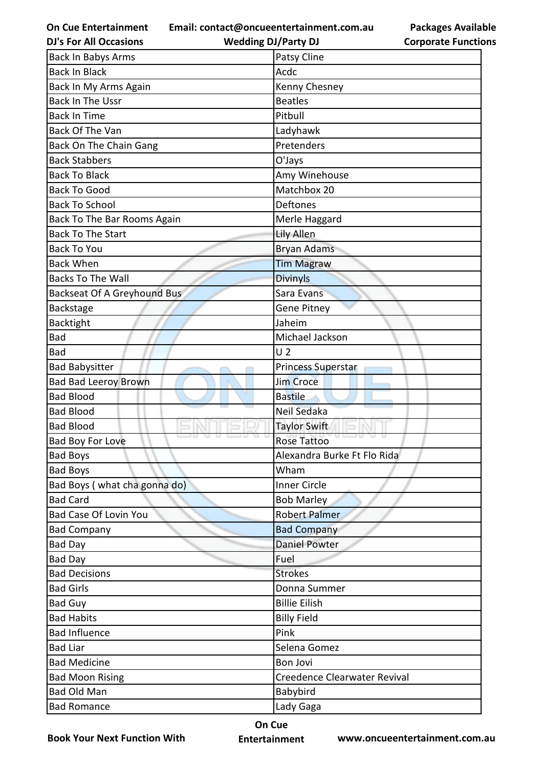**Email: contact@oncueentertainment.com.au**

**DJ's For All Occasions**

**Wedding DJ/Party DJ** 

| <b>Packages Available</b>  |
|----------------------------|
| <b>Corporate Functions</b> |

| <b>Back In Babys Arms</b>    | Patsy Cline                  |
|------------------------------|------------------------------|
| <b>Back In Black</b>         | Acdc                         |
| Back In My Arms Again        | Kenny Chesney                |
| <b>Back In The Ussr</b>      | <b>Beatles</b>               |
| <b>Back In Time</b>          | Pitbull                      |
| Back Of The Van              | Ladyhawk                     |
| Back On The Chain Gang       | Pretenders                   |
| <b>Back Stabbers</b>         | O'Jays                       |
| <b>Back To Black</b>         | Amy Winehouse                |
| <b>Back To Good</b>          | Matchbox 20                  |
| <b>Back To School</b>        | Deftones                     |
| Back To The Bar Rooms Again  | Merle Haggard                |
| <b>Back To The Start</b>     | Lily Allen                   |
| <b>Back To You</b>           | <b>Bryan Adams</b>           |
| <b>Back When</b>             | <b>Tim Magraw</b>            |
| <b>Backs To The Wall</b>     | <b>Divinyls</b>              |
| Backseat Of A Greyhound Bus  | Sara Evans                   |
| Backstage                    | <b>Gene Pitney</b>           |
| Backtight                    | Jaheim                       |
| <b>Bad</b>                   | Michael Jackson              |
| Bad                          | U <sub>2</sub>               |
| <b>Bad Babysitter</b>        | Princess Superstar           |
| <b>Bad Bad Leeroy Brown</b>  | Jim Croce                    |
| <b>Bad Blood</b>             | <b>Bastile</b>               |
| <b>Bad Blood</b>             | Neil Sedaka                  |
| <b>Bad Blood</b>             | <b>Taylor Swift</b>          |
| <b>Bad Boy For Love</b>      | <b>Rose Tattoo</b>           |
| <b>Bad Boys</b>              | Alexandra Burke Ft Flo Rida  |
| <b>Bad Boys</b>              | Wham                         |
| Bad Boys (what cha gonna do) | <b>Inner Circle</b>          |
| <b>Bad Card</b>              | <b>Bob Marley</b>            |
| Bad Case Of Lovin You        | <b>Robert Palmer</b>         |
| <b>Bad Company</b>           | <b>Bad Company</b>           |
| <b>Bad Day</b>               | <b>Daniel Powter</b>         |
| <b>Bad Day</b>               | Fuel                         |
| <b>Bad Decisions</b>         | <b>Strokes</b>               |
| <b>Bad Girls</b>             | Donna Summer                 |
| <b>Bad Guy</b>               | <b>Billie Eilish</b>         |
| <b>Bad Habits</b>            | <b>Billy Field</b>           |
| <b>Bad Influence</b>         | Pink                         |
| <b>Bad Liar</b>              | Selena Gomez                 |
| <b>Bad Medicine</b>          | Bon Jovi                     |
| <b>Bad Moon Rising</b>       | Creedence Clearwater Revival |
| Bad Old Man                  | Babybird                     |
| <b>Bad Romance</b>           | Lady Gaga                    |

**Book Your Next Function With**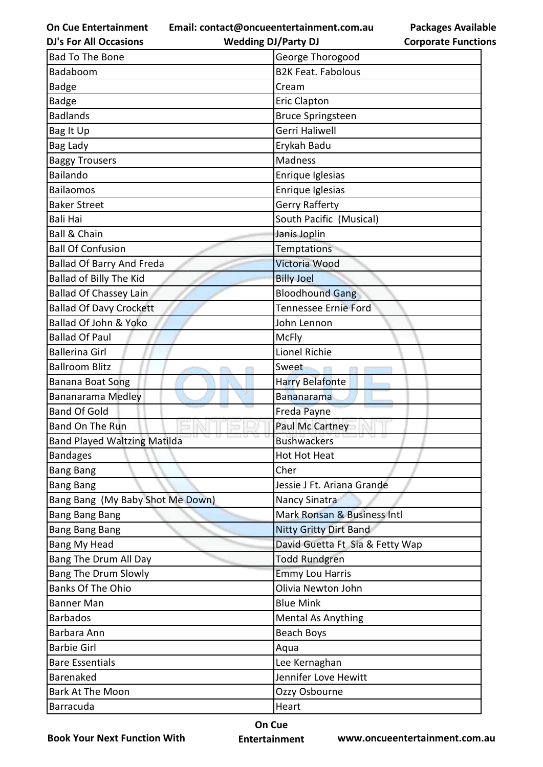**Email: contact@oncueentertainment.com.au**

**DJ's For All Occasions**

**Wedding DJ/Party DJ** 

**Packages Available Corporate Functions**

| <b>Bad To The Bone</b>              | George Thorogood                |  |
|-------------------------------------|---------------------------------|--|
| Badaboom                            | <b>B2K Feat. Fabolous</b>       |  |
| <b>Badge</b>                        | Cream                           |  |
| <b>Badge</b>                        | <b>Eric Clapton</b>             |  |
| <b>Badlands</b>                     | <b>Bruce Springsteen</b>        |  |
| Bag It Up                           | Gerri Haliwell                  |  |
| Bag Lady                            | Erykah Badu                     |  |
| <b>Baggy Trousers</b>               | Madness                         |  |
| Bailando                            | Enrique Iglesias                |  |
| Bailaomos                           | Enrique Iglesias                |  |
| <b>Baker Street</b>                 | Gerry Rafferty                  |  |
| <b>Bali Hai</b>                     | South Pacific (Musical)         |  |
| <b>Ball &amp; Chain</b>             | Janis Joplin                    |  |
| <b>Ball Of Confusion</b>            | <b>Temptations</b>              |  |
| <b>Ballad Of Barry And Freda</b>    | Victoria Wood                   |  |
| Ballad of Billy The Kid             | <b>Billy Joel</b>               |  |
| <b>Ballad Of Chassey Lain</b>       | <b>Bloodhound Gang</b>          |  |
| <b>Ballad Of Davy Crockett</b>      | Tennessee Ernie Ford            |  |
| Ballad Of John & Yoko               | John Lennon                     |  |
| <b>Ballad Of Paul</b>               | <b>McFly</b>                    |  |
| <b>Ballerina Girl</b>               | Lionel Richie                   |  |
| <b>Ballroom Blitz</b>               | Sweet                           |  |
| Banana Boat Song                    | <b>Harry Belafonte</b>          |  |
| Bananarama Medley                   | <b>Bananarama</b>               |  |
| <b>Band Of Gold</b>                 | Freda Payne                     |  |
| <b>Band On The Run</b>              | Paul Mc Cartney                 |  |
| <b>Band Played Waltzing Matilda</b> | <b>Bushwackers</b>              |  |
| <b>Bandages</b>                     | Hot Hot Heat                    |  |
| <b>Bang Bang</b>                    | Cher                            |  |
| <b>Bang Bang</b>                    | Jessie J Ft. Ariana Grande      |  |
| Bang Bang (My Baby Shot Me Down)    | Nancy Sinatra                   |  |
| <b>Bang Bang Bang</b>               | Mark Ronsan & Business Intl     |  |
| <b>Bang Bang Bang</b>               | <b>Nitty Gritty Dirt Band</b>   |  |
| Bang My Head                        | David Guetta Ft Sia & Fetty Wap |  |
| Bang The Drum All Day               | <b>Todd Rundgren</b>            |  |
| <b>Bang The Drum Slowly</b>         | <b>Emmy Lou Harris</b>          |  |
| <b>Banks Of The Ohio</b>            | Olivia Newton John              |  |
| <b>Banner Man</b>                   | <b>Blue Mink</b>                |  |
| <b>Barbados</b>                     | <b>Mental As Anything</b>       |  |
| Barbara Ann                         | <b>Beach Boys</b>               |  |
| <b>Barbie Girl</b>                  | Aqua                            |  |
| <b>Bare Essentials</b>              | Lee Kernaghan                   |  |
| Barenaked                           | Jennifer Love Hewitt            |  |
| Bark At The Moon                    | Ozzy Osbourne                   |  |
| Barracuda                           | Heart                           |  |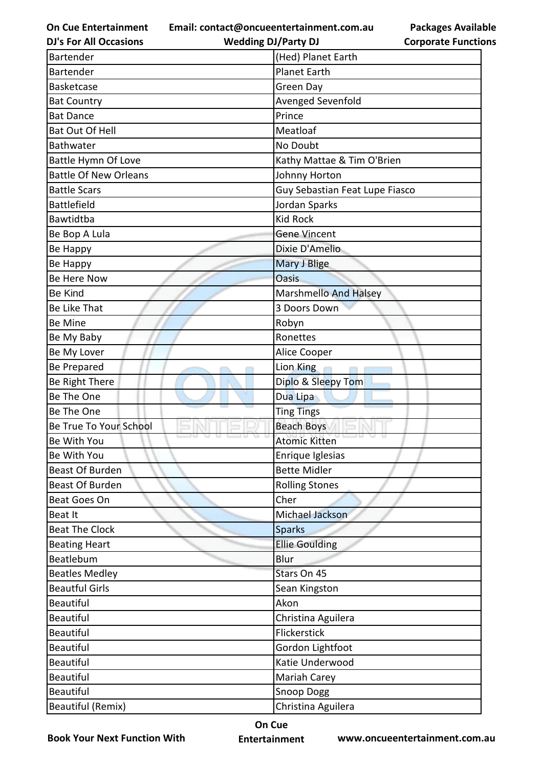**Email: contact@oncueentertainment.com.au**

**Packages Available Corporate Functions**

| <b>DJ's For All Occasions</b>                                                                                                | <b>Wedding DJ/Party DJ</b>                                                                                                    | <b>Corporate Functio</b> |
|------------------------------------------------------------------------------------------------------------------------------|-------------------------------------------------------------------------------------------------------------------------------|--------------------------|
| <b>Bartender</b>                                                                                                             | (Hed) Planet Earth                                                                                                            |                          |
| Bartender                                                                                                                    | <b>Planet Earth</b>                                                                                                           |                          |
| <b>Basketcase</b>                                                                                                            | Green Day                                                                                                                     |                          |
| <b>Bat Country</b>                                                                                                           | Avenged Sevenfold                                                                                                             |                          |
| <b>Bat Dance</b>                                                                                                             | Prince                                                                                                                        |                          |
| <b>Bat Out Of Hell</b>                                                                                                       | Meatloaf                                                                                                                      |                          |
| Bathwater                                                                                                                    | No Doubt                                                                                                                      |                          |
| Battle Hymn Of Love                                                                                                          | Kathy Mattae & Tim O'Brien                                                                                                    |                          |
| <b>Battle Of New Orleans</b>                                                                                                 | Johnny Horton                                                                                                                 |                          |
| <b>Battle Scars</b>                                                                                                          | Guy Sebastian Feat Lupe Fiasco                                                                                                |                          |
| <b>Battlefield</b>                                                                                                           | Jordan Sparks                                                                                                                 |                          |
| Bawtidtba                                                                                                                    | <b>Kid Rock</b>                                                                                                               |                          |
| Be Bop A Lula                                                                                                                | <b>Gene Vincent</b>                                                                                                           |                          |
| Be Happy                                                                                                                     | Dixie D'Amelio                                                                                                                |                          |
| Be Happy                                                                                                                     | <b>Mary J Blige</b>                                                                                                           |                          |
| Be Here Now                                                                                                                  | <b>Oasis</b>                                                                                                                  |                          |
| <b>Be Kind</b>                                                                                                               | <b>Marshmello And Halsey</b>                                                                                                  |                          |
| Be Like That                                                                                                                 | 3 Doors Down                                                                                                                  |                          |
| Be Mine                                                                                                                      | Robyn                                                                                                                         |                          |
| Be My Baby                                                                                                                   | Ronettes                                                                                                                      |                          |
| Be My Lover                                                                                                                  | Alice Cooper                                                                                                                  |                          |
| <b>Be Prepared</b>                                                                                                           | Lion King                                                                                                                     |                          |
| Be Right There                                                                                                               | Diplo & Sleepy Tom                                                                                                            |                          |
| Be The One                                                                                                                   | Dua Lipa                                                                                                                      |                          |
| Be The One                                                                                                                   | <b>Ting Tings</b>                                                                                                             |                          |
| Be True To Your School                                                                                                       | <b>Beach Boys</b>                                                                                                             |                          |
| Be With You                                                                                                                  | <b>Atomic Kitten</b>                                                                                                          |                          |
| Be With You                                                                                                                  | Enrique Iglesias                                                                                                              |                          |
| <b>Beast Of Burden</b>                                                                                                       | <b>Bette Midler</b>                                                                                                           |                          |
| <b>Beast Of Burden</b>                                                                                                       | <b>Rolling Stones</b>                                                                                                         |                          |
| <b>Beat Goes On</b>                                                                                                          | Cher                                                                                                                          |                          |
| Beat It                                                                                                                      | Michael Jackson                                                                                                               |                          |
| <b>Beat The Clock</b>                                                                                                        | <b>Sparks</b>                                                                                                                 |                          |
| <b>Beating Heart</b>                                                                                                         | <b>Ellie Goulding</b>                                                                                                         |                          |
| Beatlebum                                                                                                                    | Blur                                                                                                                          |                          |
| <b>Beatles Medley</b>                                                                                                        | Stars On 45                                                                                                                   |                          |
| <b>Beautful Girls</b>                                                                                                        | Sean Kingston                                                                                                                 |                          |
| <b>Beautiful</b>                                                                                                             | Akon                                                                                                                          |                          |
|                                                                                                                              |                                                                                                                               |                          |
|                                                                                                                              |                                                                                                                               |                          |
| <b>Beautiful</b>                                                                                                             |                                                                                                                               |                          |
|                                                                                                                              |                                                                                                                               |                          |
|                                                                                                                              |                                                                                                                               |                          |
|                                                                                                                              |                                                                                                                               |                          |
|                                                                                                                              |                                                                                                                               |                          |
| <b>Beautiful</b><br><b>Beautiful</b><br><b>Beautiful</b><br><b>Beautiful</b><br><b>Beautiful</b><br><b>Beautiful (Remix)</b> | Christina Aguilera<br>Flickerstick<br>Gordon Lightfoot<br>Katie Underwood<br>Mariah Carey<br>Snoop Dogg<br>Christina Aguilera |                          |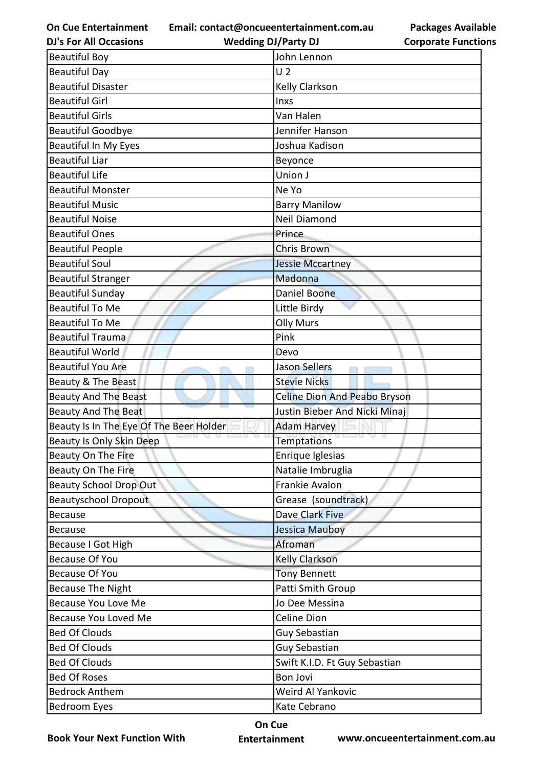**Email: contact@oncueentertainment.com.au**

**DJ's For All Occasions**

**Wedding DJ/Party DJ** 

**Packages Available Corporate Functions**

| <b>Beautiful Boy</b>                    | John Lennon                   |
|-----------------------------------------|-------------------------------|
| <b>Beautiful Day</b>                    | U <sub>2</sub>                |
| <b>Beautiful Disaster</b>               | <b>Kelly Clarkson</b>         |
| <b>Beautiful Girl</b>                   | Inxs                          |
| <b>Beautiful Girls</b>                  | Van Halen                     |
| <b>Beautiful Goodbye</b>                | Jennifer Hanson               |
| <b>Beautiful In My Eyes</b>             | Joshua Kadison                |
| <b>Beautiful Liar</b>                   | Beyonce                       |
| <b>Beautiful Life</b>                   | Union J                       |
| <b>Beautiful Monster</b>                | Ne Yo                         |
| <b>Beautiful Music</b>                  | <b>Barry Manilow</b>          |
| <b>Beautiful Noise</b>                  | Neil Diamond                  |
| <b>Beautiful Ones</b>                   | Prince                        |
| <b>Beautiful People</b>                 | Chris Brown                   |
| <b>Beautiful Soul</b>                   | <b>Jessie Mccartney</b>       |
| <b>Beautiful Stranger</b>               | Madonna                       |
| <b>Beautiful Sunday</b>                 | Daniel Boone                  |
| <b>Beautiful To Me</b>                  | Little Birdy                  |
| <b>Beautiful To Me</b>                  | <b>Olly Murs</b>              |
| <b>Beautiful Trauma</b>                 | Pink                          |
| <b>Beautiful World</b>                  | Devo                          |
| <b>Beautiful You Are</b>                | Jason Sellers                 |
| Beauty & The Beast                      | <b>Stevie Nicks</b>           |
|                                         |                               |
| <b>Beauty And The Beast</b>             | Celine Dion And Peabo Bryson  |
| <b>Beauty And The Beat</b>              | Justin Bieber And Nicki Minaj |
| Beauty Is In The Eye Of The Beer Holder | <b>Adam Harvey</b>            |
| Beauty Is Only Skin Deep                | <b>Temptations</b>            |
| <b>Beauty On The Fire</b>               | Enrique Iglesias              |
| Beauty On The Fire                      | Natalie Imbruglia             |
| <b>Beauty School Drop Out</b>           | Frankie Avalon                |
| <b>Beautyschool Dropout</b>             | Grease (soundtrack)           |
| <b>Because</b>                          | Dave Clark Five               |
| <b>Because</b>                          | Jessica Mauboy                |
| Because I Got High                      | Afroman                       |
| <b>Because Of You</b>                   | Kelly Clarkson                |
| <b>Because Of You</b>                   | <b>Tony Bennett</b>           |
| <b>Because The Night</b>                | Patti Smith Group             |
| <b>Because You Love Me</b>              | Jo Dee Messina                |
| Because You Loved Me                    | Celine Dion                   |
| <b>Bed Of Clouds</b>                    | <b>Guy Sebastian</b>          |
| <b>Bed Of Clouds</b>                    | Guy Sebastian                 |
| <b>Bed Of Clouds</b>                    | Swift K.I.D. Ft Guy Sebastian |
| <b>Bed Of Roses</b>                     | <b>Bon Jovi</b>               |
| <b>Bedrock Anthem</b>                   | Weird Al Yankovic             |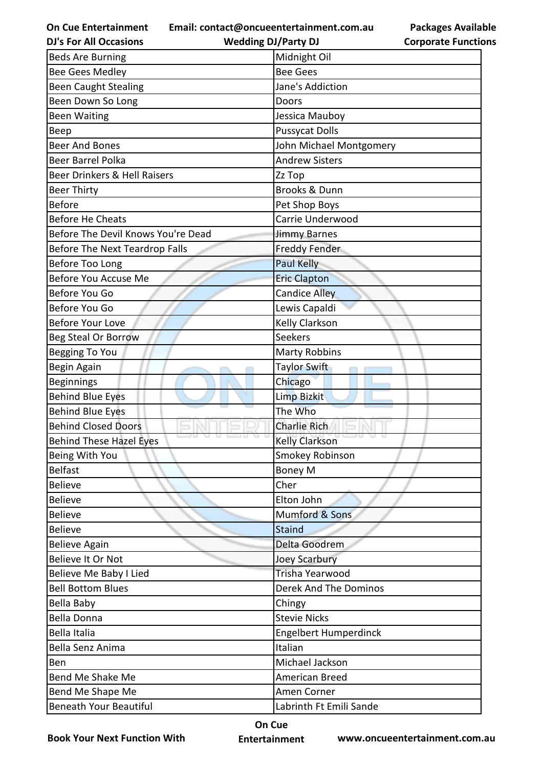**Email: contact@oncueentertainment.com.au**

**Wedding DJ/Party DJ** 

|                            | <b>Packages Available</b> |
|----------------------------|---------------------------|
| <b>Corporate Functions</b> |                           |

| <b>DJ's For All Occasions</b>      | <b>Wedding DJ/Party DJ</b>   | <b>Corporate Functio</b> |
|------------------------------------|------------------------------|--------------------------|
| <b>Beds Are Burning</b>            | Midnight Oil                 |                          |
| <b>Bee Gees Medley</b>             | <b>Bee Gees</b>              |                          |
| <b>Been Caught Stealing</b>        | Jane's Addiction             |                          |
| Been Down So Long                  | Doors                        |                          |
| <b>Been Waiting</b>                | Jessica Mauboy               |                          |
| Beep                               | <b>Pussycat Dolls</b>        |                          |
| <b>Beer And Bones</b>              | John Michael Montgomery      |                          |
| <b>Beer Barrel Polka</b>           | <b>Andrew Sisters</b>        |                          |
| Beer Drinkers & Hell Raisers       | Zz Top                       |                          |
| <b>Beer Thirty</b>                 | <b>Brooks &amp; Dunn</b>     |                          |
| <b>Before</b>                      | Pet Shop Boys                |                          |
| <b>Before He Cheats</b>            | Carrie Underwood             |                          |
| Before The Devil Knows You're Dead | Jimmy Barnes                 |                          |
| Before The Next Teardrop Falls     | <b>Freddy Fender</b>         |                          |
| Before Too Long                    | <b>Paul Kelly</b>            |                          |
| Before You Accuse Me               | <b>Eric Clapton</b>          |                          |
| Before You Go                      | Candice Alley                |                          |
| Before You Go                      | Lewis Capaldi                |                          |
| <b>Before Your Love</b>            | Kelly Clarkson               |                          |
| <b>Beg Steal Or Borrow</b>         | <b>Seekers</b>               |                          |
| Begging To You                     | <b>Marty Robbins</b>         |                          |
| Begin Again                        | Taylor Swift                 |                          |
| <b>Beginnings</b>                  | Chicago                      |                          |
| <b>Behind Blue Eyes</b>            | <b>Limp Bizkit</b>           |                          |
| <b>Behind Blue Eyes</b>            | The Who                      |                          |
| <b>Behind Closed Doors</b>         | <b>Charlie Rich</b>          |                          |
| <b>Behind These Hazel Eyes</b>     | <b>Kelly Clarkson</b>        |                          |
| Being With You                     | Smokey Robinson              |                          |
| <b>Belfast</b>                     | <b>Boney M</b>               |                          |
| <b>Believe</b>                     | Cher                         |                          |
| <b>Believe</b>                     | Elton John                   |                          |
| <b>Believe</b>                     | Mumford & Sons               |                          |
| <b>Believe</b>                     | <b>Staind</b>                |                          |
| <b>Believe Again</b>               | Delta Goodrem                |                          |
| Believe It Or Not                  | <b>Joey Scarbury</b>         |                          |
| Believe Me Baby I Lied             | Trisha Yearwood              |                          |
| <b>Bell Bottom Blues</b>           | <b>Derek And The Dominos</b> |                          |
| Bella Baby                         | Chingy                       |                          |
| <b>Bella Donna</b>                 | <b>Stevie Nicks</b>          |                          |
| Bella Italia                       | <b>Engelbert Humperdinck</b> |                          |
| Bella Senz Anima                   | Italian                      |                          |
| Ben                                | Michael Jackson              |                          |
| Bend Me Shake Me                   | American Breed               |                          |
| Bend Me Shape Me                   | Amen Corner                  |                          |
| <b>Beneath Your Beautiful</b>      | Labrinth Ft Emili Sande      |                          |

**Book Your Next Function With**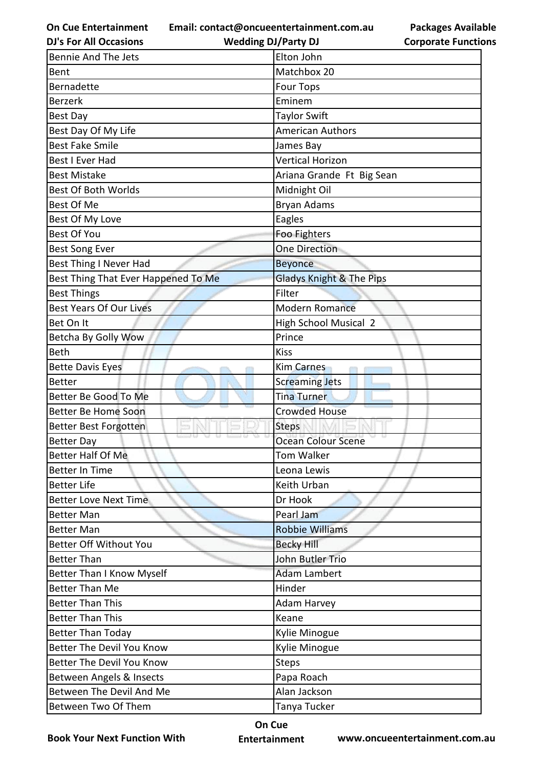**Email: contact@oncueentertainment.com.au**

**Packages Available Corporate Functions**

| <b>DJ's For All Occasions</b>       | <b>Wedding DJ/Party DJ</b>          | <b>Corporate Functio</b> |
|-------------------------------------|-------------------------------------|--------------------------|
| <b>Bennie And The Jets</b>          | Elton John                          |                          |
| Bent                                | Matchbox 20                         |                          |
| <b>Bernadette</b>                   | <b>Four Tops</b>                    |                          |
| <b>Berzerk</b>                      | Eminem                              |                          |
| <b>Best Day</b>                     | <b>Taylor Swift</b>                 |                          |
| Best Day Of My Life                 | <b>American Authors</b>             |                          |
| <b>Best Fake Smile</b>              | James Bay                           |                          |
| Best I Ever Had                     | <b>Vertical Horizon</b>             |                          |
| <b>Best Mistake</b>                 | Ariana Grande Ft Big Sean           |                          |
| <b>Best Of Both Worlds</b>          | Midnight Oil                        |                          |
| Best Of Me                          | <b>Bryan Adams</b>                  |                          |
| Best Of My Love                     | Eagles                              |                          |
| <b>Best Of You</b>                  | Foo Fighters                        |                          |
| <b>Best Song Ever</b>               | <b>One Direction</b>                |                          |
| Best Thing I Never Had              | <b>Beyonce</b>                      |                          |
| Best Thing That Ever Happened To Me | <b>Gladys Knight &amp; The Pips</b> |                          |
| <b>Best Things</b>                  | Filter                              |                          |
| <b>Best Years Of Our Lives</b>      | <b>Modern Romance</b>               |                          |
| Bet On It                           | <b>High School Musical 2</b>        |                          |
| Betcha By Golly Wow                 | Prince                              |                          |
| Beth                                | <b>Kiss</b>                         |                          |
| <b>Bette Davis Eyes</b>             | <b>Kim Carnes</b>                   |                          |
| <b>Better</b>                       | <b>Screaming Jets</b>               |                          |
| Better Be Good To Me                | <b>Tina Turner</b>                  |                          |
| Better Be Home Soon                 | <b>Crowded House</b>                |                          |
| <b>Better Best Forgotten</b>        | <b>Steps</b>                        |                          |
| <b>Better Day</b>                   | <b>Ocean Colour Scene</b>           |                          |
| Better Half Of Me                   | Tom Walker                          |                          |
| <b>Better In Time</b>               | Leona Lewis                         |                          |
| <b>Better Life</b>                  | Keith Urban                         |                          |
| <b>Better Love Next Time</b>        | Dr Hook                             |                          |
| <b>Better Man</b>                   | Pearl Jam                           |                          |
| <b>Better Man</b>                   | <b>Robbie Williams</b>              |                          |
| <b>Better Off Without You</b>       | <b>Becky Hill</b>                   |                          |
| <b>Better Than</b>                  | John Butler Trio                    |                          |
| <b>Better Than I Know Myself</b>    | <b>Adam Lambert</b>                 |                          |
| <b>Better Than Me</b>               | Hinder                              |                          |
| <b>Better Than This</b>             | <b>Adam Harvey</b>                  |                          |
| <b>Better Than This</b>             | Keane                               |                          |
| <b>Better Than Today</b>            | Kylie Minogue                       |                          |
| <b>Better The Devil You Know</b>    | Kylie Minogue                       |                          |
| Better The Devil You Know           | <b>Steps</b>                        |                          |
| Between Angels & Insects            | Papa Roach                          |                          |
| Between The Devil And Me            | Alan Jackson                        |                          |
| Between Two Of Them                 | Tanya Tucker                        |                          |

**Book Your Next Function With**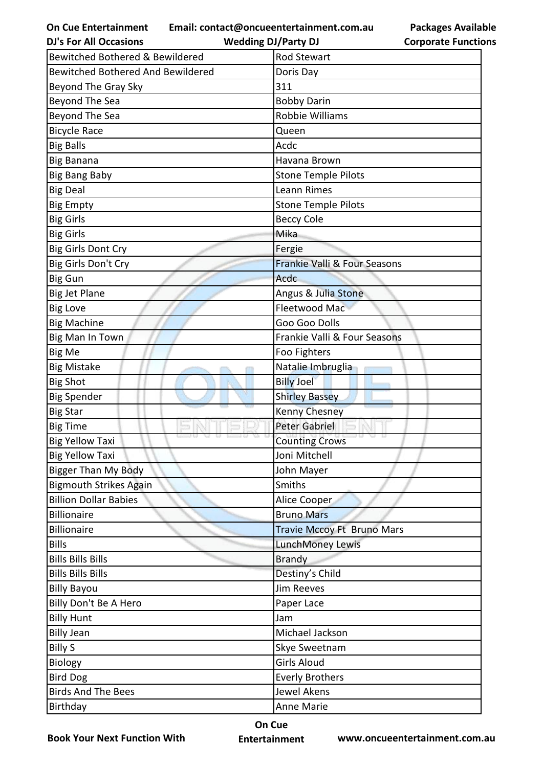**Email: contact@oncueentertainment.com.au**

| <b>Packages Available</b>  |  |
|----------------------------|--|
| <b>Corporate Functions</b> |  |

| <b>DJ's For All Occasions</b>     | <b>Wedding DJ/Party DJ</b>   | <b>Corporate Functio</b> |
|-----------------------------------|------------------------------|--------------------------|
| Bewitched Bothered & Bewildered   | Rod Stewart                  |                          |
| Bewitched Bothered And Bewildered | Doris Day                    |                          |
| Beyond The Gray Sky               | 311                          |                          |
| Beyond The Sea                    | <b>Bobby Darin</b>           |                          |
| Beyond The Sea                    | Robbie Williams              |                          |
| <b>Bicycle Race</b>               | Queen                        |                          |
| <b>Big Balls</b>                  | Acdc                         |                          |
| <b>Big Banana</b>                 | Havana Brown                 |                          |
| <b>Big Bang Baby</b>              | <b>Stone Temple Pilots</b>   |                          |
| <b>Big Deal</b>                   | Leann Rimes                  |                          |
| <b>Big Empty</b>                  | <b>Stone Temple Pilots</b>   |                          |
| <b>Big Girls</b>                  | <b>Beccy Cole</b>            |                          |
| <b>Big Girls</b>                  | Mika                         |                          |
| <b>Big Girls Dont Cry</b>         | Fergie                       |                          |
| Big Girls Don't Cry               | Frankie Valli & Four Seasons |                          |
| <b>Big Gun</b>                    | Acdc                         |                          |
| <b>Big Jet Plane</b>              | Angus & Julia Stone          |                          |
| <b>Big Love</b>                   | Fleetwood Mac                |                          |
| <b>Big Machine</b>                | Goo Goo Dolls                |                          |
| Big Man In Town                   | Frankie Valli & Four Seasons |                          |
| <b>Big Me</b>                     | Foo Fighters                 |                          |
| <b>Big Mistake</b>                | Natalie Imbruglia            |                          |
| <b>Big Shot</b>                   | <b>Billy Joel</b>            |                          |
| <b>Big Spender</b>                | <b>Shirley Bassey</b>        |                          |
| <b>Big Star</b>                   | Kenny Chesney                |                          |
| <b>Big Time</b>                   | Peter Gabriel                |                          |
| <b>Big Yellow Taxi</b>            | w<br><b>Counting Crows</b>   |                          |
| <b>Big Yellow Taxi</b>            | Joni Mitchell                |                          |
| <b>Bigger Than My Body</b>        | John Mayer                   |                          |
| <b>Bigmouth Strikes Again</b>     | Smiths                       |                          |
| <b>Billion Dollar Babies</b>      | Alice Cooper                 |                          |
| <b>Billionaire</b>                | <b>Bruno Mars</b>            |                          |
| <b>Billionaire</b>                | Travie Mccoy Ft Bruno Mars   |                          |
| <b>Bills</b>                      | <b>LunchMoney Lewis</b>      |                          |
| <b>Bills Bills Bills</b>          | <b>Brandy</b>                |                          |
| <b>Bills Bills Bills</b>          | Destiny's Child              |                          |
| <b>Billy Bayou</b>                | <b>Jim Reeves</b>            |                          |
| Billy Don't Be A Hero             | Paper Lace                   |                          |
| <b>Billy Hunt</b>                 | Jam                          |                          |
| <b>Billy Jean</b>                 | Michael Jackson              |                          |
| <b>Billy S</b>                    | Skye Sweetnam                |                          |
| Biology                           | <b>Girls Aloud</b>           |                          |
| <b>Bird Dog</b>                   | <b>Everly Brothers</b>       |                          |
| <b>Birds And The Bees</b>         | Jewel Akens                  |                          |
| Birthday                          | Anne Marie                   |                          |

**Book Your Next Function With**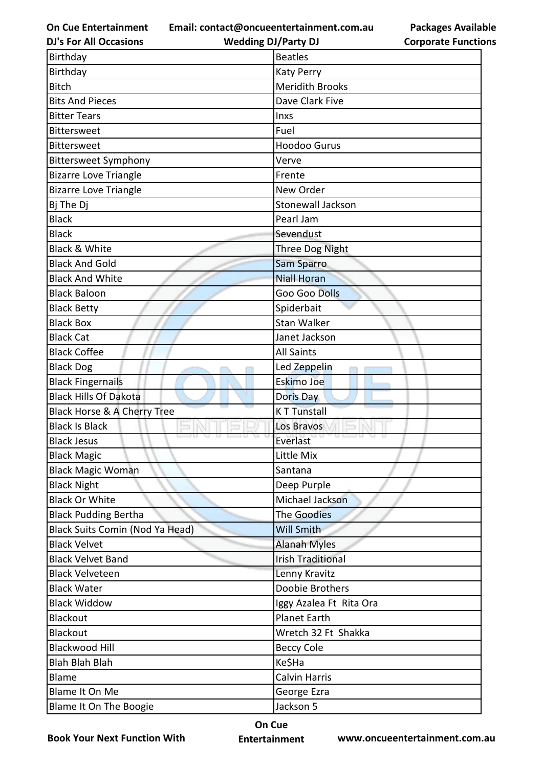**Email: contact@oncueentertainment.com.au**

**Packages Available Corporate Functions**

| <b>DJ's For All Occasions</b>          | <b>Wedding DJ/Party DJ</b> | <b>Corporate Functio</b> |
|----------------------------------------|----------------------------|--------------------------|
| Birthday                               | <b>Beatles</b>             |                          |
| Birthday                               | Katy Perry                 |                          |
| <b>Bitch</b>                           | <b>Meridith Brooks</b>     |                          |
| <b>Bits And Pieces</b>                 | Dave Clark Five            |                          |
| <b>Bitter Tears</b>                    | Inxs                       |                          |
| <b>Bittersweet</b>                     | Fuel                       |                          |
| Bittersweet                            | <b>Hoodoo Gurus</b>        |                          |
| <b>Bittersweet Symphony</b>            | Verve                      |                          |
| <b>Bizarre Love Triangle</b>           | Frente                     |                          |
| <b>Bizarre Love Triangle</b>           | New Order                  |                          |
| Bj The Dj                              | <b>Stonewall Jackson</b>   |                          |
| <b>Black</b>                           | Pearl Jam                  |                          |
| <b>Black</b>                           | Sevendust                  |                          |
| <b>Black &amp; White</b>               | <b>Three Dog Night</b>     |                          |
| <b>Black And Gold</b>                  | Sam Sparro                 |                          |
| <b>Black And White</b>                 | <b>Niall Horan</b>         |                          |
| <b>Black Baloon</b>                    | Goo Goo Dolls              |                          |
| <b>Black Betty</b>                     | Spiderbait                 |                          |
| <b>Black Box</b>                       | Stan Walker                |                          |
| <b>Black Cat</b>                       | Janet Jackson              |                          |
| <b>Black Coffee</b>                    | <b>All Saints</b>          |                          |
| <b>Black Dog</b>                       | Led Zeppelin               |                          |
| <b>Black Fingernails</b>               | <b>Eskimo Joe</b>          |                          |
| <b>Black Hills Of Dakota</b>           | <b>Doris Day</b>           |                          |
| Black Horse & A Cherry Tree            | <b>KT Tunstall</b>         |                          |
| <b>Black Is Black</b>                  | Los Bravos                 |                          |
| <b>Black Jesus</b>                     | Everlast                   |                          |
| <b>Black Magic</b>                     | Little Mix                 |                          |
| <b>Black Magic Woman</b>               | Santana                    |                          |
| <b>Black Night</b>                     | Deep Purple                |                          |
| <b>Black Or White</b>                  | Michael Jackson            |                          |
| <b>Black Pudding Bertha</b>            | The Goodies                |                          |
| <b>Black Suits Comin (Nod Ya Head)</b> | <b>Will Smith</b>          |                          |
| <b>Black Velvet</b>                    | <b>Alanah Myles</b>        |                          |
| <b>Black Velvet Band</b>               | <b>Irish Traditional</b>   |                          |
| <b>Black Velveteen</b>                 | Lenny Kravitz              |                          |
| <b>Black Water</b>                     | Doobie Brothers            |                          |
| <b>Black Widdow</b>                    | Iggy Azalea Ft Rita Ora    |                          |
| Blackout                               | <b>Planet Earth</b>        |                          |
| <b>Blackout</b>                        | Wretch 32 Ft Shakka        |                          |
| <b>Blackwood Hill</b>                  | <b>Beccy Cole</b>          |                          |
| <b>Blah Blah Blah</b>                  | Ke\$Ha                     |                          |
| Blame                                  | Calvin Harris              |                          |
| Blame It On Me                         | George Ezra                |                          |
| Blame It On The Boogie                 | Jackson 5                  |                          |

**Book Your Next Function With**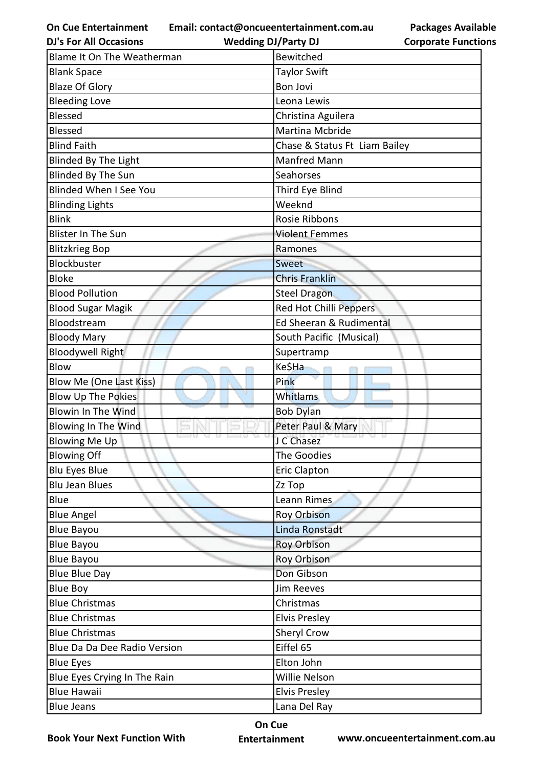**Email: contact@oncueentertainment.com.au**

**Packages Available Corporate Functions**

| <b>DJ's For All Occasions</b> | <b>Wedding DJ/Party DJ</b>    | <b>Corporate Functio</b> |
|-------------------------------|-------------------------------|--------------------------|
| Blame It On The Weatherman    | <b>Bewitched</b>              |                          |
| <b>Blank Space</b>            | <b>Taylor Swift</b>           |                          |
| <b>Blaze Of Glory</b>         | <b>Bon Jovi</b>               |                          |
| <b>Bleeding Love</b>          | Leona Lewis                   |                          |
| <b>Blessed</b>                | Christina Aguilera            |                          |
| <b>Blessed</b>                | Martina Mcbride               |                          |
| <b>Blind Faith</b>            | Chase & Status Ft Liam Bailey |                          |
| <b>Blinded By The Light</b>   | <b>Manfred Mann</b>           |                          |
| <b>Blinded By The Sun</b>     | Seahorses                     |                          |
| <b>Blinded When I See You</b> | Third Eye Blind               |                          |
| <b>Blinding Lights</b>        | Weeknd                        |                          |
| <b>Blink</b>                  | Rosie Ribbons                 |                          |
| <b>Blister In The Sun</b>     | <b>Violent Femmes</b>         |                          |
| <b>Blitzkrieg Bop</b>         | Ramones                       |                          |
| Blockbuster                   | Sweet                         |                          |
| <b>Bloke</b>                  | <b>Chris Franklin</b>         |                          |
| <b>Blood Pollution</b>        | Steel Dragon                  |                          |
| <b>Blood Sugar Magik</b>      | Red Hot Chilli Peppers        |                          |
| Bloodstream                   | Ed Sheeran & Rudimental       |                          |
| <b>Bloody Mary</b>            | South Pacific (Musical)       |                          |
| <b>Bloodywell Right</b>       | Supertramp                    |                          |
| <b>Blow</b>                   | Ke\$Ha                        |                          |
| Blow Me (One Last Kiss)       | Pink                          |                          |
| <b>Blow Up The Pokies</b>     | Whitlams                      |                          |
| <b>Blowin In The Wind</b>     | <b>Bob Dylan</b>              |                          |
| Blowing In The Wind           | Peter Paul & Mary             |                          |
| <b>Blowing Me Up</b>          | J C Chasez                    |                          |
| <b>Blowing Off</b>            | The Goodies                   |                          |
| <b>Blu Eyes Blue</b>          | <b>Eric Clapton</b>           |                          |
| <b>Blu Jean Blues</b>         | Zz Top                        |                          |
| Blue                          | Leann Rimes                   |                          |
| <b>Blue Angel</b>             | <b>Roy Orbison</b>            |                          |
| <b>Blue Bayou</b>             | Linda Ronstadt                |                          |
| <b>Blue Bayou</b>             | <b>Roy Orbison</b>            |                          |
| <b>Blue Bayou</b>             | Roy Orbison                   |                          |
| <b>Blue Blue Day</b>          | Don Gibson                    |                          |
| <b>Blue Boy</b>               | Jim Reeves                    |                          |
| <b>Blue Christmas</b>         | Christmas                     |                          |
| <b>Blue Christmas</b>         | <b>Elvis Presley</b>          |                          |
| <b>Blue Christmas</b>         | <b>Sheryl Crow</b>            |                          |
| Blue Da Da Dee Radio Version  | Eiffel 65                     |                          |
| <b>Blue Eyes</b>              | Elton John                    |                          |
| Blue Eyes Crying In The Rain  | Willie Nelson                 |                          |
| <b>Blue Hawaii</b>            | <b>Elvis Presley</b>          |                          |
| <b>Blue Jeans</b>             | Lana Del Ray                  |                          |

**Book Your Next Function With**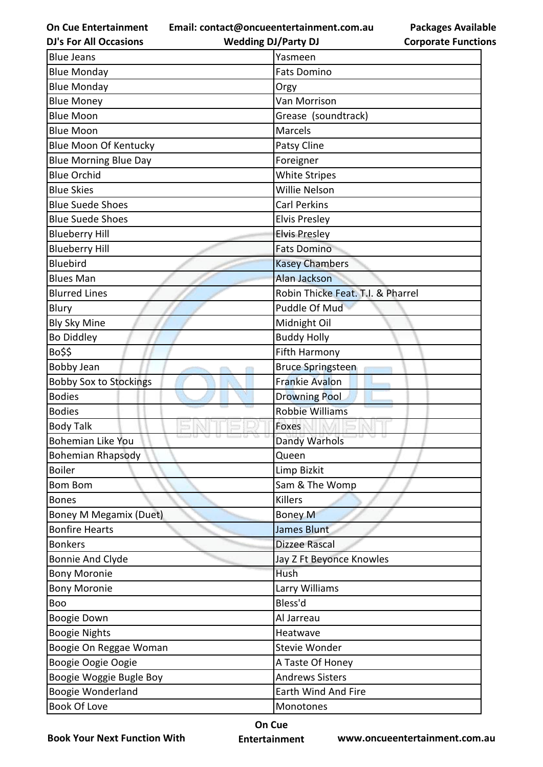**Email: contact@oncueentertainment.com.au**

**DJ's For All Occasions**

**Wedding DJ/Party DJ** 

|                            | <b>Packages Available</b> |
|----------------------------|---------------------------|
| <b>Corporate Functions</b> |                           |

| <b>Blue Jeans</b>             | Yasmeen                           |
|-------------------------------|-----------------------------------|
| <b>Blue Monday</b>            | <b>Fats Domino</b>                |
| <b>Blue Monday</b>            | Orgy                              |
| <b>Blue Money</b>             | Van Morrison                      |
| <b>Blue Moon</b>              | Grease (soundtrack)               |
| <b>Blue Moon</b>              | Marcels                           |
| <b>Blue Moon Of Kentucky</b>  | <b>Patsy Cline</b>                |
| <b>Blue Morning Blue Day</b>  | Foreigner                         |
| <b>Blue Orchid</b>            | <b>White Stripes</b>              |
| <b>Blue Skies</b>             | Willie Nelson                     |
| <b>Blue Suede Shoes</b>       | <b>Carl Perkins</b>               |
| <b>Blue Suede Shoes</b>       | <b>Elvis Presley</b>              |
| <b>Blueberry Hill</b>         | <b>Elvis Presley</b>              |
| <b>Blueberry Hill</b>         | <b>Fats Domino</b>                |
| Bluebird                      | <b>Kasey Chambers</b>             |
| <b>Blues Man</b>              | <b>Alan Jackson</b>               |
| <b>Blurred Lines</b>          | Robin Thicke Feat. T.I. & Pharrel |
| Blury                         | Puddle Of Mud                     |
| <b>Bly Sky Mine</b>           | Midnight Oil                      |
| <b>Bo Diddley</b>             | <b>Buddy Holly</b>                |
| Bo\$\$                        | Fifth Harmony                     |
| Bobby Jean                    | <b>Bruce Springsteen</b>          |
| <b>Bobby Sox to Stockings</b> | <b>Frankie Avalon</b>             |
| <b>Bodies</b>                 | <b>Drowning Pool</b>              |
| <b>Bodies</b>                 | <b>Robbie Williams</b>            |
| <b>Body Talk</b>              | Foxes                             |
| <b>Bohemian Like You</b>      | <b>Dandy Warhols</b>              |
| <b>Bohemian Rhapsody</b>      | Queen                             |
| <b>Boiler</b>                 | Limp Bizkit                       |
| <b>Bom Bom</b>                | Sam & The Womp                    |
| <b>Bones</b>                  | <b>Killers</b>                    |
| Boney M Megamix (Duet)        | <b>Boney M</b>                    |
| <b>Bonfire Hearts</b>         | James Blunt                       |
| <b>Bonkers</b>                | <b>Dizzee Rascal</b>              |
| <b>Bonnie And Clyde</b>       | Jay Z Ft Beyonce Knowles          |
| <b>Bony Moronie</b>           | Hush                              |
| <b>Bony Moronie</b>           | Larry Williams                    |
| Boo                           | Bless'd                           |
| Boogie Down                   | Al Jarreau                        |
| <b>Boogie Nights</b>          | Heatwave                          |
| Boogie On Reggae Woman        | Stevie Wonder                     |
| Boogie Oogie Oogie            | A Taste Of Honey                  |
| Boogie Woggie Bugle Boy       | <b>Andrews Sisters</b>            |
| Boogie Wonderland             | Earth Wind And Fire               |
| Book Of Love                  | Monotones                         |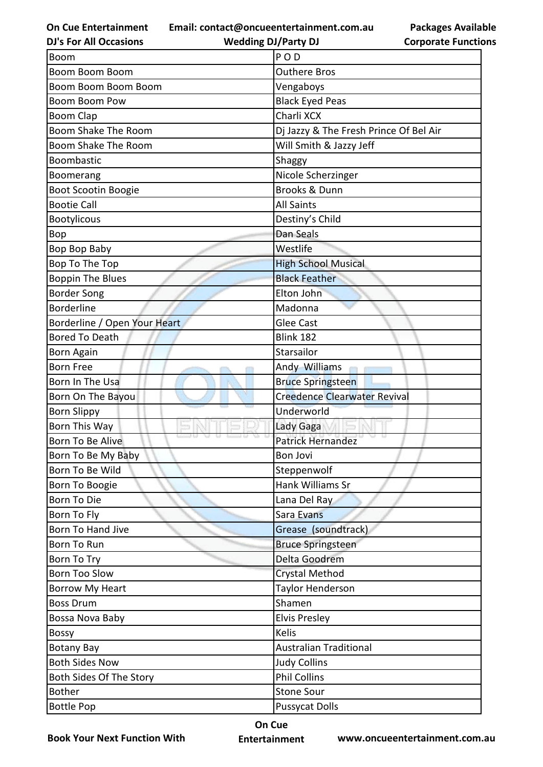**Email: contact@oncueentertainment.com.au**

**DJ's For All Occasions**

**Wedding DJ/Party DJ** 

**Packages Available Corporate Functions**

| <b>Boom</b>                  | POD                                    |
|------------------------------|----------------------------------------|
| <b>Boom Boom Boom</b>        | <b>Outhere Bros</b>                    |
| Boom Boom Boom Boom          | Vengaboys                              |
| <b>Boom Boom Pow</b>         | <b>Black Eyed Peas</b>                 |
| Boom Clap                    | Charli XCX                             |
| Boom Shake The Room          | Dj Jazzy & The Fresh Prince Of Bel Air |
| Boom Shake The Room          | Will Smith & Jazzy Jeff                |
| <b>Boombastic</b>            | Shaggy                                 |
| Boomerang                    | Nicole Scherzinger                     |
| Boot Scootin Boogie          | <b>Brooks &amp; Dunn</b>               |
| <b>Bootie Call</b>           | <b>All Saints</b>                      |
| <b>Bootylicous</b>           | Destiny's Child                        |
| Bop                          | Dan Seals                              |
| Bop Bop Baby                 | Westlife                               |
| Bop To The Top               | <b>High School Musical</b>             |
| <b>Boppin The Blues</b>      | <b>Black Feather</b>                   |
| <b>Border Song</b>           | Elton John                             |
| <b>Borderline</b>            | Madonna                                |
| Borderline / Open Your Heart | <b>Glee Cast</b>                       |
| <b>Bored To Death</b>        | Blink 182                              |
| <b>Born Again</b>            | Starsailor                             |
| <b>Born Free</b>             | Andy Williams                          |
| Born In The Usa              | <b>Bruce Springsteen</b>               |
| Born On The Bayou            | <b>Creedence Clearwater Revival</b>    |
| <b>Born Slippy</b>           | Underworld                             |
| Born This Way                | Lady Gaga                              |
| Born To Be Alive             | <b>Patrick Hernandez</b>               |
| Born To Be My Baby           | Bon Jovi                               |
| Born To Be Wild              | Steppenwolf                            |
| Born To Boogie               | Hank Williams Sr                       |
| <b>Born To Die</b>           | Lana Del Ray                           |
| Born To Fly                  | Sara Evans                             |
| Born To Hand Jive            | Grease (soundtrack)                    |
| Born To Run                  | <b>Bruce Springsteen</b>               |
| Born To Try                  | Delta Goodrem                          |
| <b>Born Too Slow</b>         | <b>Crystal Method</b>                  |
| <b>Borrow My Heart</b>       | Taylor Henderson                       |
| <b>Boss Drum</b>             | Shamen                                 |
| Bossa Nova Baby              | <b>Elvis Presley</b>                   |
| <b>Bossy</b>                 | <b>Kelis</b>                           |
| <b>Botany Bay</b>            | <b>Australian Traditional</b>          |
| <b>Both Sides Now</b>        | <b>Judy Collins</b>                    |
| Both Sides Of The Story      | <b>Phil Collins</b>                    |
| <b>Bother</b>                | <b>Stone Sour</b>                      |
| <b>Bottle Pop</b>            | <b>Pussycat Dolls</b>                  |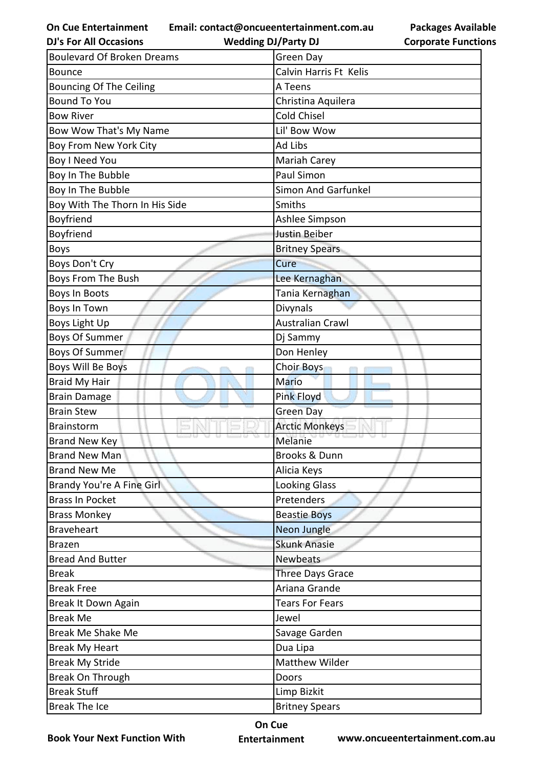**Email: contact@oncueentertainment.com.au**

| <b>Packages Available</b>  |
|----------------------------|
| <b>Corporate Functions</b> |

| <b>DJ's For All Occasions</b>     | <b>Wedding DJ/Party DJ</b> | <b>Corporate Functio</b> |
|-----------------------------------|----------------------------|--------------------------|
| <b>Boulevard Of Broken Dreams</b> | <b>Green Day</b>           |                          |
| <b>Bounce</b>                     | Calvin Harris Ft Kelis     |                          |
| <b>Bouncing Of The Ceiling</b>    | A Teens                    |                          |
| <b>Bound To You</b>               | Christina Aquilera         |                          |
| <b>Bow River</b>                  | <b>Cold Chisel</b>         |                          |
| Bow Wow That's My Name            | Lil' Bow Wow               |                          |
| Boy From New York City            | Ad Libs                    |                          |
| <b>Boy I Need You</b>             | Mariah Carey               |                          |
| Boy In The Bubble                 | Paul Simon                 |                          |
| Boy In The Bubble                 | <b>Simon And Garfunkel</b> |                          |
| Boy With The Thorn In His Side    | Smiths                     |                          |
| Boyfriend                         | Ashlee Simpson             |                          |
| Boyfriend                         | Justin Beiber              |                          |
| <b>Boys</b>                       | <b>Britney Spears</b>      |                          |
| Boys Don't Cry                    | Cure                       |                          |
| Boys From The Bush                | Lee Kernaghan              |                          |
| Boys In Boots                     | Tania Kernaghan            |                          |
| Boys In Town                      | Divynals                   |                          |
| Boys Light Up                     | <b>Australian Crawl</b>    |                          |
| <b>Boys Of Summer</b>             | Dj Sammy                   |                          |
| <b>Boys Of Summer</b>             | Don Henley                 |                          |
| Boys Will Be Boys                 | <b>Choir Boys</b>          |                          |
| <b>Braid My Hair</b>              | Mario                      |                          |
| <b>Brain Damage</b>               | <b>Pink Floyd</b>          |                          |
| <b>Brain Stew</b>                 | <b>Green Day</b>           |                          |
| <b>Brainstorm</b>                 | <b>Arctic Monkeys</b>      |                          |
| <b>Brand New Key</b>              | Melanie                    |                          |
| <b>Brand New Man</b>              | <b>Brooks &amp; Dunn</b>   |                          |
| <b>Brand New Me</b>               | Alicia Keys                |                          |
| Brandy You're A Fine Girl         | <b>Looking Glass</b>       |                          |
| <b>Brass In Pocket</b>            | Pretenders                 |                          |
| <b>Brass Monkey</b>               | <b>Beastie Boys</b>        |                          |
| <b>Braveheart</b>                 | Neon Jungle                |                          |
| <b>Brazen</b>                     | <b>Skunk Anasie</b>        |                          |
| <b>Bread And Butter</b>           | Newbeats                   |                          |
| <b>Break</b>                      | <b>Three Days Grace</b>    |                          |
| <b>Break Free</b>                 | Ariana Grande              |                          |
| Break It Down Again               | <b>Tears For Fears</b>     |                          |
| <b>Break Me</b>                   | Jewel                      |                          |
| Break Me Shake Me                 | Savage Garden              |                          |
| <b>Break My Heart</b>             | Dua Lipa                   |                          |
| <b>Break My Stride</b>            | <b>Matthew Wilder</b>      |                          |
| Break On Through                  | Doors                      |                          |
| <b>Break Stuff</b>                | Limp Bizkit                |                          |
| <b>Break The Ice</b>              | <b>Britney Spears</b>      |                          |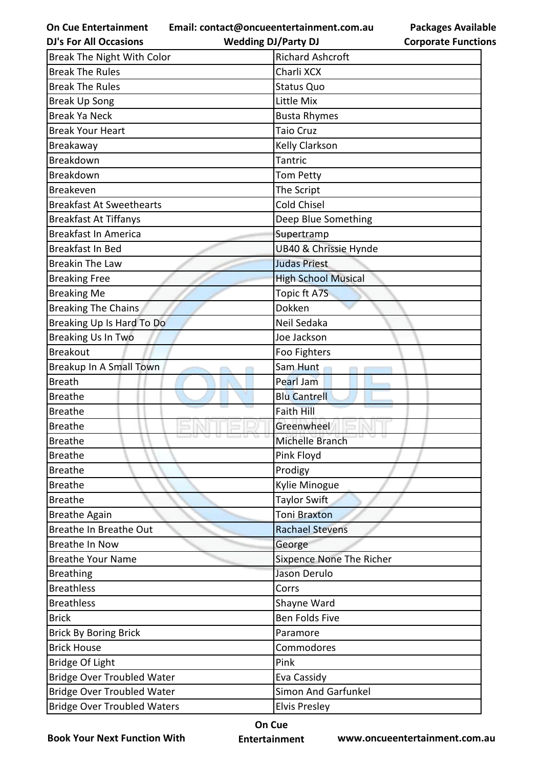**Email: contact@oncueentertainment.com.au Wedding DJ/Party DJ** 

**Packages Available Corporate Functions**

| <b>DJ's For All Occasions</b>      | <b>Wedding DJ/Party DJ</b> | <b>Corporate Functio</b> |
|------------------------------------|----------------------------|--------------------------|
| Break The Night With Color         | <b>Richard Ashcroft</b>    |                          |
| <b>Break The Rules</b>             | Charli XCX                 |                          |
| <b>Break The Rules</b>             | <b>Status Quo</b>          |                          |
| <b>Break Up Song</b>               | Little Mix                 |                          |
| <b>Break Ya Neck</b>               | <b>Busta Rhymes</b>        |                          |
| <b>Break Your Heart</b>            | <b>Taio Cruz</b>           |                          |
| Breakaway                          | Kelly Clarkson             |                          |
| Breakdown                          | <b>Tantric</b>             |                          |
| Breakdown                          | Tom Petty                  |                          |
| Breakeven                          | The Script                 |                          |
| <b>Breakfast At Sweethearts</b>    | <b>Cold Chisel</b>         |                          |
| <b>Breakfast At Tiffanys</b>       | Deep Blue Something        |                          |
| <b>Breakfast In America</b>        | Supertramp                 |                          |
| Breakfast In Bed                   | UB40 & Chrissie Hynde      |                          |
| <b>Breakin The Law</b>             | <b>Judas Priest</b>        |                          |
| <b>Breaking Free</b>               | <b>High School Musical</b> |                          |
| <b>Breaking Me</b>                 | Topic ft A7S               |                          |
| <b>Breaking The Chains</b>         | Dokken                     |                          |
| Breaking Up Is Hard To Do          | Neil Sedaka                |                          |
| <b>Breaking Us In Two</b>          | Joe Jackson                |                          |
| <b>Breakout</b>                    | Foo Fighters               |                          |
| Breakup In A Small Town            | Sam Hunt                   |                          |
| <b>Breath</b>                      | Pearl Jam                  |                          |
| <b>Breathe</b>                     | <b>Blu Cantrell</b>        |                          |
| <b>Breathe</b>                     | <b>Faith Hill</b>          |                          |
| <b>Breathe</b>                     | Greenwheel                 |                          |
| <b>Breathe</b>                     | Michelle Branch            |                          |
| <b>Breathe</b>                     | Pink Floyd                 |                          |
| <b>Breathe</b>                     | Prodigy                    |                          |
| <b>Breathe</b>                     | Kylie Minogue              |                          |
| <b>Breathe</b>                     | Taylor Swift               |                          |
| <b>Breathe Again</b>               | <b>Toni Braxton</b>        |                          |
| Breathe In Breathe Out             | <b>Rachael Stevens</b>     |                          |
| <b>Breathe In Now</b>              | George                     |                          |
| <b>Breathe Your Name</b>           | Sixpence None The Richer   |                          |
| <b>Breathing</b>                   | Jason Derulo               |                          |
| <b>Breathless</b>                  | Corrs                      |                          |
| <b>Breathless</b>                  | Shayne Ward                |                          |
| <b>Brick</b>                       | <b>Ben Folds Five</b>      |                          |
| <b>Brick By Boring Brick</b>       | Paramore                   |                          |
| <b>Brick House</b>                 | Commodores                 |                          |
| <b>Bridge Of Light</b>             | Pink                       |                          |
| <b>Bridge Over Troubled Water</b>  | Eva Cassidy                |                          |
| <b>Bridge Over Troubled Water</b>  | <b>Simon And Garfunkel</b> |                          |
| <b>Bridge Over Troubled Waters</b> | <b>Elvis Presley</b>       |                          |

**Book Your Next Function With**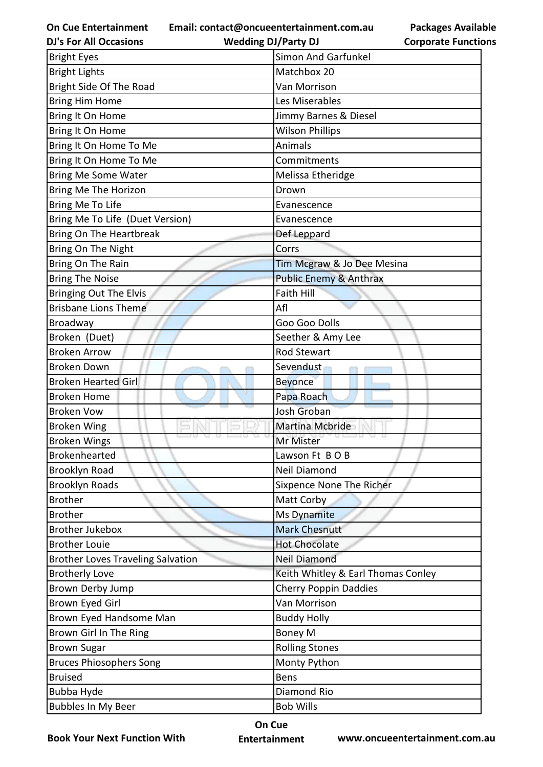**Email: contact@oncueentertainment.com.au**

**DJ's For All Occasions**

**Wedding DJ/Party DJ** 

**Packages Available Corporate Functions**

| <b>Bright Eyes</b>                       | Simon And Garfunkel                |
|------------------------------------------|------------------------------------|
| <b>Bright Lights</b>                     | Matchbox 20                        |
| Bright Side Of The Road                  | Van Morrison                       |
| <b>Bring Him Home</b>                    | Les Miserables                     |
| Bring It On Home                         | Jimmy Barnes & Diesel              |
| Bring It On Home                         | <b>Wilson Phillips</b>             |
| Bring It On Home To Me                   | Animals                            |
| Bring It On Home To Me                   | Commitments                        |
| <b>Bring Me Some Water</b>               | Melissa Etheridge                  |
| <b>Bring Me The Horizon</b>              | Drown                              |
| Bring Me To Life                         | Evanescence                        |
| Bring Me To Life (Duet Version)          | Evanescence                        |
| Bring On The Heartbreak                  | Def Leppard                        |
| Bring On The Night                       | Corrs                              |
| Bring On The Rain                        | Tim Mcgraw & Jo Dee Mesina         |
| <b>Bring The Noise</b>                   | <b>Public Enemy &amp; Anthrax</b>  |
| <b>Bringing Out The Elvis</b>            | <b>Faith Hill</b>                  |
| <b>Brisbane Lions Theme</b>              | Afl                                |
| Broadway                                 | Goo Goo Dolls                      |
| Broken (Duet)                            | Seether & Amy Lee                  |
| <b>Broken Arrow</b>                      | <b>Rod Stewart</b>                 |
| <b>Broken Down</b>                       | Sevendust                          |
| <b>Broken Hearted Girl</b>               | <b>Beyonce</b>                     |
| <b>Broken Home</b>                       | Papa Roach                         |
| <b>Broken Vow</b>                        | Josh Groban                        |
| <b>Broken Wing</b>                       | Martina Mcbride                    |
| <b>Broken Wings</b>                      | Mr Mister                          |
| <b>Brokenhearted</b>                     | Lawson Ft BOB                      |
| <b>Brooklyn Road</b>                     | Neil Diamond                       |
| <b>Brooklyn Roads</b>                    | Sixpence None The Richer           |
| <b>Brother</b>                           | Matt Corby                         |
| <b>Brother</b>                           | <b>Ms Dynamite</b>                 |
| <b>Brother Jukebox</b>                   | <b>Mark Chesnutt</b>               |
| <b>Brother Louie</b>                     | <b>Hot Chocolate</b>               |
| <b>Brother Loves Traveling Salvation</b> | <b>Neil Diamond</b>                |
| <b>Brotherly Love</b>                    | Keith Whitley & Earl Thomas Conley |
| Brown Derby Jump                         | <b>Cherry Poppin Daddies</b>       |
| <b>Brown Eyed Girl</b>                   | Van Morrison                       |
| Brown Eyed Handsome Man                  | <b>Buddy Holly</b>                 |
| Brown Girl In The Ring                   | <b>Boney M</b>                     |
| <b>Brown Sugar</b>                       | <b>Rolling Stones</b>              |
| <b>Bruces Phiosophers Song</b>           | Monty Python                       |
| <b>Bruised</b>                           | Bens                               |
| Bubba Hyde                               | Diamond Rio                        |
| <b>Bubbles In My Beer</b>                | <b>Bob Wills</b>                   |

**Book Your Next Function With**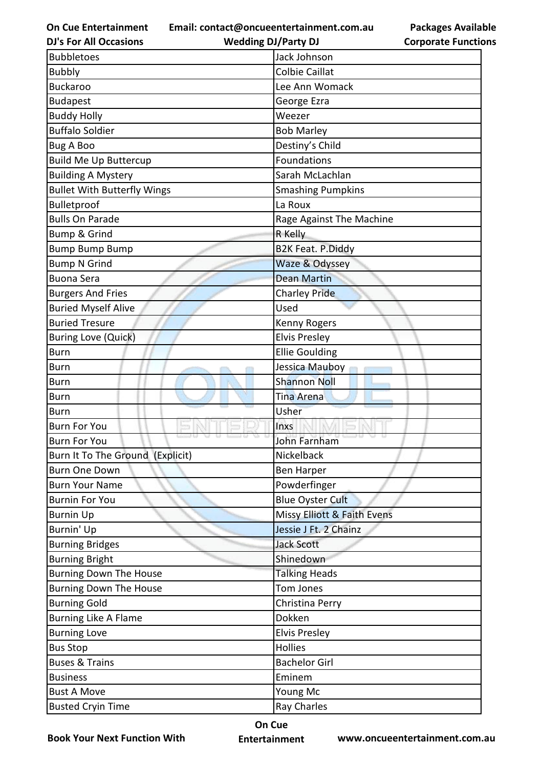**Email: contact@oncueentertainment.com.au**

**Packages Available Corporate Functions**

| <b>DJ's For All Occasions</b>      | <b>Wedding DJ/Party DJ</b>  | <b>Corporate Functio</b> |
|------------------------------------|-----------------------------|--------------------------|
| <b>Bubbletoes</b>                  | Jack Johnson                |                          |
| <b>Bubbly</b>                      | <b>Colbie Caillat</b>       |                          |
| <b>Buckaroo</b>                    | Lee Ann Womack              |                          |
| <b>Budapest</b>                    | George Ezra                 |                          |
| <b>Buddy Holly</b>                 | Weezer                      |                          |
| <b>Buffalo Soldier</b>             | <b>Bob Marley</b>           |                          |
| <b>Bug A Boo</b>                   | Destiny's Child             |                          |
| <b>Build Me Up Buttercup</b>       | Foundations                 |                          |
| <b>Building A Mystery</b>          | Sarah McLachlan             |                          |
| <b>Bullet With Butterfly Wings</b> | <b>Smashing Pumpkins</b>    |                          |
| Bulletproof                        | La Roux                     |                          |
| <b>Bulls On Parade</b>             | Rage Against The Machine    |                          |
| <b>Bump &amp; Grind</b>            | R Kelly                     |                          |
| <b>Bump Bump Bump</b>              | <b>B2K Feat. P.Diddy</b>    |                          |
| <b>Bump N Grind</b>                | Waze & Odyssey              |                          |
| <b>Buona Sera</b>                  | <b>Dean Martin</b>          |                          |
| <b>Burgers And Fries</b>           | <b>Charley Pride</b>        |                          |
| <b>Buried Myself Alive</b>         | Used                        |                          |
| <b>Buried Tresure</b>              | Kenny Rogers                |                          |
| <b>Buring Love (Quick)</b>         | <b>Elvis Presley</b>        |                          |
| <b>Burn</b>                        | <b>Ellie Goulding</b>       |                          |
| <b>Burn</b>                        | Jessica Mauboy              |                          |
| <b>Burn</b>                        | <b>Shannon Noll</b>         |                          |
| <b>Burn</b>                        | <b>Tina Arena</b>           |                          |
| <b>Burn</b>                        | Usher                       |                          |
| <b>Burn For You</b>                | Inxs                        |                          |
| <b>Burn For You</b>                | John Farnham                |                          |
| Burn It To The Ground (Explicit)   | Nickelback                  |                          |
| <b>Burn One Down</b>               | <b>Ben Harper</b>           |                          |
| <b>Burn Your Name</b>              | Powderfinger                |                          |
| <b>Burnin For You</b>              | <b>Blue Oyster Cult</b>     |                          |
| <b>Burnin Up</b>                   | Missy Elliott & Faith Evens |                          |
| Burnin' Up                         | Jessie J Ft. 2 Chainz       |                          |
| <b>Burning Bridges</b>             | <b>Jack Scott</b>           |                          |
| <b>Burning Bright</b>              | Shinedown                   |                          |
| <b>Burning Down The House</b>      | <b>Talking Heads</b>        |                          |
| <b>Burning Down The House</b>      | Tom Jones                   |                          |
| <b>Burning Gold</b>                | Christina Perry             |                          |
| Burning Like A Flame               | Dokken                      |                          |
| <b>Burning Love</b>                | <b>Elvis Presley</b>        |                          |
| <b>Bus Stop</b>                    | Hollies                     |                          |
| <b>Buses &amp; Trains</b>          | <b>Bachelor Girl</b>        |                          |
| <b>Business</b>                    | Eminem                      |                          |
| <b>Bust A Move</b>                 | Young Mc                    |                          |
| <b>Busted Cryin Time</b>           | <b>Ray Charles</b>          |                          |

**Book Your Next Function With**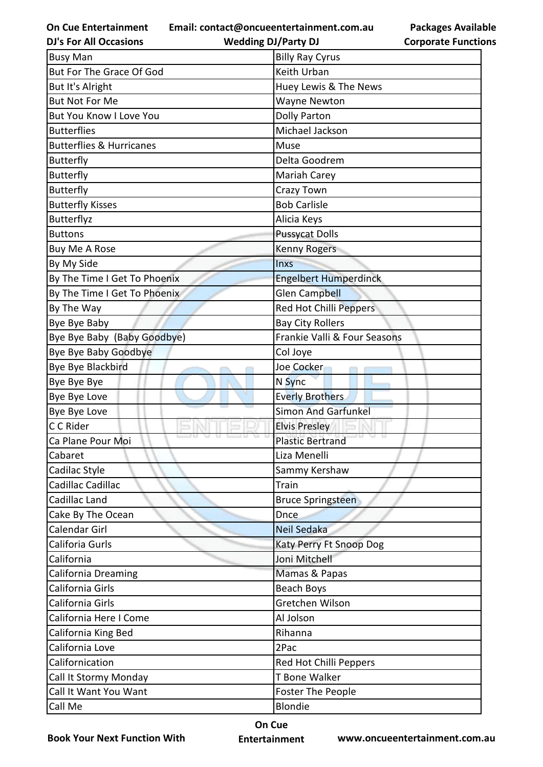**Email: contact@oncueentertainment.com.au**

**DJ's For All Occasions**

**Wedding DJ/Party DJ** 

| <b>Busy Man</b>                     | <b>Billy Ray Cyrus</b>       |
|-------------------------------------|------------------------------|
| But For The Grace Of God            | Keith Urban                  |
| But It's Alright                    | Huey Lewis & The News        |
| <b>But Not For Me</b>               | <b>Wayne Newton</b>          |
| <b>But You Know I Love You</b>      | <b>Dolly Parton</b>          |
| <b>Butterflies</b>                  | Michael Jackson              |
| <b>Butterflies &amp; Hurricanes</b> | Muse                         |
| <b>Butterfly</b>                    | Delta Goodrem                |
| <b>Butterfly</b>                    | Mariah Carey                 |
| <b>Butterfly</b>                    | Crazy Town                   |
| <b>Butterfly Kisses</b>             | <b>Bob Carlisle</b>          |
| Butterflyz                          | Alicia Keys                  |
| <b>Buttons</b>                      | <b>Pussycat Dolls</b>        |
| Buy Me A Rose                       | <b>Kenny Rogers</b>          |
| By My Side                          | <b>Inxs</b>                  |
| By The Time I Get To Phoenix        | <b>Engelbert Humperdinck</b> |
| By The Time I Get To Phoenix        | Glen Campbell                |
| By The Way                          | Red Hot Chilli Peppers       |
| Bye Bye Baby                        | <b>Bay City Rollers</b>      |
| Bye Bye Baby (Baby Goodbye)         | Frankie Valli & Four Seasons |
| Bye Bye Baby Goodbye                | Col Joye                     |
| Bye Bye Blackbird                   | Joe Cocker                   |
| Bye Bye Bye                         | N Sync                       |
| Bye Bye Love                        | <b>Everly Brothers</b>       |
| Bye Bye Love                        | <b>Simon And Garfunkel</b>   |
| C C Rider                           | <b>Elvis Presley</b>         |
| Ca Plane Pour Moi                   | <b>Plastic Bertrand</b>      |
| Cabaret                             | Liza Menelli                 |
| Cadilac Style                       | Sammy Kershaw                |
| Cadillac Cadillac                   | Train                        |
| Cadillac Land                       | <b>Bruce Springsteen</b>     |
| Cake By The Ocean                   | <b>Dnce</b>                  |
| Calendar Girl                       | <b>Neil Sedaka</b>           |
| Califoria Gurls                     | Katy Perry Ft Snoop Dog      |
| California                          | Joni Mitchell                |
| California Dreaming                 | Mamas & Papas                |
| California Girls                    | Beach Boys                   |
| California Girls                    | Gretchen Wilson              |
| California Here I Come              | Al Jolson                    |
| California King Bed                 | Rihanna                      |
| California Love                     | 2Pac                         |
| Californication                     | Red Hot Chilli Peppers       |
| Call It Stormy Monday               | T Bone Walker                |
|                                     |                              |
| Call It Want You Want               | Foster The People            |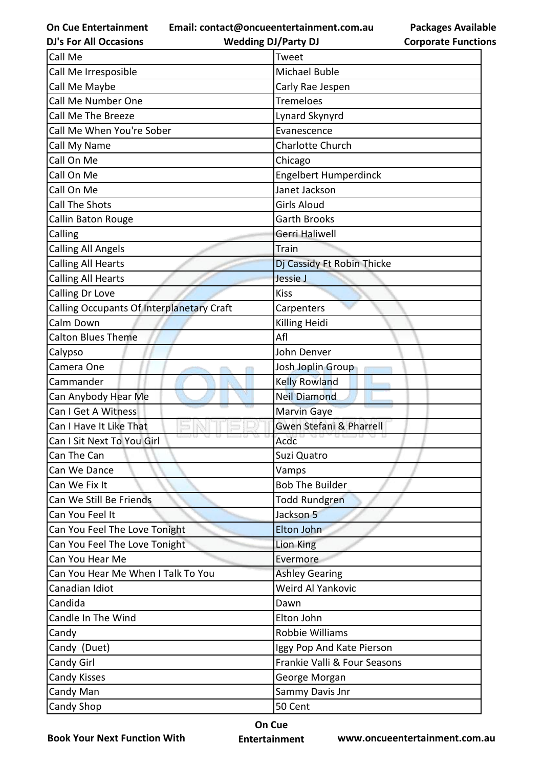**Email: contact@oncueentertainment.com.au**

**DJ's For All Occasions**

**Wedding DJ/Party DJ** 

**Packages Available Corporate Functions**

| Call Me                                   | Tweet                              |
|-------------------------------------------|------------------------------------|
| Call Me Irresposible                      | <b>Michael Buble</b>               |
| Call Me Maybe                             | Carly Rae Jespen                   |
| Call Me Number One                        | <b>Tremeloes</b>                   |
| Call Me The Breeze                        | Lynard Skynyrd                     |
| Call Me When You're Sober                 | Evanescence                        |
| Call My Name                              | <b>Charlotte Church</b>            |
| Call On Me                                | Chicago                            |
| Call On Me                                | Engelbert Humperdinck              |
| Call On Me                                | Janet Jackson                      |
| <b>Call The Shots</b>                     | <b>Girls Aloud</b>                 |
| Callin Baton Rouge                        | <b>Garth Brooks</b>                |
| Calling                                   | Gerri Haliwell                     |
| <b>Calling All Angels</b>                 | Train                              |
| <b>Calling All Hearts</b>                 | Dj Cassidy Ft Robin Thicke         |
| <b>Calling All Hearts</b>                 | Jessie J                           |
| Calling Dr Love                           | <b>Kiss</b>                        |
| Calling Occupants Of Interplanetary Craft | Carpenters                         |
| Calm Down                                 | Killing Heidi                      |
| <b>Calton Blues Theme</b>                 | Afl                                |
| Calypso                                   | John Denver                        |
| Camera One                                | Josh Joplin Group                  |
| Cammander                                 | <b>Kelly Rowland</b>               |
| Can Anybody Hear Me                       | <b>Neil Diamond</b>                |
| Can I Get A Witness                       | <b>Marvin Gaye</b>                 |
| Can I Have It Like That                   | <b>Gwen Stefani &amp; Pharrell</b> |
| Can I Sit Next To You Girl                | Acdc                               |
| Can The Can                               | Suzi Quatro                        |
| Can We Dance                              | Vamps                              |
| Can We Fix It                             | <b>Bob The Builder</b>             |
| Can We Still Be Friends                   | Todd Rundgren                      |
| Can You Feel It                           | Jackson 5                          |
| Can You Feel The Love Tonight             | Elton John                         |
| Can You Feel The Love Tonight             | Lion King                          |
| Can You Hear Me                           | Evermore                           |
| Can You Hear Me When I Talk To You        | <b>Ashley Gearing</b>              |
| Canadian Idiot                            | Weird Al Yankovic                  |
| Candida                                   | Dawn                               |
| Candle In The Wind                        | Elton John                         |
| Candy                                     | Robbie Williams                    |
| Candy (Duet)                              | Iggy Pop And Kate Pierson          |
| Candy Girl                                | Frankie Valli & Four Seasons       |
| <b>Candy Kisses</b>                       | George Morgan                      |
| Candy Man                                 | Sammy Davis Jnr                    |
| Candy Shop                                | 50 Cent                            |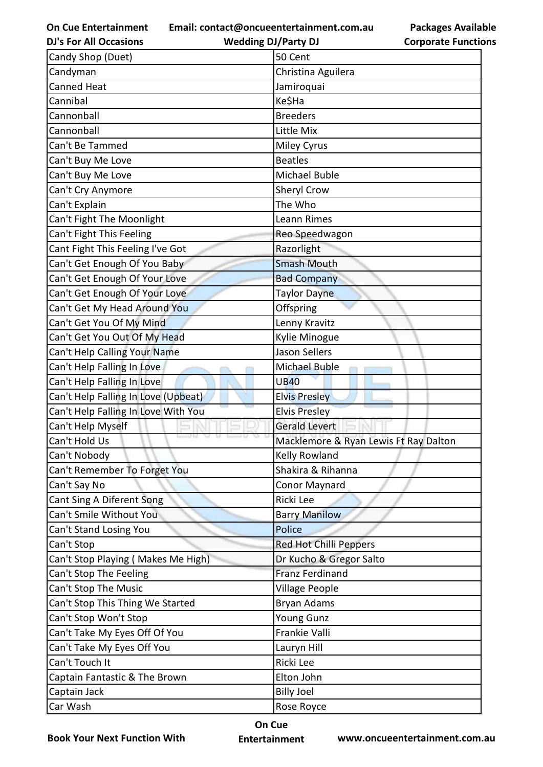**Email: contact@oncueentertainment.com.au**

**DJ's For All Occasions Wedding DJ/Party DJ** 

**Packages Available Corporate Functions**

| Candy Shop (Duet)                   | 50 Cent                               |
|-------------------------------------|---------------------------------------|
| Candyman                            | Christina Aguilera                    |
| Canned Heat                         | Jamiroquai                            |
| Cannibal                            | Ke\$Ha                                |
| Cannonball                          | <b>Breeders</b>                       |
| Cannonball                          | Little Mix                            |
| Can't Be Tammed                     | <b>Miley Cyrus</b>                    |
| Can't Buy Me Love                   | <b>Beatles</b>                        |
| Can't Buy Me Love                   | Michael Buble                         |
| Can't Cry Anymore                   | Sheryl Crow                           |
| Can't Explain                       | The Who                               |
| Can't Fight The Moonlight           | Leann Rimes                           |
| Can't Fight This Feeling            | Reo Speedwagon                        |
| Cant Fight This Feeling I've Got    | Razorlight                            |
| Can't Get Enough Of You Baby        | <b>Smash Mouth</b>                    |
| Can't Get Enough Of Your Love       | <b>Bad Company</b>                    |
| Can't Get Enough Of Your Love       | <b>Taylor Dayne</b>                   |
| Can't Get My Head Around You        | Offspring                             |
| Can't Get You Of My Mind            | Lenny Kravitz                         |
| Can't Get You Out Of My Head        | Kylie Minogue                         |
| Can't Help Calling Your Name        | <b>Jason Sellers</b>                  |
| Can't Help Falling In Love          | Michael Buble                         |
| Can't Help Falling In Love          | <b>UB40</b>                           |
| Can't Help Falling In Love (Upbeat) | <b>Elvis Presley</b>                  |
| Can't Help Falling In Love With You | <b>Elvis Presley</b>                  |
| Can't Help Myself                   | <b>Gerald Levert</b>                  |
| Can't Hold Us                       | Macklemore & Ryan Lewis Ft Ray Dalton |
| Can't Nobody                        | Kelly Rowland                         |
| Can't Remember To Forget You        | Shakira & Rihanna                     |
| Can't Say No                        | <b>Conor Maynard</b>                  |
| Cant Sing A Diferent Song           | Ricki Lee                             |
| Can't Smile Without You             | <b>Barry Manilow</b>                  |
| Can't Stand Losing You              | Police                                |
| Can't Stop                          | <b>Red Hot Chilli Peppers</b>         |
| Can't Stop Playing (Makes Me High)  | Dr Kucho & Gregor Salto               |
| Can't Stop The Feeling              | <b>Franz Ferdinand</b>                |
| Can't Stop The Music                | Village People                        |
| Can't Stop This Thing We Started    | Bryan Adams                           |
| Can't Stop Won't Stop               | <b>Young Gunz</b>                     |
| Can't Take My Eyes Off Of You       | Frankie Valli                         |
| Can't Take My Eyes Off You          | Lauryn Hill                           |
| Can't Touch It                      | Ricki Lee                             |
| Captain Fantastic & The Brown       | Elton John                            |
| Captain Jack                        | <b>Billy Joel</b>                     |
| Car Wash                            | Rose Royce                            |

**Book Your Next Function With**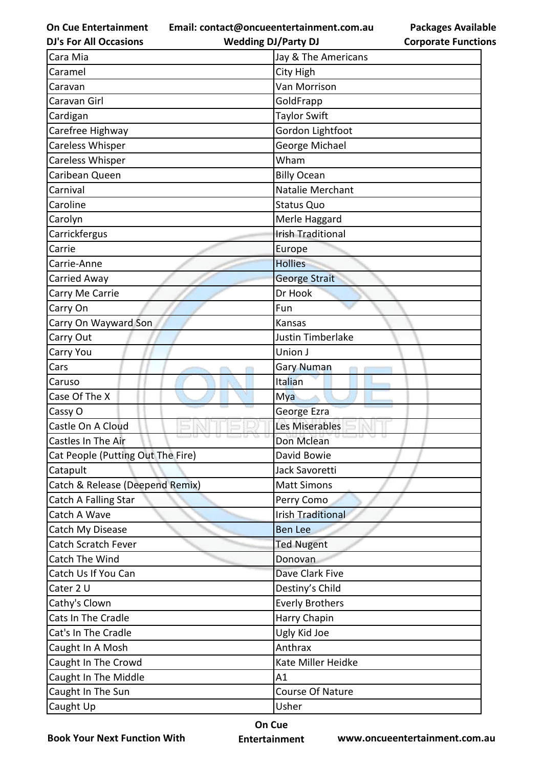**Email: contact@oncueentertainment.com.au**

**DJ's For All Occasions**

**Wedding DJ/Party DJ** 

**Packages Available Corporate Functions**

| Cara Mia                          | Jay & The Americans      |
|-----------------------------------|--------------------------|
| Caramel                           | City High                |
| Caravan                           | Van Morrison             |
| Caravan Girl                      | GoldFrapp                |
| Cardigan                          | <b>Taylor Swift</b>      |
| Carefree Highway                  | Gordon Lightfoot         |
| Careless Whisper                  | George Michael           |
| Careless Whisper                  | Wham                     |
| Caribean Queen                    | <b>Billy Ocean</b>       |
| Carnival                          | Natalie Merchant         |
| Caroline                          | <b>Status Quo</b>        |
| Carolyn                           | Merle Haggard            |
| Carrickfergus                     | <b>Irish Traditional</b> |
| Carrie                            | Europe                   |
| Carrie-Anne                       | <b>Hollies</b>           |
| Carried Away                      | <b>George Strait</b>     |
| Carry Me Carrie                   | Dr Hook                  |
| Carry On                          | Fun                      |
| Carry On Wayward Son              | Kansas                   |
| Carry Out                         | Justin Timberlake        |
| Carry You                         | Union J                  |
| Cars                              | Gary Numan               |
| Caruso                            | Italian                  |
| Case Of The X                     | Mya                      |
| Cassy O                           | George Ezra              |
| Castle On A Cloud                 | Les Miserables           |
| Castles In The Air                | Don Mclean               |
| Cat People (Putting Out The Fire) | David Bowie              |
| Catapult                          | Jack Savoretti           |
| Catch & Release (Deepend Remix)   | <b>Matt Simons</b>       |
| Catch A Falling Star              | Perry Como               |
| Catch A Wave                      | <b>Irish Traditional</b> |
| Catch My Disease                  | <b>Ben Lee</b>           |
| Catch Scratch Fever               | <b>Ted Nugent</b>        |
| Catch The Wind                    | Donovan                  |
| Catch Us If You Can               | Dave Clark Five          |
| Cater 2 U                         | Destiny's Child          |
| Cathy's Clown                     | <b>Everly Brothers</b>   |
| Cats In The Cradle                | Harry Chapin             |
| Cat's In The Cradle               | Ugly Kid Joe             |
| Caught In A Mosh                  | Anthrax                  |
| Caught In The Crowd               | Kate Miller Heidke       |
| Caught In The Middle              | A1                       |
| Caught In The Sun                 | Course Of Nature         |
| Caught Up                         | Usher                    |
|                                   |                          |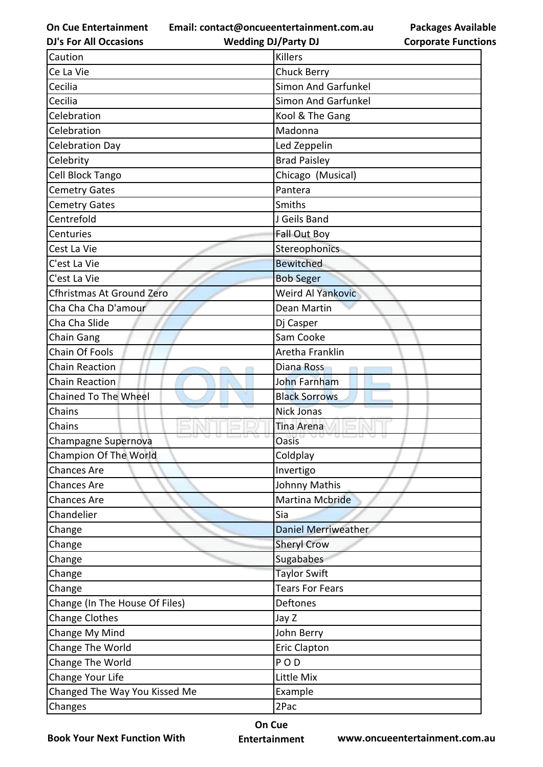**Email: contact@oncueentertainment.com.au**

**Packages Available Corporate Functions**

| <b>DJ's For All Occasions</b>  | <b>Wedding DJ/Party DJ</b> | <b>Corporate Function</b> |
|--------------------------------|----------------------------|---------------------------|
| Caution                        | <b>Killers</b>             |                           |
| Ce La Vie                      | <b>Chuck Berry</b>         |                           |
| Cecilia                        | <b>Simon And Garfunkel</b> |                           |
| Cecilia                        | <b>Simon And Garfunkel</b> |                           |
| Celebration                    | Kool & The Gang            |                           |
| Celebration                    | Madonna                    |                           |
| <b>Celebration Day</b>         | Led Zeppelin               |                           |
| Celebrity                      | <b>Brad Paisley</b>        |                           |
| Cell Block Tango               | Chicago (Musical)          |                           |
| <b>Cemetry Gates</b>           | Pantera                    |                           |
| <b>Cemetry Gates</b>           | Smiths                     |                           |
| Centrefold                     | J Geils Band               |                           |
| Centuries                      | <b>Fall Out Boy</b>        |                           |
| Cest La Vie                    | Stereophonics              |                           |
| C'est La Vie                   | <b>Bewitched</b>           |                           |
| C'est La Vie                   | <b>Bob Seger</b>           |                           |
| Cfhristmas At Ground Zero      | <b>Weird Al Yankovic</b>   |                           |
| Cha Cha Cha D'amour            | Dean Martin                |                           |
| Cha Cha Slide                  | Dj Casper                  |                           |
| Chain Gang                     | Sam Cooke                  |                           |
| Chain Of Fools                 | Aretha Franklin            |                           |
| <b>Chain Reaction</b>          | Diana Ross                 |                           |
| <b>Chain Reaction</b>          | John Farnham               |                           |
| Chained To The Wheel           | <b>Black Sorrows</b>       |                           |
| Chains                         | <b>Nick Jonas</b>          |                           |
| Chains                         | Tina Arena                 |                           |
| Champagne Supernova            | <b>Oasis</b>               |                           |
| Champion Of The World          | Coldplay                   |                           |
| <b>Chances Are</b>             | Invertigo                  |                           |
| <b>Chances Are</b>             | Johnny Mathis              |                           |
| <b>Chances Are</b>             | Martina Mcbride            |                           |
| Chandelier                     | Sia                        |                           |
| Change                         | <b>Daniel Merriweather</b> |                           |
| Change                         | <b>Sheryl Crow</b>         |                           |
| Change                         | Sugababes                  |                           |
| Change                         | <b>Taylor Swift</b>        |                           |
| Change                         | <b>Tears For Fears</b>     |                           |
| Change (In The House Of Files) | Deftones                   |                           |
| <b>Change Clothes</b>          | Jay Z                      |                           |
| Change My Mind                 | John Berry                 |                           |
| Change The World               | <b>Eric Clapton</b>        |                           |
| Change The World               | POD                        |                           |
| Change Your Life               | Little Mix                 |                           |
| Changed The Way You Kissed Me  | Example                    |                           |
| Changes                        | 2Pac                       |                           |
|                                |                            |                           |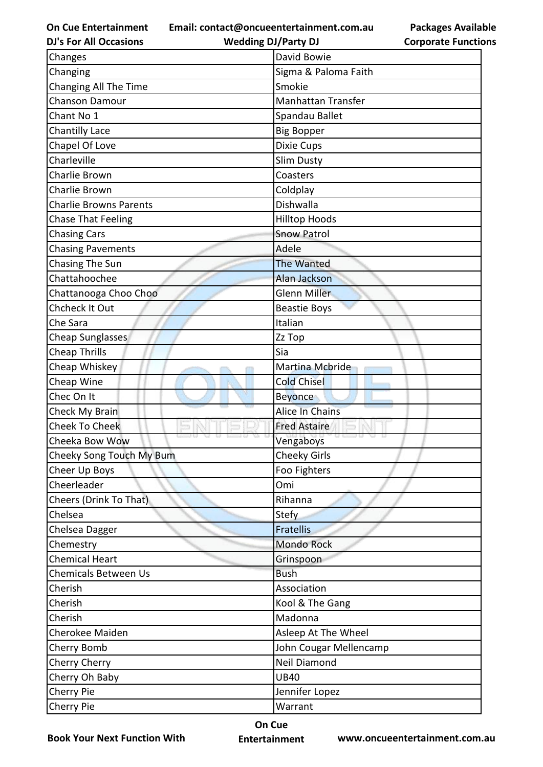**Email: contact@oncueentertainment.com.au**

**DJ's For All Occasions**

**Wedding DJ/Party DJ** 

| Changes                       | David Bowie               |
|-------------------------------|---------------------------|
| Changing                      | Sigma & Paloma Faith      |
| Changing All The Time         | Smokie                    |
| <b>Chanson Damour</b>         | <b>Manhattan Transfer</b> |
| Chant No 1                    | Spandau Ballet            |
| <b>Chantilly Lace</b>         | <b>Big Bopper</b>         |
| Chapel Of Love                | Dixie Cups                |
| Charleville                   | Slim Dusty                |
| Charlie Brown                 | Coasters                  |
| Charlie Brown                 | Coldplay                  |
| <b>Charlie Browns Parents</b> | Dishwalla                 |
| <b>Chase That Feeling</b>     | <b>Hilltop Hoods</b>      |
| <b>Chasing Cars</b>           | <b>Snow Patrol</b>        |
| <b>Chasing Pavements</b>      | Adele                     |
| <b>Chasing The Sun</b>        | <b>The Wanted</b>         |
| Chattahoochee                 | <b>Alan Jackson</b>       |
| Chattanooga Choo Choo         | Glenn Miller              |
| Chcheck It Out                | <b>Beastie Boys</b>       |
| Che Sara                      | Italian                   |
| Cheap Sunglasses              | Zz Top                    |
| <b>Cheap Thrills</b>          | Sia                       |
| Cheap Whiskey                 | Martina Mcbride           |
| Cheap Wine                    | <b>Cold Chisel</b>        |
| Chec On It                    | <b>Beyonce</b>            |
| Check My Brain                | <b>Alice In Chains</b>    |
| <b>Cheek To Cheek</b>         | <b>Fred Astaire</b>       |
| Cheeka Bow Wow                | Vengaboys                 |
| Cheeky Song Touch My Bum      | <b>Cheeky Girls</b>       |
| Cheer Up Boys                 | Foo Fighters              |
| Cheerleader                   | Omi                       |
| Cheers (Drink To That)        | Rihanna                   |
| Chelsea                       | <b>Stefy</b>              |
| Chelsea Dagger                | <b>Fratellis</b>          |
| Chemestry                     | <b>Mondo Rock</b>         |
| <b>Chemical Heart</b>         | Grinspoon                 |
| <b>Chemicals Between Us</b>   | <b>Bush</b>               |
| Cherish                       | Association               |
| Cherish                       | Kool & The Gang           |
| Cherish                       | Madonna                   |
| Cherokee Maiden               | Asleep At The Wheel       |
| Cherry Bomb                   | John Cougar Mellencamp    |
| <b>Cherry Cherry</b>          | <b>Neil Diamond</b>       |
| Cherry Oh Baby                | <b>UB40</b>               |
| Cherry Pie                    | Jennifer Lopez            |
| Cherry Pie                    | Warrant                   |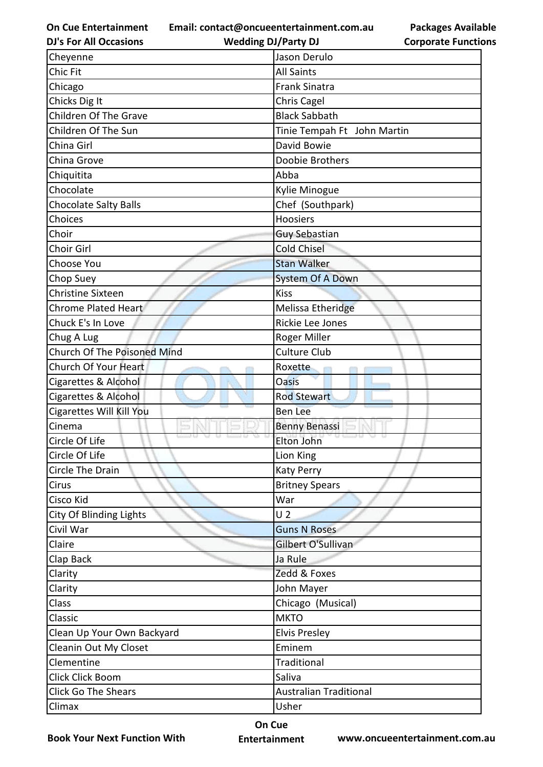**Email: contact@oncueentertainment.com.au**

**Packages Available Corporate Functions**

| <b>DJ's For All Occasions</b>  | <b>Wedding DJ/Party DJ</b>    | <b>Corporate Function</b> |
|--------------------------------|-------------------------------|---------------------------|
| Cheyenne                       | Jason Derulo                  |                           |
| Chic Fit                       | <b>All Saints</b>             |                           |
| Chicago                        | <b>Frank Sinatra</b>          |                           |
| Chicks Dig It                  | Chris Cagel                   |                           |
| Children Of The Grave          | <b>Black Sabbath</b>          |                           |
| Children Of The Sun            | Tinie Tempah Ft John Martin   |                           |
| China Girl                     | David Bowie                   |                           |
| China Grove                    | Doobie Brothers               |                           |
| Chiquitita                     | Abba                          |                           |
| Chocolate                      | Kylie Minogue                 |                           |
| <b>Chocolate Salty Balls</b>   | Chef (Southpark)              |                           |
| Choices                        | Hoosiers                      |                           |
| Choir                          | <b>Guy Sebastian</b>          |                           |
| Choir Girl                     | <b>Cold Chisel</b>            |                           |
| Choose You                     | <b>Stan Walker</b>            |                           |
| Chop Suey                      | <b>System Of A Down</b>       |                           |
| <b>Christine Sixteen</b>       | <b>Kiss</b>                   |                           |
| <b>Chrome Plated Heart</b>     | Melissa Etheridge             |                           |
| Chuck E's In Love              | Rickie Lee Jones              |                           |
| Chug A Lug                     | Roger Miller                  |                           |
| Church Of The Poisoned Mind    | <b>Culture Club</b>           |                           |
| Church Of Your Heart           | Roxette                       |                           |
| Cigarettes & Alcohol           | <b>Oasis</b>                  |                           |
| Cigarettes & Alcohol           | <b>Rod Stewart</b>            |                           |
| Cigarettes Will Kill You       | <b>Ben Lee</b>                |                           |
| Cinema                         | <b>Benny Benassi</b>          |                           |
| Circle Of Life                 | Elton John                    |                           |
| Circle Of Life                 | Lion King                     |                           |
| Circle The Drain               | Katy Perry                    |                           |
| Cirus                          | <b>Britney Spears</b>         |                           |
| Cisco Kid                      | War                           |                           |
| <b>City Of Blinding Lights</b> | U <sub>2</sub>                |                           |
| Civil War                      | <b>Guns N Roses</b>           |                           |
| Claire                         | Gilbert O'Sullivan            |                           |
| Clap Back                      | Ja Rule                       |                           |
| Clarity                        | Zedd & Foxes                  |                           |
| Clarity                        | John Mayer                    |                           |
| Class                          | Chicago (Musical)             |                           |
| Classic                        | <b>MKTO</b>                   |                           |
| Clean Up Your Own Backyard     | <b>Elvis Presley</b>          |                           |
| Cleanin Out My Closet          | Eminem                        |                           |
| Clementine                     | Traditional                   |                           |
| Click Click Boom               | Saliva                        |                           |
| <b>Click Go The Shears</b>     | <b>Australian Traditional</b> |                           |
| Climax                         | Usher                         |                           |
|                                |                               |                           |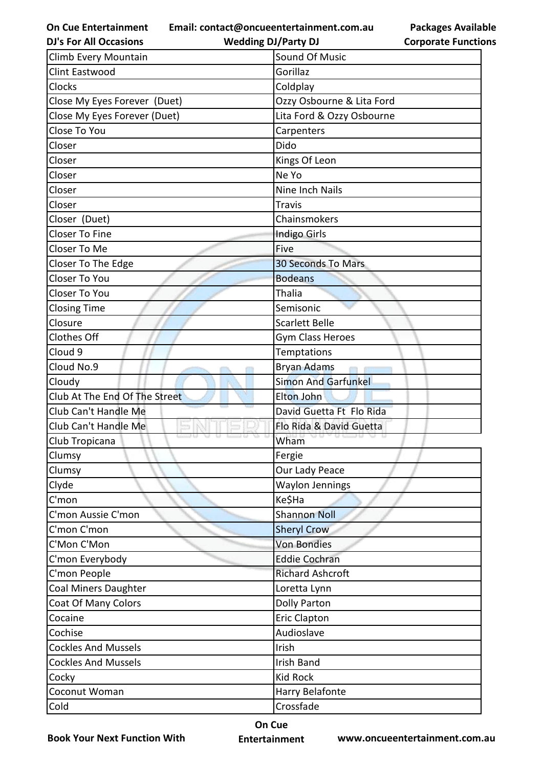**Email: contact@oncueentertainment.com.au**

**Packages Available Corporate Functions**

| <b>DJ's For All Occasions</b> | <b>Wedding DJ/Party DJ</b> | <b>Corporate Functio</b> |
|-------------------------------|----------------------------|--------------------------|
| Climb Every Mountain          | Sound Of Music             |                          |
| <b>Clint Eastwood</b>         | Gorillaz                   |                          |
| Clocks                        | Coldplay                   |                          |
| Close My Eyes Forever (Duet)  | Ozzy Osbourne & Lita Ford  |                          |
| Close My Eyes Forever (Duet)  | Lita Ford & Ozzy Osbourne  |                          |
| Close To You                  | Carpenters                 |                          |
| Closer                        | Dido                       |                          |
| Closer                        | Kings Of Leon              |                          |
| Closer                        | Ne Yo                      |                          |
| Closer                        | Nine Inch Nails            |                          |
| Closer                        | Travis                     |                          |
| Closer (Duet)                 | Chainsmokers               |                          |
| <b>Closer To Fine</b>         | <b>Indigo Girls</b>        |                          |
| Closer To Me                  | Five                       |                          |
| Closer To The Edge            | <b>30 Seconds To Mars</b>  |                          |
| Closer To You                 | <b>Bodeans</b>             |                          |
| Closer To You                 | <b>Thalia</b>              |                          |
| <b>Closing Time</b>           | Semisonic                  |                          |
| Closure                       | <b>Scarlett Belle</b>      |                          |
| <b>Clothes Off</b>            | Gym Class Heroes           |                          |
| Cloud 9                       | <b>Temptations</b>         |                          |
| Cloud No.9                    | <b>Bryan Adams</b>         |                          |
| Cloudy                        | <b>Simon And Garfunkel</b> |                          |
| Club At The End Of The Street | Elton John                 |                          |
| Club Can't Handle Me          | David Guetta Ft Flo Rida   |                          |
| Club Can't Handle Me          | Flo Rida & David Guetta    |                          |
| Club Tropicana                | Wham                       |                          |
| Clumsy                        | Fergie                     |                          |
| Clumsy                        | Our Lady Peace             |                          |
| Clyde                         | <b>Waylon Jennings</b>     |                          |
| C'mon                         | Ke\$Ha                     |                          |
| C'mon Aussie C'mon            | <b>Shannon Noll</b>        |                          |
| C'mon C'mon                   | <b>Sheryl Crow</b>         |                          |
| C'Mon C'Mon                   | <b>Von Bondies</b>         |                          |
| C'mon Everybody               | <b>Eddie Cochran</b>       |                          |
| C'mon People                  | <b>Richard Ashcroft</b>    |                          |
| <b>Coal Miners Daughter</b>   | Loretta Lynn               |                          |
| <b>Coat Of Many Colors</b>    | <b>Dolly Parton</b>        |                          |
| Cocaine                       | Eric Clapton               |                          |
| Cochise                       | Audioslave                 |                          |
| <b>Cockles And Mussels</b>    | Irish                      |                          |
| <b>Cockles And Mussels</b>    | <b>Irish Band</b>          |                          |
| Cocky                         | <b>Kid Rock</b>            |                          |
| Coconut Woman                 | Harry Belafonte            |                          |
| Cold                          | Crossfade                  |                          |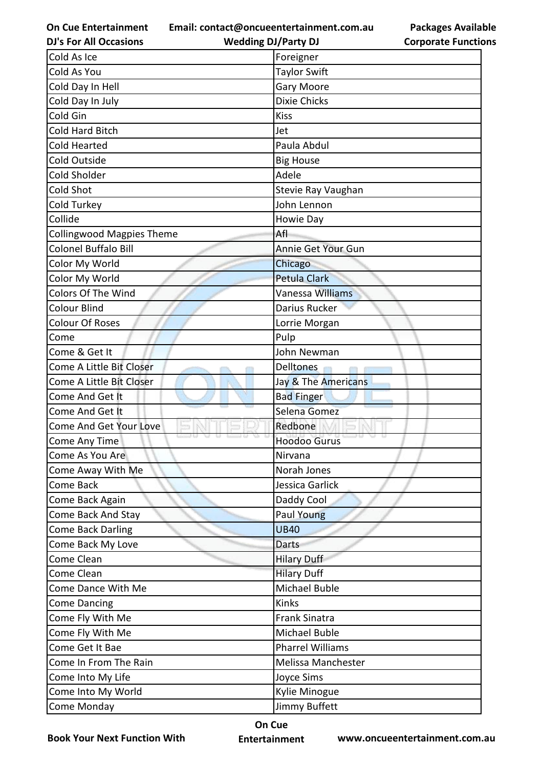**Email: contact@oncueentertainment.com.au**

**Wedding DJ/Party DJ** 

**Packages Available Corporate Functions**

| <b>DJ's For All Occasions</b>    | <b>Wedding DJ/Party DJ</b> | <b>Corporate Functio</b> |
|----------------------------------|----------------------------|--------------------------|
| Cold As Ice                      | Foreigner                  |                          |
| Cold As You                      | <b>Taylor Swift</b>        |                          |
| Cold Day In Hell                 | <b>Gary Moore</b>          |                          |
| Cold Day In July                 | <b>Dixie Chicks</b>        |                          |
| Cold Gin                         | <b>Kiss</b>                |                          |
| Cold Hard Bitch                  | Jet                        |                          |
| Cold Hearted                     | Paula Abdul                |                          |
| Cold Outside                     | <b>Big House</b>           |                          |
| Cold Sholder                     | Adele                      |                          |
| Cold Shot                        | Stevie Ray Vaughan         |                          |
| Cold Turkey                      | John Lennon                |                          |
| Collide                          | Howie Day                  |                          |
| <b>Collingwood Magpies Theme</b> | Afl                        |                          |
| Colonel Buffalo Bill             | Annie Get Your Gun         |                          |
| Color My World                   | Chicago                    |                          |
| Color My World                   | <b>Petula Clark</b>        |                          |
| <b>Colors Of The Wind</b>        | Vanessa Williams           |                          |
| Colour Blind                     | Darius Rucker              |                          |
| <b>Colour Of Roses</b>           | Lorrie Morgan              |                          |
| Come                             | Pulp                       |                          |
| Come & Get It                    | John Newman                |                          |
| Come A Little Bit Closer         | Delltones                  |                          |
| Come A Little Bit Closer         | Jay & The Americans        |                          |
| Come And Get It                  | <b>Bad Finger</b>          |                          |
| Come And Get It                  | Selena Gomez               |                          |
| <b>Come And Get Your Love</b>    | Redbone                    |                          |
| Come Any Time                    | <b>Hoodoo Gurus</b>        |                          |
| Come As You Are                  | Nirvana                    |                          |
| Come Away With Me                | Norah Jones                |                          |
| Come Back                        | Jessica Garlick            |                          |
| Come Back Again                  | Daddy Cool                 |                          |
| Come Back And Stay               | Paul Young                 |                          |
| <b>Come Back Darling</b>         | <b>UB40</b>                |                          |
| Come Back My Love                | <b>Darts</b>               |                          |
| Come Clean                       | <b>Hilary Duff</b>         |                          |
| Come Clean                       | <b>Hilary Duff</b>         |                          |
| Come Dance With Me               | Michael Buble              |                          |
| <b>Come Dancing</b>              | <b>Kinks</b>               |                          |
| Come Fly With Me                 | <b>Frank Sinatra</b>       |                          |
| Come Fly With Me                 | Michael Buble              |                          |
| Come Get It Bae                  | <b>Pharrel Williams</b>    |                          |
| Come In From The Rain            | Melissa Manchester         |                          |
| Come Into My Life                | Joyce Sims                 |                          |
| Come Into My World               | Kylie Minogue              |                          |
| Come Monday                      | Jimmy Buffett              |                          |

**Book Your Next Function With**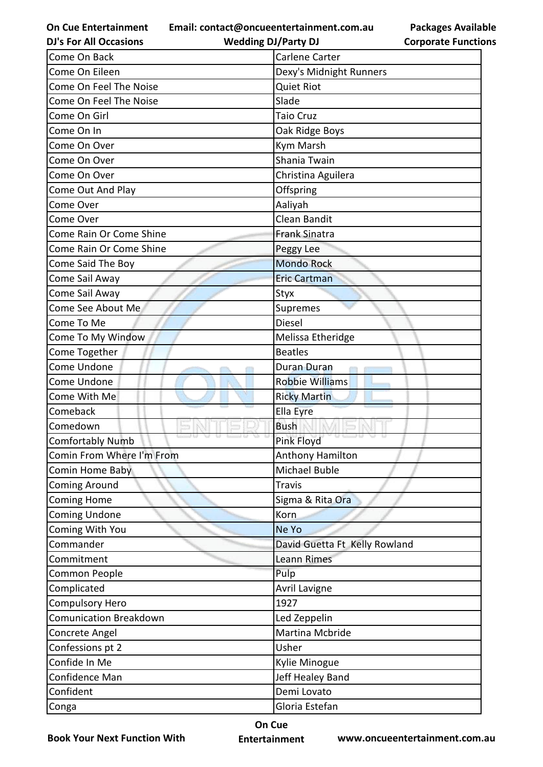**Email: contact@oncueentertainment.com.au**

**DJ's For All Occasions**

**Wedding DJ/Party DJ** 

**Packages Available Corporate Functions**

| Come On Back                  | Carlene Carter                |
|-------------------------------|-------------------------------|
| Come On Eileen                | Dexy's Midnight Runners       |
| Come On Feel The Noise        | <b>Quiet Riot</b>             |
| Come On Feel The Noise        | Slade                         |
| Come On Girl                  | <b>Taio Cruz</b>              |
| Come On In                    | Oak Ridge Boys                |
| Come On Over                  | Kym Marsh                     |
| Come On Over                  | Shania Twain                  |
| Come On Over                  | Christina Aguilera            |
| Come Out And Play             | Offspring                     |
| Come Over                     | Aaliyah                       |
| Come Over                     | Clean Bandit                  |
| Come Rain Or Come Shine       | <b>Frank Sinatra</b>          |
| Come Rain Or Come Shine       | Peggy Lee                     |
| Come Said The Boy             | <b>Mondo Rock</b>             |
| Come Sail Away                | <b>Eric Cartman</b>           |
| Come Sail Away                | Styx                          |
| Come See About Me             | Supremes                      |
| Come To Me                    | <b>Diesel</b>                 |
| Come To My Window             | Melissa Etheridge             |
| Come Together                 | <b>Beatles</b>                |
| Come Undone                   | Duran Duran                   |
| Come Undone                   | <b>Robbie Williams</b>        |
| Come With Me                  | <b>Ricky Martin</b>           |
| Comeback                      | Ella Eyre                     |
| Comedown                      | <b>Bush</b>                   |
| <b>Comfortably Numb</b>       | Pink Floyd                    |
| Comin From Where I'm From     | Anthony Hamilton              |
| Comin Home Baby               | Michael Buble                 |
| <b>Coming Around</b>          | <b>Travis</b>                 |
| <b>Coming Home</b>            | Sigma & Rita Ora              |
| <b>Coming Undone</b>          | Korn                          |
| Coming With You               | Ne Yo                         |
| Commander                     | David Guetta Ft Kelly Rowland |
| Commitment                    | <b>Leann Rimes</b>            |
| Common People                 | Pulp                          |
| Complicated                   | <b>Avril Lavigne</b>          |
| <b>Compulsory Hero</b>        | 1927                          |
| <b>Comunication Breakdown</b> | Led Zeppelin                  |
| Concrete Angel                | Martina Mcbride               |
| Confessions pt 2              | Usher                         |
| Confide In Me                 | Kylie Minogue                 |
| Confidence Man                | Jeff Healey Band              |
| Confident                     | Demi Lovato                   |
| Conga                         | Gloria Estefan                |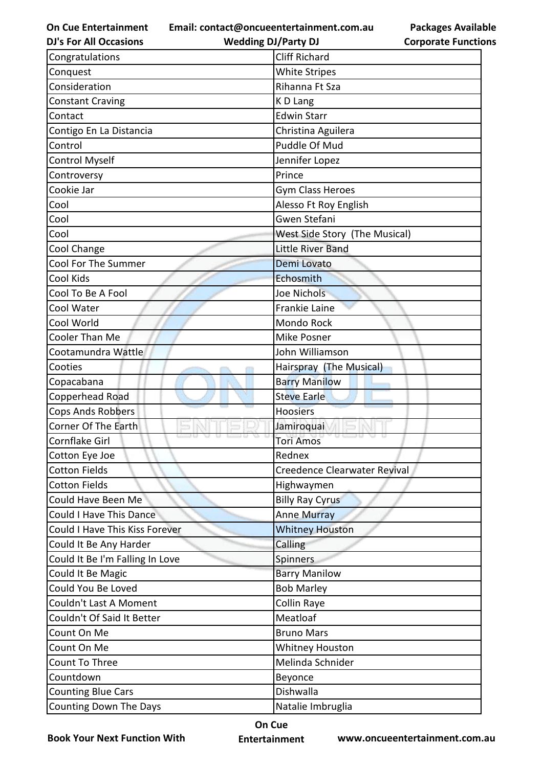**Email: contact@oncueentertainment.com.au**

| <b>DJ's For All Occasions</b>   | <b>Wedding DJ/Party DJ</b>    | <b>Corporate Function</b> |
|---------------------------------|-------------------------------|---------------------------|
| Congratulations                 | <b>Cliff Richard</b>          |                           |
| Conquest                        | <b>White Stripes</b>          |                           |
| Consideration                   | Rihanna Ft Sza                |                           |
| <b>Constant Craving</b>         | K D Lang                      |                           |
| Contact                         | <b>Edwin Starr</b>            |                           |
| Contigo En La Distancia         | Christina Aguilera            |                           |
| Control                         | Puddle Of Mud                 |                           |
| <b>Control Myself</b>           | Jennifer Lopez                |                           |
| Controversy                     | Prince                        |                           |
| Cookie Jar                      | Gym Class Heroes              |                           |
| Cool                            | Alesso Ft Roy English         |                           |
| Cool                            | Gwen Stefani                  |                           |
| Cool                            | West Side Story (The Musical) |                           |
| Cool Change                     | <b>Little River Band</b>      |                           |
| <b>Cool For The Summer</b>      | Demi Lovato                   |                           |
| Cool Kids                       | Echosmith                     |                           |
| Cool To Be A Fool               | Joe Nichols                   |                           |
| Cool Water                      | <b>Frankie Laine</b>          |                           |
| Cool World                      | Mondo Rock                    |                           |
| Cooler Than Me                  | Mike Posner                   |                           |
| Cootamundra Wattle              | John Williamson               |                           |
| Cooties                         | Hairspray (The Musical)       |                           |
| Copacabana                      | <b>Barry Manilow</b>          |                           |
| Copperhead Road                 | <b>Steve Earle</b>            |                           |
| <b>Cops Ands Robbers</b>        | <b>Hoosiers</b>               |                           |
| Corner Of The Earth             | Jamiroquai                    |                           |
| Cornflake Girl                  | Tori Amos                     |                           |
| Cotton Eye Joe                  | Rednex                        |                           |
| Cotton Fields                   | Creedence Clearwater Revival  |                           |
| <b>Cotton Fields</b>            | Highwaymen                    |                           |
| Could Have Been Me              | <b>Billy Ray Cyrus</b>        |                           |
| Could I Have This Dance         | <b>Anne Murray</b>            |                           |
| Could I Have This Kiss Forever  | <b>Whitney Houston</b>        |                           |
| Could It Be Any Harder          | Calling                       |                           |
| Could It Be I'm Falling In Love | Spinners                      |                           |
| Could It Be Magic               | <b>Barry Manilow</b>          |                           |
| Could You Be Loved              | <b>Bob Marley</b>             |                           |
| Couldn't Last A Moment          | Collin Raye                   |                           |
| Couldn't Of Said It Better      | Meatloaf                      |                           |
| Count On Me                     | <b>Bruno Mars</b>             |                           |
| Count On Me                     | <b>Whitney Houston</b>        |                           |
| Count To Three                  | Melinda Schnider              |                           |
| Countdown                       | Beyonce                       |                           |
| <b>Counting Blue Cars</b>       | Dishwalla                     |                           |
| Counting Down The Days          | Natalie Imbruglia             |                           |

**Book Your Next Function With**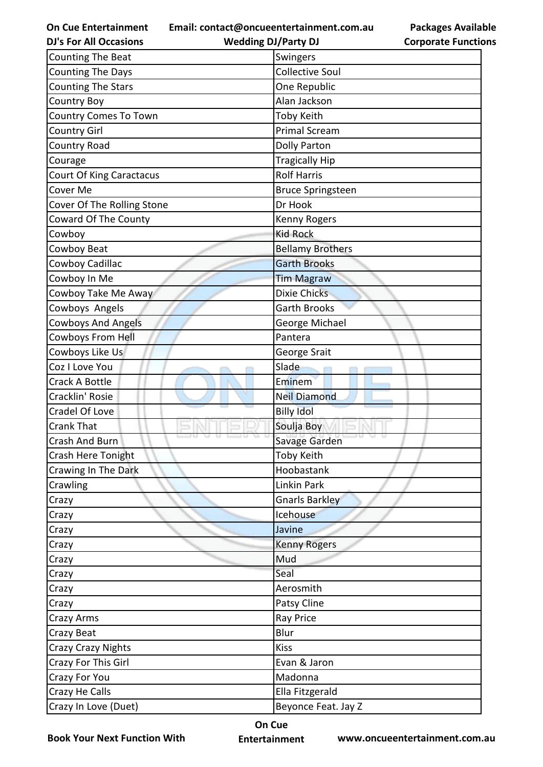**Email: contact@oncueentertainment.com.au**

**DJ's For All Occasions Wedding DJ/Party DJ** 

**Packages Available Corporate Functions**

| <b>Counting The Beat</b>        | Swingers                 |
|---------------------------------|--------------------------|
| <b>Counting The Days</b>        | <b>Collective Soul</b>   |
| <b>Counting The Stars</b>       | One Republic             |
| <b>Country Boy</b>              | Alan Jackson             |
| <b>Country Comes To Town</b>    | <b>Toby Keith</b>        |
| <b>Country Girl</b>             | <b>Primal Scream</b>     |
| Country Road                    | <b>Dolly Parton</b>      |
| Courage                         | <b>Tragically Hip</b>    |
| <b>Court Of King Caractacus</b> | <b>Rolf Harris</b>       |
| Cover Me                        | <b>Bruce Springsteen</b> |
| Cover Of The Rolling Stone      | Dr Hook                  |
| Coward Of The County            | Kenny Rogers             |
| Cowboy                          | <b>Kid Rock</b>          |
| Cowboy Beat                     | <b>Bellamy Brothers</b>  |
| Cowboy Cadillac                 | <b>Garth Brooks</b>      |
| Cowboy In Me                    | <b>Tim Magraw</b>        |
| Cowboy Take Me Away             | <b>Dixie Chicks</b>      |
| Cowboys Angels                  | <b>Garth Brooks</b>      |
| <b>Cowboys And Angels</b>       | George Michael           |
| Cowboys From Hell               | Pantera                  |
| Cowboys Like Us                 | George Srait             |
| Coz I Love You                  | Slade                    |
| Crack A Bottle                  | Eminem                   |
| Cracklin' Rosie                 | <b>Neil Diamond</b>      |
| Cradel Of Love                  | <b>Billy Idol</b>        |
| <b>Crank That</b>               | Soulja Boy               |
| Crash And Burn                  | Savage Garden            |
| Crash Here Tonight              | Toby Keith               |
| Crawing In The Dark             | Hoobastank               |
| Crawling                        | Linkin Park              |
| Crazy                           | <b>Gnarls Barkley</b>    |
| Crazy                           | Icehouse                 |
| Crazy                           | Javine                   |
| Crazy                           | <b>Kenny Rogers</b>      |
| Crazy                           | Mud                      |
| Crazy                           | Seal                     |
| Crazy                           | Aerosmith                |
| Crazy                           | Patsy Cline              |
| Crazy Arms                      | <b>Ray Price</b>         |
| Crazy Beat                      | Blur                     |
| <b>Crazy Crazy Nights</b>       | <b>Kiss</b>              |
| Crazy For This Girl             | Evan & Jaron             |
| Crazy For You                   | Madonna                  |
| Crazy He Calls                  | Ella Fitzgerald          |
| Crazy In Love (Duet)            | Beyonce Feat. Jay Z      |

**Book Your Next Function With**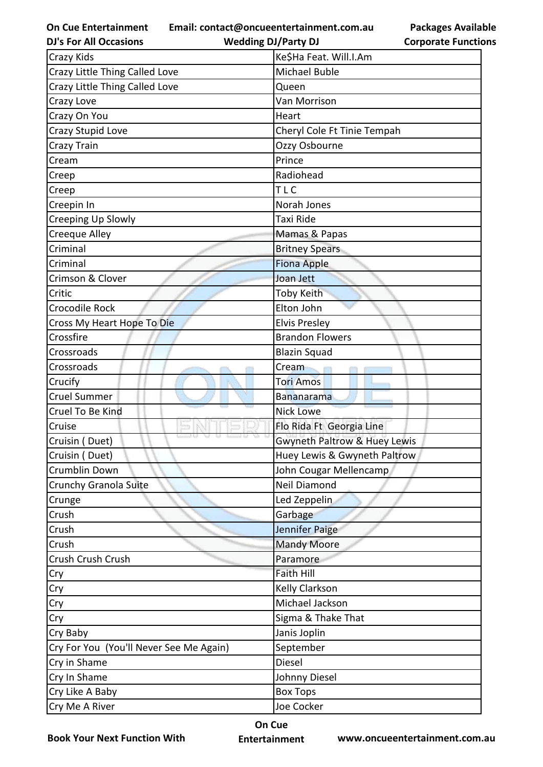**On Cue Entertainment DJ's For All Occasions**

**Email: contact@oncueentertainment.com.au**

**Wedding DJ/Party DJ** 

**Packages Available Corporate Functions**

| Crazy Kids                              | Ke\$Ha Feat. Will.I.Am       |
|-----------------------------------------|------------------------------|
| Crazy Little Thing Called Love          | Michael Buble                |
| Crazy Little Thing Called Love          | Queen                        |
| Crazy Love                              | Van Morrison                 |
| Crazy On You                            | Heart                        |
| Crazy Stupid Love                       | Cheryl Cole Ft Tinie Tempah  |
| Crazy Train                             | Ozzy Osbourne                |
| Cream                                   | Prince                       |
| Creep                                   | Radiohead                    |
| Creep                                   | <b>TLC</b>                   |
| Creepin In                              | Norah Jones                  |
| Creeping Up Slowly                      | Taxi Ride                    |
| Creeque Alley                           | Mamas & Papas                |
| Criminal                                | <b>Britney Spears</b>        |
| Criminal                                | <b>Fiona Apple</b>           |
| Crimson & Clover                        | Joan Jett                    |
| Critic                                  | <b>Toby Keith</b>            |
| Crocodile Rock                          | Elton John                   |
| Cross My Heart Hope To Die              | <b>Elvis Presley</b>         |
| Crossfire                               | <b>Brandon Flowers</b>       |
| Crossroads                              | <b>Blazin Squad</b>          |
| Crossroads                              | Cream                        |
| Crucify                                 | <b>Tori Amos</b>             |
| <b>Cruel Summer</b>                     | <b>Bananarama</b>            |
| Cruel To Be Kind                        | <b>Nick Lowe</b>             |
| Cruise                                  | Flo Rida Ft Georgia Line     |
| Cruisin (Duet)                          | Gwyneth Paltrow & Huey Lewis |
| Cruisin (Duet)                          | Huey Lewis & Gwyneth Paltrow |
| Crumblin Down                           | John Cougar Mellencamp       |
| Crunchy Granola Suite                   | Neil Diamond                 |
| Crunge                                  | Led Zeppelin                 |
| Crush                                   | Garbage                      |
| Crush                                   | Jennifer Paige               |
| Crush                                   | <b>Mandy Moore</b>           |
| Crush Crush Crush                       | Paramore                     |
| Cry                                     | <b>Faith Hill</b>            |
| Cry                                     | Kelly Clarkson               |
| Cry                                     | Michael Jackson              |
| Cry                                     | Sigma & Thake That           |
| Cry Baby                                | Janis Joplin                 |
| Cry For You (You'll Never See Me Again) | September                    |
| Cry in Shame                            | Diesel                       |
| Cry In Shame                            | Johnny Diesel                |
| Cry Like A Baby                         | <b>Box Tops</b>              |
| Cry Me A River                          | Joe Cocker                   |

**Book Your Next Function With**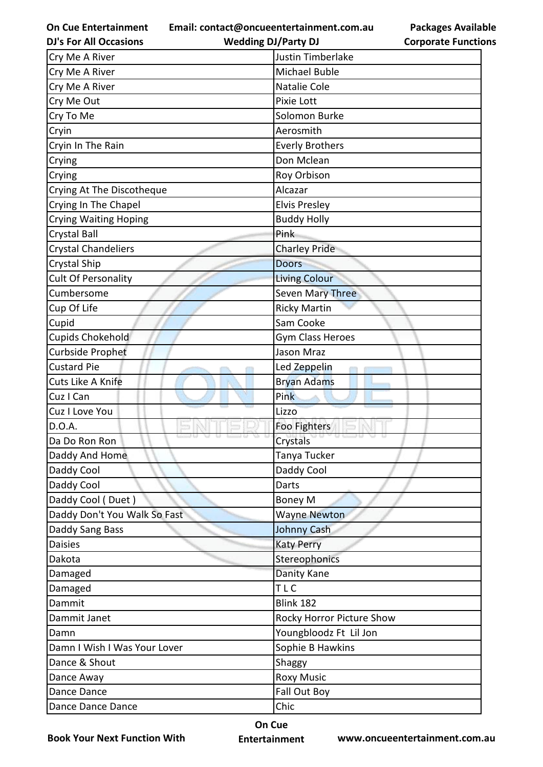**Email: contact@oncueentertainment.com.au**

**DJ's For All Occasions**

**Wedding DJ/Party DJ** 

| Cry Me A River               | Justin Timberlake         |
|------------------------------|---------------------------|
| Cry Me A River               | <b>Michael Buble</b>      |
| Cry Me A River               | Natalie Cole              |
| Cry Me Out                   | Pixie Lott                |
| Cry To Me                    | Solomon Burke             |
| Cryin                        | Aerosmith                 |
| Cryin In The Rain            | <b>Everly Brothers</b>    |
| Crying                       | Don Mclean                |
| Crying                       | Roy Orbison               |
| Crying At The Discotheque    | Alcazar                   |
| Crying In The Chapel         | <b>Elvis Presley</b>      |
| <b>Crying Waiting Hoping</b> | <b>Buddy Holly</b>        |
| <b>Crystal Ball</b>          | <b>Pink</b>               |
| <b>Crystal Chandeliers</b>   | <b>Charley Pride</b>      |
| <b>Crystal Ship</b>          | <b>Doors</b>              |
| Cult Of Personality          | <b>Living Colour</b>      |
| Cumbersome                   | <b>Seven Mary Three</b>   |
| Cup Of Life                  | <b>Ricky Martin</b>       |
| Cupid                        | Sam Cooke                 |
| Cupids Chokehold             | Gym Class Heroes          |
| <b>Curbside Prophet</b>      | <b>Jason Mraz</b>         |
| <b>Custard Pie</b>           | Led Zeppelin              |
| Cuts Like A Knife            | <b>Bryan Adams</b>        |
| Cuz I Can                    | Pink                      |
| Cuz I Love You               | Lizzo                     |
| D.O.A.                       | Foo Fighters              |
| Da Do Ron Ron                | Crystals                  |
| Daddy And Home               | Tanya Tucker              |
| Daddy Cool                   | Daddy Cool                |
| Daddy Cool                   | Darts                     |
| Daddy Cool (Duet)            | <b>Boney M</b>            |
| Daddy Don't You Walk So Fast | <b>Wayne Newton</b>       |
| Daddy Sang Bass              | Johnny Cash               |
| <b>Daisies</b>               | <b>Katy Perry</b>         |
| Dakota                       | Stereophonics             |
| Damaged                      | Danity Kane               |
| Damaged                      | TLC                       |
| Dammit                       | Blink 182                 |
| Dammit Janet                 | Rocky Horror Picture Show |
| Damn                         | Youngbloodz Ft Lil Jon    |
| Damn I Wish I Was Your Lover | Sophie B Hawkins          |
| Dance & Shout                | Shaggy                    |
| Dance Away                   | <b>Roxy Music</b>         |
| Dance Dance                  | Fall Out Boy              |
| Dance Dance Dance            | Chic                      |

**Book Your Next Function With**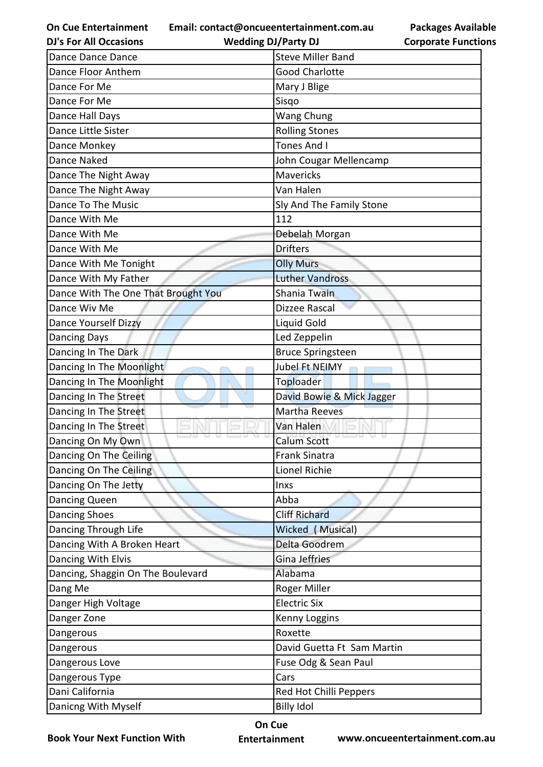**Email: contact@oncueentertainment.com.au Wedding DJ/Party DJ** 

**Packages Available Corporate Functions**

| <b>DJ's For All Occasions</b>       | <b>Wedding DJ/Party DJ</b> | <b>Corporate Functio</b> |
|-------------------------------------|----------------------------|--------------------------|
| Dance Dance Dance                   | <b>Steve Miller Band</b>   |                          |
| Dance Floor Anthem                  | <b>Good Charlotte</b>      |                          |
| Dance For Me                        | Mary J Blige               |                          |
| Dance For Me                        | Sisqo                      |                          |
| Dance Hall Days                     | <b>Wang Chung</b>          |                          |
| Dance Little Sister                 | <b>Rolling Stones</b>      |                          |
| Dance Monkey                        | <b>Tones And I</b>         |                          |
| Dance Naked                         | John Cougar Mellencamp     |                          |
| Dance The Night Away                | <b>Mavericks</b>           |                          |
| Dance The Night Away                | Van Halen                  |                          |
| Dance To The Music                  | Sly And The Family Stone   |                          |
| Dance With Me                       | 112                        |                          |
| Dance With Me                       | Debelah Morgan             |                          |
| Dance With Me                       | <b>Drifters</b>            |                          |
| Dance With Me Tonight               | <b>Olly Murs</b>           |                          |
| Dance With My Father                | <b>Luther Vandross</b>     |                          |
| Dance With The One That Brought You | Shania Twain               |                          |
| Dance Wiv Me                        | Dizzee Rascal              |                          |
| Dance Yourself Dizzy                | Liquid Gold                |                          |
| <b>Dancing Days</b>                 | Led Zeppelin               |                          |
| Dancing In The Dark                 | <b>Bruce Springsteen</b>   |                          |
| Dancing In The Moonlight            | Jubel Ft NEIMY             |                          |
| Dancing In The Moonlight            | Toploader                  |                          |
| Dancing In The Street               | David Bowie & Mick Jagger  |                          |
| Dancing In The Street               | <b>Martha Reeves</b>       |                          |
| Dancing In The Street               | Van Halen                  |                          |
| Dancing On My Own                   | <b>Calum Scott</b>         |                          |
| Dancing On The Ceiling              | <b>Frank Sinatra</b>       |                          |
| Dancing On The Ceiling              | Lionel Richie              |                          |
| Dancing On The Jetty                | Inxs                       |                          |
| Dancing Queen                       | Abba                       |                          |
| <b>Dancing Shoes</b>                | <b>Cliff Richard</b>       |                          |
| Dancing Through Life                | Wicked (Musical)           |                          |
| Dancing With A Broken Heart         | Delta Goodrem              |                          |
| Dancing With Elvis                  | Gina Jeffries              |                          |
| Dancing, Shaggin On The Boulevard   | Alabama                    |                          |
| Dang Me                             | Roger Miller               |                          |
| Danger High Voltage                 | <b>Electric Six</b>        |                          |
| Danger Zone                         | Kenny Loggins              |                          |
| Dangerous                           | Roxette                    |                          |
| Dangerous                           | David Guetta Ft Sam Martin |                          |
| Dangerous Love                      | Fuse Odg & Sean Paul       |                          |
| Dangerous Type                      | Cars                       |                          |
| Dani California                     | Red Hot Chilli Peppers     |                          |
| Danicng With Myself                 | <b>Billy Idol</b>          |                          |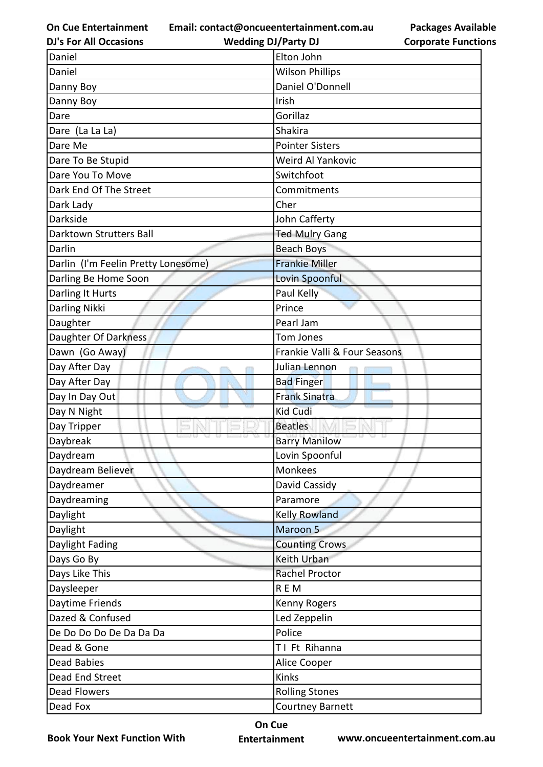**Email: contact@oncueentertainment.com.au Wedding DJ/Party DJ** 

**DJ's For All Occasions**

**Packages Available Corporate Functions**

| Daniel                              | Elton John                   |
|-------------------------------------|------------------------------|
| Daniel                              | <b>Wilson Phillips</b>       |
| Danny Boy                           | Daniel O'Donnell             |
| Danny Boy                           | Irish                        |
| Dare                                | Gorillaz                     |
| Dare (La La La)                     | <b>Shakira</b>               |
| Dare Me                             | <b>Pointer Sisters</b>       |
| Dare To Be Stupid                   | Weird Al Yankovic            |
| Dare You To Move                    | Switchfoot                   |
| Dark End Of The Street              | Commitments                  |
| Dark Lady                           | Cher                         |
| Darkside                            | John Cafferty                |
| Darktown Strutters Ball             | <b>Ted Mulry Gang</b>        |
| Darlin                              | <b>Beach Boys</b>            |
| Darlin (I'm Feelin Pretty Lonesome) | <b>Frankie Miller</b>        |
| Darling Be Home Soon                | Lovin Spoonful               |
| Darling It Hurts                    | Paul Kelly                   |
| Darling Nikki                       | Prince                       |
| Daughter                            | Pearl Jam                    |
| Daughter Of Darkness                | Tom Jones                    |
| Dawn (Go Away)                      | Frankie Valli & Four Seasons |
| Day After Day                       | Julian Lennon                |
| Day After Day                       | <b>Bad Finger</b>            |
| Day In Day Out                      | <b>Frank Sinatra</b>         |
| Day N Night                         | <b>Kid Cudi</b>              |
| Day Tripper                         | <b>Beatles</b>               |
| Daybreak                            | <b>Barry Manilow</b>         |
| Daydream                            | Lovin Spoonful               |
| Daydream Believer                   | Monkees                      |
| Daydreamer                          | David Cassidy                |
| Daydreaming                         | Paramore                     |
| Daylight                            | <b>Kelly Rowland</b>         |
| Daylight                            | Maroon <sub>5</sub>          |
| Daylight Fading                     | <b>Counting Crows</b>        |
| Days Go By                          | Keith Urban                  |
| Days Like This                      | Rachel Proctor               |
| Daysleeper                          | REM                          |
| Daytime Friends                     | Kenny Rogers                 |
| Dazed & Confused                    | Led Zeppelin                 |
| De Do Do Do De Da Da Da             | Police                       |
| Dead & Gone                         | TI Ft Rihanna                |
| Dead Babies                         | Alice Cooper                 |
| Dead End Street                     | Kinks                        |
| <b>Dead Flowers</b>                 | <b>Rolling Stones</b>        |
| Dead Fox                            | <b>Courtney Barnett</b>      |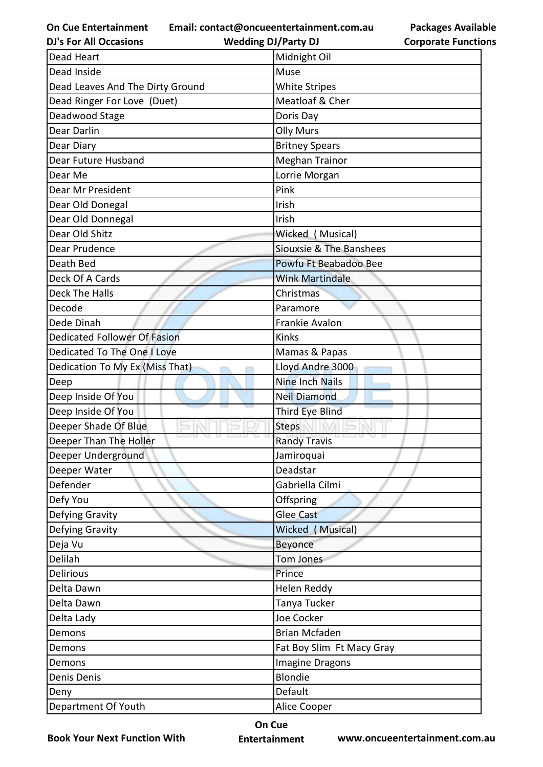**Email: contact@oncueentertainment.com.au**

**DJ's For All Occasions**

**Wedding DJ/Party DJ** 

**Packages Available Corporate Functions**

| <b>Dead Heart</b>                   | Midnight Oil              |
|-------------------------------------|---------------------------|
| Dead Inside                         | Muse                      |
| Dead Leaves And The Dirty Ground    | <b>White Stripes</b>      |
| Dead Ringer For Love (Duet)         | Meatloaf & Cher           |
| Deadwood Stage                      | Doris Day                 |
| Dear Darlin                         | <b>Olly Murs</b>          |
| Dear Diary                          | <b>Britney Spears</b>     |
| Dear Future Husband                 | <b>Meghan Trainor</b>     |
| Dear Me                             | Lorrie Morgan             |
| Dear Mr President                   | Pink                      |
| Dear Old Donegal                    | Irish                     |
| Dear Old Donnegal                   | Irish                     |
| Dear Old Shitz                      | Wicked (Musical)          |
| Dear Prudence                       | Siouxsie & The Banshees   |
| Death Bed                           | Powfu Ft Beabadoo Bee     |
| Deck Of A Cards                     | <b>Wink Martindale</b>    |
| <b>Deck The Halls</b>               | Christmas                 |
| Decode                              | Paramore                  |
| Dede Dinah                          | Frankie Avalon            |
| <b>Dedicated Follower Of Fasion</b> | Kinks                     |
| Dedicated To The One I Love         | Mamas & Papas             |
| Dedication To My Ex (Miss That)     | Lloyd Andre 3000          |
| Deep                                | <b>Nine Inch Nails</b>    |
| Deep Inside Of You                  | <b>Neil Diamond</b>       |
| Deep Inside Of You                  | Third Eye Blind           |
| Deeper Shade Of Blue                | <b>Steps</b>              |
| Deeper Than The Holler              | <b>Randy Travis</b>       |
| Deeper Underground                  | Jamiroquai                |
| Deeper Water                        | Deadstar                  |
| Defender                            | Gabriella Cilmi           |
| Defy You                            | Offspring                 |
| Defying Gravity                     | Glee Cast                 |
| Defying Gravity                     | Wicked (Musical)          |
| Deja Vu                             | <b>Beyonce</b>            |
| Delilah                             | Tom Jones                 |
| <b>Delirious</b>                    | Prince                    |
| Delta Dawn                          | Helen Reddy               |
| Delta Dawn                          | Tanya Tucker              |
| Delta Lady                          | Joe Cocker                |
| Demons                              | <b>Brian Mcfaden</b>      |
| Demons                              | Fat Boy Slim Ft Macy Gray |
| Demons                              | Imagine Dragons           |
| Denis Denis                         | <b>Blondie</b>            |
| Deny                                | Default                   |
|                                     | Alice Cooper              |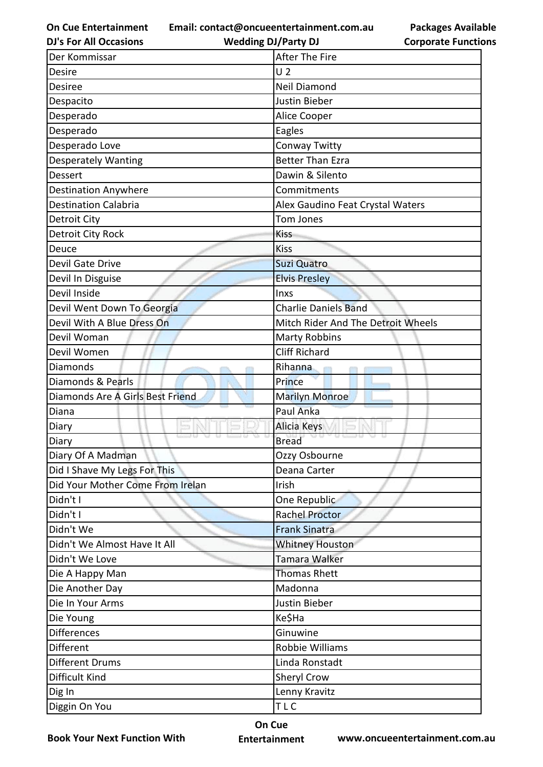**Email: contact@oncueentertainment.com.au**

**DJ's For All Occasions**

**Wedding DJ/Party DJ** 

**Packages Available Corporate Functions**

| Der Kommissar                    | After The Fire                     |
|----------------------------------|------------------------------------|
| Desire                           | U <sub>2</sub>                     |
| <b>Desiree</b>                   | <b>Neil Diamond</b>                |
| Despacito                        | Justin Bieber                      |
| Desperado                        | Alice Cooper                       |
| Desperado                        | Eagles                             |
| Desperado Love                   | Conway Twitty                      |
| <b>Desperately Wanting</b>       | <b>Better Than Ezra</b>            |
| <b>Dessert</b>                   | Dawin & Silento                    |
| <b>Destination Anywhere</b>      | Commitments                        |
| <b>Destination Calabria</b>      | Alex Gaudino Feat Crystal Waters   |
| Detroit City                     | Tom Jones                          |
| Detroit City Rock                | <b>Kiss</b>                        |
| Deuce                            | <b>Kiss</b>                        |
| Devil Gate Drive                 | <b>Suzi Quatro</b>                 |
| Devil In Disguise                | <b>Elvis Presley</b>               |
| Devil Inside                     | Inxs                               |
| Devil Went Down To Georgia       | <b>Charlie Daniels Band</b>        |
| Devil With A Blue Dress On       | Mitch Rider And The Detroit Wheels |
| Devil Woman                      | <b>Marty Robbins</b>               |
| Devil Women                      | <b>Cliff Richard</b>               |
| Diamonds                         | Rihanna                            |
| Diamonds & Pearls                | Prince                             |
| Diamonds Are A Girls Best Friend | <b>Marilyn Monroe</b>              |
| Diana                            | <b>Paul Anka</b>                   |
| Diary                            | Alicia Keys                        |
| Diary                            | <b>Bread</b>                       |
| Diary Of A Madman                | Ozzy Osbourne                      |
| Did I Shave My Legs For This     | Deana Carter                       |
| Did Your Mother Come From Irelan | Irish                              |
| Didn't I                         | One Republic                       |
| Didn't I                         | <b>Rachel Proctor</b>              |
| Didn't We                        | <b>Frank Sinatra</b>               |
| Didn't We Almost Have It All     | <b>Whitney Houston</b>             |
| Didn't We Love                   | Tamara Walker                      |
| Die A Happy Man                  | <b>Thomas Rhett</b>                |
| Die Another Day                  | Madonna                            |
| Die In Your Arms                 | Justin Bieber                      |
| Die Young                        | Ke\$Ha                             |
| <b>Differences</b>               | Ginuwine                           |
| Different                        | Robbie Williams                    |
|                                  |                                    |
| <b>Different Drums</b>           | Linda Ronstadt                     |
| Difficult Kind                   | Sheryl Crow                        |
| Dig In                           | Lenny Kravitz                      |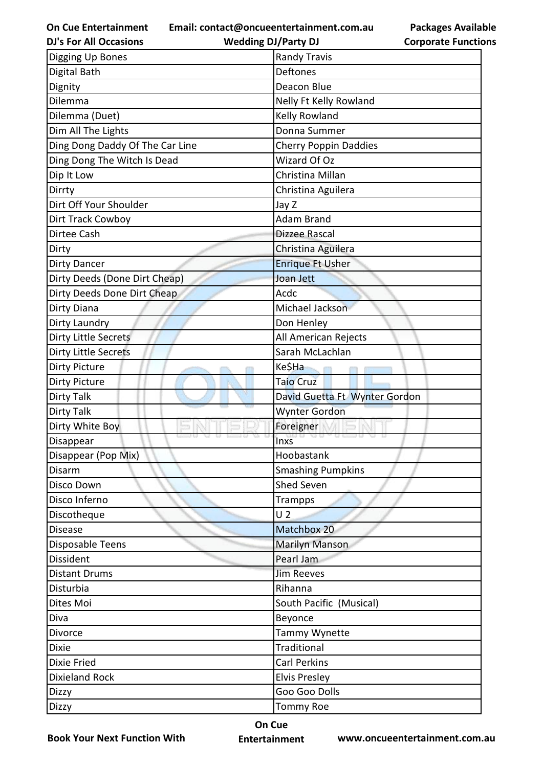**Email: contact@oncueentertainment.com.au**

**DJ's For All Occasions**

**Wedding DJ/Party DJ** 

**Packages Available Corporate Functions**

| Digging Up Bones                | <b>Randy Travis</b>           |
|---------------------------------|-------------------------------|
| Digital Bath                    | <b>Deftones</b>               |
| Dignity                         | Deacon Blue                   |
| Dilemma                         | Nelly Ft Kelly Rowland        |
| Dilemma (Duet)                  | Kelly Rowland                 |
| Dim All The Lights              | Donna Summer                  |
| Ding Dong Daddy Of The Car Line | <b>Cherry Poppin Daddies</b>  |
| Ding Dong The Witch Is Dead     | <b>Wizard Of Oz</b>           |
| Dip It Low                      | Christina Millan              |
| Dirrty                          | Christina Aguilera            |
| Dirt Off Your Shoulder          | Jay Z                         |
| Dirt Track Cowboy               | <b>Adam Brand</b>             |
| Dirtee Cash                     | Dizzee Rascal                 |
| Dirty                           | Christina Aguilera            |
| <b>Dirty Dancer</b>             | <b>Enrique Ft Usher</b>       |
| Dirty Deeds (Done Dirt Cheap)   | Joan Jett                     |
| Dirty Deeds Done Dirt Cheap     | Acdc                          |
| Dirty Diana                     | Michael Jackson               |
| Dirty Laundry                   | Don Henley                    |
| Dirty Little Secrets            | All American Rejects          |
| <b>Dirty Little Secrets</b>     | Sarah McLachlan               |
| <b>Dirty Picture</b>            | Ke\$Ha                        |
| <b>Dirty Picture</b>            | <b>Taio Cruz</b>              |
| <b>Dirty Talk</b>               | David Guetta Ft Wynter Gordon |
| <b>Dirty Talk</b>               | <b>Wynter Gordon</b>          |
| Dirty White Boy                 | Foreigner                     |
| Disappear                       | <b>Inxs</b>                   |
| Disappear (Pop Mix)             | Hoobastank                    |
| Disarm                          | <b>Smashing Pumpkins</b>      |
| Disco Down                      | <b>Shed Seven</b>             |
| Disco Inferno                   | Trampps                       |
| Discotheque                     | U <sub>2</sub>                |
| <b>Disease</b>                  | Matchbox 20                   |
| Disposable Teens                | <b>Marilyn Manson</b>         |
| Dissident                       | Pearl Jam                     |
| <b>Distant Drums</b>            | <b>Jim Reeves</b>             |
| Disturbia                       | Rihanna                       |
| Dites Moi                       | South Pacific (Musical)       |
| Diva                            | Beyonce                       |
| Divorce                         | Tammy Wynette                 |
| <b>Dixie</b>                    | Traditional                   |
| Dixie Fried                     | Carl Perkins                  |
| <b>Dixieland Rock</b>           | <b>Elvis Presley</b>          |
| Dizzy                           | Goo Goo Dolls                 |
| Dizzy                           | <b>Tommy Roe</b>              |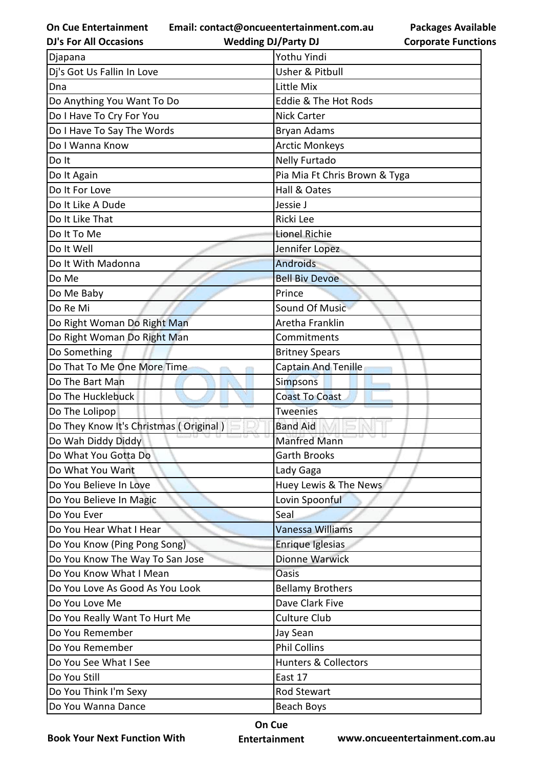**Email: contact@oncueentertainment.com.au**

**Packages Available Corporate Functions**

| <b>DJ's For All Occasions</b>          | <b>Wedding DJ/Party DJ</b>      | <b>Corporate Functio</b> |
|----------------------------------------|---------------------------------|--------------------------|
| Djapana                                | Yothu Yindi                     |                          |
| Dj's Got Us Fallin In Love             | Usher & Pitbull                 |                          |
| Dna                                    | Little Mix                      |                          |
| Do Anything You Want To Do             | Eddie & The Hot Rods            |                          |
| Do I Have To Cry For You               | <b>Nick Carter</b>              |                          |
| Do I Have To Say The Words             | Bryan Adams                     |                          |
| Do I Wanna Know                        | <b>Arctic Monkeys</b>           |                          |
| Do It                                  | <b>Nelly Furtado</b>            |                          |
| Do It Again                            | Pia Mia Ft Chris Brown & Tyga   |                          |
| Do It For Love                         | Hall & Oates                    |                          |
| Do It Like A Dude                      | Jessie J                        |                          |
| Do It Like That                        | Ricki Lee                       |                          |
| Do It To Me                            | <b>Lionel Richie</b>            |                          |
| Do It Well                             | Jennifer Lopez                  |                          |
| Do It With Madonna                     | <b>Androids</b>                 |                          |
| Do Me                                  | <b>Bell Biv Devoe</b>           |                          |
| Do Me Baby                             | Prince                          |                          |
| Do Re Mi                               | <b>Sound Of Music</b>           |                          |
| Do Right Woman Do Right Man            | Aretha Franklin                 |                          |
| Do Right Woman Do Right Man            | Commitments                     |                          |
| Do Something                           | <b>Britney Spears</b>           |                          |
| Do That To Me One More Time            | Captain And Tenille             |                          |
| Do The Bart Man                        | <b>Simpsons</b>                 |                          |
| Do The Hucklebuck                      | <b>Coast To Coast</b>           |                          |
| Do The Lolipop                         | <b>Tweenies</b>                 |                          |
| Do They Know It's Christmas (Original) | <b>Band Aid</b>                 |                          |
| Do Wah Diddy Diddy                     | <b>Manfred Mann</b>             |                          |
| Do What You Gotta Do                   | <b>Garth Brooks</b>             |                          |
| Do What You Want                       | Lady Gaga                       |                          |
| Do You Believe In Love                 | Huey Lewis & The News           |                          |
| Do You Believe In Magic                | Lovin Spoonful                  |                          |
| Do You Ever                            | Seal                            |                          |
| Do You Hear What I Hear                | Vanessa Williams                |                          |
| Do You Know (Ping Pong Song)           | Enrique Iglesias                |                          |
| Do You Know The Way To San Jose        | <b>Dionne Warwick</b>           |                          |
| Do You Know What I Mean                | Oasis                           |                          |
| Do You Love As Good As You Look        | <b>Bellamy Brothers</b>         |                          |
| Do You Love Me                         | Dave Clark Five                 |                          |
| Do You Really Want To Hurt Me          | <b>Culture Club</b>             |                          |
| Do You Remember                        | Jay Sean                        |                          |
| Do You Remember                        | <b>Phil Collins</b>             |                          |
| Do You See What I See                  | <b>Hunters &amp; Collectors</b> |                          |
| Do You Still                           | East 17                         |                          |
| Do You Think I'm Sexy                  | Rod Stewart                     |                          |
| Do You Wanna Dance                     | Beach Boys                      |                          |

**Book Your Next Function With**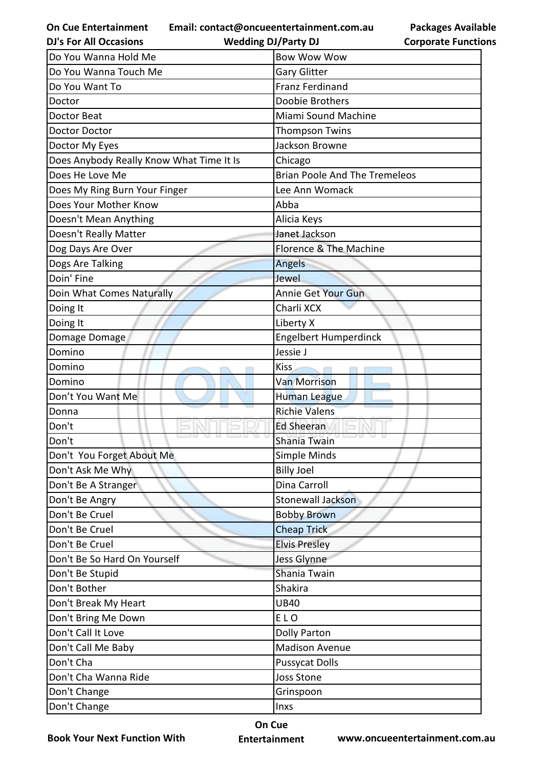**On Cue Entertainment Email: contact@oncueentertainment.com.au Wedding DJ/Party DJ** 

**Packages Available Corporate Functions**

| <b>DJ's For All Occasions</b>            | <b>Wedding DJ/Party DJ</b>           | <b>Corporate Functio</b> |
|------------------------------------------|--------------------------------------|--------------------------|
| Do You Wanna Hold Me                     | <b>Bow Wow Wow</b>                   |                          |
| Do You Wanna Touch Me                    | <b>Gary Glitter</b>                  |                          |
| Do You Want To                           | <b>Franz Ferdinand</b>               |                          |
| Doctor                                   | Doobie Brothers                      |                          |
| Doctor Beat                              | Miami Sound Machine                  |                          |
| <b>Doctor Doctor</b>                     | <b>Thompson Twins</b>                |                          |
| Doctor My Eyes                           | Jackson Browne                       |                          |
| Does Anybody Really Know What Time It Is | Chicago                              |                          |
| Does He Love Me                          | <b>Brian Poole And The Tremeleos</b> |                          |
| Does My Ring Burn Your Finger            | Lee Ann Womack                       |                          |
| Does Your Mother Know                    | Abba                                 |                          |
| Doesn't Mean Anything                    | Alicia Keys                          |                          |
| Doesn't Really Matter                    | Janet Jackson                        |                          |
| Dog Days Are Over                        | Florence & The Machine               |                          |
| Dogs Are Talking                         | Angels                               |                          |
| Doin' Fine                               | Jewel                                |                          |
| Doin What Comes Naturally                | Annie Get Your Gun                   |                          |
| Doing It                                 | Charli XCX                           |                          |
| Doing It                                 | Liberty X                            |                          |
| Domage Domage                            | <b>Engelbert Humperdinck</b>         |                          |
| Domino                                   | Jessie J                             |                          |
| Domino                                   | Kiss                                 |                          |
| Domino                                   | <b>Van Morrison</b>                  |                          |
| Don't You Want Me                        | Human League                         |                          |
| Donna                                    | <b>Richie Valens</b>                 |                          |
| Don't                                    | <b>Ed Sheeran</b>                    |                          |
| Don't                                    | Shania Twain                         |                          |
| Don't You Forget About Me                | Simple Minds                         |                          |
| Don't Ask Me Why                         | <b>Billy Joel</b>                    |                          |
| Don't Be A Stranger                      | Dina Carroll                         |                          |
| Don't Be Angry                           | <b>Stonewall Jackson</b>             |                          |
| Don't Be Cruel                           | <b>Bobby Brown</b>                   |                          |
| Don't Be Cruel                           | <b>Cheap Trick</b>                   |                          |
| Don't Be Cruel                           | <b>Elvis Presley</b>                 |                          |
| Don't Be So Hard On Yourself             | Jess Glynne                          |                          |
| Don't Be Stupid                          | Shania Twain                         |                          |
| Don't Bother                             | Shakira                              |                          |
| Don't Break My Heart                     | <b>UB40</b>                          |                          |
| Don't Bring Me Down                      | ELO                                  |                          |
| Don't Call It Love                       | <b>Dolly Parton</b>                  |                          |
| Don't Call Me Baby                       | <b>Madison Avenue</b>                |                          |
| Don't Cha                                | <b>Pussycat Dolls</b>                |                          |
| Don't Cha Wanna Ride                     | <b>Joss Stone</b>                    |                          |
| Don't Change                             | Grinspoon                            |                          |
| Don't Change                             | Inxs                                 |                          |
|                                          |                                      |                          |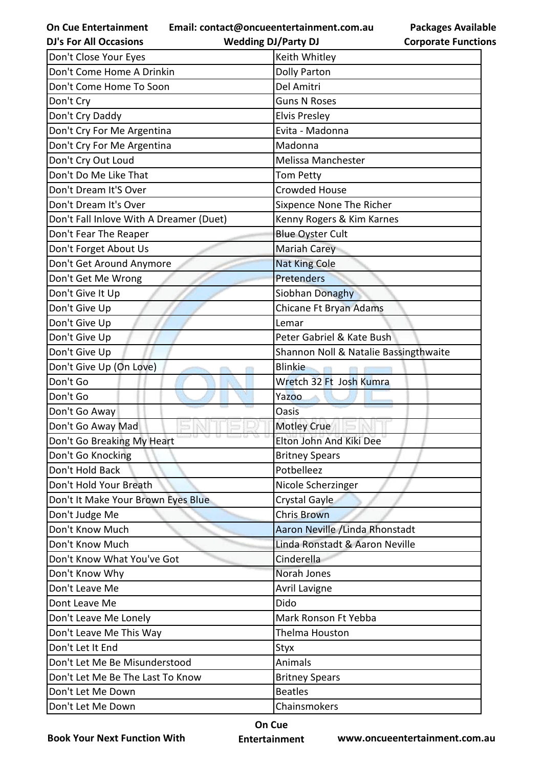**Email: contact@oncueentertainment.com.au**

**Wedding DJ/Party DJ** 

**Packages Available Corporate Functions**

| <b>DJ's For All Occasions</b>           | <b>Wedding DJ/Party DJ</b>            | <b>Corporate Functio</b> |
|-----------------------------------------|---------------------------------------|--------------------------|
| Don't Close Your Eyes                   | Keith Whitley                         |                          |
| Don't Come Home A Drinkin               | <b>Dolly Parton</b>                   |                          |
| Don't Come Home To Soon                 | Del Amitri                            |                          |
| Don't Cry                               | <b>Guns N Roses</b>                   |                          |
| Don't Cry Daddy                         | <b>Elvis Presley</b>                  |                          |
| Don't Cry For Me Argentina              | Evita - Madonna                       |                          |
| Don't Cry For Me Argentina              | Madonna                               |                          |
| Don't Cry Out Loud                      | Melissa Manchester                    |                          |
| Don't Do Me Like That                   | <b>Tom Petty</b>                      |                          |
| Don't Dream It'S Over                   | <b>Crowded House</b>                  |                          |
| Don't Dream It's Over                   | Sixpence None The Richer              |                          |
| Don't Fall Inlove With A Dreamer (Duet) | Kenny Rogers & Kim Karnes             |                          |
| Don't Fear The Reaper                   | <b>Blue Oyster Cult</b>               |                          |
| Don't Forget About Us                   | <b>Mariah Carey</b>                   |                          |
| Don't Get Around Anymore                | <b>Nat King Cole</b>                  |                          |
| Don't Get Me Wrong                      | <b>Pretenders</b>                     |                          |
| Don't Give It Up                        | Siobhan Donaghy                       |                          |
| Don't Give Up                           | Chicane Ft Bryan Adams                |                          |
| Don't Give Up                           | Lemar                                 |                          |
| Don't Give Up                           | Peter Gabriel & Kate Bush             |                          |
| Don't Give Up                           | Shannon Noll & Natalie Bassingthwaite |                          |
| Don't Give Up (On Love)                 | <b>Blinkie</b>                        |                          |
| Don't Go                                | Wretch 32 Ft Josh Kumra               |                          |
| Don't Go                                | Yazoo                                 |                          |
| Don't Go Away                           | <b>Oasis</b>                          |                          |
| Don't Go Away Mad                       | <b>Motley Crue</b>                    |                          |
| Don't Go Breaking My Heart              | Elton John And Kiki Dee               |                          |
| Don't Go Knocking                       | <b>Britney Spears</b>                 |                          |
| Don't Hold Back                         | Potbelleez                            |                          |
| Don't Hold Your Breath                  | Nicole Scherzinger                    |                          |
| Don't It Make Your Brown Eyes Blue      | <b>Crystal Gayle</b>                  |                          |
| Don't Judge Me                          | <b>Chris Brown</b>                    |                          |
| Don't Know Much                         | Aaron Neville / Linda Rhonstadt       |                          |
| Don't Know Much                         | Linda Ronstadt & Aaron Neville        |                          |
| Don't Know What You've Got              | Cinderella                            |                          |
| Don't Know Why                          | Norah Jones                           |                          |
| Don't Leave Me                          | Avril Lavigne                         |                          |
| Dont Leave Me                           | Dido                                  |                          |
| Don't Leave Me Lonely                   | Mark Ronson Ft Yebba                  |                          |
| Don't Leave Me This Way                 | Thelma Houston                        |                          |
| Don't Let It End                        | Styx                                  |                          |
| Don't Let Me Be Misunderstood           | Animals                               |                          |
| Don't Let Me Be The Last To Know        | <b>Britney Spears</b>                 |                          |
| Don't Let Me Down                       | <b>Beatles</b>                        |                          |
| Don't Let Me Down                       | Chainsmokers                          |                          |

**Book Your Next Function With**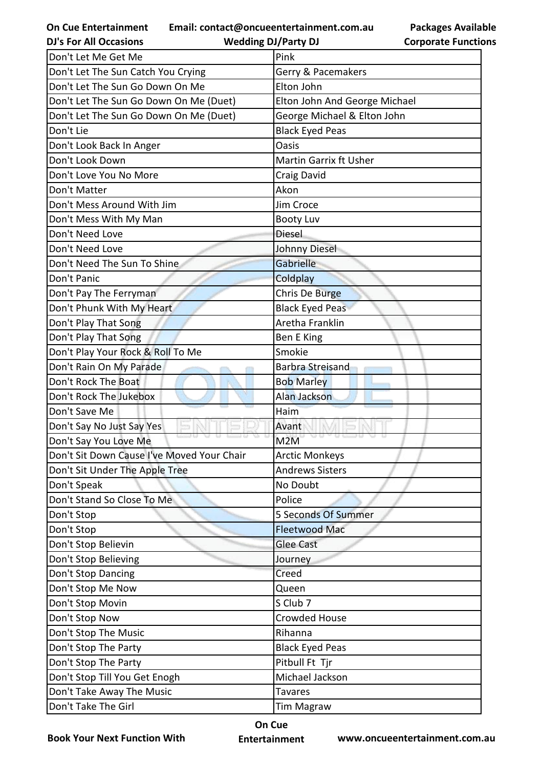**Email: contact@oncueentertainment.com.au**

**DJ's For All Occasions**

**Wedding DJ/Party DJ** 

| <b>Packages Available</b>  |
|----------------------------|
| <b>Corporate Functions</b> |

| Don't Let Me Get Me                        | Pink                          |
|--------------------------------------------|-------------------------------|
| Don't Let The Sun Catch You Crying         | Gerry & Pacemakers            |
| Don't Let The Sun Go Down On Me            | Elton John                    |
| Don't Let The Sun Go Down On Me (Duet)     | Elton John And George Michael |
| Don't Let The Sun Go Down On Me (Duet)     | George Michael & Elton John   |
| Don't Lie                                  | <b>Black Eyed Peas</b>        |
| Don't Look Back In Anger                   | Oasis                         |
| Don't Look Down                            | Martin Garrix ft Usher        |
| Don't Love You No More                     | Craig David                   |
| Don't Matter                               | Akon                          |
| Don't Mess Around With Jim                 | Jim Croce                     |
| Don't Mess With My Man                     | <b>Booty Luv</b>              |
| Don't Need Love                            | <b>Diesel</b>                 |
| Don't Need Love                            | <b>Johnny Diesel</b>          |
| Don't Need The Sun To Shine                | Gabrielle                     |
| Don't Panic                                | Coldplay                      |
| Don't Pay The Ferryman                     | Chris De Burge                |
| Don't Phunk With My Heart                  | <b>Black Eyed Peas</b>        |
| Don't Play That Song                       | Aretha Franklin               |
| Don't Play That Song                       | Ben E King                    |
| Don't Play Your Rock & Roll To Me          | Smokie                        |
| Don't Rain On My Parade                    | <b>Barbra Streisand</b>       |
| Don't Rock The Boat                        | <b>Bob Marley</b>             |
| Don't Rock The Jukebox                     | Alan Jackson                  |
| Don't Save Me                              | Haim                          |
| Don't Say No Just Say Yes                  | Avant                         |
| Don't Say You Love Me                      | M <sub>2</sub> M              |
| Don't Sit Down Cause I've Moved Your Chair | <b>Arctic Monkeys</b>         |
| Don't Sit Under The Apple Tree             | <b>Andrews Sisters</b>        |
| Don't Speak                                | No Doubt                      |
| Don't Stand So Close To Me                 | Police                        |
| Don't Stop                                 | 5 Seconds Of Summer           |
| Don't Stop                                 | <b>Fleetwood Mac</b>          |
| Don't Stop Believin                        | <b>Glee Cast</b>              |
| Don't Stop Believing                       | Journey                       |
| Don't Stop Dancing                         | Creed                         |
| Don't Stop Me Now                          | Queen                         |
| Don't Stop Movin                           | S Club 7                      |
| Don't Stop Now                             | <b>Crowded House</b>          |
| Don't Stop The Music                       | Rihanna                       |
| Don't Stop The Party                       | <b>Black Eyed Peas</b>        |
| Don't Stop The Party                       | Pitbull Ft Tjr                |
| Don't Stop Till You Get Enogh              | Michael Jackson               |
| Don't Take Away The Music                  | <b>Tavares</b>                |
| Don't Take The Girl                        | <b>Tim Magraw</b>             |

**Book Your Next Function With**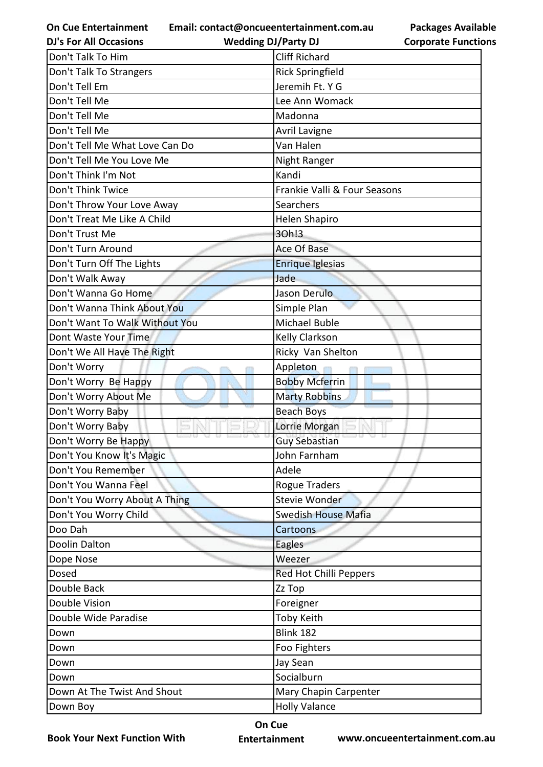**Email: contact@oncueentertainment.com.au**

**Wedding DJ/Party DJ** 

**Packages Available Corporate Functions**

| <b>DJ's For All Occasions</b>  | <b>Wedding DJ/Party DJ</b>   | <b>Corporate Functio</b> |
|--------------------------------|------------------------------|--------------------------|
| Don't Talk To Him              | <b>Cliff Richard</b>         |                          |
| Don't Talk To Strangers        | <b>Rick Springfield</b>      |                          |
| Don't Tell Em                  | Jeremih Ft. Y G              |                          |
| Don't Tell Me                  | Lee Ann Womack               |                          |
| Don't Tell Me                  | Madonna                      |                          |
| Don't Tell Me                  | <b>Avril Lavigne</b>         |                          |
| Don't Tell Me What Love Can Do | Van Halen                    |                          |
| Don't Tell Me You Love Me      | Night Ranger                 |                          |
| Don't Think I'm Not            | Kandi                        |                          |
| Don't Think Twice              | Frankie Valli & Four Seasons |                          |
| Don't Throw Your Love Away     | Searchers                    |                          |
| Don't Treat Me Like A Child    | <b>Helen Shapiro</b>         |                          |
| Don't Trust Me                 | 30h!3                        |                          |
| Don't Turn Around              | Ace Of Base                  |                          |
| Don't Turn Off The Lights      | Enrique Iglesias             |                          |
| Don't Walk Away                | Jade                         |                          |
| Don't Wanna Go Home            | Jason Derulo                 |                          |
| Don't Wanna Think About You    | Simple Plan                  |                          |
| Don't Want To Walk Without You | Michael Buble                |                          |
| Dont Waste Your Time           | Kelly Clarkson               |                          |
| Don't We All Have The Right    | Ricky Van Shelton            |                          |
| Don't Worry                    | Appleton                     |                          |
| Don't Worry Be Happy           | <b>Bobby Mcferrin</b>        |                          |
| Don't Worry About Me           | <b>Marty Robbins</b>         |                          |
| Don't Worry Baby               | <b>Beach Boys</b>            |                          |
| Don't Worry Baby               | Lorrie Morgan                |                          |
| Don't Worry Be Happy           | <b>Guy Sebastian</b>         |                          |
| Don't You Know It's Magic      | John Farnham                 |                          |
| Don't You Remember             | Adele                        |                          |
| Don't You Wanna Feel           | <b>Rogue Traders</b>         |                          |
| Don't You Worry About A Thing  | Stevie Wonder                |                          |
| Don't You Worry Child          | <b>Swedish House Mafia</b>   |                          |
| Doo Dah                        | Cartoons                     |                          |
| Doolin Dalton                  | Eagles                       |                          |
| Dope Nose                      | Weezer                       |                          |
| Dosed                          | Red Hot Chilli Peppers       |                          |
| Double Back                    | Zz Top                       |                          |
| Double Vision                  | Foreigner                    |                          |
| Double Wide Paradise           | Toby Keith                   |                          |
| Down                           | <b>Blink 182</b>             |                          |
| Down                           | Foo Fighters                 |                          |
| Down                           | Jay Sean                     |                          |
| Down                           | Socialburn                   |                          |
| Down At The Twist And Shout    | Mary Chapin Carpenter        |                          |
| Down Boy                       | <b>Holly Valance</b>         |                          |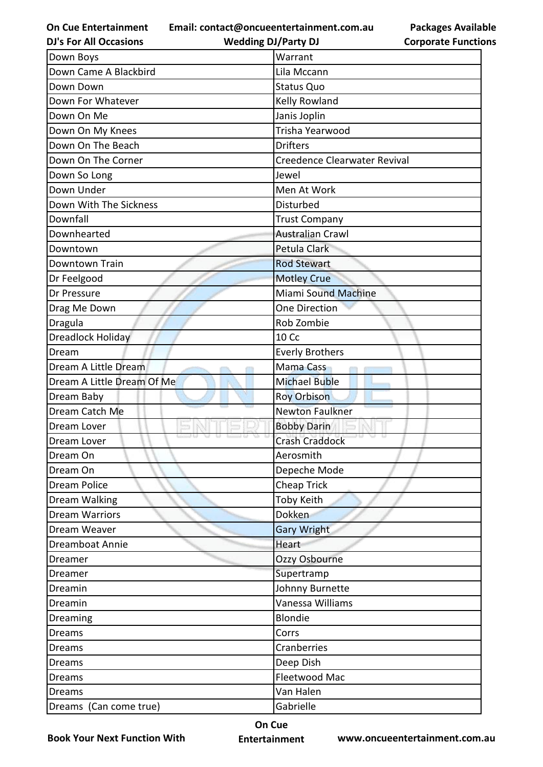**Email: contact@oncueentertainment.com.au**

**DJ's For All Occasions**

**Wedding DJ/Party DJ** 

**Packages Available Corporate Functions**

| Down Boys                  | Warrant                      |
|----------------------------|------------------------------|
| Down Came A Blackbird      | Lila Mccann                  |
| Down Down                  | <b>Status Quo</b>            |
| Down For Whatever          | Kelly Rowland                |
| Down On Me                 | Janis Joplin                 |
| Down On My Knees           | Trisha Yearwood              |
| Down On The Beach          | <b>Drifters</b>              |
| Down On The Corner         | Creedence Clearwater Revival |
| Down So Long               | Jewel                        |
| Down Under                 | Men At Work                  |
| Down With The Sickness     | Disturbed                    |
| Downfall                   | <b>Trust Company</b>         |
| Downhearted                | <b>Australian Crawl</b>      |
| Downtown                   | Petula Clark                 |
| Downtown Train             | <b>Rod Stewart</b>           |
| Dr Feelgood                | <b>Motley Crue</b>           |
| Dr Pressure                | Miami Sound Machine          |
| Drag Me Down               | One Direction                |
| Dragula                    | Rob Zombie                   |
| <b>Dreadlock Holiday</b>   | <b>10 Cc</b>                 |
| Dream                      | <b>Everly Brothers</b>       |
| Dream A Little Dream       | <b>Mama Cass</b>             |
| Dream A Little Dream Of Me | <b>Michael Buble</b>         |
| Dream Baby                 | <b>Roy Orbison</b>           |
| Dream Catch Me             | <b>Newton Faulkner</b>       |
| Dream Lover                | <b>Bobby Darin</b>           |
| Dream Lover                | <b>Crash Craddock</b>        |
| Dream On                   | Aerosmith                    |
| Dream On                   | Depeche Mode                 |
| Dream Police               | Cheap Trick                  |
| Dream Walking              | Toby Keith                   |
| <b>Dream Warriors</b>      | Dokken                       |
| Dream Weaver               | <b>Gary Wright</b>           |
| Dreamboat Annie            | <b>Heart</b>                 |
| Dreamer                    | Ozzy Osbourne                |
| Dreamer                    | Supertramp                   |
| Dreamin                    | Johnny Burnette              |
| Dreamin                    | Vanessa Williams             |
| Dreaming                   | Blondie                      |
| <b>Dreams</b>              | Corrs                        |
| <b>Dreams</b>              | Cranberries                  |
| <b>Dreams</b>              | Deep Dish                    |
| Dreams                     | Fleetwood Mac                |
| <b>Dreams</b>              | Van Halen                    |
| Dreams (Can come true)     | Gabrielle                    |

**Book Your Next Function With**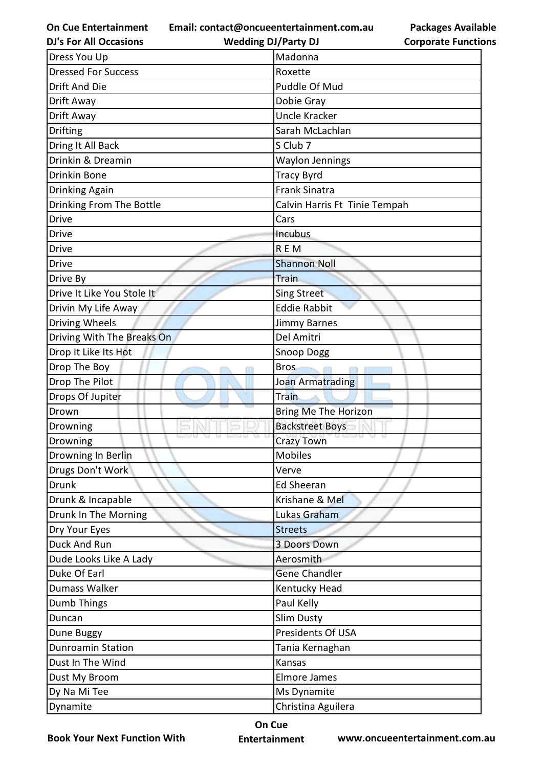**Email: contact@oncueentertainment.com.au**

**DJ's For All Occasions**

**Wedding DJ/Party DJ** 

| Dress You Up               | Madonna                       |
|----------------------------|-------------------------------|
| <b>Dressed For Success</b> | Roxette                       |
| Drift And Die              | Puddle Of Mud                 |
| Drift Away                 | Dobie Gray                    |
| Drift Away                 | <b>Uncle Kracker</b>          |
| <b>Drifting</b>            | Sarah McLachlan               |
| Dring It All Back          | S Club 7                      |
| Drinkin & Dreamin          | <b>Waylon Jennings</b>        |
| Drinkin Bone               | <b>Tracy Byrd</b>             |
| Drinking Again             | <b>Frank Sinatra</b>          |
| Drinking From The Bottle   | Calvin Harris Ft Tinie Tempah |
| <b>Drive</b>               | Cars                          |
| Drive                      | Incubus                       |
| Drive                      | <b>REM</b>                    |
| Drive                      | <b>Shannon Noll</b>           |
| Drive By                   | Train                         |
| Drive It Like You Stole It | <b>Sing Street</b>            |
| Drivin My Life Away        | <b>Eddie Rabbit</b>           |
| Driving Wheels             | Jimmy Barnes                  |
| Driving With The Breaks On | Del Amitri                    |
| Drop It Like Its Hot       | Snoop Dogg                    |
| Drop The Boy               | <b>Bros</b>                   |
| Drop The Pilot             | Joan Armatrading              |
| Drops Of Jupiter           | <b>Train</b>                  |
| Drown                      | <b>Bring Me The Horizon</b>   |
| Drowning                   | <b>Backstreet Boys</b>        |
| Drowning                   | <b>Crazy Town</b>             |
| Drowning In Berlin         | <b>Mobiles</b>                |
| Drugs Don't Work           | Verve                         |
| <b>Drunk</b>               | <b>Ed Sheeran</b>             |
| Drunk & Incapable          | Krishane & Mel                |
| Drunk In The Morning       | Lukas Graham                  |
| Dry Your Eyes              | <b>Streets</b>                |
| Duck And Run               | 3 Doors Down                  |
| Dude Looks Like A Lady     | Aerosmith                     |
| Duke Of Earl               | <b>Gene Chandler</b>          |
| Dumass Walker              | Kentucky Head                 |
| Dumb Things                | Paul Kelly                    |
| Duncan                     | <b>Slim Dusty</b>             |
| Dune Buggy                 | Presidents Of USA             |
| <b>Dunroamin Station</b>   | Tania Kernaghan               |
| Dust In The Wind           | Kansas                        |
| Dust My Broom              | <b>Elmore James</b>           |
| Dy Na Mi Tee               | Ms Dynamite                   |
| Dynamite                   | Christina Aguilera            |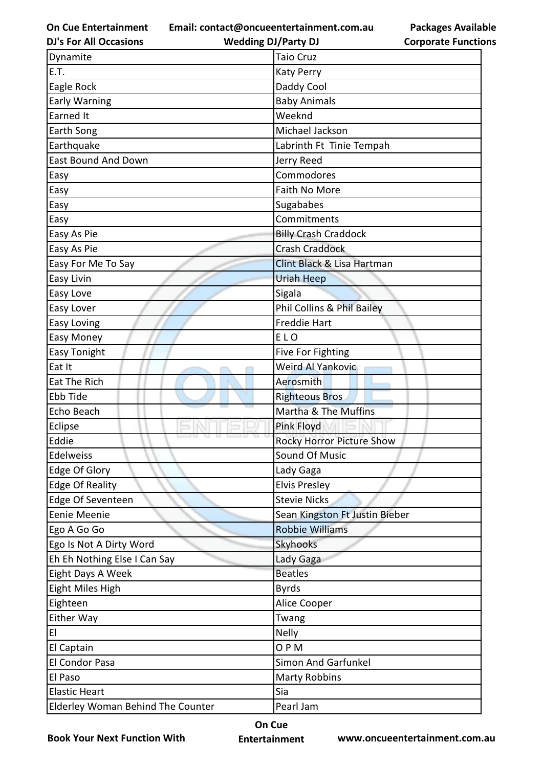**Email: contact@oncueentertainment.com.au**

**Packages Available Corporate Functions**

| <b>DJ's For All Occasions</b>     | <b>Wedding DJ/Party DJ</b>       | <b>Corporate Functio</b> |
|-----------------------------------|----------------------------------|--------------------------|
| Dynamite                          | <b>Taio Cruz</b>                 |                          |
| E.T.                              | <b>Katy Perry</b>                |                          |
| Eagle Rock                        | Daddy Cool                       |                          |
| <b>Early Warning</b>              | <b>Baby Animals</b>              |                          |
| <b>Earned It</b>                  | Weeknd                           |                          |
| Earth Song                        | Michael Jackson                  |                          |
| Earthquake                        | Labrinth Ft Tinie Tempah         |                          |
| East Bound And Down               | Jerry Reed                       |                          |
| Easy                              | Commodores                       |                          |
| Easy                              | Faith No More                    |                          |
| Easy                              | Sugababes                        |                          |
| Easy                              | Commitments                      |                          |
| Easy As Pie                       | <b>Billy Crash Craddock</b>      |                          |
| Easy As Pie                       | <b>Crash Craddock</b>            |                          |
| Easy For Me To Say                | Clint Black & Lisa Hartman       |                          |
| Easy Livin                        | <b>Uriah Heep</b>                |                          |
| Easy Love                         | Sigala                           |                          |
| Easy Lover                        | Phil Collins & Phil Bailey       |                          |
| Easy Loving                       | <b>Freddie Hart</b>              |                          |
| Easy Money                        | ELO                              |                          |
| Easy Tonight                      | Five For Fighting                |                          |
| Eat It                            | Weird Al Yankovic                |                          |
| Eat The Rich                      | Aerosmith                        |                          |
| Ebb Tide                          | <b>Righteous Bros</b>            |                          |
| Echo Beach                        | Martha & The Muffins             |                          |
| Eclipse                           | Pink Floyd                       |                          |
| Eddie                             | <b>Rocky Horror Picture Show</b> |                          |
| Edelweiss                         | <b>Sound Of Music</b>            |                          |
| Edge Of Glory                     | Lady Gaga                        |                          |
| <b>Edge Of Reality</b>            | <b>Elvis Presley</b>             |                          |
| Edge Of Seventeen                 | <b>Stevie Nicks</b>              |                          |
| Eenie Meenie                      | Sean Kingston Ft Justin Bieber   |                          |
| Ego A Go Go                       | <b>Robbie Williams</b>           |                          |
| Ego Is Not A Dirty Word           | <b>Skyhooks</b>                  |                          |
| Eh Eh Nothing Else I Can Say      | Lady Gaga                        |                          |
| Eight Days A Week                 | <b>Beatles</b>                   |                          |
| Eight Miles High                  | <b>Byrds</b>                     |                          |
| Eighteen                          | Alice Cooper                     |                          |
| Either Way                        | Twang                            |                          |
| EI                                | <b>Nelly</b>                     |                          |
| El Captain                        | OPM                              |                          |
| El Condor Pasa                    | Simon And Garfunkel              |                          |
| El Paso                           | <b>Marty Robbins</b>             |                          |
| <b>Elastic Heart</b>              | Sia                              |                          |
| Elderley Woman Behind The Counter | Pearl Jam                        |                          |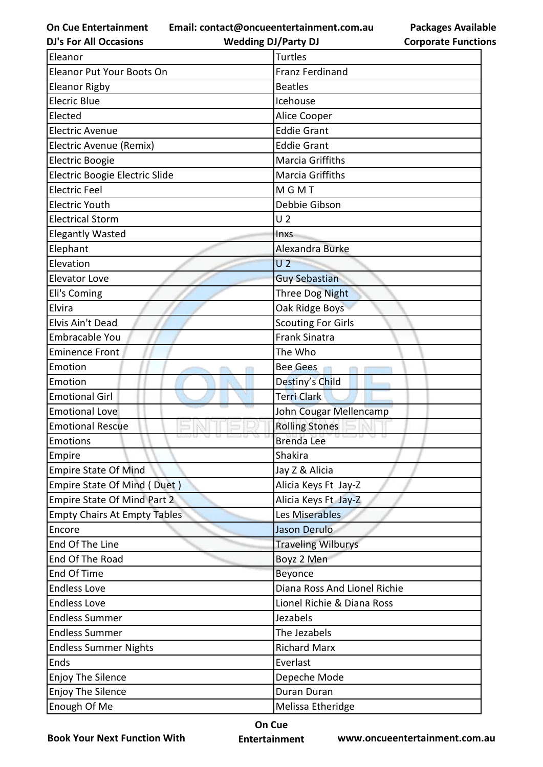**Email: contact@oncueentertainment.com.au**

**DJ's For All Occasions**

**Wedding DJ/Party DJ** 



| Eleanor                             | <b>Turtles</b>               |
|-------------------------------------|------------------------------|
| <b>Eleanor Put Your Boots On</b>    | <b>Franz Ferdinand</b>       |
| <b>Eleanor Rigby</b>                | <b>Beatles</b>               |
| <b>Elecric Blue</b>                 | Icehouse                     |
| Elected                             | Alice Cooper                 |
| <b>Electric Avenue</b>              | <b>Eddie Grant</b>           |
| Electric Avenue (Remix)             | <b>Eddie Grant</b>           |
| <b>Electric Boogie</b>              | <b>Marcia Griffiths</b>      |
| Electric Boogie Electric Slide      | Marcia Griffiths             |
| <b>Electric Feel</b>                | MGMT                         |
| Electric Youth                      | Debbie Gibson                |
| <b>Electrical Storm</b>             | U <sub>2</sub>               |
| <b>Elegantly Wasted</b>             | Inxs                         |
| Elephant                            | Alexandra Burke              |
| Elevation                           | U <sub>2</sub>               |
| <b>Elevator Love</b>                | <b>Guy Sebastian</b>         |
| Eli's Coming                        | Three Dog Night              |
| Elvira                              | Oak Ridge Boys               |
| Elvis Ain't Dead                    | <b>Scouting For Girls</b>    |
| <b>Embracable You</b>               | <b>Frank Sinatra</b>         |
| <b>Eminence Front</b>               | The Who                      |
| Emotion                             | <b>Bee Gees</b>              |
| Emotion                             | Destiny's Child              |
| <b>Emotional Girl</b>               | <b>Terri Clark</b>           |
| <b>Emotional Love</b>               | John Cougar Mellencamp       |
| <b>Emotional Rescue</b>             | <b>Rolling Stones</b>        |
| <b>Emotions</b>                     | <b>Brenda Lee</b>            |
| Empire                              | Shakira                      |
| <b>Empire State Of Mind</b>         | Jay Z & Alicia               |
| Empire State Of Mind (Duet)         | Alicia Keys Ft Jay-Z         |
| <b>Empire State Of Mind Part 2</b>  | Alicia Keys Ft Jay-Z         |
| <b>Empty Chairs At Empty Tables</b> | Les Miserables               |
| Encore                              | Jason Derulo                 |
| End Of The Line                     | <b>Traveling Wilburys</b>    |
| End Of The Road                     | Boyz 2 Men                   |
| End Of Time                         | Beyonce                      |
| <b>Endless Love</b>                 | Diana Ross And Lionel Richie |
| <b>Endless Love</b>                 | Lionel Richie & Diana Ross   |
| <b>Endless Summer</b>               | Jezabels                     |
| <b>Endless Summer</b>               | The Jezabels                 |
| <b>Endless Summer Nights</b>        | <b>Richard Marx</b>          |
| <b>Ends</b>                         | Everlast                     |
| <b>Enjoy The Silence</b>            | Depeche Mode                 |
| <b>Enjoy The Silence</b>            | Duran Duran                  |
| Enough Of Me                        | Melissa Etheridge            |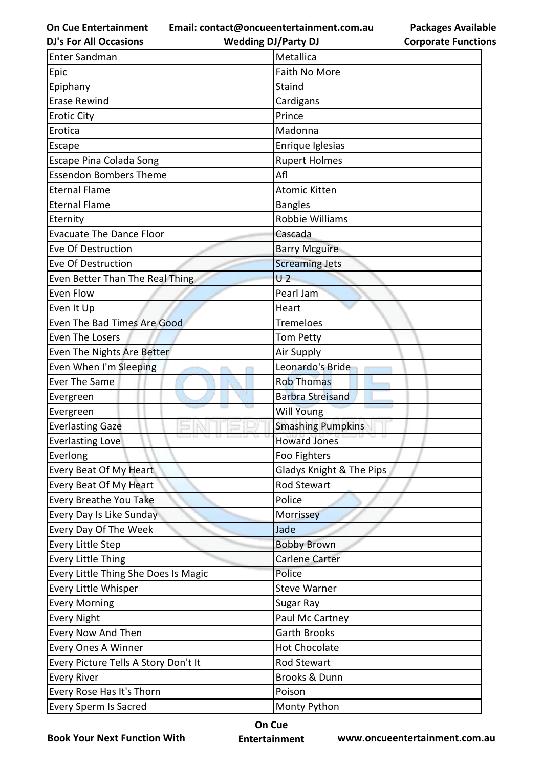**Email: contact@oncueentertainment.com.au Wedding DJ/Party DJ** 

**DJ's For All Occasions**

**Packages Available Corporate Functions**

| <b>Enter Sandman</b>                 | Metallica                |
|--------------------------------------|--------------------------|
| Epic                                 | Faith No More            |
| Epiphany                             | Staind                   |
| <b>Erase Rewind</b>                  | Cardigans                |
| <b>Erotic City</b>                   | Prince                   |
| Erotica                              | Madonna                  |
| Escape                               | Enrique Iglesias         |
| Escape Pina Colada Song              | <b>Rupert Holmes</b>     |
| <b>Essendon Bombers Theme</b>        | Afl                      |
| <b>Eternal Flame</b>                 | <b>Atomic Kitten</b>     |
| <b>Eternal Flame</b>                 | <b>Bangles</b>           |
| Eternity                             | Robbie Williams          |
| <b>Evacuate The Dance Floor</b>      | Cascada                  |
| Eve Of Destruction                   | <b>Barry Mcguire</b>     |
| Eve Of Destruction                   | <b>Screaming Jets</b>    |
| Even Better Than The Real Thing      | U <sub>2</sub>           |
| Even Flow                            | Pearl Jam                |
| Even It Up                           | Heart                    |
| Even The Bad Times Are Good          | <b>Tremeloes</b>         |
| Even The Losers                      | Tom Petty                |
| Even The Nights Are Better           | Air Supply               |
| Even When I'm Sleeping               | Leonardo's Bride         |
| Ever The Same                        | <b>Rob Thomas</b>        |
| Evergreen                            | <b>Barbra Streisand</b>  |
| Evergreen                            | <b>Will Young</b>        |
| <b>Everlasting Gaze</b>              | <b>Smashing Pumpkins</b> |
| <b>Everlasting Love</b>              | <b>Howard Jones</b>      |
| Everlong                             | Foo Fighters             |
| Every Beat Of My Heart               | Gladys Knight & The Pips |
| Every Beat Of My Heart               | <b>Rod Stewart</b>       |
| Every Breathe You Take               | Police                   |
| Every Day Is Like Sunday             | Morrissey                |
| Every Day Of The Week                | Jade                     |
| <b>Every Little Step</b>             | <b>Bobby Brown</b>       |
| <b>Every Little Thing</b>            | Carlene Carter           |
| Every Little Thing She Does Is Magic | Police                   |
| Every Little Whisper                 | <b>Steve Warner</b>      |
| <b>Every Morning</b>                 | Sugar Ray                |
| <b>Every Night</b>                   | Paul Mc Cartney          |
| Every Now And Then                   | <b>Garth Brooks</b>      |
| <b>Every Ones A Winner</b>           | <b>Hot Chocolate</b>     |
| Every Picture Tells A Story Don't It | Rod Stewart              |
| <b>Every River</b>                   | Brooks & Dunn            |
| Every Rose Has It's Thorn            | Poison                   |
| <b>Every Sperm Is Sacred</b>         | Monty Python             |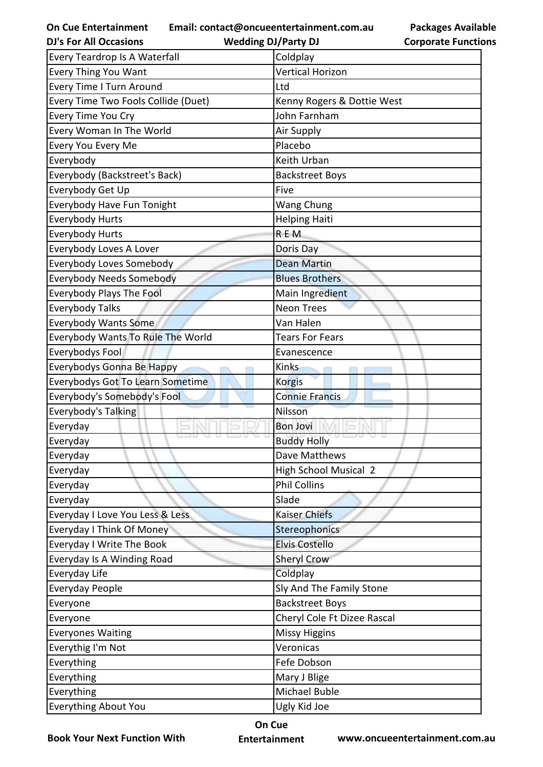**Email: contact@oncueentertainment.com.au Wedding DJ/Party DJ** 

**Packages Available Corporate Functions**

| <b>DJ's For All Occasions</b>           | <b>Wedding DJ/Party DJ</b>   | <b>Corporate Functio</b> |
|-----------------------------------------|------------------------------|--------------------------|
| Every Teardrop Is A Waterfall           | Coldplay                     |                          |
| Every Thing You Want                    | <b>Vertical Horizon</b>      |                          |
| <b>Every Time I Turn Around</b>         | Ltd                          |                          |
| Every Time Two Fools Collide (Duet)     | Kenny Rogers & Dottie West   |                          |
| Every Time You Cry                      | John Farnham                 |                          |
| Every Woman In The World                | Air Supply                   |                          |
| Every You Every Me                      | Placebo                      |                          |
| Everybody                               | Keith Urban                  |                          |
| Everybody (Backstreet's Back)           | <b>Backstreet Boys</b>       |                          |
| Everybody Get Up                        | Five                         |                          |
| Everybody Have Fun Tonight              | Wang Chung                   |                          |
| <b>Everybody Hurts</b>                  | <b>Helping Haiti</b>         |                          |
| <b>Everybody Hurts</b>                  | REM                          |                          |
| Everybody Loves A Lover                 | Doris Day                    |                          |
| Everybody Loves Somebody                | <b>Dean Martin</b>           |                          |
| <b>Everybody Needs Somebody</b>         | <b>Blues Brothers</b>        |                          |
| <b>Everybody Plays The Fool</b>         | Main Ingredient              |                          |
| <b>Everybody Talks</b>                  | <b>Neon Trees</b>            |                          |
| <b>Everybody Wants Some</b>             | Van Halen                    |                          |
| Everybody Wants To Rule The World       | <b>Tears For Fears</b>       |                          |
| Everybodys Fool                         | Evanescence                  |                          |
| Everybodys Gonna Be Happy               | <b>Kinks</b>                 |                          |
| <b>Everybodys Got To Learn Sometime</b> | <b>Korgis</b>                |                          |
| Everybody's Somebody's Fool             | <b>Connie Francis</b>        |                          |
| Everybody's Talking                     | Nilsson                      |                          |
| Everyday                                | <b>Bon Jovi</b>              |                          |
| Everyday                                | <b>Buddy Holly</b>           |                          |
| Everyday                                | Dave Matthews                |                          |
| Everyday                                | <b>High School Musical 2</b> |                          |
| Everyday                                | <b>Phil Collins</b>          |                          |
| Everyday                                | Slade                        |                          |
| Everyday I Love You Less & Less         | <b>Kaiser Chiefs</b>         |                          |
| <b>Everyday I Think Of Money</b>        | Stereophonics                |                          |
| <b>Everyday I Write The Book</b>        | <b>Elvis Costello</b>        |                          |
| Everyday Is A Winding Road              | <b>Sheryl Crow</b>           |                          |
| Everyday Life                           | Coldplay                     |                          |
| <b>Everyday People</b>                  | Sly And The Family Stone     |                          |
| Everyone                                | <b>Backstreet Boys</b>       |                          |
| Everyone                                | Cheryl Cole Ft Dizee Rascal  |                          |
| <b>Everyones Waiting</b>                | <b>Missy Higgins</b>         |                          |
| Everythig I'm Not                       | Veronicas                    |                          |
| Everything                              | Fefe Dobson                  |                          |
| Everything                              | Mary J Blige                 |                          |
| Everything                              | Michael Buble                |                          |
| Everything About You                    | Ugly Kid Joe                 |                          |

**Book Your Next Function With**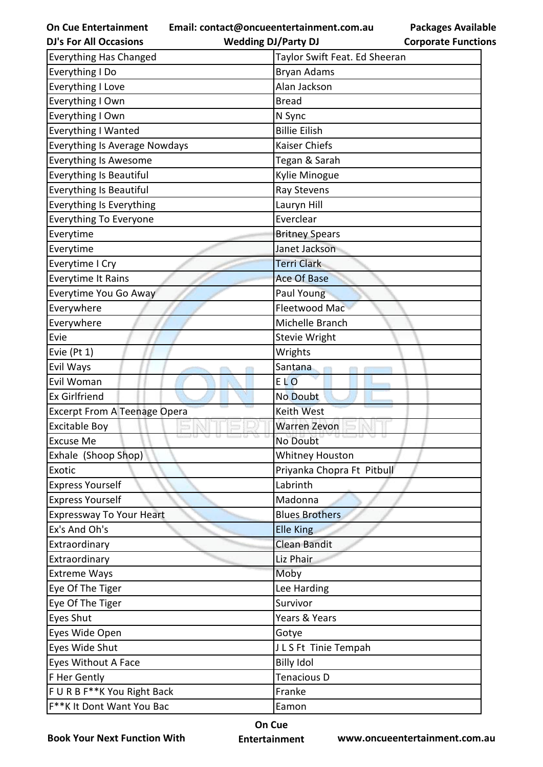**Email: contact@oncueentertainment.com.au**

| <b>DJ's For All Occasions</b>        | <b>Wedding DJ/Party DJ</b><br><b>Corporate Functio</b> |  |
|--------------------------------------|--------------------------------------------------------|--|
| <b>Everything Has Changed</b>        | Taylor Swift Feat. Ed Sheeran                          |  |
| Everything I Do                      | <b>Bryan Adams</b>                                     |  |
| <b>Everything I Love</b>             | Alan Jackson                                           |  |
| Everything I Own                     | <b>Bread</b>                                           |  |
| Everything I Own                     | N Sync                                                 |  |
| Everything I Wanted                  | <b>Billie Eilish</b>                                   |  |
| <b>Everything Is Average Nowdays</b> | Kaiser Chiefs                                          |  |
| <b>Everything Is Awesome</b>         | Tegan & Sarah                                          |  |
| Everything Is Beautiful              | Kylie Minogue                                          |  |
| Everything Is Beautiful              | Ray Stevens                                            |  |
| <b>Everything Is Everything</b>      | Lauryn Hill                                            |  |
| <b>Everything To Everyone</b>        | Everclear                                              |  |
| Everytime                            | <b>Britney Spears</b>                                  |  |
| Everytime                            | Janet Jackson                                          |  |
| Everytime I Cry                      | <b>Terri Clark</b>                                     |  |
| <b>Everytime It Rains</b>            | <b>Ace Of Base</b>                                     |  |
| Everytime You Go Away                | Paul Young                                             |  |
| Everywhere                           | Fleetwood Mac                                          |  |
| Everywhere                           | Michelle Branch                                        |  |
| Evie                                 | <b>Stevie Wright</b>                                   |  |
| Evie (Pt 1)                          | Wrights                                                |  |
| Evil Ways                            | Santana                                                |  |
| Evil Woman                           | <b>ELO</b>                                             |  |
| <b>Ex Girlfriend</b>                 | <b>No Doubt</b>                                        |  |
| <b>Excerpt From A Teenage Opera</b>  | <b>Keith West</b>                                      |  |
| <b>Excitable Boy</b>                 | <b>Warren Zevon</b>                                    |  |
| <b>Excuse Me</b>                     | No Doubt                                               |  |
| Exhale (Shoop Shop)                  | <b>Whitney Houston</b>                                 |  |
| <b>Exotic</b>                        | Priyanka Chopra Ft Pitbull                             |  |
| <b>Express Yourself</b>              | Labrinth                                               |  |
| <b>Express Yourself</b>              | Madonna                                                |  |
| <b>Expressway To Your Heart</b>      | <b>Blues Brothers</b>                                  |  |
| Ex's And Oh's                        | <b>Elle King</b>                                       |  |
| Extraordinary                        | <b>Clean Bandit</b>                                    |  |
| Extraordinary                        | Liz Phair                                              |  |
| <b>Extreme Ways</b>                  | Moby                                                   |  |
| Eye Of The Tiger                     | Lee Harding                                            |  |
| Eye Of The Tiger                     | Survivor                                               |  |
| Eyes Shut                            | Years & Years                                          |  |
| Eyes Wide Open                       | Gotye                                                  |  |
| Eyes Wide Shut                       | JLS Ft Tinie Tempah                                    |  |
| Eyes Without A Face                  | <b>Billy Idol</b>                                      |  |
| F Her Gently                         | Tenacious D                                            |  |
| F U R B F**K You Right Back          | Franke                                                 |  |
| F**K It Dont Want You Bac            | Eamon                                                  |  |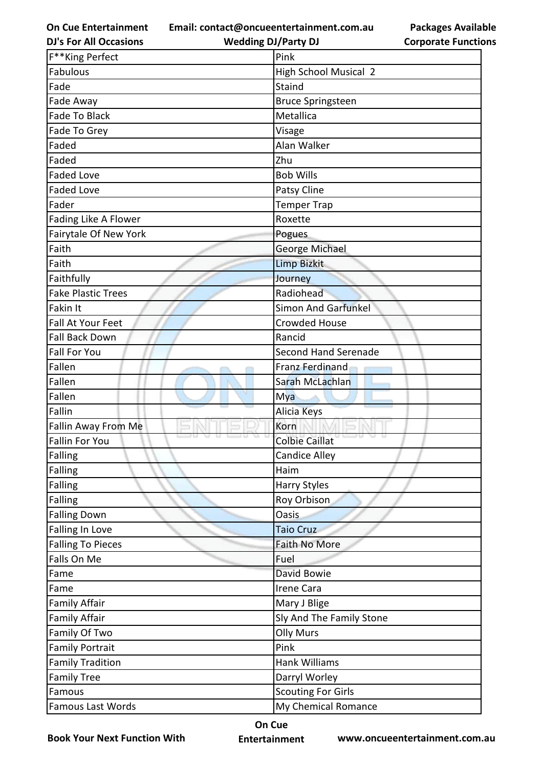**Email: contact@oncueentertainment.com.au**

**Packages Available Corporate Functions**

| <b>DJ's For All Occasions</b> | <b>Wedding DJ/Party DJ</b>    | <b>Corporate Functio</b> |
|-------------------------------|-------------------------------|--------------------------|
| F**King Perfect               | Pink                          |                          |
| Fabulous                      | <b>High School Musical 2</b>  |                          |
| Fade                          | Staind                        |                          |
| Fade Away                     | <b>Bruce Springsteen</b>      |                          |
| <b>Fade To Black</b>          | Metallica                     |                          |
| Fade To Grey                  | Visage                        |                          |
| Faded                         | Alan Walker                   |                          |
| Faded                         | Zhu                           |                          |
| <b>Faded Love</b>             | <b>Bob Wills</b>              |                          |
| <b>Faded Love</b>             | Patsy Cline                   |                          |
| Fader                         | <b>Temper Trap</b>            |                          |
| Fading Like A Flower          | Roxette                       |                          |
| Fairytale Of New York         | Pogues                        |                          |
| Faith                         | George Michael                |                          |
| Faith                         | <b>Limp Bizkit</b>            |                          |
| Faithfully                    | Journey                       |                          |
| <b>Fake Plastic Trees</b>     | Radiohead                     |                          |
| Fakin It                      | <b>Simon And Garfunkel</b>    |                          |
| Fall At Your Feet             | <b>Crowded House</b>          |                          |
| <b>Fall Back Down</b>         | Rancid                        |                          |
| <b>Fall For You</b>           | <b>Second Hand Serenade</b>   |                          |
| Fallen                        | Franz Ferdinand               |                          |
| Fallen                        | Sarah McLachlan               |                          |
| Fallen                        | Mya                           |                          |
| Fallin                        | <b>Alicia Keys</b>            |                          |
| Fallin Away From Me           | Korn                          |                          |
| Fallin For You                | 33 W<br><b>Colbie Caillat</b> |                          |
| Falling                       | <b>Candice Alley</b>          |                          |
| Falling                       | Haim                          |                          |
| Falling                       | <b>Harry Styles</b>           |                          |
| Falling                       | Roy Orbison                   |                          |
| <b>Falling Down</b>           | Oasis                         |                          |
| <b>Falling In Love</b>        | <b>Taio Cruz</b>              |                          |
| <b>Falling To Pieces</b>      | Faith No More                 |                          |
| Falls On Me                   | Fuel                          |                          |
| Fame                          | David Bowie                   |                          |
| Fame                          | Irene Cara                    |                          |
| <b>Family Affair</b>          | Mary J Blige                  |                          |
| <b>Family Affair</b>          | Sly And The Family Stone      |                          |
| Family Of Two                 | <b>Olly Murs</b>              |                          |
| <b>Family Portrait</b>        | Pink                          |                          |
| <b>Family Tradition</b>       | <b>Hank Williams</b>          |                          |
| <b>Family Tree</b>            | Darryl Worley                 |                          |
| Famous                        | <b>Scouting For Girls</b>     |                          |
| <b>Famous Last Words</b>      | My Chemical Romance           |                          |

**Book Your Next Function With**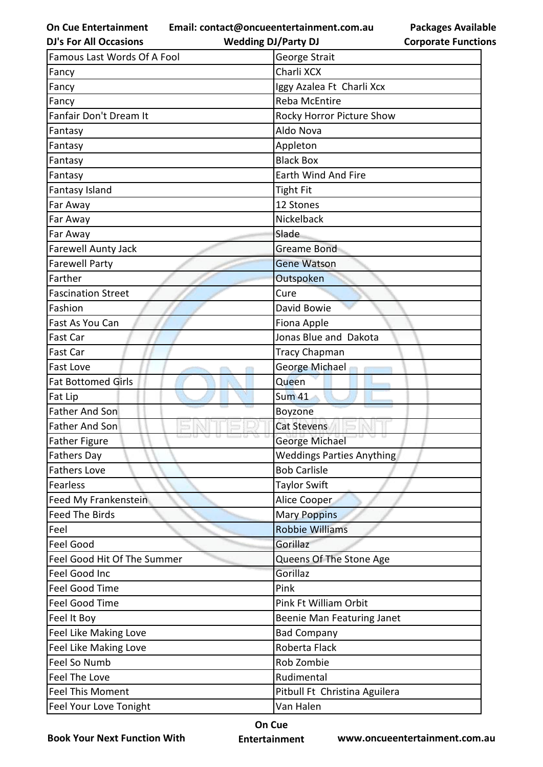**Email: contact@oncueentertainment.com.au**

**Packages Available Corporate Functions**

| <b>Famous Last Words Of A Fool</b><br>George Strait<br>Charli XCX<br>Fancy<br>Fancy<br>Iggy Azalea Ft Charli Xcx<br>Fancy<br><b>Reba McEntire</b><br>Fanfair Don't Dream It<br>Rocky Horror Picture Show<br>Aldo Nova<br>Fantasy<br>Appleton<br>Fantasy<br><b>Black Box</b><br>Fantasy<br>Earth Wind And Fire<br>Fantasy<br>Fantasy Island<br><b>Tight Fit</b><br>Far Away<br>12 Stones<br>Nickelback<br>Far Away<br>Slade<br>Far Away<br>Farewell Aunty Jack<br>Greame Bond<br><b>Farewell Party</b><br><b>Gene Watson</b><br>Farther<br>Outspoken<br><b>Fascination Street</b><br>Cure<br>Fashion<br>David Bowie<br>Fast As You Can<br>Fiona Apple<br>Jonas Blue and Dakota<br><b>Fast Car</b><br>Tracy Chapman<br><b>Fast Car</b><br>George Michael<br><b>Fast Love</b><br><b>Fat Bottomed Girls</b><br>Queen<br><b>Sum 41</b><br>Fat Lip<br><b>Father And Son</b><br>Boyzone<br><b>Father And Son</b><br><b>Cat Stevens</b><br>Father Figure<br><b>George Michael</b> |
|---------------------------------------------------------------------------------------------------------------------------------------------------------------------------------------------------------------------------------------------------------------------------------------------------------------------------------------------------------------------------------------------------------------------------------------------------------------------------------------------------------------------------------------------------------------------------------------------------------------------------------------------------------------------------------------------------------------------------------------------------------------------------------------------------------------------------------------------------------------------------------------------------------------------------------------------------------------------------|
|                                                                                                                                                                                                                                                                                                                                                                                                                                                                                                                                                                                                                                                                                                                                                                                                                                                                                                                                                                           |
|                                                                                                                                                                                                                                                                                                                                                                                                                                                                                                                                                                                                                                                                                                                                                                                                                                                                                                                                                                           |
|                                                                                                                                                                                                                                                                                                                                                                                                                                                                                                                                                                                                                                                                                                                                                                                                                                                                                                                                                                           |
|                                                                                                                                                                                                                                                                                                                                                                                                                                                                                                                                                                                                                                                                                                                                                                                                                                                                                                                                                                           |
|                                                                                                                                                                                                                                                                                                                                                                                                                                                                                                                                                                                                                                                                                                                                                                                                                                                                                                                                                                           |
|                                                                                                                                                                                                                                                                                                                                                                                                                                                                                                                                                                                                                                                                                                                                                                                                                                                                                                                                                                           |
|                                                                                                                                                                                                                                                                                                                                                                                                                                                                                                                                                                                                                                                                                                                                                                                                                                                                                                                                                                           |
|                                                                                                                                                                                                                                                                                                                                                                                                                                                                                                                                                                                                                                                                                                                                                                                                                                                                                                                                                                           |
|                                                                                                                                                                                                                                                                                                                                                                                                                                                                                                                                                                                                                                                                                                                                                                                                                                                                                                                                                                           |
|                                                                                                                                                                                                                                                                                                                                                                                                                                                                                                                                                                                                                                                                                                                                                                                                                                                                                                                                                                           |
|                                                                                                                                                                                                                                                                                                                                                                                                                                                                                                                                                                                                                                                                                                                                                                                                                                                                                                                                                                           |
|                                                                                                                                                                                                                                                                                                                                                                                                                                                                                                                                                                                                                                                                                                                                                                                                                                                                                                                                                                           |
|                                                                                                                                                                                                                                                                                                                                                                                                                                                                                                                                                                                                                                                                                                                                                                                                                                                                                                                                                                           |
|                                                                                                                                                                                                                                                                                                                                                                                                                                                                                                                                                                                                                                                                                                                                                                                                                                                                                                                                                                           |
|                                                                                                                                                                                                                                                                                                                                                                                                                                                                                                                                                                                                                                                                                                                                                                                                                                                                                                                                                                           |
|                                                                                                                                                                                                                                                                                                                                                                                                                                                                                                                                                                                                                                                                                                                                                                                                                                                                                                                                                                           |
|                                                                                                                                                                                                                                                                                                                                                                                                                                                                                                                                                                                                                                                                                                                                                                                                                                                                                                                                                                           |
|                                                                                                                                                                                                                                                                                                                                                                                                                                                                                                                                                                                                                                                                                                                                                                                                                                                                                                                                                                           |
|                                                                                                                                                                                                                                                                                                                                                                                                                                                                                                                                                                                                                                                                                                                                                                                                                                                                                                                                                                           |
|                                                                                                                                                                                                                                                                                                                                                                                                                                                                                                                                                                                                                                                                                                                                                                                                                                                                                                                                                                           |
|                                                                                                                                                                                                                                                                                                                                                                                                                                                                                                                                                                                                                                                                                                                                                                                                                                                                                                                                                                           |
|                                                                                                                                                                                                                                                                                                                                                                                                                                                                                                                                                                                                                                                                                                                                                                                                                                                                                                                                                                           |
|                                                                                                                                                                                                                                                                                                                                                                                                                                                                                                                                                                                                                                                                                                                                                                                                                                                                                                                                                                           |
|                                                                                                                                                                                                                                                                                                                                                                                                                                                                                                                                                                                                                                                                                                                                                                                                                                                                                                                                                                           |
|                                                                                                                                                                                                                                                                                                                                                                                                                                                                                                                                                                                                                                                                                                                                                                                                                                                                                                                                                                           |
|                                                                                                                                                                                                                                                                                                                                                                                                                                                                                                                                                                                                                                                                                                                                                                                                                                                                                                                                                                           |
|                                                                                                                                                                                                                                                                                                                                                                                                                                                                                                                                                                                                                                                                                                                                                                                                                                                                                                                                                                           |
| <b>Weddings Parties Anything</b><br><b>Fathers Day</b>                                                                                                                                                                                                                                                                                                                                                                                                                                                                                                                                                                                                                                                                                                                                                                                                                                                                                                                    |
| <b>Bob Carlisle</b><br><b>Fathers Love</b>                                                                                                                                                                                                                                                                                                                                                                                                                                                                                                                                                                                                                                                                                                                                                                                                                                                                                                                                |
| Taylor Swift<br>Fearless                                                                                                                                                                                                                                                                                                                                                                                                                                                                                                                                                                                                                                                                                                                                                                                                                                                                                                                                                  |
| Feed My Frankenstein<br>Alice Cooper                                                                                                                                                                                                                                                                                                                                                                                                                                                                                                                                                                                                                                                                                                                                                                                                                                                                                                                                      |
| <b>Feed The Birds</b><br><b>Mary Poppins</b>                                                                                                                                                                                                                                                                                                                                                                                                                                                                                                                                                                                                                                                                                                                                                                                                                                                                                                                              |
| <b>Robbie Williams</b><br>Feel                                                                                                                                                                                                                                                                                                                                                                                                                                                                                                                                                                                                                                                                                                                                                                                                                                                                                                                                            |
| Gorillaz<br>Feel Good                                                                                                                                                                                                                                                                                                                                                                                                                                                                                                                                                                                                                                                                                                                                                                                                                                                                                                                                                     |
| Feel Good Hit Of The Summer<br>Queens Of The Stone Age                                                                                                                                                                                                                                                                                                                                                                                                                                                                                                                                                                                                                                                                                                                                                                                                                                                                                                                    |
| Feel Good Inc<br>Gorillaz                                                                                                                                                                                                                                                                                                                                                                                                                                                                                                                                                                                                                                                                                                                                                                                                                                                                                                                                                 |
| Feel Good Time<br>Pink                                                                                                                                                                                                                                                                                                                                                                                                                                                                                                                                                                                                                                                                                                                                                                                                                                                                                                                                                    |
| <b>Feel Good Time</b><br>Pink Ft William Orbit                                                                                                                                                                                                                                                                                                                                                                                                                                                                                                                                                                                                                                                                                                                                                                                                                                                                                                                            |
| Feel It Boy<br>Beenie Man Featuring Janet                                                                                                                                                                                                                                                                                                                                                                                                                                                                                                                                                                                                                                                                                                                                                                                                                                                                                                                                 |
| Feel Like Making Love<br><b>Bad Company</b>                                                                                                                                                                                                                                                                                                                                                                                                                                                                                                                                                                                                                                                                                                                                                                                                                                                                                                                               |
| Roberta Flack<br>Feel Like Making Love                                                                                                                                                                                                                                                                                                                                                                                                                                                                                                                                                                                                                                                                                                                                                                                                                                                                                                                                    |
| Feel So Numb<br>Rob Zombie                                                                                                                                                                                                                                                                                                                                                                                                                                                                                                                                                                                                                                                                                                                                                                                                                                                                                                                                                |
| Feel The Love<br>Rudimental                                                                                                                                                                                                                                                                                                                                                                                                                                                                                                                                                                                                                                                                                                                                                                                                                                                                                                                                               |
| <b>Feel This Moment</b><br>Pitbull Ft Christina Aguilera                                                                                                                                                                                                                                                                                                                                                                                                                                                                                                                                                                                                                                                                                                                                                                                                                                                                                                                  |
| Van Halen<br>Feel Your Love Tonight                                                                                                                                                                                                                                                                                                                                                                                                                                                                                                                                                                                                                                                                                                                                                                                                                                                                                                                                       |

**Book Your Next Function With**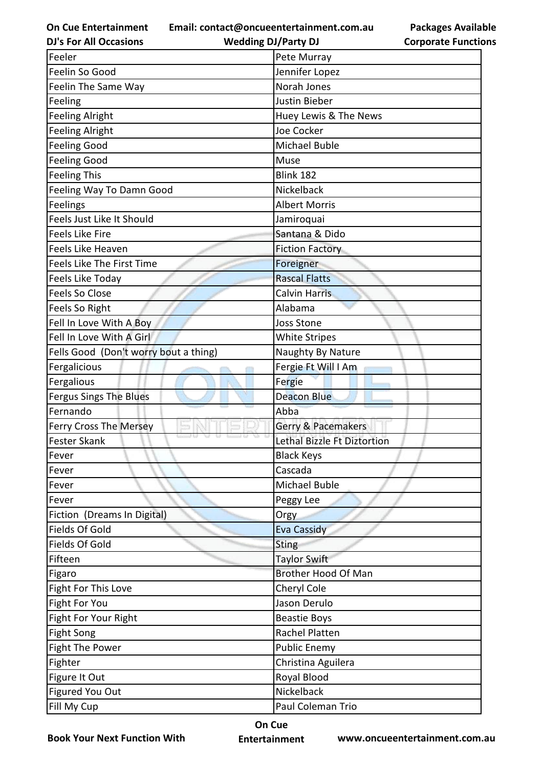**Email: contact@oncueentertainment.com.au**

**DJ's For All Occasions**

**Wedding DJ/Party DJ** 

|                            | <b>Packages Available</b> |
|----------------------------|---------------------------|
| <b>Corporate Functions</b> |                           |

| Feeler                                | Pete Murray                   |
|---------------------------------------|-------------------------------|
| Feelin So Good                        | Jennifer Lopez                |
| Feelin The Same Way                   | Norah Jones                   |
| Feeling                               | Justin Bieber                 |
| <b>Feeling Alright</b>                | Huey Lewis & The News         |
| <b>Feeling Alright</b>                | Joe Cocker                    |
| <b>Feeling Good</b>                   | Michael Buble                 |
| <b>Feeling Good</b>                   | Muse                          |
| <b>Feeling This</b>                   | <b>Blink 182</b>              |
| Feeling Way To Damn Good              | Nickelback                    |
| Feelings                              | <b>Albert Morris</b>          |
| Feels Just Like It Should             | Jamiroquai                    |
| <b>Feels Like Fire</b>                | Santana & Dido                |
| Feels Like Heaven                     | <b>Fiction Factory</b>        |
| Feels Like The First Time             | Foreigner                     |
| Feels Like Today                      | <b>Rascal Flatts</b>          |
| Feels So Close                        | Calvin Harris                 |
| Feels So Right                        | Alabama                       |
| Fell In Love With A Boy               | <b>Joss Stone</b>             |
| Fell In Love With A Girl              | <b>White Stripes</b>          |
| Fells Good (Don't worry bout a thing) | Naughty By Nature             |
| Fergalicious                          | Fergie Ft Will I Am           |
| Fergalious                            | Fergie                        |
| Fergus Sings The Blues                | <b>Deacon Blue</b>            |
| Fernando                              | Abba                          |
| Ferry Cross The Mersey                | <b>Gerry &amp; Pacemakers</b> |
| Fester Skank                          | Lethal Bizzle Ft Diztortion   |
| Fever                                 | <b>Black Keys</b>             |
| Fever                                 | Cascada                       |
| Fever                                 | Michael Buble                 |
| Fever                                 | Peggy Lee                     |
| Fiction (Dreams In Digital)           | Orgy                          |
| Fields Of Gold                        | <b>Eva Cassidy</b>            |
| Fields Of Gold                        | <b>Sting</b>                  |
| Fifteen                               | <b>Taylor Swift</b>           |
| Figaro                                | <b>Brother Hood Of Man</b>    |
| Fight For This Love                   | Cheryl Cole                   |
| Fight For You                         | Jason Derulo                  |
| Fight For Your Right                  | <b>Beastie Boys</b>           |
| <b>Fight Song</b>                     | Rachel Platten                |
| <b>Fight The Power</b>                | <b>Public Enemy</b>           |
| Fighter                               | Christina Aguilera            |
| Figure It Out                         | Royal Blood                   |
| Figured You Out                       | Nickelback                    |
| Fill My Cup                           | Paul Coleman Trio             |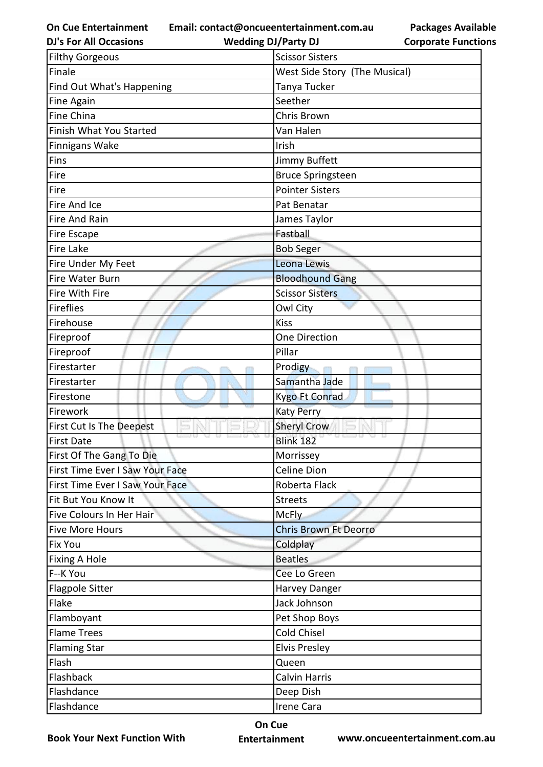**Email: contact@oncueentertainment.com.au**

**DJ's For All Occasions**

**Wedding DJ/Party DJ** 

| <b>Filthy Gorgeous</b>          | <b>Scissor Sisters</b>        |
|---------------------------------|-------------------------------|
| Finale                          | West Side Story (The Musical) |
| Find Out What's Happening       | Tanya Tucker                  |
| Fine Again                      | Seether                       |
| Fine China                      | Chris Brown                   |
| Finish What You Started         | Van Halen                     |
| <b>Finnigans Wake</b>           | Irish                         |
| Fins                            | Jimmy Buffett                 |
| Fire                            | <b>Bruce Springsteen</b>      |
| Fire                            | <b>Pointer Sisters</b>        |
| Fire And Ice                    | Pat Benatar                   |
| Fire And Rain                   | James Taylor                  |
| Fire Escape                     | Fastball                      |
| <b>Fire Lake</b>                | <b>Bob Seger</b>              |
| Fire Under My Feet              | Leona Lewis                   |
| Fire Water Burn                 | <b>Bloodhound Gang</b>        |
| Fire With Fire                  | <b>Scissor Sisters</b>        |
| <b>Fireflies</b>                | Owl City                      |
| Firehouse                       | <b>Kiss</b>                   |
| Fireproof                       | One Direction                 |
| Fireproof                       | Pillar                        |
| Firestarter                     | Prodigy                       |
| Firestarter                     | Samantha Jade                 |
| Firestone                       | <b>Kygo Ft Conrad</b>         |
| Firework                        | <b>Katy Perry</b>             |
| First Cut Is The Deepest        | <b>Sheryl Crow</b>            |
| <b>First Date</b>               | <b>Blink 182</b>              |
| First Of The Gang To Die        | Morrissey                     |
| First Time Ever I Saw Your Face | Celine Dion                   |
| First Time Ever I Saw Your Face | Roberta Flack                 |
| Fit But You Know It             | <b>Streets</b>                |
| Five Colours In Her Hair        | <b>McFly</b>                  |
| <b>Five More Hours</b>          | <b>Chris Brown Ft Deorro</b>  |
| <b>Fix You</b>                  | Coldplay                      |
| Fixing A Hole                   | <b>Beatles</b>                |
| F--K You                        | Cee Lo Green                  |
| <b>Flagpole Sitter</b>          | Harvey Danger                 |
| Flake                           | Jack Johnson                  |
| Flamboyant                      | Pet Shop Boys                 |
| <b>Flame Trees</b>              | Cold Chisel                   |
| <b>Flaming Star</b>             | <b>Elvis Presley</b>          |
| Flash                           | Queen                         |
| Flashback                       | <b>Calvin Harris</b>          |
| Flashdance                      | Deep Dish                     |
| Flashdance                      | Irene Cara                    |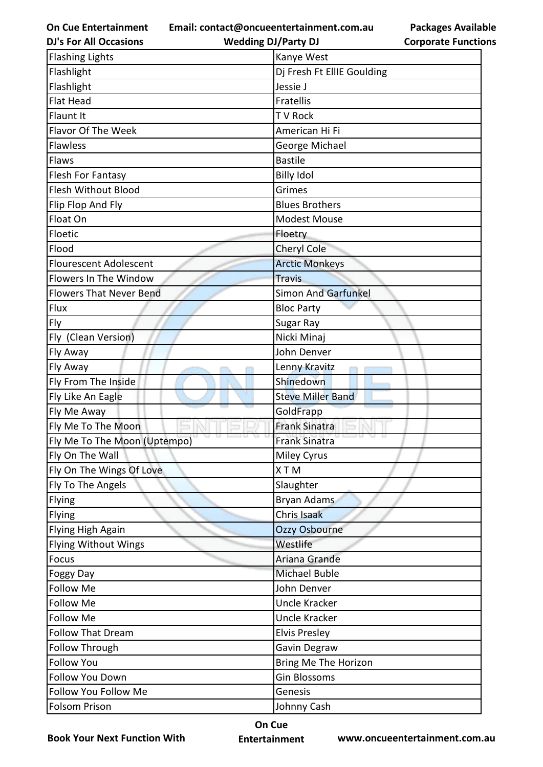**Email: contact@oncueentertainment.com.au**

**DJ's For All Occasions**

**Wedding DJ/Party DJ** 

**Packages Available Corporate Functions**

| <b>Flashing Lights</b>         | Kanye West                 |
|--------------------------------|----------------------------|
| Flashlight                     | Di Fresh Ft EllIE Goulding |
| Flashlight                     | Jessie J                   |
| <b>Flat Head</b>               | Fratellis                  |
| Flaunt It                      | <b>TV Rock</b>             |
| Flavor Of The Week             | American Hi Fi             |
| Flawless                       | George Michael             |
| Flaws                          | <b>Bastile</b>             |
| Flesh For Fantasy              | <b>Billy Idol</b>          |
| Flesh Without Blood            | Grimes                     |
| Flip Flop And Fly              | <b>Blues Brothers</b>      |
| Float On                       | <b>Modest Mouse</b>        |
| Floetic                        | Floetry                    |
| Flood                          | Cheryl Cole                |
| <b>Flourescent Adolescent</b>  | <b>Arctic Monkeys</b>      |
| Flowers In The Window          | <b>Travis</b>              |
| <b>Flowers That Never Bend</b> | <b>Simon And Garfunkel</b> |
| Flux                           | <b>Bloc Party</b>          |
| Fly                            | Sugar Ray                  |
| Fly (Clean Version)            | Nicki Minaj                |
| Fly Away                       | John Denver                |
| Fly Away                       | Lenny Kravitz              |
| Fly From The Inside            | Shinedown                  |
| Fly Like An Eagle              | <b>Steve Miller Band</b>   |
| Fly Me Away                    | GoldFrapp                  |
| Fly Me To The Moon             | <b>Frank Sinatra</b>       |
| Fly Me To The Moon (Uptempo)   | <b>Frank Sinatra</b>       |
| Fly On The Wall                | <b>Miley Cyrus</b>         |
| Fly On The Wings Of Love       | XTM                        |
| Fly To The Angels              | Slaughter                  |
| Flying                         | <b>Bryan Adams</b>         |
| Flying                         | Chris Isaak                |
| Flying High Again              | Ozzy Osbourne              |
| <b>Flying Without Wings</b>    | Westlife                   |
| Focus                          | Ariana Grande              |
| <b>Foggy Day</b>               | <b>Michael Buble</b>       |
| Follow Me                      | John Denver                |
| <b>Follow Me</b>               | <b>Uncle Kracker</b>       |
| Follow Me                      | Uncle Kracker              |
| <b>Follow That Dream</b>       | <b>Elvis Presley</b>       |
| Follow Through                 | Gavin Degraw               |
| <b>Follow You</b>              | Bring Me The Horizon       |
| Follow You Down                | <b>Gin Blossoms</b>        |
| Follow You Follow Me           | Genesis                    |
| Folsom Prison                  | Johnny Cash                |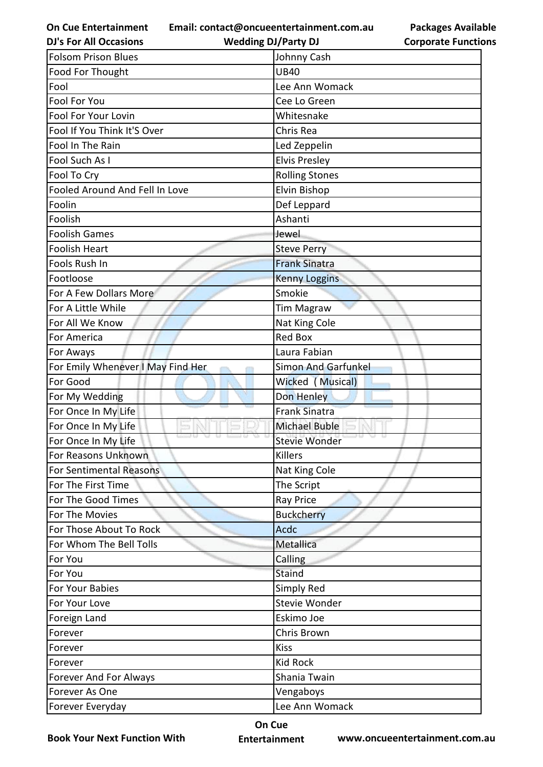**Email: contact@oncueentertainment.com.au**

**Packages Available Corporate Functions**

| <b>DJ's For All Occasions</b>     | <b>Wedding DJ/Party DJ</b> | <b>Corporate Functio</b> |
|-----------------------------------|----------------------------|--------------------------|
| <b>Folsom Prison Blues</b>        | Johnny Cash                |                          |
| Food For Thought                  | <b>UB40</b>                |                          |
| Fool                              | Lee Ann Womack             |                          |
| Fool For You                      | Cee Lo Green               |                          |
| Fool For Your Lovin               | Whitesnake                 |                          |
| Fool If You Think It'S Over       | Chris Rea                  |                          |
| Fool In The Rain                  | Led Zeppelin               |                          |
| Fool Such As I                    | <b>Elvis Presley</b>       |                          |
| Fool To Cry                       | <b>Rolling Stones</b>      |                          |
| Fooled Around And Fell In Love    | Elvin Bishop               |                          |
| Foolin                            | Def Leppard                |                          |
| Foolish                           | Ashanti                    |                          |
| <b>Foolish Games</b>              | Jewel                      |                          |
| <b>Foolish Heart</b>              | <b>Steve Perry</b>         |                          |
| Fools Rush In                     | <b>Frank Sinatra</b>       |                          |
| Footloose                         | <b>Kenny Loggins</b>       |                          |
| For A Few Dollars More            | Smokie                     |                          |
| For A Little While                | <b>Tim Magraw</b>          |                          |
| For All We Know                   | Nat King Cole              |                          |
| For America                       | <b>Red Box</b>             |                          |
| For Aways                         | Laura Fabian               |                          |
| For Emily Whenever I May Find Her | <b>Simon And Garfunkel</b> |                          |
| For Good                          | Wicked (Musical)           |                          |
| For My Wedding                    | Don Henley                 |                          |
| For Once In My Life               | <b>Frank Sinatra</b>       |                          |
| For Once In My Life               | <b>Michael Buble</b>       |                          |
| For Once In My Life               | Stevie Wonder              |                          |
| For Reasons Unknown               | <b>Killers</b>             |                          |
| For Sentimental Reasons           | Nat King Cole              |                          |
| For The First Time                | The Script                 |                          |
| For The Good Times                | <b>Ray Price</b>           |                          |
| For The Movies                    | <b>Buckcherry</b>          |                          |
| For Those About To Rock           | Acdc                       |                          |
| For Whom The Bell Tolls           | Metallica                  |                          |
| For You                           | Calling                    |                          |
| For You                           | Staind                     |                          |
| For Your Babies                   | Simply Red                 |                          |
| For Your Love                     | Stevie Wonder              |                          |
| Foreign Land                      | Eskimo Joe                 |                          |
| Forever                           | Chris Brown                |                          |
| Forever                           | <b>Kiss</b>                |                          |
| Forever                           | <b>Kid Rock</b>            |                          |
| Forever And For Always            | Shania Twain               |                          |
| Forever As One                    | Vengaboys                  |                          |
| Forever Everyday                  | Lee Ann Womack             |                          |

**Book Your Next Function With**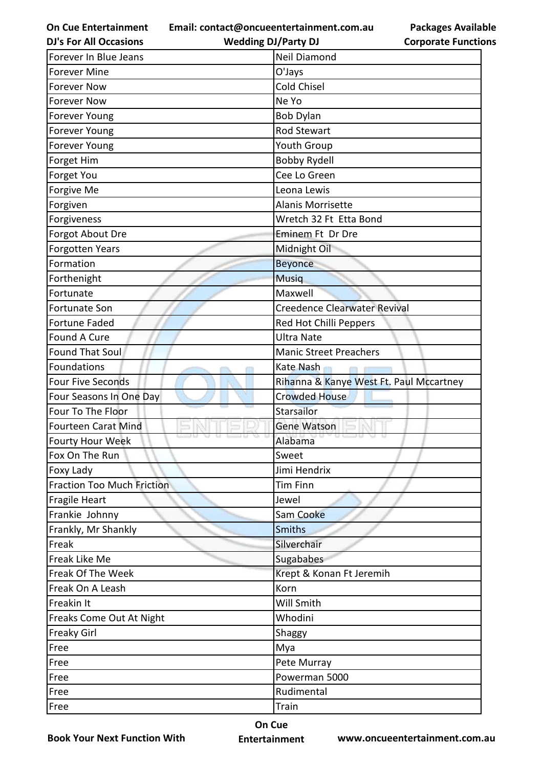**On Cue Entertainment DJ's For All Occasions**

**Email: contact@oncueentertainment.com.au Wedding DJ/Party DJ** 

**Packages Available Corporate Functions**

| Forever In Blue Jeans             | <b>Neil Diamond</b>                     |
|-----------------------------------|-----------------------------------------|
| <b>Forever Mine</b>               | O'Jays                                  |
| <b>Forever Now</b>                | <b>Cold Chisel</b>                      |
| <b>Forever Now</b>                | Ne Yo                                   |
| Forever Young                     | <b>Bob Dylan</b>                        |
| <b>Forever Young</b>              | Rod Stewart                             |
| <b>Forever Young</b>              | <b>Youth Group</b>                      |
| Forget Him                        | <b>Bobby Rydell</b>                     |
| Forget You                        | Cee Lo Green                            |
| Forgive Me                        | Leona Lewis                             |
| Forgiven                          | <b>Alanis Morrisette</b>                |
| Forgiveness                       | Wretch 32 Ft Etta Bond                  |
| Forgot About Dre                  | Eminem Ft Dr Dre                        |
| <b>Forgotten Years</b>            | Midnight Oil                            |
| Formation                         | <b>Beyonce</b>                          |
| Forthenight                       | <b>Musiq</b>                            |
| Fortunate                         | Maxwell                                 |
| <b>Fortunate Son</b>              | <b>Creedence Clearwater Revival</b>     |
| <b>Fortune Faded</b>              | Red Hot Chilli Peppers                  |
| <b>Found A Cure</b>               | <b>Ultra Nate</b>                       |
| Found That Soul                   | <b>Manic Street Preachers</b>           |
| Foundations                       | Kate Nash                               |
| <b>Four Five Seconds</b>          | Rihanna & Kanye West Ft. Paul Mccartney |
| Four Seasons In One Day           | <b>Crowded House</b>                    |
| Four To The Floor                 | Starsailor                              |
| <b>Fourteen Carat Mind</b>        | <b>Gene Watson</b>                      |
| <b>Fourty Hour Week</b>           | Alabama                                 |
| Fox On The Run                    | Sweet                                   |
| Foxy Lady                         | Jimi Hendrix                            |
| <b>Fraction Too Much Friction</b> | <b>Tim Finn</b>                         |
| <b>Fragile Heart</b>              | Jewel                                   |
| Frankie Johnny                    | Sam Cooke                               |
| Frankly, Mr Shankly               | <b>Smiths</b>                           |
| Freak                             | Silverchair                             |
| Freak Like Me                     | Sugababes                               |
| Freak Of The Week                 | Krept & Konan Ft Jeremih                |
| Freak On A Leash                  | Korn                                    |
| Freakin It                        | Will Smith                              |
| Freaks Come Out At Night          | Whodini                                 |
| <b>Freaky Girl</b>                | Shaggy                                  |
| Free                              | Mya                                     |
| Free                              | Pete Murray                             |
| Free                              | Powerman 5000                           |
| Free                              | Rudimental                              |
| Free                              | Train                                   |
|                                   |                                         |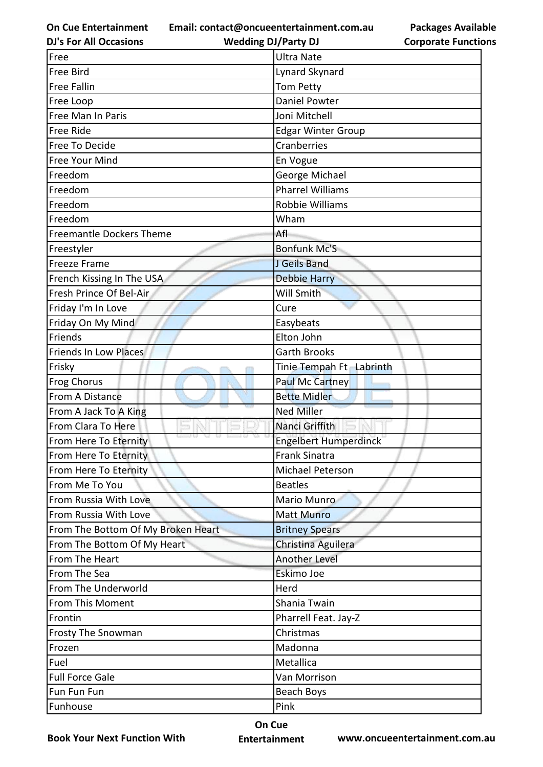**Email: contact@oncueentertainment.com.au**

**DJ's For All Occasions**

**Packages Available Corporate Functions**

| <b>DJ's For All Occasions</b>      | <b>Wedding DJ/Party DJ</b>   | <b>Corporate Functio</b> |
|------------------------------------|------------------------------|--------------------------|
| Free                               | <b>Ultra Nate</b>            |                          |
| Free Bird                          | Lynard Skynard               |                          |
| <b>Free Fallin</b>                 | <b>Tom Petty</b>             |                          |
| Free Loop                          | <b>Daniel Powter</b>         |                          |
| Free Man In Paris                  | Joni Mitchell                |                          |
| Free Ride                          | <b>Edgar Winter Group</b>    |                          |
| Free To Decide                     | Cranberries                  |                          |
| Free Your Mind                     | En Vogue                     |                          |
| Freedom                            | George Michael               |                          |
| Freedom                            | <b>Pharrel Williams</b>      |                          |
| Freedom                            | Robbie Williams              |                          |
| Freedom                            | Wham                         |                          |
| <b>Freemantle Dockers Theme</b>    | Afl                          |                          |
| Freestyler                         | <b>Bonfunk Mc'S</b>          |                          |
| <b>Freeze Frame</b>                | J Geils Band                 |                          |
| French Kissing In The USA          | <b>Debbie Harry</b>          |                          |
| Fresh Prince Of Bel-Air            | <b>Will Smith</b>            |                          |
| Friday I'm In Love                 | Cure                         |                          |
| Friday On My Mind                  | Easybeats                    |                          |
| Friends                            | Elton John                   |                          |
| <b>Friends In Low Places</b>       | <b>Garth Brooks</b>          |                          |
| Frisky                             | Tinie Tempah Ft Labrinth     |                          |
| <b>Frog Chorus</b>                 | <b>Paul Mc Cartney</b>       |                          |
| From A Distance                    | <b>Bette Midler</b>          |                          |
| From A Jack To A King              | <b>Ned Miller</b>            |                          |
| From Clara To Here                 | Nanci Griffith               |                          |
| From Here To Eternity              | <b>Engelbert Humperdinck</b> |                          |
| From Here To Eternity              | <b>Frank Sinatra</b>         |                          |
| From Here To Eternity              | <b>Michael Peterson</b>      |                          |
| From Me To You                     | <b>Beatles</b>               |                          |
| From Russia With Love              | Mario Munro                  |                          |
| From Russia With Love              | <b>Matt Munro</b>            |                          |
| From The Bottom Of My Broken Heart | <b>Britney Spears</b>        |                          |
| From The Bottom Of My Heart        | Christina Aguilera           |                          |
| From The Heart                     | <b>Another Level</b>         |                          |
| From The Sea                       | Eskimo Joe                   |                          |
| From The Underworld                | Herd                         |                          |
| From This Moment                   | Shania Twain                 |                          |
| Frontin                            | Pharrell Feat. Jay-Z         |                          |
| <b>Frosty The Snowman</b>          | Christmas                    |                          |
| Frozen                             | Madonna                      |                          |
| Fuel                               | Metallica                    |                          |
| <b>Full Force Gale</b>             | Van Morrison                 |                          |
| Fun Fun Fun                        | Beach Boys                   |                          |
| Funhouse                           | Pink                         |                          |
|                                    |                              |                          |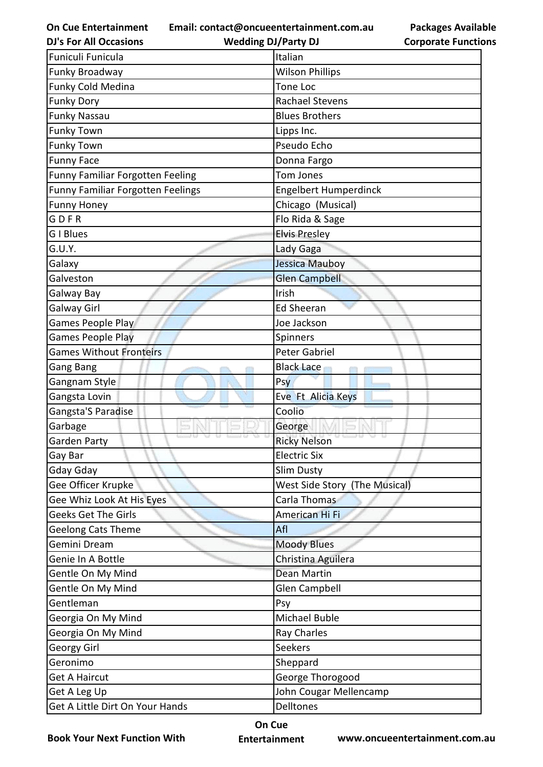**Email: contact@oncueentertainment.com.au Wedding DJ/Party DJ** 

**DJ's For All Occasions**

**Packages Available Corporate Functions**

| Funiculi Funicula                        | Italian                       |  |
|------------------------------------------|-------------------------------|--|
| Funky Broadway                           | <b>Wilson Phillips</b>        |  |
| Funky Cold Medina                        | Tone Loc                      |  |
| <b>Funky Dory</b>                        | <b>Rachael Stevens</b>        |  |
| <b>Funky Nassau</b>                      | <b>Blues Brothers</b>         |  |
| <b>Funky Town</b>                        | Lipps Inc.                    |  |
| <b>Funky Town</b>                        | Pseudo Echo                   |  |
| <b>Funny Face</b>                        | Donna Fargo                   |  |
| Funny Familiar Forgotten Feeling         | Tom Jones                     |  |
| <b>Funny Familiar Forgotten Feelings</b> | <b>Engelbert Humperdinck</b>  |  |
| <b>Funny Honey</b>                       | Chicago (Musical)             |  |
| GDFR                                     | Flo Rida & Sage               |  |
| <b>G</b> I Blues                         | <b>Elvis Presley</b>          |  |
| G.U.Y.                                   | Lady Gaga                     |  |
| Galaxy                                   | Jessica Mauboy                |  |
| Galveston                                | <b>Glen Campbell</b>          |  |
| Galway Bay                               | Irish                         |  |
| Galway Girl                              | <b>Ed Sheeran</b>             |  |
| Games People Play                        | Joe Jackson                   |  |
| <b>Games People Play</b>                 | Spinners                      |  |
| <b>Games Without Fronteirs</b>           | <b>Peter Gabriel</b>          |  |
| Gang Bang                                | <b>Black Lace</b>             |  |
| Gangnam Style                            | Psy                           |  |
| Gangsta Lovin                            | Eve Ft Alicia Keys            |  |
| Gangsta'S Paradise                       | Coolio                        |  |
| Garbage                                  | George                        |  |
| <b>Garden Party</b>                      | <b>Ricky Nelson</b>           |  |
| Gay Bar                                  | <b>Electric Six</b>           |  |
| Gday Gday                                | <b>Slim Dusty</b>             |  |
| Gee Officer Krupke                       | West Side Story (The Musical) |  |
| Gee Whiz Look At His Eyes                | Carla Thomas                  |  |
| Geeks Get The Girls                      | American Hi Fi                |  |
| <b>Geelong Cats Theme</b>                | Afl                           |  |
| Gemini Dream                             | <b>Moody Blues</b>            |  |
| Genie In A Bottle                        | Christina Aguilera            |  |
| Gentle On My Mind                        | <b>Dean Martin</b>            |  |
| Gentle On My Mind                        | <b>Glen Campbell</b>          |  |
| Gentleman                                | Psy                           |  |
| Georgia On My Mind                       | Michael Buble                 |  |
| Georgia On My Mind                       | Ray Charles                   |  |
| <b>Georgy Girl</b>                       | Seekers                       |  |
| Geronimo                                 | Sheppard                      |  |
| <b>Get A Haircut</b>                     | George Thorogood              |  |
| John Cougar Mellencamp<br>Get A Leg Up   |                               |  |
| Get A Little Dirt On Your Hands          | Delltones                     |  |

**Book Your Next Function With**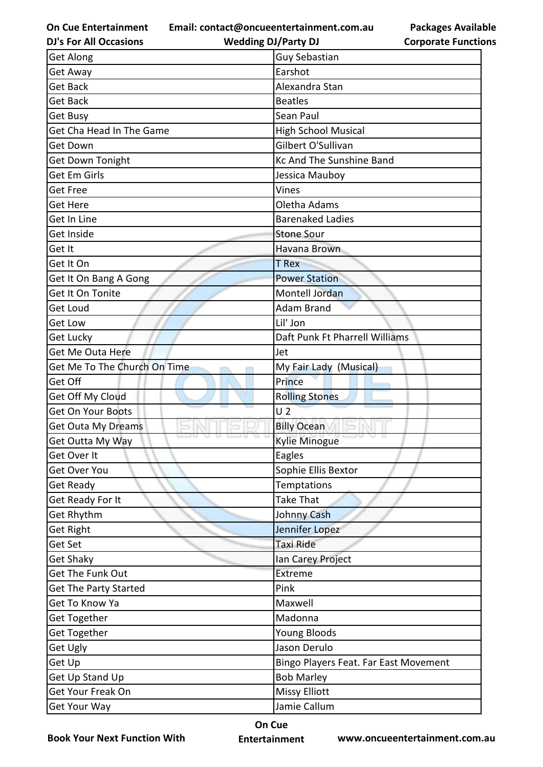**Email: contact@oncueentertainment.com.au**

**Packages Available Corporate Functions**

| <b>DJ's For All Occasions</b> | <b>Wedding DJ/Party DJ</b>            | <b>Corporate Functio</b> |  |
|-------------------------------|---------------------------------------|--------------------------|--|
| <b>Get Along</b>              | <b>Guy Sebastian</b>                  |                          |  |
| Get Away                      | Earshot                               |                          |  |
| <b>Get Back</b>               | Alexandra Stan                        |                          |  |
| <b>Get Back</b>               | <b>Beatles</b>                        |                          |  |
| Get Busy                      | Sean Paul                             |                          |  |
| Get Cha Head In The Game      | <b>High School Musical</b>            |                          |  |
| Get Down                      | Gilbert O'Sullivan                    |                          |  |
| Get Down Tonight              | <b>Kc And The Sunshine Band</b>       |                          |  |
| Get Em Girls                  | Jessica Mauboy                        |                          |  |
| <b>Get Free</b>               | Vines                                 |                          |  |
| <b>Get Here</b>               | Oletha Adams                          |                          |  |
| Get In Line                   | <b>Barenaked Ladies</b>               |                          |  |
| Get Inside                    | <b>Stone Sour</b>                     |                          |  |
| Get It                        | Havana Brown                          |                          |  |
| Get It On                     | <b>T</b> Rex                          |                          |  |
| Get It On Bang A Gong         | <b>Power Station</b>                  |                          |  |
| Get It On Tonite              | Montell Jordan                        |                          |  |
| <b>Get Loud</b>               | <b>Adam Brand</b>                     |                          |  |
| <b>Get Low</b>                | Lil' Jon                              |                          |  |
| Get Lucky                     | Daft Punk Ft Pharrell Williams        |                          |  |
| <b>Get Me Outa Here</b>       | Jet                                   |                          |  |
| Get Me To The Church On Time  | My Fair Lady (Musical)                |                          |  |
| Get Off                       | Prince                                |                          |  |
| Get Off My Cloud              | <b>Rolling Stones</b>                 |                          |  |
| Get On Your Boots             | U <sub>2</sub>                        |                          |  |
| <b>Get Outa My Dreams</b>     | <b>Billy Ocean</b>                    |                          |  |
| Get Outta My Way              | <b>Kylie Minogue</b>                  |                          |  |
| Get Over It                   | Eagles                                |                          |  |
| Get Over You                  | Sophie Ellis Bextor                   |                          |  |
| <b>Get Ready</b>              | Temptations                           |                          |  |
| Get Ready For It              | <b>Take That</b>                      |                          |  |
| Get Rhythm                    | Johnny Cash                           |                          |  |
| <b>Get Right</b>              | Jennifer Lopez                        |                          |  |
| Get Set                       | Taxi Ride                             |                          |  |
| <b>Get Shaky</b>              | Ian Carey Project                     |                          |  |
| Get The Funk Out              | Extreme                               |                          |  |
| <b>Get The Party Started</b>  | Pink                                  |                          |  |
| Get To Know Ya                | Maxwell                               |                          |  |
| Get Together                  | Madonna                               |                          |  |
| Get Together                  | Young Bloods                          |                          |  |
| Get Ugly                      | Jason Derulo                          |                          |  |
| Get Up                        | Bingo Players Feat. Far East Movement |                          |  |
| Get Up Stand Up               | <b>Bob Marley</b>                     |                          |  |
| Get Your Freak On             | <b>Missy Elliott</b>                  |                          |  |
| Get Your Way                  | Jamie Callum                          |                          |  |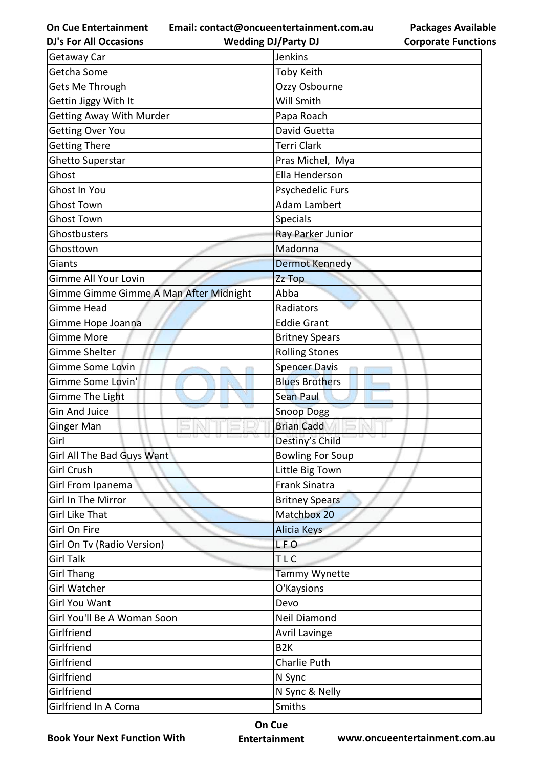**Email: contact@oncueentertainment.com.au**

**DJ's For All Occasions**

**Wedding DJ/Party DJ** 

**Packages Available Corporate Functions**

| Getaway Car                            | Jenkins               |
|----------------------------------------|-----------------------|
| Getcha Some                            | Toby Keith            |
| Gets Me Through                        | Ozzy Osbourne         |
| Gettin Jiggy With It                   | Will Smith            |
| <b>Getting Away With Murder</b>        | Papa Roach            |
| <b>Getting Over You</b>                | David Guetta          |
| <b>Getting There</b>                   | <b>Terri Clark</b>    |
| Ghetto Superstar                       | Pras Michel, Mya      |
| Ghost                                  | Ella Henderson        |
| Ghost In You                           | Psychedelic Furs      |
| <b>Ghost Town</b>                      | <b>Adam Lambert</b>   |
| <b>Ghost Town</b>                      | <b>Specials</b>       |
| Ghostbusters                           | Ray Parker Junior     |
| Ghosttown                              | Madonna               |
| Giants                                 | <b>Dermot Kennedy</b> |
| <b>Gimme All Your Lovin</b>            | Zz Top                |
| Gimme Gimme Gimme A Man After Midnight | Abba                  |
| <b>Gimme Head</b>                      | Radiators             |
| Gimme Hope Joanna                      | <b>Eddie Grant</b>    |
| <b>Gimme More</b>                      | <b>Britney Spears</b> |
| <b>Gimme Shelter</b>                   | <b>Rolling Stones</b> |
| Gimme Some Lovin                       | <b>Spencer Davis</b>  |
| Gimme Some Lovin'                      | <b>Blues Brothers</b> |
| Gimme The Light                        | Sean Paul             |
| <b>Gin And Juice</b>                   | <b>Snoop Dogg</b>     |
| Ginger Man                             | <b>Brian Cadd</b>     |
| Girl                                   | Destiny's Child       |
| Girl All The Bad Guys Want             | Bowling For Soup      |
| <b>Girl Crush</b>                      | Little Big Town       |
| Girl From Ipanema                      | <b>Frank Sinatra</b>  |
| Girl In The Mirror                     | <b>Britney Spears</b> |
| <b>Girl Like That</b>                  | Matchbox 20           |
| Girl On Fire                           | Alicia Keys           |
| Girl On Tv (Radio Version)             | <b>LFO</b>            |
| <b>Girl Talk</b>                       | <b>TLC</b>            |
| <b>Girl Thang</b>                      | <b>Tammy Wynette</b>  |
| <b>Girl Watcher</b>                    | O'Kaysions            |
| <b>Girl You Want</b>                   | Devo                  |
| Girl You'll Be A Woman Soon            | Neil Diamond          |
| Girlfriend                             | <b>Avril Lavinge</b>  |
| Girlfriend                             | B <sub>2</sub> K      |
| Girlfriend                             | Charlie Puth          |
| Girlfriend                             | N Sync                |
| Girlfriend                             | N Sync & Nelly        |
| Girlfriend In A Coma                   | Smiths                |

**Book Your Next Function With**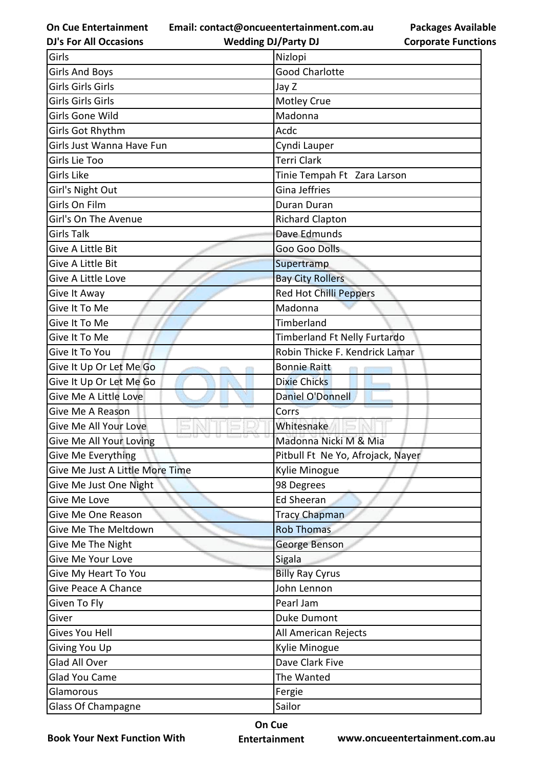**Email: contact@oncueentertainment.com.au**

**Packages Available Corporate Functions**

| <b>DJ's For All Occasions</b>   | <b>Wedding DJ/Party DJ</b>        | <b>Corporate Functio</b> |
|---------------------------------|-----------------------------------|--------------------------|
| Girls                           | Nizlopi                           |                          |
| <b>Girls And Boys</b>           | <b>Good Charlotte</b>             |                          |
| Girls Girls Girls               | Jay Z                             |                          |
| Girls Girls Girls               | Motley Crue                       |                          |
| Girls Gone Wild                 | Madonna                           |                          |
| Girls Got Rhythm                | Acdc                              |                          |
| Girls Just Wanna Have Fun       | Cyndi Lauper                      |                          |
| Girls Lie Too                   | <b>Terri Clark</b>                |                          |
| Girls Like                      | Tinie Tempah Ft Zara Larson       |                          |
| Girl's Night Out                | Gina Jeffries                     |                          |
| Girls On Film                   | Duran Duran                       |                          |
| Girl's On The Avenue            | <b>Richard Clapton</b>            |                          |
| <b>Girls Talk</b>               | Dave Edmunds                      |                          |
| Give A Little Bit               | Goo Goo Dolls                     |                          |
| Give A Little Bit               | Supertramp                        |                          |
| Give A Little Love              | <b>Bay City Rollers</b>           |                          |
| Give It Away                    | <b>Red Hot Chilli Peppers</b>     |                          |
| Give It To Me                   | Madonna                           |                          |
| Give It To Me                   | Timberland                        |                          |
| Give It To Me                   | Timberland Ft Nelly Furtardo      |                          |
| Give It To You                  | Robin Thicke F. Kendrick Lamar    |                          |
| Give It Up Or Let Me Go         | <b>Bonnie Raitt</b>               |                          |
| Give It Up Or Let Me Go         | <b>Dixie Chicks</b>               |                          |
| Give Me A Little Love           | Daniel O'Donnell                  |                          |
| Give Me A Reason                | Corrs                             |                          |
| Give Me All Your Love           | Whitesnake                        |                          |
| Give Me All Your Loving         | Madonna Nicki M & Mia             |                          |
| Give Me Everything              | Pitbull Ft Ne Yo, Afrojack, Nayer |                          |
| Give Me Just A Little More Time | Kylie Minogue                     |                          |
| Give Me Just One Night          | 98 Degrees                        |                          |
| Give Me Love                    | <b>Ed Sheeran</b>                 |                          |
| Give Me One Reason              | <b>Tracy Chapman</b>              |                          |
| Give Me The Meltdown            | <b>Rob Thomas</b>                 |                          |
| Give Me The Night               | George Benson                     |                          |
| Give Me Your Love               | Sigala                            |                          |
| Give My Heart To You            | <b>Billy Ray Cyrus</b>            |                          |
| <b>Give Peace A Chance</b>      | John Lennon                       |                          |
| Given To Fly                    | Pearl Jam                         |                          |
| Giver                           | <b>Duke Dumont</b>                |                          |
| Gives You Hell                  | All American Rejects              |                          |
| Giving You Up                   | Kylie Minogue                     |                          |
| Glad All Over                   | Dave Clark Five                   |                          |
| <b>Glad You Came</b>            | The Wanted                        |                          |
| Glamorous                       | Fergie                            |                          |
| Glass Of Champagne              | Sailor                            |                          |

**Book Your Next Function With**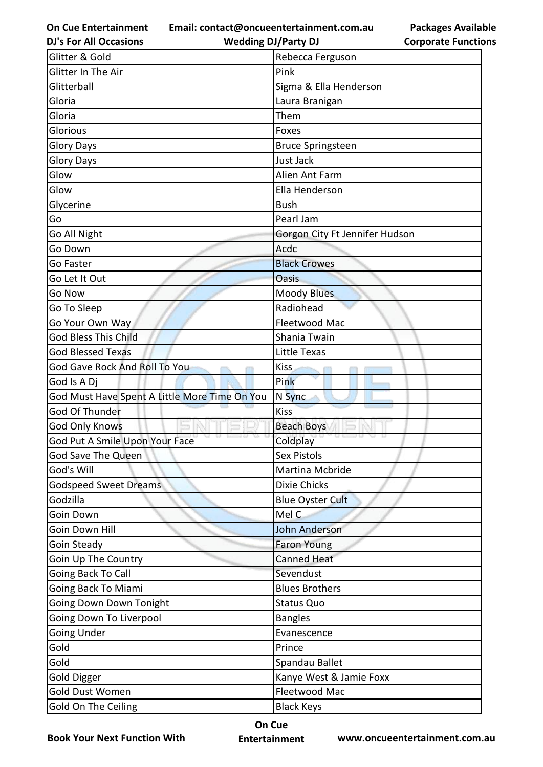**Email: contact@oncueentertainment.com.au**

**DJ's For All Occasions**

**Wedding DJ/Party DJ** 

**Packages Available Corporate Functions**

| Glitter & Gold                                | Rebecca Ferguson               |
|-----------------------------------------------|--------------------------------|
| Glitter In The Air                            | Pink                           |
| Glitterball                                   | Sigma & Ella Henderson         |
| Gloria                                        | Laura Branigan                 |
| Gloria                                        | Them                           |
| Glorious                                      | Foxes                          |
| <b>Glory Days</b>                             | <b>Bruce Springsteen</b>       |
| <b>Glory Days</b>                             | Just Jack                      |
| Glow                                          | Alien Ant Farm                 |
| Glow                                          | Ella Henderson                 |
| Glycerine                                     | <b>Bush</b>                    |
| Go                                            | Pearl Jam                      |
| Go All Night                                  | Gorgon City Ft Jennifer Hudson |
| Go Down                                       | Acdc                           |
| Go Faster                                     | <b>Black Crowes</b>            |
| Go Let It Out                                 | <b>Oasis</b>                   |
| Go Now                                        | <b>Moody Blues</b>             |
| Go To Sleep                                   | Radiohead                      |
| Go Your Own Way                               | Fleetwood Mac                  |
| <b>God Bless This Child</b>                   | Shania Twain                   |
| <b>God Blessed Texas</b>                      | Little Texas                   |
| God Gave Rock And Roll To You                 | Kiss                           |
| God Is A Dj                                   | Pink                           |
| God Must Have Spent A Little More Time On You | N Sync                         |
| God Of Thunder                                | <b>Kiss</b>                    |
| <b>God Only Knows</b>                         | <b>Beach Boys</b>              |
| God Put A Smile Upon Your Face                | Coldplay                       |
| God Save The Queen                            | <b>Sex Pistols</b>             |
| God's Will                                    | Martina Mcbride                |
| <b>Godspeed Sweet Dreams</b>                  | <b>Dixie Chicks</b>            |
| Godzilla                                      | <b>Blue Oyster Cult</b>        |
| Goin Down                                     | Mel C                          |
| Goin Down Hill                                | <b>John Anderson</b>           |
| Goin Steady                                   | <b>Faron Young</b>             |
| Goin Up The Country                           | <b>Canned Heat</b>             |
| Going Back To Call                            | Sevendust                      |
| Going Back To Miami                           | <b>Blues Brothers</b>          |
| Going Down Down Tonight                       | <b>Status Quo</b>              |
| Going Down To Liverpool                       | <b>Bangles</b>                 |
| <b>Going Under</b>                            | Evanescence                    |
| Gold                                          | Prince                         |
| Gold                                          | Spandau Ballet                 |
| <b>Gold Digger</b>                            | Kanye West & Jamie Foxx        |
| Gold Dust Women                               | Fleetwood Mac                  |
| Gold On The Ceiling                           | <b>Black Keys</b>              |

**Book Your Next Function With**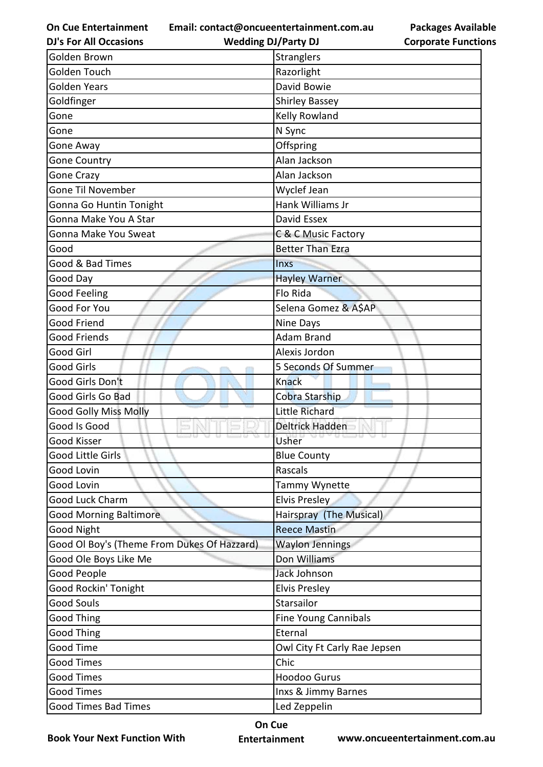**Email: contact@oncueentertainment.com.au**

**DJ's For All Occasions**

**Wedding DJ/Party DJ** 

**Packages Available Corporate Functions**

| Golden Brown                                | Stranglers                   |
|---------------------------------------------|------------------------------|
| Golden Touch                                | Razorlight                   |
| <b>Golden Years</b>                         | David Bowie                  |
| Goldfinger                                  | <b>Shirley Bassey</b>        |
| Gone                                        | Kelly Rowland                |
| Gone                                        | N Sync                       |
| Gone Away                                   | Offspring                    |
| <b>Gone Country</b>                         | Alan Jackson                 |
| <b>Gone Crazy</b>                           | Alan Jackson                 |
| <b>Gone Til November</b>                    | Wyclef Jean                  |
| Gonna Go Huntin Tonight                     | Hank Williams Jr             |
| Gonna Make You A Star                       | David Essex                  |
| Gonna Make You Sweat                        | C & C Music Factory          |
| Good                                        | <b>Better Than Ezra</b>      |
| Good & Bad Times                            | <b>Inxs</b>                  |
| Good Day                                    | <b>Hayley Warner</b>         |
| <b>Good Feeling</b>                         | Flo Rida                     |
| Good For You                                | Selena Gomez & A\$AP         |
| <b>Good Friend</b>                          | Nine Days                    |
| <b>Good Friends</b>                         | <b>Adam Brand</b>            |
| Good Girl                                   | Alexis Jordon                |
| <b>Good Girls</b>                           | 5 Seconds Of Summer          |
| Good Girls Don't                            | <b>Knack</b>                 |
| Good Girls Go Bad                           | Cobra Starship               |
| <b>Good Golly Miss Molly</b>                | <b>Little Richard</b>        |
| Good Is Good                                | Deltrick Hadden              |
| Good Kisser                                 | Usher                        |
| Good Little Girls                           | <b>Blue County</b>           |
| Good Lovin                                  | Rascals                      |
| <b>Good Lovin</b>                           | Tammy Wynette                |
| Good Luck Charm                             | <b>Elvis Presley</b>         |
| <b>Good Morning Baltimore</b>               | Hairspray (The Musical)      |
| <b>Good Night</b>                           | <b>Reece Mastin</b>          |
| Good Ol Boy's (Theme From Dukes Of Hazzard) | <b>Waylon Jennings</b>       |
| Good Ole Boys Like Me                       | Don Williams                 |
| Good People                                 | Jack Johnson                 |
| Good Rockin' Tonight                        | <b>Elvis Presley</b>         |
| <b>Good Souls</b>                           | Starsailor                   |
| <b>Good Thing</b>                           | <b>Fine Young Cannibals</b>  |
| <b>Good Thing</b>                           | Eternal                      |
| Good Time                                   | Owl City Ft Carly Rae Jepsen |
| <b>Good Times</b>                           | Chic                         |
| <b>Good Times</b>                           | <b>Hoodoo Gurus</b>          |
| <b>Good Times</b>                           | Inxs & Jimmy Barnes          |
| <b>Good Times Bad Times</b>                 | Led Zeppelin                 |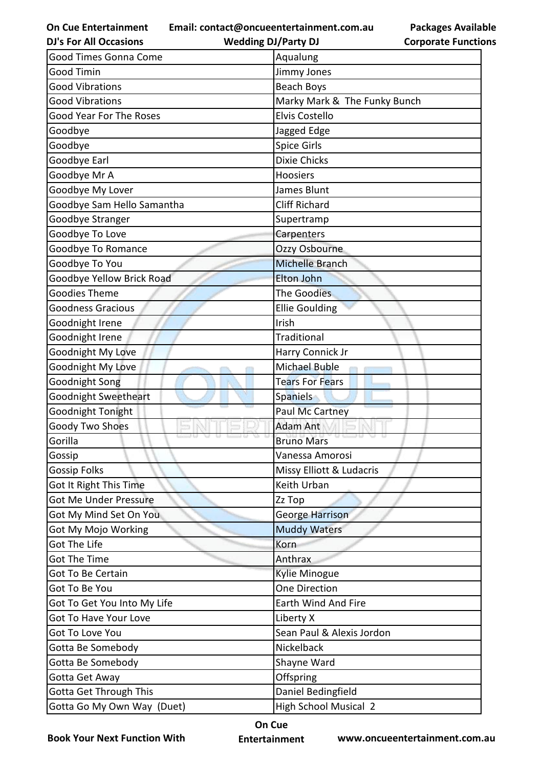**Email: contact@oncueentertainment.com.au**

**Packages Available Corporate Functions**

| <b>DJ's For All Occasions</b> | <b>Wedding DJ/Party DJ</b>   | <b>Corporate Functio</b> |
|-------------------------------|------------------------------|--------------------------|
| Good Times Gonna Come         | Aqualung                     |                          |
| <b>Good Timin</b>             | Jimmy Jones                  |                          |
| <b>Good Vibrations</b>        | Beach Boys                   |                          |
| <b>Good Vibrations</b>        | Marky Mark & The Funky Bunch |                          |
| Good Year For The Roses       | <b>Elvis Costello</b>        |                          |
| Goodbye                       | Jagged Edge                  |                          |
| Goodbye                       | <b>Spice Girls</b>           |                          |
| Goodbye Earl                  | <b>Dixie Chicks</b>          |                          |
| Goodbye Mr A                  | Hoosiers                     |                          |
| Goodbye My Lover              | James Blunt                  |                          |
| Goodbye Sam Hello Samantha    | <b>Cliff Richard</b>         |                          |
| Goodbye Stranger              | Supertramp                   |                          |
| Goodbye To Love               | Carpenters                   |                          |
| Goodbye To Romance            | Ozzy Osbourne                |                          |
| Goodbye To You                | <b>Michelle Branch</b>       |                          |
| Goodbye Yellow Brick Road     | <b>Elton John</b>            |                          |
| <b>Goodies Theme</b>          | The Goodies                  |                          |
| <b>Goodness Gracious</b>      | <b>Ellie Goulding</b>        |                          |
| Goodnight Irene               | Irish                        |                          |
| Goodnight Irene               | <b>Traditional</b>           |                          |
| Goodnight My Love             | Harry Connick Jr             |                          |
| Goodnight My Love             | Michael Buble                |                          |
| Goodnight Song                | <b>Tears For Fears</b>       |                          |
| Goodnight Sweetheart          | <b>Spaniels</b>              |                          |
| Goodnight Tonight             | <b>Paul Mc Cartney</b>       |                          |
| Goody Two Shoes               | <b>Adam Ant</b>              |                          |
| Gorilla                       | <b>Bruno Mars</b>            |                          |
| Gossip                        | Vanessa Amorosi              |                          |
| <b>Gossip Folks</b>           | Missy Elliott & Ludacris     |                          |
| Got It Right This Time        | Keith Urban                  |                          |
| <b>Got Me Under Pressure</b>  | Zz Top                       |                          |
| Got My Mind Set On You        | <b>George Harrison</b>       |                          |
| <b>Got My Mojo Working</b>    | <b>Muddy Waters</b>          |                          |
| <b>Got The Life</b>           | Korn                         |                          |
| <b>Got The Time</b>           | Anthrax                      |                          |
| <b>Got To Be Certain</b>      | <b>Kylie Minogue</b>         |                          |
| Got To Be You                 | One Direction                |                          |
| Got To Get You Into My Life   | Earth Wind And Fire          |                          |
| Got To Have Your Love         | Liberty X                    |                          |
| Got To Love You               | Sean Paul & Alexis Jordon    |                          |
| Gotta Be Somebody             | Nickelback                   |                          |
| Gotta Be Somebody             | Shayne Ward                  |                          |
| Gotta Get Away                | Offspring                    |                          |
| <b>Gotta Get Through This</b> | Daniel Bedingfield           |                          |
| Gotta Go My Own Way (Duet)    | <b>High School Musical 2</b> |                          |

**Book Your Next Function With**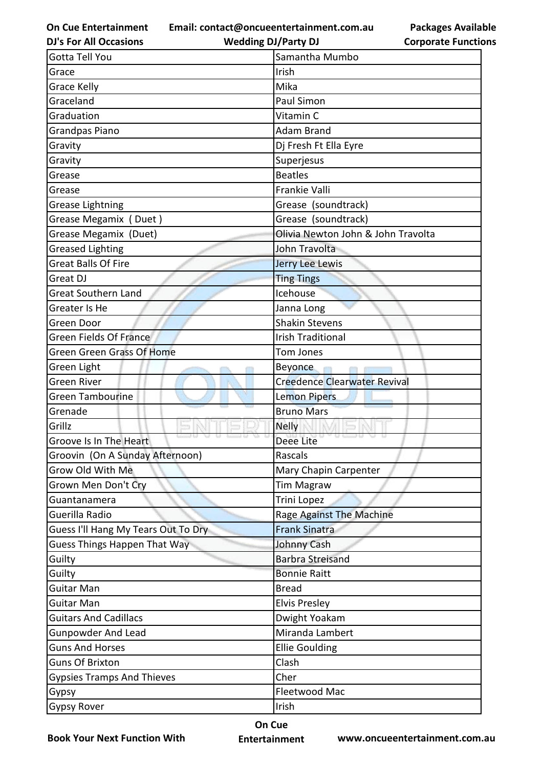**Email: contact@oncueentertainment.com.au**

**DJ's For All Occasions**

**Wedding DJ/Party DJ** 

**Packages Available Corporate Functions**

| Gotta Tell You                      | Samantha Mumbo                      |
|-------------------------------------|-------------------------------------|
| Grace                               | Irish                               |
| <b>Grace Kelly</b>                  | Mika                                |
| Graceland                           | Paul Simon                          |
| Graduation                          | Vitamin C                           |
| <b>Grandpas Piano</b>               | <b>Adam Brand</b>                   |
| Gravity                             | Dj Fresh Ft Ella Eyre               |
| Gravity                             | Superjesus                          |
| Grease                              | <b>Beatles</b>                      |
| Grease                              | Frankie Valli                       |
| <b>Grease Lightning</b>             | Grease (soundtrack)                 |
| Grease Megamix (Duet)               | Grease (soundtrack)                 |
| Grease Megamix (Duet)               | Olivia Newton John & John Travolta  |
| <b>Greased Lighting</b>             | John Travolta                       |
| <b>Great Balls Of Fire</b>          | Jerry Lee Lewis                     |
| Great DJ                            | <b>Ting Tings</b>                   |
| <b>Great Southern Land</b>          | Icehouse                            |
| Greater Is He                       | Janna Long                          |
| Green Door                          | <b>Shakin Stevens</b>               |
| <b>Green Fields Of France</b>       | <b>Irish Traditional</b>            |
| Green Green Grass Of Home           | Tom Jones                           |
| Green Light                         | <b>Beyonce</b>                      |
| <b>Green River</b>                  | <b>Creedence Clearwater Revival</b> |
| <b>Green Tambourine</b>             | <b>Lemon Pipers</b>                 |
| Grenade                             | <b>Bruno Mars</b>                   |
| Grillz                              | <b>Nelly</b>                        |
| Groove Is In The Heart              | Deee Lite                           |
| Groovin (On A Sunday Afternoon)     | Rascals                             |
| Grow Old With Me                    | Mary Chapin Carpenter               |
| Grown Men Don't Cry                 | <b>Tim Magraw</b>                   |
| Guantanamera                        | Trini Lopez                         |
| Guerilla Radio                      | Rage Against The Machine            |
| Guess I'll Hang My Tears Out To Dry | <b>Frank Sinatra</b>                |
| <b>Guess Things Happen That Way</b> | Johnny Cash                         |
| Guilty                              | <b>Barbra Streisand</b>             |
| Guilty                              | <b>Bonnie Raitt</b>                 |
| <b>Guitar Man</b>                   | <b>Bread</b>                        |
| <b>Guitar Man</b>                   | <b>Elvis Presley</b>                |
| <b>Guitars And Cadillacs</b>        | Dwight Yoakam                       |
| <b>Gunpowder And Lead</b>           | Miranda Lambert                     |
| <b>Guns And Horses</b>              | <b>Ellie Goulding</b>               |
| <b>Guns Of Brixton</b>              | Clash                               |
| <b>Gypsies Tramps And Thieves</b>   | Cher                                |
| Gypsy                               | Fleetwood Mac                       |
| <b>Gypsy Rover</b>                  | Irish                               |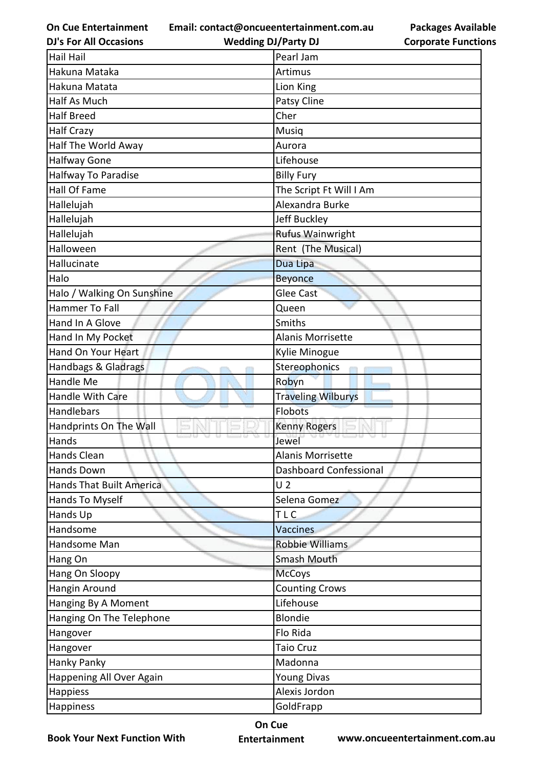**Email: contact@oncueentertainment.com.au Wedding DJ/Party DJ** 

**DJ's For All Occasions**

**Packages Available Corporate Functions**

| <b>Hail Hail</b>                | Pearl Jam                 |
|---------------------------------|---------------------------|
| Hakuna Mataka                   | Artimus                   |
| Hakuna Matata                   | Lion King                 |
| <b>Half As Much</b>             | Patsy Cline               |
| <b>Half Breed</b>               | Cher                      |
| <b>Half Crazy</b>               | Musiq                     |
| Half The World Away             | Aurora                    |
| <b>Halfway Gone</b>             | Lifehouse                 |
| Halfway To Paradise             | <b>Billy Fury</b>         |
| Hall Of Fame                    | The Script Ft Will I Am   |
| Hallelujah                      | Alexandra Burke           |
| Hallelujah                      | Jeff Buckley              |
| Hallelujah                      | Rufus Wainwright          |
| Halloween                       | Rent (The Musical)        |
| Hallucinate                     | Dua Lipa                  |
| Halo                            | <b>Beyonce</b>            |
| Halo / Walking On Sunshine      | <b>Glee Cast</b>          |
| Hammer To Fall                  | Queen                     |
| Hand In A Glove                 | Smiths                    |
| Hand In My Pocket               | <b>Alanis Morrisette</b>  |
| Hand On Your Heart              | Kylie Minogue             |
| Handbags & Gladrags             | Stereophonics             |
| Handle Me                       | Robyn                     |
| Handle With Care                | <b>Traveling Wilburys</b> |
| Handlebars                      | <b>Flobots</b>            |
| Handprints On The Wall          | <b>Kenny Rogers</b>       |
| Hands                           | Jewel                     |
| <b>Hands Clean</b>              | Alanis Morrisette         |
| <b>Hands Down</b>               | Dashboard Confessional    |
| <b>Hands That Built America</b> | U <sub>2</sub>            |
| Hands To Myself                 | Selena Gomez              |
| Hands Up                        | TLC                       |
| Handsome                        | <b>Vaccines</b>           |
| Handsome Man                    | <b>Robbie Williams</b>    |
| Hang On                         | Smash Mouth               |
| Hang On Sloopy                  | <b>McCoys</b>             |
| Hangin Around                   | <b>Counting Crows</b>     |
| Hanging By A Moment             | Lifehouse                 |
| Hanging On The Telephone        | <b>Blondie</b>            |
| Hangover                        | Flo Rida                  |
| Hangover                        | <b>Taio Cruz</b>          |
| <b>Hanky Panky</b>              | Madonna                   |
| Happening All Over Again        | <b>Young Divas</b>        |
| Happiess                        | Alexis Jordon             |
| Happiness                       | GoldFrapp                 |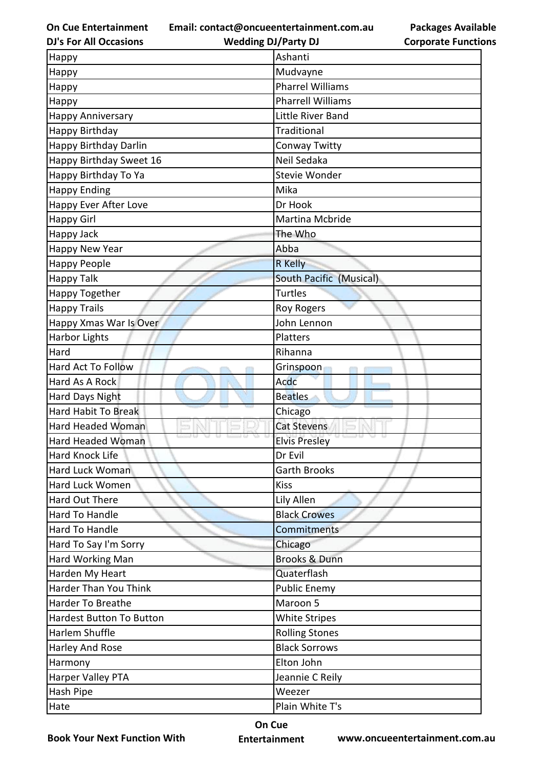**Email: contact@oncueentertainment.com.au**

**DJ's For All Occasions**

**Wedding DJ/Party DJ** 

**Packages Available Corporate Functions**

| Happy                           | Ashanti                        |
|---------------------------------|--------------------------------|
| Happy                           | Mudvayne                       |
| Happy                           | <b>Pharrel Williams</b>        |
| Happy                           | <b>Pharrell Williams</b>       |
| <b>Happy Anniversary</b>        | Little River Band              |
| Happy Birthday                  | Traditional                    |
| Happy Birthday Darlin           | Conway Twitty                  |
| Happy Birthday Sweet 16         | Neil Sedaka                    |
| Happy Birthday To Ya            | Stevie Wonder                  |
| <b>Happy Ending</b>             | Mika                           |
| Happy Ever After Love           | Dr Hook                        |
| <b>Happy Girl</b>               | Martina Mcbride                |
| Happy Jack                      | The Who                        |
| Happy New Year                  | Abba                           |
| <b>Happy People</b>             | <b>R</b> Kelly                 |
| <b>Happy Talk</b>               | <b>South Pacific (Musical)</b> |
| Happy Together                  | <b>Turtles</b>                 |
| <b>Happy Trails</b>             | <b>Roy Rogers</b>              |
| Happy Xmas War Is Over          | John Lennon                    |
| Harbor Lights                   | Platters                       |
| Hard                            | Rihanna                        |
| <b>Hard Act To Follow</b>       | Grinspoon                      |
| Hard As A Rock                  | Acdc                           |
| Hard Days Night                 | <b>Beatles</b>                 |
| Hard Habit To Break             | Chicago                        |
| <b>Hard Headed Woman</b>        | <b>Cat Stevens</b>             |
| <b>Hard Headed Woman</b>        | <b>Elvis Presley</b>           |
| <b>Hard Knock Life</b>          | Dr Evil                        |
| Hard Luck Woman                 | <b>Garth Brooks</b>            |
| Hard Luck Women                 | <b>Kiss</b>                    |
| Hard Out There                  | Lily Allen                     |
| Hard To Handle                  | <b>Black Crowes</b>            |
| Hard To Handle                  | Commitments                    |
| Hard To Say I'm Sorry           | Chicago                        |
| Hard Working Man                | <b>Brooks &amp; Dunn</b>       |
| Harden My Heart                 | Quaterflash                    |
| Harder Than You Think           | <b>Public Enemy</b>            |
| Harder To Breathe               | Maroon 5                       |
| <b>Hardest Button To Button</b> | <b>White Stripes</b>           |
| Harlem Shuffle                  | <b>Rolling Stones</b>          |
| Harley And Rose                 | <b>Black Sorrows</b>           |
| Harmony                         | Elton John                     |
| Harper Valley PTA               | Jeannie C Reily                |
| Hash Pipe                       | Weezer                         |
| Hate                            | Plain White T's                |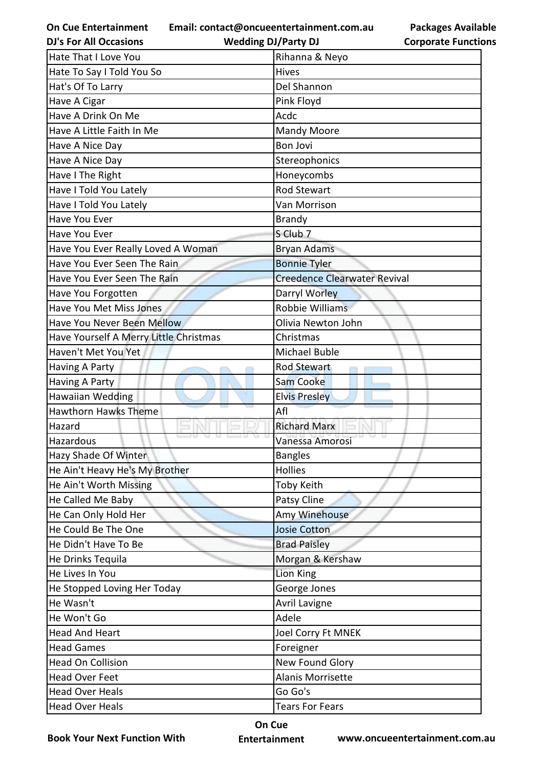**Email: contact@oncueentertainment.com.au Wedding DJ/Party DJ** 

**Packages Available Corporate Functions**

| <b>DJ's For All Occasions</b>          | <b>Wedding DJ/Party DJ</b>          | <b>Corporate Functio</b> |
|----------------------------------------|-------------------------------------|--------------------------|
| <b>Hate That I Love You</b>            | Rihanna & Neyo                      |                          |
| Hate To Say I Told You So              | <b>Hives</b>                        |                          |
| Hat's Of To Larry                      | Del Shannon                         |                          |
| Have A Cigar                           | Pink Floyd                          |                          |
| Have A Drink On Me                     | Acdc                                |                          |
| Have A Little Faith In Me              | <b>Mandy Moore</b>                  |                          |
| Have A Nice Day                        | <b>Bon Jovi</b>                     |                          |
| Have A Nice Day                        | Stereophonics                       |                          |
| Have I The Right                       | Honeycombs                          |                          |
| Have I Told You Lately                 | <b>Rod Stewart</b>                  |                          |
| Have I Told You Lately                 | Van Morrison                        |                          |
| Have You Ever                          | <b>Brandy</b>                       |                          |
| Have You Ever                          | S Club 7                            |                          |
| Have You Ever Really Loved A Woman     | <b>Bryan Adams</b>                  |                          |
| Have You Ever Seen The Rain            | <b>Bonnie Tyler</b>                 |                          |
| Have You Ever Seen The Rain            | <b>Creedence Clearwater Revival</b> |                          |
| Have You Forgotten                     | Darryl Worley                       |                          |
| Have You Met Miss Jones                | <b>Robbie Williams</b>              |                          |
| Have You Never Been Mellow             | Olivia Newton John                  |                          |
| Have Yourself A Merry Little Christmas | Christmas                           |                          |
| Haven't Met You Yet                    | <b>Michael Buble</b>                |                          |
| Having A Party                         | <b>Rod Stewart</b>                  |                          |
| Having A Party                         | <b>Sam Cooke</b>                    |                          |
| <b>Hawaiian Wedding</b>                | <b>Elvis Presley</b>                |                          |
| <b>Hawthorn Hawks Theme</b>            | Afl                                 |                          |
| Hazard                                 | <b>Richard Marx</b>                 |                          |
| Hazardous                              | Vanessa Amorosi                     |                          |
| Hazy Shade Of Winter                   | <b>Bangles</b>                      |                          |
| He Ain't Heavy He's My Brother         | <b>Hollies</b>                      |                          |
| He Ain't Worth Missing                 | <b>Toby Keith</b>                   |                          |
| He Called Me Baby                      | Patsy Cline                         |                          |
| He Can Only Hold Her                   | Amy Winehouse                       |                          |
| He Could Be The One                    | <b>Josie Cotton</b>                 |                          |
| He Didn't Have To Be                   | <b>Brad Paisley</b>                 |                          |
| He Drinks Tequila                      | Morgan & Kershaw                    |                          |
| He Lives In You                        | Lion King                           |                          |
| He Stopped Loving Her Today            | George Jones                        |                          |
| He Wasn't                              | <b>Avril Lavigne</b>                |                          |
| He Won't Go                            | Adele                               |                          |
| <b>Head And Heart</b>                  | <b>Joel Corry Ft MNEK</b>           |                          |
| <b>Head Games</b>                      | Foreigner                           |                          |
| <b>Head On Collision</b>               | <b>New Found Glory</b>              |                          |
| <b>Head Over Feet</b>                  | Alanis Morrisette                   |                          |
| <b>Head Over Heals</b>                 | Go Go's                             |                          |
| <b>Head Over Heals</b>                 | <b>Tears For Fears</b>              |                          |

**Book Your Next Function With**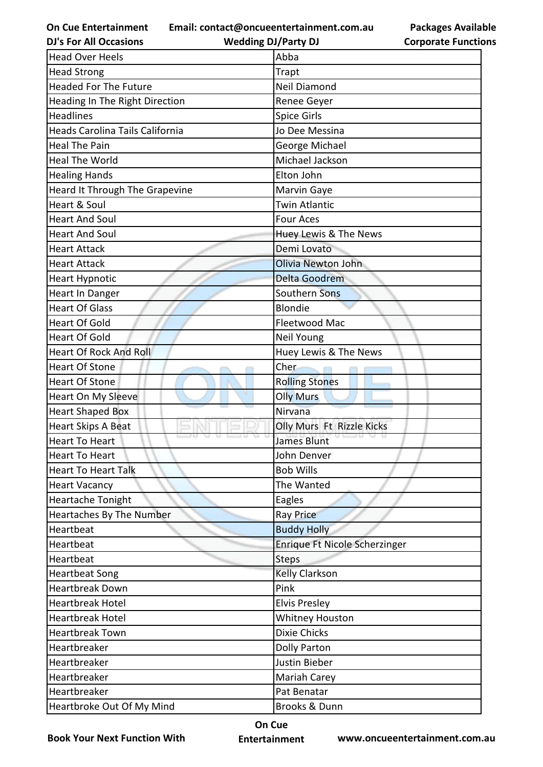**Email: contact@oncueentertainment.com.au**

**DJ's For All Occasions**

**Wedding DJ/Party DJ** 

| <b>Packages Available</b>  |
|----------------------------|
| <b>Corporate Functions</b> |

| <b>Head Over Heels</b>          | Abba                          |
|---------------------------------|-------------------------------|
| <b>Head Strong</b>              | Trapt                         |
| <b>Headed For The Future</b>    | <b>Neil Diamond</b>           |
| Heading In The Right Direction  | Renee Geyer                   |
| <b>Headlines</b>                | <b>Spice Girls</b>            |
| Heads Carolina Tails California | Jo Dee Messina                |
| <b>Heal The Pain</b>            | George Michael                |
| <b>Heal The World</b>           | Michael Jackson               |
| <b>Healing Hands</b>            | Elton John                    |
| Heard It Through The Grapevine  | Marvin Gaye                   |
| Heart & Soul                    | <b>Twin Atlantic</b>          |
| <b>Heart And Soul</b>           | <b>Four Aces</b>              |
| <b>Heart And Soul</b>           | Huey Lewis & The News         |
| <b>Heart Attack</b>             | Demi Lovato                   |
| <b>Heart Attack</b>             | Olivia Newton John            |
| <b>Heart Hypnotic</b>           | <b>Delta Goodrem</b>          |
| Heart In Danger                 | Southern Sons                 |
| <b>Heart Of Glass</b>           | <b>Blondie</b>                |
| <b>Heart Of Gold</b>            | Fleetwood Mac                 |
| <b>Heart Of Gold</b>            | Neil Young                    |
| <b>Heart Of Rock And Roll</b>   | Huey Lewis & The News         |
| <b>Heart Of Stone</b>           | Cher                          |
| <b>Heart Of Stone</b>           | <b>Rolling Stones</b>         |
| Heart On My Sleeve              | <b>Olly Murs</b>              |
| <b>Heart Shaped Box</b>         | Nirvana                       |
| <b>Heart Skips A Beat</b>       | Olly Murs Ft Rizzle Kicks     |
| <b>Heart To Heart</b>           | <b>James Blunt</b>            |
| <b>Heart To Heart</b>           | John Denver                   |
| Heart To Heart Talk             | <b>Bob Wills</b>              |
| <b>Heart Vacancy</b>            | The Wanted                    |
| Heartache Tonight               | Eagles                        |
| <b>Heartaches By The Number</b> | <b>Ray Price</b>              |
| Heartbeat                       | <b>Buddy Holly</b>            |
| Heartbeat                       | Enrique Ft Nicole Scherzinger |
| Heartbeat                       | <b>Steps</b>                  |
| <b>Heartbeat Song</b>           | Kelly Clarkson                |
| <b>Heartbreak Down</b>          | Pink                          |
| <b>Heartbreak Hotel</b>         | <b>Elvis Presley</b>          |
| <b>Heartbreak Hotel</b>         | <b>Whitney Houston</b>        |
| <b>Heartbreak Town</b>          | <b>Dixie Chicks</b>           |
| Heartbreaker                    | <b>Dolly Parton</b>           |
| Heartbreaker                    | Justin Bieber                 |
| Heartbreaker                    | Mariah Carey                  |
| Heartbreaker                    | Pat Benatar                   |
| Heartbroke Out Of My Mind       | Brooks & Dunn                 |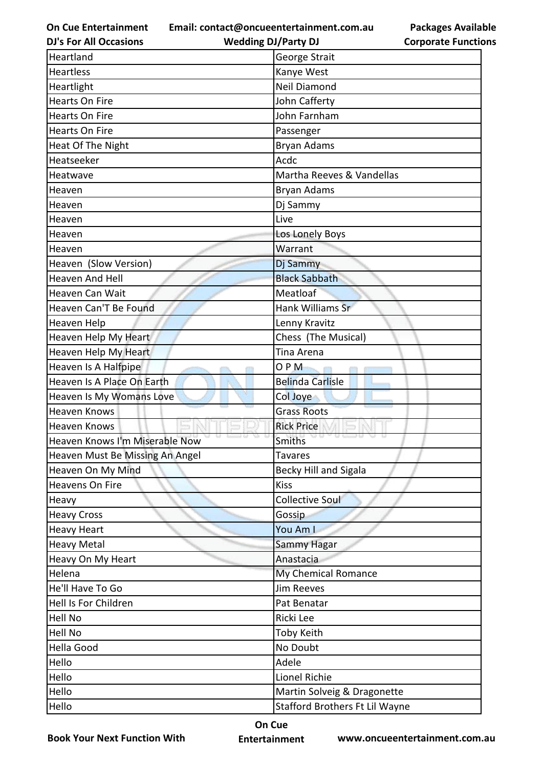**Email: contact@oncueentertainment.com.au**

**Packages Available Corporate Functions**

| <b>DJ's For All Occasions</b>   | <b>Wedding DJ/Party DJ</b>     | <b>Corporate Functio</b> |
|---------------------------------|--------------------------------|--------------------------|
| Heartland                       | George Strait                  |                          |
| <b>Heartless</b>                | Kanye West                     |                          |
| Heartlight                      | Neil Diamond                   |                          |
| <b>Hearts On Fire</b>           | John Cafferty                  |                          |
| <b>Hearts On Fire</b>           | John Farnham                   |                          |
| Hearts On Fire                  | Passenger                      |                          |
| Heat Of The Night               | Bryan Adams                    |                          |
| Heatseeker                      | Acdc                           |                          |
| Heatwave                        | Martha Reeves & Vandellas      |                          |
| Heaven                          | Bryan Adams                    |                          |
| Heaven                          | Dj Sammy                       |                          |
| Heaven                          | Live                           |                          |
| Heaven                          | Los Lonely Boys                |                          |
| Heaven                          | Warrant                        |                          |
| Heaven (Slow Version)           | Dj Sammy                       |                          |
| <b>Heaven And Hell</b>          | <b>Black Sabbath</b>           |                          |
| Heaven Can Wait                 | Meatloaf                       |                          |
| Heaven Can'T Be Found           | Hank Williams Sr               |                          |
| Heaven Help                     | Lenny Kravitz                  |                          |
| Heaven Help My Heart            | Chess (The Musical)            |                          |
| Heaven Help My Heart            | Tina Arena                     |                          |
| Heaven Is A Halfpipe            | OPM                            |                          |
| Heaven Is A Place On Earth      | <b>Belinda Carlisle</b>        |                          |
| Heaven Is My Womans Love        | Col Joye                       |                          |
| Heaven Knows                    | <b>Grass Roots</b>             |                          |
| <b>Heaven Knows</b>             | <b>Rick Price</b>              |                          |
| Heaven Knows I'm Miserable Now  | Smiths                         |                          |
| Heaven Must Be Missing An Angel | <b>Tavares</b>                 |                          |
| Heaven On My Mind               | <b>Becky Hill and Sigala</b>   |                          |
| Heavens On Fire                 | <b>Kiss</b>                    |                          |
| Heavy                           | <b>Collective Soul</b>         |                          |
| <b>Heavy Cross</b>              | Gossip                         |                          |
| <b>Heavy Heart</b>              | You Am I                       |                          |
| <b>Heavy Metal</b>              | Sammy Hagar                    |                          |
| Heavy On My Heart               | Anastacia                      |                          |
| Helena                          | My Chemical Romance            |                          |
| He'll Have To Go                | <b>Jim Reeves</b>              |                          |
| Hell Is For Children            | Pat Benatar                    |                          |
| Hell No                         | Ricki Lee                      |                          |
| Hell No                         | Toby Keith                     |                          |
| <b>Hella Good</b>               | No Doubt                       |                          |
| Hello                           | Adele                          |                          |
| Hello                           | Lionel Richie                  |                          |
| Hello                           | Martin Solveig & Dragonette    |                          |
| Hello                           | Stafford Brothers Ft Lil Wayne |                          |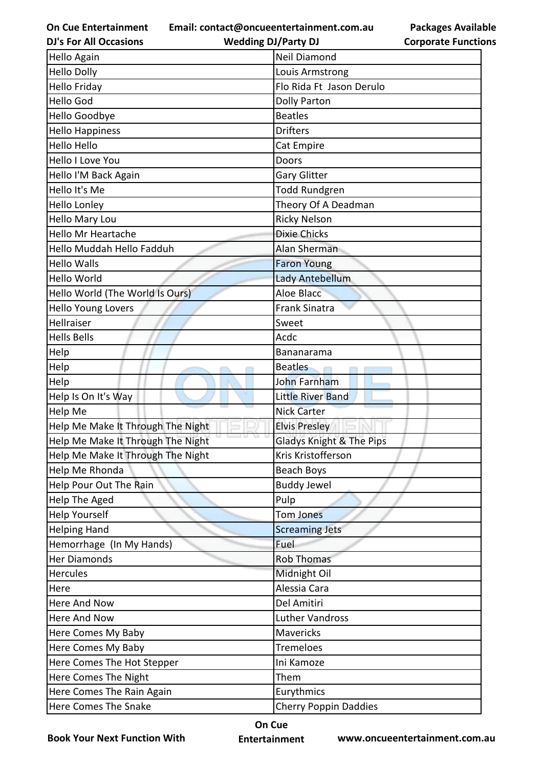**Email: contact@oncueentertainment.com.au**

| <b>DJ's For All Occasions</b>     | <b>Wedding DJ/Party DJ</b>   | <b>Corporate Functio</b> |
|-----------------------------------|------------------------------|--------------------------|
| Hello Again                       | <b>Neil Diamond</b>          |                          |
| <b>Hello Dolly</b>                | Louis Armstrong              |                          |
| <b>Hello Friday</b>               | Flo Rida Ft Jason Derulo     |                          |
| <b>Hello God</b>                  | <b>Dolly Parton</b>          |                          |
| Hello Goodbye                     | <b>Beatles</b>               |                          |
| <b>Hello Happiness</b>            | <b>Drifters</b>              |                          |
| <b>Hello Hello</b>                | Cat Empire                   |                          |
| Hello I Love You                  | Doors                        |                          |
| Hello I'M Back Again              | Gary Glitter                 |                          |
| Hello It's Me                     | <b>Todd Rundgren</b>         |                          |
| <b>Hello Lonley</b>               | Theory Of A Deadman          |                          |
| Hello Mary Lou                    | <b>Ricky Nelson</b>          |                          |
| Hello Mr Heartache                | <b>Dixie Chicks</b>          |                          |
| Hello Muddah Hello Fadduh         | Alan Sherman                 |                          |
| <b>Hello Walls</b>                | <b>Faron Young</b>           |                          |
| Hello World                       | Lady Antebellum              |                          |
| Hello World (The World Is Ours)   | Aloe Blacc                   |                          |
| <b>Hello Young Lovers</b>         | Frank Sinatra                |                          |
| Hellraiser                        | Sweet                        |                          |
| <b>Hells Bells</b>                | Acdc                         |                          |
| Help                              | Bananarama                   |                          |
| Help                              | <b>Beatles</b>               |                          |
| Help                              | <b>John Farnham</b>          |                          |
| Help Is On It's Way               | <b>Little River Band</b>     |                          |
| Help Me                           | <b>Nick Carter</b>           |                          |
| Help Me Make It Through The Night | <b>Elvis Presley</b>         |                          |
| Help Me Make It Through The Night | Gladys Knight & The Pips     |                          |
| Help Me Make It Through The Night | Kris Kristofferson           |                          |
| Help Me Rhonda                    | Beach Boys                   |                          |
| Help Pour Out The Rain            | <b>Buddy Jewel</b>           |                          |
| Help The Aged                     | Pulp                         |                          |
| <b>Help Yourself</b>              | Tom Jones                    |                          |
| <b>Helping Hand</b>               | <b>Screaming Jets</b>        |                          |
| Hemorrhage (In My Hands)          | Fuel                         |                          |
| <b>Her Diamonds</b>               | <b>Rob Thomas</b>            |                          |
| <b>Hercules</b>                   | Midnight Oil                 |                          |
| Here                              | Alessia Cara                 |                          |
| Here And Now                      | Del Amitiri                  |                          |
| Here And Now                      | <b>Luther Vandross</b>       |                          |
| Here Comes My Baby                | Mavericks                    |                          |
| Here Comes My Baby                | Tremeloes                    |                          |
| Here Comes The Hot Stepper        | Ini Kamoze                   |                          |
| Here Comes The Night              | Them                         |                          |
| Here Comes The Rain Again         | Eurythmics                   |                          |
| Here Comes The Snake              | <b>Cherry Poppin Daddies</b> |                          |
|                                   |                              |                          |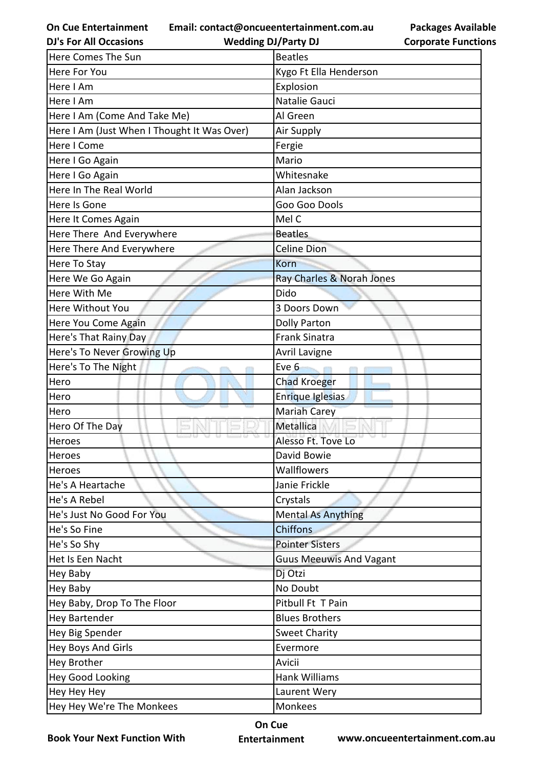**On Cue Entertainment DJ's For All Occasions**

**Email: contact@oncueentertainment.com.au Wedding DJ/Party DJ** 

**Packages Available Corporate Functions**

| Here Comes The Sun                          | <b>Beatles</b>                 |
|---------------------------------------------|--------------------------------|
| Here For You                                | Kygo Ft Ella Henderson         |
| Here I Am                                   | Explosion                      |
| Here I Am                                   | Natalie Gauci                  |
| Here I Am (Come And Take Me)                | Al Green                       |
| Here I Am (Just When I Thought It Was Over) | Air Supply                     |
| Here I Come                                 | Fergie                         |
| Here I Go Again                             | Mario                          |
| Here I Go Again                             | Whitesnake                     |
| Here In The Real World                      | Alan Jackson                   |
| Here Is Gone                                | Goo Goo Dools                  |
| Here It Comes Again                         | Mel C                          |
| Here There And Everywhere                   | <b>Beatles</b>                 |
| Here There And Everywhere                   | <b>Celine Dion</b>             |
| Here To Stay                                | Korn                           |
| Here We Go Again                            | Ray Charles & Norah Jones      |
| Here With Me                                | Dido                           |
| Here Without You                            | 3 Doors Down                   |
| Here You Come Again                         | <b>Dolly Parton</b>            |
| Here's That Rainy Day                       | <b>Frank Sinatra</b>           |
| Here's To Never Growing Up                  | <b>Avril Lavigne</b>           |
| Here's To The Night                         | Eve 6                          |
| Hero                                        | <b>Chad Kroeger</b>            |
| Hero                                        | Enrique Iglesias               |
| Hero                                        | <b>Mariah Carey</b>            |
| Hero Of The Day                             | Metallica                      |
| Heroes                                      | Alesso Ft. Tove Lo             |
| Heroes                                      | David Bowie                    |
| Heroes                                      | Wallflowers                    |
| He's A Heartache                            | Janie Frickle                  |
| He's A Rebel                                | Crystals                       |
| He's Just No Good For You                   | <b>Mental As Anything</b>      |
| He's So Fine                                | <b>Chiffons</b>                |
| He's So Shy                                 | <b>Pointer Sisters</b>         |
| Het Is Een Nacht                            | <b>Guus Meeuwis And Vagant</b> |
| Hey Baby                                    | Dj Otzi                        |
| Hey Baby                                    | No Doubt                       |
| Hey Baby, Drop To The Floor                 | Pitbull Ft T Pain              |
| <b>Hey Bartender</b>                        | <b>Blues Brothers</b>          |
| Hey Big Spender                             | <b>Sweet Charity</b>           |
| Hey Boys And Girls                          | Evermore                       |
| Hey Brother                                 | Avicii                         |
| Hey Good Looking                            | Hank Williams                  |
| Hey Hey Hey                                 | Laurent Wery                   |
| Hey Hey We're The Monkees                   | Monkees                        |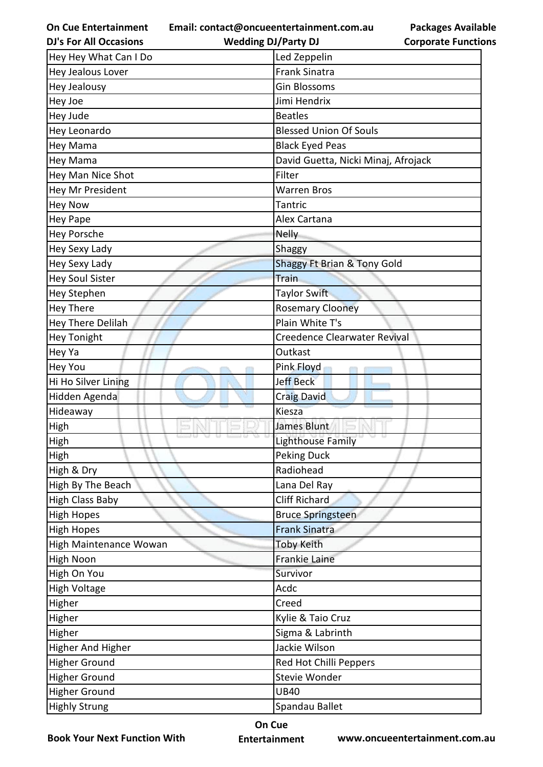**Email: contact@oncueentertainment.com.au**

**Packages Available Corporate Functions**

| <b>DJ's For All Occasions</b> | <b>Wedding DJ/Party DJ</b>             | <b>Corporate Functio</b> |
|-------------------------------|----------------------------------------|--------------------------|
| Hey Hey What Can I Do         | Led Zeppelin                           |                          |
| Hey Jealous Lover             | <b>Frank Sinatra</b>                   |                          |
| Hey Jealousy                  | <b>Gin Blossoms</b>                    |                          |
| Hey Joe                       | Jimi Hendrix                           |                          |
| Hey Jude                      | <b>Beatles</b>                         |                          |
| Hey Leonardo                  | <b>Blessed Union Of Souls</b>          |                          |
| Hey Mama                      | <b>Black Eyed Peas</b>                 |                          |
| Hey Mama                      | David Guetta, Nicki Minaj, Afrojack    |                          |
| Hey Man Nice Shot             | Filter                                 |                          |
| Hey Mr President              | <b>Warren Bros</b>                     |                          |
| <b>Hey Now</b>                | Tantric                                |                          |
| <b>Hey Pape</b>               | Alex Cartana                           |                          |
| <b>Hey Porsche</b>            | <b>Nelly</b>                           |                          |
| Hey Sexy Lady                 | Shaggy                                 |                          |
| Hey Sexy Lady                 | <b>Shaggy Ft Brian &amp; Tony Gold</b> |                          |
| <b>Hey Soul Sister</b>        | <b>Train</b>                           |                          |
| Hey Stephen                   | Taylor Swift                           |                          |
| <b>Hey There</b>              | <b>Rosemary Clooney</b>                |                          |
| Hey There Delilah             | Plain White T's                        |                          |
| <b>Hey Tonight</b>            | Creedence Clearwater Revival           |                          |
| Hey Ya                        | Outkast                                |                          |
| Hey You                       | Pink Floyd                             |                          |
| Hi Ho Silver Lining           | <b>Jeff Beck</b>                       |                          |
| Hidden Agenda                 | <b>Craig David</b>                     |                          |
| Hideaway                      | Kiesza                                 |                          |
| High                          | <b>James Blunt</b>                     |                          |
| <b>High</b>                   | Lighthouse Family                      |                          |
| High                          | <b>Peking Duck</b>                     |                          |
| High & Dry                    | Radiohead                              |                          |
| High By The Beach             | Lana Del Ray                           |                          |
| <b>High Class Baby</b>        | <b>Cliff Richard</b>                   |                          |
| <b>High Hopes</b>             | <b>Bruce Springsteen</b>               |                          |
| <b>High Hopes</b>             | <b>Frank Sinatra</b>                   |                          |
| High Maintenance Wowan        | <b>Toby Keith</b>                      |                          |
| High Noon                     | Frankie Laine                          |                          |
| High On You                   | Survivor                               |                          |
| <b>High Voltage</b>           | Acdc                                   |                          |
| Higher                        | Creed                                  |                          |
| Higher                        | Kylie & Taio Cruz                      |                          |
| Higher                        | Sigma & Labrinth                       |                          |
| <b>Higher And Higher</b>      | Jackie Wilson                          |                          |
| Higher Ground                 | Red Hot Chilli Peppers                 |                          |
| <b>Higher Ground</b>          | Stevie Wonder                          |                          |
| <b>Higher Ground</b>          | <b>UB40</b>                            |                          |
| <b>Highly Strung</b>          | Spandau Ballet                         |                          |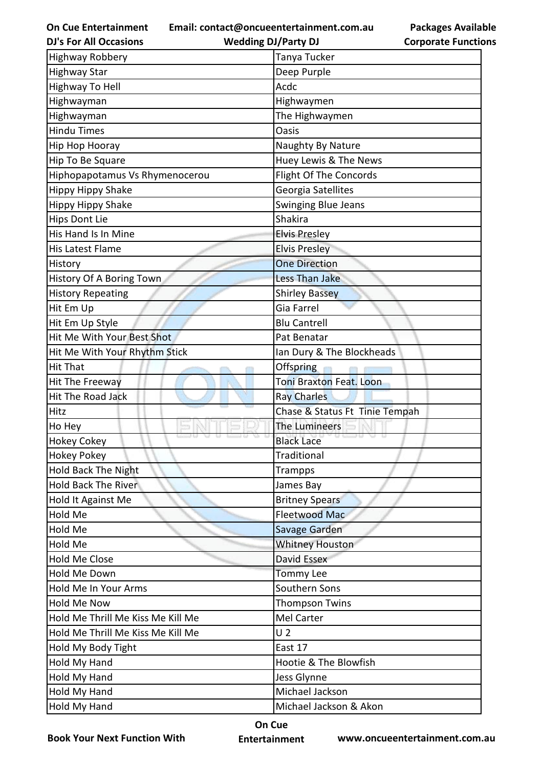**Email: contact@oncueentertainment.com.au**

**DJ's For All Occasions**

**Wedding DJ/Party DJ** 

| <b>Highway Robbery</b>            | Tanya Tucker                   |  |
|-----------------------------------|--------------------------------|--|
| <b>Highway Star</b>               | Deep Purple                    |  |
| Highway To Hell                   | Acdc                           |  |
| Highwayman                        | Highwaymen                     |  |
| Highwayman                        | The Highwaymen                 |  |
| <b>Hindu Times</b>                | <b>Oasis</b>                   |  |
| Hip Hop Hooray                    | Naughty By Nature              |  |
| Hip To Be Square                  | Huey Lewis & The News          |  |
| Hiphopapotamus Vs Rhymenocerou    | <b>Flight Of The Concords</b>  |  |
| Hippy Hippy Shake                 | Georgia Satellites             |  |
| <b>Hippy Hippy Shake</b>          | Swinging Blue Jeans            |  |
| <b>Hips Dont Lie</b>              | Shakira                        |  |
| His Hand Is In Mine               | <b>Elvis Presley</b>           |  |
| His Latest Flame                  | <b>Elvis Presley</b>           |  |
| History                           | <b>One Direction</b>           |  |
| History Of A Boring Town          | Less Than Jake                 |  |
| <b>History Repeating</b>          | <b>Shirley Bassey</b>          |  |
| Hit Em Up                         | Gia Farrel                     |  |
| Hit Em Up Style                   | <b>Blu Cantrell</b>            |  |
| Hit Me With Your Best Shot        | Pat Benatar                    |  |
| Hit Me With Your Rhythm Stick     | Ian Dury & The Blockheads      |  |
| <b>Hit That</b>                   | Offspring                      |  |
| Hit The Freeway                   | <b>Toni Braxton Feat. Loon</b> |  |
| Hit The Road Jack                 | <b>Ray Charles</b>             |  |
| Hitz                              | Chase & Status Ft Tinie Tempah |  |
| Ho Hey                            | The Lumineers                  |  |
| <b>Hokey Cokey</b>                | <b>Black Lace</b>              |  |
| Hokey Pokey                       | Traditional                    |  |
| <b>Hold Back The Night</b>        | Trampps                        |  |
| <b>Hold Back The River</b>        | James Bay                      |  |
| Hold It Against Me                | <b>Britney Spears</b>          |  |
| Hold Me                           | Fleetwood Mac                  |  |
| Hold Me                           | Savage Garden                  |  |
| Hold Me                           | <b>Whitney Houston</b>         |  |
| <b>Hold Me Close</b>              | David Essex                    |  |
| Hold Me Down                      | <b>Tommy Lee</b>               |  |
| Hold Me In Your Arms              | Southern Sons                  |  |
| <b>Hold Me Now</b>                | <b>Thompson Twins</b>          |  |
| Hold Me Thrill Me Kiss Me Kill Me | Mel Carter                     |  |
| Hold Me Thrill Me Kiss Me Kill Me | U <sub>2</sub>                 |  |
| Hold My Body Tight                | East 17                        |  |
| Hold My Hand                      | Hootie & The Blowfish          |  |
| Hold My Hand                      | Jess Glynne                    |  |
| Hold My Hand                      | Michael Jackson                |  |
| Hold My Hand                      | Michael Jackson & Akon         |  |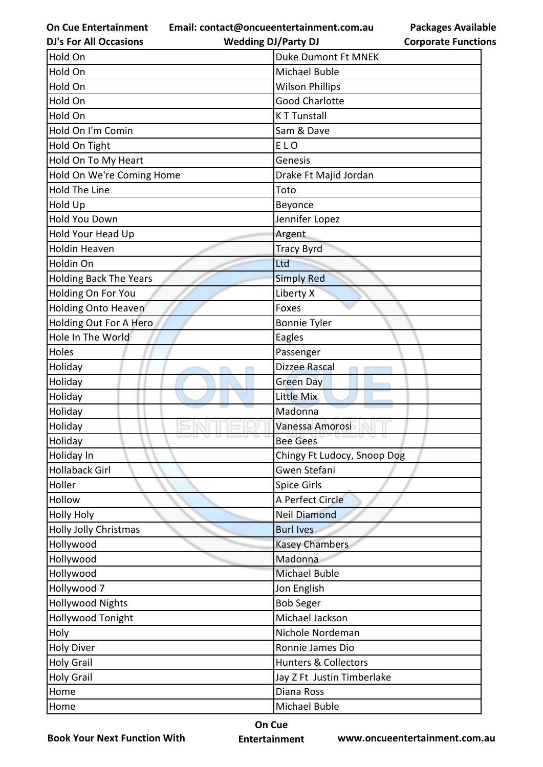**Email: contact@oncueentertainment.com.au**

**DJ's For All Occasions**

**Wedding DJ/Party DJ** 

**Packages Available Corporate Functions**

| Hold On                       | <b>Duke Dumont Ft MNEK</b>      |
|-------------------------------|---------------------------------|
| Hold On                       | Michael Buble                   |
| Hold On                       | <b>Wilson Phillips</b>          |
| Hold On                       | <b>Good Charlotte</b>           |
| Hold On                       | <b>KT Tunstall</b>              |
| Hold On I'm Comin             | Sam & Dave                      |
| Hold On Tight                 | ELO                             |
| Hold On To My Heart           | Genesis                         |
| Hold On We're Coming Home     | Drake Ft Majid Jordan           |
| <b>Hold The Line</b>          | Toto                            |
| Hold Up                       | Beyonce                         |
| <b>Hold You Down</b>          | Jennifer Lopez                  |
| Hold Your Head Up             | Argent                          |
| <b>Holdin Heaven</b>          | <b>Tracy Byrd</b>               |
| Holdin On                     | Ltd                             |
| <b>Holding Back The Years</b> | <b>Simply Red</b>               |
| Holding On For You            | Liberty X                       |
| Holding Onto Heaven           | Foxes                           |
| Holding Out For A Hero        | <b>Bonnie Tyler</b>             |
| Hole In The World             | Eagles                          |
| Holes                         | Passenger                       |
| Holiday                       | Dizzee Rascal                   |
| Holiday                       | <b>Green Day</b>                |
| Holiday                       | Little Mix                      |
| Holiday                       | Madonna                         |
| Holiday                       | Vanessa Amorosi                 |
| Holiday                       | <b>Bee Gees</b>                 |
| Holiday In                    | Chingy Ft Ludocy, Snoop Dog     |
| <b>Hollaback Girl</b>         | Gwen Stefani                    |
| Holler                        | <b>Spice Girls</b>              |
| Hollow                        | A Perfect Circle                |
| <b>Holly Holy</b>             | <b>Neil Diamond</b>             |
| <b>Holly Jolly Christmas</b>  | <b>Burl Ives</b>                |
| Hollywood                     | <b>Kasey Chambers</b>           |
| Hollywood                     | Madonna                         |
| Hollywood                     | <b>Michael Buble</b>            |
| Hollywood 7                   | Jon English                     |
| <b>Hollywood Nights</b>       | <b>Bob Seger</b>                |
| <b>Hollywood Tonight</b>      | Michael Jackson                 |
| Holy                          | Nichole Nordeman                |
| <b>Holy Diver</b>             | Ronnie James Dio                |
| <b>Holy Grail</b>             | <b>Hunters &amp; Collectors</b> |
| <b>Holy Grail</b>             | Jay Z Ft Justin Timberlake      |
| Home                          | Diana Ross                      |
| Home                          | Michael Buble                   |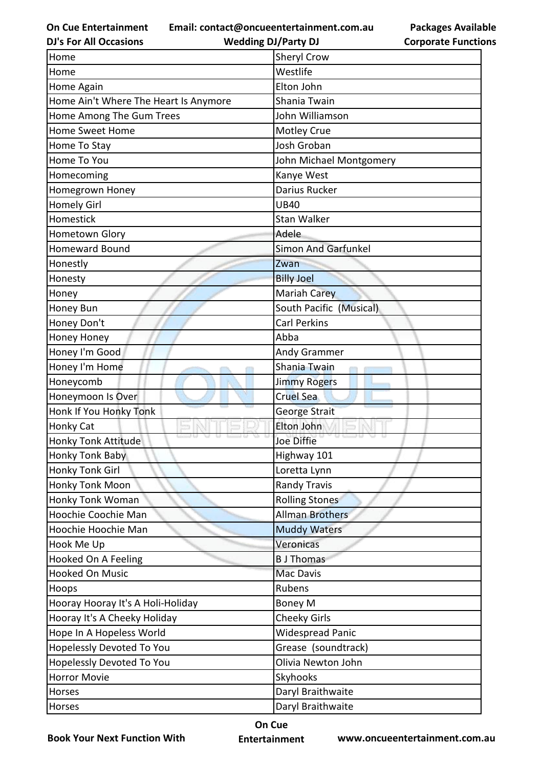**Email: contact@oncueentertainment.com.au**

**Wedding DJ/Party DJ** 

**Packages Available Corporate Functions**

| <b>DJ's For All Occasions</b>         | <b>Wedding DJ/Party DJ</b> | <b>Corporate Functio</b> |
|---------------------------------------|----------------------------|--------------------------|
| Home                                  | Sheryl Crow                |                          |
| Home                                  | Westlife                   |                          |
| Home Again                            | Elton John                 |                          |
| Home Ain't Where The Heart Is Anymore | Shania Twain               |                          |
| Home Among The Gum Trees              | John Williamson            |                          |
| <b>Home Sweet Home</b>                | Motley Crue                |                          |
| Home To Stay                          | Josh Groban                |                          |
| Home To You                           | John Michael Montgomery    |                          |
| Homecoming                            | Kanye West                 |                          |
| Homegrown Honey                       | Darius Rucker              |                          |
| <b>Homely Girl</b>                    | <b>UB40</b>                |                          |
| Homestick                             | <b>Stan Walker</b>         |                          |
| Hometown Glory                        | Adele                      |                          |
| <b>Homeward Bound</b>                 | <b>Simon And Garfunkel</b> |                          |
| Honestly                              | Zwan                       |                          |
| Honesty                               | <b>Billy Joel</b>          |                          |
| Honey                                 | Mariah Carey               |                          |
| Honey Bun                             | South Pacific (Musical)    |                          |
| Honey Don't                           | <b>Carl Perkins</b>        |                          |
| Honey Honey                           | Abba                       |                          |
| Honey I'm Good                        | Andy Grammer               |                          |
| Honey I'm Home                        | Shania Twain               |                          |
| Honeycomb                             | <b>Jimmy Rogers</b>        |                          |
| Honeymoon Is Over                     | <b>Cruel Sea</b>           |                          |
| Honk If You Honky Tonk                | George Strait              |                          |
| <b>Honky Cat</b>                      | Elton John                 |                          |
| <b>Honky Tonk Attitude</b>            | Joe Diffie                 |                          |
| Honky Tonk Baby                       | Highway 101                |                          |
| Honky Tonk Girl                       | Loretta Lynn               |                          |
| Honky Tonk Moon                       | <b>Randy Travis</b>        |                          |
| Honky Tonk Woman                      | <b>Rolling Stones</b>      |                          |
| Hoochie Coochie Man                   | <b>Allman Brothers</b>     |                          |
| Hoochie Hoochie Man                   | <b>Muddy Waters</b>        |                          |
| Hook Me Up                            | Veronicas                  |                          |
| Hooked On A Feeling                   | <b>B</b> J Thomas          |                          |
| <b>Hooked On Music</b>                | Mac Davis                  |                          |
| Hoops                                 | Rubens                     |                          |
| Hooray Hooray It's A Holi-Holiday     | <b>Boney M</b>             |                          |
| Hooray It's A Cheeky Holiday          | <b>Cheeky Girls</b>        |                          |
| Hope In A Hopeless World              | <b>Widespread Panic</b>    |                          |
| Hopelessly Devoted To You             | Grease (soundtrack)        |                          |
| Hopelessly Devoted To You             | Olivia Newton John         |                          |
| <b>Horror Movie</b>                   | Skyhooks                   |                          |
| Horses                                | Daryl Braithwaite          |                          |
| Horses                                | Daryl Braithwaite          |                          |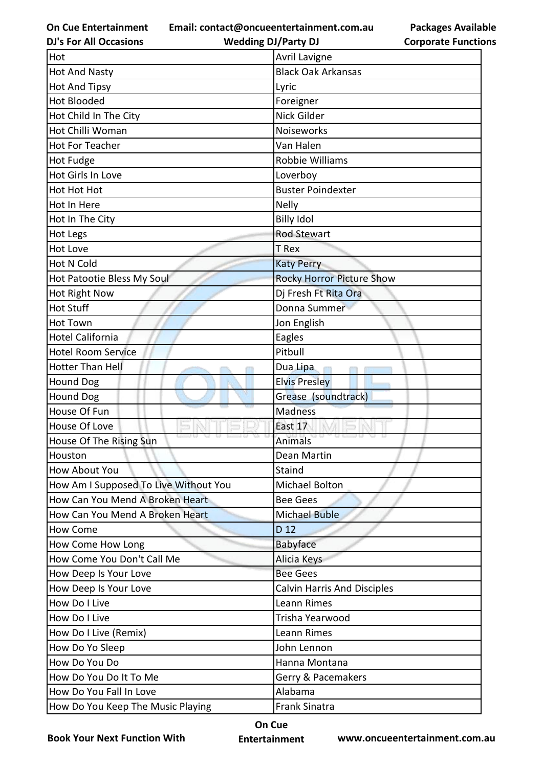**Email: contact@oncueentertainment.com.au**

**DJ's For All Occasions**

**Wedding DJ/Party DJ** 

| <b>Packages Available</b>  |
|----------------------------|
| <b>Corporate Functions</b> |

| Hot                                   | <b>Avril Lavigne</b>             |
|---------------------------------------|----------------------------------|
| <b>Hot And Nasty</b>                  | <b>Black Oak Arkansas</b>        |
| <b>Hot And Tipsy</b>                  | Lyric                            |
| <b>Hot Blooded</b>                    | Foreigner                        |
| Hot Child In The City                 | Nick Gilder                      |
| Hot Chilli Woman                      | Noiseworks                       |
| <b>Hot For Teacher</b>                | Van Halen                        |
| <b>Hot Fudge</b>                      | Robbie Williams                  |
| Hot Girls In Love                     | Loverboy                         |
| Hot Hot Hot                           | <b>Buster Poindexter</b>         |
| Hot In Here                           | <b>Nelly</b>                     |
| Hot In The City                       | <b>Billy Idol</b>                |
| Hot Legs                              | Rod Stewart                      |
| <b>Hot Love</b>                       | T Rex                            |
| <b>Hot N Cold</b>                     | <b>Katy Perry</b>                |
| Hot Patootie Bless My Soul            | <b>Rocky Horror Picture Show</b> |
| Hot Right Now                         | Dj Fresh Ft Rita Ora             |
| <b>Hot Stuff</b>                      | Donna Summer                     |
| <b>Hot Town</b>                       | Jon English                      |
| <b>Hotel California</b>               | Eagles                           |
| <b>Hotel Room Service</b>             | Pitbull                          |
| Hotter Than Hell                      | Dua Lipa                         |
| <b>Hound Dog</b>                      | <b>Elvis Presley</b>             |
| <b>Hound Dog</b>                      | Grease (soundtrack)              |
| House Of Fun                          | <b>Madness</b>                   |
| House Of Love                         | East 17                          |
| House Of The Rising Sun               | <b>Animals</b>                   |
| Houston                               | Dean Martin                      |
| How About You                         | Staind                           |
| How Am I Supposed To Live Without You | Michael Bolton                   |
| How Can You Mend A Broken Heart       | <b>Bee Gees</b>                  |
| How Can You Mend A Broken Heart       | <b>Michael Buble</b>             |
| How Come                              | D 12                             |
| How Come How Long                     | <b>Babyface</b>                  |
| How Come You Don't Call Me            | Alicia Keys                      |
| How Deep Is Your Love                 | <b>Bee Gees</b>                  |
| How Deep Is Your Love                 | Calvin Harris And Disciples      |
| How Do I Live                         | Leann Rimes                      |
| How Do I Live                         | Trisha Yearwood                  |
| How Do I Live (Remix)                 | Leann Rimes                      |
| How Do Yo Sleep                       | John Lennon                      |
| How Do You Do                         | Hanna Montana                    |
| How Do You Do It To Me                | Gerry & Pacemakers               |
| How Do You Fall In Love               | Alabama                          |
| How Do You Keep The Music Playing     | <b>Frank Sinatra</b>             |

**Book Your Next Function With**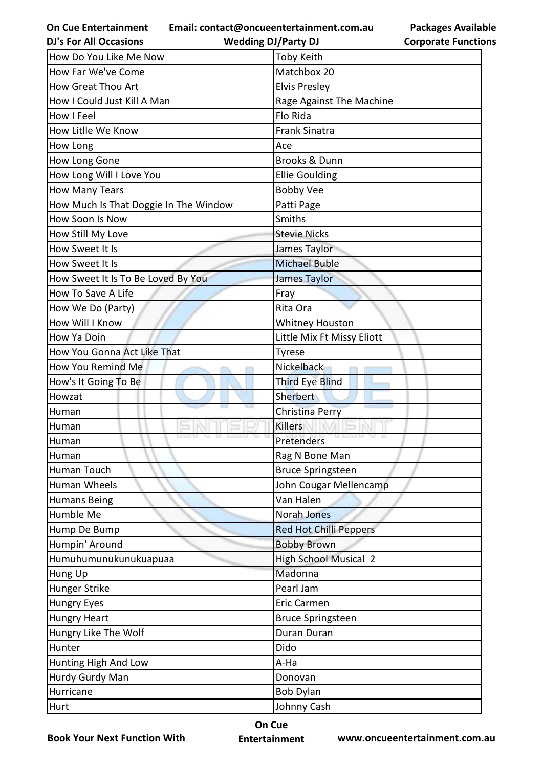**Email: contact@oncueentertainment.com.au**

**Packages Available Corporate Functions**

| <b>DJ's For All Occasions</b>         | <b>Wedding DJ/Party DJ</b>    | <b>Corporate Functio</b> |
|---------------------------------------|-------------------------------|--------------------------|
| How Do You Like Me Now                | <b>Toby Keith</b>             |                          |
| How Far We've Come                    | Matchbox 20                   |                          |
| How Great Thou Art                    | <b>Elvis Presley</b>          |                          |
| How I Could Just Kill A Man           | Rage Against The Machine      |                          |
| How I Feel                            | Flo Rida                      |                          |
| How Litlle We Know                    | <b>Frank Sinatra</b>          |                          |
| How Long                              | Ace                           |                          |
| How Long Gone                         | <b>Brooks &amp; Dunn</b>      |                          |
| How Long Will I Love You              | <b>Ellie Goulding</b>         |                          |
| <b>How Many Tears</b>                 | <b>Bobby Vee</b>              |                          |
| How Much Is That Doggie In The Window | Patti Page                    |                          |
| How Soon Is Now                       | Smiths                        |                          |
| How Still My Love                     | <b>Stevie Nicks</b>           |                          |
| How Sweet It Is                       | James Taylor                  |                          |
| How Sweet It Is                       | <b>Michael Buble</b>          |                          |
| How Sweet It Is To Be Loved By You    | <b>James Taylor</b>           |                          |
| How To Save A Life                    | Fray                          |                          |
| How We Do (Party)                     | Rita Ora                      |                          |
| How Will I Know                       | <b>Whitney Houston</b>        |                          |
| How Ya Doin                           | Little Mix Ft Missy Eliott    |                          |
| How You Gonna Act Like That           | <b>Tyrese</b>                 |                          |
| How You Remind Me                     | Nickelback                    |                          |
| How's It Going To Be                  | <b>Third Eye Blind</b>        |                          |
| Howzat                                | <b>Sherbert</b>               |                          |
| Human                                 | Christina Perry               |                          |
| Human                                 | <b>Killers</b>                |                          |
| Human                                 | Pretenders                    |                          |
| Human                                 | Rag N Bone Man                |                          |
| Human Touch                           | <b>Bruce Springsteen</b>      |                          |
| Human Wheels                          | John Cougar Mellencamp        |                          |
| <b>Humans Being</b>                   | Van Halen                     |                          |
| Humble Me                             | Norah Jones                   |                          |
| Hump De Bump                          | <b>Red Hot Chilli Peppers</b> |                          |
| Humpin' Around                        | <b>Bobby Brown</b>            |                          |
| Humuhumunukunukuapuaa                 | <b>High School Musical 2</b>  |                          |
| Hung Up                               | Madonna                       |                          |
| Hunger Strike                         | Pearl Jam                     |                          |
| <b>Hungry Eyes</b>                    | <b>Eric Carmen</b>            |                          |
| <b>Hungry Heart</b>                   | <b>Bruce Springsteen</b>      |                          |
| Hungry Like The Wolf                  | Duran Duran                   |                          |
| Hunter                                | Dido                          |                          |
| Hunting High And Low                  | A-Ha                          |                          |
| Hurdy Gurdy Man                       | Donovan                       |                          |
| Hurricane                             | <b>Bob Dylan</b>              |                          |
| Hurt                                  | Johnny Cash                   |                          |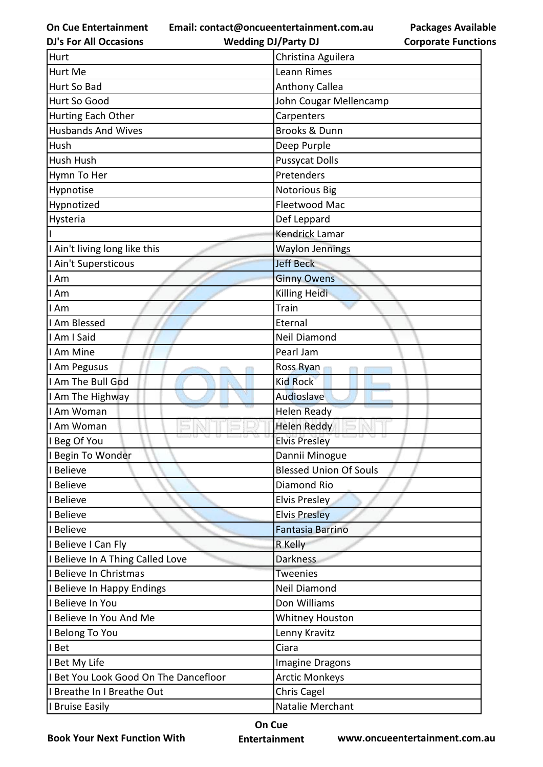**On Cue Entertainment DJ's For All Occasions**

**Email: contact@oncueentertainment.com.au Wedding DJ/Party DJ** 

**Packages Available Corporate Functions**

| Hurt                                  | Christina Aguilera            |
|---------------------------------------|-------------------------------|
| Hurt Me                               | Leann Rimes                   |
| Hurt So Bad                           | <b>Anthony Callea</b>         |
| Hurt So Good                          | John Cougar Mellencamp        |
| Hurting Each Other                    | Carpenters                    |
| <b>Husbands And Wives</b>             | <b>Brooks &amp; Dunn</b>      |
| Hush                                  | Deep Purple                   |
| Hush Hush                             | <b>Pussycat Dolls</b>         |
| Hymn To Her                           | Pretenders                    |
| Hypnotise                             | <b>Notorious Big</b>          |
| Hypnotized                            | Fleetwood Mac                 |
| Hysteria                              | Def Leppard                   |
|                                       | Kendrick Lamar                |
| I Ain't living long like this         | <b>Waylon Jennings</b>        |
| I Ain't Supersticous                  | <b>Jeff Beck</b>              |
| I Am                                  | <b>Ginny Owens</b>            |
| I Am                                  | Killing Heidi                 |
| I Am                                  | Train                         |
| I Am Blessed                          | Eternal                       |
| I Am I Said                           | Neil Diamond                  |
| I Am Mine                             | Pearl Jam                     |
| I Am Pegusus                          | Ross Ryan                     |
| I Am The Bull God                     | <b>Kid Rock</b>               |
| I Am The Highway                      | Audioslave                    |
| I Am Woman                            | <b>Helen Ready</b>            |
| I Am Woman                            | <b>Helen Reddy</b>            |
| I Beg Of You                          | <b>Elvis Presley</b>          |
| I Begin To Wonder                     | Dannii Minogue                |
| I Believe                             | <b>Blessed Union Of Souls</b> |
| I Believe                             | Diamond Rio                   |
| I Believe                             | Elvis Presley                 |
| I Believe                             | <b>Elvis Presley</b>          |
| I Believe                             | <b>Fantasia Barrino</b>       |
| I Believe I Can Fly                   | R Kelly                       |
| I Believe In A Thing Called Love      | <b>Darkness</b>               |
| I Believe In Christmas                | <b>Tweenies</b>               |
| I Believe In Happy Endings            | Neil Diamond                  |
| I Believe In You                      | Don Williams                  |
| I Believe In You And Me               | Whitney Houston               |
| I Belong To You                       | Lenny Kravitz                 |
| I Bet                                 | Ciara                         |
| I Bet My Life                         | Imagine Dragons               |
| I Bet You Look Good On The Dancefloor | <b>Arctic Monkeys</b>         |
| I Breathe In I Breathe Out            | Chris Cagel                   |
| I Bruise Easily                       | Natalie Merchant              |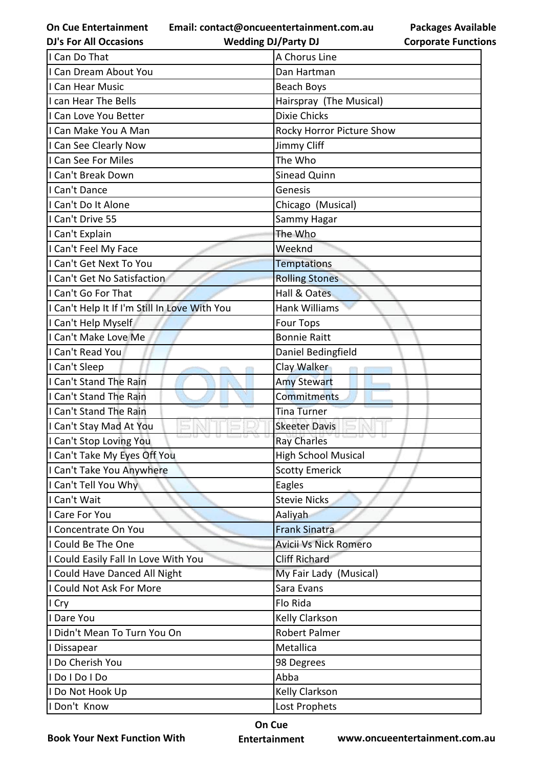**Email: contact@oncueentertainment.com.au**

**DJ's For All Occasions**

**Wedding DJ/Party DJ** 

**Packages Available Corporate Functions**

| I Can Do That                                 | A Chorus Line             |
|-----------------------------------------------|---------------------------|
| I Can Dream About You                         | Dan Hartman               |
| I Can Hear Music                              | Beach Boys                |
| I can Hear The Bells                          | Hairspray (The Musical)   |
| I Can Love You Better                         | <b>Dixie Chicks</b>       |
| I Can Make You A Man                          | Rocky Horror Picture Show |
| I Can See Clearly Now                         | Jimmy Cliff               |
| I Can See For Miles                           | The Who                   |
| I Can't Break Down                            | Sinead Quinn              |
| I Can't Dance                                 | Genesis                   |
| I Can't Do It Alone                           | Chicago (Musical)         |
| I Can't Drive 55                              | Sammy Hagar               |
| I Can't Explain                               | The Who                   |
| I Can't Feel My Face                          | Weeknd                    |
| I Can't Get Next To You                       | <b>Temptations</b>        |
| I Can't Get No Satisfaction                   | <b>Rolling Stones</b>     |
| I Can't Go For That                           | Hall & Oates              |
| I Can't Help It If I'm Still In Love With You | <b>Hank Williams</b>      |
| I Can't Help Myself                           | <b>Four Tops</b>          |
| I Can't Make Love Me                          | <b>Bonnie Raitt</b>       |
| I Can't Read You                              | Daniel Bedingfield        |
| I Can't Sleep                                 | Clay Walker               |
| I Can't Stand The Rain                        | <b>Amy Stewart</b>        |
| I Can't Stand The Rain                        | Commitments               |
| I Can't Stand The Rain                        | <b>Tina Turner</b>        |
| I Can't Stay Mad At You                       | <b>Skeeter Davis</b>      |
| I Can't Stop Loving You                       | <b>Ray Charles</b>        |
| I Can't Take My Eyes Off You                  | High School Musical       |
| I Can't Take You Anywhere                     | <b>Scotty Emerick</b>     |
| I Can't Tell You Why                          | Eagles                    |
| I Can't Wait                                  | <b>Stevie Nicks</b>       |
| I Care For You                                | Aaliyah                   |
| I Concentrate On You                          | <b>Frank Sinatra</b>      |
| I Could Be The One                            | Avicii Vs Nick Romero     |
| I Could Easily Fall In Love With You          | <b>Cliff Richard</b>      |
| I Could Have Danced All Night                 | My Fair Lady (Musical)    |
| I Could Not Ask For More                      | Sara Evans                |
| I Cry                                         | Flo Rida                  |
| I Dare You                                    | Kelly Clarkson            |
| I Didn't Mean To Turn You On                  | <b>Robert Palmer</b>      |
| I Dissapear                                   | Metallica                 |
| I Do Cherish You                              | 98 Degrees                |
| I Do I Do I Do                                | Abba                      |
| I Do Not Hook Up                              | Kelly Clarkson            |
| I Don't Know                                  | Lost Prophets             |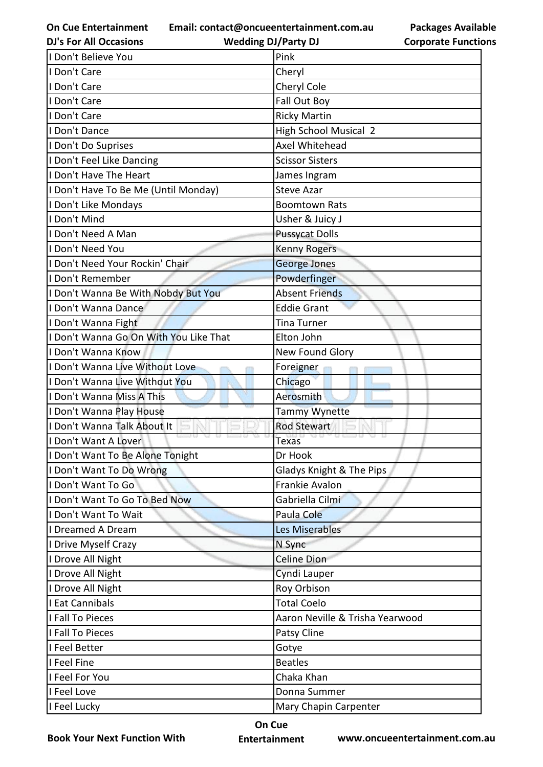**Email: contact@oncueentertainment.com.au**

**Packages Available Corporate Functions**

| <b>DJ's For All Occasions</b>          | <b>Wedding DJ/Party DJ</b>      | <b>Corporate Functio</b> |
|----------------------------------------|---------------------------------|--------------------------|
| I Don't Believe You                    | Pink                            |                          |
| I Don't Care                           | Cheryl                          |                          |
| I Don't Care                           | Cheryl Cole                     |                          |
| I Don't Care                           | Fall Out Boy                    |                          |
| I Don't Care                           | <b>Ricky Martin</b>             |                          |
| I Don't Dance                          | <b>High School Musical 2</b>    |                          |
| I Don't Do Suprises                    | Axel Whitehead                  |                          |
| I Don't Feel Like Dancing              | <b>Scissor Sisters</b>          |                          |
| I Don't Have The Heart                 | James Ingram                    |                          |
| I Don't Have To Be Me (Until Monday)   | <b>Steve Azar</b>               |                          |
| I Don't Like Mondays                   | <b>Boomtown Rats</b>            |                          |
| I Don't Mind                           | Usher & Juicy J                 |                          |
| Don't Need A Man                       | <b>Pussycat Dolls</b>           |                          |
| I Don't Need You                       | <b>Kenny Rogers</b>             |                          |
| I Don't Need Your Rockin' Chair        | George Jones                    |                          |
| I Don't Remember                       | Powderfinger                    |                          |
| I Don't Wanna Be With Nobdy But You    | <b>Absent Friends</b>           |                          |
| I Don't Wanna Dance                    | <b>Eddie Grant</b>              |                          |
| I Don't Wanna Fight                    | Tina Turner                     |                          |
| I Don't Wanna Go On With You Like That | Elton John                      |                          |
| I Don't Wanna Know                     | New Found Glory                 |                          |
| I Don't Wanna Live Without Love        | Foreigner                       |                          |
| I Don't Wanna Live Without You         | Chicago                         |                          |
| I Don't Wanna Miss A This              | Aerosmith                       |                          |
| I Don't Wanna Play House               | Tammy Wynette                   |                          |
| I Don't Wanna Talk About It            | <b>Rod Stewart</b>              |                          |
| I Don't Want A Lover                   | <b>Texas</b>                    |                          |
| I Don't Want To Be Alone Tonight       | Dr Hook                         |                          |
| I Don't Want To Do Wrong               | Gladys Knight & The Pips        |                          |
| I Don't Want To Go                     | Frankie Avalon                  |                          |
| I Don't Want To Go To Bed Now          | Gabriella Cilmi                 |                          |
| I Don't Want To Wait                   | Paula Cole                      |                          |
| I Dreamed A Dream                      | Les Miserables                  |                          |
| I Drive Myself Crazy                   | N Sync                          |                          |
| I Drove All Night                      | Celine Dion                     |                          |
| I Drove All Night                      | Cyndi Lauper                    |                          |
| I Drove All Night                      | Roy Orbison                     |                          |
| I Eat Cannibals                        | <b>Total Coelo</b>              |                          |
| I Fall To Pieces                       | Aaron Neville & Trisha Yearwood |                          |
| I Fall To Pieces                       | Patsy Cline                     |                          |
| I Feel Better                          | Gotye                           |                          |
| I Feel Fine                            | <b>Beatles</b>                  |                          |
| I Feel For You                         | Chaka Khan                      |                          |
| I Feel Love                            | Donna Summer                    |                          |
| I Feel Lucky                           | Mary Chapin Carpenter           |                          |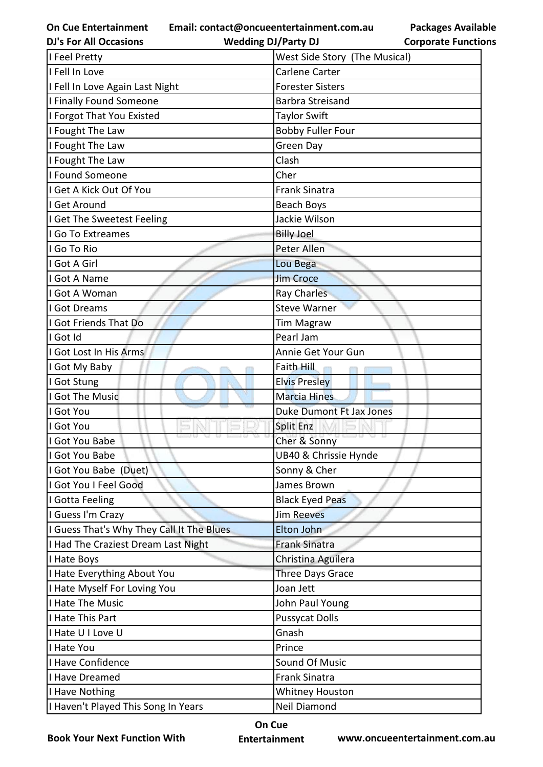**Email: contact@oncueentertainment.com.au**

**DJ's For All Occasions**

**Wedding DJ/Party DJ** 

| I Feel Pretty                             | West Side Story (The Musical)   |
|-------------------------------------------|---------------------------------|
| I Fell In Love                            | Carlene Carter                  |
| I Fell In Love Again Last Night           | <b>Forester Sisters</b>         |
| I Finally Found Someone                   | <b>Barbra Streisand</b>         |
| I Forgot That You Existed                 | <b>Taylor Swift</b>             |
| I Fought The Law                          | <b>Bobby Fuller Four</b>        |
| I Fought The Law                          | Green Day                       |
| I Fought The Law                          | Clash                           |
| I Found Someone                           | Cher                            |
| I Get A Kick Out Of You                   | <b>Frank Sinatra</b>            |
| I Get Around                              | Beach Boys                      |
| I Get The Sweetest Feeling                | Jackie Wilson                   |
| I Go To Extreames                         | <b>Billy Joel</b>               |
| I Go To Rio                               | Peter Allen                     |
| I Got A Girl                              | Lou Bega                        |
| I Got A Name                              | <b>Jim Croce</b>                |
| I Got A Woman                             | Ray Charles                     |
| I Got Dreams                              | <b>Steve Warner</b>             |
| I Got Friends That Do                     | <b>Tim Magraw</b>               |
| I Got Id                                  | Pearl Jam                       |
| I Got Lost In His Arms                    | Annie Get Your Gun              |
| I Got My Baby                             | Faith Hill                      |
| I Got Stung                               | <b>Elvis Presley</b>            |
| I Got The Music                           | <b>Marcia Hines</b>             |
| I Got You                                 | <b>Duke Dumont Ft Jax Jones</b> |
| I Got You                                 | Split Enz                       |
| I Got You Babe                            | Cher & Sonny                    |
| I Got You Babe                            | UB40 & Chrissie Hynde           |
| I Got You Babe (Duet)                     | Sonny & Cher                    |
| I Got You I Feel Good                     | James Brown                     |
| I Gotta Feeling                           | <b>Black Eyed Peas</b>          |
| I Guess I'm Crazy                         | <b>Jim Reeves</b>               |
| I Guess That's Why They Call It The Blues | Elton John                      |
| I Had The Craziest Dream Last Night       | <b>Frank Sinatra</b>            |
| I Hate Boys                               | Christina Aguilera              |
| I Hate Everything About You               | <b>Three Days Grace</b>         |
| I Hate Myself For Loving You              | Joan Jett                       |
| I Hate The Music                          | John Paul Young                 |
| I Hate This Part                          | <b>Pussycat Dolls</b>           |
| I Hate U I Love U                         | Gnash                           |
| I Hate You                                | Prince                          |
| I Have Confidence                         | Sound Of Music                  |
| I Have Dreamed                            | <b>Frank Sinatra</b>            |
| I Have Nothing                            | <b>Whitney Houston</b>          |
| I Haven't Played This Song In Years       | Neil Diamond                    |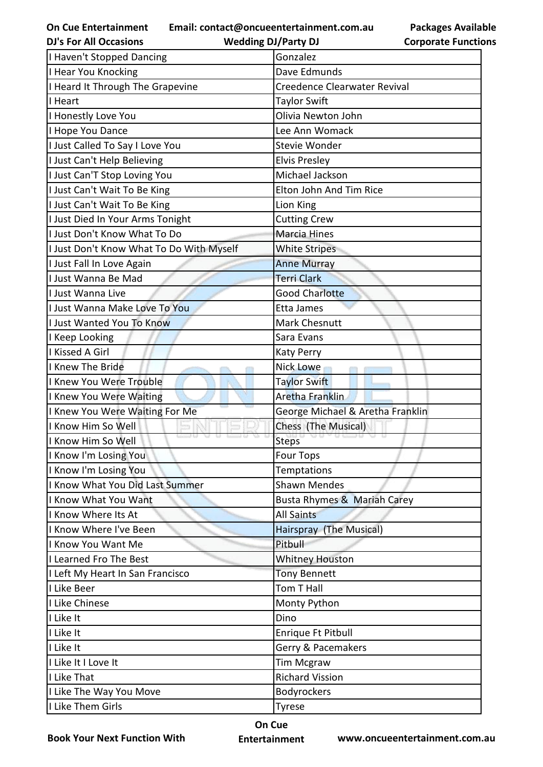**Email: contact@oncueentertainment.com.au**

**Packages Available Corporate Functions**

| <b>DJ's For All Occasions</b>            | <b>Wedding DJ/Party DJ</b>       | <b>Corporate Function</b> |
|------------------------------------------|----------------------------------|---------------------------|
| I Haven't Stopped Dancing                | Gonzalez                         |                           |
| I Hear You Knocking                      | Dave Edmunds                     |                           |
| I Heard It Through The Grapevine         | Creedence Clearwater Revival     |                           |
| I Heart                                  | <b>Taylor Swift</b>              |                           |
| I Honestly Love You                      | Olivia Newton John               |                           |
| I Hope You Dance                         | Lee Ann Womack                   |                           |
| I Just Called To Say I Love You          | <b>Stevie Wonder</b>             |                           |
| I Just Can't Help Believing              | <b>Elvis Presley</b>             |                           |
| I Just Can'T Stop Loving You             | Michael Jackson                  |                           |
| I Just Can't Wait To Be King             | Elton John And Tim Rice          |                           |
| I Just Can't Wait To Be King             | Lion King                        |                           |
| I Just Died In Your Arms Tonight         | <b>Cutting Crew</b>              |                           |
| I Just Don't Know What To Do             | Marcia Hines                     |                           |
| I Just Don't Know What To Do With Myself | <b>White Stripes</b>             |                           |
| I Just Fall In Love Again                | <b>Anne Murray</b>               |                           |
| I Just Wanna Be Mad                      | <b>Terri Clark</b>               |                           |
| I Just Wanna Live                        | <b>Good Charlotte</b>            |                           |
| I Just Wanna Make Love To You            | Etta James                       |                           |
| I Just Wanted You To Know                | <b>Mark Chesnutt</b>             |                           |
| I Keep Looking                           | Sara Evans                       |                           |
| I Kissed A Girl                          | <b>Katy Perry</b>                |                           |
| I Knew The Bride                         | Nick Lowe                        |                           |
| I Knew You Were Trouble                  | <b>Taylor Swift</b>              |                           |
| I Knew You Were Waiting                  | Aretha Franklin                  |                           |
| I Knew You Were Waiting For Me           | George Michael & Aretha Franklin |                           |
| I Know Him So Well                       | Chess (The Musical)              |                           |
| I Know Him So Well                       | <b>Steps</b>                     |                           |
| I Know I'm Losing You                    | <b>Four Tops</b>                 |                           |
| I Know I'm Losing You                    | Temptations                      |                           |
| I Know What You Did Last Summer          | <b>Shawn Mendes</b>              |                           |
| I Know What You Want                     | Busta Rhymes & Mariah Carey      |                           |
| I Know Where Its At                      | <b>All Saints</b>                |                           |
| I Know Where I've Been                   | Hairspray (The Musical)          |                           |
| I Know You Want Me                       | Pitbull                          |                           |
| I Learned Fro The Best                   | <b>Whitney Houston</b>           |                           |
| I Left My Heart In San Francisco         | <b>Tony Bennett</b>              |                           |
| I Like Beer                              | Tom T Hall                       |                           |
| I Like Chinese                           | Monty Python                     |                           |
| I Like It                                | Dino                             |                           |
| I Like It                                | Enrique Ft Pitbull               |                           |
| I Like It                                | Gerry & Pacemakers               |                           |
| I Like It I Love It                      | <b>Tim Mcgraw</b>                |                           |
| I Like That                              | <b>Richard Vission</b>           |                           |
| I Like The Way You Move                  | Bodyrockers                      |                           |
| I Like Them Girls                        | <b>Tyrese</b>                    |                           |
|                                          |                                  |                           |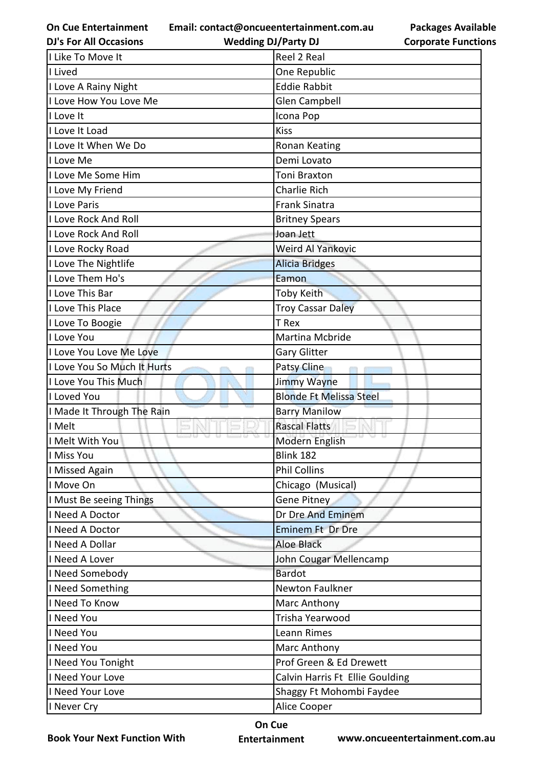**Email: contact@oncueentertainment.com.au**

**DJ's For All Occasions**

**Wedding DJ/Party DJ** 

| I Like To Move It           | Reel 2 Real                     |
|-----------------------------|---------------------------------|
| I Lived                     | One Republic                    |
| I Love A Rainy Night        | <b>Eddie Rabbit</b>             |
| I Love How You Love Me      | <b>Glen Campbell</b>            |
| I Love It                   | Icona Pop                       |
| I Love It Load              | <b>Kiss</b>                     |
| I Love It When We Do        | Ronan Keating                   |
| I Love Me                   | Demi Lovato                     |
| I Love Me Some Him          | <b>Toni Braxton</b>             |
| I Love My Friend            | <b>Charlie Rich</b>             |
| I Love Paris                | <b>Frank Sinatra</b>            |
| <b>I Love Rock And Roll</b> | <b>Britney Spears</b>           |
| I Love Rock And Roll        | Joan Jett                       |
| I Love Rocky Road           | Weird Al Yankovic               |
| I Love The Nightlife        | <b>Alicia Bridges</b>           |
| I Love Them Ho's            | Eamon                           |
| I Love This Bar             | <b>Toby Keith</b>               |
| I Love This Place           | <b>Troy Cassar Daley</b>        |
| I Love To Boogie            | T Rex                           |
| I Love You                  | Martina Mcbride                 |
| I Love You Love Me Love     | <b>Gary Glitter</b>             |
| I Love You So Much It Hurts | Patsy Cline                     |
| I Love You This Much        | <b>Jimmy Wayne</b>              |
| I Loved You                 | <b>Blonde Ft Melissa Steel</b>  |
| I Made It Through The Rain  | <b>Barry Manilow</b>            |
| I Melt                      | <b>Rascal Flatts</b>            |
| I Melt With You             | Modern English                  |
| I Miss You                  | Blink 182                       |
| I Missed Again              | <b>Phil Collins</b>             |
| I Move On                   | Chicago (Musical)               |
| I Must Be seeing Things     | <b>Gene Pitney</b>              |
| I Need A Doctor             | Dr Dre And Eminem               |
| I Need A Doctor             | <b>Eminem Ft Dr Dre</b>         |
| I Need A Dollar             | <b>Aloe Black</b>               |
| I Need A Lover              | John Cougar Mellencamp          |
| I Need Somebody             | <b>Bardot</b>                   |
| I Need Something            | Newton Faulkner                 |
| I Need To Know              | Marc Anthony                    |
| I Need You                  | Trisha Yearwood                 |
| I Need You                  | Leann Rimes                     |
| I Need You                  | Marc Anthony                    |
| I Need You Tonight          | Prof Green & Ed Drewett         |
| I Need Your Love            | Calvin Harris Ft Ellie Goulding |
| I Need Your Love            | Shaggy Ft Mohombi Faydee        |
| I Never Cry                 | Alice Cooper                    |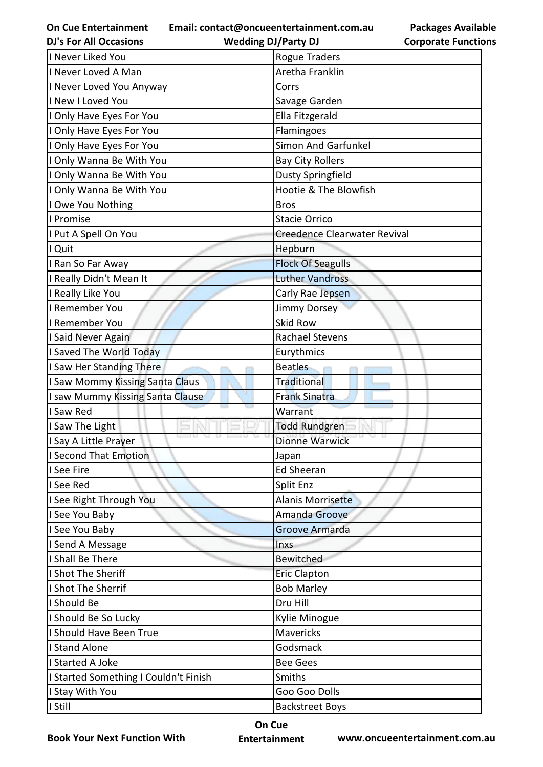**Email: contact@oncueentertainment.com.au Wedding DJ/Party DJ** 

**Packages Available Corporate Functions**

| <b>DJ's For All Occasions</b>         | <b>Wedding DJ/Party DJ</b>   | <b>Corporate Function</b> |
|---------------------------------------|------------------------------|---------------------------|
| I Never Liked You                     | <b>Rogue Traders</b>         |                           |
| I Never Loved A Man                   | Aretha Franklin              |                           |
| I Never Loved You Anyway              | Corrs                        |                           |
| I New I Loved You                     | Savage Garden                |                           |
| I Only Have Eyes For You              | Ella Fitzgerald              |                           |
| I Only Have Eyes For You              | Flamingoes                   |                           |
| I Only Have Eyes For You              | <b>Simon And Garfunkel</b>   |                           |
| I Only Wanna Be With You              | <b>Bay City Rollers</b>      |                           |
| I Only Wanna Be With You              | <b>Dusty Springfield</b>     |                           |
| I Only Wanna Be With You              | Hootie & The Blowfish        |                           |
| I Owe You Nothing                     | <b>Bros</b>                  |                           |
| I Promise                             | <b>Stacie Orrico</b>         |                           |
| I Put A Spell On You                  | Creedence Clearwater Revival |                           |
| I Quit                                | Hepburn                      |                           |
| I Ran So Far Away                     | <b>Flock Of Seagulls</b>     |                           |
| I Really Didn't Mean It               | <b>Luther Vandross</b>       |                           |
| I Really Like You                     | Carly Rae Jepsen             |                           |
| I Remember You                        | Jimmy Dorsey                 |                           |
| I Remember You                        | <b>Skid Row</b>              |                           |
| I Said Never Again                    | <b>Rachael Stevens</b>       |                           |
| I Saved The World Today               | Eurythmics                   |                           |
| I Saw Her Standing There              | <b>Beatles</b>               |                           |
| I Saw Mommy Kissing Santa Claus       | Traditional                  |                           |
| I saw Mummy Kissing Santa Clause      | <b>Frank Sinatra</b>         |                           |
| I Saw Red                             | Warrant                      |                           |
| I Saw The Light                       | <b>Todd Rundgren</b>         |                           |
| I Say A Little Prayer                 | <b>Dionne Warwick</b>        |                           |
| I Second That Emotion                 | Japan                        |                           |
| I See Fire                            | <b>Ed Sheeran</b>            |                           |
| I See Red                             | Split Enz                    |                           |
| I See Right Through You               | Alanis Morrisette            |                           |
| I See You Baby                        | Amanda Groove                |                           |
| I See You Baby                        | Groove Armarda               |                           |
| I Send A Message                      | <b>Inxs</b>                  |                           |
| I Shall Be There                      | Bewitched                    |                           |
| I Shot The Sheriff                    | <b>Eric Clapton</b>          |                           |
| I Shot The Sherrif                    | <b>Bob Marley</b>            |                           |
| I Should Be                           | Dru Hill                     |                           |
| I Should Be So Lucky                  | Kylie Minogue                |                           |
| I Should Have Been True               | <b>Mavericks</b>             |                           |
| <b>I Stand Alone</b>                  | Godsmack                     |                           |
| I Started A Joke                      | <b>Bee Gees</b>              |                           |
| I Started Something I Couldn't Finish | Smiths                       |                           |
| I Stay With You                       | Goo Goo Dolls                |                           |
| I Still                               | <b>Backstreet Boys</b>       |                           |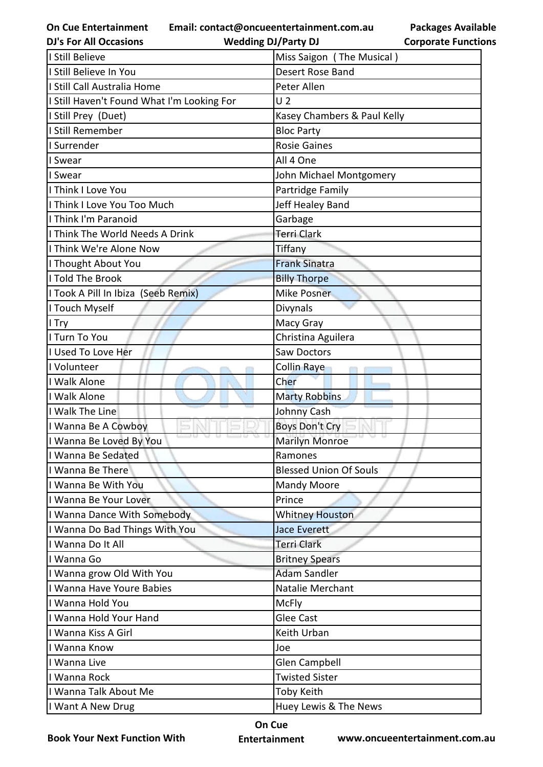**Email: contact@oncueentertainment.com.au**

**DJ's For All Occasions**

**Wedding DJ/Party DJ** 

**Packages Available Corporate Functions**

| I Still Believe                            | Miss Saigon (The Musical)     |
|--------------------------------------------|-------------------------------|
| I Still Believe In You                     | Desert Rose Band              |
| I Still Call Australia Home                | Peter Allen                   |
| I Still Haven't Found What I'm Looking For | U <sub>2</sub>                |
| I Still Prey (Duet)                        | Kasey Chambers & Paul Kelly   |
| I Still Remember                           | <b>Bloc Party</b>             |
| I Surrender                                | <b>Rosie Gaines</b>           |
| I Swear                                    | All 4 One                     |
| I Swear                                    | John Michael Montgomery       |
| I Think I Love You                         | Partridge Family              |
| I Think I Love You Too Much                | Jeff Healey Band              |
| I Think I'm Paranoid                       | Garbage                       |
| I Think The World Needs A Drink            | <b>Terri Clark</b>            |
| I Think We're Alone Now                    | Tiffany                       |
| I Thought About You                        | <b>Frank Sinatra</b>          |
| I Told The Brook                           | <b>Billy Thorpe</b>           |
| I Took A Pill In Ibiza (Seeb Remix)        | Mike Posner                   |
| I Touch Myself                             | Divynals                      |
| I Try                                      | Macy Gray                     |
| I Turn To You                              | Christina Aguilera            |
| I Used To Love Her                         | Saw Doctors                   |
| I Volunteer                                | Collin Raye                   |
| I Walk Alone                               | Cher                          |
| I Walk Alone                               | <b>Marty Robbins</b>          |
| I Walk The Line                            | Johnny Cash                   |
| I Wanna Be A Cowboy                        | <b>Boys Don't Cry</b>         |
| I Wanna Be Loved By You                    | <b>Marilyn Monroe</b>         |
| I Wanna Be Sedated                         | Ramones                       |
| I Wanna Be There                           | <b>Blessed Union Of Souls</b> |
| II Wanna Be With You                       | <b>Mandy Moore</b>            |
| I Wanna Be Your Lover                      | Prince                        |
| I Wanna Dance With Somebody                | <b>Whitney Houston</b>        |
| I Wanna Do Bad Things With You             | <b>Jace Everett</b>           |
| I Wanna Do It All                          | <b>Terri Clark</b>            |
| I Wanna Go                                 | <b>Britney Spears</b>         |
| I Wanna grow Old With You                  | <b>Adam Sandler</b>           |
| I Wanna Have Youre Babies                  | <b>Natalie Merchant</b>       |
| I Wanna Hold You                           | <b>McFly</b>                  |
| I Wanna Hold Your Hand                     | <b>Glee Cast</b>              |
| I Wanna Kiss A Girl                        | Keith Urban                   |
| I Wanna Know                               | Joe                           |
| I Wanna Live                               | Glen Campbell                 |
| I Wanna Rock                               | <b>Twisted Sister</b>         |
| I Wanna Talk About Me                      | <b>Toby Keith</b>             |
| I Want A New Drug                          | Huey Lewis & The News         |

**Book Your Next Function With**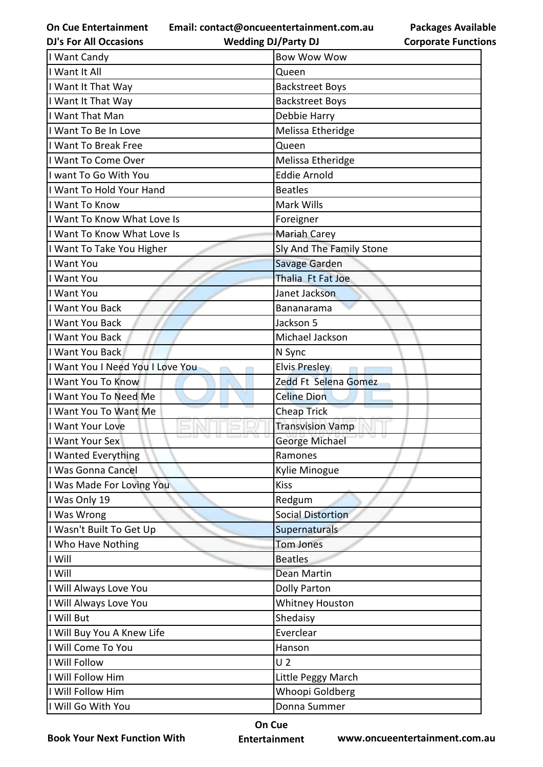**Email: contact@oncueentertainment.com.au**

**DJ's For All Occasions Wedding DJ/Party DJ** 

**Packages Available Corporate Functions**

| I Want Candy                     | <b>Bow Wow Wow</b>       |
|----------------------------------|--------------------------|
| I Want It All                    | Queen                    |
| I Want It That Way               | <b>Backstreet Boys</b>   |
| I Want It That Way               | <b>Backstreet Boys</b>   |
| I Want That Man                  | Debbie Harry             |
| I Want To Be In Love             | Melissa Etheridge        |
| I Want To Break Free             | Queen                    |
| I Want To Come Over              | Melissa Etheridge        |
| I want To Go With You            | <b>Eddie Arnold</b>      |
| Want To Hold Your Hand           | <b>Beatles</b>           |
| I Want To Know                   | Mark Wills               |
| I Want To Know What Love Is      | Foreigner                |
| I Want To Know What Love Is      | <b>Mariah Carey</b>      |
| I Want To Take You Higher        | Sly And The Family Stone |
| I Want You                       | Savage Garden            |
| I Want You                       | Thalia Ft Fat Joe        |
| I Want You                       | Janet Jackson            |
| I Want You Back                  | Bananarama               |
| I Want You Back                  | Jackson 5                |
| I Want You Back                  | Michael Jackson          |
| I Want You Back                  | N Sync                   |
| I Want You I Need You I Love You | <b>Elvis Presley</b>     |
| I Want You To Know               | Zedd Ft Selena Gomez     |
| I Want You To Need Me            | <b>Celine Dion</b>       |
| I Want You To Want Me            | <b>Cheap Trick</b>       |
| I Want Your Love                 | <b>Transvision Vamp</b>  |
| I Want Your Sex                  | George Michael           |
| I Wanted Everything              | Ramones                  |
| I Was Gonna Cancel               | Kylie Minogue            |
| I Was Made For Loving You        | <b>Kiss</b>              |
| I Was Only 19                    | Redgum                   |
| I Was Wrong                      | <b>Social Distortion</b> |
| I Wasn't Built To Get Up         | Supernaturals            |
| I Who Have Nothing               | <b>Tom Jones</b>         |
| I Will                           | <b>Beatles</b>           |
| I Will                           | Dean Martin              |
| I Will Always Love You           | <b>Dolly Parton</b>      |
| I Will Always Love You           | <b>Whitney Houston</b>   |
| I Will But                       | Shedaisy                 |
| I Will Buy You A Knew Life       | Everclear                |
| I Will Come To You               | Hanson                   |
| I Will Follow                    | U <sub>2</sub>           |
| I Will Follow Him                | Little Peggy March       |
| I Will Follow Him                | Whoopi Goldberg          |
| I Will Go With You               | Donna Summer             |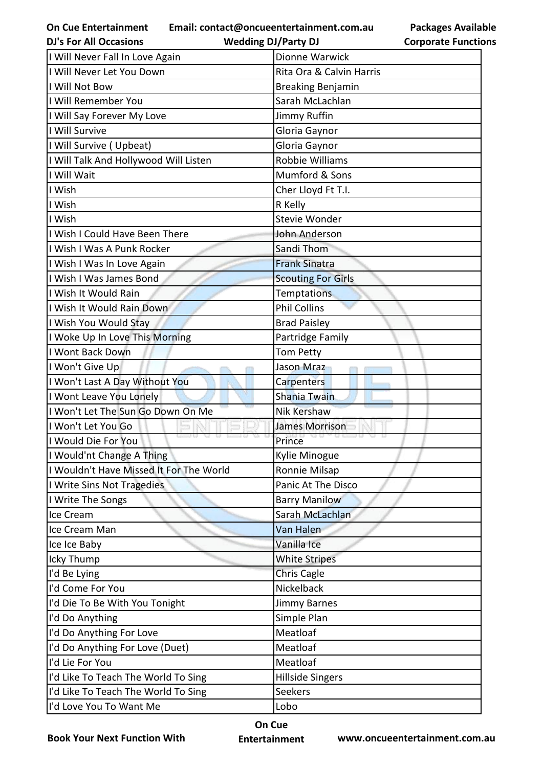**Email: contact@oncueentertainment.com.au Wedding DJ/Party DJ** 

|                            | <b>Packages Available</b> |
|----------------------------|---------------------------|
| <b>Corporate Functions</b> |                           |

| <b>DJ's For All Occasions</b>           | <b>Wedding DJ/Party DJ</b> | <b>Corporate Functio</b> |
|-----------------------------------------|----------------------------|--------------------------|
| I Will Never Fall In Love Again         | Dionne Warwick             |                          |
| I Will Never Let You Down               | Rita Ora & Calvin Harris   |                          |
| I Will Not Bow                          | <b>Breaking Benjamin</b>   |                          |
| I Will Remember You                     | Sarah McLachlan            |                          |
| I Will Say Forever My Love              | Jimmy Ruffin               |                          |
| I Will Survive                          | Gloria Gaynor              |                          |
| I Will Survive (Upbeat)                 | Gloria Gaynor              |                          |
| I Will Talk And Hollywood Will Listen   | <b>Robbie Williams</b>     |                          |
| I Will Wait                             | Mumford & Sons             |                          |
| I Wish                                  | Cher Lloyd Ft T.I.         |                          |
| I Wish                                  | R Kelly                    |                          |
| I Wish                                  | <b>Stevie Wonder</b>       |                          |
| I Wish I Could Have Been There          | John Anderson              |                          |
| I Wish I Was A Punk Rocker              | Sandi Thom                 |                          |
| I Wish I Was In Love Again              | <b>Frank Sinatra</b>       |                          |
| I Wish I Was James Bond                 | <b>Scouting For Girls</b>  |                          |
| I Wish It Would Rain                    | <b>Temptations</b>         |                          |
| I Wish It Would Rain Down               | <b>Phil Collins</b>        |                          |
| I Wish You Would Stay                   | <b>Brad Paisley</b>        |                          |
| I Woke Up In Love This Morning          | Partridge Family           |                          |
| I Wont Back Down                        | Tom Petty                  |                          |
| I Won't Give Up                         | Jason Mraz                 |                          |
| I Won't Last A Day Without You          | Carpenters                 |                          |
| I Wont Leave You Lonely                 | Shania Twain               |                          |
| I Won't Let The Sun Go Down On Me       | <b>Nik Kershaw</b>         |                          |
| I Won't Let You Go                      | <b>James Morrison</b>      |                          |
| I Would Die For You                     | Prince                     |                          |
| I Would'nt Change A Thing               | Kylie Minogue              |                          |
| I Wouldn't Have Missed It For The World | Ronnie Milsap              |                          |
| I Write Sins Not Tragedies              | Panic At The Disco         |                          |
| I Write The Songs                       | <b>Barry Manilow</b>       |                          |
| Ice Cream                               | Sarah McLachlan            |                          |
| Ice Cream Man                           | Van Halen                  |                          |
| Ice Ice Baby                            | Vanilla Ice                |                          |
| Icky Thump                              | <b>White Stripes</b>       |                          |
| I'd Be Lying                            | Chris Cagle                |                          |
| I'd Come For You                        | Nickelback                 |                          |
| I'd Die To Be With You Tonight          | Jimmy Barnes               |                          |
| I'd Do Anything                         | Simple Plan                |                          |
| I'd Do Anything For Love                | Meatloaf                   |                          |
| I'd Do Anything For Love (Duet)         | Meatloaf                   |                          |
| I'd Lie For You                         | Meatloaf                   |                          |
| I'd Like To Teach The World To Sing     | <b>Hillside Singers</b>    |                          |
| I'd Like To Teach The World To Sing     | Seekers                    |                          |
| I'd Love You To Want Me                 | Lobo                       |                          |

**Book Your Next Function With**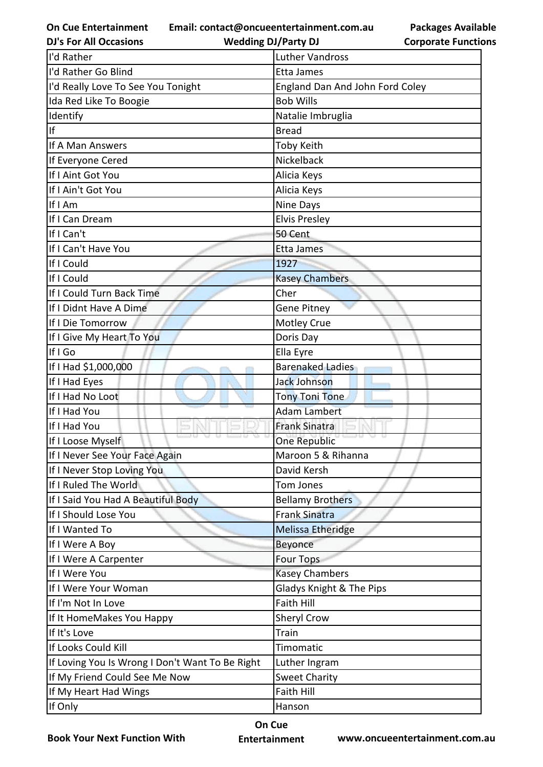**Email: contact@oncueentertainment.com.au**

**DJ's For All Occasions**

**Wedding DJ/Party DJ** 

**Packages Available Corporate Functions**

| I'd Rather                                      | <b>Luther Vandross</b>          |
|-------------------------------------------------|---------------------------------|
| I'd Rather Go Blind                             | Etta James                      |
| I'd Really Love To See You Tonight              | England Dan And John Ford Coley |
| Ida Red Like To Boogie                          | <b>Bob Wills</b>                |
| Identify                                        | Natalie Imbruglia               |
| lf                                              | <b>Bread</b>                    |
| If A Man Answers                                | <b>Toby Keith</b>               |
| If Everyone Cered                               | Nickelback                      |
| If I Aint Got You                               | Alicia Keys                     |
| If I Ain't Got You                              | Alicia Keys                     |
| If I Am                                         | Nine Days                       |
| If I Can Dream                                  | <b>Elvis Presley</b>            |
| If I Can't                                      | 50 Cent                         |
| If I Can't Have You                             | Etta James                      |
| If I Could                                      | 1927                            |
| If I Could                                      | <b>Kasey Chambers</b>           |
| If I Could Turn Back Time                       | Cher                            |
| If I Didnt Have A Dime                          | <b>Gene Pitney</b>              |
| If I Die Tomorrow                               | Motley Crue                     |
| If I Give My Heart To You                       | Doris Day                       |
| If I Go                                         | Ella Eyre                       |
| If I Had \$1,000,000                            | <b>Barenaked Ladies</b>         |
| If I Had Eyes                                   | Jack Johnson                    |
| If I Had No Loot                                | <b>Tony Toni Tone</b>           |
| If I Had You                                    | <b>Adam Lambert</b>             |
| If I Had You                                    | <b>Frank Sinatra</b>            |
| If I Loose Myself                               | <b>One Republic</b>             |
| If I Never See Your Face Again                  | Maroon 5 & Rihanna              |
| If I Never Stop Loving You                      | David Kersh                     |
| If I Ruled The World                            | <b>Tom Jones</b>                |
| If I Said You Had A Beautiful Body              | <b>Bellamy Brothers</b>         |
| If I Should Lose You                            | <b>Frank Sinatra</b>            |
| If I Wanted To                                  | <b>Melissa Etheridge</b>        |
| If I Were A Boy                                 | Beyonce                         |
| If I Were A Carpenter                           | <b>Four Tops</b>                |
| If I Were You                                   | <b>Kasey Chambers</b>           |
| If I Were Your Woman                            | Gladys Knight & The Pips        |
| If I'm Not In Love                              | <b>Faith Hill</b>               |
| If It HomeMakes You Happy                       | Sheryl Crow                     |
| If It's Love                                    | Train                           |
| If Looks Could Kill                             | Timomatic                       |
| If Loving You Is Wrong I Don't Want To Be Right | Luther Ingram                   |
| If My Friend Could See Me Now                   | <b>Sweet Charity</b>            |
| If My Heart Had Wings                           | <b>Faith Hill</b>               |
| If Only                                         | Hanson                          |

**Book Your Next Function With**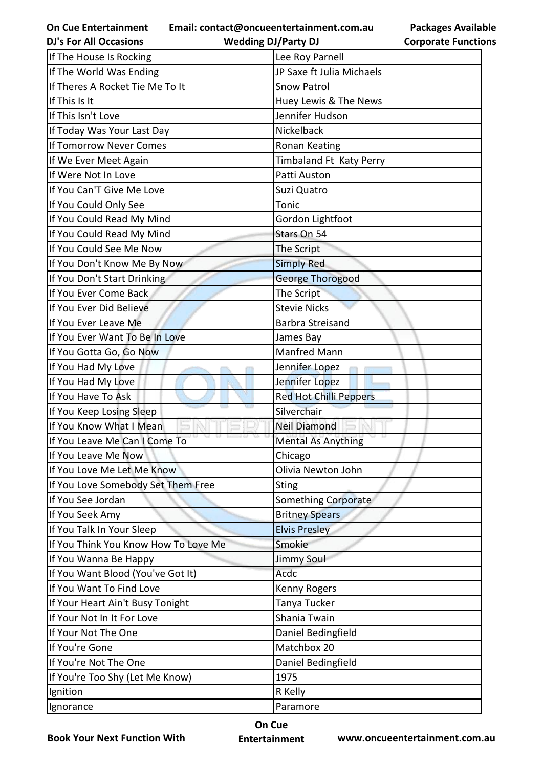**Email: contact@oncueentertainment.com.au Wedding DJ/Party DJ** 

**Packages Available Corporate Functions**

| <b>DJ's For All Occasions</b>        | <b>Wedding DJ/Party DJ</b> | <b>Corporate Function</b> |
|--------------------------------------|----------------------------|---------------------------|
| If The House Is Rocking              | Lee Roy Parnell            |                           |
| If The World Was Ending              | JP Saxe ft Julia Michaels  |                           |
| If Theres A Rocket Tie Me To It      | <b>Snow Patrol</b>         |                           |
| If This Is It                        | Huey Lewis & The News      |                           |
| If This Isn't Love                   | Jennifer Hudson            |                           |
| If Today Was Your Last Day           | Nickelback                 |                           |
| If Tomorrow Never Comes              | Ronan Keating              |                           |
| If We Ever Meet Again                | Timbaland Ft Katy Perry    |                           |
| If Were Not In Love                  | Patti Auston               |                           |
| If You Can'T Give Me Love            | Suzi Quatro                |                           |
| If You Could Only See                | Tonic                      |                           |
| If You Could Read My Mind            | Gordon Lightfoot           |                           |
| If You Could Read My Mind            | Stars On 54                |                           |
| If You Could See Me Now              | The Script                 |                           |
| If You Don't Know Me By Now          | <b>Simply Red</b>          |                           |
| If You Don't Start Drinking          | <b>George Thorogood</b>    |                           |
| If You Ever Come Back                | The Script                 |                           |
| If You Ever Did Believe              | <b>Stevie Nicks</b>        |                           |
| If You Ever Leave Me                 | <b>Barbra Streisand</b>    |                           |
| If You Ever Want To Be In Love       | James Bay                  |                           |
| If You Gotta Go, Go Now              | <b>Manfred Mann</b>        |                           |
| If You Had My Love                   | Jennifer Lopez             |                           |
| If You Had My Love                   | Jennifer Lopez             |                           |
| If You Have To Ask                   | Red Hot Chilli Peppers     |                           |
| If You Keep Losing Sleep             | Silverchair                |                           |
| If You Know What I Mean              | <b>Neil Diamond</b>        |                           |
| If You Leave Me Can I Come To        | <b>Mental As Anything</b>  |                           |
| If You Leave Me Now                  | Chicago                    |                           |
| If You Love Me Let Me Know           | Olivia Newton John         |                           |
| If You Love Somebody Set Them Free   | <b>Sting</b>               |                           |
| If You See Jordan                    | <b>Something Corporate</b> |                           |
| If You Seek Amy                      | <b>Britney Spears</b>      |                           |
| If You Talk In Your Sleep            | <b>Elvis Presley</b>       |                           |
| If You Think You Know How To Love Me | Smokie                     |                           |
| If You Wanna Be Happy                | <b>Jimmy Soul</b>          |                           |
| If You Want Blood (You've Got It)    | Acdc                       |                           |
| If You Want To Find Love             | Kenny Rogers               |                           |
| If Your Heart Ain't Busy Tonight     | Tanya Tucker               |                           |
| If Your Not In It For Love           | Shania Twain               |                           |
| If Your Not The One                  | Daniel Bedingfield         |                           |
| If You're Gone                       | Matchbox 20                |                           |
| If You're Not The One                | Daniel Bedingfield         |                           |
| If You're Too Shy (Let Me Know)      | 1975                       |                           |
| Ignition                             | R Kelly                    |                           |
| Ignorance                            | Paramore                   |                           |
|                                      |                            |                           |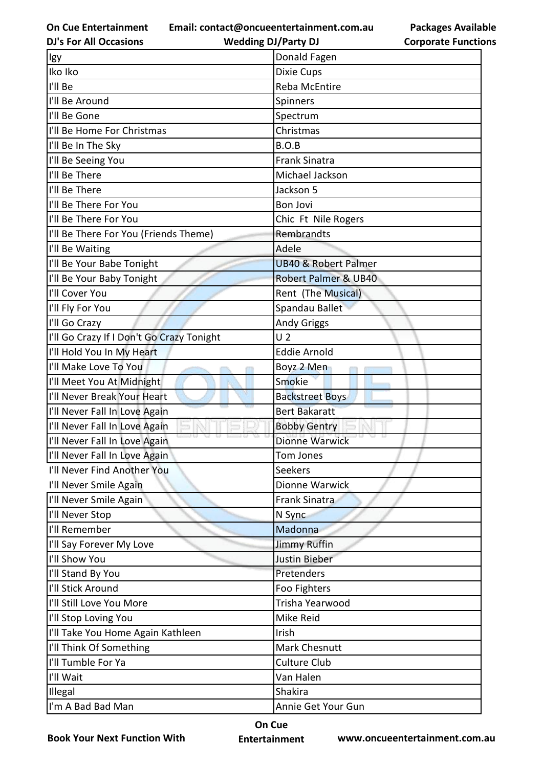**Email: contact@oncueentertainment.com.au**

**DJ's For All Occasions**

**Wedding DJ/Party DJ** 

**Packages Available Corporate Functions**

| lgy                                       | Donald Fagen                    |
|-------------------------------------------|---------------------------------|
| Iko Iko                                   | Dixie Cups                      |
| I'll Be                                   | Reba McEntire                   |
| I'll Be Around                            | Spinners                        |
| I'll Be Gone                              | Spectrum                        |
| I'll Be Home For Christmas                | Christmas                       |
| I'll Be In The Sky                        | B.O.B                           |
| I'll Be Seeing You                        | <b>Frank Sinatra</b>            |
| I'll Be There                             | Michael Jackson                 |
| I'll Be There                             | Jackson 5                       |
| I'll Be There For You                     | <b>Bon Jovi</b>                 |
| I'll Be There For You                     | Chic Ft Nile Rogers             |
| I'll Be There For You (Friends Theme)     | Rembrandts                      |
| I'll Be Waiting                           | Adele                           |
| I'll Be Your Babe Tonight                 | <b>UB40 &amp; Robert Palmer</b> |
| I'll Be Your Baby Tonight                 | <b>Robert Palmer &amp; UB40</b> |
| I'll Cover You                            | Rent (The Musical)              |
| I'll Fly For You                          | Spandau Ballet                  |
| I'll Go Crazy                             | <b>Andy Griggs</b>              |
| I'll Go Crazy If I Don't Go Crazy Tonight | U <sub>2</sub>                  |
| I'll Hold You In My Heart                 | <b>Eddie Arnold</b>             |
| I'll Make Love To You                     | Boyz 2 Men                      |
| I'll Meet You At Midnight                 | Smokie                          |
| I'll Never Break Your Heart               | <b>Backstreet Boys</b>          |
| I'll Never Fall In Love Again             | <b>Bert Bakaratt</b>            |
| I'll Never Fall In Love Again             | <b>Bobby Gentry</b>             |
| I'll Never Fall In Love Again             | <b>Dionne Warwick</b>           |
| I'll Never Fall In Love Again             | Tom Jones                       |
| I'll Never Find Another You               | Seekers                         |
| I'll Never Smile Again                    | Dionne Warwick                  |
| I'll Never Smile Again                    | <b>Frank Sinatra</b>            |
| I'll Never Stop                           | N Sync                          |
| I'll Remember                             | Madonna                         |
| I'll Say Forever My Love                  | <b>Jimmy Ruffin</b>             |
| I'll Show You                             | Justin Bieber                   |
| I'll Stand By You                         | Pretenders                      |
| I'll Stick Around                         | Foo Fighters                    |
| I'll Still Love You More                  | Trisha Yearwood                 |
| I'll Stop Loving You                      | Mike Reid                       |
| I'll Take You Home Again Kathleen         | Irish                           |
| I'll Think Of Something                   | Mark Chesnutt                   |
| I'll Tumble For Ya                        | <b>Culture Club</b>             |
| I'll Wait                                 | Van Halen                       |
| Illegal                                   | Shakira                         |
| I'm A Bad Bad Man                         | Annie Get Your Gun              |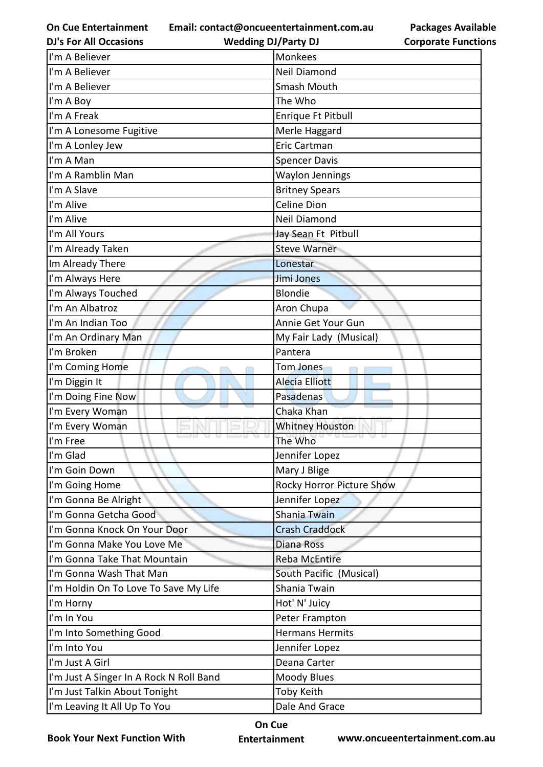**Email: contact@oncueentertainment.com.au Wedding DJ/Party DJ** 

**DJ's For All Occasions**

**Corporate Functions**

**Packages Available** 

| I'm A Believer                          | Monkees                   |
|-----------------------------------------|---------------------------|
| I'm A Believer                          | <b>Neil Diamond</b>       |
| I'm A Believer                          | Smash Mouth               |
| I'm A Boy                               | The Who                   |
| I'm A Freak                             | Enrique Ft Pitbull        |
| I'm A Lonesome Fugitive                 | Merle Haggard             |
| I'm A Lonley Jew                        | Eric Cartman              |
| I'm A Man                               | <b>Spencer Davis</b>      |
| I'm A Ramblin Man                       | <b>Waylon Jennings</b>    |
| I'm A Slave                             | <b>Britney Spears</b>     |
| I'm Alive                               | <b>Celine Dion</b>        |
| I'm Alive                               | Neil Diamond              |
| I'm All Yours                           | Jay Sean Ft Pitbull       |
| I'm Already Taken                       | <b>Steve Warner</b>       |
| Im Already There                        | Lonestar                  |
| I'm Always Here                         | Jimi Jones                |
| I'm Always Touched                      | <b>Blondie</b>            |
| I'm An Albatroz                         | Aron Chupa                |
| I'm An Indian Too                       | Annie Get Your Gun        |
| I'm An Ordinary Man                     | My Fair Lady (Musical)    |
| I'm Broken                              | Pantera                   |
| I'm Coming Home                         | Tom Jones                 |
| I'm Diggin It                           | <b>Alecia Elliott</b>     |
| I'm Doing Fine Now                      | Pasadenas                 |
| I'm Every Woman                         | Chaka Khan                |
| I'm Every Woman                         | <b>Whitney Houston</b>    |
| I'm Free                                | The Who                   |
| I'm Glad                                | Jennifer Lopez            |
| I'm Goin Down                           | Mary J Blige              |
| I'm Going Home                          | Rocky Horror Picture Show |
| I'm Gonna Be Alright                    | Jennifer Lopez            |
| I'm Gonna Getcha Good                   | Shania Twain              |
| I'm Gonna Knock On Your Door            | <b>Crash Craddock</b>     |
| I'm Gonna Make You Love Me              | <b>Diana Ross</b>         |
| I'm Gonna Take That Mountain            | <b>Reba McEntire</b>      |
| I'm Gonna Wash That Man                 | South Pacific (Musical)   |
| I'm Holdin On To Love To Save My Life   | Shania Twain              |
| I'm Horny                               | Hot' N' Juicy             |
| I'm In You                              | Peter Frampton            |
| I'm Into Something Good                 | <b>Hermans Hermits</b>    |
| I'm Into You                            | Jennifer Lopez            |
| I'm Just A Girl                         | Deana Carter              |
| I'm Just A Singer In A Rock N Roll Band | Moody Blues               |
| I'm Just Talkin About Tonight           | Toby Keith                |
| I'm Leaving It All Up To You            | Dale And Grace            |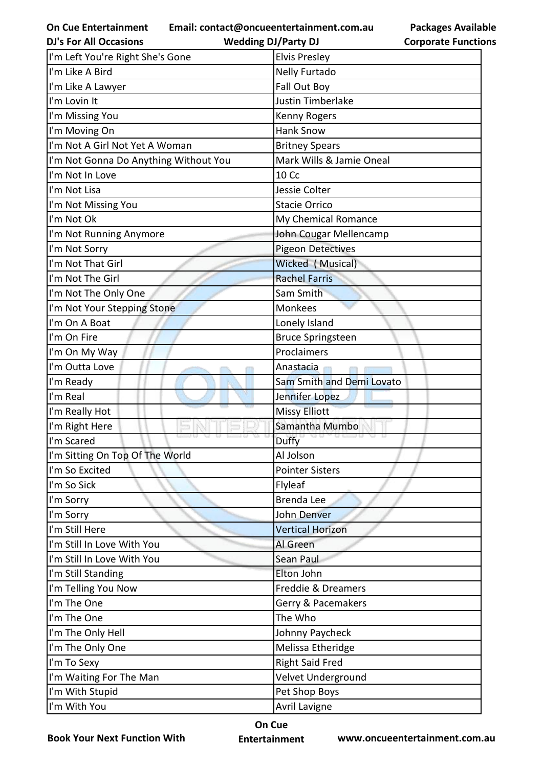**Email: contact@oncueentertainment.com.au**

**Packages Available Corporate Functions**

| <b>DJ's For All Occasions</b>         | <b>Wedding DJ/Party DJ</b> | <b>Corporate Functio</b> |
|---------------------------------------|----------------------------|--------------------------|
| I'm Left You're Right She's Gone      | <b>Elvis Presley</b>       |                          |
| I'm Like A Bird                       | Nelly Furtado              |                          |
| I'm Like A Lawyer                     | Fall Out Boy               |                          |
| I'm Lovin It                          | <b>Justin Timberlake</b>   |                          |
| I'm Missing You                       | Kenny Rogers               |                          |
| I'm Moving On                         | <b>Hank Snow</b>           |                          |
| I'm Not A Girl Not Yet A Woman        | <b>Britney Spears</b>      |                          |
| I'm Not Gonna Do Anything Without You | Mark Wills & Jamie Oneal   |                          |
| I'm Not In Love                       | 10 Cc                      |                          |
| I'm Not Lisa                          | Jessie Colter              |                          |
| I'm Not Missing You                   | <b>Stacie Orrico</b>       |                          |
| I'm Not Ok                            | My Chemical Romance        |                          |
| I'm Not Running Anymore               | John Cougar Mellencamp     |                          |
| I'm Not Sorry                         | <b>Pigeon Detectives</b>   |                          |
| I'm Not That Girl                     | Wicked (Musical)           |                          |
| I'm Not The Girl                      | <b>Rachel Farris</b>       |                          |
| I'm Not The Only One                  | Sam Smith                  |                          |
| I'm Not Your Stepping Stone           | Monkees                    |                          |
| I'm On A Boat                         | Lonely Island              |                          |
| I'm On Fire                           | <b>Bruce Springsteen</b>   |                          |
| I'm On My Way                         | Proclaimers                |                          |
| I'm Outta Love                        | Anastacia                  |                          |
| I'm Ready                             | Sam Smith and Demi Lovato  |                          |
| I'm Real                              | Jennifer Lopez             |                          |
| I'm Really Hot                        | <b>Missy Elliott</b>       |                          |
| I'm Right Here                        | Samantha Mumbo             |                          |
| I'm Scared                            | Duffy                      |                          |
| I'm Sitting On Top Of The World       | Al Jolson                  |                          |
| I'm So Excited                        | <b>Pointer Sisters</b>     |                          |
| I'm So Sick                           | Flyleaf                    |                          |
| I'm Sorry                             | Brenda Lee                 |                          |
| I'm Sorry                             | John Denver                |                          |
| I'm Still Here                        | <b>Vertical Horizon</b>    |                          |
| I'm Still In Love With You            | Al Green                   |                          |
| I'm Still In Love With You            | Sean Paul                  |                          |
| I'm Still Standing                    | Elton John                 |                          |
| I'm Telling You Now                   | Freddie & Dreamers         |                          |
| I'm The One                           | Gerry & Pacemakers         |                          |
| I'm The One                           | The Who                    |                          |
| I'm The Only Hell                     | Johnny Paycheck            |                          |
| I'm The Only One                      | Melissa Etheridge          |                          |
| I'm To Sexy                           | <b>Right Said Fred</b>     |                          |
| I'm Waiting For The Man               | Velvet Underground         |                          |
| I'm With Stupid                       | Pet Shop Boys              |                          |
| I'm With You                          | Avril Lavigne              |                          |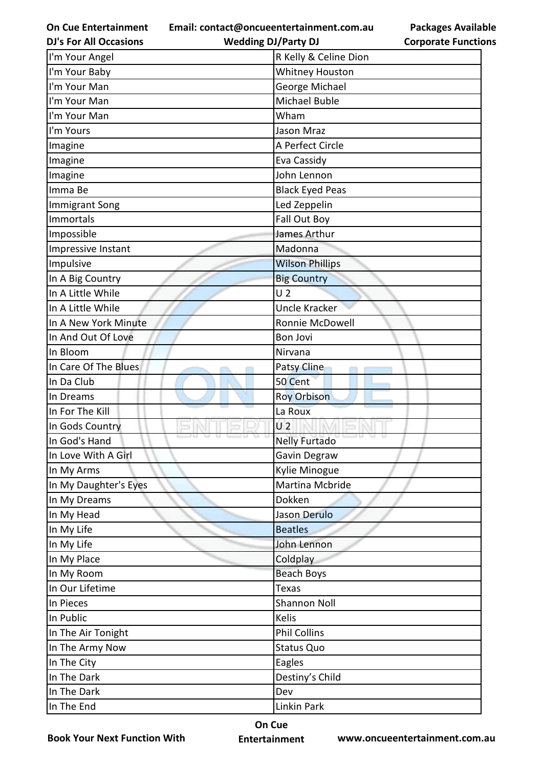**Email: contact@oncueentertainment.com.au Wedding DJ/Party DJ** 

**Packages Available Corporate Functions**

| <b>DJ's For All Occasions</b> | <b>Wedding DJ/Party DJ</b> | <b>Corporate Functio</b> |
|-------------------------------|----------------------------|--------------------------|
| I'm Your Angel                | R Kelly & Celine Dion      |                          |
| I'm Your Baby                 | <b>Whitney Houston</b>     |                          |
| I'm Your Man                  | George Michael             |                          |
| I'm Your Man                  | Michael Buble              |                          |
| I'm Your Man                  | Wham                       |                          |
| I'm Yours                     | Jason Mraz                 |                          |
| Imagine                       | A Perfect Circle           |                          |
| Imagine                       | Eva Cassidy                |                          |
| Imagine                       | John Lennon                |                          |
| Imma Be                       | <b>Black Eyed Peas</b>     |                          |
| <b>Immigrant Song</b>         | Led Zeppelin               |                          |
| <b>Immortals</b>              | Fall Out Boy               |                          |
| Impossible                    | James Arthur               |                          |
| Impressive Instant            | Madonna                    |                          |
| Impulsive                     | <b>Wilson Phillips</b>     |                          |
| In A Big Country              | <b>Big Country</b>         |                          |
| In A Little While             | U <sub>2</sub>             |                          |
| In A Little While             | <b>Uncle Kracker</b>       |                          |
| In A New York Minute          | Ronnie McDowell            |                          |
| In And Out Of Love            | <b>Bon Jovi</b>            |                          |
| In Bloom                      | Nirvana                    |                          |
| In Care Of The Blues          | Patsy Cline                |                          |
| In Da Club                    | 50 Cent                    |                          |
| In Dreams                     | <b>Roy Orbison</b>         |                          |
| In For The Kill               | La Roux                    |                          |
| In Gods Country               | U <sub>2</sub>             |                          |
| In God's Hand                 | <b>Nelly Furtado</b>       |                          |
| In Love With A Girl           | Gavin Degraw               |                          |
| In My Arms                    | Kylie Minogue              |                          |
| In My Daughter's Eyes         | Martina Mcbride            |                          |
| In My Dreams                  | Dokken                     |                          |
| In My Head                    | Jason Derulo               |                          |
| In My Life                    | <b>Beatles</b>             |                          |
| In My Life                    | John Lennon                |                          |
| In My Place                   | Coldplay                   |                          |
| In My Room                    | <b>Beach Boys</b>          |                          |
| In Our Lifetime               | <b>Texas</b>               |                          |
| In Pieces                     | <b>Shannon Noll</b>        |                          |
| In Public                     | Kelis                      |                          |
| In The Air Tonight            | <b>Phil Collins</b>        |                          |
| In The Army Now               | <b>Status Quo</b>          |                          |
| In The City                   | Eagles                     |                          |
| In The Dark                   | Destiny's Child            |                          |
| In The Dark                   | Dev                        |                          |
| In The End                    | Linkin Park                |                          |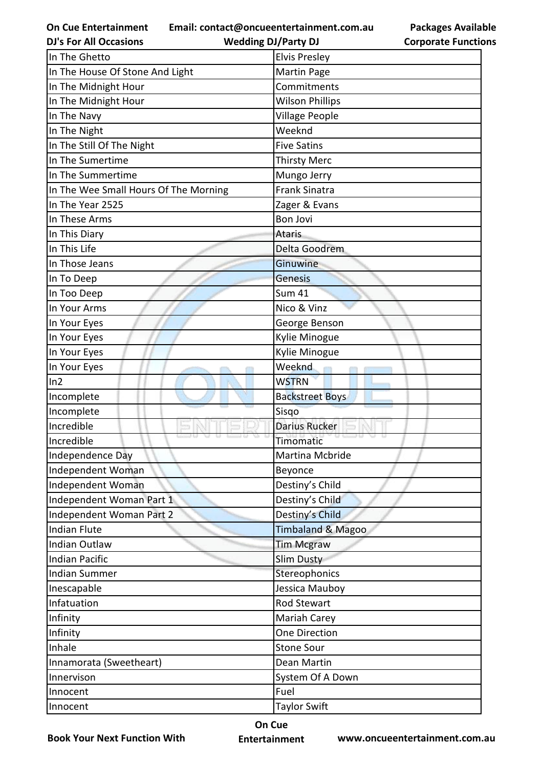**Email: contact@oncueentertainment.com.au**

**DJ's For All Occasions**

**Wedding DJ/Party DJ** 

**Packages Available Corporate Functions**

| In The Ghetto                         | <b>Elvis Presley</b>         |
|---------------------------------------|------------------------------|
| In The House Of Stone And Light       | Martin Page                  |
| In The Midnight Hour                  | Commitments                  |
| In The Midnight Hour                  | <b>Wilson Phillips</b>       |
| In The Navy                           | <b>Village People</b>        |
| In The Night                          | Weeknd                       |
| In The Still Of The Night             | <b>Five Satins</b>           |
| In The Sumertime                      | <b>Thirsty Merc</b>          |
| In The Summertime                     | Mungo Jerry                  |
| In The Wee Small Hours Of The Morning | <b>Frank Sinatra</b>         |
| In The Year 2525                      | Zager & Evans                |
| In These Arms                         | <b>Bon Jovi</b>              |
| In This Diary                         | <b>Ataris</b>                |
| In This Life                          | Delta Goodrem                |
| In Those Jeans                        | Ginuwine                     |
| In To Deep                            | Genesis                      |
| In Too Deep                           | <b>Sum 41</b>                |
| In Your Arms                          | Nico & Vinz                  |
| In Your Eyes                          | George Benson                |
| In Your Eyes                          | Kylie Minogue                |
| In Your Eyes                          | Kylie Minogue                |
| In Your Eyes                          | Weeknd                       |
| ln2                                   | <b>WSTRN</b>                 |
| Incomplete                            | <b>Backstreet Boys</b>       |
| Incomplete                            | Sisgo                        |
| Incredible                            | <b>Darius Rucker</b>         |
| Incredible                            | Timomatic                    |
| Independence Day                      | Martina Mcbride              |
| Independent Woman                     | Beyonce                      |
| Independent Woman                     | Destiny's Child              |
| Independent Woman Part 1              | Destiny's Child              |
| Independent Woman Part 2              | Destiny's Child              |
| <b>Indian Flute</b>                   | <b>Timbaland &amp; Magoo</b> |
| Indian Outlaw                         | <b>Tim Mcgraw</b>            |
| <b>Indian Pacific</b>                 | <b>Slim Dusty</b>            |
| <b>Indian Summer</b>                  | Stereophonics                |
| Inescapable                           | Jessica Mauboy               |
| Infatuation                           | Rod Stewart                  |
| Infinity                              | Mariah Carey                 |
| Infinity                              | One Direction                |
| Inhale                                | <b>Stone Sour</b>            |
| Innamorata (Sweetheart)               | Dean Martin                  |
| Innervison                            | System Of A Down             |
| Innocent                              | Fuel                         |
| Innocent                              | <b>Taylor Swift</b>          |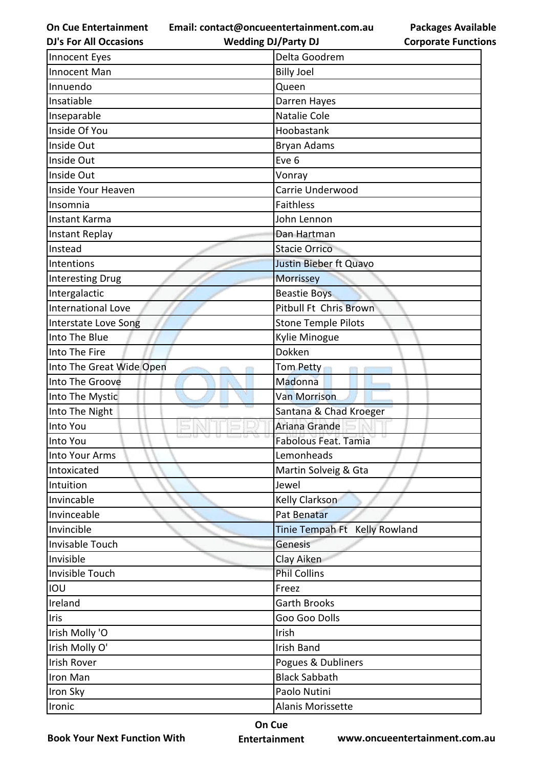**Email: contact@oncueentertainment.com.au**

**Wedding DJ/Party DJ** 

**Packages Available Corporate Functions**

| <b>DJ's For All Occasions</b> | <b>Wedding DJ/Party DJ</b>    | <b>Corporate Functio</b> |
|-------------------------------|-------------------------------|--------------------------|
| Innocent Eyes                 | Delta Goodrem                 |                          |
| Innocent Man                  | <b>Billy Joel</b>             |                          |
| Innuendo                      | Queen                         |                          |
| Insatiable                    | Darren Hayes                  |                          |
| Inseparable                   | Natalie Cole                  |                          |
| Inside Of You                 | Hoobastank                    |                          |
| Inside Out                    | Bryan Adams                   |                          |
| Inside Out                    | Eve 6                         |                          |
| Inside Out                    | Vonray                        |                          |
| Inside Your Heaven            | Carrie Underwood              |                          |
| Insomnia                      | <b>Faithless</b>              |                          |
| <b>Instant Karma</b>          | John Lennon                   |                          |
| Instant Replay                | Dan Hartman                   |                          |
| Instead                       | <b>Stacie Orrico</b>          |                          |
| Intentions                    | <b>Justin Bieber ft Quavo</b> |                          |
| <b>Interesting Drug</b>       | Morrissey                     |                          |
| Intergalactic                 | <b>Beastie Boys</b>           |                          |
| <b>International Love</b>     | Pitbull Ft Chris Brown        |                          |
| Interstate Love Song          | <b>Stone Temple Pilots</b>    |                          |
| Into The Blue                 | Kylie Minogue                 |                          |
| Into The Fire                 | Dokken                        |                          |
| Into The Great Wide Open      | Tom Petty                     |                          |
| Into The Groove               | Madonna                       |                          |
| Into The Mystic               | <b>Van Morrison</b>           |                          |
| Into The Night                | Santana & Chad Kroeger        |                          |
| <b>Into You</b>               | Ariana Grande                 |                          |
| Into You                      | Fabolous Feat. Tamia          |                          |
| <b>Into Your Arms</b>         | Lemonheads                    |                          |
| Intoxicated                   | Martin Solveig & Gta          |                          |
| Intuition                     | Jewel                         |                          |
| Invincable                    | Kelly Clarkson                |                          |
| Invinceable                   | Pat Benatar                   |                          |
| Invincible                    | Tinie Tempah Ft Kelly Rowland |                          |
| Invisable Touch               | Genesis                       |                          |
| Invisible                     | Clay Aiken                    |                          |
| Invisible Touch               | <b>Phil Collins</b>           |                          |
| IOU                           | Freez                         |                          |
| Ireland                       | <b>Garth Brooks</b>           |                          |
| Iris                          | Goo Goo Dolls                 |                          |
| Irish Molly 'O                | Irish                         |                          |
| Irish Molly O'                | <b>Irish Band</b>             |                          |
| <b>Irish Rover</b>            | Pogues & Dubliners            |                          |
| Iron Man                      | <b>Black Sabbath</b>          |                          |
| Iron Sky                      | Paolo Nutini                  |                          |
| Ironic                        | Alanis Morissette             |                          |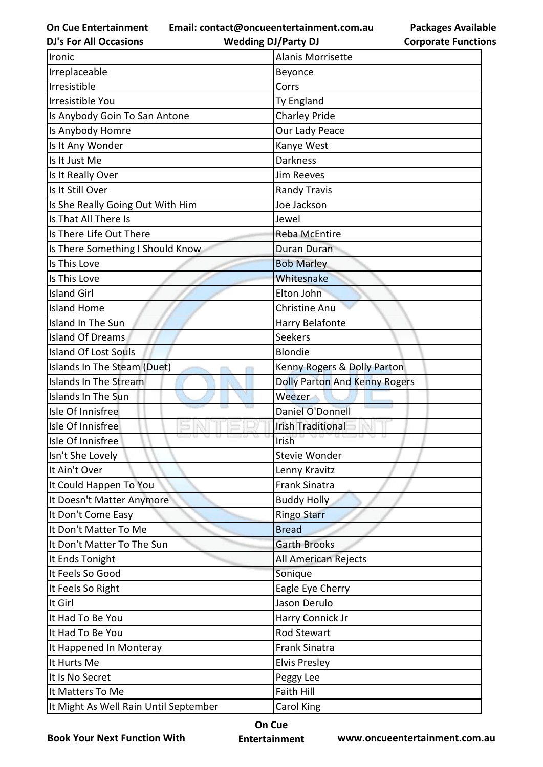**Email: contact@oncueentertainment.com.au**

**DJ's For All Occasions**

**Wedding DJ/Party DJ** 

**Packages Available Corporate Functions**

| Ironic                                | <b>Alanis Morrisette</b>             |
|---------------------------------------|--------------------------------------|
| Irreplaceable                         | Beyonce                              |
| Irresistible                          | Corrs                                |
| Irresistible You                      | Ty England                           |
| Is Anybody Goin To San Antone         | <b>Charley Pride</b>                 |
| Is Anybody Homre                      | Our Lady Peace                       |
| Is It Any Wonder                      | Kanye West                           |
| Is It Just Me                         | <b>Darkness</b>                      |
| Is It Really Over                     | <b>Jim Reeves</b>                    |
| Is It Still Over                      | <b>Randy Travis</b>                  |
| Is She Really Going Out With Him      | Joe Jackson                          |
| Is That All There Is                  | Jewel                                |
| Is There Life Out There               | Reba McEntire                        |
| Is There Something I Should Know      | <b>Duran Duran</b>                   |
| Is This Love                          | <b>Bob Marley</b>                    |
| Is This Love                          | Whitesnake                           |
| <b>Island Girl</b>                    | Elton John                           |
| <b>Island Home</b>                    | Christine Anu                        |
| Island In The Sun                     | Harry Belafonte                      |
| <b>Island Of Dreams</b>               | Seekers                              |
| <b>Island Of Lost Souls</b>           | <b>Blondie</b>                       |
| Islands In The Steam (Duet)           | Kenny Rogers & Dolly Parton          |
| <b>Islands In The Stream</b>          | <b>Dolly Parton And Kenny Rogers</b> |
| Islands In The Sun                    | Weezer                               |
| Isle Of Innisfree                     | Daniel O'Donnell                     |
| Isle Of Innisfree                     | <b>Irish Traditional</b>             |
| Isle Of Innisfree                     | Irish                                |
| Isn't She Lovely                      | Stevie Wonder                        |
| It Ain't Over                         | Lenny Kravitz                        |
| It Could Happen To You                | <b>Frank Sinatra</b>                 |
| It Doesn't Matter Anymore             | <b>Buddy Holly</b>                   |
| It Don't Come Easy                    | Ringo Starr                          |
| It Don't Matter To Me                 | <b>Bread</b>                         |
| It Don't Matter To The Sun            | <b>Garth Brooks</b>                  |
| It Ends Tonight                       | All American Rejects                 |
| It Feels So Good                      | Sonique                              |
| It Feels So Right                     | Eagle Eye Cherry                     |
| It Girl                               | Jason Derulo                         |
| It Had To Be You                      | Harry Connick Jr                     |
| It Had To Be You                      | <b>Rod Stewart</b>                   |
| It Happened In Monteray               | <b>Frank Sinatra</b>                 |
| It Hurts Me                           | <b>Elvis Presley</b>                 |
| It Is No Secret                       | Peggy Lee                            |
| It Matters To Me                      | <b>Faith Hill</b>                    |
| It Might As Well Rain Until September | Carol King                           |

**Book Your Next Function With**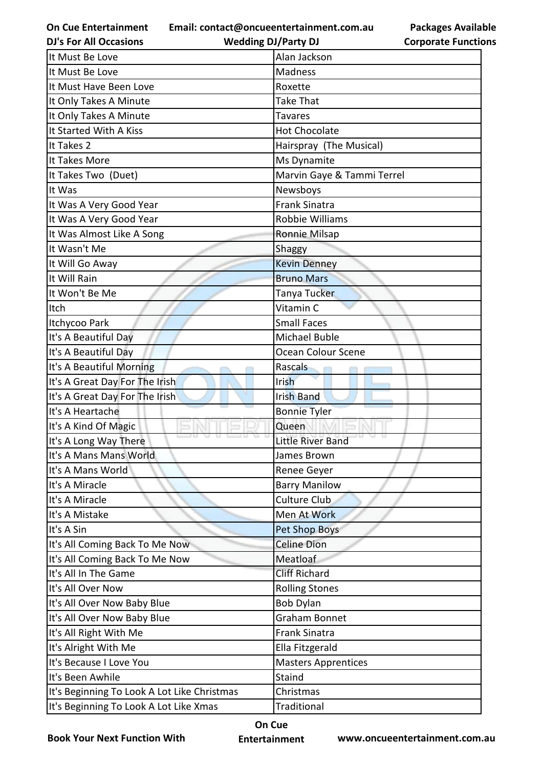**Email: contact@oncueentertainment.com.au**

**Wedding DJ/Party DJ** 

**Packages Available Corporate Functions**

| <b>DJ's For All Occasions</b>               | <b>Wedding DJ/Party DJ</b> | <b>Corporate Functio</b> |
|---------------------------------------------|----------------------------|--------------------------|
| It Must Be Love                             | Alan Jackson               |                          |
| It Must Be Love                             | <b>Madness</b>             |                          |
| It Must Have Been Love                      | Roxette                    |                          |
| It Only Takes A Minute                      | <b>Take That</b>           |                          |
| It Only Takes A Minute                      | <b>Tavares</b>             |                          |
| It Started With A Kiss                      | <b>Hot Chocolate</b>       |                          |
| It Takes 2                                  | Hairspray (The Musical)    |                          |
| It Takes More                               | Ms Dynamite                |                          |
| It Takes Two (Duet)                         | Marvin Gaye & Tammi Terrel |                          |
| It Was                                      | Newsboys                   |                          |
| It Was A Very Good Year                     | <b>Frank Sinatra</b>       |                          |
| It Was A Very Good Year                     | Robbie Williams            |                          |
| It Was Almost Like A Song                   | Ronnie Milsap              |                          |
| It Wasn't Me                                | Shaggy                     |                          |
| It Will Go Away                             | <b>Kevin Denney</b>        |                          |
| It Will Rain                                | <b>Bruno Mars</b>          |                          |
| It Won't Be Me                              | Tanya Tucker               |                          |
| Itch                                        | Vitamin C                  |                          |
| Itchycoo Park                               | <b>Small Faces</b>         |                          |
| It's A Beautiful Day                        | Michael Buble              |                          |
| It's A Beautiful Day                        | Ocean Colour Scene         |                          |
| It's A Beautiful Morning                    | Rascals                    |                          |
| It's A Great Day For The Irish              | Irish                      |                          |
| It's A Great Day For The Irish              | <b>Irish Band</b>          |                          |
| It's A Heartache                            | <b>Bonnie Tyler</b>        |                          |
| It's A Kind Of Magic                        | Queen                      |                          |
| It's A Long Way There                       | Little River Band          |                          |
| It's A Mans Mans World                      | James Brown                |                          |
| It's A Mans World                           | Renee Geyer                |                          |
| It's A Miracle                              | <b>Barry Manilow</b>       |                          |
| It's A Miracle                              | <b>Culture Club</b>        |                          |
| It's A Mistake                              | Men At Work                |                          |
| It's A Sin                                  | <b>Pet Shop Boys</b>       |                          |
| It's All Coming Back To Me Now              | <b>Celine Dion</b>         |                          |
| It's All Coming Back To Me Now              | Meatloaf                   |                          |
| It's All In The Game                        | <b>Cliff Richard</b>       |                          |
| It's All Over Now                           | <b>Rolling Stones</b>      |                          |
| It's All Over Now Baby Blue                 | <b>Bob Dylan</b>           |                          |
| It's All Over Now Baby Blue                 | <b>Graham Bonnet</b>       |                          |
| It's All Right With Me                      | <b>Frank Sinatra</b>       |                          |
| It's Alright With Me                        | Ella Fitzgerald            |                          |
| It's Because I Love You                     | <b>Masters Apprentices</b> |                          |
| It's Been Awhile                            | Staind                     |                          |
| It's Beginning To Look A Lot Like Christmas | Christmas                  |                          |
| It's Beginning To Look A Lot Like Xmas      | Traditional                |                          |

**Book Your Next Function With**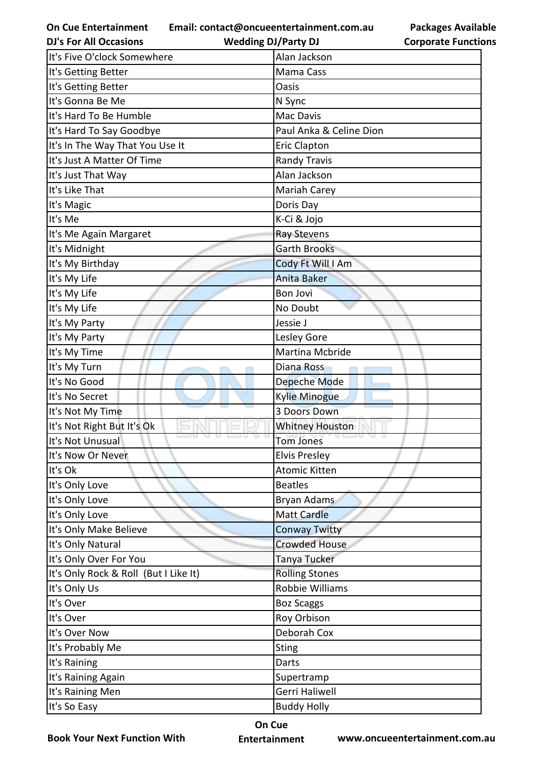**Email: contact@oncueentertainment.com.au Wedding DJ/Party DJ** 

| <b>Packages Available</b>  |
|----------------------------|
| <b>Corporate Functions</b> |

| <b>DJ's For All Occasions</b>         | <b>Wedding DJ/Party DJ</b> | <b>Corporate Functio</b> |
|---------------------------------------|----------------------------|--------------------------|
| It's Five O'clock Somewhere           | Alan Jackson               |                          |
| It's Getting Better                   | Mama Cass                  |                          |
| It's Getting Better                   | Oasis                      |                          |
| It's Gonna Be Me                      | N Sync                     |                          |
| It's Hard To Be Humble                | Mac Davis                  |                          |
| It's Hard To Say Goodbye              | Paul Anka & Celine Dion    |                          |
| It's In The Way That You Use It       | <b>Eric Clapton</b>        |                          |
| It's Just A Matter Of Time            | <b>Randy Travis</b>        |                          |
| It's Just That Way                    | Alan Jackson               |                          |
| It's Like That                        | Mariah Carey               |                          |
| It's Magic                            | Doris Day                  |                          |
| It's Me                               | K-Ci & Jojo                |                          |
| It's Me Again Margaret                | Ray Stevens                |                          |
| It's Midnight                         | <b>Garth Brooks</b>        |                          |
| It's My Birthday                      | Cody Ft Will I Am          |                          |
| It's My Life                          | <b>Anita Baker</b>         |                          |
| It's My Life                          | <b>Bon Jovi</b>            |                          |
| It's My Life                          | No Doubt                   |                          |
| It's My Party                         | Jessie J                   |                          |
| It's My Party                         | Lesley Gore                |                          |
| It's My Time                          | Martina Mcbride            |                          |
| It's My Turn                          | Diana Ross                 |                          |
| It's No Good                          | Depeche Mode               |                          |
| It's No Secret                        | <b>Kylie Minogue</b>       |                          |
| It's Not My Time                      | 3 Doors Down               |                          |
| It's Not Right But It's Ok            | <b>Whitney Houston</b>     |                          |
| It's Not Unusual                      | <b>Tom Jones</b>           |                          |
| It's Now Or Never                     | <b>Elvis Presley</b>       |                          |
| It's Ok                               | <b>Atomic Kitten</b>       |                          |
| It's Only Love                        | <b>Beatles</b>             |                          |
| It's Only Love                        | <b>Bryan Adams</b>         |                          |
| It's Only Love                        | <b>Matt Cardle</b>         |                          |
| It's Only Make Believe                | <b>Conway Twitty</b>       |                          |
| It's Only Natural                     | <b>Crowded House</b>       |                          |
| It's Only Over For You                | Tanya Tucker               |                          |
| It's Only Rock & Roll (But I Like It) | <b>Rolling Stones</b>      |                          |
| It's Only Us                          | Robbie Williams            |                          |
| It's Over                             | <b>Boz Scaggs</b>          |                          |
| It's Over                             | Roy Orbison                |                          |
| It's Over Now                         | Deborah Cox                |                          |
| It's Probably Me                      | <b>Sting</b>               |                          |
| It's Raining                          | Darts                      |                          |
| It's Raining Again                    | Supertramp                 |                          |
| It's Raining Men                      | Gerri Haliwell             |                          |
| It's So Easy                          | <b>Buddy Holly</b>         |                          |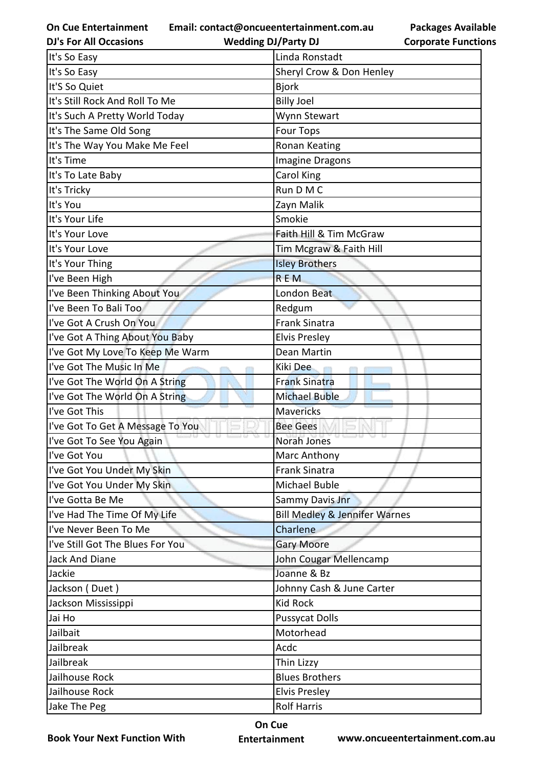**Email: contact@oncueentertainment.com.au**

**DJ's For All Occasions**

**Wedding DJ/Party DJ** 

| It's So Easy                     | Linda Ronstadt                           |
|----------------------------------|------------------------------------------|
| It's So Easy                     | Sheryl Crow & Don Henley                 |
| It'S So Quiet                    | <b>Bjork</b>                             |
| It's Still Rock And Roll To Me   | <b>Billy Joel</b>                        |
| It's Such A Pretty World Today   | Wynn Stewart                             |
| It's The Same Old Song           | <b>Four Tops</b>                         |
| It's The Way You Make Me Feel    | <b>Ronan Keating</b>                     |
| It's Time                        | <b>Imagine Dragons</b>                   |
| It's To Late Baby                | Carol King                               |
| It's Tricky                      | Run D M C                                |
| It's You                         | Zayn Malik                               |
| It's Your Life                   | Smokie                                   |
| It's Your Love                   | Faith Hill & Tim McGraw                  |
| It's Your Love                   | Tim Mcgraw & Faith Hill                  |
| It's Your Thing                  | <b>Isley Brothers</b>                    |
| I've Been High                   | <b>REM</b>                               |
| I've Been Thinking About You     | London Beat                              |
| I've Been To Bali Too            | Redgum                                   |
| I've Got A Crush On You          | <b>Frank Sinatra</b>                     |
| I've Got A Thing About You Baby  | <b>Elvis Presley</b>                     |
| I've Got My Love To Keep Me Warm | Dean Martin                              |
| I've Got The Music In Me         | Kiki Dee                                 |
| I've Got The World On A String   | <b>Frank Sinatra</b>                     |
| I've Got The World On A String   | <b>Michael Buble</b>                     |
| I've Got This                    | <b>Mavericks</b>                         |
| I've Got To Get A Message To You | <b>Bee Gees</b>                          |
| I've Got To See You Again        | Norah Jones                              |
| I've Got You                     | Marc Anthony                             |
| I've Got You Under My Skin       | <b>Frank Sinatra</b>                     |
| I've Got You Under My Skin       | Michael Buble                            |
| I've Gotta Be Me                 | Sammy Davis Jnr                          |
| I've Had The Time Of My Life     | <b>Bill Medley &amp; Jennifer Warnes</b> |
| I've Never Been To Me            | Charlene                                 |
| I've Still Got The Blues For You | <b>Gary Moore</b>                        |
| Jack And Diane                   | John Cougar Mellencamp                   |
| Jackie                           | Joanne & Bz                              |
| Jackson (Duet)                   | Johnny Cash & June Carter                |
| Jackson Mississippi              | <b>Kid Rock</b>                          |
| Jai Ho                           | <b>Pussycat Dolls</b>                    |
| Jailbait                         | Motorhead                                |
| Jailbreak                        | Acdc                                     |
| Jailbreak                        | Thin Lizzy                               |
| Jailhouse Rock                   | <b>Blues Brothers</b>                    |
| Jailhouse Rock                   | <b>Elvis Presley</b>                     |
| Jake The Peg                     | <b>Rolf Harris</b>                       |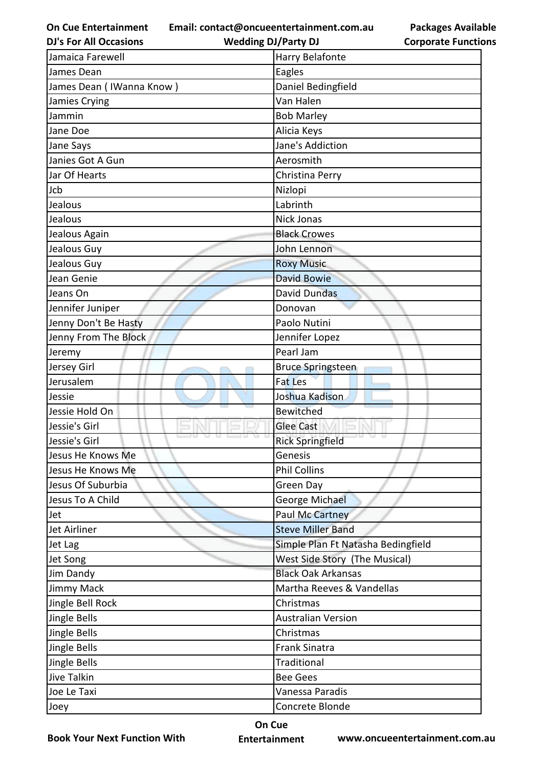**Email: contact@oncueentertainment.com.au**

| <b>DJ's For All Occasions</b> | <b>Wedding DJ/Party DJ</b>         | <b>Corporate Functio</b> |
|-------------------------------|------------------------------------|--------------------------|
| Jamaica Farewell              | Harry Belafonte                    |                          |
| James Dean                    | Eagles                             |                          |
| James Dean (IWanna Know)      | Daniel Bedingfield                 |                          |
| Jamies Crying                 | Van Halen                          |                          |
| Jammin                        | <b>Bob Marley</b>                  |                          |
| Jane Doe                      | Alicia Keys                        |                          |
| Jane Says                     | Jane's Addiction                   |                          |
| Janies Got A Gun              | Aerosmith                          |                          |
| Jar Of Hearts                 | Christina Perry                    |                          |
| Jcb                           | Nizlopi                            |                          |
| Jealous                       | Labrinth                           |                          |
| Jealous                       | Nick Jonas                         |                          |
| Jealous Again                 | <b>Black Crowes</b>                |                          |
| Jealous Guy                   | John Lennon                        |                          |
| Jealous Guy                   | <b>Roxy Music</b>                  |                          |
| Jean Genie                    | <b>David Bowie</b>                 |                          |
| Jeans On                      | <b>David Dundas</b>                |                          |
| Jennifer Juniper              | Donovan                            |                          |
| Jenny Don't Be Hasty          | Paolo Nutini                       |                          |
| Jenny From The Block          | Jennifer Lopez                     |                          |
| Jeremy                        | Pearl Jam                          |                          |
| Jersey Girl                   | <b>Bruce Springsteen</b>           |                          |
| Jerusalem                     | <b>Fat Les</b>                     |                          |
| Jessie                        | Joshua Kadison                     |                          |
| Jessie Hold On                | <b>Bewitched</b>                   |                          |
| Jessie's Girl                 | <b>Glee Cast</b>                   |                          |
| Jessie's Girl                 | <b>Rick Springfield</b>            |                          |
| Jesus He Knows Me             | Genesis                            |                          |
| Jesus He Knows Me             | <b>Phil Collins</b>                |                          |
| Jesus Of Suburbia             | Green Day                          |                          |
| Jesus To A Child              | George Michael                     |                          |
| Jet                           | <b>Paul Mc Cartney</b>             |                          |
| Jet Airliner                  | <b>Steve Miller Band</b>           |                          |
| Jet Lag                       | Simple Plan Ft Natasha Bedingfield |                          |
| Jet Song                      | West Side Story (The Musical)      |                          |
| Jim Dandy                     | <b>Black Oak Arkansas</b>          |                          |
| Jimmy Mack                    | Martha Reeves & Vandellas          |                          |
| Jingle Bell Rock              | Christmas                          |                          |
| Jingle Bells                  | <b>Australian Version</b>          |                          |
| Jingle Bells                  | Christmas                          |                          |
| Jingle Bells                  | <b>Frank Sinatra</b>               |                          |
| Jingle Bells                  | Traditional                        |                          |
| Jive Talkin                   | <b>Bee Gees</b>                    |                          |
| Joe Le Taxi                   | Vanessa Paradis                    |                          |
| Joey                          | Concrete Blonde                    |                          |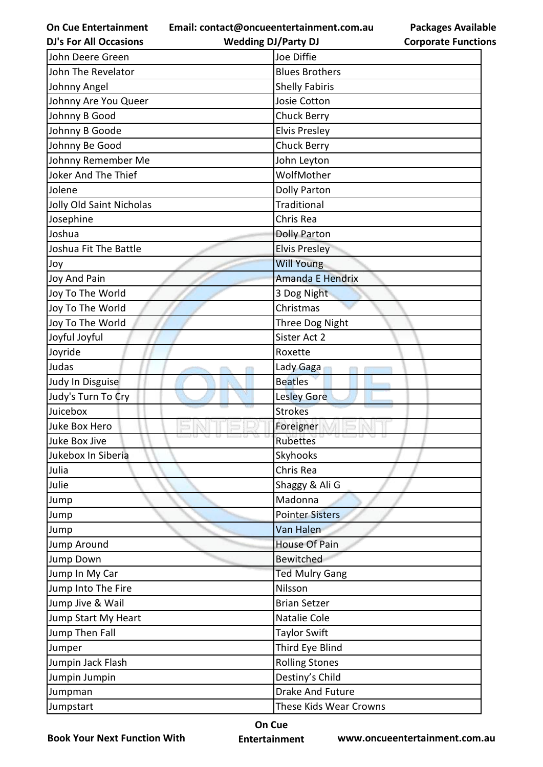**Email: contact@oncueentertainment.com.au**

| <b>DJ's For All Occasions</b> | <b>Wedding DJ/Party DJ</b> | <b>Corporate Function</b> |
|-------------------------------|----------------------------|---------------------------|
| John Deere Green              | Joe Diffie                 |                           |
| John The Revelator            | <b>Blues Brothers</b>      |                           |
| Johnny Angel                  | <b>Shelly Fabiris</b>      |                           |
| Johnny Are You Queer          | Josie Cotton               |                           |
| Johnny B Good                 | <b>Chuck Berry</b>         |                           |
| Johnny B Goode                | <b>Elvis Presley</b>       |                           |
| Johnny Be Good                | <b>Chuck Berry</b>         |                           |
| Johnny Remember Me            | John Leyton                |                           |
| Joker And The Thief           | WolfMother                 |                           |
| Jolene                        | <b>Dolly Parton</b>        |                           |
| Jolly Old Saint Nicholas      | Traditional                |                           |
| Josephine                     | Chris Rea                  |                           |
| Joshua                        | <b>Dolly Parton</b>        |                           |
| Joshua Fit The Battle         | <b>Elvis Presley</b>       |                           |
| Joy                           | <b>Will Young</b>          |                           |
| Joy And Pain                  | <b>Amanda E Hendrix</b>    |                           |
| Joy To The World              | 3 Dog Night                |                           |
| Joy To The World              | Christmas                  |                           |
| Joy To The World              | Three Dog Night            |                           |
| Joyful Joyful                 | Sister Act 2               |                           |
| Joyride                       | Roxette                    |                           |
| Judas                         | Lady Gaga                  |                           |
| Judy In Disguise              | <b>Beatles</b>             |                           |
| Judy's Turn To Cry            | <b>Lesley Gore</b>         |                           |
| Juicebox                      | <b>Strokes</b>             |                           |
| Juke Box Hero                 | Foreigner                  |                           |
| Juke Box Jive                 | Rubettes                   |                           |
| Jukebox In Siberia            | Skyhooks                   |                           |
| Julia                         | Chris Rea                  |                           |
| Julie                         | Shaggy & Ali G             |                           |
| Jump                          | Madonna                    |                           |
| Jump                          | <b>Pointer Sisters</b>     |                           |
| Jump                          | Van Halen                  |                           |
| Jump Around                   | <b>House Of Pain</b>       |                           |
| Jump Down                     | Bewitched                  |                           |
| Jump In My Car                | <b>Ted Mulry Gang</b>      |                           |
| Jump Into The Fire            | Nilsson                    |                           |
| Jump Jive & Wail              | <b>Brian Setzer</b>        |                           |
| Jump Start My Heart           | Natalie Cole               |                           |
| Jump Then Fall                | <b>Taylor Swift</b>        |                           |
| Jumper                        | Third Eye Blind            |                           |
| Jumpin Jack Flash             | <b>Rolling Stones</b>      |                           |
| Jumpin Jumpin                 | Destiny's Child            |                           |
| Jumpman                       | <b>Drake And Future</b>    |                           |
| Jumpstart                     | These Kids Wear Crowns     |                           |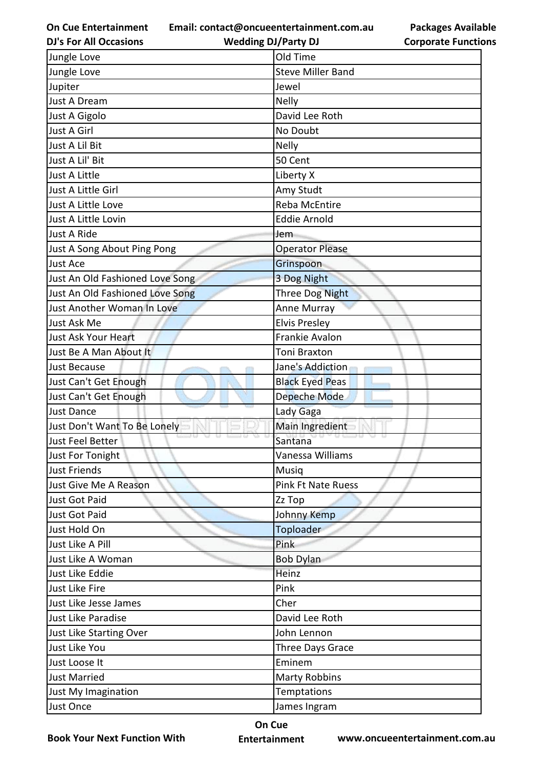**Email: contact@oncueentertainment.com.au**

**DJ's For All Occasions**

**Wedding DJ/Party DJ** 



| Jungle Love                     | Old Time                  |
|---------------------------------|---------------------------|
| Jungle Love                     | <b>Steve Miller Band</b>  |
| Jupiter                         | Jewel                     |
| Just A Dream                    | <b>Nelly</b>              |
| Just A Gigolo                   | David Lee Roth            |
| Just A Girl                     | No Doubt                  |
| Just A Lil Bit                  | <b>Nelly</b>              |
| Just A Lil' Bit                 | 50 Cent                   |
| <b>Just A Little</b>            | Liberty X                 |
| Just A Little Girl              | Amy Studt                 |
| Just A Little Love              | <b>Reba McEntire</b>      |
| Just A Little Lovin             | <b>Eddie Arnold</b>       |
| Just A Ride                     | Jem                       |
| Just A Song About Ping Pong     | <b>Operator Please</b>    |
| Just Ace                        | Grinspoon                 |
| Just An Old Fashioned Love Song | 3 Dog Night               |
| Just An Old Fashioned Love Song | Three Dog Night           |
| Just Another Woman In Love      | Anne Murray               |
| Just Ask Me                     | <b>Elvis Presley</b>      |
| Just Ask Your Heart             | Frankie Avalon            |
| Just Be A Man About It          | <b>Toni Braxton</b>       |
| Just Because                    | Jane's Addiction          |
| Just Can't Get Enough           | <b>Black Eyed Peas</b>    |
| Just Can't Get Enough           | Depeche Mode              |
| <b>Just Dance</b>               | Lady Gaga                 |
| Just Don't Want To Be Lonely    | Main Ingredient           |
| Just Feel Better                | Santana                   |
| Just For Tonight                | Vanessa Williams          |
| <b>Just Friends</b>             | Musiq                     |
| Just Give Me A Reason           | <b>Pink Ft Nate Ruess</b> |
| Just Got Paid                   | Zz Top                    |
| Just Got Paid                   | Johnny Kemp               |
| Just Hold On                    | Toploader                 |
| Just Like A Pill                | Pink                      |
| Just Like A Woman               | <b>Bob Dylan</b>          |
| Just Like Eddie                 | Heinz                     |
| Just Like Fire                  | Pink                      |
| Just Like Jesse James           | Cher                      |
| Just Like Paradise              | David Lee Roth            |
| Just Like Starting Over         | John Lennon               |
| Just Like You                   | Three Days Grace          |
| Just Loose It                   | Eminem                    |
| <b>Just Married</b>             | <b>Marty Robbins</b>      |
| Just My Imagination             | Temptations               |
| Just Once                       | James Ingram              |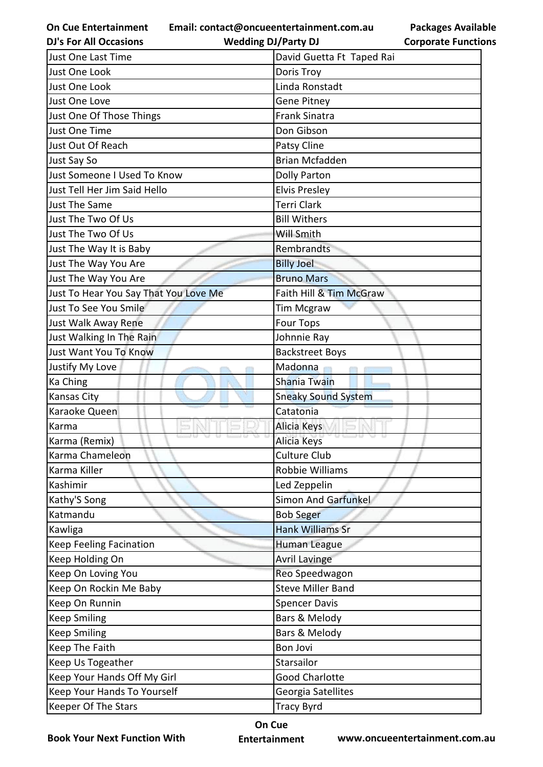**Email: contact@oncueentertainment.com.au**

**DJ's For All Occasions**

**Wedding DJ/Party DJ** 

**Packages Available Corporate Functions**

| COI NOTALE T ANGLIC        |
|----------------------------|
| David Guetta Ft Taped Rai  |
| Doris Troy                 |
| Linda Ronstadt             |
| <b>Gene Pitney</b>         |
| <b>Frank Sinatra</b>       |
| Don Gibson                 |
| Patsy Cline                |
| <b>Brian Mcfadden</b>      |
| <b>Dolly Parton</b>        |
| <b>Elvis Presley</b>       |
| <b>Terri Clark</b>         |
| <b>Bill Withers</b>        |
| Will Smith                 |
| Rembrandts                 |
| <b>Billy Joel</b>          |
| <b>Bruno Mars</b>          |
| Faith Hill & Tim McGraw    |
| <b>Tim Mcgraw</b>          |
| <b>Four Tops</b>           |
| Johnnie Ray                |
| <b>Backstreet Boys</b>     |
| Madonna                    |
| <b>Shania Twain</b>        |
| <b>Sneaky Sound System</b> |
| Catatonia                  |
| Alicia Keys                |
| Alicia Keys                |
| Culture Club               |
| Robbie Williams            |
| Led Zeppelin               |
| Simon And Garfunkel        |
| <b>Bob Seger</b>           |
| <b>Hank Williams Sr</b>    |
| Human League               |
| <b>Avril Lavinge</b>       |
| Reo Speedwagon             |
| <b>Steve Miller Band</b>   |
| <b>Spencer Davis</b>       |
| Bars & Melody              |
| Bars & Melody              |
| <b>Bon Jovi</b>            |
| Starsailor                 |
|                            |
| <b>Good Charlotte</b>      |
| Georgia Satellites         |
|                            |

**Book Your Next Function With**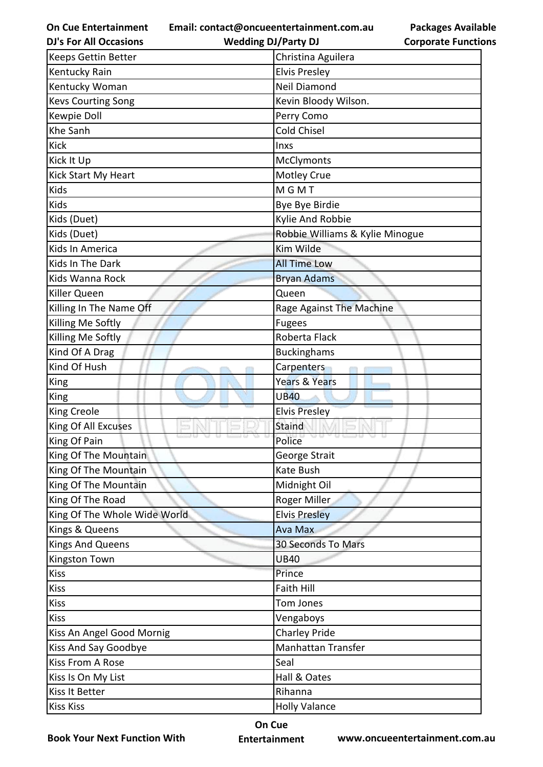**Email: contact@oncueentertainment.com.au Wedding DJ/Party DJ** 

**Packages Available Corporate Functions**

| <b>DJ's For All Occasions</b> | <b>Wedding DJ/Party DJ</b>      | <b>Corporate Functio</b> |
|-------------------------------|---------------------------------|--------------------------|
| <b>Keeps Gettin Better</b>    | Christina Aguilera              |                          |
| <b>Kentucky Rain</b>          | <b>Elvis Presley</b>            |                          |
| Kentucky Woman                | <b>Neil Diamond</b>             |                          |
| <b>Kevs Courting Song</b>     | Kevin Bloody Wilson.            |                          |
| Kewpie Doll                   | Perry Como                      |                          |
| Khe Sanh                      | <b>Cold Chisel</b>              |                          |
| <b>Kick</b>                   | Inxs                            |                          |
| Kick It Up                    | <b>McClymonts</b>               |                          |
| Kick Start My Heart           | <b>Motley Crue</b>              |                          |
| Kids                          | <b>MGMT</b>                     |                          |
| Kids                          | Bye Bye Birdie                  |                          |
| Kids (Duet)                   | Kylie And Robbie                |                          |
| Kids (Duet)                   | Robbie Williams & Kylie Minogue |                          |
| Kids In America               | Kim Wilde                       |                          |
| Kids In The Dark              | <b>All Time Low</b>             |                          |
| Kids Wanna Rock               | <b>Bryan Adams</b>              |                          |
| Killer Queen                  | Queen                           |                          |
| Killing In The Name Off       | Rage Against The Machine        |                          |
| Killing Me Softly             | <b>Fugees</b>                   |                          |
| Killing Me Softly             | Roberta Flack                   |                          |
| Kind Of A Drag                | <b>Buckinghams</b>              |                          |
| Kind Of Hush                  | Carpenters                      |                          |
| King                          | Years & Years                   |                          |
| King                          | <b>UB40</b>                     |                          |
| <b>King Creole</b>            | <b>Elvis Presley</b>            |                          |
| King Of All Excuses           | Staind                          |                          |
| King Of Pain                  | Police                          |                          |
| King Of The Mountain          | George Strait                   |                          |
| King Of The Mountain          | Kate Bush                       |                          |
| King Of The Mountain          | Midnight Oil                    |                          |
| King Of The Road              | Roger Miller                    |                          |
| King Of The Whole Wide World  | <b>Elvis Presley</b>            |                          |
| Kings & Queens                | <b>Ava Max</b>                  |                          |
| Kings And Queens              | 30 Seconds To Mars              |                          |
| Kingston Town                 | <b>UB40</b>                     |                          |
| <b>Kiss</b>                   | Prince                          |                          |
| <b>Kiss</b>                   | Faith Hill                      |                          |
| <b>Kiss</b>                   | Tom Jones                       |                          |
| <b>Kiss</b>                   | Vengaboys                       |                          |
| Kiss An Angel Good Mornig     | <b>Charley Pride</b>            |                          |
| Kiss And Say Goodbye          | Manhattan Transfer              |                          |
| Kiss From A Rose              | Seal                            |                          |
| Kiss Is On My List            | Hall & Oates                    |                          |
| Kiss It Better                | Rihanna                         |                          |
| <b>Kiss Kiss</b>              | <b>Holly Valance</b>            |                          |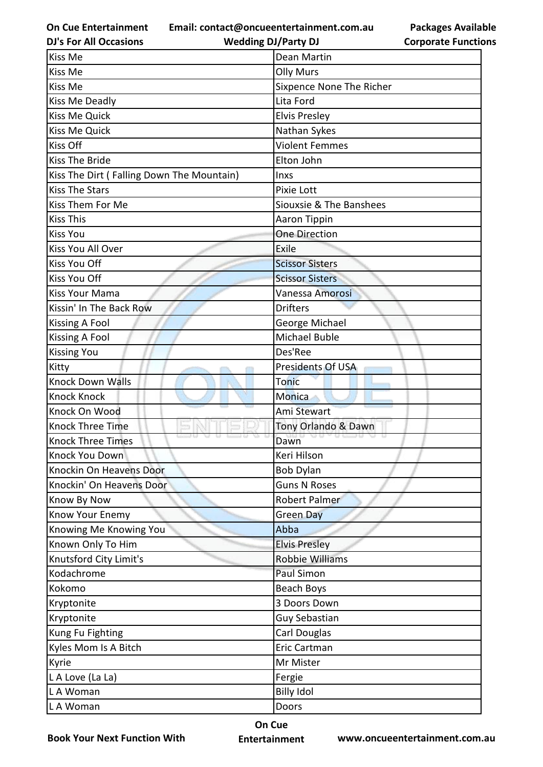**Email: contact@oncueentertainment.com.au Wedding DJ/Party DJ** 

**DJ's For All Occasions**

## **Packages Available Corporate Functions**

| Kiss Me                                   | Dean Martin              |
|-------------------------------------------|--------------------------|
| Kiss Me                                   | <b>Olly Murs</b>         |
| Kiss Me                                   | Sixpence None The Richer |
| Kiss Me Deadly                            | Lita Ford                |
| <b>Kiss Me Quick</b>                      | <b>Elvis Presley</b>     |
| <b>Kiss Me Quick</b>                      | Nathan Sykes             |
| Kiss Off                                  | <b>Violent Femmes</b>    |
| <b>Kiss The Bride</b>                     | Elton John               |
| Kiss The Dirt (Falling Down The Mountain) | <b>Inxs</b>              |
| <b>Kiss The Stars</b>                     | Pixie Lott               |
| Kiss Them For Me                          | Siouxsie & The Banshees  |
| <b>Kiss This</b>                          | Aaron Tippin             |
| <b>Kiss You</b>                           | <b>One Direction</b>     |
| Kiss You All Over                         | Exile                    |
| <b>Kiss You Off</b>                       | <b>Scissor Sisters</b>   |
| Kiss You Off                              | <b>Scissor Sisters</b>   |
| <b>Kiss Your Mama</b>                     | Vanessa Amorosi          |
| Kissin' In The Back Row                   | <b>Drifters</b>          |
| Kissing A Fool                            | George Michael           |
| Kissing A Fool                            | Michael Buble            |
| <b>Kissing You</b>                        | Des'Ree                  |
| Kitty                                     | Presidents Of USA        |
| <b>Knock Down Walls</b>                   | <b>Tonic</b>             |
| <b>Knock Knock</b>                        | Monica                   |
| Knock On Wood                             | Ami Stewart              |
| Knock Three Time                          | Tony Orlando & Dawn      |
| <b>Knock Three Times</b>                  | Dawn                     |
| Knock You Down                            | Keri Hilson              |
| Knockin On Heavens Door                   | <b>Bob Dylan</b>         |
| Knockin' On Heavens Door                  | <b>Guns N Roses</b>      |
| Know By Now                               | Robert Palmer            |
| Know Your Enemy                           | <b>Green Day</b>         |
| Knowing Me Knowing You                    | Abba                     |
| Known Only To Him                         | <b>Elvis Presley</b>     |
| Knutsford City Limit's                    | <b>Robbie Williams</b>   |
| Kodachrome                                | Paul Simon               |
| Kokomo                                    | Beach Boys               |
| Kryptonite                                | 3 Doors Down             |
| Kryptonite                                | Guy Sebastian            |
| Kung Fu Fighting                          | Carl Douglas             |
| Kyles Mom Is A Bitch                      | Eric Cartman             |
| Kyrie                                     | Mr Mister                |
| L A Love (La La)                          | Fergie                   |
| LA Woman                                  | <b>Billy Idol</b>        |
|                                           |                          |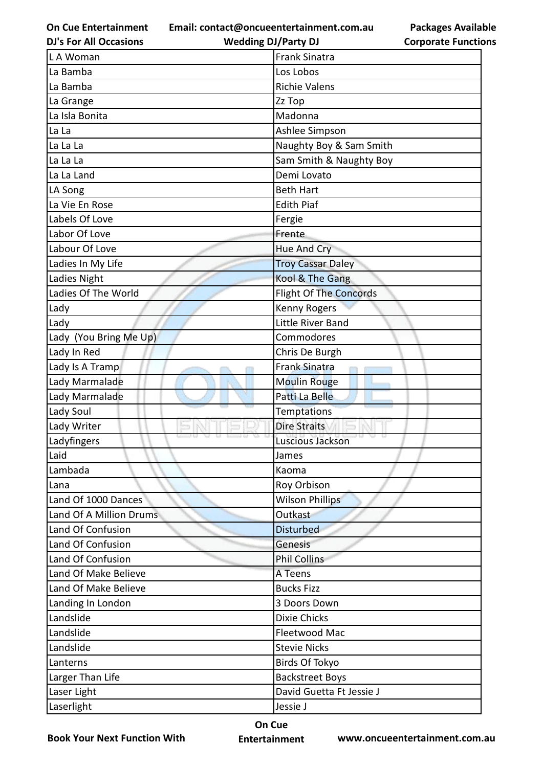**Email: contact@oncueentertainment.com.au**

**Wedding DJ/Party DJ** 

**Packages Available Corporate Functions**

| <b>DJ's For All Occasions</b> | <b>Wedding DJ/Party DJ</b>    | <b>Corporate Functio</b> |
|-------------------------------|-------------------------------|--------------------------|
| L A Woman                     | <b>Frank Sinatra</b>          |                          |
| La Bamba                      | Los Lobos                     |                          |
| La Bamba                      | <b>Richie Valens</b>          |                          |
| La Grange                     | Zz Top                        |                          |
| La Isla Bonita                | Madonna                       |                          |
| La La                         | Ashlee Simpson                |                          |
| La La La                      | Naughty Boy & Sam Smith       |                          |
| La La La                      | Sam Smith & Naughty Boy       |                          |
| La La Land                    | Demi Lovato                   |                          |
| LA Song                       | <b>Beth Hart</b>              |                          |
| La Vie En Rose                | <b>Edith Piaf</b>             |                          |
| Labels Of Love                | Fergie                        |                          |
| Labor Of Love                 | Frente                        |                          |
| Labour Of Love                | Hue And Cry                   |                          |
| Ladies In My Life             | <b>Troy Cassar Daley</b>      |                          |
| Ladies Night                  | Kool & The Gang               |                          |
| Ladies Of The World           | <b>Flight Of The Concords</b> |                          |
| Lady                          | <b>Kenny Rogers</b>           |                          |
| Lady                          | Little River Band             |                          |
| Lady (You Bring Me Up)        | Commodores                    |                          |
| Lady In Red                   | Chris De Burgh                |                          |
| Lady Is A Tramp               | Frank Sinatra                 |                          |
| Lady Marmalade                | <b>Moulin Rouge</b>           |                          |
| Lady Marmalade                | Patti La Belle                |                          |
| Lady Soul                     | <b>Temptations</b>            |                          |
| Lady Writer                   | <b>Dire Straits</b>           |                          |
| Ladyfingers                   | Luscious Jackson              |                          |
| Laid                          | James                         |                          |
| Lambada                       | Kaoma                         |                          |
| Lana                          | Roy Orbison                   |                          |
| Land Of 1000 Dances           | <b>Wilson Phillips</b>        |                          |
| Land Of A Million Drums       | Outkast                       |                          |
| Land Of Confusion             | <b>Disturbed</b>              |                          |
| Land Of Confusion             | <b>Genesis</b>                |                          |
| Land Of Confusion             | <b>Phil Collins</b>           |                          |
| Land Of Make Believe          | A Teens                       |                          |
| Land Of Make Believe          | <b>Bucks Fizz</b>             |                          |
| Landing In London             | 3 Doors Down                  |                          |
| Landslide                     | <b>Dixie Chicks</b>           |                          |
| Landslide                     | Fleetwood Mac                 |                          |
| Landslide                     | <b>Stevie Nicks</b>           |                          |
| Lanterns                      | Birds Of Tokyo                |                          |
| Larger Than Life              | <b>Backstreet Boys</b>        |                          |
| Laser Light                   | David Guetta Ft Jessie J      |                          |
| Laserlight                    | Jessie J                      |                          |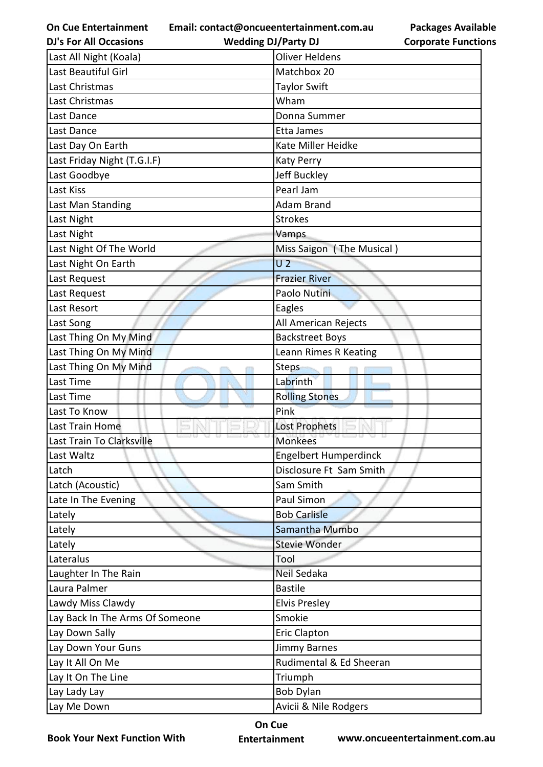**Email: contact@oncueentertainment.com.au**

**Packages Available Corporate Functions**

| <b>DJ's For All Occasions</b>   | <b>Wedding DJ/Party DJ</b>   | <b>Corporate Functio</b> |
|---------------------------------|------------------------------|--------------------------|
| Last All Night (Koala)          | <b>Oliver Heldens</b>        |                          |
| Last Beautiful Girl             | Matchbox 20                  |                          |
| Last Christmas                  | <b>Taylor Swift</b>          |                          |
| Last Christmas                  | Wham                         |                          |
| Last Dance                      | Donna Summer                 |                          |
| Last Dance                      | Etta James                   |                          |
| Last Day On Earth               | Kate Miller Heidke           |                          |
| Last Friday Night (T.G.I.F)     | <b>Katy Perry</b>            |                          |
| Last Goodbye                    | Jeff Buckley                 |                          |
| Last Kiss                       | Pearl Jam                    |                          |
| Last Man Standing               | <b>Adam Brand</b>            |                          |
| Last Night                      | <b>Strokes</b>               |                          |
| Last Night                      | Vamps                        |                          |
| Last Night Of The World         | Miss Saigon (The Musical)    |                          |
| Last Night On Earth             | U <sub>2</sub>               |                          |
| Last Request                    | <b>Frazier River</b>         |                          |
| Last Request                    | Paolo Nutini                 |                          |
| Last Resort                     | Eagles                       |                          |
| Last Song                       | All American Rejects         |                          |
| Last Thing On My Mind           | <b>Backstreet Boys</b>       |                          |
| Last Thing On My Mind           | Leann Rimes R Keating        |                          |
| Last Thing On My Mind           | <b>Steps</b>                 |                          |
| Last Time                       | Labrinth                     |                          |
| Last Time                       | <b>Rolling Stones</b>        |                          |
| Last To Know                    | Pink                         |                          |
| Last Train Home                 | <b>Lost Prophets</b>         |                          |
| Last Train To Clarksville       | <b>Monkees</b>               |                          |
| Last Waltz                      | <b>Engelbert Humperdinck</b> |                          |
| Latch                           | Disclosure Ft Sam Smith      |                          |
| Latch (Acoustic)                | Sam Smith                    |                          |
| Late In The Evening             | Paul Simon                   |                          |
| Lately                          | <b>Bob Carlisle</b>          |                          |
| Lately                          | Samantha Mumbo               |                          |
| Lately                          | <b>Stevie Wonder</b>         |                          |
| Lateralus                       | Tool                         |                          |
| Laughter In The Rain            | Neil Sedaka                  |                          |
| Laura Palmer                    | <b>Bastile</b>               |                          |
| Lawdy Miss Clawdy               | <b>Elvis Presley</b>         |                          |
| Lay Back In The Arms Of Someone | Smokie                       |                          |
| Lay Down Sally                  | <b>Eric Clapton</b>          |                          |
| Lay Down Your Guns              | <b>Jimmy Barnes</b>          |                          |
| Lay It All On Me                | Rudimental & Ed Sheeran      |                          |
| Lay It On The Line              | Triumph                      |                          |
| Lay Lady Lay                    | <b>Bob Dylan</b>             |                          |
| Lay Me Down                     | Avicii & Nile Rodgers        |                          |

**Book Your Next Function With**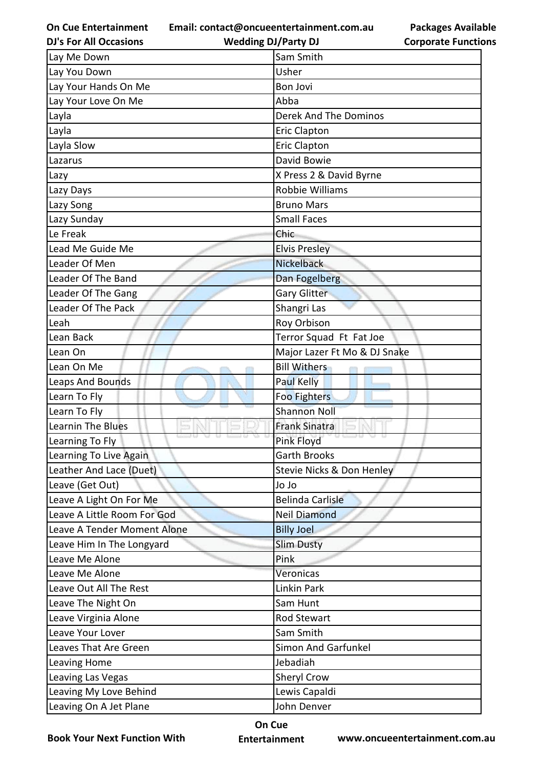**Email: contact@oncueentertainment.com.au**

**DJ's For All Occasions**

**Wedding DJ/Party DJ** 

**Packages Available Corporate Functions**

| Lay Me Down                 | Sam Smith                    |
|-----------------------------|------------------------------|
| Lay You Down                | Usher                        |
| Lay Your Hands On Me        | <b>Bon Jovi</b>              |
| Lay Your Love On Me         | Abba                         |
| Layla                       | Derek And The Dominos        |
| Layla                       | <b>Eric Clapton</b>          |
| Layla Slow                  | <b>Eric Clapton</b>          |
| Lazarus                     | David Bowie                  |
| Lazy                        | X Press 2 & David Byrne      |
| Lazy Days                   | Robbie Williams              |
| Lazy Song                   | <b>Bruno Mars</b>            |
| Lazy Sunday                 | <b>Small Faces</b>           |
| Le Freak                    | Chic                         |
| Lead Me Guide Me            | <b>Elvis Presley</b>         |
| Leader Of Men               | <b>Nickelback</b>            |
| Leader Of The Band          | Dan Fogelberg                |
| Leader Of The Gang          | <b>Gary Glitter</b>          |
| Leader Of The Pack          | Shangri Las                  |
| Leah                        | Roy Orbison                  |
| Lean Back                   | Terror Squad Ft Fat Joe      |
| Lean On                     | Major Lazer Ft Mo & DJ Snake |
| Lean On Me                  | <b>Bill Withers</b>          |
| <b>Leaps And Bounds</b>     | <b>Paul Kelly</b>            |
| Learn To Fly                | Foo Fighters                 |
| Learn To Fly                | <b>Shannon Noll</b>          |
| <b>Learnin The Blues</b>    | <b>Frank Sinatra</b>         |
| Learning To Fly             | Pink Floyd                   |
| Learning To Live Again      | <b>Garth Brooks</b>          |
| Leather And Lace (Duet)     | Stevie Nicks & Don Henley    |
| Leave (Get Out)             | <b>Ol</b> Ol                 |
| Leave A Light On For Me     | <b>Belinda Carlisle</b>      |
| Leave A Little Room For God | <b>Neil Diamond</b>          |
| Leave A Tender Moment Alone | <b>Billy Joel</b>            |
| Leave Him In The Longyard   | <b>Slim Dusty</b>            |
| Leave Me Alone              | Pink                         |
| Leave Me Alone              | Veronicas                    |
| Leave Out All The Rest      | Linkin Park                  |
| Leave The Night On          | Sam Hunt                     |
| Leave Virginia Alone        | <b>Rod Stewart</b>           |
| Leave Your Lover            | Sam Smith                    |
| Leaves That Are Green       | <b>Simon And Garfunkel</b>   |
| Leaving Home                | Jebadiah                     |
| Leaving Las Vegas           | Sheryl Crow                  |
| Leaving My Love Behind      | Lewis Capaldi                |
| Leaving On A Jet Plane      | John Denver                  |

**Book Your Next Function With**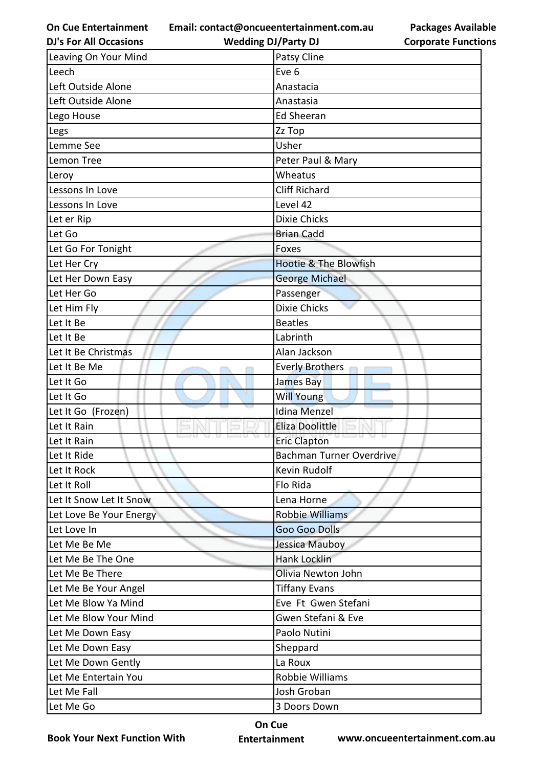**Email: contact@oncueentertainment.com.au**

**Packages Available Corporate Functions**

| <b>DJ's For All Occasions</b> | <b>Wedding DJ/Party DJ</b>       | <b>Corporate Functio</b> |
|-------------------------------|----------------------------------|--------------------------|
| Leaving On Your Mind          | Patsy Cline                      |                          |
| Leech                         | Eve 6                            |                          |
| Left Outside Alone            | Anastacia                        |                          |
| Left Outside Alone            | Anastasia                        |                          |
| Lego House                    | <b>Ed Sheeran</b>                |                          |
| Legs                          | Zz Top                           |                          |
| Lemme See                     | Usher                            |                          |
| Lemon Tree                    | Peter Paul & Mary                |                          |
| Leroy                         | Wheatus                          |                          |
| Lessons In Love               | <b>Cliff Richard</b>             |                          |
| Lessons In Love               | Level 42                         |                          |
| Let er Rip                    | <b>Dixie Chicks</b>              |                          |
| Let Go                        | <b>Brian Cadd</b>                |                          |
| Let Go For Tonight            | Foxes                            |                          |
| Let Her Cry                   | <b>Hootie &amp; The Blowfish</b> |                          |
| Let Her Down Easy             | <b>George Michael</b>            |                          |
| Let Her Go                    | Passenger                        |                          |
| Let Him Fly                   | <b>Dixie Chicks</b>              |                          |
| Let It Be                     | <b>Beatles</b>                   |                          |
| Let It Be                     | Labrinth                         |                          |
| Let It Be Christmas           | Alan Jackson                     |                          |
| Let It Be Me                  | <b>Everly Brothers</b>           |                          |
| Let It Go                     | James Bay                        |                          |
| Let It Go                     | Will Young                       |                          |
| Let It Go (Frozen)            | <b>Idina Menzel</b>              |                          |
| Let It Rain                   | Eliza Doolittle                  |                          |
| Let It Rain                   | <b>Eric Clapton</b>              |                          |
| Let It Ride                   | <b>Bachman Turner Overdrive</b>  |                          |
| Let It Rock                   | Kevin Rudolf                     |                          |
| Let It Roll                   | Flo Rida                         |                          |
| Let It Snow Let It Snow       | Lena Horne                       |                          |
| Let Love Be Your Energy       | <b>Robbie Williams</b>           |                          |
| Let Love In                   | <b>Goo Goo Dolls</b>             |                          |
| Let Me Be Me                  | Jessica Mauboy                   |                          |
| Let Me Be The One             | Hank Locklin                     |                          |
| Let Me Be There               | Olivia Newton John               |                          |
| Let Me Be Your Angel          | <b>Tiffany Evans</b>             |                          |
| Let Me Blow Ya Mind           | Eve Ft Gwen Stefani              |                          |
| Let Me Blow Your Mind         | Gwen Stefani & Eve               |                          |
| Let Me Down Easy              | Paolo Nutini                     |                          |
| Let Me Down Easy              | Sheppard                         |                          |
| Let Me Down Gently            | La Roux                          |                          |
| Let Me Entertain You          | Robbie Williams                  |                          |
| Let Me Fall                   | Josh Groban                      |                          |
| Let Me Go                     | 3 Doors Down                     |                          |

**Book Your Next Function With**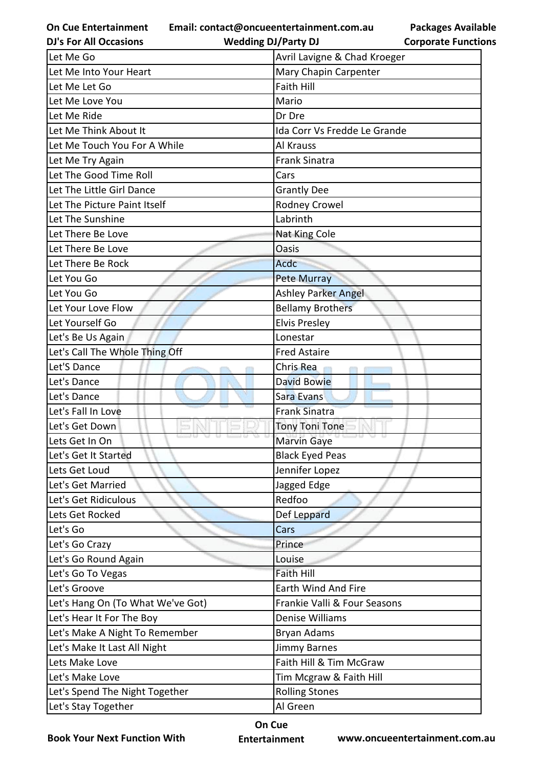**Email: contact@oncueentertainment.com.au Wedding DJ/Party DJ** 

**DJ's For All Occasions**

**Packages Available Corporate Functions**

| Let Me Go                         | Avril Lavigne & Chad Kroeger |
|-----------------------------------|------------------------------|
| Let Me Into Your Heart            | Mary Chapin Carpenter        |
| Let Me Let Go                     | <b>Faith Hill</b>            |
| Let Me Love You                   | Mario                        |
| Let Me Ride                       | Dr Dre                       |
| Let Me Think About It             | Ida Corr Vs Fredde Le Grande |
| Let Me Touch You For A While      | Al Krauss                    |
| Let Me Try Again                  | <b>Frank Sinatra</b>         |
| Let The Good Time Roll            | Cars                         |
| Let The Little Girl Dance         | <b>Grantly Dee</b>           |
| Let The Picture Paint Itself      | Rodney Crowel                |
| Let The Sunshine                  | Labrinth                     |
| Let There Be Love                 | Nat King Cole                |
| Let There Be Love                 | <b>Oasis</b>                 |
| Let There Be Rock                 | Acdc                         |
| Let You Go                        | <b>Pete Murray</b>           |
| Let You Go                        | <b>Ashley Parker Angel</b>   |
| Let Your Love Flow                | <b>Bellamy Brothers</b>      |
| Let Yourself Go                   | <b>Elvis Presley</b>         |
| Let's Be Us Again                 | Lonestar                     |
| Let's Call The Whole Thing Off    | <b>Fred Astaire</b>          |
| Let'S Dance                       | Chris Rea                    |
| Let's Dance                       | <b>David Bowie</b>           |
| Let's Dance                       | Sara Evans                   |
| Let's Fall In Love                | <b>Frank Sinatra</b>         |
| Let's Get Down                    | <b>Tony Toni Tone</b>        |
| Lets Get In On                    | <b>Marvin Gaye</b>           |
| Let's Get It Started              | <b>Black Eyed Peas</b>       |
| Lets Get Loud                     | Jennifer Lopez               |
| Let's Get Married                 | Jagged Edge                  |
| Let's Get Ridiculous              | Redfoo                       |
| Lets Get Rocked                   | Def Leppard                  |
| Let's Go                          | Cars                         |
| Let's Go Crazy                    | Prince                       |
| Let's Go Round Again              | Louise                       |
| Let's Go To Vegas                 | <b>Faith Hill</b>            |
| Let's Groove                      | Earth Wind And Fire          |
| Let's Hang On (To What We've Got) | Frankie Valli & Four Seasons |
| Let's Hear It For The Boy         | Denise Williams              |
| Let's Make A Night To Remember    | Bryan Adams                  |
| Let's Make It Last All Night      | <b>Jimmy Barnes</b>          |
| Lets Make Love                    | Faith Hill & Tim McGraw      |
| Let's Make Love                   | Tim Mcgraw & Faith Hill      |
| Let's Spend The Night Together    | <b>Rolling Stones</b>        |
| Let's Stay Together               | Al Green                     |

**Book Your Next Function With**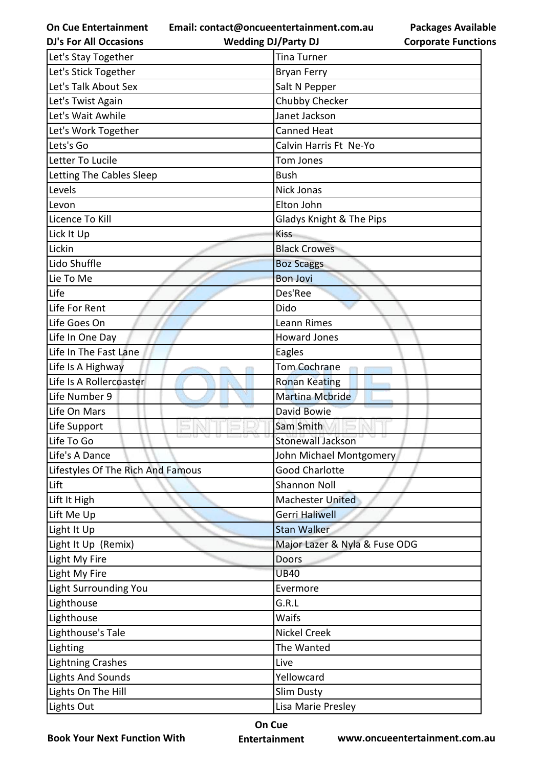**Email: contact@oncueentertainment.com.au**

| <b>Packages Available</b>  |
|----------------------------|
| <b>Corporate Functions</b> |

| <b>DJ's For All Occasions</b>     | <b>Wedding DJ/Party DJ</b>    | <b>Corporate Functio</b> |
|-----------------------------------|-------------------------------|--------------------------|
| Let's Stay Together               | <b>Tina Turner</b>            |                          |
| Let's Stick Together              | Bryan Ferry                   |                          |
| Let's Talk About Sex              | Salt N Pepper                 |                          |
| Let's Twist Again                 | Chubby Checker                |                          |
| Let's Wait Awhile                 | Janet Jackson                 |                          |
| Let's Work Together               | <b>Canned Heat</b>            |                          |
| Lets's Go                         | Calvin Harris Ft Ne-Yo        |                          |
| Letter To Lucile                  | Tom Jones                     |                          |
| Letting The Cables Sleep          | <b>Bush</b>                   |                          |
| Levels                            | Nick Jonas                    |                          |
| Levon                             | Elton John                    |                          |
| Licence To Kill                   | Gladys Knight & The Pips      |                          |
| Lick It Up                        | <b>Kiss</b>                   |                          |
| Lickin                            | <b>Black Crowes</b>           |                          |
| Lido Shuffle                      | <b>Boz Scaggs</b>             |                          |
| Lie To Me                         | <b>Bon Jovi</b>               |                          |
| Life                              | Des'Ree                       |                          |
| Life For Rent                     | Dido                          |                          |
| Life Goes On                      | Leann Rimes                   |                          |
| Life In One Day                   | <b>Howard Jones</b>           |                          |
| Life In The Fast Lane             | Eagles                        |                          |
| Life Is A Highway                 | Tom Cochrane                  |                          |
| Life Is A Rollercoaster           | <b>Ronan Keating</b>          |                          |
| Life Number 9                     | <b>Martina Mcbride</b>        |                          |
| Life On Mars                      | David Bowie                   |                          |
| Life Support                      | Sam Smith                     |                          |
| Life To Go                        | <b>Stonewall Jackson</b>      |                          |
| Life's A Dance                    | John Michael Montgomery       |                          |
| Lifestyles Of The Rich And Famous | <b>Good Charlotte</b>         |                          |
| Lift                              | <b>Shannon Noll</b>           |                          |
| Lift It High                      | <b>Machester United</b>       |                          |
| Lift Me Up                        | Gerri Haliwell                |                          |
| Light It Up                       | <b>Stan Walker</b>            |                          |
| Light It Up (Remix)               | Major Lazer & Nyla & Fuse ODG |                          |
| Light My Fire                     | Doors                         |                          |
| Light My Fire                     | <b>UB40</b>                   |                          |
| Light Surrounding You             | Evermore                      |                          |
| Lighthouse                        | G.R.L                         |                          |
| Lighthouse                        | Waifs                         |                          |
| Lighthouse's Tale                 | <b>Nickel Creek</b>           |                          |
| Lighting                          | The Wanted                    |                          |
| <b>Lightning Crashes</b>          | Live                          |                          |
| <b>Lights And Sounds</b>          | Yellowcard                    |                          |
| Lights On The Hill                | <b>Slim Dusty</b>             |                          |
| Lights Out                        | Lisa Marie Presley            |                          |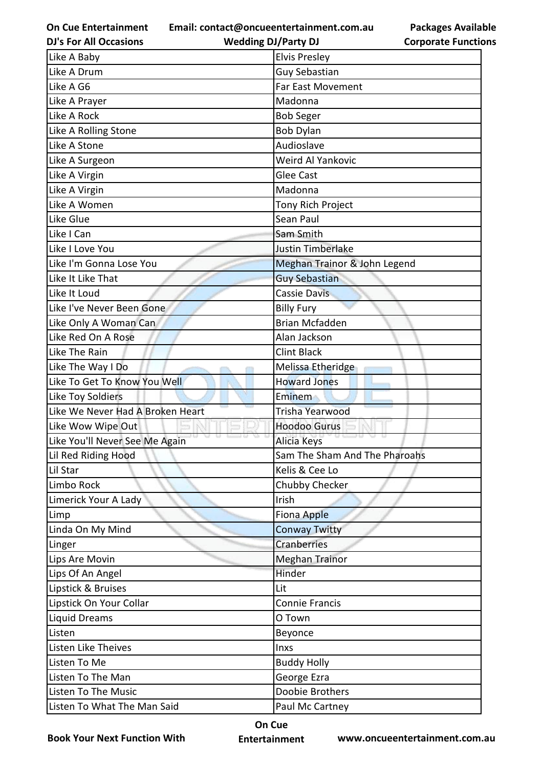**Email: contact@oncueentertainment.com.au**

| <b>DJ's For All Occasions</b>    | <b>Wedding DJ/Party DJ</b>    | <b>Corporate Functio</b> |
|----------------------------------|-------------------------------|--------------------------|
| Like A Baby                      | <b>Elvis Presley</b>          |                          |
| Like A Drum                      | <b>Guy Sebastian</b>          |                          |
| Like A G6                        | Far East Movement             |                          |
| Like A Prayer                    | Madonna                       |                          |
| Like A Rock                      | <b>Bob Seger</b>              |                          |
| Like A Rolling Stone             | <b>Bob Dylan</b>              |                          |
| Like A Stone                     | Audioslave                    |                          |
| Like A Surgeon                   | Weird Al Yankovic             |                          |
| Like A Virgin                    | Glee Cast                     |                          |
| Like A Virgin                    | Madonna                       |                          |
| Like A Women                     | Tony Rich Project             |                          |
| Like Glue                        | Sean Paul                     |                          |
| Like I Can                       | Sam Smith                     |                          |
| Like I Love You                  | Justin Timberlake             |                          |
| Like I'm Gonna Lose You          | Meghan Trainor & John Legend  |                          |
| Like It Like That                | <b>Guy Sebastian</b>          |                          |
| Like It Loud                     | <b>Cassie Davis</b>           |                          |
| Like I've Never Been Gone        | <b>Billy Fury</b>             |                          |
| Like Only A Woman Can            | <b>Brian Mcfadden</b>         |                          |
| Like Red On A Rose               | Alan Jackson                  |                          |
| Like The Rain                    | <b>Clint Black</b>            |                          |
| Like The Way I Do                | Melissa Etheridge             |                          |
| Like To Get To Know You Well     | <b>Howard Jones</b>           |                          |
| Like Toy Soldiers                | Eminem                        |                          |
| Like We Never Had A Broken Heart | Trisha Yearwood               |                          |
| Like Wow Wipe Out                | <b>Hoodoo Gurus</b>           |                          |
| Like You'll Never See Me Again   | Alicia Keys                   |                          |
| Lil Red Riding Hood              | Sam The Sham And The Pharoahs |                          |
| Lil Star                         | Kelis & Cee Lo                |                          |
| Limbo Rock                       | Chubby Checker                |                          |
| Limerick Your A Lady             | Irish                         |                          |
| Limp                             | <b>Fiona Apple</b>            |                          |
| Linda On My Mind                 | <b>Conway Twitty</b>          |                          |
| Linger                           | Cranberries                   |                          |
| Lips Are Movin                   | <b>Meghan Trainor</b>         |                          |
| Lips Of An Angel                 | Hinder                        |                          |
| Lipstick & Bruises               | Lit                           |                          |
| Lipstick On Your Collar          | <b>Connie Francis</b>         |                          |
| Liquid Dreams                    | O Town                        |                          |
| Listen                           | Beyonce                       |                          |
| Listen Like Theives              | Inxs                          |                          |
| Listen To Me                     | <b>Buddy Holly</b>            |                          |
| Listen To The Man                | George Ezra                   |                          |
| Listen To The Music              | Doobie Brothers               |                          |
| Listen To What The Man Said      | Paul Mc Cartney               |                          |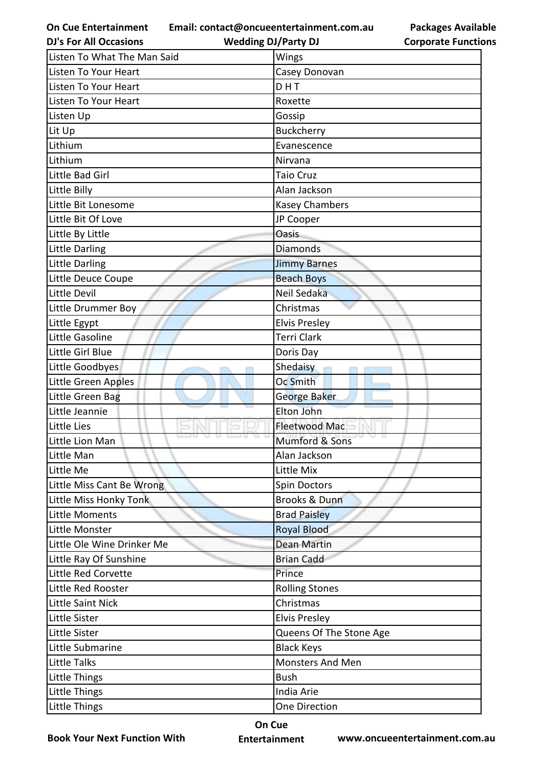**Email: contact@oncueentertainment.com.au**

**Wedding DJ/Party DJ** 

|  | <b>Packages Available</b>  |
|--|----------------------------|
|  | <b>Corporate Functions</b> |

| <b>DJ's For All Occasions</b> | <b>Wedding DJ/Party DJ</b> | <b>Corporate Functio</b> |
|-------------------------------|----------------------------|--------------------------|
| Listen To What The Man Said   | Wings                      |                          |
| Listen To Your Heart          | Casey Donovan              |                          |
| Listen To Your Heart          | DHT                        |                          |
| Listen To Your Heart          | Roxette                    |                          |
| Listen Up                     | Gossip                     |                          |
| Lit Up                        | Buckcherry                 |                          |
| Lithium                       | Evanescence                |                          |
| Lithium                       | Nirvana                    |                          |
| Little Bad Girl               | <b>Taio Cruz</b>           |                          |
| Little Billy                  | Alan Jackson               |                          |
| Little Bit Lonesome           | <b>Kasey Chambers</b>      |                          |
| Little Bit Of Love            | JP Cooper                  |                          |
| Little By Little              | <b>Oasis</b>               |                          |
| <b>Little Darling</b>         | <b>Diamonds</b>            |                          |
| <b>Little Darling</b>         | <b>Jimmy Barnes</b>        |                          |
| Little Deuce Coupe            | <b>Beach Boys</b>          |                          |
| Little Devil                  | Neil Sedaka                |                          |
| Little Drummer Boy            | Christmas                  |                          |
| Little Egypt                  | <b>Elvis Presley</b>       |                          |
| Little Gasoline               | <b>Terri Clark</b>         |                          |
| Little Girl Blue              | Doris Day                  |                          |
| Little Goodbyes               | Shedaisy                   |                          |
| Little Green Apples           | Oc Smith                   |                          |
| Little Green Bag              | George Baker               |                          |
| Little Jeannie                | Elton John                 |                          |
| Little Lies                   | <b>Fleetwood Mac</b>       |                          |
| Little Lion Man               | Mumford & Sons             |                          |
| Little Man                    | Alan Jackson               |                          |
| Little Me                     | Little Mix                 |                          |
| Little Miss Cant Be Wrong     | Spin Doctors               |                          |
| Little Miss Honky Tonk        | <b>Brooks &amp; Dunn</b>   |                          |
| Little Moments                | <b>Brad Paisley</b>        |                          |
| Little Monster                | <b>Royal Blood</b>         |                          |
| Little Ole Wine Drinker Me    | <b>Dean Martin</b>         |                          |
| Little Ray Of Sunshine        | <b>Brian Cadd</b>          |                          |
| Little Red Corvette           | Prince                     |                          |
| Little Red Rooster            | <b>Rolling Stones</b>      |                          |
| Little Saint Nick             | Christmas                  |                          |
| Little Sister                 | <b>Elvis Presley</b>       |                          |
| Little Sister                 | Queens Of The Stone Age    |                          |
| Little Submarine              | <b>Black Keys</b>          |                          |
| Little Talks                  | Monsters And Men           |                          |
| Little Things                 | <b>Bush</b>                |                          |
| Little Things                 | India Arie                 |                          |
| Little Things                 | One Direction              |                          |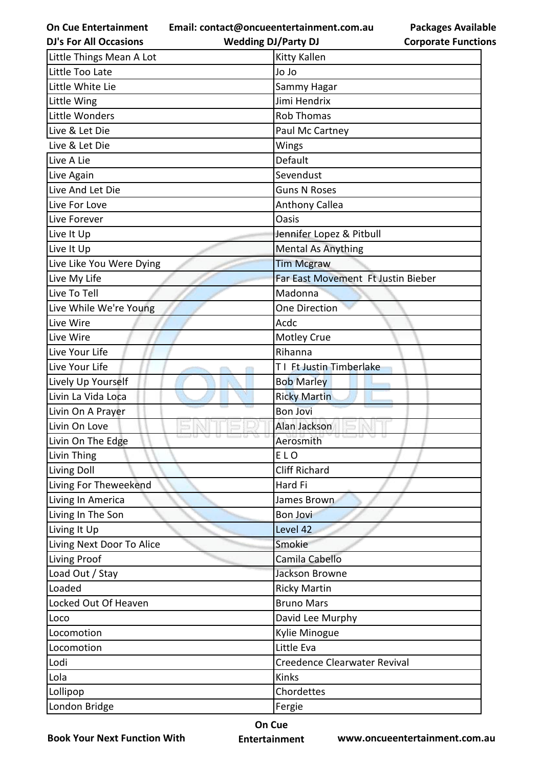**Email: contact@oncueentertainment.com.au**

| <b>DJ's For All Occasions</b> | <b>Wedding DJ/Party DJ</b>         | <b>Corporate Function</b> |
|-------------------------------|------------------------------------|---------------------------|
| Little Things Mean A Lot      | <b>Kitty Kallen</b>                |                           |
| Little Too Late               | Jo Jo                              |                           |
| Little White Lie              | Sammy Hagar                        |                           |
| Little Wing                   | Jimi Hendrix                       |                           |
| Little Wonders                | <b>Rob Thomas</b>                  |                           |
| Live & Let Die                | Paul Mc Cartney                    |                           |
| Live & Let Die                | Wings                              |                           |
| Live A Lie                    | Default                            |                           |
| Live Again                    | Sevendust                          |                           |
| Live And Let Die              | <b>Guns N Roses</b>                |                           |
| Live For Love                 | <b>Anthony Callea</b>              |                           |
| Live Forever                  | Oasis                              |                           |
| Live It Up                    | Jennifer Lopez & Pitbull           |                           |
| Live It Up                    | <b>Mental As Anything</b>          |                           |
| Live Like You Were Dying      | <b>Tim Mcgraw</b>                  |                           |
| Live My Life                  | Far East Movement Ft Justin Bieber |                           |
| Live To Tell                  | Madonna                            |                           |
| Live While We're Young        | <b>One Direction</b>               |                           |
| Live Wire                     | Acdc                               |                           |
| Live Wire                     | Motley Crue                        |                           |
| Live Your Life                | Rihanna                            |                           |
| Live Your Life                | T1 Ft Justin Timberlake            |                           |
| Lively Up Yourself            | <b>Bob Marley</b>                  |                           |
| Livin La Vida Loca            | <b>Ricky Martin</b>                |                           |
| Livin On A Prayer             | <b>Bon Jovi</b>                    |                           |
| Livin On Love                 | Alan Jackson                       |                           |
| Livin On The Edge             | Aerosmith                          |                           |
| Livin Thing                   | ELO                                |                           |
| Living Doll                   | <b>Cliff Richard</b>               |                           |
| Living For Theweekend         | Hard Fi                            |                           |
| Living In America             | James Brown                        |                           |
| Living In The Son             | <b>Bon Jovi</b>                    |                           |
| Living It Up                  | Level 42                           |                           |
| Living Next Door To Alice     | Smokie                             |                           |
| Living Proof                  | Camila Cabello                     |                           |
| Load Out / Stay               | Jackson Browne                     |                           |
| Loaded                        | <b>Ricky Martin</b>                |                           |
| Locked Out Of Heaven          | <b>Bruno Mars</b>                  |                           |
| Loco                          | David Lee Murphy                   |                           |
| Locomotion                    | Kylie Minogue                      |                           |
| Locomotion                    | Little Eva                         |                           |
| Lodi                          | Creedence Clearwater Revival       |                           |
| Lola                          | Kinks                              |                           |
| Lollipop                      | Chordettes                         |                           |
| London Bridge                 | Fergie                             |                           |
|                               |                                    |                           |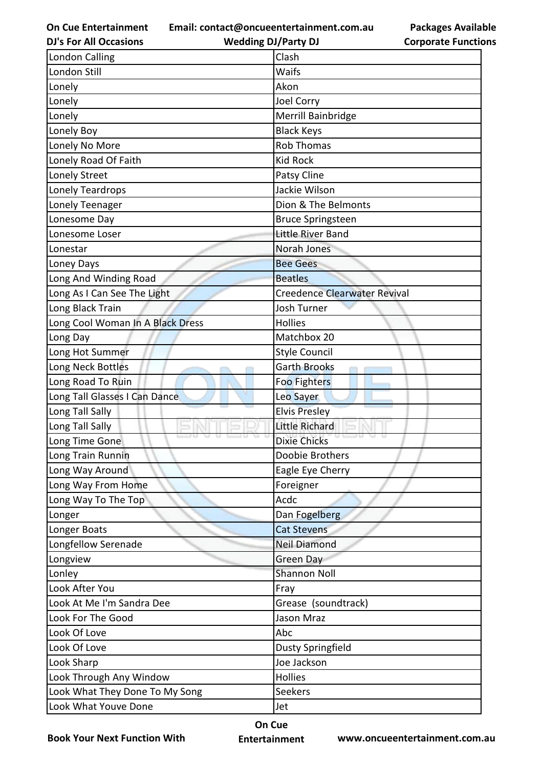**Email: contact@oncueentertainment.com.au**

**DJ's For All Occasions**

**Wedding DJ/Party DJ** 

**Packages Available Corporate Functions**

| <b>London Calling</b>            | Clash                               |
|----------------------------------|-------------------------------------|
| London Still                     | Waifs                               |
| Lonely                           | Akon                                |
| Lonely                           | Joel Corry                          |
| Lonely                           | Merrill Bainbridge                  |
| Lonely Boy                       | <b>Black Keys</b>                   |
| Lonely No More                   | <b>Rob Thomas</b>                   |
| Lonely Road Of Faith             | <b>Kid Rock</b>                     |
| Lonely Street                    | Patsy Cline                         |
| <b>Lonely Teardrops</b>          | Jackie Wilson                       |
| Lonely Teenager                  | Dion & The Belmonts                 |
| Lonesome Day                     | <b>Bruce Springsteen</b>            |
| Lonesome Loser                   | Little River Band                   |
| Lonestar                         | Norah Jones                         |
| Loney Days                       | <b>Bee Gees</b>                     |
| Long And Winding Road            | <b>Beatles</b>                      |
| Long As I Can See The Light      | <b>Creedence Clearwater Revival</b> |
| Long Black Train                 | <b>Josh Turner</b>                  |
| Long Cool Woman In A Black Dress | <b>Hollies</b>                      |
| Long Day                         | Matchbox 20                         |
| Long Hot Summer                  | <b>Style Council</b>                |
| Long Neck Bottles                | <b>Garth Brooks</b>                 |
| Long Road To Ruin                | <b>Foo Fighters</b>                 |
| Long Tall Glasses I Can Dance    | Leo Sayer                           |
| Long Tall Sally                  | <b>Elvis Presley</b>                |
| Long Tall Sally                  | <b>Little Richard</b>               |
| Long Time Gone                   | <b>Dixie Chicks</b>                 |
| Long Train Runnin                | Doobie Brothers                     |
| Long Way Around                  | Eagle Eye Cherry                    |
| Long Way From Home               | Foreigner                           |
| Long Way To The Top              | Acdc                                |
| Longer                           | Dan Fogelberg                       |
| Longer Boats                     | <b>Cat Stevens</b>                  |
| Longfellow Serenade              | <b>Neil Diamond</b>                 |
| Longview                         | Green Day                           |
| Lonley                           | <b>Shannon Noll</b>                 |
| Look After You                   | Fray                                |
| Look At Me I'm Sandra Dee        | Grease (soundtrack)                 |
| Look For The Good                | Jason Mraz                          |
| Look Of Love                     | Abc                                 |
| Look Of Love                     | <b>Dusty Springfield</b>            |
| Look Sharp                       | Joe Jackson                         |
| Look Through Any Window          | Hollies                             |
| Look What They Done To My Song   | Seekers                             |
| Look What Youve Done             | Jet                                 |

**Book Your Next Function With**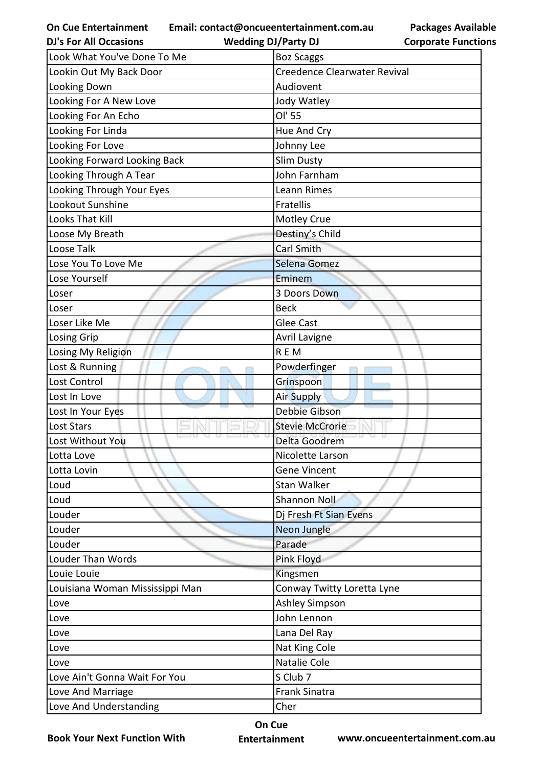**On Cue Entertainment DJ's For All Occasions**

**Email: contact@oncueentertainment.com.au Wedding DJ/Party DJ** 

**Packages Available Corporate Functions**

| Look What You've Done To Me     | <b>Boz Scaggs</b>            |
|---------------------------------|------------------------------|
| Lookin Out My Back Door         | Creedence Clearwater Revival |
| Looking Down                    | Audiovent                    |
| Looking For A New Love          | Jody Watley                  |
| Looking For An Echo             | OI' 55                       |
| Looking For Linda               | Hue And Cry                  |
| Looking For Love                | Johnny Lee                   |
| Looking Forward Looking Back    | Slim Dusty                   |
| Looking Through A Tear          | John Farnham                 |
| Looking Through Your Eyes       | Leann Rimes                  |
| Lookout Sunshine                | Fratellis                    |
| <b>Looks That Kill</b>          | <b>Motley Crue</b>           |
| Loose My Breath                 | Destiny's Child              |
| Loose Talk                      | <b>Carl Smith</b>            |
| Lose You To Love Me             | Selena Gomez                 |
| Lose Yourself                   | Eminem                       |
| Loser                           | 3 Doors Down                 |
| Loser                           | <b>Beck</b>                  |
| Loser Like Me                   | <b>Glee Cast</b>             |
| <b>Losing Grip</b>              | <b>Avril Lavigne</b>         |
| Losing My Religion              | <b>REM</b>                   |
| Lost & Running                  | Powderfinger                 |
| Lost Control                    | Grinspoon                    |
| Lost In Love                    | <b>Air Supply</b>            |
| Lost In Your Eyes               | <b>Debbie Gibson</b>         |
| Lost Stars                      | <b>Stevie McCrorie</b>       |
| Lost Without You                | Delta Goodrem                |
| Lotta Love                      | Nicolette Larson             |
| Lotta Lovin                     | <b>Gene Vincent</b>          |
| Loud                            | Stan Walker                  |
| Loud                            | <b>Shannon Noll</b>          |
| Louder                          | Dj Fresh Ft Sian Evens       |
| Louder                          | Neon Jungle                  |
| Louder                          | Parade                       |
| Louder Than Words               | Pink Floyd                   |
| Louie Louie                     | Kingsmen                     |
| Louisiana Woman Mississippi Man | Conway Twitty Loretta Lyne   |
| Love                            | <b>Ashley Simpson</b>        |
| Love                            | John Lennon                  |
| Love                            | Lana Del Ray                 |
| Love                            | Nat King Cole                |
| Love                            | Natalie Cole                 |
| Love Ain't Gonna Wait For You   | S Club 7                     |
| Love And Marriage               | <b>Frank Sinatra</b>         |
| Love And Understanding          | Cher                         |

**Book Your Next Function With**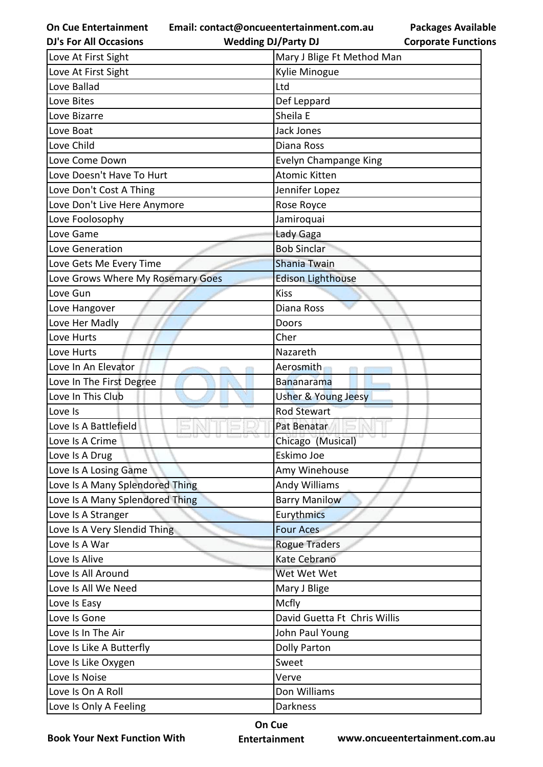**Email: contact@oncueentertainment.com.au**

**DJ's For All Occasions**

**Wedding DJ/Party DJ** 

| Love At First Sight               | Mary J Blige Ft Method Man   |
|-----------------------------------|------------------------------|
| Love At First Sight               | Kylie Minogue                |
| Love Ballad                       | Ltd                          |
| Love Bites                        | Def Leppard                  |
| Love Bizarre                      | Sheila E                     |
| Love Boat                         | Jack Jones                   |
| Love Child                        | Diana Ross                   |
| Love Come Down                    | <b>Evelyn Champange King</b> |
| Love Doesn't Have To Hurt         | <b>Atomic Kitten</b>         |
| Love Don't Cost A Thing           | Jennifer Lopez               |
| Love Don't Live Here Anymore      | Rose Royce                   |
| Love Foolosophy                   | Jamiroquai                   |
| Love Game                         | Lady Gaga                    |
| Love Generation                   | <b>Bob Sinclar</b>           |
| Love Gets Me Every Time           | <b>Shania Twain</b>          |
| Love Grows Where My Rosemary Goes | <b>Edison Lighthouse</b>     |
| Love Gun                          | <b>Kiss</b>                  |
| Love Hangover                     | Diana Ross                   |
| Love Her Madly                    | Doors                        |
| Love Hurts                        | Cher                         |
| Love Hurts                        | Nazareth                     |
| Love In An Elevator               | Aerosmith                    |
| Love In The First Degree          | <b>Bananarama</b>            |
| Love In This Club                 | Usher & Young Jeesy          |
| Love Is                           | <b>Rod Stewart</b>           |
| Love Is A Battlefield             | Pat Benatar                  |
| Love Is A Crime                   | Chicago (Musical)            |
| Love Is A Drug                    | Eskimo Joe                   |
| Love Is A Losing Game             | Amy Winehouse                |
| Love Is A Many Splendored Thing   | Andy Williams                |
| Love Is A Many Splendored Thing   | <b>Barry Manilow</b>         |
| Love Is A Stranger                | Eurythmics                   |
| Love Is A Very Slendid Thing      | <b>Four Aces</b>             |
| Love Is A War                     | <b>Rogue Traders</b>         |
| Love Is Alive                     | Kate Cebrano                 |
| Love Is All Around                | Wet Wet Wet                  |
| Love Is All We Need               | Mary J Blige                 |
| Love Is Easy                      | Mcfly                        |
| Love Is Gone                      | David Guetta Ft Chris Willis |
| Love Is In The Air                | John Paul Young              |
| Love Is Like A Butterfly          | <b>Dolly Parton</b>          |
| Love Is Like Oxygen               | Sweet                        |
| Love Is Noise                     | Verve                        |
| Love Is On A Roll                 | Don Williams                 |
| Love Is Only A Feeling            | Darkness                     |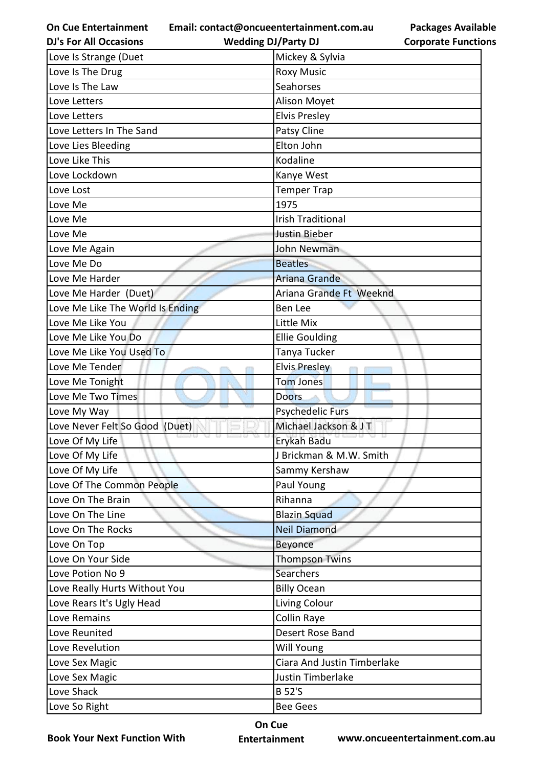**Email: contact@oncueentertainment.com.au**

| <b>DJ's For All Occasions</b>    | <b>Wedding DJ/Party DJ</b>  | <b>Corporate Functio</b> |
|----------------------------------|-----------------------------|--------------------------|
| Love Is Strange (Duet            | Mickey & Sylvia             |                          |
| Love Is The Drug                 | <b>Roxy Music</b>           |                          |
| Love Is The Law                  | Seahorses                   |                          |
| Love Letters                     | Alison Moyet                |                          |
| Love Letters                     | <b>Elvis Presley</b>        |                          |
| Love Letters In The Sand         | Patsy Cline                 |                          |
| Love Lies Bleeding               | Elton John                  |                          |
| Love Like This                   | Kodaline                    |                          |
| Love Lockdown                    | Kanye West                  |                          |
| Love Lost                        | <b>Temper Trap</b>          |                          |
| Love Me                          | 1975                        |                          |
| Love Me                          | <b>Irish Traditional</b>    |                          |
| Love Me                          | <b>Justin Bieber</b>        |                          |
| Love Me Again                    | John Newman                 |                          |
| Love Me Do                       | <b>Beatles</b>              |                          |
| Love Me Harder                   | Ariana Grande               |                          |
| Love Me Harder (Duet)            | Ariana Grande Ft Weeknd     |                          |
| Love Me Like The World Is Ending | Ben Lee                     |                          |
| Love Me Like You                 | Little Mix                  |                          |
| Love Me Like You Do              | <b>Ellie Goulding</b>       |                          |
| Love Me Like You Used To         | Tanya Tucker                |                          |
| Love Me Tender                   | <b>Elvis Presley</b>        |                          |
| Love Me Tonight                  | <b>Tom Jones</b>            |                          |
| Love Me Two Times                | <b>Doors</b>                |                          |
| Love My Way                      | <b>Psychedelic Furs</b>     |                          |
| Love Never Felt So Good (Duet)   | Michael Jackson & JT        |                          |
| Love Of My Life                  | Erykah Badu                 |                          |
| Love Of My Life                  | J Brickman & M.W. Smith     |                          |
| Love Of My Life                  | Sammy Kershaw               |                          |
| Love Of The Common People        | Paul Young                  |                          |
| Love On The Brain                | Rihanna                     |                          |
| Love On The Line                 | <b>Blazin Squad</b>         |                          |
| Love On The Rocks                | <b>Neil Diamond</b>         |                          |
| Love On Top                      | Beyonce                     |                          |
| Love On Your Side                | <b>Thompson Twins</b>       |                          |
| Love Potion No 9                 | <b>Searchers</b>            |                          |
| Love Really Hurts Without You    | <b>Billy Ocean</b>          |                          |
| Love Rears It's Ugly Head        | Living Colour               |                          |
| Love Remains                     | Collin Raye                 |                          |
| Love Reunited                    | Desert Rose Band            |                          |
| Love Revelution                  | Will Young                  |                          |
| Love Sex Magic                   | Ciara And Justin Timberlake |                          |
| Love Sex Magic                   | Justin Timberlake           |                          |
| Love Shack                       | <b>B</b> 52'S               |                          |
| Love So Right                    | <b>Bee Gees</b>             |                          |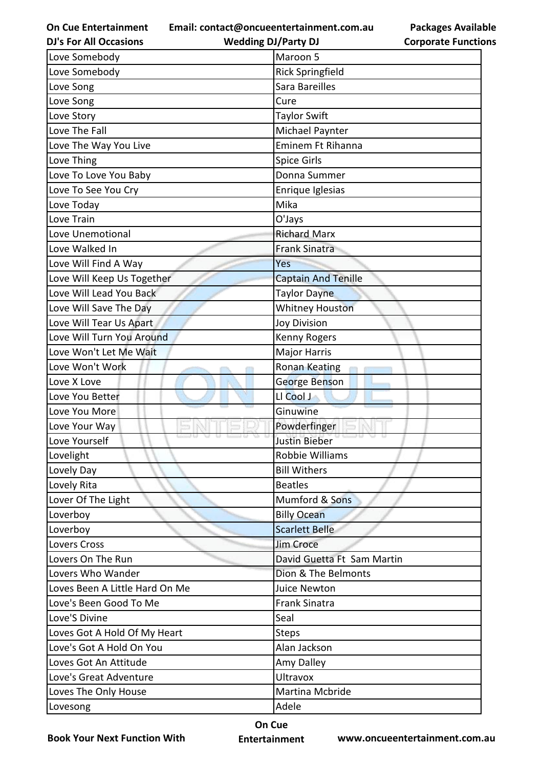**Email: contact@oncueentertainment.com.au**

**DJ's For All Occasions**

**Wedding DJ/Party DJ** 

| <b>Packages Available</b>  |
|----------------------------|
| <b>Corporate Functions</b> |

| Love Somebody                  | Maroon 5                   |
|--------------------------------|----------------------------|
| Love Somebody                  | <b>Rick Springfield</b>    |
| Love Song                      | Sara Bareilles             |
| Love Song                      | Cure                       |
| Love Story                     | <b>Taylor Swift</b>        |
| Love The Fall                  | Michael Paynter            |
| Love The Way You Live          | Eminem Ft Rihanna          |
| Love Thing                     | <b>Spice Girls</b>         |
| Love To Love You Baby          | Donna Summer               |
| Love To See You Cry            | Enrique Iglesias           |
| Love Today                     | Mika                       |
| Love Train                     | O'Jays                     |
| Love Unemotional               | <b>Richard Marx</b>        |
| Love Walked In                 | <b>Frank Sinatra</b>       |
| Love Will Find A Way           | Yes                        |
| Love Will Keep Us Together     | <b>Captain And Tenille</b> |
| Love Will Lead You Back        | Taylor Dayne               |
| Love Will Save The Day         | <b>Whitney Houston</b>     |
| Love Will Tear Us Apart        | <b>Joy Division</b>        |
| Love Will Turn You Around      | Kenny Rogers               |
| Love Won't Let Me Wait         | <b>Major Harris</b>        |
| Love Won't Work                | Ronan Keating              |
| Love X Love                    | George Benson              |
| Love You Better                | LI Cool J                  |
| Love You More                  | Ginuwine                   |
| Love Your Way                  | Powderfinger               |
| Love Yourself                  | <b>Justin Bieber</b>       |
| Lovelight                      | Robbie Williams            |
| Lovely Day                     | <b>Bill Withers</b>        |
| Lovely Rita                    | <b>Beatles</b>             |
| Lover Of The Light             | Mumford & Sons             |
| Loverboy                       | <b>Billy Ocean</b>         |
| Loverboy                       | <b>Scarlett Belle</b>      |
| Lovers Cross                   | <b>Jim Croce</b>           |
| Lovers On The Run              | David Guetta Ft Sam Martin |
| Lovers Who Wander              | Dion & The Belmonts        |
| Loves Been A Little Hard On Me | Juice Newton               |
| Love's Been Good To Me         | <b>Frank Sinatra</b>       |
| Love'S Divine                  | Seal                       |
| Loves Got A Hold Of My Heart   | <b>Steps</b>               |
| Love's Got A Hold On You       | Alan Jackson               |
| Loves Got An Attitude          | Amy Dalley                 |
| Love's Great Adventure         | <b>Ultravox</b>            |
| Loves The Only House           | Martina Mcbride            |
| Lovesong                       | Adele                      |

**Book Your Next Function With**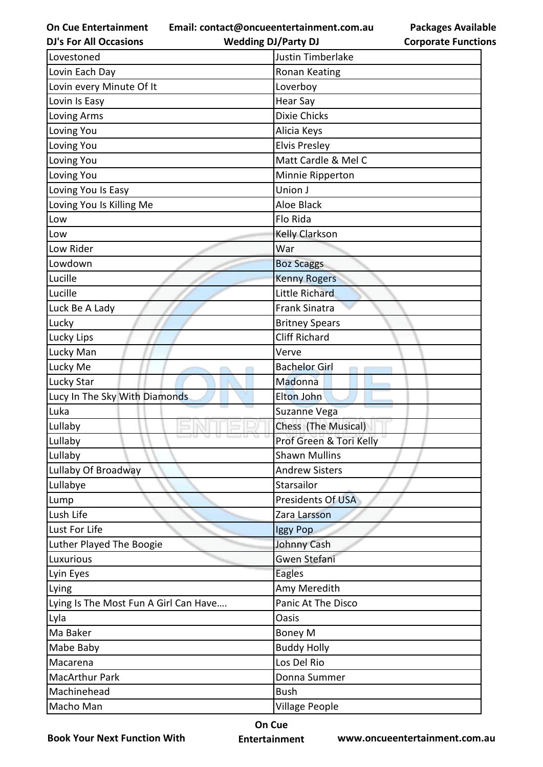**Email: contact@oncueentertainment.com.au Wedding DJ/Party DJ** 

**Packages Available Corporate Functions**

| <b>DJ's For All Occasions</b>         | <b>Wedding DJ/Party DJ</b> | <b>Corporate Functio</b> |
|---------------------------------------|----------------------------|--------------------------|
| Lovestoned                            | Justin Timberlake          |                          |
| Lovin Each Day                        | Ronan Keating              |                          |
| Lovin every Minute Of It              | Loverboy                   |                          |
| Lovin Is Easy                         | <b>Hear Say</b>            |                          |
| Loving Arms                           | Dixie Chicks               |                          |
| Loving You                            | Alicia Keys                |                          |
| Loving You                            | <b>Elvis Presley</b>       |                          |
| Loving You                            | Matt Cardle & Mel C        |                          |
| Loving You                            | Minnie Ripperton           |                          |
| Loving You Is Easy                    | Union J                    |                          |
| Loving You Is Killing Me              | <b>Aloe Black</b>          |                          |
| Low                                   | Flo Rida                   |                          |
| Low                                   | <b>Kelly Clarkson</b>      |                          |
| Low Rider                             | War                        |                          |
| Lowdown                               | <b>Boz Scaggs</b>          |                          |
| Lucille                               | <b>Kenny Rogers</b>        |                          |
| Lucille                               | Little Richard             |                          |
| Luck Be A Lady                        | <b>Frank Sinatra</b>       |                          |
| Lucky                                 | <b>Britney Spears</b>      |                          |
| Lucky Lips                            | <b>Cliff Richard</b>       |                          |
| Lucky Man                             | Verve                      |                          |
| Lucky Me                              | <b>Bachelor Girl</b>       |                          |
| Lucky Star                            | Madonna                    |                          |
| Lucy In The Sky With Diamonds         | Elton John                 |                          |
| Luka                                  | Suzanne Vega               |                          |
| Lullaby                               | Chess (The Musical)        |                          |
| Lullaby                               | Prof Green & Tori Kelly    |                          |
| Lullaby                               | <b>Shawn Mullins</b>       |                          |
| Lullaby Of Broadway                   | <b>Andrew Sisters</b>      |                          |
| Lullabye                              | Starsailor                 |                          |
| Lump                                  | Presidents Of USA          |                          |
| Lush Life                             | Zara Larsson               |                          |
| Lust For Life                         | Iggy Pop                   |                          |
| Luther Played The Boogie              | Johnny Cash                |                          |
| Luxurious                             | Gwen Stefani               |                          |
| Lyin Eyes                             | <b>Eagles</b>              |                          |
| Lying                                 | Amy Meredith               |                          |
| Lying Is The Most Fun A Girl Can Have | Panic At The Disco         |                          |
| Lyla                                  | Oasis                      |                          |
| Ma Baker                              | Boney M                    |                          |
| Mabe Baby                             | <b>Buddy Holly</b>         |                          |
| Macarena                              | Los Del Rio                |                          |
| MacArthur Park                        | Donna Summer               |                          |
| Machinehead                           | <b>Bush</b>                |                          |
| Macho Man                             | Village People             |                          |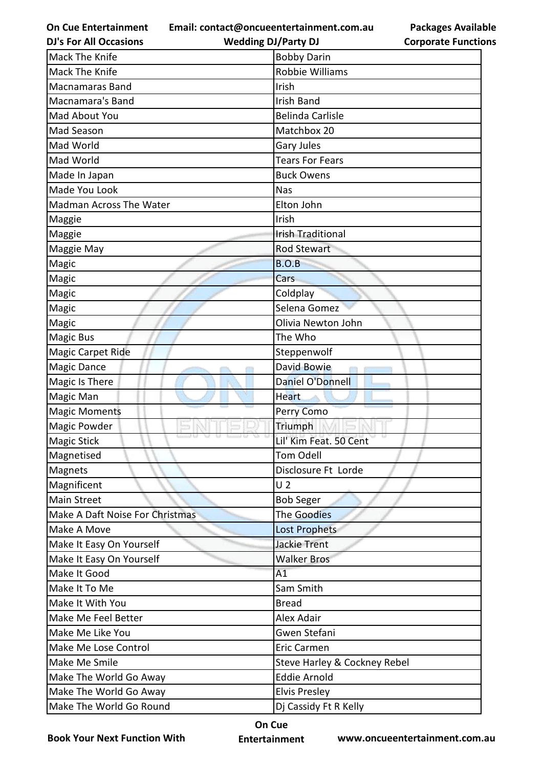**Email: contact@oncueentertainment.com.au Wedding DJ/Party DJ** 

**DJ's For All Occasions**

**Corporate Functions**

**Packages Available** 

| Mack The Knife                  | <b>Bobby Darin</b>           |
|---------------------------------|------------------------------|
| Mack The Knife                  | Robbie Williams              |
| <b>Macnamaras Band</b>          | Irish                        |
| Macnamara's Band                | <b>Irish Band</b>            |
| Mad About You                   | <b>Belinda Carlisle</b>      |
| Mad Season                      | Matchbox 20                  |
| Mad World                       | <b>Gary Jules</b>            |
| Mad World                       | <b>Tears For Fears</b>       |
| Made In Japan                   | <b>Buck Owens</b>            |
| Made You Look                   | Nas                          |
| Madman Across The Water         | Elton John                   |
| Maggie                          | Irish                        |
| Maggie                          | <b>Irish Traditional</b>     |
| Maggie May                      | <b>Rod Stewart</b>           |
| Magic                           | <b>B.O.B</b>                 |
| Magic                           | Cars                         |
| Magic                           | Coldplay                     |
| Magic                           | Selena Gomez                 |
| Magic                           | Olivia Newton John           |
| Magic Bus                       | The Who                      |
| <b>Magic Carpet Ride</b>        | Steppenwolf                  |
| Magic Dance                     | David Bowie                  |
| Magic Is There                  | Daniel O'Donnell             |
| Magic Man                       | <b>Heart</b>                 |
| <b>Magic Moments</b>            | Perry Como                   |
| Magic Powder                    | Triumph                      |
| <b>Magic Stick</b>              | Lil' Kim Feat. 50 Cent       |
| Magnetised                      | <b>Tom Odell</b>             |
| Magnets                         | Disclosure Ft Lorde          |
| Magnificent                     | U <sub>2</sub>               |
| <b>Main Street</b>              | <b>Bob Seger</b>             |
| Make A Daft Noise For Christmas | <b>The Goodies</b>           |
| Make A Move                     | <b>Lost Prophets</b>         |
| Make It Easy On Yourself        | <b>Jackie Trent</b>          |
| Make It Easy On Yourself        | <b>Walker Bros</b>           |
| Make It Good                    | A1                           |
| Make It To Me                   | Sam Smith                    |
| Make It With You                | <b>Bread</b>                 |
| Make Me Feel Better             | <b>Alex Adair</b>            |
| Make Me Like You                | Gwen Stefani                 |
| Make Me Lose Control            | <b>Eric Carmen</b>           |
| Make Me Smile                   | Steve Harley & Cockney Rebel |
| Make The World Go Away          | <b>Eddie Arnold</b>          |
| Make The World Go Away          | <b>Elvis Presley</b>         |
| Make The World Go Round         | Dj Cassidy Ft R Kelly        |
|                                 |                              |

**Book Your Next Function With**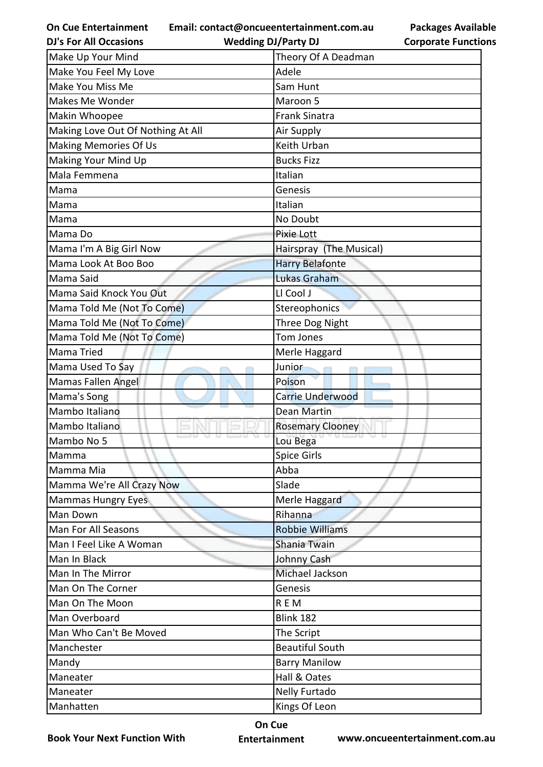**Email: contact@oncueentertainment.com.au Wedding DJ/Party DJ** 

**Packages Available Corporate Functions**

| <b>DJ's For All Occasions</b>     | <b>Wedding DJ/Party DJ</b> | <b>Corporate Functio</b> |
|-----------------------------------|----------------------------|--------------------------|
| Make Up Your Mind                 | Theory Of A Deadman        |                          |
| Make You Feel My Love             | Adele                      |                          |
| Make You Miss Me                  | Sam Hunt                   |                          |
| Makes Me Wonder                   | Maroon 5                   |                          |
| Makin Whoopee                     | <b>Frank Sinatra</b>       |                          |
| Making Love Out Of Nothing At All | Air Supply                 |                          |
| <b>Making Memories Of Us</b>      | Keith Urban                |                          |
| Making Your Mind Up               | <b>Bucks Fizz</b>          |                          |
| Mala Femmena                      | Italian                    |                          |
| Mama                              | Genesis                    |                          |
| Mama                              | Italian                    |                          |
| Mama                              | No Doubt                   |                          |
| Mama Do                           | Pixie Lott                 |                          |
| Mama I'm A Big Girl Now           | Hairspray (The Musical)    |                          |
| Mama Look At Boo Boo              | <b>Harry Belafonte</b>     |                          |
| Mama Said                         | <b>Lukas Graham</b>        |                          |
| Mama Said Knock You Out           | LI Cool J                  |                          |
| Mama Told Me (Not To Come)        | <b>Stereophonics</b>       |                          |
| Mama Told Me (Not To Come)        | Three Dog Night            |                          |
| Mama Told Me (Not To Come)        | Tom Jones                  |                          |
| Mama Tried                        | Merle Haggard              |                          |
| Mama Used To Say                  | Junior                     |                          |
| Mamas Fallen Angel                | Poison                     |                          |
| Mama's Song                       | <b>Carrie Underwood</b>    |                          |
| Mambo Italiano                    | <b>Dean Martin</b>         |                          |
| Mambo Italiano                    | <b>Rosemary Clooney</b>    |                          |
| Mambo No 5                        | Lou Bega                   |                          |
| Mamma                             | <b>Spice Girls</b>         |                          |
| Mamma Mia                         | Abba                       |                          |
| Mamma We're All Crazy Now         | Slade                      |                          |
| Mammas Hungry Eyes                | Merle Haggard              |                          |
| Man Down                          | Rihanna                    |                          |
| Man For All Seasons               | <b>Robbie Williams</b>     |                          |
| Man I Feel Like A Woman           | Shania Twain               |                          |
| Man In Black                      | Johnny Cash                |                          |
| Man In The Mirror                 | Michael Jackson            |                          |
| Man On The Corner                 | Genesis                    |                          |
| Man On The Moon                   | R E M                      |                          |
| Man Overboard                     | <b>Blink 182</b>           |                          |
| Man Who Can't Be Moved            | The Script                 |                          |
| Manchester                        | <b>Beautiful South</b>     |                          |
| Mandy                             | <b>Barry Manilow</b>       |                          |
| Maneater                          | Hall & Oates               |                          |
| Maneater                          | <b>Nelly Furtado</b>       |                          |
| Manhatten                         | Kings Of Leon              |                          |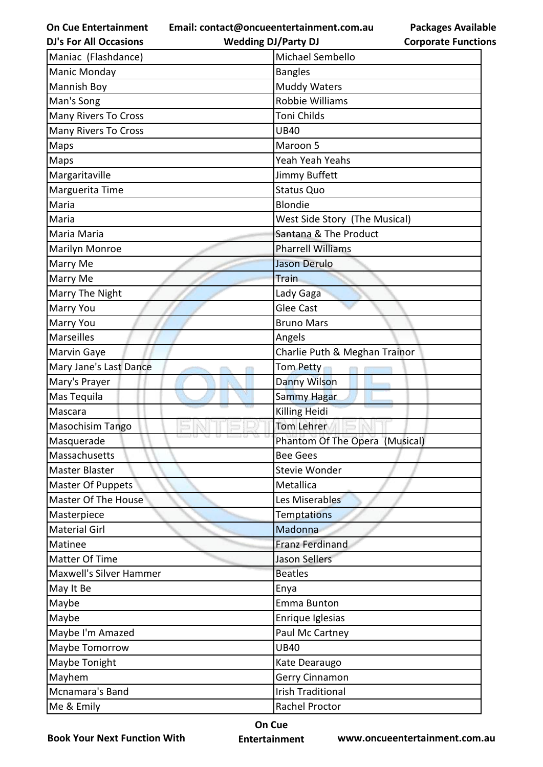**Email: contact@oncueentertainment.com.au**

| <b>DJ's For All Occasions</b>  | <b>Wedding DJ/Party DJ</b>     | <b>Corporate Functio</b> |
|--------------------------------|--------------------------------|--------------------------|
| Maniac (Flashdance)            | Michael Sembello               |                          |
| Manic Monday                   | <b>Bangles</b>                 |                          |
| Mannish Boy                    | <b>Muddy Waters</b>            |                          |
| Man's Song                     | Robbie Williams                |                          |
| <b>Many Rivers To Cross</b>    | Toni Childs                    |                          |
| <b>Many Rivers To Cross</b>    | <b>UB40</b>                    |                          |
| Maps                           | Maroon 5                       |                          |
| Maps                           | Yeah Yeah Yeahs                |                          |
| Margaritaville                 | Jimmy Buffett                  |                          |
| Marguerita Time                | <b>Status Quo</b>              |                          |
| Maria                          | <b>Blondie</b>                 |                          |
| Maria                          | West Side Story (The Musical)  |                          |
| Maria Maria                    | Santana & The Product          |                          |
| Marilyn Monroe                 | <b>Pharrell Williams</b>       |                          |
| Marry Me                       | <b>Jason Derulo</b>            |                          |
| Marry Me                       | Train                          |                          |
| Marry The Night                | Lady Gaga                      |                          |
| <b>Marry You</b>               | <b>Glee Cast</b>               |                          |
| Marry You                      | <b>Bruno Mars</b>              |                          |
| Marseilles                     | Angels                         |                          |
| Marvin Gaye                    | Charlie Puth & Meghan Trainor  |                          |
| Mary Jane's Last Dance         | Tom Petty                      |                          |
| Mary's Prayer                  | Danny Wilson                   |                          |
| Mas Tequila                    | <b>Sammy Hagar</b>             |                          |
| Mascara                        | <b>Killing Heidi</b>           |                          |
| Masochisim Tango               | <b>Tom Lehrer</b>              |                          |
| Masquerade                     | Phantom Of The Opera (Musical) |                          |
| Massachusetts                  | <b>Bee Gees</b>                |                          |
| <b>Master Blaster</b>          | <b>Stevie Wonder</b>           |                          |
| Master Of Puppets              | Metallica                      |                          |
| Master Of The House            | Les Miserables                 |                          |
| Masterpiece                    | <b>Temptations</b>             |                          |
| <b>Material Girl</b>           | Madonna                        |                          |
| Matinee                        | <b>Franz Ferdinand</b>         |                          |
| Matter Of Time                 | <b>Jason Sellers</b>           |                          |
| <b>Maxwell's Silver Hammer</b> | <b>Beatles</b>                 |                          |
| May It Be                      | Enya                           |                          |
| Maybe                          | <b>Emma Bunton</b>             |                          |
| Maybe                          | Enrique Iglesias               |                          |
| Maybe I'm Amazed               | Paul Mc Cartney                |                          |
| Maybe Tomorrow                 | <b>UB40</b>                    |                          |
| Maybe Tonight                  | Kate Dearaugo                  |                          |
| Mayhem                         | Gerry Cinnamon                 |                          |
| Mcnamara's Band                | <b>Irish Traditional</b>       |                          |
| Me & Emily                     | Rachel Proctor                 |                          |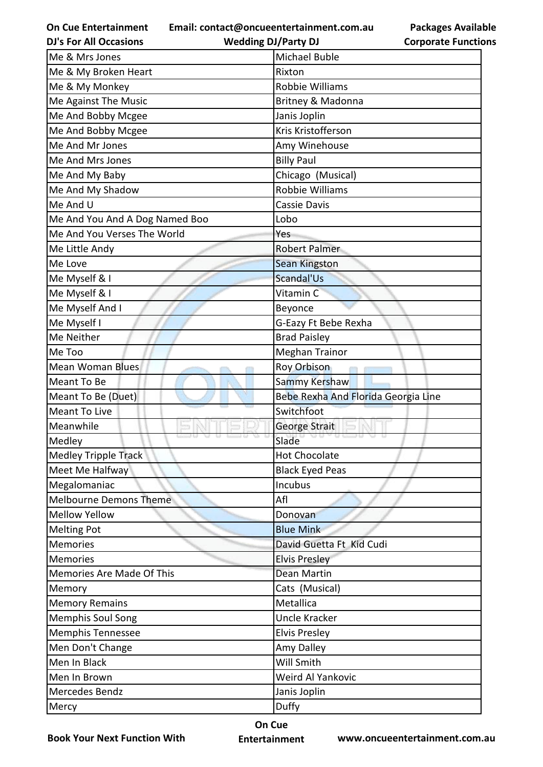**Email: contact@oncueentertainment.com.au Wedding DJ/Party DJ** 

**Packages Available Corporate Functions**

| <b>DJ's For All Occasions</b>  | <b>Wedding DJ/Party DJ</b>          | <b>Corporate Functio</b> |
|--------------------------------|-------------------------------------|--------------------------|
| Me & Mrs Jones                 | <b>Michael Buble</b>                |                          |
| Me & My Broken Heart           | Rixton                              |                          |
| Me & My Monkey                 | Robbie Williams                     |                          |
| Me Against The Music           | Britney & Madonna                   |                          |
| Me And Bobby Mcgee             | Janis Joplin                        |                          |
| Me And Bobby Mcgee             | Kris Kristofferson                  |                          |
| Me And Mr Jones                | Amy Winehouse                       |                          |
| Me And Mrs Jones               | <b>Billy Paul</b>                   |                          |
| Me And My Baby                 | Chicago (Musical)                   |                          |
| Me And My Shadow               | Robbie Williams                     |                          |
| Me And U                       | Cassie Davis                        |                          |
| Me And You And A Dog Named Boo | Lobo                                |                          |
| Me And You Verses The World    | Yes                                 |                          |
| Me Little Andy                 | Robert Palmer                       |                          |
| Me Love                        | <b>Sean Kingston</b>                |                          |
| Me Myself & I                  | Scandal'Us                          |                          |
| Me Myself & I                  | Vitamin C                           |                          |
| Me Myself And I                | Beyonce                             |                          |
| Me Myself I                    | G-Eazy Ft Bebe Rexha                |                          |
| Me Neither                     | <b>Brad Paisley</b>                 |                          |
| Me Too                         | <b>Meghan Trainor</b>               |                          |
| <b>Mean Woman Blues</b>        | Roy Orbison                         |                          |
| Meant To Be                    | Sammy Kershaw                       |                          |
| Meant To Be (Duet)             | Bebe Rexha And Florida Georgia Line |                          |
| Meant To Live                  | Switchfoot                          |                          |
| Meanwhile                      | George Strait                       |                          |
| Medley                         | Slade                               |                          |
| <b>Medley Tripple Track</b>    | <b>Hot Chocolate</b>                |                          |
| Meet Me Halfway                | <b>Black Eyed Peas</b>              |                          |
| Megalomaniac                   | Incubus                             |                          |
| <b>Melbourne Demons Theme</b>  | Afl                                 |                          |
| <b>Mellow Yellow</b>           | Donovan                             |                          |
| <b>Melting Pot</b>             | <b>Blue Mink</b>                    |                          |
| <b>Memories</b>                | David Guetta Ft Kid Cudi            |                          |
| <b>Memories</b>                | <b>Elvis Presley</b>                |                          |
| Memories Are Made Of This      | Dean Martin                         |                          |
| Memory                         | Cats (Musical)                      |                          |
| <b>Memory Remains</b>          | Metallica                           |                          |
| <b>Memphis Soul Song</b>       | <b>Uncle Kracker</b>                |                          |
| <b>Memphis Tennessee</b>       | <b>Elvis Presley</b>                |                          |
| Men Don't Change               | Amy Dalley                          |                          |
| Men In Black                   | Will Smith                          |                          |
| Men In Brown                   | Weird Al Yankovic                   |                          |
| Mercedes Bendz                 | Janis Joplin                        |                          |
| Mercy                          | Duffy                               |                          |
|                                |                                     |                          |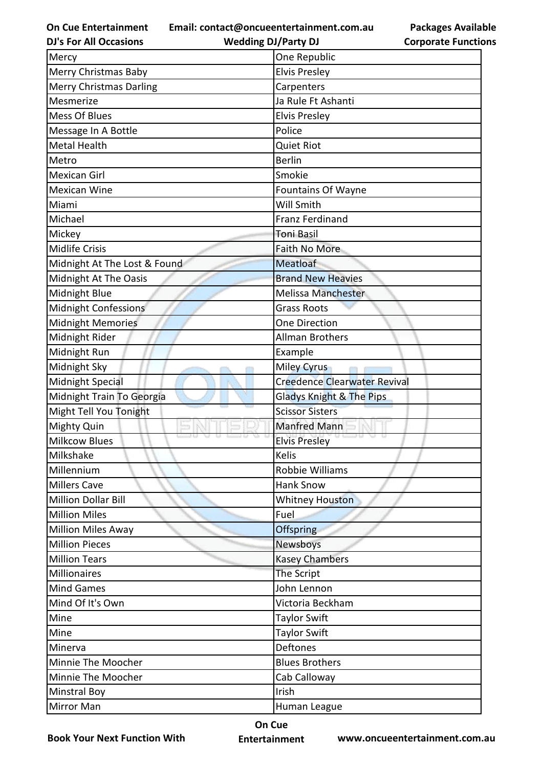**Email: contact@oncueentertainment.com.au**

**DJ's For All Occasions**

**Wedding DJ/Party DJ** 

**Packages Available Corporate Functions**

| Mercy                          | One Republic                        |
|--------------------------------|-------------------------------------|
| Merry Christmas Baby           | <b>Elvis Presley</b>                |
| <b>Merry Christmas Darling</b> | Carpenters                          |
| Mesmerize                      | Ja Rule Ft Ashanti                  |
| Mess Of Blues                  | <b>Elvis Presley</b>                |
| Message In A Bottle            | Police                              |
| <b>Metal Health</b>            | <b>Quiet Riot</b>                   |
| Metro                          | <b>Berlin</b>                       |
| <b>Mexican Girl</b>            | Smokie                              |
| <b>Mexican Wine</b>            | <b>Fountains Of Wayne</b>           |
| Miami                          | Will Smith                          |
| Michael                        | <b>Franz Ferdinand</b>              |
| Mickey                         | <b>Toni Basil</b>                   |
| <b>Midlife Crisis</b>          | Faith No More                       |
| Midnight At The Lost & Found   | <b>Meatloaf</b>                     |
| Midnight At The Oasis          | <b>Brand New Heavies</b>            |
| Midnight Blue                  | <b>Melissa Manchester</b>           |
| Midnight Confessions           | <b>Grass Roots</b>                  |
| Midnight Memories              | One Direction                       |
| Midnight Rider                 | <b>Allman Brothers</b>              |
| Midnight Run                   | Example                             |
| Midnight Sky                   | <b>Miley Cyrus</b>                  |
| Midnight Special               | <b>Creedence Clearwater Revival</b> |
| Midnight Train To Georgia      | <b>Gladys Knight &amp; The Pips</b> |
| Might Tell You Tonight         | <b>Scissor Sisters</b>              |
| Mighty Quin                    | <b>Manfred Mann</b>                 |
| <b>Milkcow Blues</b>           | <b>Elvis Presley</b>                |
| Milkshake                      | Kelis                               |
| Millennium                     | Robbie Williams                     |
| <b>Millers Cave</b>            | <b>Hank Snow</b>                    |
| <b>Million Dollar Bill</b>     | <b>Whitney Houston</b>              |
| <b>Million Miles</b>           | Fuel                                |
| <b>Million Miles Away</b>      | <b>Offspring</b>                    |
| <b>Million Pieces</b>          | Newsboys                            |
| <b>Million Tears</b>           | <b>Kasey Chambers</b>               |
| <b>Millionaires</b>            | The Script                          |
| <b>Mind Games</b>              | John Lennon                         |
| Mind Of It's Own               | Victoria Beckham                    |
| Mine                           | <b>Taylor Swift</b>                 |
| Mine                           | <b>Taylor Swift</b>                 |
| Minerva                        | <b>Deftones</b>                     |
| Minnie The Moocher             | <b>Blues Brothers</b>               |
| Minnie The Moocher             | Cab Calloway                        |
| <b>Minstral Boy</b>            | Irish                               |
| Mirror Man                     | Human League                        |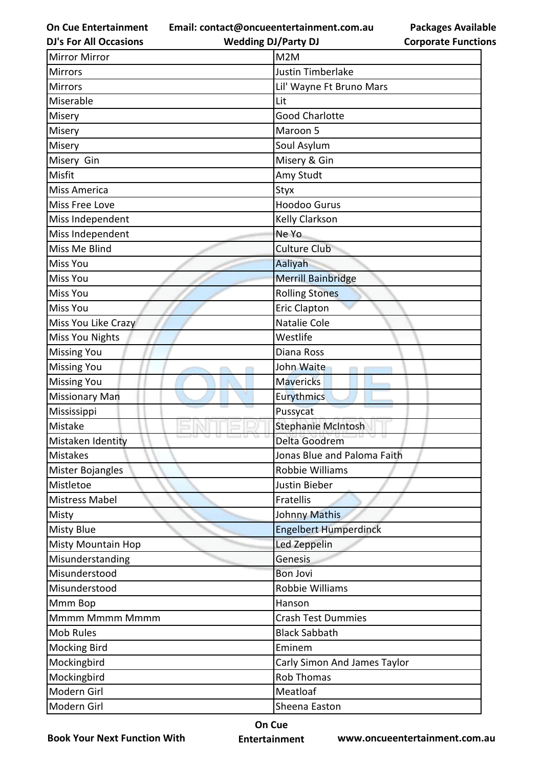**Email: contact@oncueentertainment.com.au**

**DJ's For All Occasions**

**Packages Available Corporate Functions**

| <b>Mirror Mirror</b>   | M <sub>2</sub> M             |
|------------------------|------------------------------|
| <b>Mirrors</b>         | Justin Timberlake            |
| <b>Mirrors</b>         | Lil' Wayne Ft Bruno Mars     |
| Miserable              | Lit                          |
| Misery                 | <b>Good Charlotte</b>        |
| Misery                 | Maroon 5                     |
| Misery                 | Soul Asylum                  |
| Misery Gin             | Misery & Gin                 |
| Misfit                 | Amy Studt                    |
| Miss America           | Styx                         |
| Miss Free Love         | <b>Hoodoo Gurus</b>          |
| Miss Independent       | Kelly Clarkson               |
| Miss Independent       | Ne Yo                        |
| Miss Me Blind          | <b>Culture Club</b>          |
| Miss You               | Aaliyah                      |
| Miss You               | <b>Merrill Bainbridge</b>    |
| <b>Miss You</b>        | <b>Rolling Stones</b>        |
| Miss You               | <b>Eric Clapton</b>          |
| Miss You Like Crazy    | Natalie Cole                 |
| <b>Miss You Nights</b> | Westlife                     |
| <b>Missing You</b>     | Diana Ross                   |
| <b>Missing You</b>     | John Waite                   |
| <b>Missing You</b>     | <b>Mavericks</b>             |
| <b>Missionary Man</b>  | Eurythmics                   |
| Mississippi            | Pussycat                     |
| Mistake                | <b>Stephanie McIntosh</b>    |
| Mistaken Identity      | Delta Goodrem                |
| Mistakes               | Jonas Blue and Paloma Faith  |
| Mister Bojangles       | Robbie Williams              |
| Mistletoe              | Justin Bieber                |
| Mistress Mabel         | Fratellis                    |
| Misty                  | <b>Johnny Mathis</b>         |
| Misty Blue             | <b>Engelbert Humperdinck</b> |
| Misty Mountain Hop     | Led Zeppelin                 |
| Misunderstanding       | Genesis                      |
| Misunderstood          | <b>Bon Jovi</b>              |
| Misunderstood          | Robbie Williams              |
| Mmm Bop                | Hanson                       |
| Mmmm Mmmm Mmmm         | <b>Crash Test Dummies</b>    |
| <b>Mob Rules</b>       | <b>Black Sabbath</b>         |
| <b>Mocking Bird</b>    | Eminem                       |
| Mockingbird            | Carly Simon And James Taylor |
| Mockingbird            | <b>Rob Thomas</b>            |
| Modern Girl            | Meatloaf                     |
| Modern Girl            | Sheena Easton                |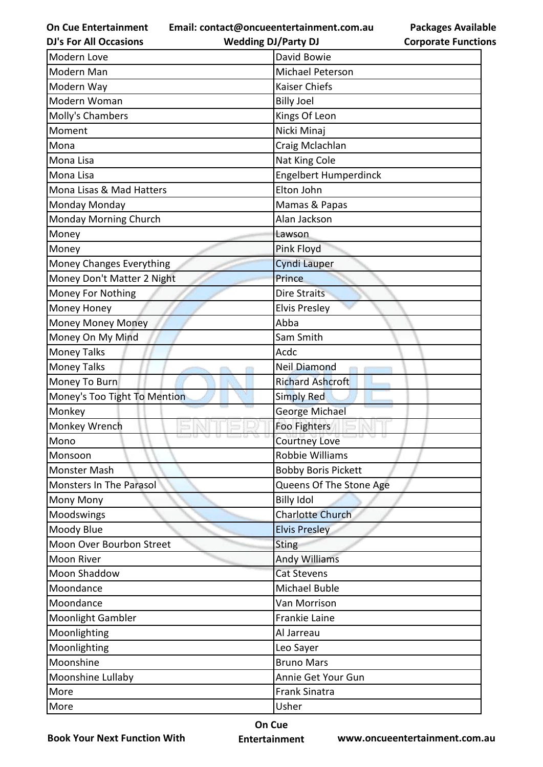**Email: contact@oncueentertainment.com.au**

**DJ's For All Occasions**

**Wedding DJ/Party DJ** 

**Packages Available Corporate Functions**

| Modern Love                  | David Bowie                |  |
|------------------------------|----------------------------|--|
| Modern Man                   | Michael Peterson           |  |
| Modern Way                   | Kaiser Chiefs              |  |
| Modern Woman                 | <b>Billy Joel</b>          |  |
| Molly's Chambers             | Kings Of Leon              |  |
| Moment                       | Nicki Minaj                |  |
| Mona                         | Craig Mclachlan            |  |
| Mona Lisa                    | Nat King Cole              |  |
| Mona Lisa                    | Engelbert Humperdinck      |  |
| Mona Lisas & Mad Hatters     | Elton John                 |  |
| Monday Monday                | Mamas & Papas              |  |
| Monday Morning Church        | Alan Jackson               |  |
| Money                        | Lawson                     |  |
| Money                        | Pink Floyd                 |  |
| Money Changes Everything     | <b>Cyndi Lauper</b>        |  |
| Money Don't Matter 2 Night   | Prince                     |  |
| Money For Nothing            | <b>Dire Straits</b>        |  |
| Money Honey                  | <b>Elvis Presley</b>       |  |
| <b>Money Money Money</b>     | Abba                       |  |
| Money On My Mind             | Sam Smith                  |  |
| <b>Money Talks</b>           | Acdc                       |  |
| <b>Money Talks</b>           | Neil Diamond               |  |
| Money To Burn                | <b>Richard Ashcroft</b>    |  |
| Money's Too Tight To Mention | <b>Simply Red</b>          |  |
| Monkey                       | George Michael             |  |
| Monkey Wrench                | Foo Fighters               |  |
| Mono                         | <b>Courtney Love</b>       |  |
| Monsoon                      | Robbie Williams            |  |
| Monster Mash                 | <b>Bobby Boris Pickett</b> |  |
| Monsters In The Parasol      | Queens Of The Stone Age    |  |
| Mony Mony                    | <b>Billy Idol</b>          |  |
| Moodswings                   | Charlotte Church           |  |
| Moody Blue                   | <b>Elvis Presley</b>       |  |
| Moon Over Bourbon Street     | <b>Sting</b>               |  |
| Moon River                   | <b>Andy Williams</b>       |  |
| Moon Shaddow                 | <b>Cat Stevens</b>         |  |
| Moondance                    | <b>Michael Buble</b>       |  |
| Moondance                    | Van Morrison               |  |
| Moonlight Gambler            | Frankie Laine              |  |
| Moonlighting                 | Al Jarreau                 |  |
| Moonlighting                 | Leo Sayer                  |  |
| Moonshine                    | <b>Bruno Mars</b>          |  |
| Moonshine Lullaby            | Annie Get Your Gun         |  |
| More                         | <b>Frank Sinatra</b>       |  |
| More                         | Usher                      |  |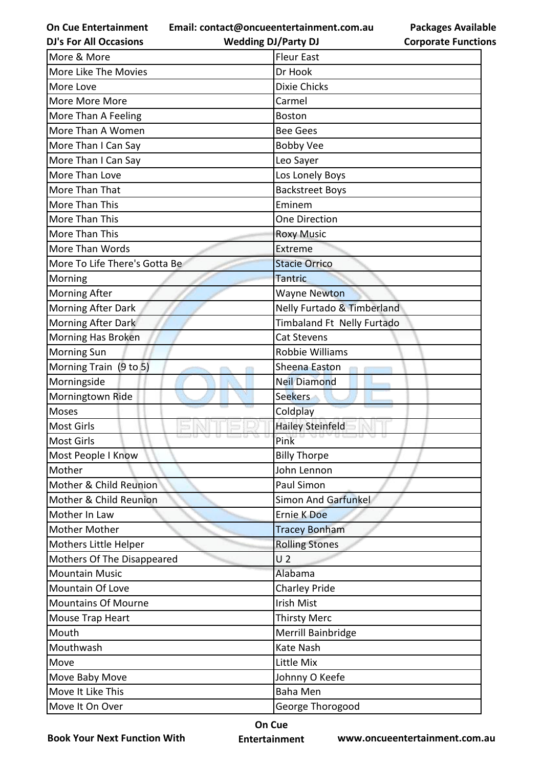**Email: contact@oncueentertainment.com.au**

**DJ's For All Occasions**

**Wedding DJ/Party DJ** 

| <b>Packages Available</b>  |
|----------------------------|
| <b>Corporate Functions</b> |

| More & More                   | <b>Fleur East</b>          |  |
|-------------------------------|----------------------------|--|
| More Like The Movies          | Dr Hook                    |  |
| More Love                     | Dixie Chicks               |  |
| More More More                | Carmel                     |  |
| More Than A Feeling           | <b>Boston</b>              |  |
| More Than A Women             | <b>Bee Gees</b>            |  |
| More Than I Can Say           | <b>Bobby Vee</b>           |  |
| More Than I Can Say           | Leo Sayer                  |  |
| More Than Love                | Los Lonely Boys            |  |
| More Than That                | <b>Backstreet Boys</b>     |  |
| More Than This                | Eminem                     |  |
| More Than This                | One Direction              |  |
| More Than This                | <b>Roxy Music</b>          |  |
| More Than Words               | Extreme                    |  |
| More To Life There's Gotta Be | <b>Stacie Orrico</b>       |  |
| Morning                       | <b>Tantric</b>             |  |
| Morning After                 | <b>Wayne Newton</b>        |  |
| Morning After Dark            | Nelly Furtado & Timberland |  |
| Morning After Dark            | Timbaland Ft Nelly Furtado |  |
| Morning Has Broken            | <b>Cat Stevens</b>         |  |
| Morning Sun                   | Robbie Williams            |  |
| Morning Train (9 to 5)        | Sheena Easton              |  |
| Morningside                   | <b>Neil Diamond</b>        |  |
| Morningtown Ride              | <b>Seekers</b>             |  |
| <b>Moses</b>                  | Coldplay                   |  |
| Most Girls                    | <b>Hailey Steinfeld</b>    |  |
| <b>Most Girls</b>             | Pink                       |  |
| Most People I Know            | <b>Billy Thorpe</b>        |  |
| Mother                        | John Lennon                |  |
| Mother & Child Reunion        | Paul Simon                 |  |
| Mother & Child Reunion        | <b>Simon And Garfunkel</b> |  |
| Mother In Law                 | <b>Ernie K Doe</b>         |  |
| <b>Mother Mother</b>          | <b>Tracey Bonham</b>       |  |
| Mothers Little Helper         | <b>Rolling Stones</b>      |  |
| Mothers Of The Disappeared    | U <sub>2</sub>             |  |
| <b>Mountain Music</b>         | Alabama                    |  |
| Mountain Of Love              | <b>Charley Pride</b>       |  |
| <b>Mountains Of Mourne</b>    | Irish Mist                 |  |
| Mouse Trap Heart              | <b>Thirsty Merc</b>        |  |
| Mouth                         | Merrill Bainbridge         |  |
| Mouthwash                     | Kate Nash                  |  |
| Move                          | Little Mix                 |  |
| Move Baby Move                | Johnny O Keefe             |  |
| Move It Like This             | <b>Baha Men</b>            |  |
| Move It On Over               | George Thorogood           |  |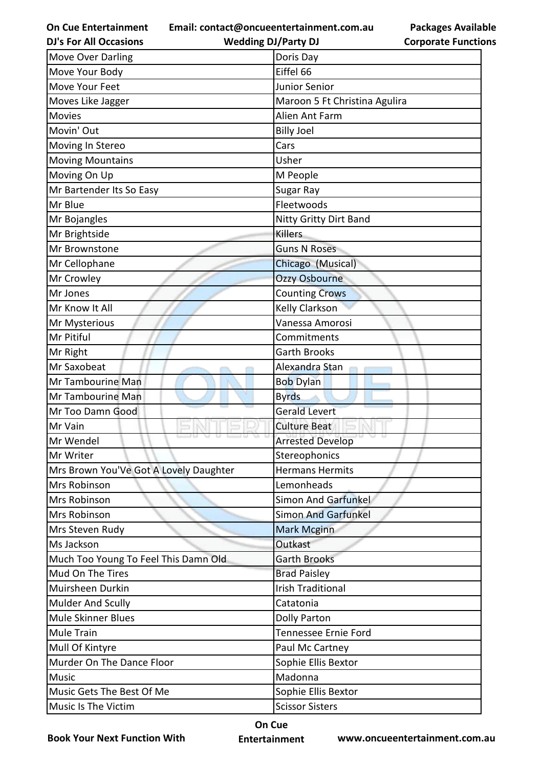**Email: contact@oncueentertainment.com.au**

**DJ's For All Occasions**

**Wedding DJ/Party DJ** 

**Packages Available Corporate Functions**

| Move Over Darling                      | Doris Day                     |  |
|----------------------------------------|-------------------------------|--|
| Move Your Body                         | Eiffel 66                     |  |
| Move Your Feet                         | Junior Senior                 |  |
| Moves Like Jagger                      | Maroon 5 Ft Christina Agulira |  |
| <b>Movies</b>                          | Alien Ant Farm                |  |
| Movin' Out                             | <b>Billy Joel</b>             |  |
| Moving In Stereo                       | Cars                          |  |
| <b>Moving Mountains</b>                | Usher                         |  |
| Moving On Up                           | M People                      |  |
| Mr Bartender Its So Easy               | Sugar Ray                     |  |
| Mr Blue                                | Fleetwoods                    |  |
| Mr Bojangles                           | <b>Nitty Gritty Dirt Band</b> |  |
| Mr Brightside                          | <b>Killers</b>                |  |
| Mr Brownstone                          | <b>Guns N Roses</b>           |  |
| Mr Cellophane                          | Chicago (Musical)             |  |
| Mr Crowley                             | <b>Ozzy Osbourne</b>          |  |
| Mr Jones                               | <b>Counting Crows</b>         |  |
| Mr Know It All                         | Kelly Clarkson                |  |
| Mr Mysterious                          | Vanessa Amorosi               |  |
| Mr Pitiful                             | Commitments                   |  |
| Mr Right                               | <b>Garth Brooks</b>           |  |
| Mr Saxobeat                            | Alexandra Stan                |  |
| Mr Tambourine Man                      | <b>Bob Dylan</b>              |  |
| Mr Tambourine Man                      | <b>Byrds</b>                  |  |
| Mr Too Damn Good                       | <b>Gerald Levert</b>          |  |
| Mr Vain                                | <b>Culture Beat</b>           |  |
| Mr Wendel                              | <b>Arrested Develop</b>       |  |
| Mr Writer                              | Stereophonics                 |  |
| Mrs Brown You'Ve Got A Lovely Daughter | <b>Hermans Hermits</b>        |  |
| Mrs Robinson                           | Lemonheads                    |  |
| Mrs Robinson                           | Simon And Garfunkel           |  |
| Mrs Robinson                           | <b>Simon And Garfunkel</b>    |  |
| Mrs Steven Rudy                        | <b>Mark Mcginn</b>            |  |
| Ms Jackson                             | Outkast                       |  |
| Much Too Young To Feel This Damn Old   | <b>Garth Brooks</b>           |  |
| Mud On The Tires                       | <b>Brad Paisley</b>           |  |
| Muirsheen Durkin                       | <b>Irish Traditional</b>      |  |
| Mulder And Scully                      | Catatonia                     |  |
| <b>Mule Skinner Blues</b>              | <b>Dolly Parton</b>           |  |
| <b>Mule Train</b>                      | Tennessee Ernie Ford          |  |
| Mull Of Kintyre                        | Paul Mc Cartney               |  |
| Murder On The Dance Floor              | Sophie Ellis Bextor           |  |
| <b>Music</b>                           | Madonna                       |  |
| Music Gets The Best Of Me              | Sophie Ellis Bextor           |  |
| Music Is The Victim                    | <b>Scissor Sisters</b>        |  |

**Book Your Next Function With**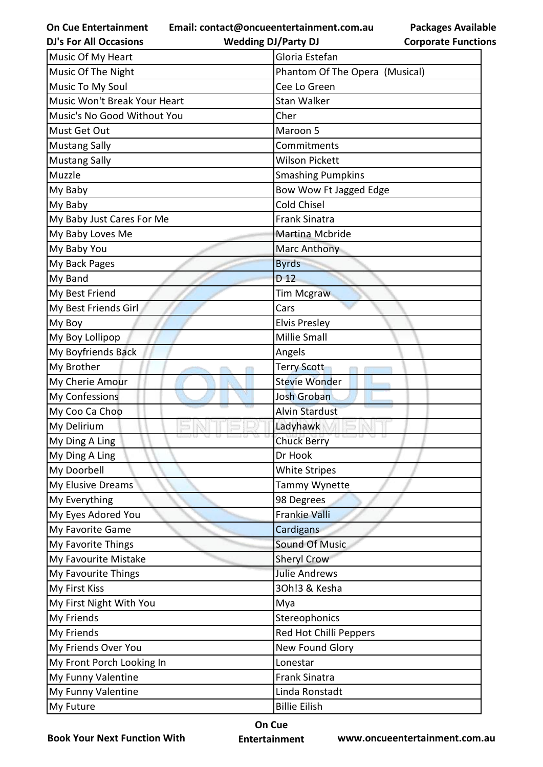**Email: contact@oncueentertainment.com.au**

**Packages Available Corporate Functions**

| <b>DJ's For All Occasions</b> | <b>Wedding DJ/Party DJ</b>     | <b>Corporate Functio</b> |
|-------------------------------|--------------------------------|--------------------------|
| Music Of My Heart             | Gloria Estefan                 |                          |
| Music Of The Night            | Phantom Of The Opera (Musical) |                          |
| Music To My Soul              | Cee Lo Green                   |                          |
| Music Won't Break Your Heart  | <b>Stan Walker</b>             |                          |
| Music's No Good Without You   | Cher                           |                          |
| Must Get Out                  | Maroon 5                       |                          |
| <b>Mustang Sally</b>          | Commitments                    |                          |
| <b>Mustang Sally</b>          | <b>Wilson Pickett</b>          |                          |
| Muzzle                        | <b>Smashing Pumpkins</b>       |                          |
| My Baby                       | Bow Wow Ft Jagged Edge         |                          |
| My Baby                       | <b>Cold Chisel</b>             |                          |
| My Baby Just Cares For Me     | <b>Frank Sinatra</b>           |                          |
| My Baby Loves Me              | Martina Mcbride                |                          |
| My Baby You                   | Marc Anthony                   |                          |
| My Back Pages                 | <b>Byrds</b>                   |                          |
| My Band                       | D <sub>12</sub>                |                          |
| My Best Friend                | <b>Tim Mcgraw</b>              |                          |
| My Best Friends Girl          | Cars                           |                          |
| My Boy                        | <b>Elvis Presley</b>           |                          |
| My Boy Lollipop               | Millie Small                   |                          |
| My Boyfriends Back            | Angels                         |                          |
| My Brother                    | <b>Terry Scott</b>             |                          |
| My Cherie Amour               | <b>Stevie Wonder</b>           |                          |
| My Confessions                | <b>Josh Groban</b>             |                          |
| My Coo Ca Choo                | <b>Alvin Stardust</b>          |                          |
| My Delirium                   | Ladyhawk                       |                          |
| My Ding A Ling                | <b>Chuck Berry</b>             |                          |
| My Ding A Ling                | Dr Hook                        |                          |
| My Doorbell                   | <b>White Stripes</b>           |                          |
| My Elusive Dreams             | Tammy Wynette                  |                          |
| My Everything                 | 98 Degrees                     |                          |
| My Eyes Adored You            | Frankie Valli                  |                          |
| My Favorite Game              | Cardigans                      |                          |
| My Favorite Things            | <b>Sound Of Music</b>          |                          |
| My Favourite Mistake          | <b>Sheryl Crow</b>             |                          |
| My Favourite Things           | <b>Julie Andrews</b>           |                          |
| My First Kiss                 | 30h!3 & Kesha                  |                          |
| My First Night With You       | Mya                            |                          |
| My Friends                    | Stereophonics                  |                          |
| My Friends                    | Red Hot Chilli Peppers         |                          |
| My Friends Over You           | New Found Glory                |                          |
| My Front Porch Looking In     | Lonestar                       |                          |
| My Funny Valentine            | <b>Frank Sinatra</b>           |                          |
| My Funny Valentine            | Linda Ronstadt                 |                          |
| My Future                     | <b>Billie Eilish</b>           |                          |

**Book Your Next Function With**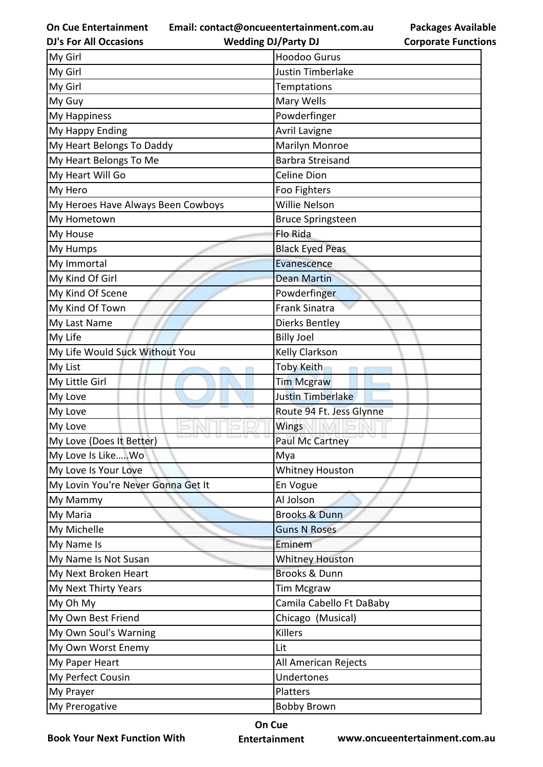**Email: contact@oncueentertainment.com.au**

**Packages Available Corporate Functions**

| <b>DJ's For All Occasions</b>      | <b>Wedding DJ/Party DJ</b> | <b>Corporate Function</b> |
|------------------------------------|----------------------------|---------------------------|
| My Girl                            | <b>Hoodoo Gurus</b>        |                           |
| My Girl                            | Justin Timberlake          |                           |
| My Girl                            | <b>Temptations</b>         |                           |
| My Guy                             | Mary Wells                 |                           |
| My Happiness                       | Powderfinger               |                           |
| My Happy Ending                    | <b>Avril Lavigne</b>       |                           |
| My Heart Belongs To Daddy          | Marilyn Monroe             |                           |
| My Heart Belongs To Me             | <b>Barbra Streisand</b>    |                           |
| My Heart Will Go                   | <b>Celine Dion</b>         |                           |
| My Hero                            | Foo Fighters               |                           |
| My Heroes Have Always Been Cowboys | Willie Nelson              |                           |
| My Hometown                        | <b>Bruce Springsteen</b>   |                           |
| My House                           | Flo Rida                   |                           |
| My Humps                           | <b>Black Eyed Peas</b>     |                           |
| My Immortal                        | Evanescence                |                           |
| My Kind Of Girl                    | <b>Dean Martin</b>         |                           |
| My Kind Of Scene                   | Powderfinger               |                           |
| My Kind Of Town                    | <b>Frank Sinatra</b>       |                           |
| My Last Name                       | Dierks Bentley             |                           |
| My Life                            | <b>Billy Joel</b>          |                           |
| My Life Would Suck Without You     | Kelly Clarkson             |                           |
| My List                            | Toby Keith                 |                           |
| My Little Girl                     | <b>Tim Mcgraw</b>          |                           |
| My Love                            | <b>Justin Timberlake</b>   |                           |
| My Love                            | Route 94 Ft. Jess Glynne   |                           |
| My Love                            | Wings                      |                           |
| My Love (Does It Better)           | w<br>Paul Mc Cartney       |                           |
| My Love Is LikeWo                  | Mya                        |                           |
| My Love Is Your Love               | <b>Whitney Houston</b>     |                           |
| My Lovin You're Never Gonna Get It | En Vogue                   |                           |
| My Mammy                           | Al Jolson                  |                           |
| My Maria                           | <b>Brooks &amp; Dunn</b>   |                           |
| My Michelle                        | <b>Guns N Roses</b>        |                           |
| My Name Is                         | Eminem                     |                           |
| My Name Is Not Susan               | <b>Whitney Houston</b>     |                           |
| My Next Broken Heart               | <b>Brooks &amp; Dunn</b>   |                           |
| My Next Thirty Years               | <b>Tim Mcgraw</b>          |                           |
| My Oh My                           | Camila Cabello Ft DaBaby   |                           |
| My Own Best Friend                 | Chicago (Musical)          |                           |
| My Own Soul's Warning              | Killers                    |                           |
| My Own Worst Enemy                 | Lit                        |                           |
| My Paper Heart                     | All American Rejects       |                           |
| My Perfect Cousin                  | Undertones                 |                           |
| My Prayer                          | Platters                   |                           |
| My Prerogative                     | <b>Bobby Brown</b>         |                           |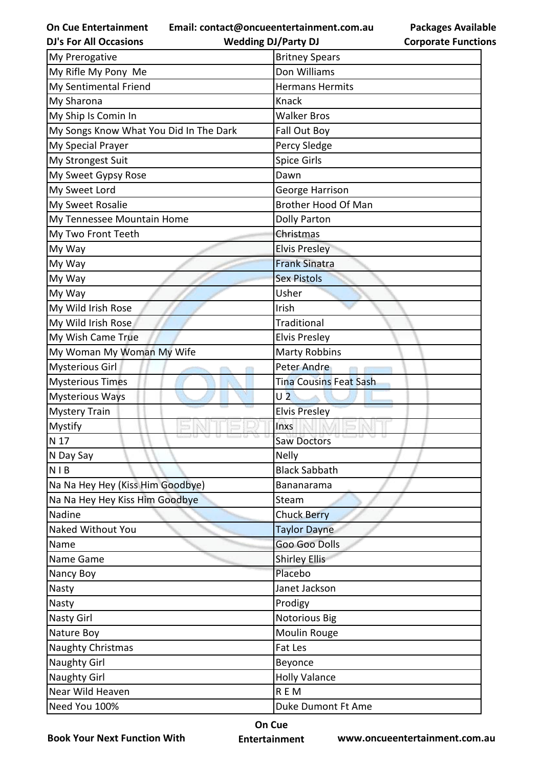**Email: contact@oncueentertainment.com.au**

**DJ's For All Occasions**

**Wedding DJ/Party DJ** 

**Packages Available Corporate Functions**

| My Prerogative                         | <b>Britney Spears</b>         |
|----------------------------------------|-------------------------------|
| My Rifle My Pony Me                    | Don Williams                  |
| My Sentimental Friend                  | <b>Hermans Hermits</b>        |
| My Sharona                             | Knack                         |
| My Ship Is Comin In                    | <b>Walker Bros</b>            |
| My Songs Know What You Did In The Dark | Fall Out Boy                  |
| My Special Prayer                      | Percy Sledge                  |
| My Strongest Suit                      | <b>Spice Girls</b>            |
| My Sweet Gypsy Rose                    | Dawn                          |
| My Sweet Lord                          | George Harrison               |
| My Sweet Rosalie                       | <b>Brother Hood Of Man</b>    |
| My Tennessee Mountain Home             | <b>Dolly Parton</b>           |
| My Two Front Teeth                     | Christmas                     |
| My Way                                 | <b>Elvis Presley</b>          |
| My Way                                 | <b>Frank Sinatra</b>          |
| My Way                                 | <b>Sex Pistols</b>            |
| My Way                                 | Usher                         |
| My Wild Irish Rose                     | Irish                         |
| My Wild Irish Rose                     | Traditional                   |
| My Wish Came True                      | <b>Elvis Presley</b>          |
| My Woman My Woman My Wife              | <b>Marty Robbins</b>          |
| Mysterious Girl                        | <b>Peter Andre</b>            |
| <b>Mysterious Times</b>                | <b>Tina Cousins Feat Sash</b> |
| <b>Mysterious Ways</b>                 | U <sub>2</sub>                |
| <b>Mystery Train</b>                   | <b>Elvis Presley</b>          |
| Mystify                                | Inxs                          |
| N 17                                   | <b>Saw Doctors</b>            |
| N Day Say                              | <b>Nelly</b>                  |
| <b>NIB</b>                             | <b>Black Sabbath</b>          |
| Na Na Hey Hey (Kiss Him Goodbye)       | Bananarama                    |
| Na Na Hey Hey Kiss Him Goodbye         | Steam                         |
| Nadine                                 | <b>Chuck Berry</b>            |
| Naked Without You                      | Taylor Dayne                  |
| Name                                   | Goo Goo Dolls                 |
| Name Game                              | <b>Shirley Ellis</b>          |
| Nancy Boy                              | Placebo                       |
|                                        |                               |
| Nasty                                  | Janet Jackson                 |
| Nasty                                  | Prodigy                       |
| <b>Nasty Girl</b>                      | <b>Notorious Big</b>          |
| Nature Boy                             | Moulin Rouge                  |
| Naughty Christmas                      | Fat Les                       |
| <b>Naughty Girl</b>                    | Beyonce                       |
| <b>Naughty Girl</b>                    | <b>Holly Valance</b>          |
| Near Wild Heaven                       | <b>REM</b>                    |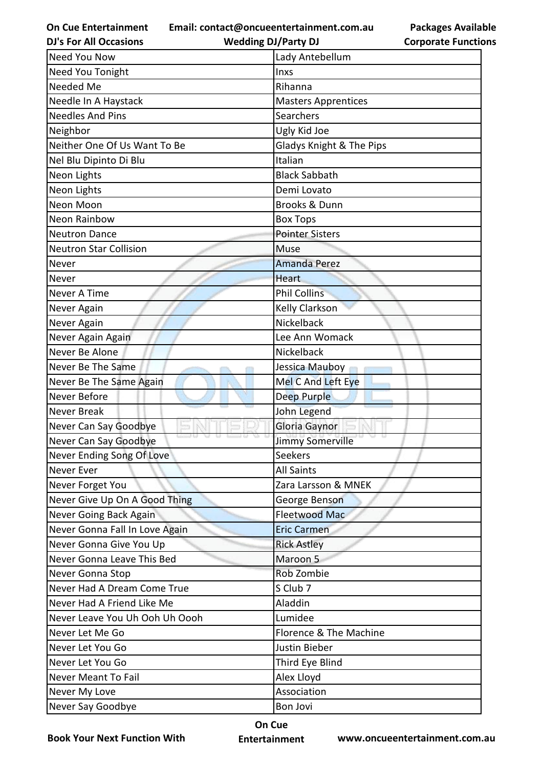**Email: contact@oncueentertainment.com.au**

**DJ's For All Occasions**

**Wedding DJ/Party DJ** 

**Packages Available Corporate Functions**

| <b>Need You Now</b>            | Lady Antebellum            |
|--------------------------------|----------------------------|
| Need You Tonight               | <b>Inxs</b>                |
| Needed Me                      | Rihanna                    |
| Needle In A Haystack           | <b>Masters Apprentices</b> |
| <b>Needles And Pins</b>        | Searchers                  |
| Neighbor                       | Ugly Kid Joe               |
| Neither One Of Us Want To Be   | Gladys Knight & The Pips   |
| Nel Blu Dipinto Di Blu         | Italian                    |
| Neon Lights                    | <b>Black Sabbath</b>       |
| Neon Lights                    | Demi Lovato                |
| Neon Moon                      | Brooks & Dunn              |
| <b>Neon Rainbow</b>            | <b>Box Tops</b>            |
| <b>Neutron Dance</b>           | <b>Pointer Sisters</b>     |
| <b>Neutron Star Collision</b>  | Muse                       |
| Never                          | <b>Amanda Perez</b>        |
| Never                          | <b>Heart</b>               |
| Never A Time                   | <b>Phil Collins</b>        |
| Never Again                    | Kelly Clarkson             |
| Never Again                    | Nickelback                 |
| Never Again Again              | Lee Ann Womack             |
| Never Be Alone                 | Nickelback                 |
| Never Be The Same              | Jessica Mauboy             |
| Never Be The Same Again        | Mel C And Left Eye         |
| Never Before                   | <b>Deep Purple</b>         |
| <b>Never Break</b>             | John Legend                |
| Never Can Say Goodbye          | Gloria Gaynor              |
| Never Can Say Goodbye          | <b>Jimmy Somerville</b>    |
| Never Ending Song Of Love      | <b>Seekers</b>             |
| Never Ever                     | <b>All Saints</b>          |
| Never Forget You               | Zara Larsson & MNEK        |
| Never Give Up On A Good Thing  | George Benson              |
| Never Going Back Again         | <b>Fleetwood Mac</b>       |
| Never Gonna Fall In Love Again | <b>Eric Carmen</b>         |
| Never Gonna Give You Up        | <b>Rick Astley</b>         |
| Never Gonna Leave This Bed     | Maroon 5                   |
| Never Gonna Stop               | Rob Zombie                 |
| Never Had A Dream Come True    | S Club 7                   |
| Never Had A Friend Like Me     | Aladdin                    |
| Never Leave You Uh Ooh Uh Oooh | Lumidee                    |
| Never Let Me Go                | Florence & The Machine     |
| Never Let You Go               | Justin Bieber              |
| Never Let You Go               | Third Eye Blind            |
| <b>Never Meant To Fail</b>     | Alex Lloyd                 |
| Never My Love                  | Association                |
| Never Say Goodbye              | Bon Jovi                   |

**Book Your Next Function With**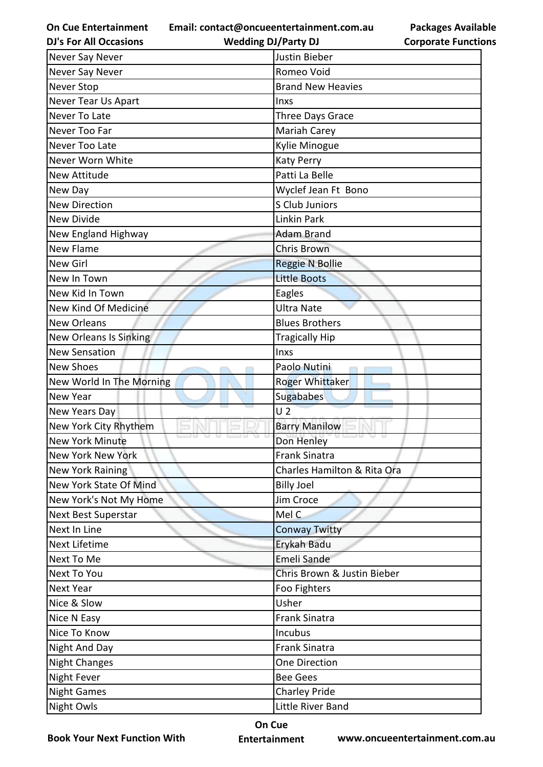**Email: contact@oncueentertainment.com.au**

**DJ's For All Occasions**

**Wedding DJ/Party DJ** 

| Never Say Never               | Justin Bieber               |
|-------------------------------|-----------------------------|
| Never Say Never               | Romeo Void                  |
| Never Stop                    | <b>Brand New Heavies</b>    |
| Never Tear Us Apart           | Inxs                        |
| Never To Late                 | Three Days Grace            |
| Never Too Far                 | Mariah Carey                |
| Never Too Late                | Kylie Minogue               |
| Never Worn White              | <b>Katy Perry</b>           |
| <b>New Attitude</b>           | Patti La Belle              |
| New Day                       | Wyclef Jean Ft Bono         |
| <b>New Direction</b>          | S Club Juniors              |
| <b>New Divide</b>             | Linkin Park                 |
| New England Highway           | <b>Adam Brand</b>           |
| <b>New Flame</b>              | <b>Chris Brown</b>          |
| <b>New Girl</b>               | <b>Reggie N Bollie</b>      |
| New In Town                   | <b>Little Boots</b>         |
| New Kid In Town               | Eagles                      |
| New Kind Of Medicine          | <b>Ultra Nate</b>           |
| <b>New Orleans</b>            | <b>Blues Brothers</b>       |
| <b>New Orleans Is Sinking</b> | <b>Tragically Hip</b>       |
| <b>New Sensation</b>          | Inxs                        |
| <b>New Shoes</b>              | Paolo Nutini                |
| New World In The Morning      | <b>Roger Whittaker</b>      |
| New Year                      | Sugababes                   |
| New Years Day                 | U <sub>2</sub>              |
| New York City Rhythem         | <b>Barry Manilow</b>        |
| <b>New York Minute</b>        | Don Henley                  |
| New York New York             | <b>Frank Sinatra</b>        |
| New York Raining              | Charles Hamilton & Rita Ora |
| New York State Of Mind        | <b>Billy Joel</b>           |
| New York's Not My Home        | Jim Croce                   |
| <b>Next Best Superstar</b>    | Mel C                       |
| Next In Line                  | <b>Conway Twitty</b>        |
|                               |                             |
| <b>Next Lifetime</b>          | Erykah Badu                 |
| Next To Me                    | Emeli Sande                 |
| Next To You                   | Chris Brown & Justin Bieber |
| <b>Next Year</b>              | Foo Fighters                |
| Nice & Slow                   | Usher                       |
| Nice N Easy                   | <b>Frank Sinatra</b>        |
| Nice To Know                  | Incubus                     |
| Night And Day                 | <b>Frank Sinatra</b>        |
| <b>Night Changes</b>          | One Direction               |
| <b>Night Fever</b>            | <b>Bee Gees</b>             |
| <b>Night Games</b>            | Charley Pride               |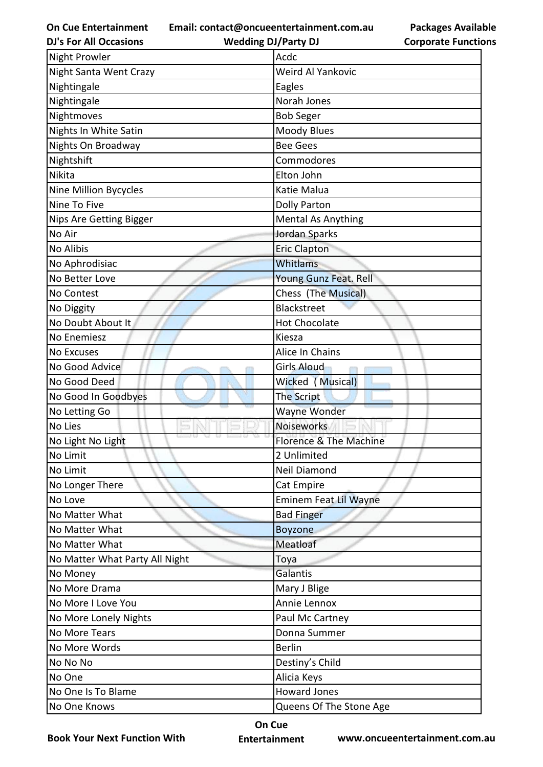**Email: contact@oncueentertainment.com.au**

**DJ's For All Occasions**

**Wedding DJ/Party DJ** 

| <b>Packages Available</b>  |
|----------------------------|
| <b>Corporate Functions</b> |

| <b>Night Prowler</b>           | Acdc                         |
|--------------------------------|------------------------------|
| Night Santa Went Crazy         | Weird Al Yankovic            |
| Nightingale                    | Eagles                       |
| Nightingale                    | Norah Jones                  |
| Nightmoves                     | <b>Bob Seger</b>             |
| Nights In White Satin          | <b>Moody Blues</b>           |
| Nights On Broadway             | <b>Bee Gees</b>              |
| Nightshift                     | Commodores                   |
| Nikita                         | Elton John                   |
| Nine Million Bycycles          | Katie Malua                  |
| Nine To Five                   | <b>Dolly Parton</b>          |
| <b>Nips Are Getting Bigger</b> | <b>Mental As Anything</b>    |
| No Air                         | Jordan Sparks                |
| No Alibis                      | <b>Eric Clapton</b>          |
| No Aphrodisiac                 | Whitlams                     |
| No Better Love                 | Young Gunz Feat. Rell        |
| No Contest                     | Chess (The Musical)          |
| No Diggity                     | Blackstreet                  |
| No Doubt About It              | <b>Hot Chocolate</b>         |
| No Enemiesz                    | Kiesza                       |
| <b>No Excuses</b>              | Alice In Chains              |
| No Good Advice                 | <b>Girls Aloud</b>           |
| No Good Deed                   | Wicked (Musical)             |
| No Good In Goodbyes            | The Script                   |
| No Letting Go                  | Wayne Wonder                 |
| No Lies                        | Noiseworks                   |
| No Light No Light              | Florence & The Machine       |
| No Limit                       | 2 Unlimited                  |
| No Limit                       | Neil Diamond                 |
| No Longer There                | Cat Empire                   |
| No Love                        | <b>Eminem Feat Lil Wayne</b> |
| No Matter What                 | <b>Bad Finger</b>            |
| No Matter What                 | <b>Boyzone</b>               |
| No Matter What                 | Meatloaf                     |
| No Matter What Party All Night | Toya                         |
| No Money                       | Galantis                     |
| No More Drama                  | Mary J Blige                 |
| No More I Love You             | Annie Lennox                 |
| No More Lonely Nights          | Paul Mc Cartney              |
| No More Tears                  | Donna Summer                 |
| No More Words                  | <b>Berlin</b>                |
| No No No                       | Destiny's Child              |
| No One                         | Alicia Keys                  |
| No One Is To Blame             | <b>Howard Jones</b>          |
| No One Knows                   | Queens Of The Stone Age      |

**Book Your Next Function With**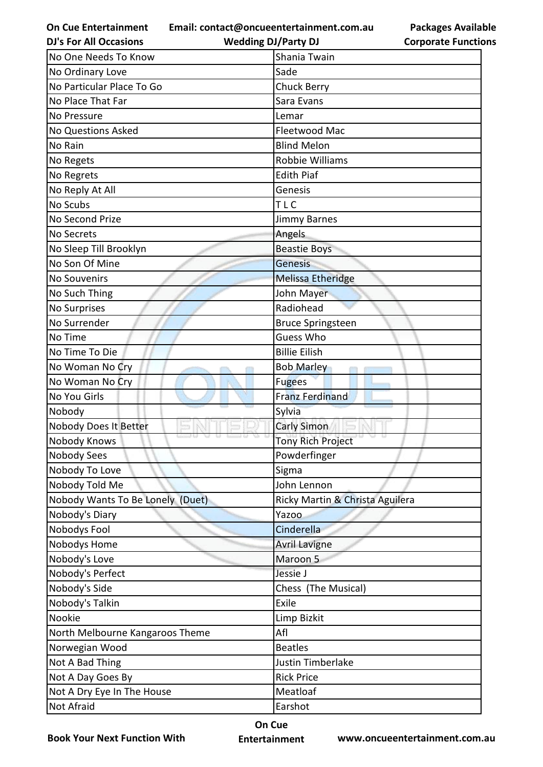**On Cue Entertainment DJ's For All Occasions**

**Email: contact@oncueentertainment.com.au Wedding DJ/Party DJ** 

| No One Needs To Know             | Shania Twain                    |
|----------------------------------|---------------------------------|
| No Ordinary Love                 | Sade                            |
| No Particular Place To Go        | <b>Chuck Berry</b>              |
| No Place That Far                | Sara Evans                      |
| No Pressure                      | Lemar                           |
| <b>No Questions Asked</b>        | Fleetwood Mac                   |
| No Rain                          | <b>Blind Melon</b>              |
| No Regets                        | <b>Robbie Williams</b>          |
| No Regrets                       | <b>Edith Piaf</b>               |
| No Reply At All                  | Genesis                         |
| No Scubs                         | <b>TLC</b>                      |
| No Second Prize                  | Jimmy Barnes                    |
| No Secrets                       | Angels                          |
| No Sleep Till Brooklyn           | <b>Beastie Boys</b>             |
| No Son Of Mine                   | <b>Genesis</b>                  |
| <b>No Souvenirs</b>              | <b>Melissa Etheridge</b>        |
| No Such Thing                    | John Mayer                      |
| No Surprises                     | Radiohead                       |
| No Surrender                     | <b>Bruce Springsteen</b>        |
| No Time                          | <b>Guess Who</b>                |
| No Time To Die                   | <b>Billie Eilish</b>            |
| No Woman No Cry                  | <b>Bob Marley</b>               |
| No Woman No Cry                  | <b>Fugees</b>                   |
| No You Girls                     | <b>Franz Ferdinand</b>          |
| Nobody                           | Sylvia                          |
| Nobody Does It Better            | <b>Carly Simon</b>              |
| Nobody Knows                     | <b>Tony Rich Project</b>        |
| Nobody Sees                      | Powderfinger                    |
| Nobody To Love                   | Sigma                           |
| Nobody Told Me                   | John Lennon                     |
| Nobody Wants To Be Lonely (Duet) | Ricky Martin & Christa Aguilera |
| Nobody's Diary                   | Yazoo                           |
| Nobodys Fool                     | Cinderella                      |
| Nobodys Home                     | <b>Avril Lavigne</b>            |
| Nobody's Love                    | Maroon 5                        |
| Nobody's Perfect                 | Jessie J                        |
| Nobody's Side                    | Chess (The Musical)             |
| Nobody's Talkin                  | Exile                           |
| Nookie                           | Limp Bizkit                     |
| North Melbourne Kangaroos Theme  | Afl                             |
| Norwegian Wood                   | <b>Beatles</b>                  |
| Not A Bad Thing                  | Justin Timberlake               |
| Not A Day Goes By                | <b>Rick Price</b>               |
| Not A Dry Eye In The House       | Meatloaf                        |
| Not Afraid                       | Earshot                         |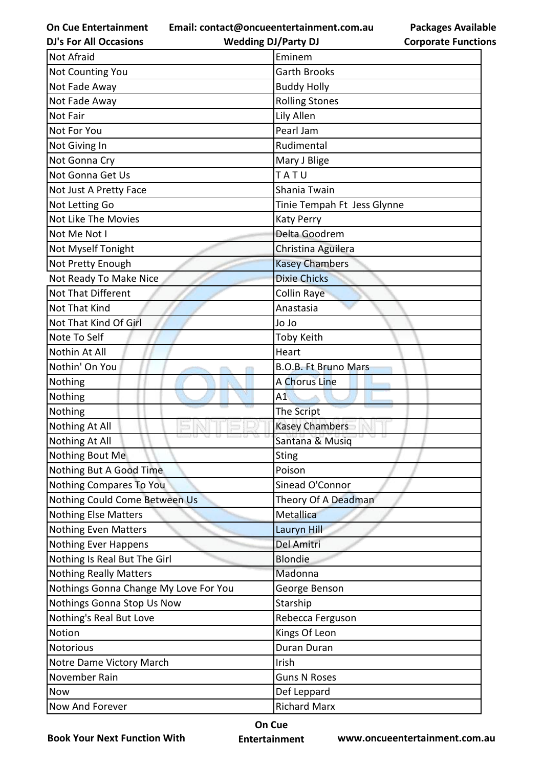**Email: contact@oncueentertainment.com.au**

**DJ's For All Occasions**

**Wedding DJ/Party DJ** 

**Packages Available Corporate Functions**

| <b>Not Afraid</b>                     | Eminem                      |
|---------------------------------------|-----------------------------|
| <b>Not Counting You</b>               | <b>Garth Brooks</b>         |
| Not Fade Away                         | <b>Buddy Holly</b>          |
| Not Fade Away                         | <b>Rolling Stones</b>       |
| Not Fair                              | Lily Allen                  |
| Not For You                           | Pearl Jam                   |
| Not Giving In                         | Rudimental                  |
| Not Gonna Cry                         | Mary J Blige                |
| Not Gonna Get Us                      | TATU                        |
| Not Just A Pretty Face                | Shania Twain                |
| Not Letting Go                        | Tinie Tempah Ft Jess Glynne |
| Not Like The Movies                   | Katy Perry                  |
| Not Me Not I                          | Delta Goodrem               |
| Not Myself Tonight                    | Christina Aguilera          |
| Not Pretty Enough                     | <b>Kasey Chambers</b>       |
| Not Ready To Make Nice                | <b>Dixie Chicks</b>         |
| Not That Different                    | <b>Collin Raye</b>          |
| Not That Kind                         | Anastasia                   |
| Not That Kind Of Girl                 | <b>Ol</b> Ol                |
| Note To Self                          | Toby Keith                  |
| Nothin At All                         | Heart                       |
| Nothin' On You                        | <b>B.O.B. Ft Bruno Mars</b> |
| Nothing                               | <b>A Chorus Line</b>        |
| Nothing                               | A1                          |
| Nothing                               | The Script                  |
| Nothing At All                        | <b>Kasey Chambers</b>       |
| Nothing At All                        | Santana & Musiq             |
| Nothing Bout Me                       | Sting                       |
| Nothing But A Good Time               | Poison                      |
| Nothing Compares To You               | Sinead O'Connor             |
| Nothing Could Come Between Us         | Theory Of A Deadman         |
| Nothing Else Matters                  | Metallica                   |
| Nothing Even Matters                  | Lauryn Hill                 |
| <b>Nothing Ever Happens</b>           | Del Amitri                  |
| Nothing Is Real But The Girl          | <b>Blondie</b>              |
| <b>Nothing Really Matters</b>         | Madonna                     |
| Nothings Gonna Change My Love For You | George Benson               |
| Nothings Gonna Stop Us Now            | Starship                    |
| Nothing's Real But Love               | Rebecca Ferguson            |
| Notion                                | Kings Of Leon               |
| <b>Notorious</b>                      | Duran Duran                 |
| Notre Dame Victory March              | Irish                       |
| November Rain                         | <b>Guns N Roses</b>         |
| Now                                   | Def Leppard                 |
| Now And Forever                       | <b>Richard Marx</b>         |

**Book Your Next Function With**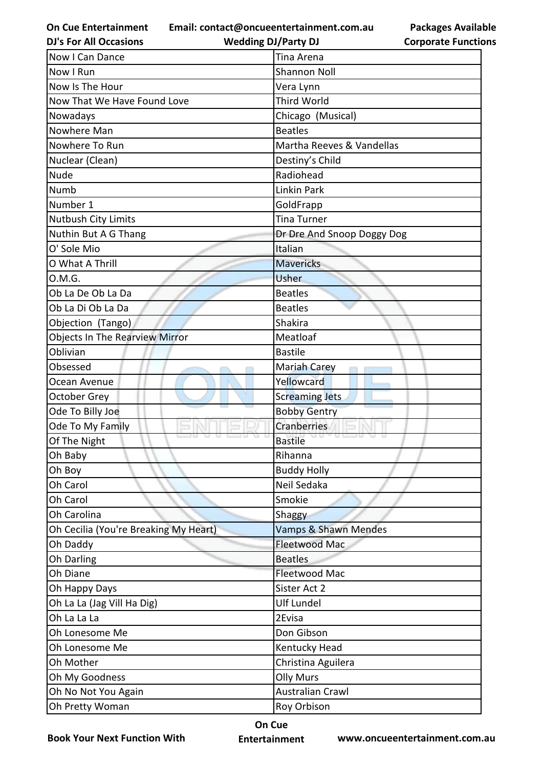**Email: contact@oncueentertainment.com.au**

**DJ's For All Occasions**

**Wedding DJ/Party DJ** 

| Now I Can Dance                       | Tina Arena                 |
|---------------------------------------|----------------------------|
| Now I Run                             | <b>Shannon Noll</b>        |
| Now Is The Hour                       | Vera Lynn                  |
| Now That We Have Found Love           | Third World                |
| Nowadays                              | Chicago (Musical)          |
| Nowhere Man                           | <b>Beatles</b>             |
| Nowhere To Run                        | Martha Reeves & Vandellas  |
| Nuclear (Clean)                       | Destiny's Child            |
| <b>Nude</b>                           | Radiohead                  |
| Numb                                  | Linkin Park                |
| Number 1                              | GoldFrapp                  |
| Nutbush City Limits                   | <b>Tina Turner</b>         |
| Nuthin But A G Thang                  | Dr Dre And Snoop Doggy Dog |
| O' Sole Mio                           | Italian                    |
| O What A Thrill                       | <b>Mavericks</b>           |
| O.M.G.                                | <b>Usher</b>               |
| Ob La De Ob La Da                     | <b>Beatles</b>             |
| Ob La Di Ob La Da                     | <b>Beatles</b>             |
| Objection (Tango)                     | Shakira                    |
| <b>Objects In The Rearview Mirror</b> | Meatloaf                   |
| Oblivian                              | <b>Bastile</b>             |
| Obsessed                              | Mariah Carey               |
| Ocean Avenue                          | Yellowcard                 |
| <b>October Grey</b>                   | <b>Screaming Jets</b>      |
| Ode To Billy Joe                      | <b>Bobby Gentry</b>        |
| Ode To My Family                      | Cranberries                |
| Of The Night                          | <b>Bastile</b>             |
| Oh Baby                               | Rihanna                    |
| Oh Boy                                | <b>Buddy Holly</b>         |
| Oh Carol                              | Neil Sedaka                |
| Oh Carol                              | Smokie                     |
| Oh Carolina                           | Shaggy                     |
| Oh Cecilia (You're Breaking My Heart) | Vamps & Shawn Mendes       |
| Oh Daddy                              | <b>Fleetwood Mac</b>       |
| Oh Darling                            | <b>Beatles</b>             |
| Oh Diane                              | Fleetwood Mac              |
| Oh Happy Days                         | Sister Act 2               |
| Oh La La (Jag Vill Ha Dig)            | <b>Ulf Lundel</b>          |
| Oh La La La                           | 2Evisa                     |
| Oh Lonesome Me                        | Don Gibson                 |
| Oh Lonesome Me                        | Kentucky Head              |
| Oh Mother                             | Christina Aguilera         |
| Oh My Goodness                        | <b>Olly Murs</b>           |
| Oh No Not You Again                   | <b>Australian Crawl</b>    |
| Oh Pretty Woman                       | Roy Orbison                |

**Book Your Next Function With**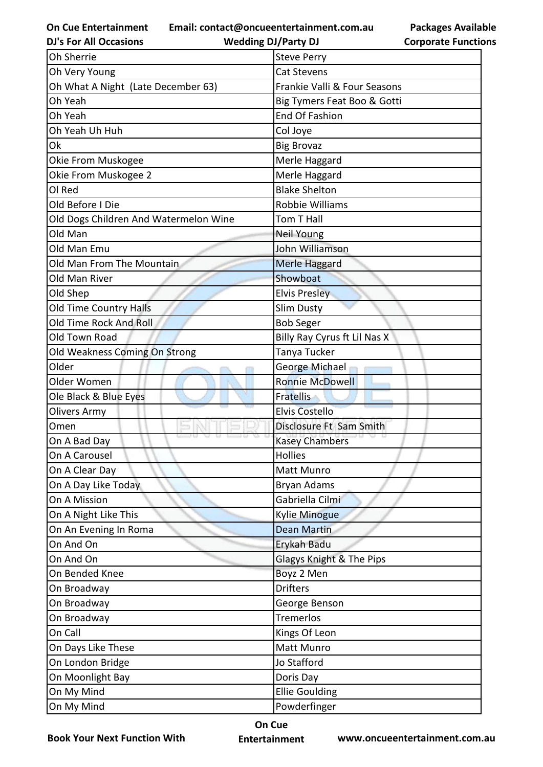**Email: contact@oncueentertainment.com.au Wedding DJ/Party DJ** 

**DJ's For All Occasions**

**Packages Available Corporate Functions**

| Oh Very Young<br><b>Cat Stevens</b><br>Oh What A Night (Late December 63)<br>Frankie Valli & Four Seasons<br>Oh Yeah<br>Big Tymers Feat Boo & Gotti<br><b>End Of Fashion</b><br>Oh Yeah<br>Oh Yeah Uh Huh<br>Col Joye<br>Ok<br><b>Big Brovaz</b><br>Merle Haggard<br>Okie From Muskogee<br>Okie From Muskogee 2<br>Merle Haggard<br><b>Blake Shelton</b><br>OI Red<br><b>Robbie Williams</b><br>Old Before I Die<br>Old Dogs Children And Watermelon Wine<br>Tom T Hall<br>Old Man<br>Neil Young<br>John Williamson<br>Old Man Emu<br>Old Man From The Mountain<br>Merle Haggard<br>Showboat<br>Old Man River<br>Old Shep<br><b>Elvis Presley</b><br>Old Time Country Halls<br><b>Slim Dusty</b><br>Old Time Rock And Roll<br><b>Bob Seger</b><br>Billy Ray Cyrus ft Lil Nas X<br>Old Town Road<br>Tanya Tucker<br>Old Weakness Coming On Strong<br>George Michael<br>Older<br><b>Ronnie McDowell</b><br>Older Women<br>Ole Black & Blue Eyes<br><b>Fratellis</b><br><b>Elvis Costello</b><br><b>Olivers Army</b><br>Disclosure Ft Sam Smith<br>Omen<br><b>Kasey Chambers</b><br>On A Bad Day<br>On A Carousel<br>Hollies<br>On A Clear Day<br>Matt Munro<br>On A Day Like Today<br>Bryan Adams<br>On A Mission<br>Gabriella Cilmi<br>On A Night Like This<br><b>Kylie Minogue</b><br>On An Evening In Roma<br><b>Dean Martin</b><br>On And On<br>Erykah Badu<br>Glagys Knight & The Pips<br>On And On<br>Boyz 2 Men<br>On Bended Knee<br><b>Drifters</b><br>On Broadway<br>On Broadway<br>George Benson<br><b>Tremerlos</b><br>On Broadway<br>Kings Of Leon<br>On Call<br>On Days Like These<br>Matt Munro<br>On London Bridge<br>Jo Stafford<br>On Moonlight Bay<br>Doris Day<br>On My Mind<br><b>Ellie Goulding</b><br>On My Mind<br>Powderfinger | Oh Sherrie | <b>Steve Perry</b> |
|------------------------------------------------------------------------------------------------------------------------------------------------------------------------------------------------------------------------------------------------------------------------------------------------------------------------------------------------------------------------------------------------------------------------------------------------------------------------------------------------------------------------------------------------------------------------------------------------------------------------------------------------------------------------------------------------------------------------------------------------------------------------------------------------------------------------------------------------------------------------------------------------------------------------------------------------------------------------------------------------------------------------------------------------------------------------------------------------------------------------------------------------------------------------------------------------------------------------------------------------------------------------------------------------------------------------------------------------------------------------------------------------------------------------------------------------------------------------------------------------------------------------------------------------------------------------------------------------------------------------------------------------------------------------------------------------------------------------------------------------------|------------|--------------------|
|                                                                                                                                                                                                                                                                                                                                                                                                                                                                                                                                                                                                                                                                                                                                                                                                                                                                                                                                                                                                                                                                                                                                                                                                                                                                                                                                                                                                                                                                                                                                                                                                                                                                                                                                                      |            |                    |
|                                                                                                                                                                                                                                                                                                                                                                                                                                                                                                                                                                                                                                                                                                                                                                                                                                                                                                                                                                                                                                                                                                                                                                                                                                                                                                                                                                                                                                                                                                                                                                                                                                                                                                                                                      |            |                    |
|                                                                                                                                                                                                                                                                                                                                                                                                                                                                                                                                                                                                                                                                                                                                                                                                                                                                                                                                                                                                                                                                                                                                                                                                                                                                                                                                                                                                                                                                                                                                                                                                                                                                                                                                                      |            |                    |
|                                                                                                                                                                                                                                                                                                                                                                                                                                                                                                                                                                                                                                                                                                                                                                                                                                                                                                                                                                                                                                                                                                                                                                                                                                                                                                                                                                                                                                                                                                                                                                                                                                                                                                                                                      |            |                    |
|                                                                                                                                                                                                                                                                                                                                                                                                                                                                                                                                                                                                                                                                                                                                                                                                                                                                                                                                                                                                                                                                                                                                                                                                                                                                                                                                                                                                                                                                                                                                                                                                                                                                                                                                                      |            |                    |
|                                                                                                                                                                                                                                                                                                                                                                                                                                                                                                                                                                                                                                                                                                                                                                                                                                                                                                                                                                                                                                                                                                                                                                                                                                                                                                                                                                                                                                                                                                                                                                                                                                                                                                                                                      |            |                    |
|                                                                                                                                                                                                                                                                                                                                                                                                                                                                                                                                                                                                                                                                                                                                                                                                                                                                                                                                                                                                                                                                                                                                                                                                                                                                                                                                                                                                                                                                                                                                                                                                                                                                                                                                                      |            |                    |
|                                                                                                                                                                                                                                                                                                                                                                                                                                                                                                                                                                                                                                                                                                                                                                                                                                                                                                                                                                                                                                                                                                                                                                                                                                                                                                                                                                                                                                                                                                                                                                                                                                                                                                                                                      |            |                    |
|                                                                                                                                                                                                                                                                                                                                                                                                                                                                                                                                                                                                                                                                                                                                                                                                                                                                                                                                                                                                                                                                                                                                                                                                                                                                                                                                                                                                                                                                                                                                                                                                                                                                                                                                                      |            |                    |
|                                                                                                                                                                                                                                                                                                                                                                                                                                                                                                                                                                                                                                                                                                                                                                                                                                                                                                                                                                                                                                                                                                                                                                                                                                                                                                                                                                                                                                                                                                                                                                                                                                                                                                                                                      |            |                    |
|                                                                                                                                                                                                                                                                                                                                                                                                                                                                                                                                                                                                                                                                                                                                                                                                                                                                                                                                                                                                                                                                                                                                                                                                                                                                                                                                                                                                                                                                                                                                                                                                                                                                                                                                                      |            |                    |
|                                                                                                                                                                                                                                                                                                                                                                                                                                                                                                                                                                                                                                                                                                                                                                                                                                                                                                                                                                                                                                                                                                                                                                                                                                                                                                                                                                                                                                                                                                                                                                                                                                                                                                                                                      |            |                    |
|                                                                                                                                                                                                                                                                                                                                                                                                                                                                                                                                                                                                                                                                                                                                                                                                                                                                                                                                                                                                                                                                                                                                                                                                                                                                                                                                                                                                                                                                                                                                                                                                                                                                                                                                                      |            |                    |
|                                                                                                                                                                                                                                                                                                                                                                                                                                                                                                                                                                                                                                                                                                                                                                                                                                                                                                                                                                                                                                                                                                                                                                                                                                                                                                                                                                                                                                                                                                                                                                                                                                                                                                                                                      |            |                    |
|                                                                                                                                                                                                                                                                                                                                                                                                                                                                                                                                                                                                                                                                                                                                                                                                                                                                                                                                                                                                                                                                                                                                                                                                                                                                                                                                                                                                                                                                                                                                                                                                                                                                                                                                                      |            |                    |
|                                                                                                                                                                                                                                                                                                                                                                                                                                                                                                                                                                                                                                                                                                                                                                                                                                                                                                                                                                                                                                                                                                                                                                                                                                                                                                                                                                                                                                                                                                                                                                                                                                                                                                                                                      |            |                    |
|                                                                                                                                                                                                                                                                                                                                                                                                                                                                                                                                                                                                                                                                                                                                                                                                                                                                                                                                                                                                                                                                                                                                                                                                                                                                                                                                                                                                                                                                                                                                                                                                                                                                                                                                                      |            |                    |
|                                                                                                                                                                                                                                                                                                                                                                                                                                                                                                                                                                                                                                                                                                                                                                                                                                                                                                                                                                                                                                                                                                                                                                                                                                                                                                                                                                                                                                                                                                                                                                                                                                                                                                                                                      |            |                    |
|                                                                                                                                                                                                                                                                                                                                                                                                                                                                                                                                                                                                                                                                                                                                                                                                                                                                                                                                                                                                                                                                                                                                                                                                                                                                                                                                                                                                                                                                                                                                                                                                                                                                                                                                                      |            |                    |
|                                                                                                                                                                                                                                                                                                                                                                                                                                                                                                                                                                                                                                                                                                                                                                                                                                                                                                                                                                                                                                                                                                                                                                                                                                                                                                                                                                                                                                                                                                                                                                                                                                                                                                                                                      |            |                    |
|                                                                                                                                                                                                                                                                                                                                                                                                                                                                                                                                                                                                                                                                                                                                                                                                                                                                                                                                                                                                                                                                                                                                                                                                                                                                                                                                                                                                                                                                                                                                                                                                                                                                                                                                                      |            |                    |
|                                                                                                                                                                                                                                                                                                                                                                                                                                                                                                                                                                                                                                                                                                                                                                                                                                                                                                                                                                                                                                                                                                                                                                                                                                                                                                                                                                                                                                                                                                                                                                                                                                                                                                                                                      |            |                    |
|                                                                                                                                                                                                                                                                                                                                                                                                                                                                                                                                                                                                                                                                                                                                                                                                                                                                                                                                                                                                                                                                                                                                                                                                                                                                                                                                                                                                                                                                                                                                                                                                                                                                                                                                                      |            |                    |
|                                                                                                                                                                                                                                                                                                                                                                                                                                                                                                                                                                                                                                                                                                                                                                                                                                                                                                                                                                                                                                                                                                                                                                                                                                                                                                                                                                                                                                                                                                                                                                                                                                                                                                                                                      |            |                    |
|                                                                                                                                                                                                                                                                                                                                                                                                                                                                                                                                                                                                                                                                                                                                                                                                                                                                                                                                                                                                                                                                                                                                                                                                                                                                                                                                                                                                                                                                                                                                                                                                                                                                                                                                                      |            |                    |
|                                                                                                                                                                                                                                                                                                                                                                                                                                                                                                                                                                                                                                                                                                                                                                                                                                                                                                                                                                                                                                                                                                                                                                                                                                                                                                                                                                                                                                                                                                                                                                                                                                                                                                                                                      |            |                    |
|                                                                                                                                                                                                                                                                                                                                                                                                                                                                                                                                                                                                                                                                                                                                                                                                                                                                                                                                                                                                                                                                                                                                                                                                                                                                                                                                                                                                                                                                                                                                                                                                                                                                                                                                                      |            |                    |
|                                                                                                                                                                                                                                                                                                                                                                                                                                                                                                                                                                                                                                                                                                                                                                                                                                                                                                                                                                                                                                                                                                                                                                                                                                                                                                                                                                                                                                                                                                                                                                                                                                                                                                                                                      |            |                    |
|                                                                                                                                                                                                                                                                                                                                                                                                                                                                                                                                                                                                                                                                                                                                                                                                                                                                                                                                                                                                                                                                                                                                                                                                                                                                                                                                                                                                                                                                                                                                                                                                                                                                                                                                                      |            |                    |
|                                                                                                                                                                                                                                                                                                                                                                                                                                                                                                                                                                                                                                                                                                                                                                                                                                                                                                                                                                                                                                                                                                                                                                                                                                                                                                                                                                                                                                                                                                                                                                                                                                                                                                                                                      |            |                    |
|                                                                                                                                                                                                                                                                                                                                                                                                                                                                                                                                                                                                                                                                                                                                                                                                                                                                                                                                                                                                                                                                                                                                                                                                                                                                                                                                                                                                                                                                                                                                                                                                                                                                                                                                                      |            |                    |
|                                                                                                                                                                                                                                                                                                                                                                                                                                                                                                                                                                                                                                                                                                                                                                                                                                                                                                                                                                                                                                                                                                                                                                                                                                                                                                                                                                                                                                                                                                                                                                                                                                                                                                                                                      |            |                    |
|                                                                                                                                                                                                                                                                                                                                                                                                                                                                                                                                                                                                                                                                                                                                                                                                                                                                                                                                                                                                                                                                                                                                                                                                                                                                                                                                                                                                                                                                                                                                                                                                                                                                                                                                                      |            |                    |
|                                                                                                                                                                                                                                                                                                                                                                                                                                                                                                                                                                                                                                                                                                                                                                                                                                                                                                                                                                                                                                                                                                                                                                                                                                                                                                                                                                                                                                                                                                                                                                                                                                                                                                                                                      |            |                    |
|                                                                                                                                                                                                                                                                                                                                                                                                                                                                                                                                                                                                                                                                                                                                                                                                                                                                                                                                                                                                                                                                                                                                                                                                                                                                                                                                                                                                                                                                                                                                                                                                                                                                                                                                                      |            |                    |
|                                                                                                                                                                                                                                                                                                                                                                                                                                                                                                                                                                                                                                                                                                                                                                                                                                                                                                                                                                                                                                                                                                                                                                                                                                                                                                                                                                                                                                                                                                                                                                                                                                                                                                                                                      |            |                    |
|                                                                                                                                                                                                                                                                                                                                                                                                                                                                                                                                                                                                                                                                                                                                                                                                                                                                                                                                                                                                                                                                                                                                                                                                                                                                                                                                                                                                                                                                                                                                                                                                                                                                                                                                                      |            |                    |
|                                                                                                                                                                                                                                                                                                                                                                                                                                                                                                                                                                                                                                                                                                                                                                                                                                                                                                                                                                                                                                                                                                                                                                                                                                                                                                                                                                                                                                                                                                                                                                                                                                                                                                                                                      |            |                    |
|                                                                                                                                                                                                                                                                                                                                                                                                                                                                                                                                                                                                                                                                                                                                                                                                                                                                                                                                                                                                                                                                                                                                                                                                                                                                                                                                                                                                                                                                                                                                                                                                                                                                                                                                                      |            |                    |
|                                                                                                                                                                                                                                                                                                                                                                                                                                                                                                                                                                                                                                                                                                                                                                                                                                                                                                                                                                                                                                                                                                                                                                                                                                                                                                                                                                                                                                                                                                                                                                                                                                                                                                                                                      |            |                    |
|                                                                                                                                                                                                                                                                                                                                                                                                                                                                                                                                                                                                                                                                                                                                                                                                                                                                                                                                                                                                                                                                                                                                                                                                                                                                                                                                                                                                                                                                                                                                                                                                                                                                                                                                                      |            |                    |
|                                                                                                                                                                                                                                                                                                                                                                                                                                                                                                                                                                                                                                                                                                                                                                                                                                                                                                                                                                                                                                                                                                                                                                                                                                                                                                                                                                                                                                                                                                                                                                                                                                                                                                                                                      |            |                    |
|                                                                                                                                                                                                                                                                                                                                                                                                                                                                                                                                                                                                                                                                                                                                                                                                                                                                                                                                                                                                                                                                                                                                                                                                                                                                                                                                                                                                                                                                                                                                                                                                                                                                                                                                                      |            |                    |
|                                                                                                                                                                                                                                                                                                                                                                                                                                                                                                                                                                                                                                                                                                                                                                                                                                                                                                                                                                                                                                                                                                                                                                                                                                                                                                                                                                                                                                                                                                                                                                                                                                                                                                                                                      |            |                    |

**Book Your Next Function With**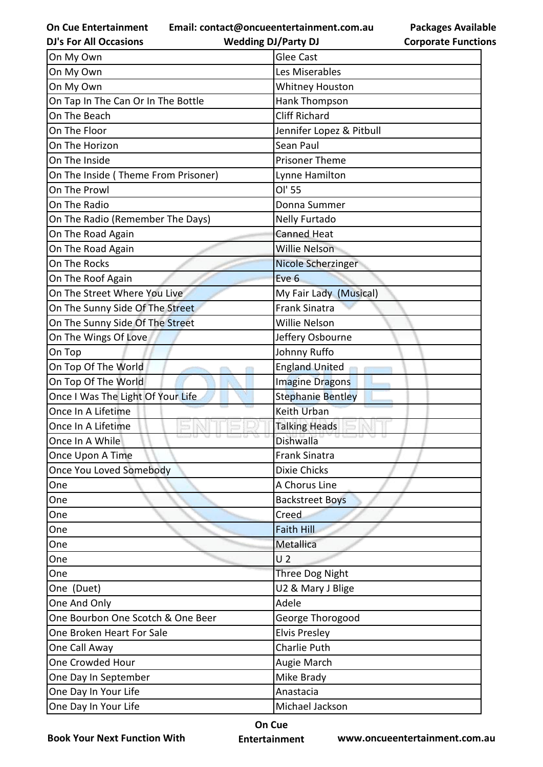**Email: contact@oncueentertainment.com.au**

**Wedding DJ/Party DJ** 

| <b>Packages Available</b>  |
|----------------------------|
| <b>Corporate Functions</b> |

| <b>Glee Cast</b><br>Les Miserables<br><b>Whitney Houston</b><br>On Tap In The Can Or In The Bottle<br>Hank Thompson<br><b>Cliff Richard</b><br>On The Beach<br>Jennifer Lopez & Pitbull<br>On The Floor<br>On The Horizon<br>Sean Paul<br><b>Prisoner Theme</b><br>Lynne Hamilton<br>OI' 55<br>On The Prowl<br>On The Radio<br>Donna Summer<br>On The Radio (Remember The Days)<br>Nelly Furtado<br><b>Canned Heat</b><br>On The Road Again<br><b>Willie Nelson</b><br>On The Road Again<br><b>Nicole Scherzinger</b><br>On The Roof Again<br>Eve 6<br>On The Street Where You Live<br>My Fair Lady (Musical)<br><b>Frank Sinatra</b><br>On The Sunny Side Of The Street<br>On The Sunny Side Of The Street<br>Willie Nelson<br>On The Wings Of Love<br>Jeffery Osbourne<br>Johnny Ruffo<br><b>England United</b><br>On Top Of The World<br>On Top Of The World<br><b>Imagine Dragons</b><br>Once I Was The Light Of Your Life<br><b>Stephanie Bentley</b><br>Once In A Lifetime<br><b>Keith Urban</b><br>Once In A Lifetime<br><b>Talking Heads</b><br>Dishwalla<br><b>Frank Sinatra</b><br>Once You Loved Somebody<br><b>Dixie Chicks</b><br>A Chorus Line<br>One<br><b>Backstreet Boys</b><br>One<br>Creed<br>One<br><b>Faith Hill</b><br>One<br>Metallica<br>One<br>U <sub>2</sub><br>One<br>One<br><b>Three Dog Night</b><br>One (Duet)<br>U2 & Mary J Blige<br>One And Only<br>Adele<br>One Bourbon One Scotch & One Beer<br>George Thorogood<br><b>Elvis Presley</b><br>One Broken Heart For Sale<br><b>Charlie Puth</b><br>Augie March<br>Mike Brady<br>One Day In September<br>Anastacia | <b>DJ's For All Occasions</b>       | <b>Wedding DJ/Party DJ</b> | <b>Corporate Functio</b> |
|---------------------------------------------------------------------------------------------------------------------------------------------------------------------------------------------------------------------------------------------------------------------------------------------------------------------------------------------------------------------------------------------------------------------------------------------------------------------------------------------------------------------------------------------------------------------------------------------------------------------------------------------------------------------------------------------------------------------------------------------------------------------------------------------------------------------------------------------------------------------------------------------------------------------------------------------------------------------------------------------------------------------------------------------------------------------------------------------------------------------------------------------------------------------------------------------------------------------------------------------------------------------------------------------------------------------------------------------------------------------------------------------------------------------------------------------------------------------------------------------------------------------------------------------------------------------------------------------------|-------------------------------------|----------------------------|--------------------------|
|                                                                                                                                                                                                                                                                                                                                                                                                                                                                                                                                                                                                                                                                                                                                                                                                                                                                                                                                                                                                                                                                                                                                                                                                                                                                                                                                                                                                                                                                                                                                                                                                   | On My Own                           |                            |                          |
|                                                                                                                                                                                                                                                                                                                                                                                                                                                                                                                                                                                                                                                                                                                                                                                                                                                                                                                                                                                                                                                                                                                                                                                                                                                                                                                                                                                                                                                                                                                                                                                                   | On My Own                           |                            |                          |
|                                                                                                                                                                                                                                                                                                                                                                                                                                                                                                                                                                                                                                                                                                                                                                                                                                                                                                                                                                                                                                                                                                                                                                                                                                                                                                                                                                                                                                                                                                                                                                                                   | On My Own                           |                            |                          |
|                                                                                                                                                                                                                                                                                                                                                                                                                                                                                                                                                                                                                                                                                                                                                                                                                                                                                                                                                                                                                                                                                                                                                                                                                                                                                                                                                                                                                                                                                                                                                                                                   |                                     |                            |                          |
|                                                                                                                                                                                                                                                                                                                                                                                                                                                                                                                                                                                                                                                                                                                                                                                                                                                                                                                                                                                                                                                                                                                                                                                                                                                                                                                                                                                                                                                                                                                                                                                                   |                                     |                            |                          |
|                                                                                                                                                                                                                                                                                                                                                                                                                                                                                                                                                                                                                                                                                                                                                                                                                                                                                                                                                                                                                                                                                                                                                                                                                                                                                                                                                                                                                                                                                                                                                                                                   |                                     |                            |                          |
|                                                                                                                                                                                                                                                                                                                                                                                                                                                                                                                                                                                                                                                                                                                                                                                                                                                                                                                                                                                                                                                                                                                                                                                                                                                                                                                                                                                                                                                                                                                                                                                                   |                                     |                            |                          |
|                                                                                                                                                                                                                                                                                                                                                                                                                                                                                                                                                                                                                                                                                                                                                                                                                                                                                                                                                                                                                                                                                                                                                                                                                                                                                                                                                                                                                                                                                                                                                                                                   | On The Inside                       |                            |                          |
|                                                                                                                                                                                                                                                                                                                                                                                                                                                                                                                                                                                                                                                                                                                                                                                                                                                                                                                                                                                                                                                                                                                                                                                                                                                                                                                                                                                                                                                                                                                                                                                                   | On The Inside (Theme From Prisoner) |                            |                          |
|                                                                                                                                                                                                                                                                                                                                                                                                                                                                                                                                                                                                                                                                                                                                                                                                                                                                                                                                                                                                                                                                                                                                                                                                                                                                                                                                                                                                                                                                                                                                                                                                   |                                     |                            |                          |
|                                                                                                                                                                                                                                                                                                                                                                                                                                                                                                                                                                                                                                                                                                                                                                                                                                                                                                                                                                                                                                                                                                                                                                                                                                                                                                                                                                                                                                                                                                                                                                                                   |                                     |                            |                          |
|                                                                                                                                                                                                                                                                                                                                                                                                                                                                                                                                                                                                                                                                                                                                                                                                                                                                                                                                                                                                                                                                                                                                                                                                                                                                                                                                                                                                                                                                                                                                                                                                   |                                     |                            |                          |
|                                                                                                                                                                                                                                                                                                                                                                                                                                                                                                                                                                                                                                                                                                                                                                                                                                                                                                                                                                                                                                                                                                                                                                                                                                                                                                                                                                                                                                                                                                                                                                                                   |                                     |                            |                          |
|                                                                                                                                                                                                                                                                                                                                                                                                                                                                                                                                                                                                                                                                                                                                                                                                                                                                                                                                                                                                                                                                                                                                                                                                                                                                                                                                                                                                                                                                                                                                                                                                   |                                     |                            |                          |
|                                                                                                                                                                                                                                                                                                                                                                                                                                                                                                                                                                                                                                                                                                                                                                                                                                                                                                                                                                                                                                                                                                                                                                                                                                                                                                                                                                                                                                                                                                                                                                                                   | On The Rocks                        |                            |                          |
|                                                                                                                                                                                                                                                                                                                                                                                                                                                                                                                                                                                                                                                                                                                                                                                                                                                                                                                                                                                                                                                                                                                                                                                                                                                                                                                                                                                                                                                                                                                                                                                                   |                                     |                            |                          |
|                                                                                                                                                                                                                                                                                                                                                                                                                                                                                                                                                                                                                                                                                                                                                                                                                                                                                                                                                                                                                                                                                                                                                                                                                                                                                                                                                                                                                                                                                                                                                                                                   |                                     |                            |                          |
|                                                                                                                                                                                                                                                                                                                                                                                                                                                                                                                                                                                                                                                                                                                                                                                                                                                                                                                                                                                                                                                                                                                                                                                                                                                                                                                                                                                                                                                                                                                                                                                                   |                                     |                            |                          |
|                                                                                                                                                                                                                                                                                                                                                                                                                                                                                                                                                                                                                                                                                                                                                                                                                                                                                                                                                                                                                                                                                                                                                                                                                                                                                                                                                                                                                                                                                                                                                                                                   |                                     |                            |                          |
|                                                                                                                                                                                                                                                                                                                                                                                                                                                                                                                                                                                                                                                                                                                                                                                                                                                                                                                                                                                                                                                                                                                                                                                                                                                                                                                                                                                                                                                                                                                                                                                                   |                                     |                            |                          |
|                                                                                                                                                                                                                                                                                                                                                                                                                                                                                                                                                                                                                                                                                                                                                                                                                                                                                                                                                                                                                                                                                                                                                                                                                                                                                                                                                                                                                                                                                                                                                                                                   | On Top                              |                            |                          |
|                                                                                                                                                                                                                                                                                                                                                                                                                                                                                                                                                                                                                                                                                                                                                                                                                                                                                                                                                                                                                                                                                                                                                                                                                                                                                                                                                                                                                                                                                                                                                                                                   |                                     |                            |                          |
|                                                                                                                                                                                                                                                                                                                                                                                                                                                                                                                                                                                                                                                                                                                                                                                                                                                                                                                                                                                                                                                                                                                                                                                                                                                                                                                                                                                                                                                                                                                                                                                                   |                                     |                            |                          |
|                                                                                                                                                                                                                                                                                                                                                                                                                                                                                                                                                                                                                                                                                                                                                                                                                                                                                                                                                                                                                                                                                                                                                                                                                                                                                                                                                                                                                                                                                                                                                                                                   |                                     |                            |                          |
|                                                                                                                                                                                                                                                                                                                                                                                                                                                                                                                                                                                                                                                                                                                                                                                                                                                                                                                                                                                                                                                                                                                                                                                                                                                                                                                                                                                                                                                                                                                                                                                                   |                                     |                            |                          |
|                                                                                                                                                                                                                                                                                                                                                                                                                                                                                                                                                                                                                                                                                                                                                                                                                                                                                                                                                                                                                                                                                                                                                                                                                                                                                                                                                                                                                                                                                                                                                                                                   |                                     |                            |                          |
|                                                                                                                                                                                                                                                                                                                                                                                                                                                                                                                                                                                                                                                                                                                                                                                                                                                                                                                                                                                                                                                                                                                                                                                                                                                                                                                                                                                                                                                                                                                                                                                                   | Once In A While                     |                            |                          |
|                                                                                                                                                                                                                                                                                                                                                                                                                                                                                                                                                                                                                                                                                                                                                                                                                                                                                                                                                                                                                                                                                                                                                                                                                                                                                                                                                                                                                                                                                                                                                                                                   | Once Upon A Time                    |                            |                          |
|                                                                                                                                                                                                                                                                                                                                                                                                                                                                                                                                                                                                                                                                                                                                                                                                                                                                                                                                                                                                                                                                                                                                                                                                                                                                                                                                                                                                                                                                                                                                                                                                   |                                     |                            |                          |
|                                                                                                                                                                                                                                                                                                                                                                                                                                                                                                                                                                                                                                                                                                                                                                                                                                                                                                                                                                                                                                                                                                                                                                                                                                                                                                                                                                                                                                                                                                                                                                                                   |                                     |                            |                          |
|                                                                                                                                                                                                                                                                                                                                                                                                                                                                                                                                                                                                                                                                                                                                                                                                                                                                                                                                                                                                                                                                                                                                                                                                                                                                                                                                                                                                                                                                                                                                                                                                   |                                     |                            |                          |
|                                                                                                                                                                                                                                                                                                                                                                                                                                                                                                                                                                                                                                                                                                                                                                                                                                                                                                                                                                                                                                                                                                                                                                                                                                                                                                                                                                                                                                                                                                                                                                                                   |                                     |                            |                          |
|                                                                                                                                                                                                                                                                                                                                                                                                                                                                                                                                                                                                                                                                                                                                                                                                                                                                                                                                                                                                                                                                                                                                                                                                                                                                                                                                                                                                                                                                                                                                                                                                   |                                     |                            |                          |
|                                                                                                                                                                                                                                                                                                                                                                                                                                                                                                                                                                                                                                                                                                                                                                                                                                                                                                                                                                                                                                                                                                                                                                                                                                                                                                                                                                                                                                                                                                                                                                                                   |                                     |                            |                          |
|                                                                                                                                                                                                                                                                                                                                                                                                                                                                                                                                                                                                                                                                                                                                                                                                                                                                                                                                                                                                                                                                                                                                                                                                                                                                                                                                                                                                                                                                                                                                                                                                   |                                     |                            |                          |
|                                                                                                                                                                                                                                                                                                                                                                                                                                                                                                                                                                                                                                                                                                                                                                                                                                                                                                                                                                                                                                                                                                                                                                                                                                                                                                                                                                                                                                                                                                                                                                                                   |                                     |                            |                          |
|                                                                                                                                                                                                                                                                                                                                                                                                                                                                                                                                                                                                                                                                                                                                                                                                                                                                                                                                                                                                                                                                                                                                                                                                                                                                                                                                                                                                                                                                                                                                                                                                   |                                     |                            |                          |
|                                                                                                                                                                                                                                                                                                                                                                                                                                                                                                                                                                                                                                                                                                                                                                                                                                                                                                                                                                                                                                                                                                                                                                                                                                                                                                                                                                                                                                                                                                                                                                                                   |                                     |                            |                          |
|                                                                                                                                                                                                                                                                                                                                                                                                                                                                                                                                                                                                                                                                                                                                                                                                                                                                                                                                                                                                                                                                                                                                                                                                                                                                                                                                                                                                                                                                                                                                                                                                   |                                     |                            |                          |
|                                                                                                                                                                                                                                                                                                                                                                                                                                                                                                                                                                                                                                                                                                                                                                                                                                                                                                                                                                                                                                                                                                                                                                                                                                                                                                                                                                                                                                                                                                                                                                                                   |                                     |                            |                          |
|                                                                                                                                                                                                                                                                                                                                                                                                                                                                                                                                                                                                                                                                                                                                                                                                                                                                                                                                                                                                                                                                                                                                                                                                                                                                                                                                                                                                                                                                                                                                                                                                   | One Call Away                       |                            |                          |
|                                                                                                                                                                                                                                                                                                                                                                                                                                                                                                                                                                                                                                                                                                                                                                                                                                                                                                                                                                                                                                                                                                                                                                                                                                                                                                                                                                                                                                                                                                                                                                                                   | One Crowded Hour                    |                            |                          |
|                                                                                                                                                                                                                                                                                                                                                                                                                                                                                                                                                                                                                                                                                                                                                                                                                                                                                                                                                                                                                                                                                                                                                                                                                                                                                                                                                                                                                                                                                                                                                                                                   |                                     |                            |                          |
|                                                                                                                                                                                                                                                                                                                                                                                                                                                                                                                                                                                                                                                                                                                                                                                                                                                                                                                                                                                                                                                                                                                                                                                                                                                                                                                                                                                                                                                                                                                                                                                                   | One Day In Your Life                |                            |                          |
|                                                                                                                                                                                                                                                                                                                                                                                                                                                                                                                                                                                                                                                                                                                                                                                                                                                                                                                                                                                                                                                                                                                                                                                                                                                                                                                                                                                                                                                                                                                                                                                                   | One Day In Your Life                | Michael Jackson            |                          |

**Book Your Next Function With**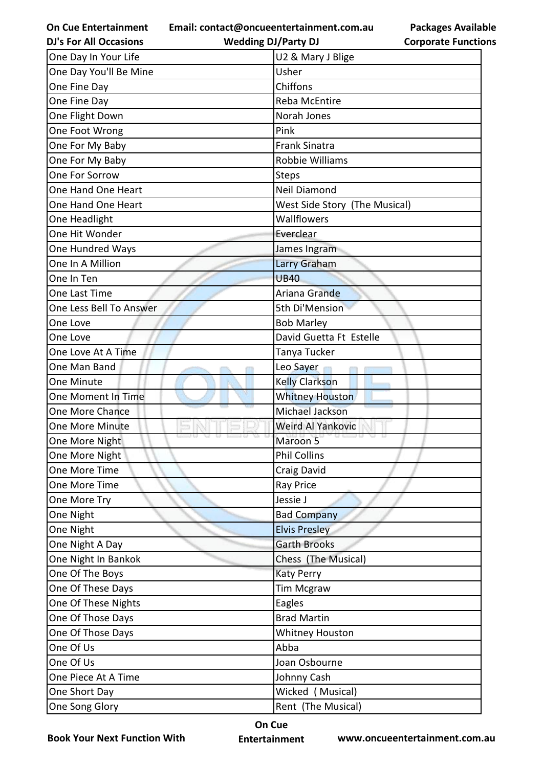**Email: contact@oncueentertainment.com.au**

**DJ's For All Occasions**

**Wedding DJ/Party DJ** 

**Packages Available Corporate Functions**

| One Day In Your Life    | U2 & Mary J Blige             |
|-------------------------|-------------------------------|
| One Day You'll Be Mine  | Usher                         |
| One Fine Day            | Chiffons                      |
| One Fine Day            | Reba McEntire                 |
| One Flight Down         | Norah Jones                   |
| One Foot Wrong          | Pink                          |
| One For My Baby         | <b>Frank Sinatra</b>          |
| One For My Baby         | <b>Robbie Williams</b>        |
| One For Sorrow          | <b>Steps</b>                  |
| One Hand One Heart      | Neil Diamond                  |
| One Hand One Heart      | West Side Story (The Musical) |
| One Headlight           | Wallflowers                   |
| One Hit Wonder          | Everclear                     |
| One Hundred Ways        | James Ingram                  |
| One In A Million        | Larry Graham                  |
| One In Ten              | <b>UB40</b>                   |
| One Last Time           | Ariana Grande                 |
| One Less Bell To Answer | 5th Di'Mension                |
| One Love                | <b>Bob Marley</b>             |
| One Love                | David Guetta Ft Estelle       |
| One Love At A Time      | Tanya Tucker                  |
| One Man Band            | Leo Sayer                     |
| One Minute              | <b>Kelly Clarkson</b>         |
| One Moment In Time      | <b>Whitney Houston</b>        |
| One More Chance         | <b>Michael Jackson</b>        |
| <b>One More Minute</b>  | <b>Weird Al Yankovic</b>      |
| One More Night          | Maroon 5                      |
| One More Night          | <b>Phil Collins</b>           |
| One More Time           | Craig David                   |
| One More Time           | Ray Price                     |
| One More Try            | Jessie J                      |
| One Night               | <b>Bad Company</b>            |
| One Night               | <b>Elvis Presley</b>          |
| One Night A Day         | <b>Garth Brooks</b>           |
| One Night In Bankok     | Chess (The Musical)           |
| One Of The Boys         | <b>Katy Perry</b>             |
| One Of These Days       | <b>Tim Mcgraw</b>             |
| One Of These Nights     | Eagles                        |
| One Of Those Days       | <b>Brad Martin</b>            |
| One Of Those Days       | <b>Whitney Houston</b>        |
| One Of Us               | Abba                          |
| One Of Us               | Joan Osbourne                 |
| One Piece At A Time     | Johnny Cash                   |
| One Short Day           | Wicked (Musical)              |
| One Song Glory          | Rent (The Musical)            |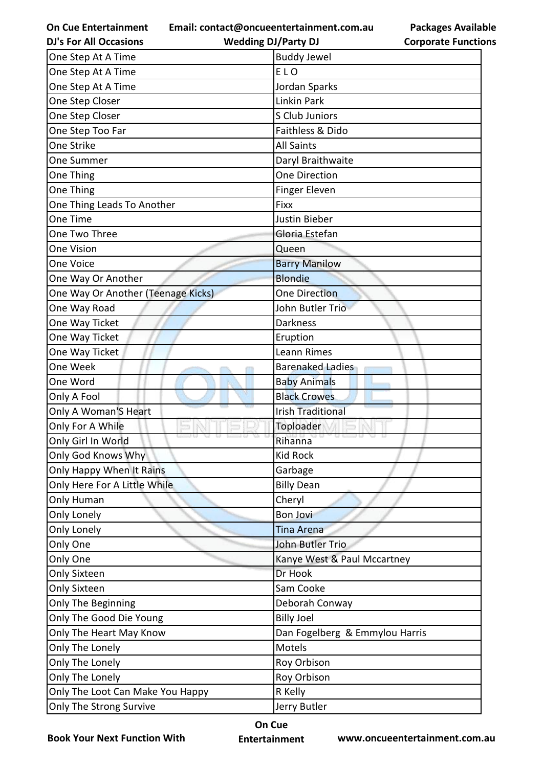**Email: contact@oncueentertainment.com.au**

**Packages Available Corporate Functions**

| <b>DJ's For All Occasions</b>      | <b>Wedding DJ/Party DJ</b>     | <b>Corporate Function</b> |
|------------------------------------|--------------------------------|---------------------------|
| One Step At A Time                 | <b>Buddy Jewel</b>             |                           |
| One Step At A Time                 | ELO                            |                           |
| One Step At A Time                 | Jordan Sparks                  |                           |
| One Step Closer                    | Linkin Park                    |                           |
| One Step Closer                    | S Club Juniors                 |                           |
| One Step Too Far                   | Faithless & Dido               |                           |
| One Strike                         | <b>All Saints</b>              |                           |
| One Summer                         | Daryl Braithwaite              |                           |
| One Thing                          | One Direction                  |                           |
| One Thing                          | <b>Finger Eleven</b>           |                           |
| One Thing Leads To Another         | <b>Fixx</b>                    |                           |
| One Time                           | Justin Bieber                  |                           |
| One Two Three                      | Gloria Estefan                 |                           |
| <b>One Vision</b>                  | Queen                          |                           |
| One Voice                          | <b>Barry Manilow</b>           |                           |
| One Way Or Another                 | <b>Blondie</b>                 |                           |
| One Way Or Another (Teenage Kicks) | <b>One Direction</b>           |                           |
| One Way Road                       | John Butler Trio               |                           |
| One Way Ticket                     | <b>Darkness</b>                |                           |
| One Way Ticket                     | Eruption                       |                           |
| One Way Ticket                     | Leann Rimes                    |                           |
| One Week                           | <b>Barenaked Ladies</b>        |                           |
| One Word                           | <b>Baby Animals</b>            |                           |
| Only A Fool                        | <b>Black Crowes</b>            |                           |
| Only A Woman'S Heart               | <b>Irish Traditional</b>       |                           |
| Only For A While                   | Toploader                      |                           |
| Only Girl In World                 | Rihanna                        |                           |
| Only God Knows Why                 | <b>Kid Rock</b>                |                           |
| Only Happy When It Rains           | Garbage                        |                           |
| Only Here For A Little While       | <b>Billy Dean</b>              |                           |
| Only Human                         | Cheryl                         |                           |
| Only Lonely                        | <b>Bon Jovi</b>                |                           |
| Only Lonely                        | <b>Tina Arena</b>              |                           |
| Only One                           | John Butler Trio               |                           |
| Only One                           | Kanye West & Paul Mccartney    |                           |
| <b>Only Sixteen</b>                | Dr Hook                        |                           |
| <b>Only Sixteen</b>                | Sam Cooke                      |                           |
| Only The Beginning                 | Deborah Conway                 |                           |
| Only The Good Die Young            | <b>Billy Joel</b>              |                           |
| Only The Heart May Know            | Dan Fogelberg & Emmylou Harris |                           |
| Only The Lonely                    | Motels                         |                           |
| Only The Lonely                    | Roy Orbison                    |                           |
| Only The Lonely                    | Roy Orbison                    |                           |
| Only The Loot Can Make You Happy   | R Kelly                        |                           |
| Only The Strong Survive            | Jerry Butler                   |                           |

**Book Your Next Function With**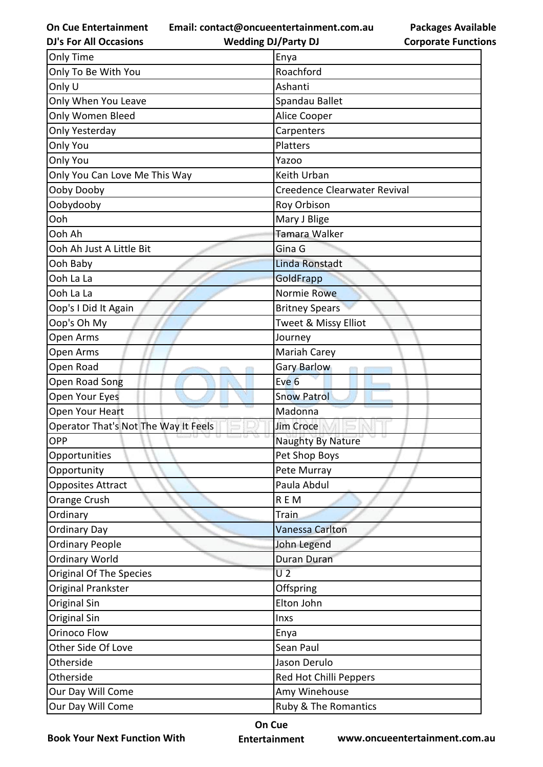**Email: contact@oncueentertainment.com.au**

**DJ's For All Occasions**

**Wedding DJ/Party DJ** 

**Packages Available Corporate Functions**

| Only Time                            | Enya                         |
|--------------------------------------|------------------------------|
| Only To Be With You                  | Roachford                    |
| Only U                               | Ashanti                      |
| Only When You Leave                  | Spandau Ballet               |
| Only Women Bleed                     | Alice Cooper                 |
| Only Yesterday                       | Carpenters                   |
| Only You                             | Platters                     |
| Only You                             | Yazoo                        |
| Only You Can Love Me This Way        | Keith Urban                  |
| Ooby Dooby                           | Creedence Clearwater Revival |
| Oobydooby                            | Roy Orbison                  |
| Ooh                                  | Mary J Blige                 |
| Ooh Ah                               | Tamara Walker                |
| Ooh Ah Just A Little Bit             | Gina G                       |
| Ooh Baby                             | Linda Ronstadt               |
| Ooh La La                            | GoldFrapp                    |
| Ooh La La                            | Normie Rowe                  |
| Oop's I Did It Again                 | <b>Britney Spears</b>        |
| Oop's Oh My                          | Tweet & Missy Elliot         |
| Open Arms                            | Journey                      |
| Open Arms                            | Mariah Carey                 |
| Open Road                            | Gary Barlow                  |
| Open Road Song                       | Eve <sub>6</sub>             |
| Open Your Eyes                       | <b>Snow Patrol</b>           |
| Open Your Heart                      | Madonna                      |
| Operator That's Not The Way It Feels | <b>Jim Croce</b>             |
| OPP                                  | Naughty By Nature            |
| Opportunities                        | Pet Shop Boys                |
| Opportunity                          | Pete Murray                  |
| <b>Opposites Attract</b>             | Paula Abdul                  |
| Orange Crush                         | REM                          |
| Ordinary                             | Train                        |
| <b>Ordinary Day</b>                  | Vanessa Carlton              |
|                                      |                              |
| <b>Ordinary People</b>               | John Legend                  |
| <b>Ordinary World</b>                | Duran Duran                  |
| Original Of The Species              | U <sub>2</sub>               |
| Original Prankster                   | Offspring                    |
| Original Sin                         | Elton John                   |
| Original Sin                         | Inxs                         |
| Orinoco Flow                         | Enya                         |
| Other Side Of Love                   | Sean Paul                    |
| Otherside                            | Jason Derulo                 |
| Otherside                            | Red Hot Chilli Peppers       |
| Our Day Will Come                    | Amy Winehouse                |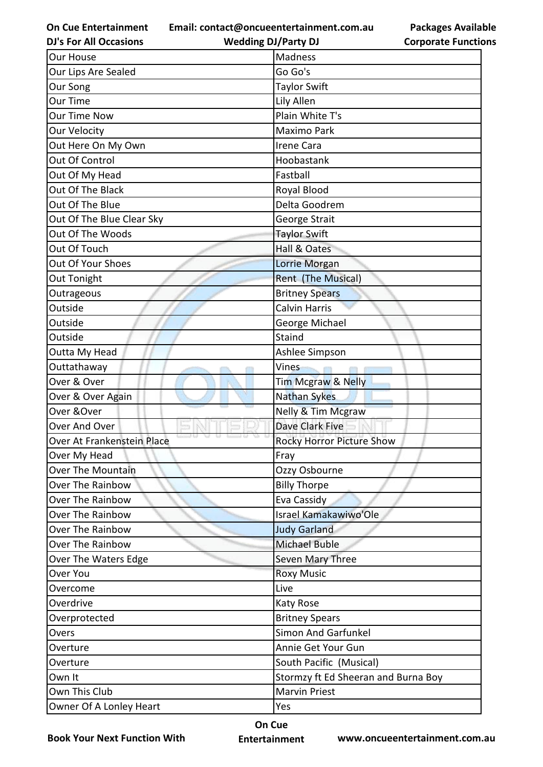**Email: contact@oncueentertainment.com.au**

**DJ's For All Occasions**

**Wedding DJ/Party DJ** 

**Packages Available Corporate Functions**

| <b>Our House</b>           | Madness                             |
|----------------------------|-------------------------------------|
| Our Lips Are Sealed        | Go Go's                             |
| Our Song                   | <b>Taylor Swift</b>                 |
| Our Time                   | Lily Allen                          |
| <b>Our Time Now</b>        | Plain White T's                     |
| <b>Our Velocity</b>        | Maximo Park                         |
| Out Here On My Own         | <b>Irene Cara</b>                   |
| Out Of Control             | Hoobastank                          |
| Out Of My Head             | Fastball                            |
| Out Of The Black           | Royal Blood                         |
| Out Of The Blue            | Delta Goodrem                       |
| Out Of The Blue Clear Sky  | George Strait                       |
| Out Of The Woods           | <b>Taylor Swift</b>                 |
| Out Of Touch               | Hall & Oates                        |
| Out Of Your Shoes          | Lorrie Morgan                       |
| Out Tonight                | <b>Rent (The Musical)</b>           |
| Outrageous                 | <b>Britney Spears</b>               |
| Outside                    | <b>Calvin Harris</b>                |
| Outside                    | George Michael                      |
| Outside                    | Staind                              |
| Outta My Head              | Ashlee Simpson                      |
| Outtathaway                | Vines                               |
| Over & Over                | Tim Mcgraw & Nelly                  |
| Over & Over Again          | <b>Nathan Sykes</b>                 |
| Over & Over                | Nelly & Tim Mcgraw                  |
| Over And Over              | Dave Clark Five                     |
| Over At Frankenstein Place | <b>Rocky Horror Picture Show</b>    |
| Over My Head               | Fray                                |
| <b>Over The Mountain</b>   | Ozzy Osbourne                       |
| <b>Over The Rainbow</b>    | <b>Billy Thorpe</b>                 |
| Over The Rainbow           | Eva Cassidy                         |
| <b>Over The Rainbow</b>    | Israel Kamakawiwo'Ole               |
| Over The Rainbow           | <b>Judy Garland</b>                 |
| <b>Over The Rainbow</b>    | <b>Michael Buble</b>                |
| Over The Waters Edge       | Seven Mary Three                    |
| Over You                   | <b>Roxy Music</b>                   |
| Overcome                   | Live                                |
| Overdrive                  | <b>Katy Rose</b>                    |
| Overprotected              | <b>Britney Spears</b>               |
| Overs                      | <b>Simon And Garfunkel</b>          |
| Overture                   | Annie Get Your Gun                  |
| Overture                   | South Pacific (Musical)             |
| Own It                     | Stormzy ft Ed Sheeran and Burna Boy |
| Own This Club              | <b>Marvin Priest</b>                |
| Owner Of A Lonley Heart    | Yes                                 |

**Book Your Next Function With**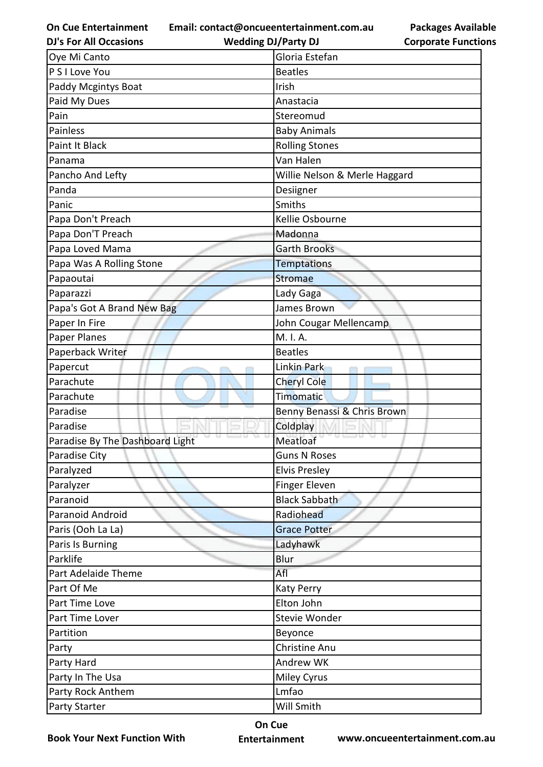**Email: contact@oncueentertainment.com.au**

**DJ's For All Occasions**

**Wedding DJ/Party DJ** 

**Packages Available Corporate Functions**

| Oye Mi Canto                    | Gloria Estefan                |
|---------------------------------|-------------------------------|
| P S I Love You                  | <b>Beatles</b>                |
| Paddy Mcgintys Boat             | Irish                         |
| Paid My Dues                    | Anastacia                     |
| Pain                            | Stereomud                     |
| <b>Painless</b>                 | <b>Baby Animals</b>           |
| Paint It Black                  | <b>Rolling Stones</b>         |
| Panama                          | Van Halen                     |
| Pancho And Lefty                | Willie Nelson & Merle Haggard |
| Panda                           | Desiigner                     |
| Panic                           | Smiths                        |
| Papa Don't Preach               | Kellie Osbourne               |
| Papa Don'T Preach               | Madonna                       |
| Papa Loved Mama                 | <b>Garth Brooks</b>           |
| Papa Was A Rolling Stone        | <b>Temptations</b>            |
| Papaoutai                       | Stromae                       |
| Paparazzi                       | Lady Gaga                     |
| Papa's Got A Brand New Bag      | James Brown                   |
| Paper In Fire                   | John Cougar Mellencamp        |
| Paper Planes                    | M. I. A.                      |
| Paperback Writer                | <b>Beatles</b>                |
| Papercut                        | Linkin Park                   |
| Parachute                       | <b>Cheryl Cole</b>            |
| Parachute                       | Timomatic                     |
| Paradise                        | Benny Benassi & Chris Brown   |
| Paradise                        | Coldplay                      |
| Paradise By The Dashboard Light | Meatloaf                      |
| Paradise City                   | <b>Guns N Roses</b>           |
| Paralyzed                       | <b>Elvis Presley</b>          |
| Paralyzer                       | Finger Eleven                 |
| Paranoid                        | <b>Black Sabbath</b>          |
| Paranoid Android                | Radiohead                     |
| Paris (Ooh La La)               | <b>Grace Potter</b>           |
| Paris Is Burning                | Ladyhawk                      |
| Parklife                        | Blur                          |
| Part Adelaide Theme             | Afl                           |
| Part Of Me                      | <b>Katy Perry</b>             |
| Part Time Love                  | Elton John                    |
| Part Time Lover                 | Stevie Wonder                 |
| Partition                       | Beyonce                       |
| Party                           | Christine Anu                 |
| Party Hard                      | Andrew WK                     |
| Party In The Usa                | <b>Miley Cyrus</b>            |
| Party Rock Anthem               | Lmfao                         |
| <b>Party Starter</b>            | Will Smith                    |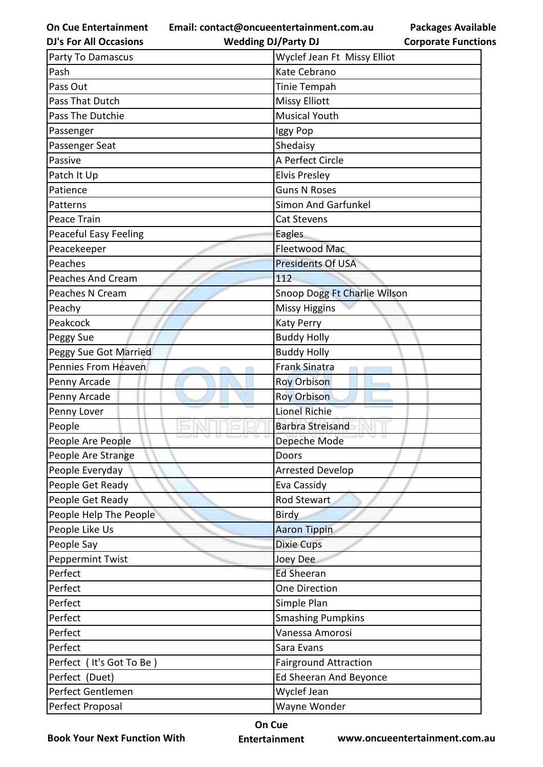**On Cue Entertainment DJ's For All Occasions**

**Email: contact@oncueentertainment.com.au Wedding DJ/Party DJ** 

**Packages Available Corporate Functions**

| Party To Damascus            | Wyclef Jean Ft Missy Elliot  |
|------------------------------|------------------------------|
| Pash                         | Kate Cebrano                 |
| Pass Out                     | Tinie Tempah                 |
| Pass That Dutch              | <b>Missy Elliott</b>         |
| Pass The Dutchie             | <b>Musical Youth</b>         |
| Passenger                    | Iggy Pop                     |
| Passenger Seat               | Shedaisy                     |
| Passive                      | A Perfect Circle             |
| Patch It Up                  | <b>Elvis Presley</b>         |
| Patience                     | <b>Guns N Roses</b>          |
| Patterns                     | <b>Simon And Garfunkel</b>   |
| Peace Train                  | Cat Stevens                  |
| <b>Peaceful Easy Feeling</b> | Eagles                       |
| Peacekeeper                  | <b>Fleetwood Mac</b>         |
| Peaches                      | <b>Presidents Of USA</b>     |
| <b>Peaches And Cream</b>     | 112                          |
| Peaches N Cream              | Snoop Dogg Ft Charlie Wilson |
| Peachy                       | <b>Missy Higgins</b>         |
| Peakcock                     | <b>Katy Perry</b>            |
| Peggy Sue                    | <b>Buddy Holly</b>           |
| Peggy Sue Got Married        | <b>Buddy Holly</b>           |
| <b>Pennies From Heaven</b>   | Frank Sinatra                |
| Penny Arcade                 | <b>Roy Orbison</b>           |
| Penny Arcade                 | <b>Roy Orbison</b>           |
| Penny Lover                  | <b>Lionel Richie</b>         |
| People                       | <b>Barbra Streisand</b>      |
| People Are People            | Depeche Mode                 |
| People Are Strange           | Doors                        |
| People Everyday              | <b>Arrested Develop</b>      |
| People Get Ready             | Eva Cassidy                  |
| People Get Ready             | <b>Rod Stewart</b>           |
| People Help The People       | <b>Birdy</b>                 |
| People Like Us               | <b>Aaron Tippin</b>          |
| People Say                   | <b>Dixie Cups</b>            |
| <b>Peppermint Twist</b>      | Joey Dee                     |
| Perfect                      | <b>Ed Sheeran</b>            |
| Perfect                      | <b>One Direction</b>         |
| Perfect                      | Simple Plan                  |
| Perfect                      | <b>Smashing Pumpkins</b>     |
| Perfect                      | Vanessa Amorosi              |
| Perfect                      | Sara Evans                   |
| Perfect (It's Got To Be)     | <b>Fairground Attraction</b> |
| Perfect (Duet)               | Ed Sheeran And Beyonce       |
| Perfect Gentlemen            | Wyclef Jean                  |

**On Cue** 

Perfect Proposal Wayne Wonder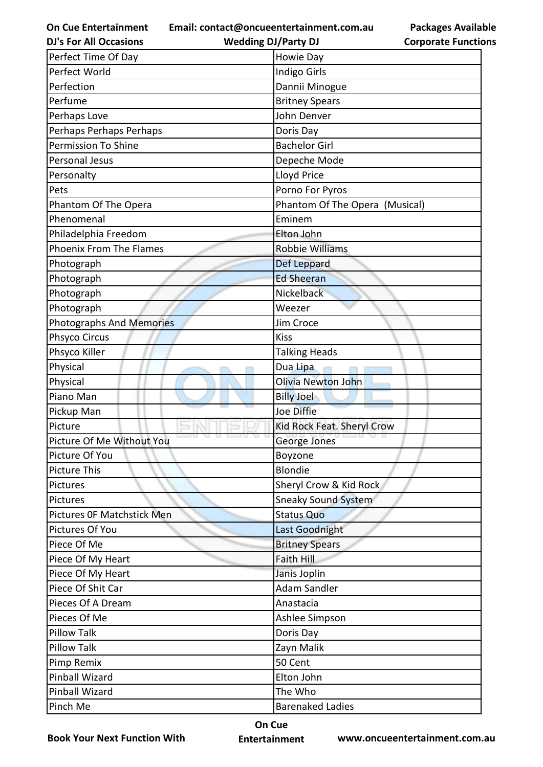**Email: contact@oncueentertainment.com.au**

| <b>DJ's For All Occasions</b>   | <b>Wedding DJ/Party DJ</b>     | <b>Corporate Function</b> |
|---------------------------------|--------------------------------|---------------------------|
| Perfect Time Of Day             | Howie Day                      |                           |
| Perfect World                   | Indigo Girls                   |                           |
| Perfection                      | Dannii Minogue                 |                           |
| Perfume                         | <b>Britney Spears</b>          |                           |
| Perhaps Love                    | John Denver                    |                           |
| Perhaps Perhaps Perhaps         | Doris Day                      |                           |
| <b>Permission To Shine</b>      | <b>Bachelor Girl</b>           |                           |
| Personal Jesus                  | Depeche Mode                   |                           |
| Personalty                      | Lloyd Price                    |                           |
| Pets                            | Porno For Pyros                |                           |
| Phantom Of The Opera            | Phantom Of The Opera (Musical) |                           |
| Phenomenal                      | Eminem                         |                           |
| Philadelphia Freedom            | Elton John                     |                           |
| <b>Phoenix From The Flames</b>  | <b>Robbie Williams</b>         |                           |
| Photograph                      | Def Leppard                    |                           |
| Photograph                      | <b>Ed Sheeran</b>              |                           |
| Photograph                      | Nickelback                     |                           |
| Photograph                      | Weezer                         |                           |
| <b>Photographs And Memories</b> | Jim Croce                      |                           |
| Phsyco Circus                   | <b>Kiss</b>                    |                           |
| Phsyco Killer                   | <b>Talking Heads</b>           |                           |
| Physical                        | Dua Lipa                       |                           |
| Physical                        | <b>Olivia Newton John</b>      |                           |
| Piano Man                       | <b>Billy Joel</b>              |                           |
| Pickup Man                      | Joe Diffie                     |                           |
| Picture                         | Kid Rock Feat. Sheryl Crow     |                           |
| Picture Of Me Without You       | George Jones                   |                           |
| Picture Of You                  | Boyzone                        |                           |
| <b>Picture This</b>             | <b>Blondie</b>                 |                           |
| Pictures                        | Sheryl Crow & Kid Rock         |                           |
| Pictures                        | <b>Sneaky Sound System</b>     |                           |
| Pictures OF Matchstick Men      | <b>Status Quo</b>              |                           |
| Pictures Of You                 | Last Goodnight                 |                           |
| Piece Of Me                     | <b>Britney Spears</b>          |                           |
| Piece Of My Heart               | Faith Hill                     |                           |
| Piece Of My Heart               | Janis Joplin                   |                           |
| Piece Of Shit Car               | <b>Adam Sandler</b>            |                           |
| Pieces Of A Dream               | Anastacia                      |                           |
| Pieces Of Me                    | Ashlee Simpson                 |                           |
| <b>Pillow Talk</b>              | Doris Day                      |                           |
| <b>Pillow Talk</b>              | Zayn Malik                     |                           |
| Pimp Remix                      | 50 Cent                        |                           |
| <b>Pinball Wizard</b>           | Elton John                     |                           |
| Pinball Wizard                  | The Who                        |                           |
| Pinch Me                        | <b>Barenaked Ladies</b>        |                           |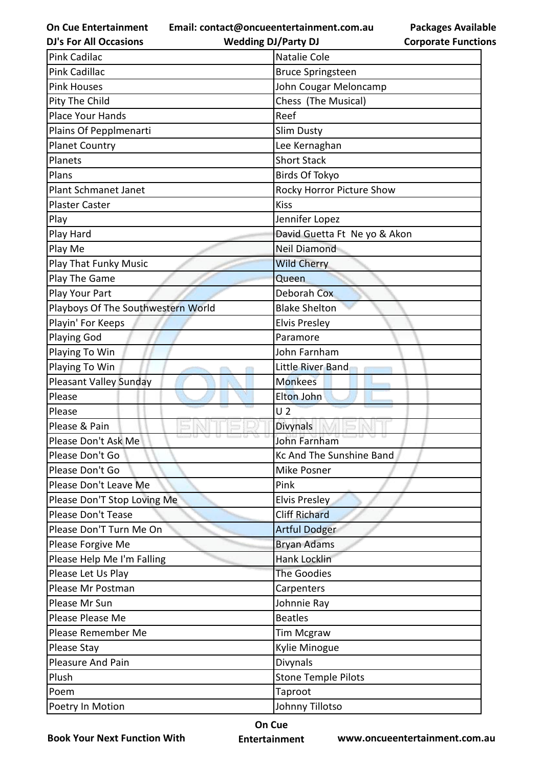**Email: contact@oncueentertainment.com.au Wedding DJ/Party DJ** 

**DJ's For All Occasions**

**Corporate Functions**

**Packages Available** 

| <b>Pink Cadilac</b>                | Natalie Cole                 |
|------------------------------------|------------------------------|
| <b>Pink Cadillac</b>               | <b>Bruce Springsteen</b>     |
| <b>Pink Houses</b>                 | John Cougar Meloncamp        |
| Pity The Child                     | Chess (The Musical)          |
| Place Your Hands                   | Reef                         |
| Plains Of Pepplmenarti             | <b>Slim Dusty</b>            |
| <b>Planet Country</b>              | Lee Kernaghan                |
| Planets                            | <b>Short Stack</b>           |
| Plans                              | <b>Birds Of Tokyo</b>        |
| Plant Schmanet Janet               | Rocky Horror Picture Show    |
| <b>Plaster Caster</b>              | <b>Kiss</b>                  |
| Play                               | Jennifer Lopez               |
| Play Hard                          | David Guetta Ft Ne yo & Akon |
| Play Me                            | <b>Neil Diamond</b>          |
| <b>Play That Funky Music</b>       | <b>Wild Cherry</b>           |
| Play The Game                      | Queen                        |
| Play Your Part                     | Deborah Cox                  |
| Playboys Of The Southwestern World | <b>Blake Shelton</b>         |
| Playin' For Keeps                  | <b>Elvis Presley</b>         |
| <b>Playing God</b>                 | Paramore                     |
| Playing To Win                     | John Farnham                 |
| Playing To Win                     | Little River Band            |
| Pleasant Valley Sunday             | <b>Monkees</b>               |
| Please                             | Elton John                   |
| Please                             | U <sub>2</sub>               |
| Please & Pain                      | Divynals                     |
| Please Don't Ask Me                | <b>John Farnham</b>          |
| Please Don't Go                    | Kc And The Sunshine Band     |
| Please Don't Go                    | Mike Posner                  |
| Please Don't Leave Me              | Pink                         |
| Please Don'T Stop Loving Me        | Elvis Presley                |
| Please Don't Tease                 | <b>Cliff Richard</b>         |
| Please Don'T Turn Me On            | <b>Artful Dodger</b>         |
| Please Forgive Me                  | <b>Bryan Adams</b>           |
| Please Help Me I'm Falling         | Hank Locklin                 |
| Please Let Us Play                 | <b>The Goodies</b>           |
| Please Mr Postman                  | Carpenters                   |
| Please Mr Sun                      | Johnnie Ray                  |
| Please Please Me                   | <b>Beatles</b>               |
| Please Remember Me                 | <b>Tim Mcgraw</b>            |
| Please Stay                        | Kylie Minogue                |
| Pleasure And Pain                  | Divynals                     |
| Plush                              | <b>Stone Temple Pilots</b>   |
| Poem                               | Taproot                      |
| Poetry In Motion                   | Johnny Tillotso              |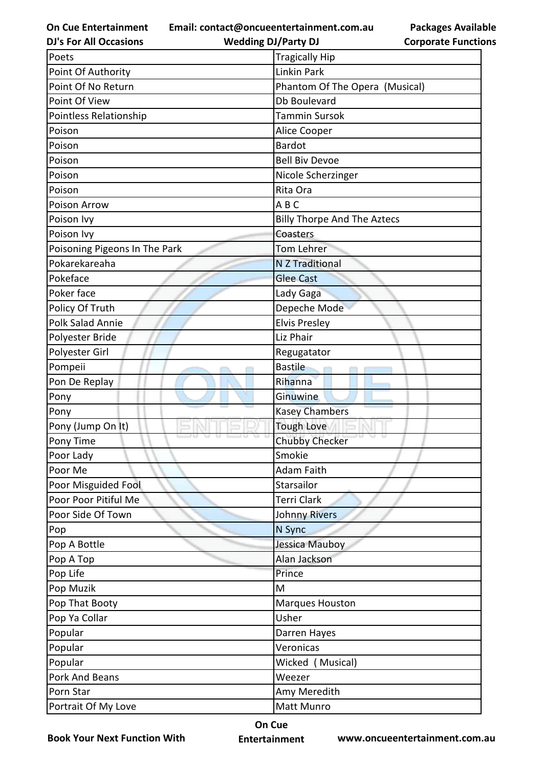**Email: contact@oncueentertainment.com.au**

**DJ's For All Occasions**

**Wedding DJ/Party DJ** 

**Packages Available Corporate Functions**

| Poets                         | <b>Tragically Hip</b>              |
|-------------------------------|------------------------------------|
| Point Of Authority            | <b>Linkin Park</b>                 |
| Point Of No Return            | Phantom Of The Opera (Musical)     |
| Point Of View                 | Db Boulevard                       |
| Pointless Relationship        | <b>Tammin Sursok</b>               |
| Poison                        | Alice Cooper                       |
| Poison                        | <b>Bardot</b>                      |
| Poison                        | <b>Bell Biv Devoe</b>              |
| Poison                        | Nicole Scherzinger                 |
| Poison                        | Rita Ora                           |
| Poison Arrow                  | ABC                                |
| Poison Ivy                    | <b>Billy Thorpe And The Aztecs</b> |
| Poison Ivy                    | Coasters                           |
| Poisoning Pigeons In The Park | <b>Tom Lehrer</b>                  |
| Pokarekareaha                 | <b>N Z Traditional</b>             |
| Pokeface                      | <b>Glee Cast</b>                   |
| Poker face                    | Lady Gaga                          |
| Policy Of Truth               | Depeche Mode                       |
| <b>Polk Salad Annie</b>       | <b>Elvis Presley</b>               |
| Polyester Bride               | Liz Phair                          |
| Polyester Girl                | Regugatator                        |
| Pompeii                       | <b>Bastile</b>                     |
| Pon De Replay                 | Rihanna                            |
| Pony                          | Ginuwine                           |
| Pony                          | <b>Kasey Chambers</b>              |
| Pony (Jump On It)             | <b>Tough Love</b>                  |
| Pony Time                     | <b>Chubby Checker</b>              |
| Poor Lady                     | Smokie                             |
| Poor Me                       | Adam Faith                         |
| Poor Misguided Fool           | Starsailor                         |
| Poor Poor Pitiful Me          | Terri Clark                        |
| Poor Side Of Town             | <b>Johnny Rivers</b>               |
| Pop                           | N Sync                             |
| Pop A Bottle                  | Jessica Mauboy                     |
| Pop A Top                     | Alan Jackson                       |
| Pop Life                      | Prince                             |
| Pop Muzik                     | M                                  |
| Pop That Booty                | Marques Houston                    |
| Pop Ya Collar                 | Usher                              |
| Popular                       | Darren Hayes                       |
| Popular                       | Veronicas                          |
| Popular                       | Wicked (Musical)                   |
| Pork And Beans                | Weezer                             |
| Porn Star                     | Amy Meredith                       |
| Portrait Of My Love           | Matt Munro                         |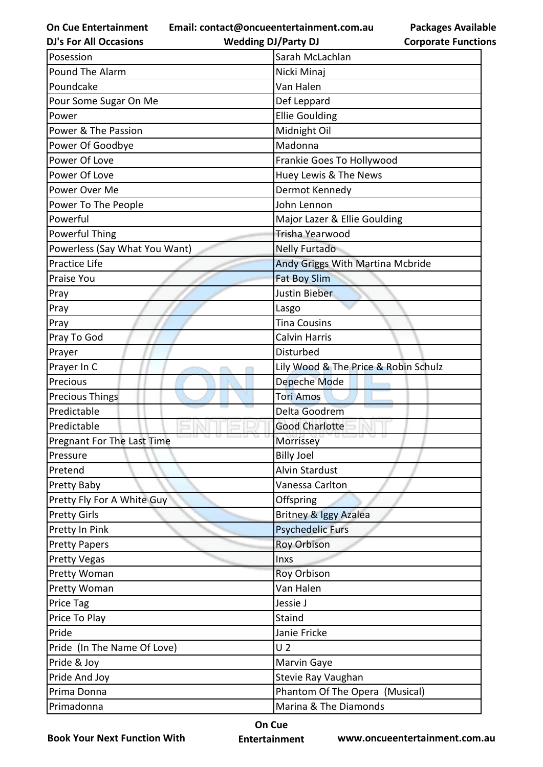**Email: contact@oncueentertainment.com.au**

**DJ's For All Occasions**

**Packages Available Corporate Functions**

| <b>DJ's For All Occasions</b>     | <b>Wedding DJ/Party DJ</b>           | <b>Corporate Functio</b> |
|-----------------------------------|--------------------------------------|--------------------------|
| Posession                         | Sarah McLachlan                      |                          |
| Pound The Alarm                   | Nicki Minaj                          |                          |
| Poundcake                         | Van Halen                            |                          |
| Pour Some Sugar On Me             | Def Leppard                          |                          |
| Power                             | <b>Ellie Goulding</b>                |                          |
| Power & The Passion               | Midnight Oil                         |                          |
| Power Of Goodbye                  | Madonna                              |                          |
| Power Of Love                     | Frankie Goes To Hollywood            |                          |
| Power Of Love                     | Huey Lewis & The News                |                          |
| Power Over Me                     | Dermot Kennedy                       |                          |
| Power To The People               | John Lennon                          |                          |
| Powerful                          | Major Lazer & Ellie Goulding         |                          |
| <b>Powerful Thing</b>             | Trisha Yearwood                      |                          |
| Powerless (Say What You Want)     | <b>Nelly Furtado</b>                 |                          |
| <b>Practice Life</b>              | Andy Griggs With Martina Mcbride     |                          |
| Praise You                        | <b>Fat Boy Slim</b>                  |                          |
| Pray                              | Justin Bieber                        |                          |
| Pray                              | Lasgo                                |                          |
| Pray                              | <b>Tina Cousins</b>                  |                          |
| Pray To God                       | Calvin Harris                        |                          |
| Prayer                            | Disturbed                            |                          |
| Prayer In C                       | Lily Wood & The Price & Robin Schulz |                          |
| Precious                          | Depeche Mode                         |                          |
| <b>Precious Things</b>            | <b>Tori Amos</b>                     |                          |
| Predictable                       | Delta Goodrem                        |                          |
| Predictable                       | <b>Good Charlotte</b>                |                          |
| <b>Pregnant For The Last Time</b> | Morrissey                            |                          |
| Pressure                          | <b>Billy Joel</b>                    |                          |
| Pretend                           | <b>Alvin Stardust</b>                |                          |
| Pretty Baby                       | Vanessa Carlton                      |                          |
| Pretty Fly For A White Guy        | Offspring                            |                          |
| <b>Pretty Girls</b>               | Britney & Iggy Azalea                |                          |
| Pretty In Pink                    | <b>Psychedelic Furs</b>              |                          |
| <b>Pretty Papers</b>              | <b>Roy Orbison</b>                   |                          |
| <b>Pretty Vegas</b>               | Inxs                                 |                          |
| Pretty Woman                      | Roy Orbison                          |                          |
| Pretty Woman                      | Van Halen                            |                          |
| Price Tag                         | Jessie J                             |                          |
| Price To Play                     | Staind                               |                          |
| Pride                             | Janie Fricke                         |                          |
| Pride (In The Name Of Love)       | U <sub>2</sub>                       |                          |
| Pride & Joy                       | Marvin Gaye                          |                          |
| Pride And Joy                     | Stevie Ray Vaughan                   |                          |
| Prima Donna                       | Phantom Of The Opera (Musical)       |                          |
| Primadonna                        | Marina & The Diamonds                |                          |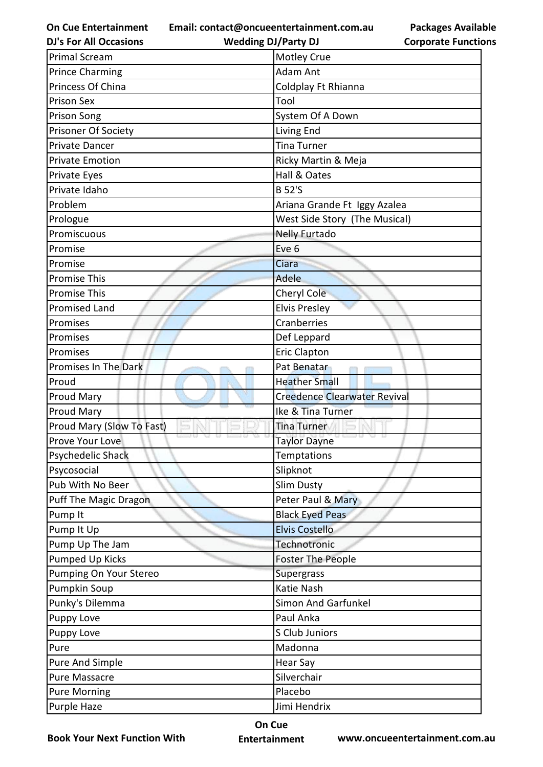**Email: contact@oncueentertainment.com.au Wedding DJ/Party DJ** 

**DJ's For All Occasions**

**Packages Available Corporate Functions**

| <b>Primal Scream</b>         | Motley Crue                         |
|------------------------------|-------------------------------------|
| <b>Prince Charming</b>       | <b>Adam Ant</b>                     |
| Princess Of China            | Coldplay Ft Rhianna                 |
| <b>Prison Sex</b>            | Tool                                |
| Prison Song                  | System Of A Down                    |
| Prisoner Of Society          | <b>Living End</b>                   |
| <b>Private Dancer</b>        | Tina Turner                         |
| <b>Private Emotion</b>       | Ricky Martin & Meja                 |
| Private Eyes                 | Hall & Oates                        |
| Private Idaho                | <b>B</b> 52'S                       |
| Problem                      | Ariana Grande Ft Iggy Azalea        |
| Prologue                     | West Side Story (The Musical)       |
| Promiscuous                  | <b>Nelly Furtado</b>                |
| Promise                      | Eve 6                               |
| Promise                      | Ciara                               |
| <b>Promise This</b>          | Adele                               |
| <b>Promise This</b>          | Cheryl Cole                         |
| <b>Promised Land</b>         | <b>Elvis Presley</b>                |
| Promises                     | Cranberries                         |
| Promises                     | Def Leppard                         |
| Promises                     | <b>Eric Clapton</b>                 |
| Promises In The Dark         | Pat Benatar                         |
| Proud                        | <b>Heather Small</b>                |
| Proud Mary                   | <b>Creedence Clearwater Revival</b> |
| <b>Proud Mary</b>            | Ike & Tina Turner                   |
| Proud Mary (Slow To Fast)    | <b>Tina Turner</b>                  |
| Prove Your Love              | <b>Taylor Dayne</b>                 |
| Psychedelic Shack            | <b>Temptations</b>                  |
| Psycosocial                  | Slipknot                            |
| Pub With No Beer             | Slim Dusty                          |
| <b>Puff The Magic Dragon</b> | Peter Paul & Mary                   |
| Pump It                      | <b>Black Eyed Peas</b>              |
| Pump It Up                   | <b>Elvis Costello</b>               |
| Pump Up The Jam              | Technotronic                        |
| <b>Pumped Up Kicks</b>       | <b>Foster The People</b>            |
| Pumping On Your Stereo       | Supergrass                          |
| Pumpkin Soup                 | Katie Nash                          |
| Punky's Dilemma              | <b>Simon And Garfunkel</b>          |
| <b>Puppy Love</b>            | Paul Anka                           |
| Puppy Love                   | S Club Juniors                      |
| Pure                         | Madonna                             |
| Pure And Simple              | Hear Say                            |
| <b>Pure Massacre</b>         | Silverchair                         |
| <b>Pure Morning</b>          | Placebo                             |
| Purple Haze                  | Jimi Hendrix                        |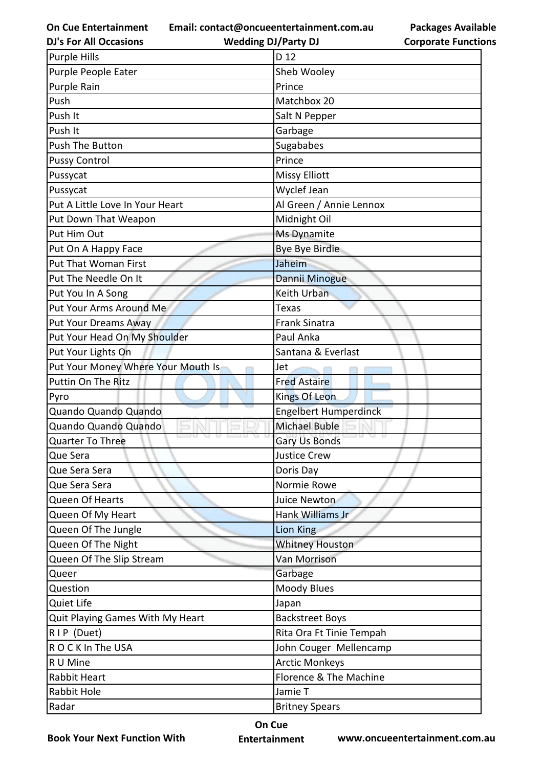**Email: contact@oncueentertainment.com.au**

**DJ's For All Occasions**

**Wedding DJ/Party DJ** 

| <b>Packages Available</b>  |
|----------------------------|
| <b>Corporate Functions</b> |

| <b>Purple Hills</b>                | D 12                         |
|------------------------------------|------------------------------|
| Purple People Eater                | Sheb Wooley                  |
| Purple Rain                        | Prince                       |
| Push                               | Matchbox 20                  |
| Push It                            | Salt N Pepper                |
| Push It                            | Garbage                      |
| Push The Button                    | Sugababes                    |
| <b>Pussy Control</b>               | Prince                       |
| Pussycat                           | <b>Missy Elliott</b>         |
| Pussycat                           | Wyclef Jean                  |
| Put A Little Love In Your Heart    | Al Green / Annie Lennox      |
| Put Down That Weapon               | Midnight Oil                 |
| Put Him Out                        | Ms Dynamite                  |
| Put On A Happy Face                | Bye Bye Birdie               |
| <b>Put That Woman First</b>        | Jaheim                       |
| Put The Needle On It               | Dannii Minogue               |
| Put You In A Song                  | Keith Urban                  |
| Put Your Arms Around Me            | Texas                        |
| <b>Put Your Dreams Away</b>        | <b>Frank Sinatra</b>         |
| Put Your Head On My Shoulder       | Paul Anka                    |
| Put Your Lights On                 | Santana & Everlast           |
| Put Your Money Where Your Mouth Is | Jet                          |
| Puttin On The Ritz                 | <b>Fred Astaire</b>          |
| Pyro                               | <b>Kings Of Leon</b>         |
| Quando Quando Quando               | <b>Engelbert Humperdinck</b> |
| Quando Quando Quando               | <b>Michael Buble</b>         |
| <b>Quarter To Three</b>            | Gary Us Bonds                |
| Que Sera                           | <b>Justice Crew</b>          |
| Que Sera Sera                      | Doris Day                    |
| Que Sera Sera                      | Normie Rowe                  |
| Queen Of Hearts                    | Juice Newton                 |
| Queen Of My Heart                  | Hank Williams Jr             |
| Queen Of The Jungle                | <b>Lion King</b>             |
| Queen Of The Night                 | <b>Whitney Houston</b>       |
| Queen Of The Slip Stream           | Van Morrison                 |
| Queer                              | Garbage                      |
| Question                           | <b>Moody Blues</b>           |
| Quiet Life                         | Japan                        |
| Quit Playing Games With My Heart   | <b>Backstreet Boys</b>       |
| RIP (Duet)                         | Rita Ora Ft Tinie Tempah     |
| ROCK In The USA                    | John Couger Mellencamp       |
| R U Mine                           | <b>Arctic Monkeys</b>        |
| Rabbit Heart                       | Florence & The Machine       |
| Rabbit Hole                        | Jamie T                      |
|                                    |                              |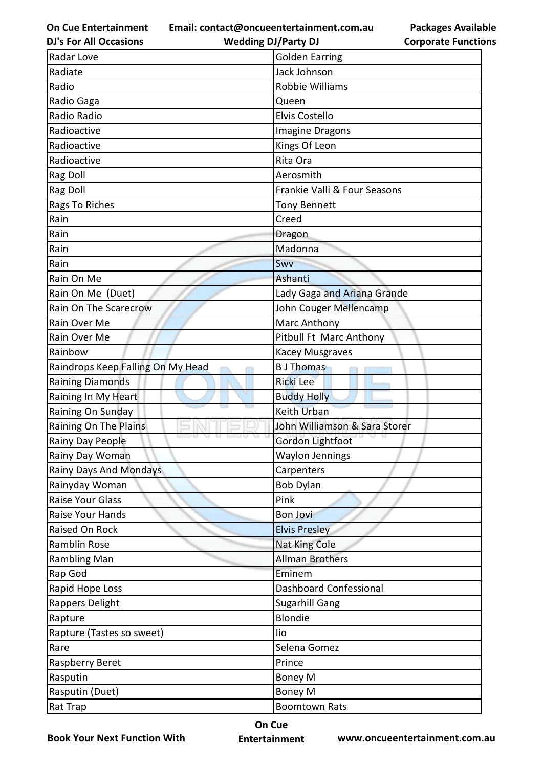**Email: contact@oncueentertainment.com.au**

**DJ's For All Occasions**

**Wedding DJ/Party DJ** 

| Radar Love                        | <b>Golden Earring</b>         |
|-----------------------------------|-------------------------------|
| Radiate                           | Jack Johnson                  |
| Radio                             | Robbie Williams               |
| Radio Gaga                        | Queen                         |
| Radio Radio                       | Elvis Costello                |
| Radioactive                       | <b>Imagine Dragons</b>        |
| Radioactive                       | Kings Of Leon                 |
| Radioactive                       | Rita Ora                      |
| Rag Doll                          | Aerosmith                     |
| Rag Doll                          | Frankie Valli & Four Seasons  |
| Rags To Riches                    | <b>Tony Bennett</b>           |
| Rain                              | Creed                         |
| Rain                              | <b>Dragon</b>                 |
| Rain                              | Madonna                       |
| Rain                              | Swv                           |
| Rain On Me                        | Ashanti                       |
| Rain On Me (Duet)                 | Lady Gaga and Ariana Grande   |
| Rain On The Scarecrow             | John Couger Mellencamp        |
| Rain Over Me                      | Marc Anthony                  |
| Rain Over Me                      | Pitbull Ft Marc Anthony       |
| Rainbow                           | <b>Kacey Musgraves</b>        |
| Raindrops Keep Falling On My Head | <b>B</b> J Thomas             |
| <b>Raining Diamonds</b>           | <b>Ricki Lee</b>              |
| Raining In My Heart               | <b>Buddy Holly</b>            |
| Raining On Sunday                 | <b>Keith Urban</b>            |
| Raining On The Plains             | John Williamson & Sara Storer |
| Rainy Day People                  | Gordon Lightfoot              |
| Rainy Day Woman                   | Waylon Jennings               |
| <b>Rainy Days And Mondays</b>     | Carpenters                    |
| Rainyday Woman                    | <b>Bob Dylan</b>              |
| Raise Your Glass                  | Pink                          |
| Raise Your Hands                  | <b>Bon Jovi</b>               |
| Raised On Rock                    | <b>Elvis Presley</b>          |
| Ramblin Rose                      | Nat King Cole                 |
| <b>Rambling Man</b>               | <b>Allman Brothers</b>        |
| Rap God                           | Eminem                        |
| Rapid Hope Loss                   | <b>Dashboard Confessional</b> |
| Rappers Delight                   | <b>Sugarhill Gang</b>         |
| Rapture                           | <b>Blondie</b>                |
| Rapture (Tastes so sweet)         | lio                           |
| Rare                              | Selena Gomez                  |
| Raspberry Beret                   | Prince                        |
| Rasputin                          | <b>Boney M</b>                |
| Rasputin (Duet)                   | <b>Boney M</b>                |
| Rat Trap                          | <b>Boomtown Rats</b>          |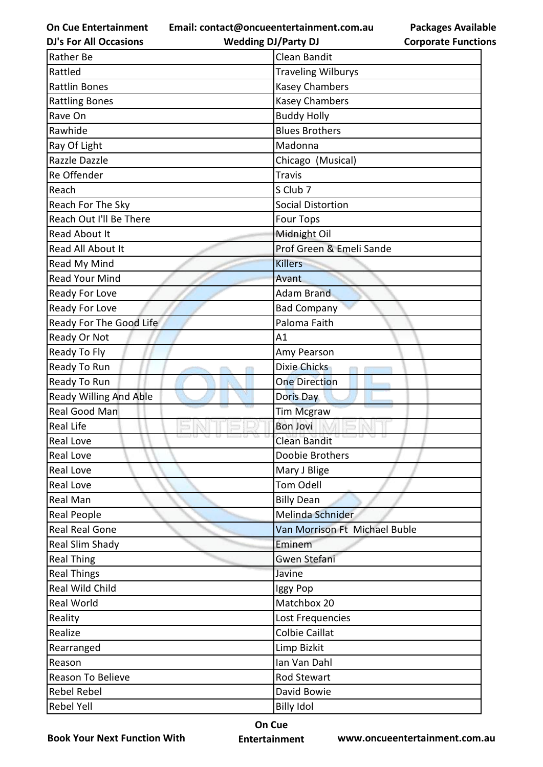**Email: contact@oncueentertainment.com.au Wedding DJ/Party DJ** 

**DJ's For All Occasions**

**Corporate Functions**

**Packages Available** 

| <b>Rather Be</b>              | Clean Bandit                  |
|-------------------------------|-------------------------------|
| Rattled                       | <b>Traveling Wilburys</b>     |
| <b>Rattlin Bones</b>          | <b>Kasey Chambers</b>         |
| <b>Rattling Bones</b>         | Kasey Chambers                |
| Rave On                       | <b>Buddy Holly</b>            |
| Rawhide                       | <b>Blues Brothers</b>         |
| Ray Of Light                  | Madonna                       |
| Razzle Dazzle                 | Chicago (Musical)             |
| Re Offender                   | <b>Travis</b>                 |
| Reach                         | S Club 7                      |
| Reach For The Sky             | <b>Social Distortion</b>      |
| Reach Out I'll Be There       | <b>Four Tops</b>              |
| <b>Read About It</b>          | Midnight Oil                  |
| Read All About It             | Prof Green & Emeli Sande      |
| Read My Mind                  | <b>Killers</b>                |
| <b>Read Your Mind</b>         | Avant                         |
| Ready For Love                | <b>Adam Brand</b>             |
| Ready For Love                | <b>Bad Company</b>            |
| Ready For The Good Life       | Paloma Faith                  |
| Ready Or Not                  | A1                            |
| Ready To Fly                  | Amy Pearson                   |
| Ready To Run                  | <b>Dixie Chicks</b>           |
| Ready To Run                  | <b>One Direction</b>          |
| <b>Ready Willing And Able</b> | Doris Day                     |
| <b>Real Good Man</b>          | <b>Tim Mcgraw</b>             |
| Real Life                     | <b>Bon Jovi</b>               |
| <b>Real Love</b>              | <b>Clean Bandit</b>           |
| <b>Real Love</b>              | Doobie Brothers               |
| <b>Real Love</b>              | Mary J Blige                  |
| <b>Real Love</b>              | <b>Tom Odell</b>              |
| <b>Real Man</b>               | <b>Billy Dean</b>             |
| <b>Real People</b>            | Melinda Schnider              |
| Real Real Gone                | Van Morrison Ft Michael Buble |
| Real Slim Shady               | Eminem                        |
| <b>Real Thing</b>             | Gwen Stefani                  |
| <b>Real Things</b>            | Javine                        |
| <b>Real Wild Child</b>        | Iggy Pop                      |
| Real World                    | Matchbox 20                   |
| Reality                       | Lost Frequencies              |
| Realize                       | <b>Colbie Caillat</b>         |
| Rearranged                    | Limp Bizkit                   |
| Reason                        | Ian Van Dahl                  |
| Reason To Believe             | Rod Stewart                   |
| <b>Rebel Rebel</b>            | David Bowie                   |
| Rebel Yell                    | <b>Billy Idol</b>             |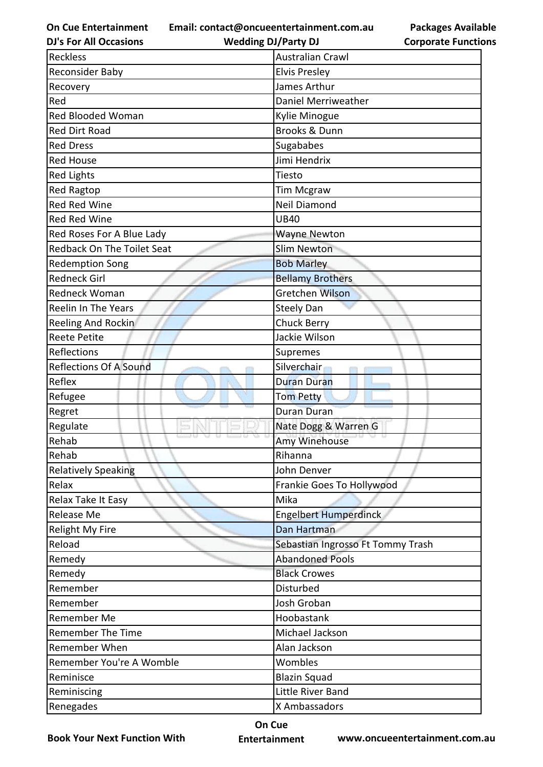**Email: contact@oncueentertainment.com.au**

**Packages Available Corporate Functions**

| <b>DJ's For All Occasions</b>     | <b>Wedding DJ/Party DJ</b>        | <b>Corporate Functio</b> |
|-----------------------------------|-----------------------------------|--------------------------|
| <b>Reckless</b>                   | <b>Australian Crawl</b>           |                          |
| Reconsider Baby                   | <b>Elvis Presley</b>              |                          |
| Recovery                          | James Arthur                      |                          |
| Red                               | Daniel Merriweather               |                          |
| <b>Red Blooded Woman</b>          | Kylie Minogue                     |                          |
| <b>Red Dirt Road</b>              | <b>Brooks &amp; Dunn</b>          |                          |
| <b>Red Dress</b>                  | Sugababes                         |                          |
| <b>Red House</b>                  | Jimi Hendrix                      |                          |
| <b>Red Lights</b>                 | Tiesto                            |                          |
| Red Ragtop                        | <b>Tim Mcgraw</b>                 |                          |
| Red Red Wine                      | Neil Diamond                      |                          |
| Red Red Wine                      | <b>UB40</b>                       |                          |
| Red Roses For A Blue Lady         | <b>Wayne Newton</b>               |                          |
| <b>Redback On The Toilet Seat</b> | <b>Slim Newton</b>                |                          |
| <b>Redemption Song</b>            | <b>Bob Marley</b>                 |                          |
| <b>Redneck Girl</b>               | <b>Bellamy Brothers</b>           |                          |
| Redneck Woman                     | Gretchen Wilson                   |                          |
| Reelin In The Years               | <b>Steely Dan</b>                 |                          |
| Reeling And Rockin                | <b>Chuck Berry</b>                |                          |
| <b>Reete Petite</b>               | Jackie Wilson                     |                          |
| Reflections                       | Supremes                          |                          |
| <b>Reflections Of A Sound</b>     | Silverchair                       |                          |
| Reflex                            | <b>Duran Duran</b>                |                          |
| Refugee                           | <b>Tom Petty</b>                  |                          |
| Regret                            | <b>Duran Duran</b>                |                          |
| Regulate                          | Nate Dogg & Warren G              |                          |
| Rehab                             | Amy Winehouse                     |                          |
| Rehab                             | Rihanna                           |                          |
| <b>Relatively Speaking</b>        | John Denver                       |                          |
| Relax                             | Frankie Goes To Hollywood         |                          |
| Relax Take It Easy                | Mika                              |                          |
| Release Me                        | <b>Engelbert Humperdinck</b>      |                          |
| <b>Relight My Fire</b>            | Dan Hartman                       |                          |
| Reload                            | Sebastian Ingrosso Ft Tommy Trash |                          |
| Remedy                            | <b>Abandoned Pools</b>            |                          |
| Remedy                            | <b>Black Crowes</b>               |                          |
| Remember                          | Disturbed                         |                          |
| Remember                          | Josh Groban                       |                          |
| Remember Me                       | Hoobastank                        |                          |
| <b>Remember The Time</b>          | Michael Jackson                   |                          |
| Remember When                     | Alan Jackson                      |                          |
| Remember You're A Womble          | Wombles                           |                          |
| Reminisce                         | <b>Blazin Squad</b>               |                          |
| Reminiscing                       | Little River Band                 |                          |
| Renegades                         | X Ambassadors                     |                          |

**Book Your Next Function With**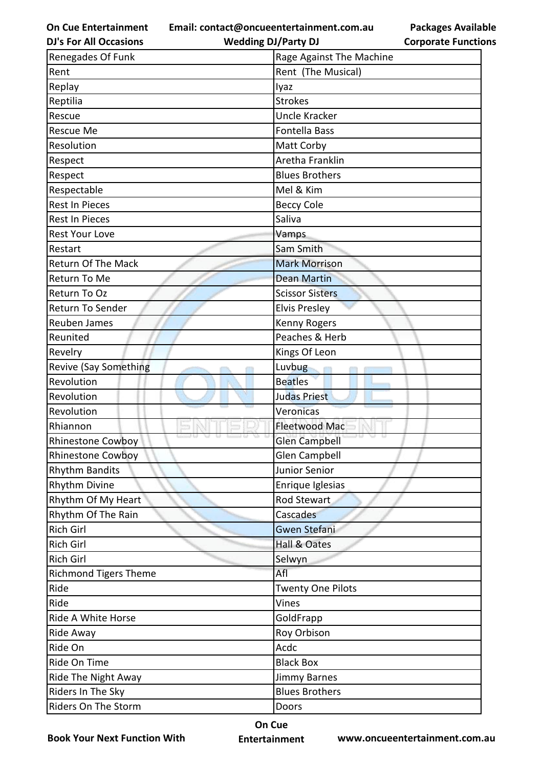**Email: contact@oncueentertainment.com.au**

**DJ's For All Occasions**

**Wedding DJ/Party DJ** 

**Packages Available Corporate Functions**

| Renegades Of Funk            | Rage Against The Machine |
|------------------------------|--------------------------|
| Rent                         | Rent (The Musical)       |
| Replay                       | lyaz                     |
| Reptilia                     | <b>Strokes</b>           |
| Rescue                       | <b>Uncle Kracker</b>     |
| <b>Rescue Me</b>             | Fontella Bass            |
| Resolution                   | Matt Corby               |
| Respect                      | Aretha Franklin          |
| Respect                      | <b>Blues Brothers</b>    |
| Respectable                  | Mel & Kim                |
| Rest In Pieces               | <b>Beccy Cole</b>        |
| <b>Rest In Pieces</b>        | Saliva                   |
| <b>Rest Your Love</b>        | Vamps                    |
| Restart                      | Sam Smith                |
| <b>Return Of The Mack</b>    | <b>Mark Morrison</b>     |
| Return To Me                 | <b>Dean Martin</b>       |
| Return To Oz                 | <b>Scissor Sisters</b>   |
| Return To Sender             | <b>Elvis Presley</b>     |
| Reuben James                 | <b>Kenny Rogers</b>      |
| Reunited                     | Peaches & Herb           |
| Revelry                      | Kings Of Leon            |
| <b>Revive (Say Something</b> | Luvbug                   |
| Revolution                   | <b>Beatles</b>           |
| Revolution                   | <b>Judas Priest</b>      |
| Revolution                   | Veronicas                |
| Rhiannon                     | <b>Fleetwood Mac</b>     |
| <b>Rhinestone Cowboy</b>     | Glen Campbell            |
| <b>Rhinestone Cowboy</b>     | <b>Glen Campbell</b>     |
| <b>Rhythm Bandits</b>        | Junior Senior            |
| <b>Rhythm Divine</b>         | Enrique Iglesias         |
| Rhythm Of My Heart           | Rod Stewart              |
| Rhythm Of The Rain           | Cascades                 |
| Rich Girl                    | Gwen Stefani             |
| Rich Girl                    | Hall & Oates             |
| <b>Rich Girl</b>             | Selwyn                   |
| <b>Richmond Tigers Theme</b> | Afl                      |
| Ride                         | <b>Twenty One Pilots</b> |
| Ride                         | Vines                    |
| Ride A White Horse           | GoldFrapp                |
| Ride Away                    | Roy Orbison              |
| Ride On                      | Acdc                     |
| Ride On Time                 | <b>Black Box</b>         |
| Ride The Night Away          | <b>Jimmy Barnes</b>      |
| Riders In The Sky            | <b>Blues Brothers</b>    |
| Riders On The Storm          | Doors                    |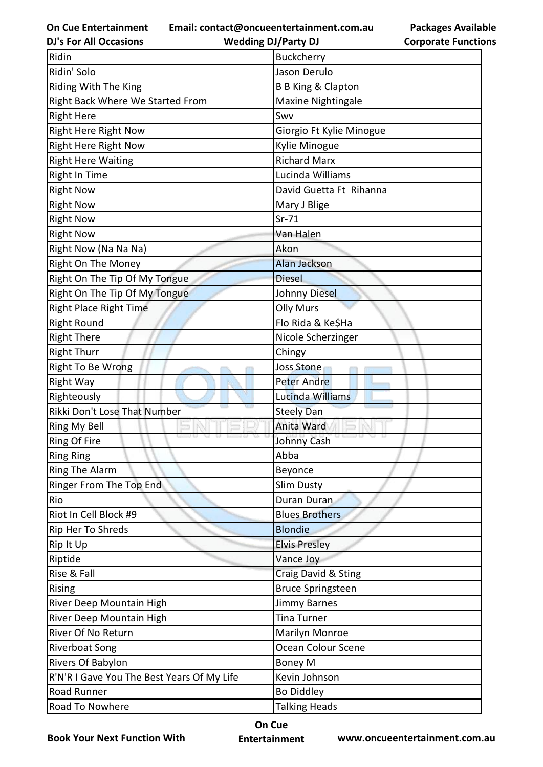**Email: contact@oncueentertainment.com.au**

**Packages Available Corporate Functions**

| <b>DJ's For All Occasions</b>              | <b>Wedding DJ/Party DJ</b>    | <b>Corporate Functio</b> |
|--------------------------------------------|-------------------------------|--------------------------|
| Ridin                                      | Buckcherry                    |                          |
| Ridin' Solo                                | Jason Derulo                  |                          |
| Riding With The King                       | <b>B B King &amp; Clapton</b> |                          |
| Right Back Where We Started From           | Maxine Nightingale            |                          |
| <b>Right Here</b>                          | Swv                           |                          |
| <b>Right Here Right Now</b>                | Giorgio Ft Kylie Minogue      |                          |
| Right Here Right Now                       | Kylie Minogue                 |                          |
| <b>Right Here Waiting</b>                  | <b>Richard Marx</b>           |                          |
| <b>Right In Time</b>                       | Lucinda Williams              |                          |
| <b>Right Now</b>                           | David Guetta Ft Rihanna       |                          |
| <b>Right Now</b>                           | Mary J Blige                  |                          |
| <b>Right Now</b>                           | $Sr-71$                       |                          |
| <b>Right Now</b>                           | Van Halen                     |                          |
| Right Now (Na Na Na)                       | Akon                          |                          |
| Right On The Money                         | <b>Alan Jackson</b>           |                          |
| Right On The Tip Of My Tongue              | <b>Diesel</b>                 |                          |
| Right On The Tip Of My Tongue              | Johnny Diesel                 |                          |
| <b>Right Place Right Time</b>              | <b>Olly Murs</b>              |                          |
| <b>Right Round</b>                         | Flo Rida & Ke\$Ha             |                          |
| <b>Right There</b>                         | Nicole Scherzinger            |                          |
| <b>Right Thurr</b>                         | Chingy                        |                          |
| Right To Be Wrong                          | <b>Joss Stone</b>             |                          |
| <b>Right Way</b>                           | <b>Peter Andre</b>            |                          |
| Righteously                                | Lucinda Williams              |                          |
| Rikki Don't Lose That Number               | <b>Steely Dan</b>             |                          |
| Ring My Bell                               | Anita Ward                    |                          |
| <b>Ring Of Fire</b>                        | Johnny Cash                   |                          |
| <b>Ring Ring</b>                           | Abba                          |                          |
| Ring The Alarm                             | Beyonce                       |                          |
| Ringer From The Top End                    | <b>Slim Dusty</b>             |                          |
| Rio                                        | Duran Duran                   |                          |
| Riot In Cell Block #9                      | <b>Blues Brothers</b>         |                          |
| Rip Her To Shreds                          | <b>Blondie</b>                |                          |
| Rip It Up                                  | <b>Elvis Presley</b>          |                          |
| Riptide                                    | Vance Joy                     |                          |
| Rise & Fall                                | Craig David & Sting           |                          |
| Rising                                     | <b>Bruce Springsteen</b>      |                          |
| River Deep Mountain High                   | <b>Jimmy Barnes</b>           |                          |
| River Deep Mountain High                   | <b>Tina Turner</b>            |                          |
| River Of No Return                         | Marilyn Monroe                |                          |
| <b>Riverboat Song</b>                      | Ocean Colour Scene            |                          |
| Rivers Of Babylon                          | <b>Boney M</b>                |                          |
| R'N'R I Gave You The Best Years Of My Life | Kevin Johnson                 |                          |
| Road Runner                                | <b>Bo Diddley</b>             |                          |
| Road To Nowhere                            | <b>Talking Heads</b>          |                          |

**Book Your Next Function With**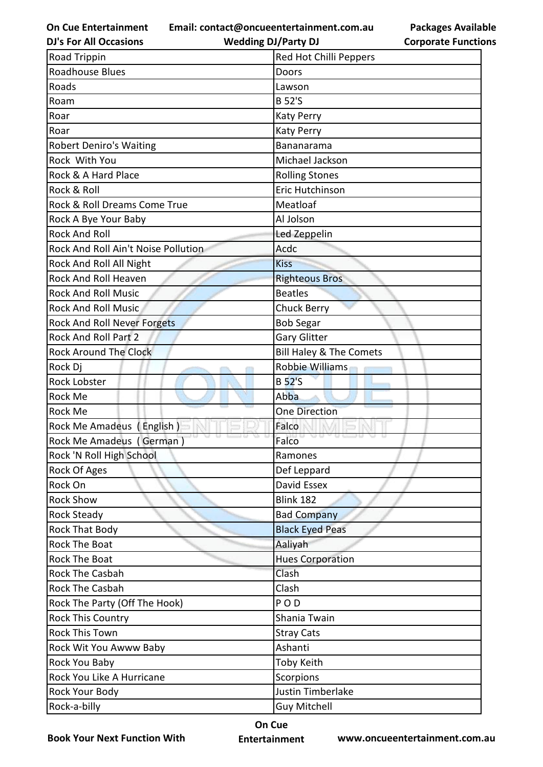**Email: contact@oncueentertainment.com.au**

**DJ's For All Occasions**

**Wedding DJ/Party DJ** 

**Packages Available Corporate Functions**

| <b>Road Trippin</b>                 | Red Hot Chilli Peppers             |
|-------------------------------------|------------------------------------|
| <b>Roadhouse Blues</b>              | Doors                              |
| Roads                               | Lawson                             |
| Roam                                | <b>B</b> 52'S                      |
| Roar                                | <b>Katy Perry</b>                  |
| Roar                                | <b>Katy Perry</b>                  |
| <b>Robert Deniro's Waiting</b>      | <b>Bananarama</b>                  |
| Rock With You                       | Michael Jackson                    |
| Rock & A Hard Place                 | <b>Rolling Stones</b>              |
| Rock & Roll                         | Eric Hutchinson                    |
| Rock & Roll Dreams Come True        | Meatloaf                           |
| Rock A Bye Your Baby                | Al Jolson                          |
| <b>Rock And Roll</b>                | Led Zeppelin                       |
| Rock And Roll Ain't Noise Pollution | Acdc                               |
| Rock And Roll All Night             | <b>Kiss</b>                        |
| Rock And Roll Heaven                | <b>Righteous Bros</b>              |
| <b>Rock And Roll Music</b>          | <b>Beatles</b>                     |
| <b>Rock And Roll Music</b>          | <b>Chuck Berry</b>                 |
| Rock And Roll Never Forgets         | <b>Bob Segar</b>                   |
| <b>Rock And Roll Part 2</b>         | <b>Gary Glitter</b>                |
| <b>Rock Around The Clock</b>        | <b>Bill Haley &amp; The Comets</b> |
| Rock Dj                             | Robbie Williams                    |
| <b>Rock Lobster</b>                 | <b>B</b> 52'S                      |
| Rock Me                             | Abba                               |
| <b>Rock Me</b>                      | <b>One Direction</b>               |
| Rock Me Amadeus (English)           | Falco                              |
| Rock Me Amadeus (German)            | Falco                              |
| Rock 'N Roll High School            | Ramones                            |
| Rock Of Ages                        | Def Leppard                        |
| Rock On                             | David Essex                        |
| <b>Rock Show</b>                    | Blink 182                          |
| <b>Rock Steady</b>                  | <b>Bad Company</b>                 |
| Rock That Body                      | <b>Black Eyed Peas</b>             |
| Rock The Boat                       | Aaliyah                            |
| <b>Rock The Boat</b>                | <b>Hues Corporation</b>            |
| Rock The Casbah                     | Clash                              |
| Rock The Casbah                     | Clash                              |
| Rock The Party (Off The Hook)       | <b>POD</b>                         |
| <b>Rock This Country</b>            | Shania Twain                       |
| <b>Rock This Town</b>               | <b>Stray Cats</b>                  |
| Rock Wit You Awww Baby              | Ashanti                            |
| Rock You Baby                       | <b>Toby Keith</b>                  |
| Rock You Like A Hurricane           | Scorpions                          |
| Rock Your Body                      | Justin Timberlake                  |
| Rock-a-billy                        | <b>Guy Mitchell</b>                |

**Book Your Next Function With**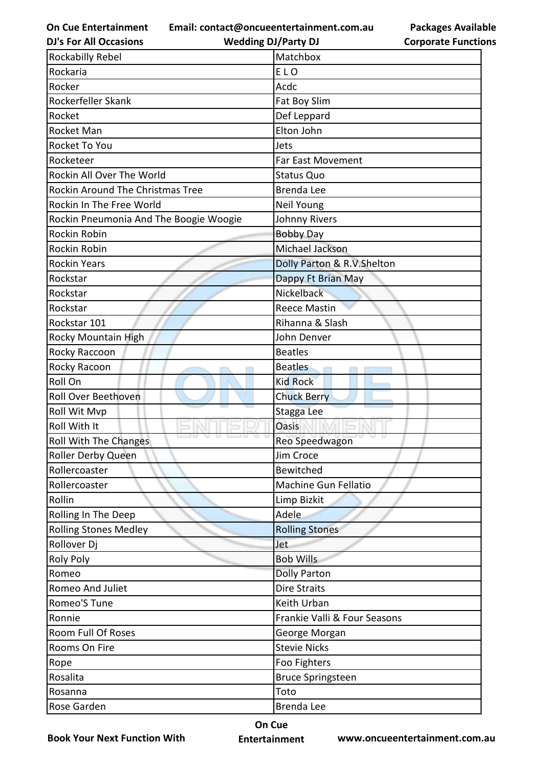**Email: contact@oncueentertainment.com.au**

**DJ's For All Occasions**

**Wedding DJ/Party DJ** 

**Packages Available Corporate Functions**

| <b>Rockabilly Rebel</b>                 | Matchbox                     |
|-----------------------------------------|------------------------------|
| Rockaria                                | ELO                          |
| Rocker                                  | Acdc                         |
| Rockerfeller Skank                      | Fat Boy Slim                 |
| Rocket                                  | Def Leppard                  |
| Rocket Man                              | Elton John                   |
| Rocket To You                           | Jets                         |
| Rocketeer                               | <b>Far East Movement</b>     |
| Rockin All Over The World               | <b>Status Quo</b>            |
| <b>Rockin Around The Christmas Tree</b> | <b>Brenda Lee</b>            |
| Rockin In The Free World                | Neil Young                   |
| Rockin Pneumonia And The Boogie Woogie  | Johnny Rivers                |
| Rockin Robin                            | <b>Bobby Day</b>             |
| Rockin Robin                            | Michael Jackson              |
| <b>Rockin Years</b>                     | Dolly Parton & R.V.Shelton   |
| Rockstar                                | Dappy Ft Brian May           |
| Rockstar                                | Nickelback                   |
| Rockstar                                | <b>Reece Mastin</b>          |
| Rockstar 101                            | Rihanna & Slash              |
| Rocky Mountain High                     | John Denver                  |
| Rocky Raccoon                           | <b>Beatles</b>               |
| Rocky Racoon                            | <b>Beatles</b>               |
| Roll On                                 | <b>Kid Rock</b>              |
| Roll Over Beethoven                     | <b>Chuck Berry</b>           |
| Roll Wit Mvp                            | Stagga Lee                   |
| Roll With It                            | Oasis                        |
| Roll With The Changes                   | Reo Speedwagon               |
| Roller Derby Queen                      | Jim Croce                    |
| Rollercoaster                           | Bewitched                    |
| Rollercoaster                           | Machine Gun Fellatio         |
| Rollin                                  | Limp Bizkit                  |
| Rolling In The Deep                     | Adele                        |
| <b>Rolling Stones Medley</b>            | <b>Rolling Stones</b>        |
| Rollover Dj                             | Jet                          |
| <b>Roly Poly</b>                        | <b>Bob Wills</b>             |
| Romeo                                   | <b>Dolly Parton</b>          |
| Romeo And Juliet                        | <b>Dire Straits</b>          |
| Romeo'S Tune                            | Keith Urban                  |
| Ronnie                                  | Frankie Valli & Four Seasons |
| Room Full Of Roses                      | George Morgan                |
| Rooms On Fire                           | <b>Stevie Nicks</b>          |
| Rope                                    | Foo Fighters                 |
| Rosalita                                | <b>Bruce Springsteen</b>     |
| Rosanna                                 | Toto                         |
| Rose Garden                             | Brenda Lee                   |

**Book Your Next Function With**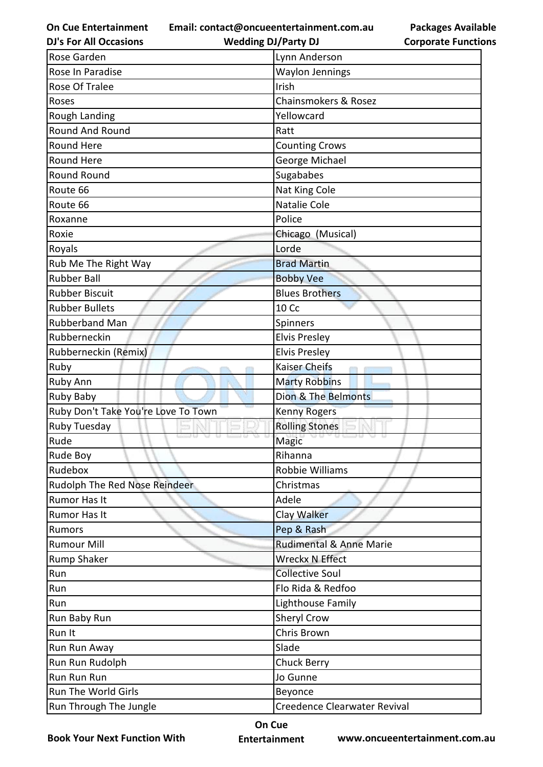**On Cue Entertainment DJ's For All Occasions**

**Email: contact@oncueentertainment.com.au**

**Wedding DJ/Party DJ** 

| Lynn Anderson           |
|-------------------------|
| <b>Waylon Jennings</b>  |
| Irish                   |
| Chainsmokers & Rosez    |
| Yellowcard              |
| Ratt                    |
| <b>Counting Crows</b>   |
| George Michael          |
| Sugababes               |
| Nat King Cole           |
| Natalie Cole            |
| Police                  |
| Chicago (Musical)       |
| Lorde                   |
| <b>Brad Martin</b>      |
| <b>Bobby Vee</b>        |
| <b>Blues Brothers</b>   |
| <b>10 Cc</b>            |
| Spinners                |
| <b>Elvis Presley</b>    |
| <b>Elvis Presley</b>    |
| <b>Kaiser Cheifs</b>    |
| <b>Marty Robbins</b>    |
| Dion & The Belmonts     |
| <b>Kenny Rogers</b>     |
| <b>Rolling Stones</b>   |
| Magic                   |
| Rihanna                 |
| Robbie Williams         |
| Christmas               |
| Adele                   |
| Clay Walker             |
| Pep & Rash              |
| Rudimental & Anne Marie |
| <b>Wreckx N Effect</b>  |
| <b>Collective Soul</b>  |
| Flo Rida & Redfoo       |
| Lighthouse Family       |
| Sheryl Crow             |
| Chris Brown             |
| Slade                   |
| Chuck Berry             |
| Jo Gunne                |
|                         |
| Beyonce                 |
|                         |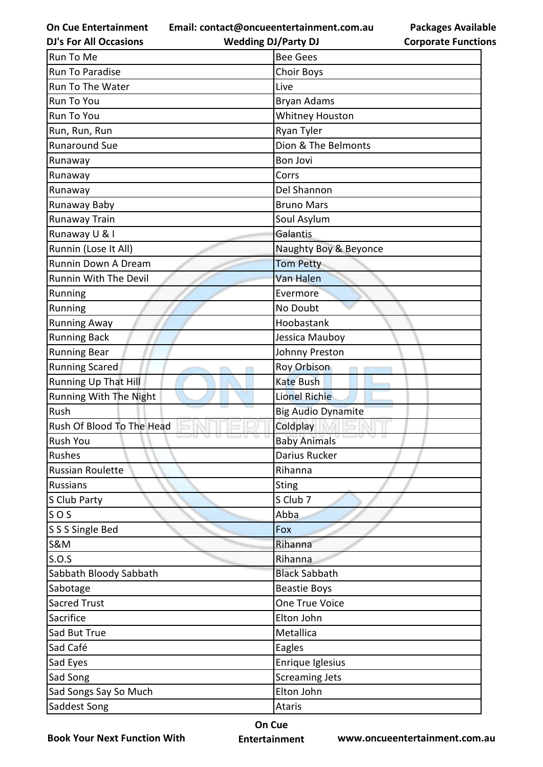**Email: contact@oncueentertainment.com.au**

**DJ's For All Occasions**

**Wedding DJ/Party DJ** 

**Packages Available Corporate Functions**

| Run To Me                 | <b>Bee Gees</b>           |
|---------------------------|---------------------------|
| Run To Paradise           | <b>Choir Boys</b>         |
| Run To The Water          | Live                      |
| Run To You                | <b>Bryan Adams</b>        |
| Run To You                | <b>Whitney Houston</b>    |
| Run, Run, Run             | Ryan Tyler                |
| <b>Runaround Sue</b>      | Dion & The Belmonts       |
| Runaway                   | Bon Jovi                  |
| Runaway                   | Corrs                     |
| Runaway                   | Del Shannon               |
| Runaway Baby              | <b>Bruno Mars</b>         |
| Runaway Train             | Soul Asylum               |
| Runaway U & I             | Galantis                  |
| Runnin (Lose It All)      | Naughty Boy & Beyonce     |
| Runnin Down A Dream       | <b>Tom Petty</b>          |
| Runnin With The Devil     | <b>Van Halen</b>          |
| Running                   | Evermore                  |
| Running                   | No Doubt                  |
| <b>Running Away</b>       | Hoobastank                |
| <b>Running Back</b>       | Jessica Mauboy            |
| <b>Running Bear</b>       | Johnny Preston            |
| <b>Running Scared</b>     | Roy Orbison               |
| Running Up That Hill      | <b>Kate Bush</b>          |
| Running With The Night    | <b>Lionel Richie</b>      |
| Rush                      | <b>Big Audio Dynamite</b> |
| Rush Of Blood To The Head | Coldplay                  |
| Rush You                  | <b>Baby Animals</b>       |
| Rushes                    | Darius Rucker             |
| <b>Russian Roulette</b>   | Rihanna                   |
| <b>Russians</b>           | <b>Sting</b>              |
| S Club Party              | S Club 7                  |
| SOS                       | Abba                      |
| S S S Single Bed          | Fox                       |
| S&M                       | Rihanna                   |
| S.O.S                     | Rihanna                   |
| Sabbath Bloody Sabbath    | <b>Black Sabbath</b>      |
| Sabotage                  | <b>Beastie Boys</b>       |
| <b>Sacred Trust</b>       | One True Voice            |
| Sacrifice                 | Elton John                |
| Sad But True              | Metallica                 |
| Sad Café                  | Eagles                    |
| Sad Eyes                  | Enrique Iglesius          |
| Sad Song                  | <b>Screaming Jets</b>     |
| Sad Songs Say So Much     | Elton John                |
| Saddest Song              | Ataris                    |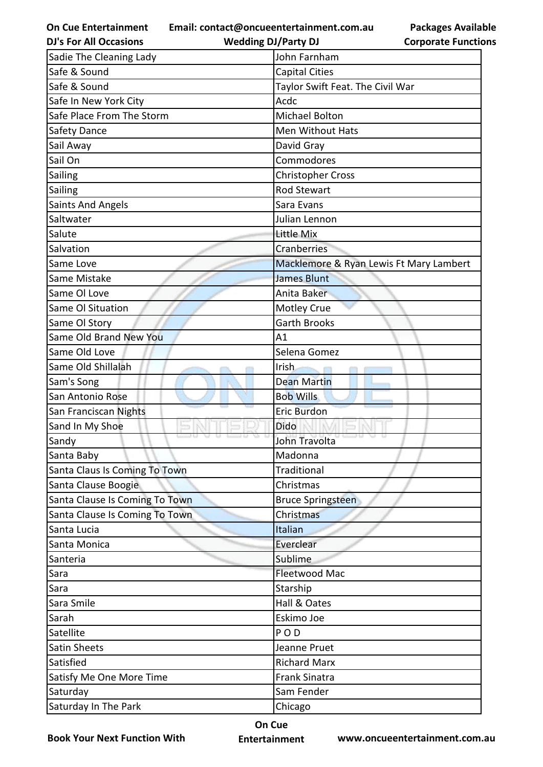**Email: contact@oncueentertainment.com.au**

**Packages Available Corporate Functions**

| <b>DJ's For All Occasions</b>  | <b>Wedding DJ/Party DJ</b>       | <b>Corporate Functio</b>                |
|--------------------------------|----------------------------------|-----------------------------------------|
| Sadie The Cleaning Lady        | John Farnham                     |                                         |
| Safe & Sound                   | <b>Capital Cities</b>            |                                         |
| Safe & Sound                   | Taylor Swift Feat. The Civil War |                                         |
| Safe In New York City          | Acdc                             |                                         |
| Safe Place From The Storm      | <b>Michael Bolton</b>            |                                         |
| <b>Safety Dance</b>            | <b>Men Without Hats</b>          |                                         |
| Sail Away                      | David Gray                       |                                         |
| Sail On                        | Commodores                       |                                         |
| Sailing                        | <b>Christopher Cross</b>         |                                         |
| Sailing                        | <b>Rod Stewart</b>               |                                         |
| <b>Saints And Angels</b>       | Sara Evans                       |                                         |
| Saltwater                      | Julian Lennon                    |                                         |
| Salute                         | Little Mix                       |                                         |
| Salvation                      | Cranberries                      |                                         |
| Same Love                      |                                  | Macklemore & Ryan Lewis Ft Mary Lambert |
| Same Mistake                   | <b>James Blunt</b>               |                                         |
| Same OI Love                   | Anita Baker                      |                                         |
| Same Ol Situation              | <b>Motley Crue</b>               |                                         |
| Same Ol Story                  | <b>Garth Brooks</b>              |                                         |
| Same Old Brand New You         | A1                               |                                         |
| Same Old Love                  | Selena Gomez                     |                                         |
| Same Old Shillalah             | Irish.                           |                                         |
| Sam's Song                     | <b>Dean Martin</b>               |                                         |
| San Antonio Rose               | <b>Bob Wills</b>                 |                                         |
| San Franciscan Nights          | Eric Burdon                      |                                         |
| Sand In My Shoe                | Dido                             |                                         |
| Sandy                          | John Travolta                    |                                         |
| Santa Baby                     | Madonna                          |                                         |
| Santa Claus Is Coming To Town  | Traditional                      |                                         |
| Santa Clause Boogie            | Christmas                        |                                         |
| Santa Clause Is Coming To Town | <b>Bruce Springsteen</b>         |                                         |
| Santa Clause Is Coming To Town | Christmas                        |                                         |
| Santa Lucia                    | Italian                          |                                         |
| Santa Monica                   | Everclear                        |                                         |
| Santeria                       | Sublime                          |                                         |
| Sara                           | Fleetwood Mac                    |                                         |
| Sara                           | Starship                         |                                         |
| Sara Smile                     | Hall & Oates                     |                                         |
| Sarah                          | Eskimo Joe                       |                                         |
| Satellite                      | POD                              |                                         |
| <b>Satin Sheets</b>            | Jeanne Pruet                     |                                         |
| Satisfied                      | <b>Richard Marx</b>              |                                         |
| Satisfy Me One More Time       | <b>Frank Sinatra</b>             |                                         |
| Saturday                       | Sam Fender                       |                                         |
| Saturday In The Park           | Chicago                          |                                         |

**Book Your Next Function With**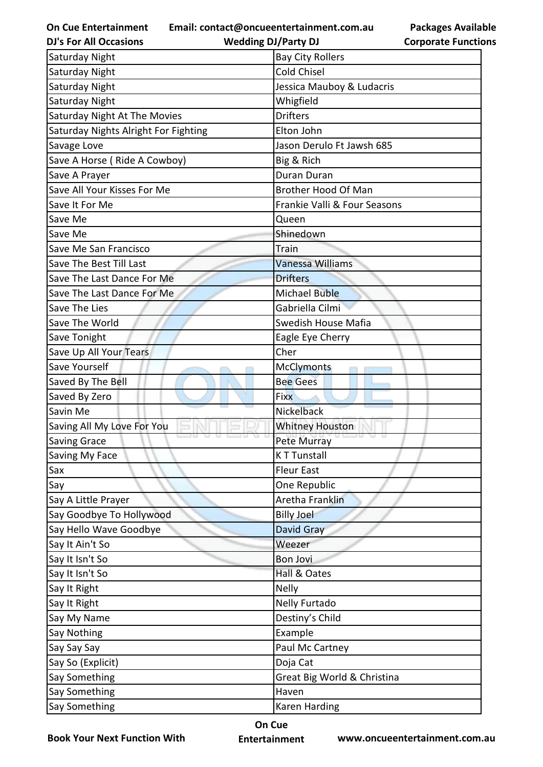**Email: contact@oncueentertainment.com.au**

**Wedding DJ/Party DJ** 

**Packages Available Corporate Functions**

| <b>DJ's For All Occasions</b>        | <b>Wedding DJ/Party DJ</b>   | <b>Corporate Functio</b> |
|--------------------------------------|------------------------------|--------------------------|
| Saturday Night                       | <b>Bay City Rollers</b>      |                          |
| Saturday Night                       | <b>Cold Chisel</b>           |                          |
| Saturday Night                       | Jessica Mauboy & Ludacris    |                          |
| Saturday Night                       | Whigfield                    |                          |
| Saturday Night At The Movies         | <b>Drifters</b>              |                          |
| Saturday Nights Alright For Fighting | Elton John                   |                          |
| Savage Love                          | Jason Derulo Ft Jawsh 685    |                          |
| Save A Horse (Ride A Cowboy)         | Big & Rich                   |                          |
| Save A Prayer                        | Duran Duran                  |                          |
| Save All Your Kisses For Me          | Brother Hood Of Man          |                          |
| Save It For Me                       | Frankie Valli & Four Seasons |                          |
| Save Me                              | Queen                        |                          |
| Save Me                              | Shinedown                    |                          |
| Save Me San Francisco                | Train                        |                          |
| Save The Best Till Last              | <b>Vanessa Williams</b>      |                          |
| Save The Last Dance For Me           | <b>Drifters</b>              |                          |
| Save The Last Dance For Me           | <b>Michael Buble</b>         |                          |
| Save The Lies                        | Gabriella Cilmi              |                          |
| Save The World                       | Swedish House Mafia          |                          |
| Save Tonight                         | Eagle Eye Cherry             |                          |
| Save Up All Your Tears               | Cher                         |                          |
| Save Yourself                        | <b>McClymonts</b>            |                          |
| Saved By The Bell                    | <b>Bee Gees</b>              |                          |
| Saved By Zero                        | <b>Fixx</b>                  |                          |
| Savin Me                             | Nickelback                   |                          |
| Saving All My Love For You           | <b>Whitney Houston</b>       |                          |
| <b>Saving Grace</b>                  | Pete Murray                  |                          |
| Saving My Face                       | <b>KT Tunstall</b>           |                          |
| Sax                                  | <b>Fleur East</b>            |                          |
| Say                                  | One Republic                 |                          |
| Say A Little Prayer                  | Aretha Franklin              |                          |
| Say Goodbye To Hollywood             | <b>Billy Joel</b>            |                          |
| Say Hello Wave Goodbye               | David Gray                   |                          |
| Say It Ain't So                      | Weezer                       |                          |
| Say It Isn't So                      | <b>Bon Jovi</b>              |                          |
| Say It Isn't So                      | Hall & Oates                 |                          |
| Say It Right                         | <b>Nelly</b>                 |                          |
| Say It Right                         | Nelly Furtado                |                          |
| Say My Name                          | Destiny's Child              |                          |
| Say Nothing                          | Example                      |                          |
| Say Say Say                          | Paul Mc Cartney              |                          |
| Say So (Explicit)                    | Doja Cat                     |                          |
| Say Something                        | Great Big World & Christina  |                          |
| Say Something                        | Haven                        |                          |
| <b>Say Something</b>                 | Karen Harding                |                          |
|                                      |                              |                          |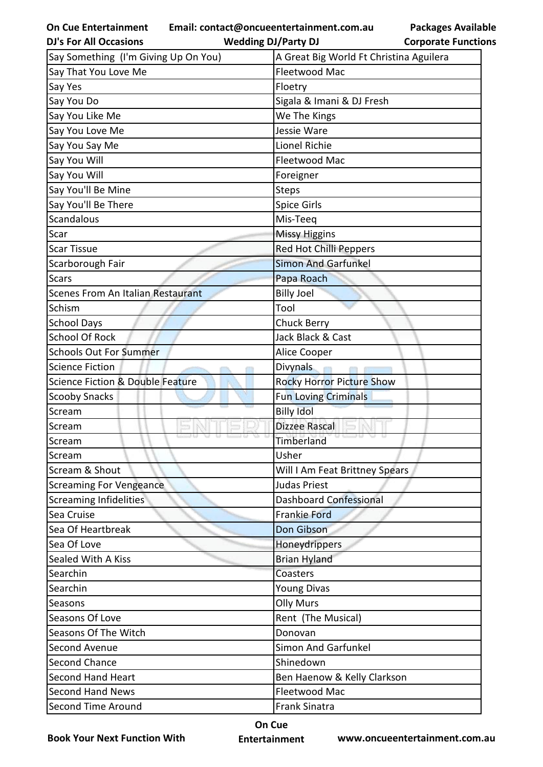**On Cue Entertainment Email: contact@oncueentertainment.com.au Wedding DJ/Party DJ** 

| <b>DJ's For All Occasions</b>        | <b>Wedding DJ/Party DJ</b>              | <b>Corporate Functio</b>    |  |
|--------------------------------------|-----------------------------------------|-----------------------------|--|
| Say Something (I'm Giving Up On You) | A Great Big World Ft Christina Aguilera |                             |  |
| Say That You Love Me                 | Fleetwood Mac                           |                             |  |
| Say Yes                              | Floetry                                 |                             |  |
| Say You Do                           | Sigala & Imani & DJ Fresh               |                             |  |
| Say You Like Me                      | We The Kings                            |                             |  |
| Say You Love Me                      | Jessie Ware                             |                             |  |
| Say You Say Me                       | <b>Lionel Richie</b>                    |                             |  |
| Say You Will                         | <b>Fleetwood Mac</b>                    |                             |  |
| Say You Will                         | Foreigner                               |                             |  |
| Say You'll Be Mine                   | <b>Steps</b>                            |                             |  |
| Say You'll Be There                  | <b>Spice Girls</b>                      |                             |  |
| <b>Scandalous</b>                    | Mis-Teeq                                |                             |  |
| Scar                                 | <b>Missy Higgins</b>                    |                             |  |
| <b>Scar Tissue</b>                   | Red Hot Chilli Peppers                  |                             |  |
| Scarborough Fair                     | <b>Simon And Garfunkel</b>              |                             |  |
| <b>Scars</b>                         | Papa Roach                              |                             |  |
| Scenes From An Italian Restaurant    | <b>Billy Joel</b>                       |                             |  |
| Schism                               | Tool                                    |                             |  |
| <b>School Days</b>                   | <b>Chuck Berry</b>                      |                             |  |
| <b>School Of Rock</b>                | Jack Black & Cast                       |                             |  |
| <b>Schools Out For Summer</b>        | Alice Cooper                            |                             |  |
| <b>Science Fiction</b>               | <b>Divynals</b>                         |                             |  |
| Science Fiction & Double Feature     | <b>Rocky Horror Picture Show</b>        |                             |  |
| <b>Scooby Snacks</b>                 | <b>Fun Loving Criminals</b>             |                             |  |
| Scream                               | <b>Billy Idol</b>                       |                             |  |
| Scream                               | <b>Dizzee Rascal</b>                    |                             |  |
| Scream                               | Timberland                              |                             |  |
| Scream                               | Usher                                   |                             |  |
| Scream & Shout                       | Will I Am Feat Brittney Spears          |                             |  |
| <b>Screaming For Vengeance</b>       | <b>Judas Priest</b>                     |                             |  |
| <b>Screaming Infidelities</b>        | <b>Dashboard Confessional</b>           |                             |  |
| Sea Cruise                           | <b>Frankie Ford</b>                     |                             |  |
| Sea Of Heartbreak                    | Don Gibson                              |                             |  |
| Sea Of Love                          | Honeydrippers                           |                             |  |
| Sealed With A Kiss                   | <b>Brian Hyland</b>                     |                             |  |
| Searchin                             | Coasters                                |                             |  |
| Searchin                             | <b>Young Divas</b>                      |                             |  |
| Seasons                              | <b>Olly Murs</b>                        |                             |  |
| Seasons Of Love                      | Rent (The Musical)                      |                             |  |
| Seasons Of The Witch                 | Donovan                                 |                             |  |
| Second Avenue                        | <b>Simon And Garfunkel</b>              |                             |  |
| <b>Second Chance</b>                 | Shinedown                               |                             |  |
| <b>Second Hand Heart</b>             |                                         | Ben Haenow & Kelly Clarkson |  |
| <b>Second Hand News</b>              | Fleetwood Mac                           |                             |  |
| Second Time Around                   | Frank Sinatra                           |                             |  |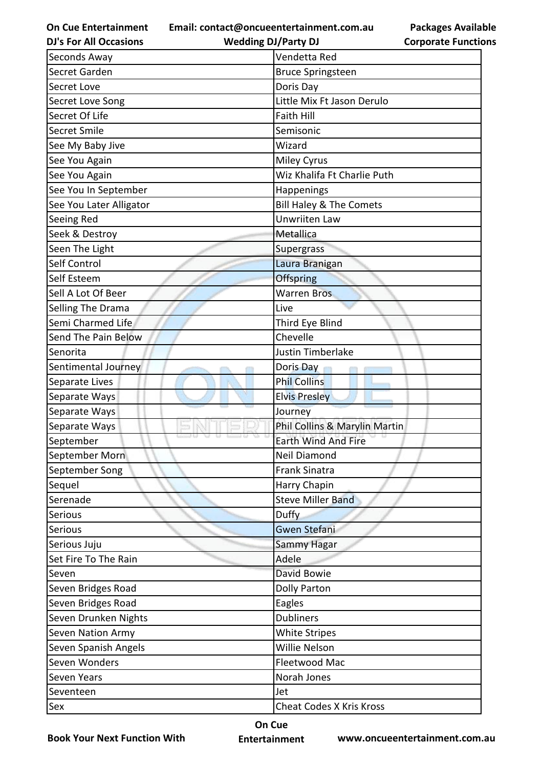**Email: contact@oncueentertainment.com.au Wedding DJ/Party DJ** 

**DJ's For All Occasions**

**Packages Available Corporate Functions**

| Seconds Away                | Vendetta Red                    |  |
|-----------------------------|---------------------------------|--|
| Secret Garden               | <b>Bruce Springsteen</b>        |  |
| Secret Love                 | Doris Day                       |  |
| Secret Love Song            | Little Mix Ft Jason Derulo      |  |
| Secret Of Life              | <b>Faith Hill</b>               |  |
| Secret Smile                | Semisonic                       |  |
| See My Baby Jive            | Wizard                          |  |
| See You Again               | <b>Miley Cyrus</b>              |  |
| See You Again               | Wiz Khalifa Ft Charlie Puth     |  |
| See You In September        | Happenings                      |  |
| See You Later Alligator     | Bill Haley & The Comets         |  |
| Seeing Red                  | Unwriiten Law                   |  |
| Seek & Destroy              | Metallica                       |  |
| Seen The Light              | Supergrass                      |  |
| Self Control                | Laura Branigan                  |  |
| Self Esteem                 | Offspring                       |  |
| Sell A Lot Of Beer          | <b>Warren Bros</b>              |  |
| Selling The Drama           | Live                            |  |
| Semi Charmed Life           | Third Eye Blind                 |  |
| Send The Pain Below         | Chevelle                        |  |
| Senorita                    | Justin Timberlake               |  |
| Sentimental Journey         | Doris Day                       |  |
| Separate Lives              | <b>Phil Collins</b>             |  |
| Separate Ways               | <b>Elvis Presley</b>            |  |
| <b>GLU</b><br>Separate Ways | Journey                         |  |
| Separate Ways               | Phil Collins & Marylin Martin   |  |
| September                   | <b>Earth Wind And Fire</b>      |  |
| September Morn              | Neil Diamond                    |  |
| September Song              | <b>Frank Sinatra</b>            |  |
| Sequel                      | Harry Chapin                    |  |
| Serenade                    | <b>Steve Miller Band</b>        |  |
| Serious                     | Duffy                           |  |
| Serious                     | <b>Gwen Stefani</b>             |  |
| Serious Juju                | Sammy Hagar                     |  |
| Set Fire To The Rain        | Adele                           |  |
| Seven                       | David Bowie                     |  |
| Seven Bridges Road          | <b>Dolly Parton</b>             |  |
| Seven Bridges Road          | Eagles                          |  |
| Seven Drunken Nights        | <b>Dubliners</b>                |  |
| Seven Nation Army           | <b>White Stripes</b>            |  |
| Seven Spanish Angels        | Willie Nelson                   |  |
| Seven Wonders               | Fleetwood Mac                   |  |
| Seven Years                 | Norah Jones                     |  |
| Seventeen                   | Jet                             |  |
| Sex                         | <b>Cheat Codes X Kris Kross</b> |  |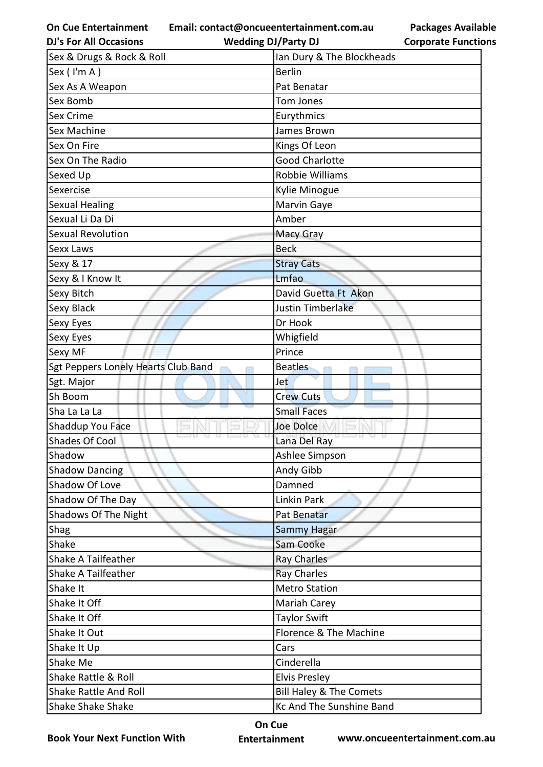**Email: contact@oncueentertainment.com.au**

**Packages Available Corporate Functions**

| <b>DJ's For All Occasions</b>       | <b>Wedding DJ/Party DJ</b>         | <b>Corporate Function</b> |  |
|-------------------------------------|------------------------------------|---------------------------|--|
| Sex & Drugs & Rock & Roll           | Ian Dury & The Blockheads          |                           |  |
| Sex (I'm A)                         | <b>Berlin</b>                      |                           |  |
| Sex As A Weapon                     | Pat Benatar                        |                           |  |
| Sex Bomb                            | <b>Tom Jones</b>                   |                           |  |
| Sex Crime                           | Eurythmics                         |                           |  |
| Sex Machine                         | James Brown                        |                           |  |
| Sex On Fire                         | Kings Of Leon                      |                           |  |
| Sex On The Radio                    | <b>Good Charlotte</b>              |                           |  |
| Sexed Up                            | Robbie Williams                    |                           |  |
| Sexercise                           | Kylie Minogue                      |                           |  |
| <b>Sexual Healing</b>               | Marvin Gaye                        |                           |  |
| Sexual Li Da Di                     | Amber                              |                           |  |
| <b>Sexual Revolution</b>            | <b>Macy Gray</b>                   |                           |  |
| Sexx Laws                           | <b>Beck</b>                        |                           |  |
| Sexy & 17                           | <b>Stray Cats</b>                  |                           |  |
| Sexy & I Know It                    | Lmfao                              |                           |  |
| Sexy Bitch                          | David Guetta Ft Akon               |                           |  |
| Sexy Black                          | Justin Timberlake                  |                           |  |
| Sexy Eyes                           | Dr Hook                            |                           |  |
| Sexy Eyes                           | Whigfield                          |                           |  |
| Sexy MF                             | Prince                             |                           |  |
| Sgt Peppers Lonely Hearts Club Band | <b>Beatles</b>                     |                           |  |
| Sgt. Major                          | <b>Jet</b>                         |                           |  |
| Sh Boom                             | <b>Crew Cuts</b>                   |                           |  |
| Sha La La La                        | <b>Small Faces</b>                 |                           |  |
| Shaddup You Face                    | <b>Joe Dolce</b>                   |                           |  |
| Shades Of Cool                      | Lana Del Ray                       |                           |  |
| Shadow                              | Ashlee Simpson                     |                           |  |
| <b>Shadow Dancing</b>               | Andy Gibb                          |                           |  |
| Shadow Of Love                      | Damned                             |                           |  |
| Shadow Of The Day                   | Linkin Park                        |                           |  |
| Shadows Of The Night                | Pat Benatar                        |                           |  |
| Shag                                | <b>Sammy Hagar</b>                 |                           |  |
| Shake                               | Sam Cooke                          |                           |  |
| Shake A Tailfeather                 | Ray Charles                        |                           |  |
| Shake A Tailfeather                 | <b>Ray Charles</b>                 |                           |  |
| Shake It                            | <b>Metro Station</b>               |                           |  |
| Shake It Off                        | Mariah Carey                       |                           |  |
| Shake It Off                        | Taylor Swift                       |                           |  |
| Shake It Out                        | Florence & The Machine             |                           |  |
| Shake It Up                         | Cars                               |                           |  |
| Shake Me                            | Cinderella                         |                           |  |
| Shake Rattle & Roll                 | <b>Elvis Presley</b>               |                           |  |
| <b>Shake Rattle And Roll</b>        | <b>Bill Haley &amp; The Comets</b> |                           |  |
| <b>Shake Shake Shake</b>            |                                    | Kc And The Sunshine Band  |  |

**Book Your Next Function With**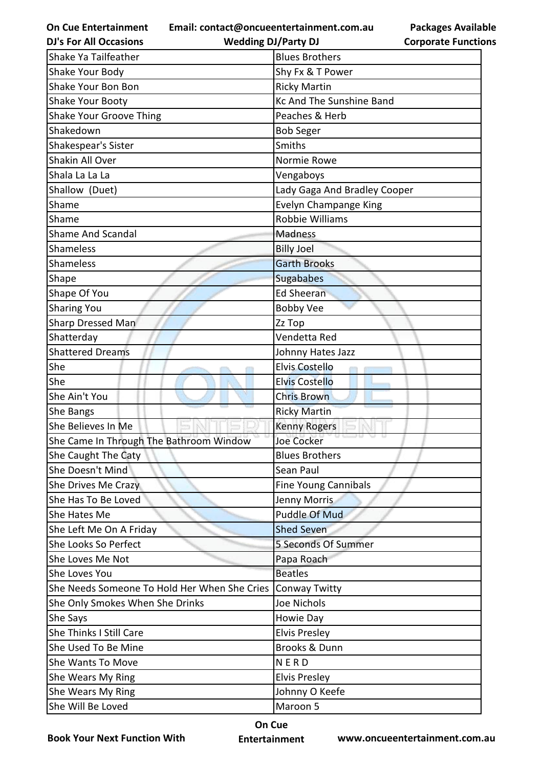|  |  |  | <b>On Cue Entertainment</b> |  |
|--|--|--|-----------------------------|--|
|--|--|--|-----------------------------|--|

**Email: contact@oncueentertainment.com.au**

**Packages Available Corporate Functions**

| <b>DJ's For All Occasions</b>                                                                              | <b>Wedding DJ/Party DJ</b>                                                                             | <b>Corporate Functio</b> |
|------------------------------------------------------------------------------------------------------------|--------------------------------------------------------------------------------------------------------|--------------------------|
| Shake Ya Tailfeather                                                                                       | <b>Blues Brothers</b>                                                                                  |                          |
| Shake Your Body                                                                                            | Shy Fx & T Power                                                                                       |                          |
| Shake Your Bon Bon                                                                                         | <b>Ricky Martin</b>                                                                                    |                          |
| Shake Your Booty                                                                                           | <b>Kc And The Sunshine Band</b>                                                                        |                          |
| <b>Shake Your Groove Thing</b>                                                                             | Peaches & Herb                                                                                         |                          |
| Shakedown                                                                                                  | <b>Bob Seger</b>                                                                                       |                          |
| Shakespear's Sister                                                                                        | Smiths                                                                                                 |                          |
| <b>Shakin All Over</b>                                                                                     | Normie Rowe                                                                                            |                          |
| Shala La La La                                                                                             | Vengaboys                                                                                              |                          |
| Shallow (Duet)                                                                                             | Lady Gaga And Bradley Cooper                                                                           |                          |
| Shame                                                                                                      | Evelyn Champange King                                                                                  |                          |
| Shame                                                                                                      | <b>Robbie Williams</b>                                                                                 |                          |
| <b>Shame And Scandal</b>                                                                                   | Madness                                                                                                |                          |
| Shameless                                                                                                  | <b>Billy Joel</b>                                                                                      |                          |
| Shameless                                                                                                  | <b>Garth Brooks</b>                                                                                    |                          |
| Shape                                                                                                      | Sugababes                                                                                              |                          |
| Shape Of You                                                                                               | <b>Ed Sheeran</b>                                                                                      |                          |
| <b>Sharing You</b>                                                                                         | <b>Bobby Vee</b>                                                                                       |                          |
| Sharp Dressed Man                                                                                          | Zz Top                                                                                                 |                          |
| Shatterday                                                                                                 | Vendetta Red                                                                                           |                          |
| <b>Shattered Dreams</b>                                                                                    | Johnny Hates Jazz                                                                                      |                          |
| She                                                                                                        | <b>Elvis Costello</b>                                                                                  |                          |
| She                                                                                                        | <b>Elvis Costello</b>                                                                                  |                          |
| She Ain't You                                                                                              | <b>Chris Brown</b>                                                                                     |                          |
| She Bangs                                                                                                  | <b>Ricky Martin</b>                                                                                    |                          |
| She Believes In Me                                                                                         | <b>Kenny Rogers</b>                                                                                    |                          |
| She Came In Through The Bathroom Window                                                                    | Joe Cocker                                                                                             |                          |
| She Caught The Caty                                                                                        | <b>Blues Brothers</b>                                                                                  |                          |
| She Doesn't Mind                                                                                           | Sean Paul                                                                                              |                          |
| She Drives Me Crazy                                                                                        | <b>Fine Young Cannibals</b>                                                                            |                          |
| She Has To Be Loved                                                                                        | <b>Jenny Morris</b>                                                                                    |                          |
| She Hates Me                                                                                               | <b>Puddle Of Mud</b>                                                                                   |                          |
| She Left Me On A Friday                                                                                    | <b>Shed Seven</b>                                                                                      |                          |
| She Looks So Perfect                                                                                       | <b>5 Seconds Of Summer</b>                                                                             |                          |
| She Loves Me Not                                                                                           | Papa Roach                                                                                             |                          |
| She Loves You                                                                                              | <b>Beatles</b>                                                                                         |                          |
| She Needs Someone To Hold Her When She Cries                                                               | Conway Twitty                                                                                          |                          |
|                                                                                                            |                                                                                                        |                          |
|                                                                                                            |                                                                                                        |                          |
| She Thinks I Still Care                                                                                    |                                                                                                        |                          |
| She Used To Be Mine                                                                                        | Brooks & Dunn                                                                                          |                          |
| She Wants To Move                                                                                          | <b>NERD</b>                                                                                            |                          |
|                                                                                                            |                                                                                                        |                          |
|                                                                                                            |                                                                                                        |                          |
|                                                                                                            |                                                                                                        |                          |
| She Only Smokes When She Drinks<br>She Says<br>She Wears My Ring<br>She Wears My Ring<br>She Will Be Loved | Joe Nichols<br>Howie Day<br><b>Elvis Presley</b><br><b>Elvis Presley</b><br>Johnny O Keefe<br>Maroon 5 |                          |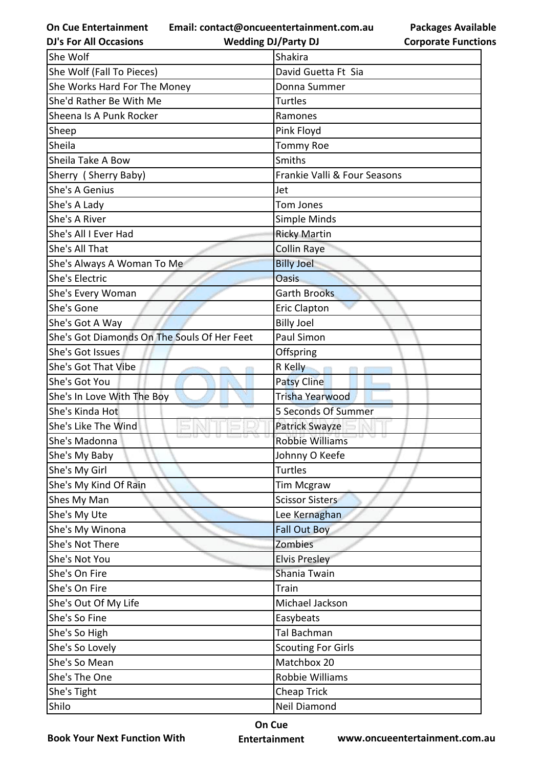**Email: contact@oncueentertainment.com.au**

**DJ's For All Occasions**

**Wedding DJ/Party DJ** 

| <b>Packages Available</b>  |
|----------------------------|
| <b>Corporate Functions</b> |

| She Wolf                                    | Shakira                      |
|---------------------------------------------|------------------------------|
| She Wolf (Fall To Pieces)                   | David Guetta Ft Sia          |
| She Works Hard For The Money                | Donna Summer                 |
| She'd Rather Be With Me                     | Turtles                      |
| Sheena Is A Punk Rocker                     | Ramones                      |
| Sheep                                       | Pink Floyd                   |
| Sheila                                      | <b>Tommy Roe</b>             |
| Sheila Take A Bow                           | Smiths                       |
| Sherry (Sherry Baby)                        | Frankie Valli & Four Seasons |
| She's A Genius                              | Jet                          |
| She's A Lady                                | <b>Tom Jones</b>             |
| She's A River                               | Simple Minds                 |
| She's All I Ever Had                        | <b>Ricky Martin</b>          |
| She's All That                              | Collin Raye                  |
| She's Always A Woman To Me                  | <b>Billy Joel</b>            |
| <b>She's Electric</b>                       | <b>Oasis</b>                 |
| She's Every Woman                           | <b>Garth Brooks</b>          |
| She's Gone                                  | <b>Eric Clapton</b>          |
| She's Got A Way                             | <b>Billy Joel</b>            |
| She's Got Diamonds On The Souls Of Her Feet | Paul Simon                   |
| She's Got Issues                            | Offspring                    |
| She's Got That Vibe                         | R Kelly                      |
| She's Got You                               | <b>Patsy Cline</b>           |
| She's In Love With The Boy                  | Trisha Yearwood              |
| She's Kinda Hot                             | 5 Seconds Of Summer          |
| She's Like The Wind                         | Patrick Swayze               |
| She's Madonna                               | <b>Robbie Williams</b>       |
| She's My Baby                               | Johnny O Keefe               |
| She's My Girl                               | Turtles                      |
| She's My Kind Of Rain                       | <b>Tim Mcgraw</b>            |
| Shes My Man                                 | <b>Scissor Sisters</b>       |
| She's My Ute                                | Lee Kernaghan                |
| She's My Winona                             | <b>Fall Out Boy</b>          |
| She's Not There                             | <b>Zombies</b>               |
| She's Not You                               | <b>Elvis Presley</b>         |
| She's On Fire                               | Shania Twain                 |
| She's On Fire                               | Train                        |
| She's Out Of My Life                        | Michael Jackson              |
| She's So Fine                               | Easybeats                    |
| She's So High                               | Tal Bachman                  |
| She's So Lovely                             | <b>Scouting For Girls</b>    |
| She's So Mean                               | Matchbox 20                  |
| She's The One                               | Robbie Williams              |
| She's Tight                                 | Cheap Trick                  |
| Shilo                                       | Neil Diamond                 |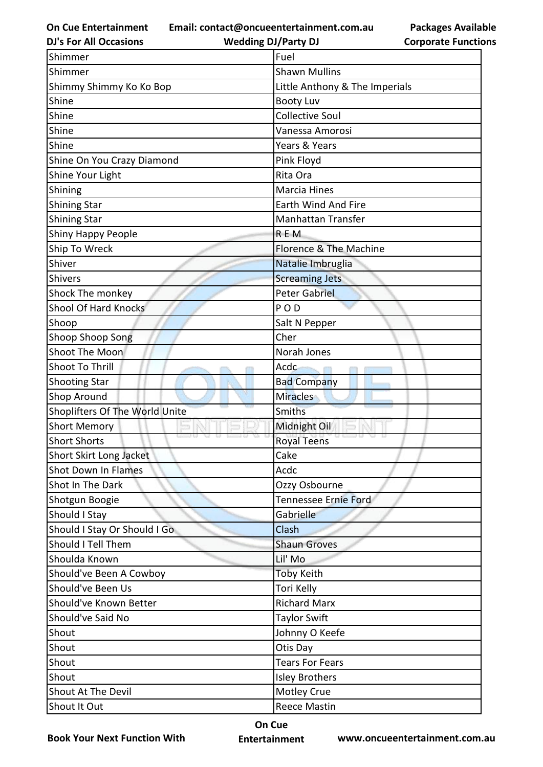**Email: contact@oncueentertainment.com.au**

**DJ's For All Occasions**

**Wedding DJ/Party DJ** 

**Packages Available Corporate Functions**

| Shimmer                        | Fuel                           |
|--------------------------------|--------------------------------|
| Shimmer                        | <b>Shawn Mullins</b>           |
| Shimmy Shimmy Ko Ko Bop        | Little Anthony & The Imperials |
| Shine                          | <b>Booty Luv</b>               |
| Shine                          | <b>Collective Soul</b>         |
| Shine                          | Vanessa Amorosi                |
| Shine                          | Years & Years                  |
| Shine On You Crazy Diamond     | Pink Floyd                     |
| Shine Your Light               | Rita Ora                       |
| Shining                        | <b>Marcia Hines</b>            |
| <b>Shining Star</b>            | Earth Wind And Fire            |
| <b>Shining Star</b>            | <b>Manhattan Transfer</b>      |
| Shiny Happy People             | REM                            |
| Ship To Wreck                  | Florence & The Machine         |
| Shiver                         | Natalie Imbruglia              |
| Shivers                        | <b>Screaming Jets</b>          |
| Shock The monkey               | <b>Peter Gabriel</b>           |
| Shool Of Hard Knocks           | POD                            |
| Shoop                          | Salt N Pepper                  |
| Shoop Shoop Song               | Cher                           |
| Shoot The Moon                 | Norah Jones                    |
| Shoot To Thrill                | Acdc                           |
| <b>Shooting Star</b>           | <b>Bad Company</b>             |
| Shop Around                    | <b>Miracles</b>                |
| Shoplifters Of The World Unite | <b>Smiths</b>                  |
| <b>Short Memory</b>            | Midnight Oil                   |
| <b>Short Shorts</b>            | <b>Royal Teens</b>             |
| Short Skirt Long Jacket        | Cake                           |
| <b>Shot Down In Flames</b>     | Acdc                           |
| Shot In The Dark               | Ozzy Osbourne                  |
| Shotgun Boogie                 | Tennessee Ernie Ford           |
| Should I Stay                  | Gabrielle                      |
| Should I Stay Or Should I Go   | Clash                          |
| Should I Tell Them             | <b>Shaun Groves</b>            |
| Shoulda Known                  | Lil' Mo                        |
| Should've Been A Cowboy        | <b>Toby Keith</b>              |
| Should've Been Us              | Tori Kelly                     |
| Should've Known Better         | <b>Richard Marx</b>            |
| Should've Said No              | <b>Taylor Swift</b>            |
| Shout                          | Johnny O Keefe                 |
| Shout                          | Otis Day                       |
| Shout                          | <b>Tears For Fears</b>         |
| Shout                          | <b>Isley Brothers</b>          |
| Shout At The Devil             | Motley Crue                    |
| Shout It Out                   | <b>Reece Mastin</b>            |

**Book Your Next Function With**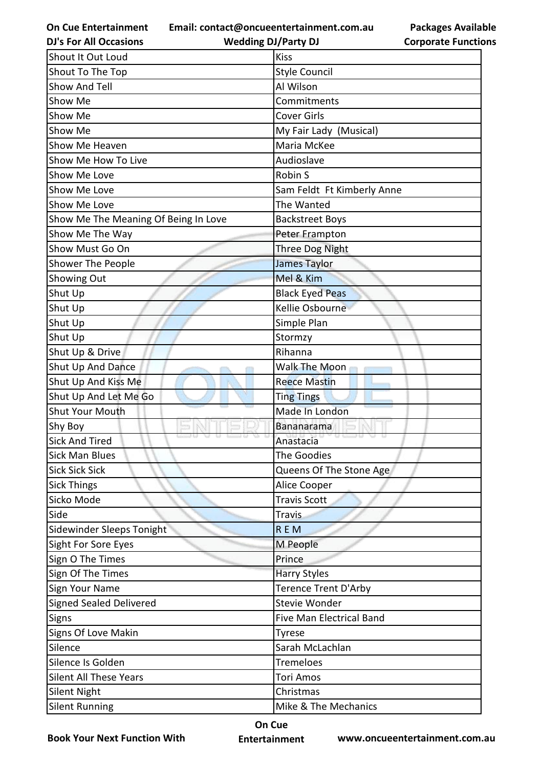**Email: contact@oncueentertainment.com.au**

**Packages Available Corporate Functions**

| <b>DJ's For All Occasions</b>        | <b>Wedding DJ/Party DJ</b>      | <b>Corporate Functio</b> |
|--------------------------------------|---------------------------------|--------------------------|
| Shout It Out Loud                    | <b>Kiss</b>                     |                          |
| Shout To The Top                     | Style Council                   |                          |
| Show And Tell                        | Al Wilson                       |                          |
| Show Me                              | Commitments                     |                          |
| Show Me                              | <b>Cover Girls</b>              |                          |
| Show Me                              | My Fair Lady (Musical)          |                          |
| Show Me Heaven                       | Maria McKee                     |                          |
| Show Me How To Live                  | Audioslave                      |                          |
| Show Me Love                         | Robin S                         |                          |
| Show Me Love                         | Sam Feldt Ft Kimberly Anne      |                          |
| Show Me Love                         | The Wanted                      |                          |
| Show Me The Meaning Of Being In Love | <b>Backstreet Boys</b>          |                          |
| Show Me The Way                      | Peter Frampton                  |                          |
| Show Must Go On                      | Three Dog Night                 |                          |
| Shower The People                    | <b>James Taylor</b>             |                          |
| Showing Out                          | Mel & Kim                       |                          |
| Shut Up                              | <b>Black Eyed Peas</b>          |                          |
| Shut Up                              | Kellie Osbourne                 |                          |
| Shut Up                              | Simple Plan                     |                          |
| Shut Up                              | Stormzy                         |                          |
| Shut Up & Drive                      | Rihanna                         |                          |
| Shut Up And Dance                    | Walk The Moon                   |                          |
| Shut Up And Kiss Me                  | <b>Reece Mastin</b>             |                          |
| Shut Up And Let Me Go                | <b>Ting Tings</b>               |                          |
| <b>Shut Your Mouth</b>               | Made In London                  |                          |
| Shy Boy                              | Bananarama                      |                          |
| <b>Sick And Tired</b>                | Anastacia                       |                          |
| <b>Sick Man Blues</b>                | The Goodies                     |                          |
| <b>Sick Sick Sick</b>                | Queens Of The Stone Age         |                          |
| <b>Sick Things</b>                   | Alice Cooper                    |                          |
| Sicko Mode                           | <b>Travis Scott</b>             |                          |
| Side                                 | Travis                          |                          |
| Sidewinder Sleeps Tonight            | <b>REM</b>                      |                          |
| Sight For Sore Eyes                  | M People                        |                          |
| Sign O The Times                     | Prince                          |                          |
| Sign Of The Times                    | <b>Harry Styles</b>             |                          |
| Sign Your Name                       | Terence Trent D'Arby            |                          |
| Signed Sealed Delivered              | Stevie Wonder                   |                          |
| Signs                                | <b>Five Man Electrical Band</b> |                          |
| Signs Of Love Makin                  | Tyrese                          |                          |
| Silence                              | Sarah McLachlan                 |                          |
| Silence Is Golden                    | <b>Tremeloes</b>                |                          |
| <b>Silent All These Years</b>        | <b>Tori Amos</b>                |                          |
| <b>Silent Night</b>                  | Christmas                       |                          |
| <b>Silent Running</b>                | Mike & The Mechanics            |                          |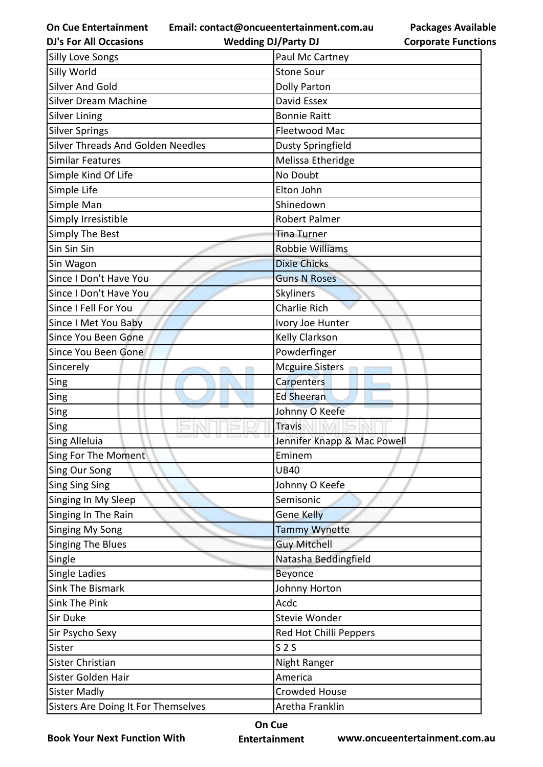**Email: contact@oncueentertainment.com.au**

**DJ's For All Occasions**

**Wedding DJ/Party DJ** 

| <b>Silly Love Songs</b>                  | Paul Mc Cartney             |
|------------------------------------------|-----------------------------|
| Silly World                              | <b>Stone Sour</b>           |
| <b>Silver And Gold</b>                   | <b>Dolly Parton</b>         |
| <b>Silver Dream Machine</b>              | David Essex                 |
| <b>Silver Lining</b>                     | <b>Bonnie Raitt</b>         |
| <b>Silver Springs</b>                    | Fleetwood Mac               |
| <b>Silver Threads And Golden Needles</b> | Dusty Springfield           |
| <b>Similar Features</b>                  | Melissa Etheridge           |
| Simple Kind Of Life                      | No Doubt                    |
| Simple Life                              | Elton John                  |
| Simple Man                               | Shinedown                   |
| Simply Irresistible                      | <b>Robert Palmer</b>        |
| Simply The Best                          | <b>Tina Turner</b>          |
| Sin Sin Sin                              | <b>Robbie Williams</b>      |
| Sin Wagon                                | <b>Dixie Chicks</b>         |
| Since I Don't Have You                   | <b>Guns N Roses</b>         |
| Since I Don't Have You                   | Skyliners                   |
| Since I Fell For You                     | <b>Charlie Rich</b>         |
| Since I Met You Baby                     | Ivory Joe Hunter            |
| Since You Been Gone                      | Kelly Clarkson              |
| Since You Been Gone                      | Powderfinger                |
| Sincerely                                | <b>Mcguire Sisters</b>      |
| Sing                                     | Carpenters                  |
| Sing                                     | <b>Ed Sheeran</b>           |
| Sing                                     | Johnny O Keefe              |
| Sing                                     | <b>Travis</b>               |
| Sing Alleluia                            | Jennifer Knapp & Mac Powell |
| Sing For The Moment                      | Eminem                      |
| <b>Sing Our Song</b>                     | <b>UB40</b>                 |
| <b>Sing Sing Sing</b>                    | Johnny O Keefe              |
| Singing In My Sleep                      | Semisonic                   |
| Singing In The Rain                      | <b>Gene Kelly</b>           |
| <b>Singing My Song</b>                   | <b>Tammy Wynette</b>        |
| <b>Singing The Blues</b>                 | <b>Guy Mitchell</b>         |
| Single                                   | Natasha Beddingfield        |
| <b>Single Ladies</b>                     | Beyonce                     |
| <b>Sink The Bismark</b>                  | Johnny Horton               |
| Sink The Pink                            | Acdc                        |
| Sir Duke                                 | Stevie Wonder               |
| Sir Psycho Sexy                          | Red Hot Chilli Peppers      |
| Sister                                   | S <sub>2</sub>              |
| Sister Christian                         | Night Ranger                |
| Sister Golden Hair                       | America                     |
| <b>Sister Madly</b>                      | <b>Crowded House</b>        |
| Sisters Are Doing It For Themselves      | Aretha Franklin             |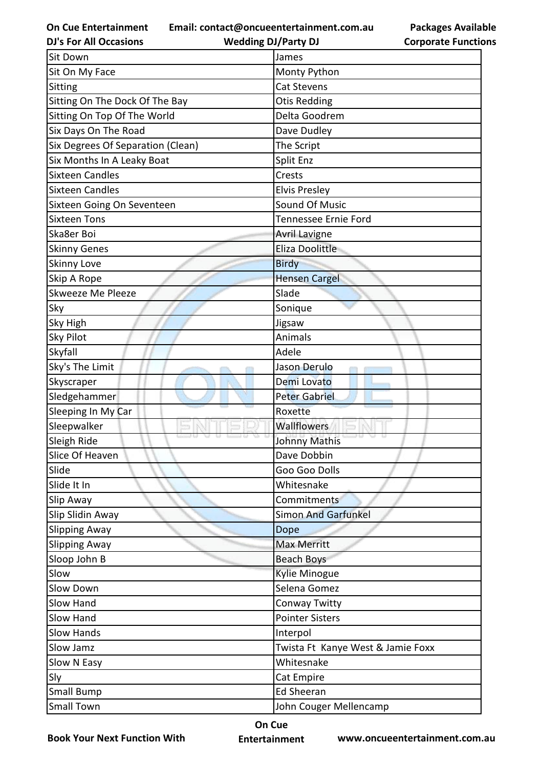**Email: contact@oncueentertainment.com.au**

**Packages Available Corporate Functions**

| <b>DJ's For All Occasions</b>     | <b>Wedding DJ/Party DJ</b>        | <b>Corporate Functio</b> |
|-----------------------------------|-----------------------------------|--------------------------|
| <b>Sit Down</b>                   | James                             |                          |
| Sit On My Face                    | Monty Python                      |                          |
| Sitting                           | <b>Cat Stevens</b>                |                          |
| Sitting On The Dock Of The Bay    | <b>Otis Redding</b>               |                          |
| Sitting On Top Of The World       | Delta Goodrem                     |                          |
| Six Days On The Road              | Dave Dudley                       |                          |
| Six Degrees Of Separation (Clean) | The Script                        |                          |
| Six Months In A Leaky Boat        | Split Enz                         |                          |
| <b>Sixteen Candles</b>            | Crests                            |                          |
| <b>Sixteen Candles</b>            | <b>Elvis Presley</b>              |                          |
| Sixteen Going On Seventeen        | Sound Of Music                    |                          |
| <b>Sixteen Tons</b>               | Tennessee Ernie Ford              |                          |
| Ska8er Boi                        | <b>Avril Lavigne</b>              |                          |
| <b>Skinny Genes</b>               | <b>Eliza Doolittle</b>            |                          |
| <b>Skinny Love</b>                | <b>Birdy</b>                      |                          |
| Skip A Rope                       | <b>Hensen Cargel</b>              |                          |
| Skweeze Me Pleeze                 | Slade                             |                          |
| Sky                               | Sonique                           |                          |
| <b>Sky High</b>                   | Jigsaw                            |                          |
| <b>Sky Pilot</b>                  | Animals                           |                          |
| Skyfall                           | Adele                             |                          |
| Sky's The Limit                   | Jason Derulo                      |                          |
| Skyscraper                        | Demi Lovato                       |                          |
| Sledgehammer                      | <b>Peter Gabriel</b>              |                          |
| Sleeping In My Car                | Roxette                           |                          |
| Sleepwalker                       | <b>Wallflowers</b>                |                          |
| Sleigh Ride                       | Johnny Mathis                     |                          |
| Slice Of Heaven                   | Dave Dobbin                       |                          |
| Slide                             | Goo Goo Dolls                     |                          |
| Slide It In                       | Whitesnake                        |                          |
| Slip Away                         | Commitments                       |                          |
| Slip Slidin Away                  | <b>Simon And Garfunkel</b>        |                          |
| <b>Slipping Away</b>              | Dope                              |                          |
| <b>Slipping Away</b>              | Max Merritt                       |                          |
| Sloop John B                      | <b>Beach Boys</b>                 |                          |
| Slow                              | <b>Kylie Minogue</b>              |                          |
| Slow Down                         | Selena Gomez                      |                          |
| Slow Hand                         | Conway Twitty                     |                          |
| Slow Hand                         | <b>Pointer Sisters</b>            |                          |
| <b>Slow Hands</b>                 | Interpol                          |                          |
| Slow Jamz                         | Twista Ft Kanye West & Jamie Foxx |                          |
| Slow N Easy                       | Whitesnake                        |                          |
| Sly                               | Cat Empire                        |                          |
| Small Bump                        | <b>Ed Sheeran</b>                 |                          |
| <b>Small Town</b>                 | John Couger Mellencamp            |                          |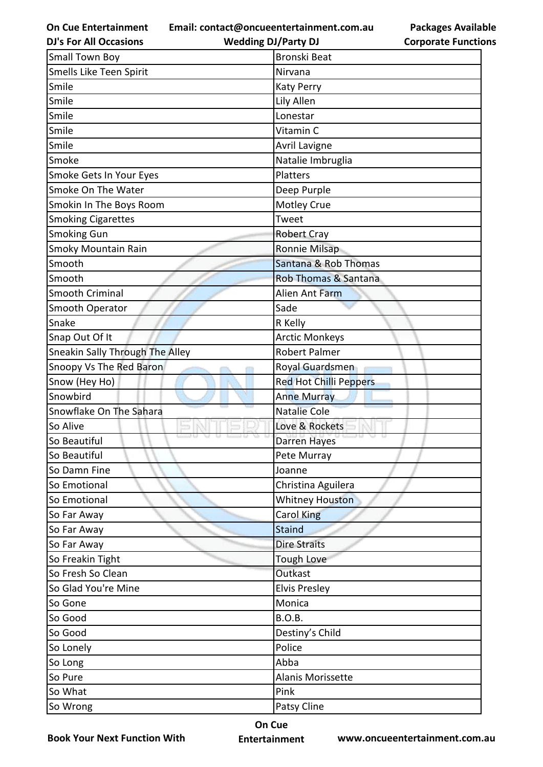**Email: contact@oncueentertainment.com.au**

**DJ's For All Occasions**

**Wedding DJ/Party DJ** 

**Packages Available Corporate Functions**

| <b>Small Town Boy</b>           | <b>Bronski Beat</b>           |
|---------------------------------|-------------------------------|
| Smells Like Teen Spirit         | Nirvana                       |
| Smile                           | <b>Katy Perry</b>             |
| Smile                           | Lily Allen                    |
| Smile                           | Lonestar                      |
| Smile                           | Vitamin C                     |
| Smile                           | Avril Lavigne                 |
| Smoke                           | Natalie Imbruglia             |
| Smoke Gets In Your Eyes         | Platters                      |
| Smoke On The Water              | Deep Purple                   |
| Smokin In The Boys Room         | Motley Crue                   |
| <b>Smoking Cigarettes</b>       | Tweet                         |
| Smoking Gun                     | <b>Robert Cray</b>            |
| <b>Smoky Mountain Rain</b>      | Ronnie Milsap                 |
| Smooth                          | Santana & Rob Thomas          |
| Smooth                          | Rob Thomas & Santana          |
| <b>Smooth Criminal</b>          | Alien Ant Farm                |
| Smooth Operator                 | Sade                          |
| Snake                           | R Kelly                       |
| Snap Out Of It                  | <b>Arctic Monkeys</b>         |
| Sneakin Sally Through The Alley | <b>Robert Palmer</b>          |
| Snoopy Vs The Red Baron         | Royal Guardsmen               |
| Snow (Hey Ho)                   | <b>Red Hot Chilli Peppers</b> |
| Snowbird                        | <b>Anne Murray</b>            |
| Snowflake On The Sahara         | <b>Natalie Cole</b>           |
| So Alive                        | Love & Rockets                |
| So Beautiful                    | Darren Hayes                  |
| So Beautiful                    | Pete Murray                   |
| So Damn Fine                    | Joanne                        |
| So Emotional                    | Christina Aguilera            |
| So Emotional                    | <b>Whitney Houston</b>        |
| So Far Away                     | Carol King                    |
| So Far Away                     | <b>Staind</b>                 |
| So Far Away                     | <b>Dire Straits</b>           |
| So Freakin Tight                | <b>Tough Love</b>             |
| So Fresh So Clean               | Outkast                       |
| So Glad You're Mine             | <b>Elvis Presley</b>          |
| So Gone                         | Monica                        |
| So Good                         | <b>B.O.B.</b>                 |
| So Good                         | Destiny's Child               |
| So Lonely                       | Police                        |
| So Long                         | Abba                          |
| So Pure                         | Alanis Morissette             |
| So What                         | Pink                          |
| So Wrong                        | Patsy Cline                   |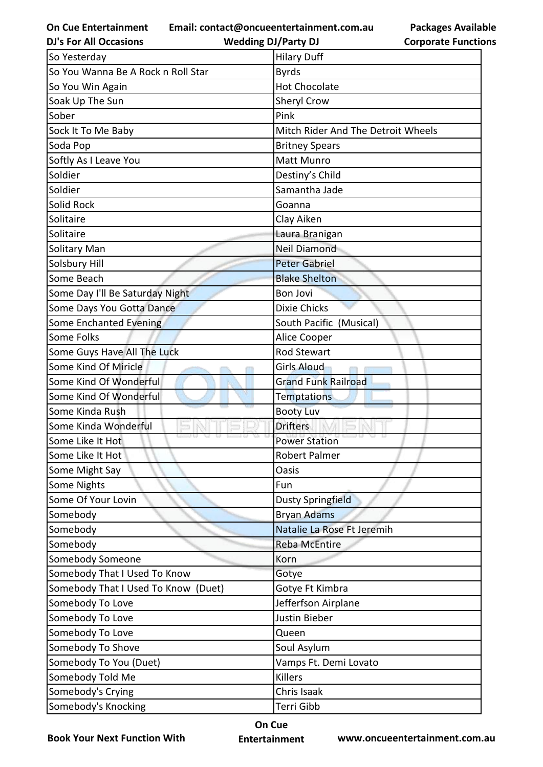**Email: contact@oncueentertainment.com.au**

**Wedding DJ/Party DJ** 

**Packages Available Corporate Functions**

| <b>DJ's For All Occasions</b>       | <b>Wedding DJ/Party DJ</b>         | <b>Corporate Functio</b> |
|-------------------------------------|------------------------------------|--------------------------|
| So Yesterday                        | <b>Hilary Duff</b>                 |                          |
| So You Wanna Be A Rock n Roll Star  | <b>Byrds</b>                       |                          |
| So You Win Again                    | <b>Hot Chocolate</b>               |                          |
| Soak Up The Sun                     | Sheryl Crow                        |                          |
| Sober                               | Pink                               |                          |
| Sock It To Me Baby                  | Mitch Rider And The Detroit Wheels |                          |
| Soda Pop                            | <b>Britney Spears</b>              |                          |
| Softly As I Leave You               | <b>Matt Munro</b>                  |                          |
| Soldier                             | Destiny's Child                    |                          |
| Soldier                             | Samantha Jade                      |                          |
| Solid Rock                          | Goanna                             |                          |
| Solitaire                           | Clay Aiken                         |                          |
| Solitaire                           | Laura Branigan                     |                          |
| Solitary Man                        | <b>Neil Diamond</b>                |                          |
| Solsbury Hill                       | <b>Peter Gabriel</b>               |                          |
| Some Beach                          | <b>Blake Shelton</b>               |                          |
| Some Day I'll Be Saturday Night     | <b>Bon Jovi</b>                    |                          |
| Some Days You Gotta Dance           | <b>Dixie Chicks</b>                |                          |
| Some Enchanted Evening              | South Pacific (Musical)            |                          |
| Some Folks                          | Alice Cooper                       |                          |
| Some Guys Have All The Luck         | <b>Rod Stewart</b>                 |                          |
| Some Kind Of Miricle                | <b>Girls Aloud</b>                 |                          |
| Some Kind Of Wonderful              | <b>Grand Funk Railroad</b>         |                          |
| Some Kind Of Wonderful              | <b>Temptations</b>                 |                          |
| Some Kinda Rush                     | <b>Booty Luv</b>                   |                          |
| Some Kinda Wonderful                | <b>Drifters</b>                    |                          |
| Some Like It Hot                    | <b>Power Station</b>               |                          |
| Some Like It Hot                    | <b>Robert Palmer</b>               |                          |
| Some Might Say                      | Oasis                              |                          |
| Some Nights                         | Fun                                |                          |
| Some Of Your Lovin                  | <b>Dusty Springfield</b>           |                          |
| Somebody                            | <b>Bryan Adams</b>                 |                          |
| Somebody                            | Natalie La Rose Ft Jeremih         |                          |
| Somebody                            | <b>Reba McEntire</b>               |                          |
| Somebody Someone                    | Korn                               |                          |
| Somebody That I Used To Know        | Gotye                              |                          |
| Somebody That I Used To Know (Duet) | Gotye Ft Kimbra                    |                          |
| Somebody To Love                    | Jefferfson Airplane                |                          |
| Somebody To Love                    | Justin Bieber                      |                          |
| Somebody To Love                    | Queen                              |                          |
| Somebody To Shove                   | Soul Asylum                        |                          |
| Somebody To You (Duet)              | Vamps Ft. Demi Lovato              |                          |
| Somebody Told Me                    | <b>Killers</b>                     |                          |
| Somebody's Crying                   | Chris Isaak                        |                          |
| Somebody's Knocking                 | Terri Gibb                         |                          |

**Book Your Next Function With**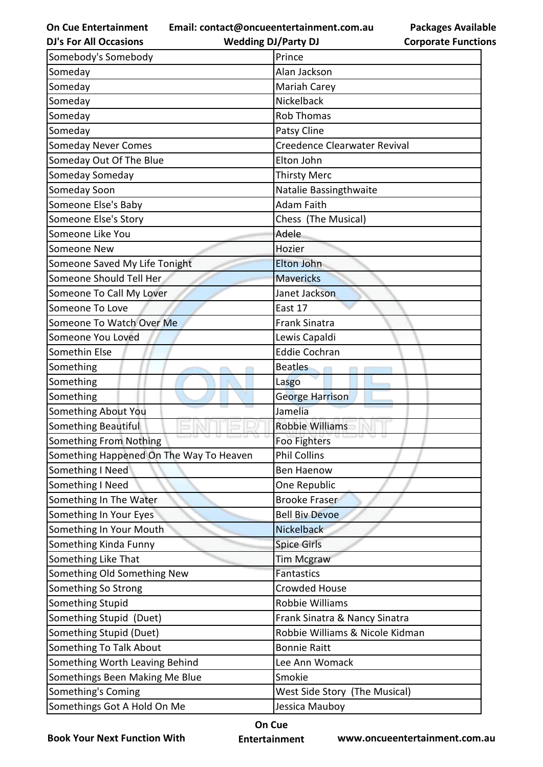**Email: contact@oncueentertainment.com.au**

| <b>Packages Available</b>  |
|----------------------------|
| <b>Corporate Functions</b> |

| <b>DJ's For All Occasions</b>           | <b>Wedding DJ/Party DJ</b>      | <b>Corporate Functio</b> |
|-----------------------------------------|---------------------------------|--------------------------|
| Somebody's Somebody                     | Prince                          |                          |
| Someday                                 | Alan Jackson                    |                          |
| Someday                                 | Mariah Carey                    |                          |
| Someday                                 | Nickelback                      |                          |
| Someday                                 | <b>Rob Thomas</b>               |                          |
| Someday                                 | Patsy Cline                     |                          |
| <b>Someday Never Comes</b>              | Creedence Clearwater Revival    |                          |
| Someday Out Of The Blue                 | Elton John                      |                          |
| Someday Someday                         | <b>Thirsty Merc</b>             |                          |
| Someday Soon                            | Natalie Bassingthwaite          |                          |
| Someone Else's Baby                     | <b>Adam Faith</b>               |                          |
| Someone Else's Story                    | Chess (The Musical)             |                          |
| Someone Like You                        | Adele                           |                          |
| Someone New                             | Hozier                          |                          |
| Someone Saved My Life Tonight           | <b>Elton John</b>               |                          |
| Someone Should Tell Her                 | <b>Mavericks</b>                |                          |
| Someone To Call My Lover                | Janet Jackson                   |                          |
| Someone To Love                         | East 17                         |                          |
| Someone To Watch Over Me                | <b>Frank Sinatra</b>            |                          |
| Someone You Loved                       | Lewis Capaldi                   |                          |
| Somethin Else                           | <b>Eddie Cochran</b>            |                          |
| Something                               | <b>Beatles</b>                  |                          |
| Something                               | Lasgo                           |                          |
| Something                               | George Harrison                 |                          |
| Something About You                     | Jamelia                         |                          |
| <b>Something Beautiful</b>              | <b>Robbie Williams</b>          |                          |
| Something From Nothing                  | Foo Fighters                    |                          |
| Something Happened On The Way To Heaven | <b>Phil Collins</b>             |                          |
| Something I Need                        | <b>Ben Haenow</b>               |                          |
| Something I Need                        | One Republic                    |                          |
| Something In The Water                  | <b>Brooke Fraser</b>            |                          |
| Something In Your Eyes                  | <b>Bell Biv Devoe</b>           |                          |
| Something In Your Mouth                 | Nickelback                      |                          |
| Something Kinda Funny                   | <b>Spice Girls</b>              |                          |
| Something Like That                     | <b>Tim Mcgraw</b>               |                          |
| Something Old Something New             | <b>Fantastics</b>               |                          |
| Something So Strong                     | <b>Crowded House</b>            |                          |
| Something Stupid                        | Robbie Williams                 |                          |
| Something Stupid (Duet)                 | Frank Sinatra & Nancy Sinatra   |                          |
| Something Stupid (Duet)                 | Robbie Williams & Nicole Kidman |                          |
| Something To Talk About                 | <b>Bonnie Raitt</b>             |                          |
| Something Worth Leaving Behind          | Lee Ann Womack                  |                          |
| Somethings Been Making Me Blue          | Smokie                          |                          |
| Something's Coming                      | West Side Story (The Musical)   |                          |
| Somethings Got A Hold On Me             | Jessica Mauboy                  |                          |

**Book Your Next Function With**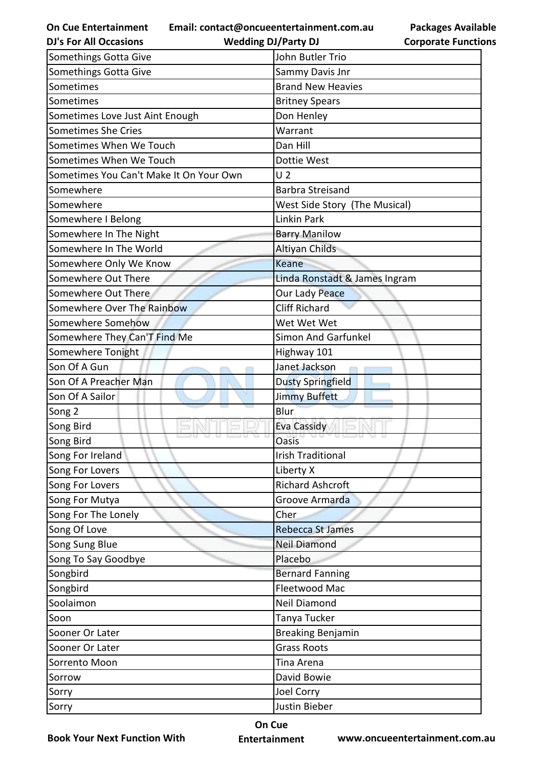**Email: contact@oncueentertainment.com.au**

**Packages Available Corporate Functions**

| <b>DJ's For All Occasions</b>           | <b>Wedding DJ/Party DJ</b>    | <b>Corporate Functio</b> |
|-----------------------------------------|-------------------------------|--------------------------|
| Somethings Gotta Give                   | John Butler Trio              |                          |
| Somethings Gotta Give                   | Sammy Davis Jnr               |                          |
| Sometimes                               | <b>Brand New Heavies</b>      |                          |
| Sometimes                               | <b>Britney Spears</b>         |                          |
| Sometimes Love Just Aint Enough         | Don Henley                    |                          |
| Sometimes She Cries                     | Warrant                       |                          |
| Sometimes When We Touch                 | Dan Hill                      |                          |
| Sometimes When We Touch                 | Dottie West                   |                          |
| Sometimes You Can't Make It On Your Own | U <sub>2</sub>                |                          |
| Somewhere                               | <b>Barbra Streisand</b>       |                          |
| Somewhere                               | West Side Story (The Musical) |                          |
| Somewhere I Belong                      | Linkin Park                   |                          |
| Somewhere In The Night                  | <b>Barry Manilow</b>          |                          |
| Somewhere In The World                  | Altiyan Childs                |                          |
| Somewhere Only We Know                  | <b>Keane</b>                  |                          |
| Somewhere Out There                     | Linda Ronstadt & James Ingram |                          |
| Somewhere Out There                     | Our Lady Peace                |                          |
| Somewhere Over The Rainbow              | <b>Cliff Richard</b>          |                          |
| Somewhere Somehow                       | Wet Wet Wet                   |                          |
| Somewhere They Can'T Find Me            | Simon And Garfunkel           |                          |
| Somewhere Tonight                       | Highway 101                   |                          |
| Son Of A Gun                            | Janet Jackson                 |                          |
| Son Of A Preacher Man                   | <b>Dusty Springfield</b>      |                          |
| Son Of A Sailor                         | <b>Jimmy Buffett</b>          |                          |
| Song 2                                  | Blur                          |                          |
| Song Bird                               | <b>Eva Cassidy</b>            |                          |
| Song Bird                               | <b>Oasis</b>                  |                          |
| Song For Ireland                        | <b>Irish Traditional</b>      |                          |
| Song For Lovers                         | Liberty X                     |                          |
| Song For Lovers                         | <b>Richard Ashcroft</b>       |                          |
| Song For Mutya                          | Groove Armarda                |                          |
| Song For The Lonely                     | Cher                          |                          |
| Song Of Love                            | <b>Rebecca St James</b>       |                          |
| Song Sung Blue                          | <b>Neil Diamond</b>           |                          |
| Song To Say Goodbye                     | Placebo                       |                          |
| Songbird                                | <b>Bernard Fanning</b>        |                          |
| Songbird                                | Fleetwood Mac                 |                          |
| Soolaimon                               | Neil Diamond                  |                          |
| Soon                                    | Tanya Tucker                  |                          |
| Sooner Or Later                         | <b>Breaking Benjamin</b>      |                          |
| Sooner Or Later                         | <b>Grass Roots</b>            |                          |
| Sorrento Moon                           | Tina Arena                    |                          |
| Sorrow                                  | David Bowie                   |                          |
| Sorry                                   | Joel Corry                    |                          |
| Sorry                                   | Justin Bieber                 |                          |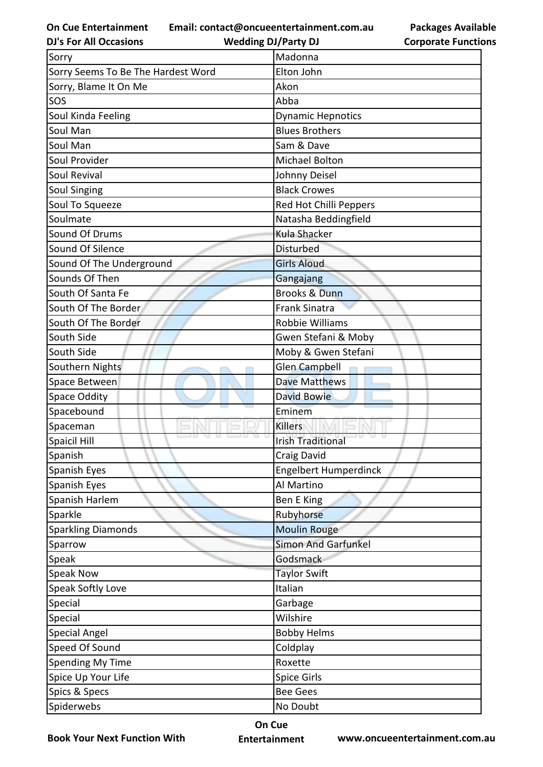**Email: contact@oncueentertainment.com.au**

**DJ's For All Occasions Wedding DJ/Party DJ** 

**Packages Available Corporate Functions**

| Sorry                              | Madonna                      |
|------------------------------------|------------------------------|
| Sorry Seems To Be The Hardest Word | Elton John                   |
| Sorry, Blame It On Me              | Akon                         |
| SOS                                | Abba                         |
| Soul Kinda Feeling                 | <b>Dynamic Hepnotics</b>     |
| Soul Man                           | <b>Blues Brothers</b>        |
| Soul Man                           | Sam & Dave                   |
| Soul Provider                      | Michael Bolton               |
| Soul Revival                       | Johnny Deisel                |
| <b>Soul Singing</b>                | <b>Black Crowes</b>          |
| Soul To Squeeze                    | Red Hot Chilli Peppers       |
| Soulmate                           | Natasha Beddingfield         |
| Sound Of Drums                     | <b>Kula Shacker</b>          |
| Sound Of Silence                   | <b>Disturbed</b>             |
| Sound Of The Underground           | <b>Girls Aloud</b>           |
| Sounds Of Then                     | Gangajang                    |
| South Of Santa Fe                  | <b>Brooks &amp; Dunn</b>     |
| South Of The Border                | <b>Frank Sinatra</b>         |
| South Of The Border                | Robbie Williams              |
| South Side                         | Gwen Stefani & Moby          |
| South Side                         | Moby & Gwen Stefani          |
| Southern Nights                    | Glen Campbell                |
| Space Between                      | <b>Dave Matthews</b>         |
| <b>Space Oddity</b>                | <b>David Bowie</b>           |
| Spacebound                         | Eminem                       |
| Spaceman                           | <b>Killers</b>               |
| Spaicil Hill                       | <b>Irish Traditional</b>     |
| Spanish                            | Craig David                  |
| Spanish Eyes                       | <b>Engelbert Humperdinck</b> |
| Spanish Eyes                       | Al Martino                   |
| Spanish Harlem                     | <b>Ben E King</b>            |
| Sparkle                            | Rubyhorse                    |
| <b>Sparkling Diamonds</b>          | <b>Moulin Rouge</b>          |
| Sparrow                            | <b>Simon And Garfunkel</b>   |
| Speak                              | Godsmack                     |
| <b>Speak Now</b>                   | <b>Taylor Swift</b>          |
| Speak Softly Love                  | Italian                      |
| Special                            | Garbage                      |
| Special                            | Wilshire                     |
| <b>Special Angel</b>               | <b>Bobby Helms</b>           |
| Speed Of Sound                     | Coldplay                     |
| Spending My Time                   | Roxette                      |
| Spice Up Your Life                 | <b>Spice Girls</b>           |
| Spics & Specs                      | <b>Bee Gees</b>              |
| Spiderwebs                         | No Doubt                     |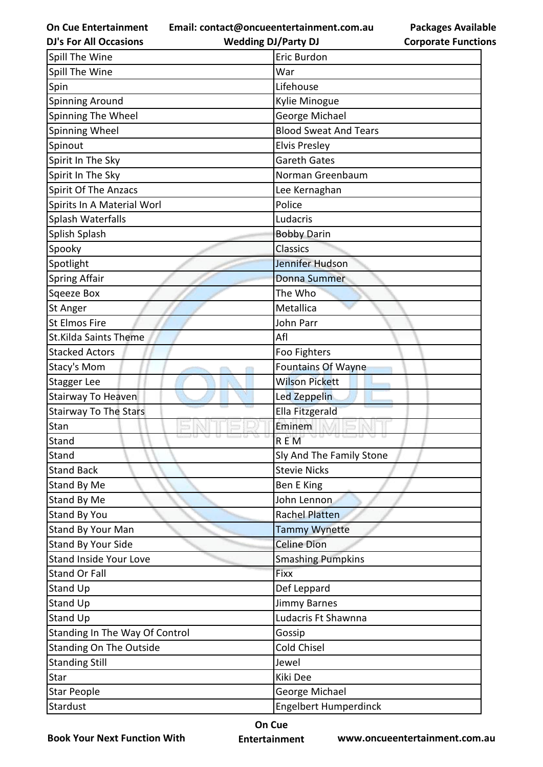**Email: contact@oncueentertainment.com.au**

**DJ's For All Occasions**

**Wedding DJ/Party DJ** 

| Spill The Wine                 | Eric Burdon                  |
|--------------------------------|------------------------------|
| Spill The Wine                 | War                          |
| Spin                           | Lifehouse                    |
| <b>Spinning Around</b>         | Kylie Minogue                |
| Spinning The Wheel             | George Michael               |
| Spinning Wheel                 | <b>Blood Sweat And Tears</b> |
| Spinout                        | <b>Elvis Presley</b>         |
| Spirit In The Sky              | <b>Gareth Gates</b>          |
| Spirit In The Sky              | Norman Greenbaum             |
| <b>Spirit Of The Anzacs</b>    | Lee Kernaghan                |
| Spirits In A Material Worl     | Police                       |
| Splash Waterfalls              | Ludacris                     |
| Splish Splash                  | <b>Bobby Darin</b>           |
| Spooky                         | Classics                     |
| Spotlight                      | Jennifer Hudson              |
| <b>Spring Affair</b>           | <b>Donna Summer</b>          |
| Sqeeze Box                     | The Who                      |
| St Anger                       | Metallica                    |
| St Elmos Fire                  | John Parr                    |
| <b>St.Kilda Saints Theme</b>   | Afl                          |
| <b>Stacked Actors</b>          | Foo Fighters                 |
| Stacy's Mom                    | <b>Fountains Of Wayne</b>    |
| Stagger Lee                    | <b>Wilson Pickett</b>        |
| Stairway To Heaven             | Led Zeppelin                 |
| <b>Stairway To The Stars</b>   | <b>Ella Fitzgerald</b>       |
| Stan                           | Eminem                       |
| Stand                          | <b>REM</b>                   |
| Stand                          | Sly And The Family Stone     |
| <b>Stand Back</b>              | <b>Stevie Nicks</b>          |
| Stand By Me                    | Ben E King                   |
| Stand By Me                    | John Lennon                  |
| Stand By You                   | <b>Rachel Platten</b>        |
| Stand By Your Man              | Tammy Wynette                |
| Stand By Your Side             | <b>Celine Dion</b>           |
| <b>Stand Inside Your Love</b>  | <b>Smashing Pumpkins</b>     |
| <b>Stand Or Fall</b>           | Fixx                         |
| Stand Up                       | Def Leppard                  |
| <b>Stand Up</b>                | <b>Jimmy Barnes</b>          |
| Stand Up                       | Ludacris Ft Shawnna          |
| Standing In The Way Of Control | Gossip                       |
| <b>Standing On The Outside</b> | <b>Cold Chisel</b>           |
| <b>Standing Still</b>          | Jewel                        |
| Star                           | Kiki Dee                     |
| <b>Star People</b>             | George Michael               |
| Stardust                       | <b>Engelbert Humperdinck</b> |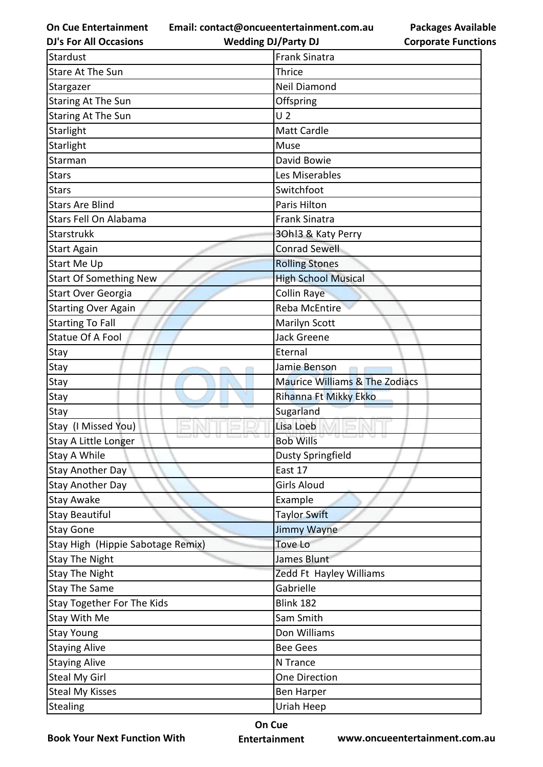**Email: contact@oncueentertainment.com.au**

**DJ's For All Occasions**

**Wedding DJ/Party DJ** 

| Stardust                          | <b>Frank Sinatra</b>           |
|-----------------------------------|--------------------------------|
| <b>Stare At The Sun</b>           | <b>Thrice</b>                  |
| Stargazer                         | <b>Neil Diamond</b>            |
| <b>Staring At The Sun</b>         | Offspring                      |
| <b>Staring At The Sun</b>         | U <sub>2</sub>                 |
| <b>Starlight</b>                  | Matt Cardle                    |
| Starlight                         | Muse                           |
| Starman                           | David Bowie                    |
| Stars                             | Les Miserables                 |
| <b>Stars</b>                      | Switchfoot                     |
| <b>Stars Are Blind</b>            | Paris Hilton                   |
| Stars Fell On Alabama             | <b>Frank Sinatra</b>           |
| <b>Starstrukk</b>                 | 30h!3 & Katy Perry             |
| <b>Start Again</b>                | <b>Conrad Sewell</b>           |
| <b>Start Me Up</b>                | <b>Rolling Stones</b>          |
| <b>Start Of Something New</b>     | <b>High School Musical</b>     |
| Start Over Georgia                | <b>Collin Raye</b>             |
| <b>Starting Over Again</b>        | <b>Reba McEntire</b>           |
| <b>Starting To Fall</b>           | Marilyn Scott                  |
| <b>Statue Of A Fool</b>           | <b>Jack Greene</b>             |
| Stay                              | Eternal                        |
| Stay                              | Jamie Benson                   |
| Stay                              | Maurice Williams & The Zodiacs |
| Stay                              | Rihanna Ft Mikky Ekko          |
| Stay                              | Sugarland                      |
| Stay (I Missed You)               | Lisa Loeb                      |
| Stay A Little Longer              | <b>Bob Wills</b>               |
| Stay A While                      | Dusty Springfield              |
| <b>Stay Another Day</b>           | East 17                        |
| <b>Stay Another Day</b>           | Girls Aloud                    |
| <b>Stay Awake</b>                 | Example                        |
| <b>Stay Beautiful</b>             | <b>Taylor Swift</b>            |
| <b>Stay Gone</b>                  | Jimmy Wayne                    |
| Stay High (Hippie Sabotage Remix) | <b>Tove Lo</b>                 |
| <b>Stay The Night</b>             | James Blunt                    |
| <b>Stay The Night</b>             | Zedd Ft Hayley Williams        |
| <b>Stay The Same</b>              | Gabrielle                      |
| Stay Together For The Kids        | <b>Blink 182</b>               |
| Stay With Me                      | Sam Smith                      |
| <b>Stay Young</b>                 | Don Williams                   |
| <b>Staying Alive</b>              | <b>Bee Gees</b>                |
| <b>Staying Alive</b>              | N Trance                       |
| <b>Steal My Girl</b>              | One Direction                  |
| <b>Steal My Kisses</b>            | <b>Ben Harper</b>              |
| <b>Stealing</b>                   | Uriah Heep                     |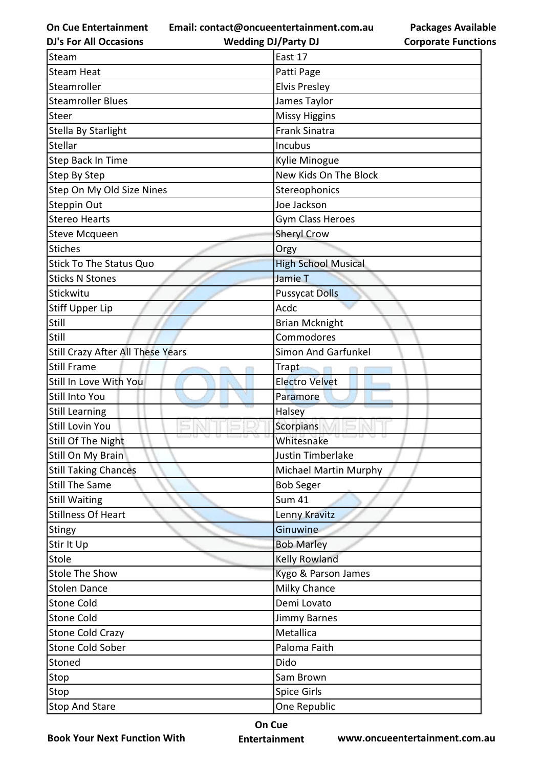**Email: contact@oncueentertainment.com.au**

**DJ's For All Occasions**

**Wedding DJ/Party DJ** 

**Packages Available Corporate Functions**

| Steam                             | East 17                    |
|-----------------------------------|----------------------------|
| <b>Steam Heat</b>                 | Patti Page                 |
| Steamroller                       | <b>Elvis Presley</b>       |
| <b>Steamroller Blues</b>          | James Taylor               |
| Steer                             | <b>Missy Higgins</b>       |
| Stella By Starlight               | <b>Frank Sinatra</b>       |
| Stellar                           | Incubus                    |
| Step Back In Time                 | Kylie Minogue              |
| Step By Step                      | New Kids On The Block      |
| Step On My Old Size Nines         | Stereophonics              |
| Steppin Out                       | Joe Jackson                |
| <b>Stereo Hearts</b>              | <b>Gym Class Heroes</b>    |
| <b>Steve Mcqueen</b>              | <b>Sheryl Crow</b>         |
| <b>Stiches</b>                    | Orgy                       |
| <b>Stick To The Status Quo</b>    | <b>High School Musical</b> |
| <b>Sticks N Stones</b>            | <b>Jamie T</b>             |
| Stickwitu                         | <b>Pussycat Dolls</b>      |
| Stiff Upper Lip                   | Acdc                       |
| Still                             | <b>Brian Mcknight</b>      |
| Still                             | Commodores                 |
| Still Crazy After All These Years | <b>Simon And Garfunkel</b> |
| <b>Still Frame</b>                | Trapt                      |
| Still In Love With You            | <b>Electro Velvet</b>      |
| Still Into You                    | Paramore                   |
| <b>Still Learning</b>             | Halsey                     |
| Still Lovin You                   | <b>Scorpians</b>           |
| Still Of The Night                | Whitesnake                 |
| Still On My Brain                 | Justin Timberlake          |
| <b>Still Taking Chances</b>       | Michael Martin Murphy      |
| <b>Still The Same</b>             | <b>Bob Seger</b>           |
| <b>Still Waiting</b>              | <b>Sum 41</b>              |
| <b>Stillness Of Heart</b>         | Lenny Kravitz              |
| Stingy                            | Ginuwine                   |
| Stir It Up                        | <b>Bob Marley</b>          |
| Stole                             | Kelly Rowland              |
| <b>Stole The Show</b>             | Kygo & Parson James        |
| <b>Stolen Dance</b>               | <b>Milky Chance</b>        |
| Stone Cold                        | Demi Lovato                |
| <b>Stone Cold</b>                 | <b>Jimmy Barnes</b>        |
| <b>Stone Cold Crazy</b>           | Metallica                  |
| Stone Cold Sober                  | Paloma Faith               |
| Stoned                            | Dido                       |
| Stop                              | Sam Brown                  |
| Stop                              | <b>Spice Girls</b>         |
| <b>Stop And Stare</b>             | One Republic               |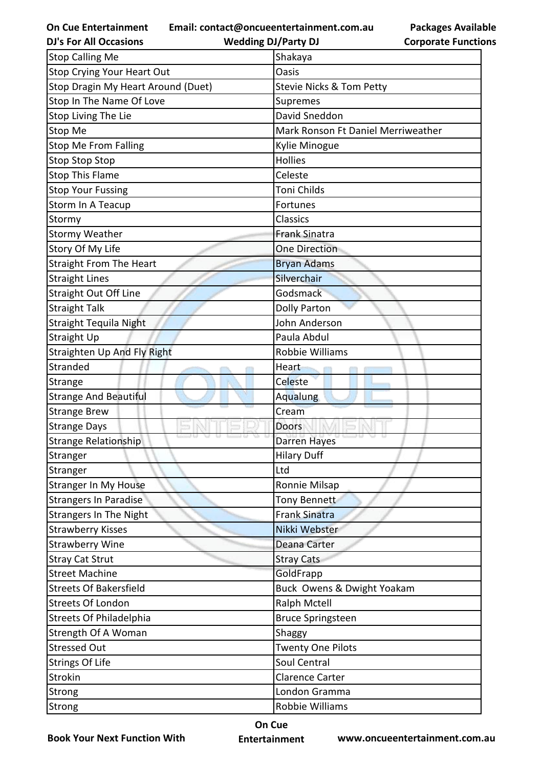**Email: contact@oncueentertainment.com.au**

**Packages Available Corporate Functions**

| <b>Wedding DJ/Party DJ</b>         | <b>Corporate Functio</b> |
|------------------------------------|--------------------------|
| Shakaya                            |                          |
| Oasis                              |                          |
| Stevie Nicks & Tom Petty           |                          |
| Supremes                           |                          |
| David Sneddon                      |                          |
| Mark Ronson Ft Daniel Merriweather |                          |
| Kylie Minogue                      |                          |
| <b>Hollies</b>                     |                          |
| Celeste                            |                          |
| Toni Childs                        |                          |
| Fortunes                           |                          |
| Classics                           |                          |
| <b>Frank Sinatra</b>               |                          |
| <b>One Direction</b>               |                          |
| <b>Bryan Adams</b>                 |                          |
| Silverchair                        |                          |
| Godsmack                           |                          |
|                                    |                          |
| John Anderson                      |                          |
| Paula Abdul                        |                          |
| Robbie Williams                    |                          |
| Heart                              |                          |
| Celeste                            |                          |
| <b>Aqualung</b>                    |                          |
| Cream                              |                          |
| <b>Doors</b>                       |                          |
| Darren Hayes                       |                          |
| <b>Hilary Duff</b>                 |                          |
| Ltd                                |                          |
| Ronnie Milsap                      |                          |
| Tony Bennett                       |                          |
| <b>Frank Sinatra</b>               |                          |
| Nikki Webster                      |                          |
| <b>Deana Carter</b>                |                          |
| <b>Stray Cats</b>                  |                          |
| GoldFrapp                          |                          |
| Buck Owens & Dwight Yoakam         |                          |
| <b>Ralph Mctell</b>                |                          |
| <b>Bruce Springsteen</b>           |                          |
| Shaggy                             |                          |
| <b>Twenty One Pilots</b>           |                          |
| Soul Central                       |                          |
| <b>Clarence Carter</b>             |                          |
| London Gramma                      |                          |
| Robbie Williams                    |                          |
|                                    | Dolly Parton             |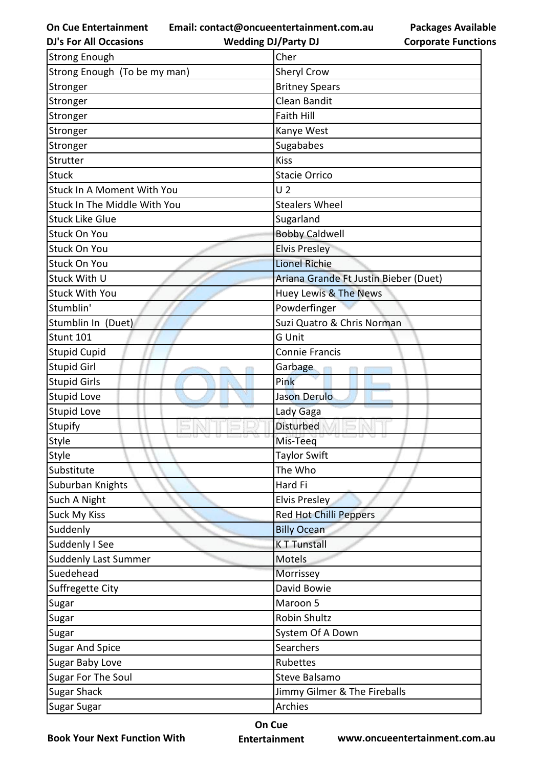**Email: contact@oncueentertainment.com.au**

**DJ's For All Occasions**

**Wedding DJ/Party DJ** 

**Packages Available Corporate Functions**

| <b>Strong Enough</b>                | Cher                                  |
|-------------------------------------|---------------------------------------|
| Strong Enough (To be my man)        | <b>Sheryl Crow</b>                    |
| Stronger                            | <b>Britney Spears</b>                 |
| Stronger                            | <b>Clean Bandit</b>                   |
| Stronger                            | Faith Hill                            |
| Stronger                            | Kanye West                            |
| Stronger                            | Sugababes                             |
| Strutter                            | <b>Kiss</b>                           |
| <b>Stuck</b>                        | <b>Stacie Orrico</b>                  |
| Stuck In A Moment With You          | U <sub>2</sub>                        |
| <b>Stuck In The Middle With You</b> | <b>Stealers Wheel</b>                 |
| <b>Stuck Like Glue</b>              | Sugarland                             |
| <b>Stuck On You</b>                 | <b>Bobby Caldwell</b>                 |
| <b>Stuck On You</b>                 | <b>Elvis Presley</b>                  |
| <b>Stuck On You</b>                 | <b>Lionel Richie</b>                  |
| Stuck With U                        | Ariana Grande Ft Justin Bieber (Duet) |
| <b>Stuck With You</b>               | Huey Lewis & The News                 |
| Stumblin'                           | Powderfinger                          |
| Stumblin In (Duet)                  | Suzi Quatro & Chris Norman            |
| Stunt 101                           | G Unit                                |
| <b>Stupid Cupid</b>                 | <b>Connie Francis</b>                 |
| <b>Stupid Girl</b>                  | Garbage                               |
| <b>Stupid Girls</b>                 | Pink                                  |
| Stupid Love                         | Jason Derulo                          |
| <b>Stupid Love</b>                  | Lady Gaga                             |
| Stupify                             | <b>Disturbed</b>                      |
| Style                               | Mis-Teeq                              |
| Style                               | <b>Taylor Swift</b>                   |
| Substitute                          | The Who                               |
| Suburban Knights                    | Hard Fi                               |
| Such A Night                        | Elvis Presley                         |
| <b>Suck My Kiss</b>                 | <b>Red Hot Chilli Peppers</b>         |
| Suddenly                            | <b>Billy Ocean</b>                    |
| Suddenly I See                      | <b>KT Tunstall</b>                    |
| Suddenly Last Summer                | Motels                                |
| Suedehead                           | Morrissey                             |
| Suffregette City                    | David Bowie                           |
| Sugar                               | Maroon 5                              |
| Sugar                               | <b>Robin Shultz</b>                   |
| Sugar                               | System Of A Down                      |
| <b>Sugar And Spice</b>              | Searchers                             |
| Sugar Baby Love                     | Rubettes                              |
| Sugar For The Soul                  | Steve Balsamo                         |
| <b>Sugar Shack</b>                  | Jimmy Gilmer & The Fireballs          |
| Sugar Sugar                         | Archies                               |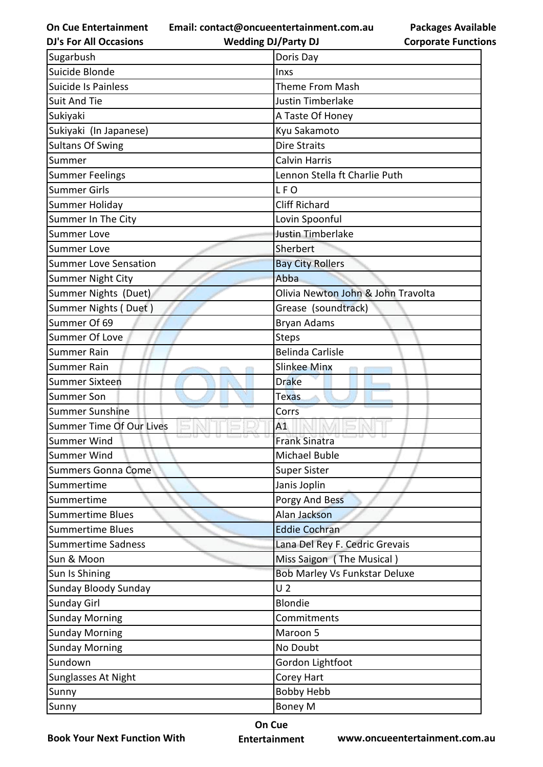**Email: contact@oncueentertainment.com.au**

**DJ's For All Occasions**

**Wedding DJ/Party DJ** 

**Packages Available Corporate Functions**

| Sugarbush                    | Doris Day                            |
|------------------------------|--------------------------------------|
| Suicide Blonde               | Inxs                                 |
| <b>Suicide Is Painless</b>   | <b>Theme From Mash</b>               |
| <b>Suit And Tie</b>          | <b>Justin Timberlake</b>             |
| Sukiyaki                     | A Taste Of Honey                     |
| Sukiyaki (In Japanese)       | Kyu Sakamoto                         |
| <b>Sultans Of Swing</b>      | <b>Dire Straits</b>                  |
| Summer                       | <b>Calvin Harris</b>                 |
| <b>Summer Feelings</b>       | Lennon Stella ft Charlie Puth        |
| <b>Summer Girls</b>          | LFO                                  |
| Summer Holiday               | <b>Cliff Richard</b>                 |
| Summer In The City           | Lovin Spoonful                       |
| <b>Summer Love</b>           | <b>Justin Timberlake</b>             |
| <b>Summer Love</b>           | Sherbert                             |
| <b>Summer Love Sensation</b> | <b>Bay City Rollers</b>              |
| Summer Night City            | Abba                                 |
| Summer Nights (Duet)         | Olivia Newton John & John Travolta   |
| Summer Nights (Duet)         | Grease (soundtrack)                  |
| Summer Of 69                 | <b>Bryan Adams</b>                   |
| Summer Of Love               | <b>Steps</b>                         |
| <b>Summer Rain</b>           | <b>Belinda Carlisle</b>              |
| <b>Summer Rain</b>           | <b>Slinkee Minx</b>                  |
| <b>Summer Sixteen</b>        | <b>Drake</b>                         |
| <b>Summer Son</b>            | <b>Texas</b>                         |
| <b>Summer Sunshine</b>       | Corrs                                |
| Summer Time Of Our Lives     | A1                                   |
| <b>Summer Wind</b>           | <b>Frank Sinatra</b>                 |
| Summer Wind                  | Michael Buble                        |
| <b>Summers Gonna Come</b>    | <b>Super Sister</b>                  |
| Summertime                   | Janis Joplin                         |
| Summertime                   | Porgy And Bess                       |
| <b>Summertime Blues</b>      | Alan Jackson                         |
| <b>Summertime Blues</b>      | <b>Eddie Cochran</b>                 |
| <b>Summertime Sadness</b>    | Lana Del Rey F. Cedric Grevais       |
| Sun & Moon                   | Miss Saigon (The Musical)            |
| Sun Is Shining               | <b>Bob Marley Vs Funkstar Deluxe</b> |
| Sunday Bloody Sunday         | U <sub>2</sub>                       |
| <b>Sunday Girl</b>           | <b>Blondie</b>                       |
| <b>Sunday Morning</b>        | Commitments                          |
| <b>Sunday Morning</b>        | Maroon 5                             |
| <b>Sunday Morning</b>        | No Doubt                             |
| Sundown                      | Gordon Lightfoot                     |
| Sunglasses At Night          | Corey Hart                           |
| Sunny                        | <b>Bobby Hebb</b>                    |
| Sunny                        | <b>Boney M</b>                       |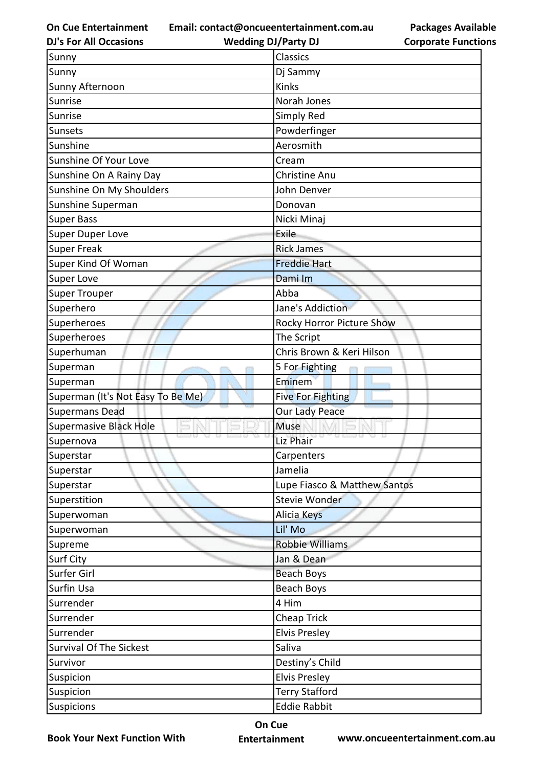**Email: contact@oncueentertainment.com.au**

**DJ's For All Occasions**

**Wedding DJ/Party DJ** 

**Packages Available Corporate Functions**

| Sunny                             | Classics                         |
|-----------------------------------|----------------------------------|
| Sunny                             | Dj Sammy                         |
| Sunny Afternoon                   | Kinks                            |
| Sunrise                           | Norah Jones                      |
| Sunrise                           | Simply Red                       |
| Sunsets                           | Powderfinger                     |
| Sunshine                          | Aerosmith                        |
| Sunshine Of Your Love             | Cream                            |
| Sunshine On A Rainy Day           | <b>Christine Anu</b>             |
| Sunshine On My Shoulders          | John Denver                      |
| Sunshine Superman                 | Donovan                          |
| <b>Super Bass</b>                 | Nicki Minaj                      |
| <b>Super Duper Love</b>           | Exile                            |
| <b>Super Freak</b>                | <b>Rick James</b>                |
| Super Kind Of Woman               | <b>Freddie Hart</b>              |
| Super Love                        | Dami Im                          |
| <b>Super Trouper</b>              | Abba                             |
| Superhero                         | Jane's Addiction                 |
| Superheroes                       | <b>Rocky Horror Picture Show</b> |
| Superheroes                       | The Script                       |
| Superhuman                        | Chris Brown & Keri Hilson        |
| Superman                          | 5 For Fighting                   |
| Superman                          | Eminem                           |
| Superman (It's Not Easy To Be Me) | Five For Fighting                |
| <b>Supermans Dead</b>             | Our Lady Peace                   |
| <b>Supermasive Black Hole</b>     | Muse                             |
| Supernova                         | Liz Phair                        |
| Superstar                         | Carpenters                       |
| Superstar                         | Jamelia                          |
| Superstar                         | Lupe Fiasco & Matthew Santos     |
| Superstition                      | Stevie Wonder                    |
| Superwoman                        | Alicia Keys                      |
| Superwoman                        | Lil' Mo                          |
| Supreme                           | <b>Robbie Williams</b>           |
| Surf City                         | Jan & Dean                       |
| Surfer Girl                       | <b>Beach Boys</b>                |
| Surfin Usa                        | <b>Beach Boys</b>                |
| Surrender                         | 4 Him                            |
| Surrender                         | <b>Cheap Trick</b>               |
| Surrender                         | <b>Elvis Presley</b>             |
| <b>Survival Of The Sickest</b>    | Saliva                           |
| Survivor                          | Destiny's Child                  |
| Suspicion                         | <b>Elvis Presley</b>             |
| Suspicion                         | <b>Terry Stafford</b>            |
| <b>Suspicions</b>                 | <b>Eddie Rabbit</b>              |

**Book Your Next Function With**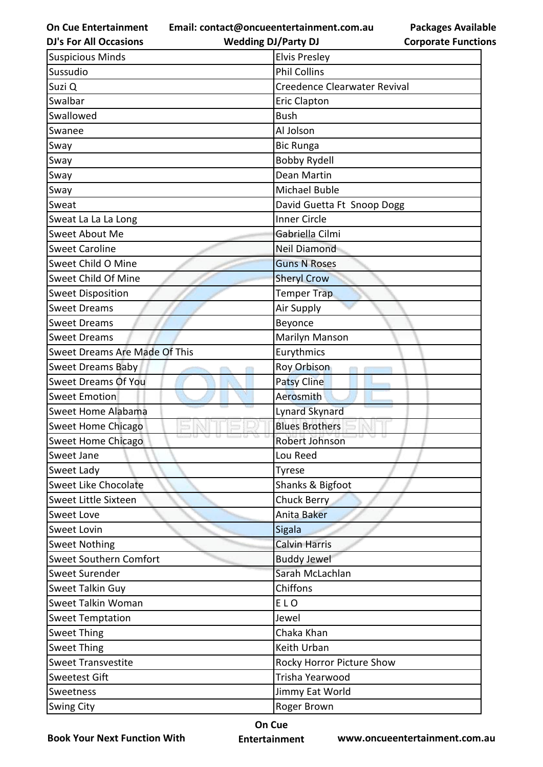**Email: contact@oncueentertainment.com.au**

**DJ's For All Occasions**

**Wedding DJ/Party DJ** 

**Packages Available Corporate Functions**

| <b>Suspicious Minds</b>       | <b>Elvis Presley</b>         |
|-------------------------------|------------------------------|
| Sussudio                      | <b>Phil Collins</b>          |
| Suzi Q                        | Creedence Clearwater Revival |
| Swalbar                       | <b>Eric Clapton</b>          |
| Swallowed                     | <b>Bush</b>                  |
| Swanee                        | Al Jolson                    |
| Sway                          | <b>Bic Runga</b>             |
| Sway                          | <b>Bobby Rydell</b>          |
| Sway                          | <b>Dean Martin</b>           |
| Sway                          | Michael Buble                |
| Sweat                         | David Guetta Ft Snoop Dogg   |
| Sweat La La La Long           | <b>Inner Circle</b>          |
| Sweet About Me                | Gabriella Cilmi              |
| <b>Sweet Caroline</b>         | <b>Neil Diamond</b>          |
| Sweet Child O Mine            | <b>Guns N Roses</b>          |
| Sweet Child Of Mine           | <b>Sheryl Crow</b>           |
| <b>Sweet Disposition</b>      | Temper Trap                  |
| <b>Sweet Dreams</b>           | Air Supply                   |
| <b>Sweet Dreams</b>           | Beyonce                      |
| <b>Sweet Dreams</b>           | Marilyn Manson               |
| Sweet Dreams Are Made Of This | Eurythmics                   |
| <b>Sweet Dreams Baby</b>      | <b>Roy Orbison</b>           |
| <b>Sweet Dreams Of You</b>    | <b>Patsy Cline</b>           |
| <b>Sweet Emotion</b>          | Aerosmith                    |
| Sweet Home Alabama            | <b>Lynard Skynard</b>        |
| <b>Sweet Home Chicago</b>     | <b>Blues Brothers</b>        |
| Sweet Home Chicago            | Robert Johnson               |
| Sweet Jane                    | Lou Reed                     |
| Sweet Lady                    | <b>Tyrese</b>                |
| <b>Sweet Like Chocolate</b>   | Shanks & Bigfoot             |
| Sweet Little Sixteen          | Chuck Berry                  |
| Sweet Love                    | Anita Baker                  |
| <b>Sweet Lovin</b>            | Sigala                       |
| <b>Sweet Nothing</b>          | <b>Calvin Harris</b>         |
| <b>Sweet Southern Comfort</b> | <b>Buddy Jewel</b>           |
| Sweet Surender                | Sarah McLachlan              |
| Sweet Talkin Guy              | Chiffons                     |
| Sweet Talkin Woman            | ELO                          |
| <b>Sweet Temptation</b>       | Jewel                        |
| <b>Sweet Thing</b>            | Chaka Khan                   |
| <b>Sweet Thing</b>            | Keith Urban                  |
| <b>Sweet Transvestite</b>     | Rocky Horror Picture Show    |
| <b>Sweetest Gift</b>          | Trisha Yearwood              |
| Sweetness                     | Jimmy Eat World              |
| <b>Swing City</b>             | Roger Brown                  |

**Book Your Next Function With**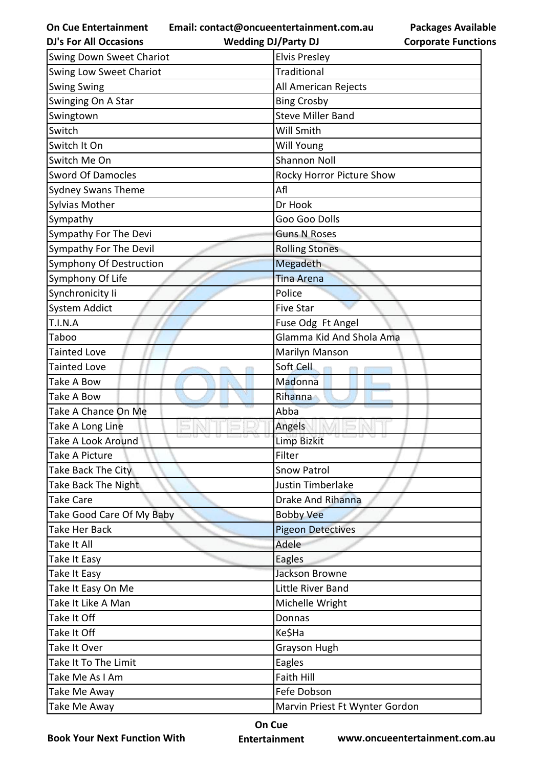**Email: contact@oncueentertainment.com.au Wedding DJ/Party DJ** 

**Packages Available Corporate Functions**

| <b>DJ's For All Occasions</b>   | <b>Wedding DJ/Party DJ</b>     | <b>Corporate Functio</b> |
|---------------------------------|--------------------------------|--------------------------|
| <b>Swing Down Sweet Chariot</b> | <b>Elvis Presley</b>           |                          |
| <b>Swing Low Sweet Chariot</b>  | Traditional                    |                          |
| <b>Swing Swing</b>              | All American Rejects           |                          |
| Swinging On A Star              | <b>Bing Crosby</b>             |                          |
| Swingtown                       | <b>Steve Miller Band</b>       |                          |
| Switch                          | Will Smith                     |                          |
| Switch It On                    | <b>Will Young</b>              |                          |
| Switch Me On                    | <b>Shannon Noll</b>            |                          |
| <b>Sword Of Damocles</b>        | Rocky Horror Picture Show      |                          |
| <b>Sydney Swans Theme</b>       | Afl                            |                          |
| Sylvias Mother                  | Dr Hook                        |                          |
| Sympathy                        | Goo Goo Dolls                  |                          |
| Sympathy For The Devi           | <b>Guns N Roses</b>            |                          |
| Sympathy For The Devil          | <b>Rolling Stones</b>          |                          |
| Symphony Of Destruction         | Megadeth                       |                          |
| Symphony Of Life                | <b>Tina Arena</b>              |                          |
| Synchronicity li                | Police                         |                          |
| <b>System Addict</b>            | <b>Five Star</b>               |                          |
| T.I.N.A                         | Fuse Odg Ft Angel              |                          |
| Taboo                           | Glamma Kid And Shola Ama       |                          |
| <b>Tainted Love</b>             | Marilyn Manson                 |                          |
| <b>Tainted Love</b>             | Soft Cell                      |                          |
| Take A Bow                      | Madonna                        |                          |
| Take A Bow                      | Rihanna                        |                          |
| Take A Chance On Me             | Abba                           |                          |
| Take A Long Line                | Angels                         |                          |
| Take A Look Around              | <b>Limp Bizkit</b>             |                          |
| Take A Picture                  | Filter                         |                          |
| Take Back The City              | <b>Snow Patrol</b>             |                          |
| Take Back The Night             | <b>Justin Timberlake</b>       |                          |
| <b>Take Care</b>                | <b>Drake And Rihanna</b>       |                          |
| Take Good Care Of My Baby       | <b>Bobby Vee</b>               |                          |
| <b>Take Her Back</b>            | <b>Pigeon Detectives</b>       |                          |
| Take It All                     | Adele                          |                          |
| Take It Easy                    | Eagles                         |                          |
| Take It Easy                    | Jackson Browne                 |                          |
| Take It Easy On Me              | Little River Band              |                          |
| Take It Like A Man              | Michelle Wright                |                          |
| Take It Off                     | Donnas                         |                          |
| Take It Off                     | Ke\$Ha                         |                          |
| Take It Over                    | Grayson Hugh                   |                          |
| Take It To The Limit            | Eagles                         |                          |
| Take Me As I Am                 | Faith Hill                     |                          |
| Take Me Away                    | Fefe Dobson                    |                          |
| Take Me Away                    | Marvin Priest Ft Wynter Gordon |                          |
|                                 |                                |                          |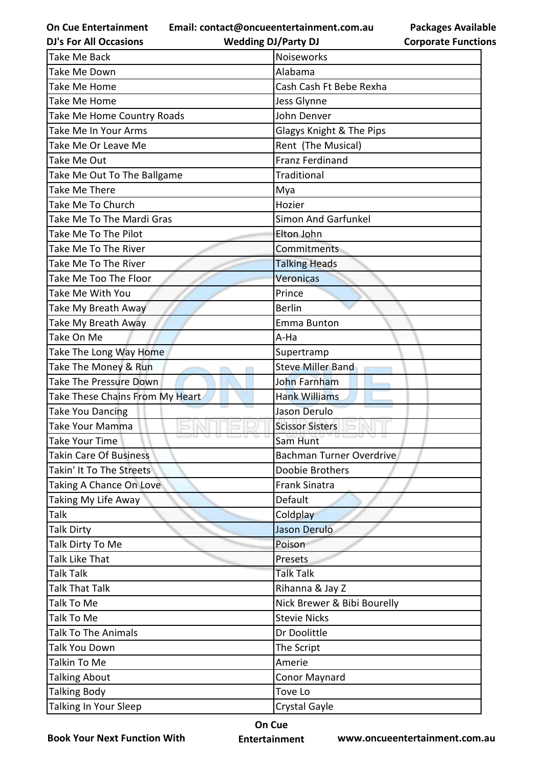**Email: contact@oncueentertainment.com.au**

**DJ's For All Occasions**

**Wedding DJ/Party DJ** 

| Take Me Back                    | Noiseworks                  |
|---------------------------------|-----------------------------|
| Take Me Down                    | Alabama                     |
| Take Me Home                    | Cash Cash Ft Bebe Rexha     |
| Take Me Home                    | Jess Glynne                 |
| Take Me Home Country Roads      | John Denver                 |
| Take Me In Your Arms            | Glagys Knight & The Pips    |
| Take Me Or Leave Me             | Rent (The Musical)          |
| Take Me Out                     | <b>Franz Ferdinand</b>      |
| Take Me Out To The Ballgame     | Traditional                 |
| Take Me There                   | Mya                         |
| Take Me To Church               | Hozier                      |
| Take Me To The Mardi Gras       | <b>Simon And Garfunkel</b>  |
| Take Me To The Pilot            | Elton John                  |
| Take Me To The River            | Commitments                 |
| Take Me To The River            | <b>Talking Heads</b>        |
| Take Me Too The Floor           | Veronicas                   |
| Take Me With You                | Prince                      |
| Take My Breath Away             | <b>Berlin</b>               |
| Take My Breath Away             | Emma Bunton                 |
| Take On Me                      | A-Ha                        |
| Take The Long Way Home          | Supertramp                  |
| Take The Money & Run            | <b>Steve Miller Band</b>    |
| Take The Pressure Down          | John Farnham                |
| Take These Chains From My Heart | <b>Hank Williams</b>        |
| <b>Take You Dancing</b>         | Jason Derulo                |
| Take Your Mamma                 | <b>Scissor Sisters</b>      |
| <b>Take Your Time</b>           | Sam Hunt                    |
| <b>Takin Care Of Business</b>   | Bachman Turner Overdrive    |
| Takin' It To The Streets        | Doobie Brothers             |
| Taking A Chance On Love         | <b>Frank Sinatra</b>        |
| Taking My Life Away             | Default                     |
| Talk                            | Coldplay                    |
| Talk Dirty                      | Jason Derulo                |
| Talk Dirty To Me                | Poison                      |
| Talk Like That                  | Presets                     |
| Talk Talk                       | <b>Talk Talk</b>            |
| Talk That Talk                  | Rihanna & Jay Z             |
| Talk To Me                      | Nick Brewer & Bibi Bourelly |
| Talk To Me                      | <b>Stevie Nicks</b>         |
| <b>Talk To The Animals</b>      | Dr Doolittle                |
| Talk You Down                   | The Script                  |
| Talkin To Me                    | Amerie                      |
| <b>Talking About</b>            | <b>Conor Maynard</b>        |
|                                 |                             |
| <b>Talking Body</b>             | Tove Lo                     |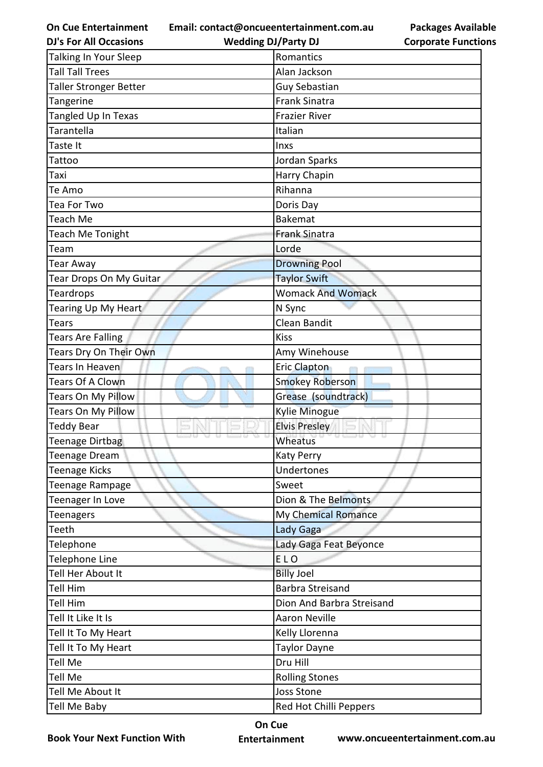**Email: contact@oncueentertainment.com.au**

| <b>DJ's For All Occasions</b> | <b>Wedding DJ/Party DJ</b> | <b>Corporate Functio</b> |
|-------------------------------|----------------------------|--------------------------|
| Talking In Your Sleep         | Romantics                  |                          |
| <b>Tall Tall Trees</b>        | Alan Jackson               |                          |
| Taller Stronger Better        | <b>Guy Sebastian</b>       |                          |
| Tangerine                     | <b>Frank Sinatra</b>       |                          |
| Tangled Up In Texas           | <b>Frazier River</b>       |                          |
| Tarantella                    | Italian                    |                          |
| Taste It                      | Inxs                       |                          |
| Tattoo                        | Jordan Sparks              |                          |
| Taxi                          | Harry Chapin               |                          |
| Te Amo                        | Rihanna                    |                          |
| Tea For Two                   | Doris Day                  |                          |
| Teach Me                      | <b>Bakemat</b>             |                          |
| Teach Me Tonight              | <b>Frank Sinatra</b>       |                          |
| Team                          | Lorde                      |                          |
| Tear Away                     | <b>Drowning Pool</b>       |                          |
| Tear Drops On My Guitar       | <b>Taylor Swift</b>        |                          |
| <b>Teardrops</b>              | <b>Womack And Womack</b>   |                          |
| Tearing Up My Heart           | N Sync                     |                          |
| Tears                         | Clean Bandit               |                          |
| <b>Tears Are Falling</b>      | <b>Kiss</b>                |                          |
| Tears Dry On Their Own        | Amy Winehouse              |                          |
| Tears In Heaven               | Eric Clapton               |                          |
| <b>Tears Of A Clown</b>       | <b>Smokey Roberson</b>     |                          |
| Tears On My Pillow            | Grease (soundtrack)        |                          |
| <b>Tears On My Pillow</b>     | Kylie Minogue              |                          |
| Teddy Bear                    | <b>Elvis Presley</b>       |                          |
| <b>Teenage Dirtbag</b>        | Wheatus                    |                          |
| Teenage Dream                 | <b>Katy Perry</b>          |                          |
| Teenage Kicks                 | Undertones                 |                          |
| Teenage Rampage               | Sweet                      |                          |
| Teenager In Love              | Dion & The Belmonts        |                          |
| <b>Teenagers</b>              | My Chemical Romance        |                          |
| Teeth                         | Lady Gaga                  |                          |
| Telephone                     | Lady Gaga Feat Beyonce     |                          |
| Telephone Line                | ELO                        |                          |
| Tell Her About It             | <b>Billy Joel</b>          |                          |
| Tell Him                      | <b>Barbra Streisand</b>    |                          |
| Tell Him                      | Dion And Barbra Streisand  |                          |
| Tell It Like It Is            | <b>Aaron Neville</b>       |                          |
| Tell It To My Heart           | Kelly Llorenna             |                          |
| Tell It To My Heart           | <b>Taylor Dayne</b>        |                          |
| Tell Me                       | Dru Hill                   |                          |
| Tell Me                       | <b>Rolling Stones</b>      |                          |
| Tell Me About It              | <b>Joss Stone</b>          |                          |
| Tell Me Baby                  | Red Hot Chilli Peppers     |                          |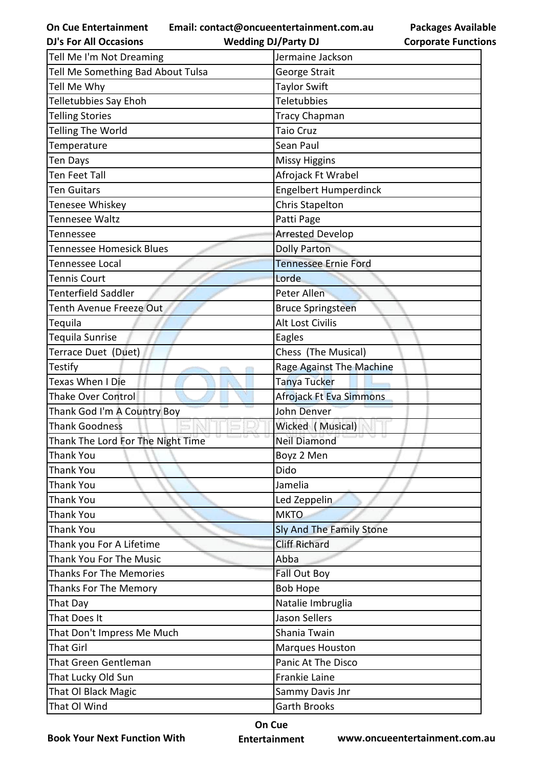**Email: contact@oncueentertainment.com.au**

| <b>DJ's For All Occasions</b>     | <b>Wedding DJ/Party DJ</b>   | <b>Corporate Functio</b> |
|-----------------------------------|------------------------------|--------------------------|
| Tell Me I'm Not Dreaming          | Jermaine Jackson             |                          |
| Tell Me Something Bad About Tulsa | George Strait                |                          |
| Tell Me Why                       | <b>Taylor Swift</b>          |                          |
| <b>Telletubbies Say Ehoh</b>      | <b>Teletubbies</b>           |                          |
| <b>Telling Stories</b>            | <b>Tracy Chapman</b>         |                          |
| Telling The World                 | <b>Taio Cruz</b>             |                          |
| Temperature                       | Sean Paul                    |                          |
| Ten Days                          | <b>Missy Higgins</b>         |                          |
| <b>Ten Feet Tall</b>              | Afrojack Ft Wrabel           |                          |
| <b>Ten Guitars</b>                | <b>Engelbert Humperdinck</b> |                          |
| Tenesee Whiskey                   | <b>Chris Stapelton</b>       |                          |
| <b>Tennesee Waltz</b>             | Patti Page                   |                          |
| Tennessee                         | <b>Arrested Develop</b>      |                          |
| Tennessee Homesick Blues          | <b>Dolly Parton</b>          |                          |
| <b>Tennessee Local</b>            | <b>Tennessee Ernie Ford</b>  |                          |
| <b>Tennis Court</b>               | Lorde                        |                          |
| <b>Tenterfield Saddler</b>        | Peter Allen                  |                          |
| <b>Tenth Avenue Freeze Out</b>    | <b>Bruce Springsteen</b>     |                          |
| Tequila                           | Alt Lost Civilis             |                          |
| <b>Tequila Sunrise</b>            | Eagles                       |                          |
| Terrace Duet (Duet)               | Chess (The Musical)          |                          |
| <b>Testify</b>                    | Rage Against The Machine     |                          |
| Texas When I Die                  | Tanya Tucker                 |                          |
| <b>Thake Over Control</b>         | Afrojack Ft Eva Simmons      |                          |
| Thank God I'm A Country Boy       | John Denver                  |                          |
| <b>Thank Goodness</b>             | Wicked (Musical)             |                          |
| Thank The Lord For The Night Time | <b>Neil Diamond</b>          |                          |
| Thank You                         | Boyz 2 Men                   |                          |
| <b>Thank You</b>                  | Dido                         |                          |
| <b>Thank You</b>                  | Jamelia                      |                          |
| <b>Thank You</b>                  | Led Zeppelin                 |                          |
| <b>Thank You</b>                  | <b>MKTO</b>                  |                          |
| <b>Thank You</b>                  | Sly And The Family Stone     |                          |
| Thank you For A Lifetime          | <b>Cliff Richard</b>         |                          |
| Thank You For The Music           | Abba                         |                          |
| <b>Thanks For The Memories</b>    | Fall Out Boy                 |                          |
| <b>Thanks For The Memory</b>      | <b>Bob Hope</b>              |                          |
| That Day                          | Natalie Imbruglia            |                          |
| That Does It                      | <b>Jason Sellers</b>         |                          |
| That Don't Impress Me Much        | Shania Twain                 |                          |
| <b>That Girl</b>                  | <b>Marques Houston</b>       |                          |
| That Green Gentleman              | Panic At The Disco           |                          |
| That Lucky Old Sun                | Frankie Laine                |                          |
| That OI Black Magic               | Sammy Davis Jnr              |                          |
| That Ol Wind                      | <b>Garth Brooks</b>          |                          |

**Book Your Next Function With**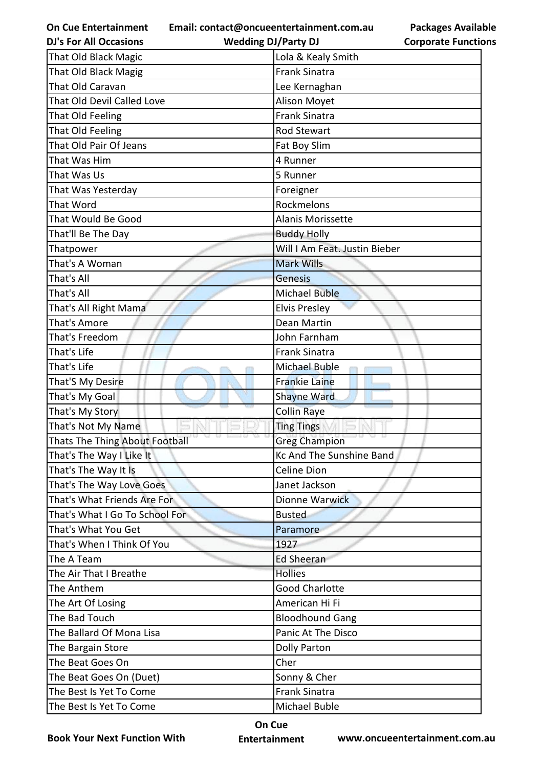**Email: contact@oncueentertainment.com.au Wedding DJ/Party DJ** 

**Packages Available Corporate Functions**

| <b>DJ's For All Occasions</b>  | <b>Wedding DJ/Party DJ</b>    | <b>Corporate Functio</b> |
|--------------------------------|-------------------------------|--------------------------|
| That Old Black Magic           | Lola & Kealy Smith            |                          |
| That Old Black Magig           | <b>Frank Sinatra</b>          |                          |
| That Old Caravan               | Lee Kernaghan                 |                          |
| That Old Devil Called Love     | Alison Moyet                  |                          |
| That Old Feeling               | <b>Frank Sinatra</b>          |                          |
| That Old Feeling               | <b>Rod Stewart</b>            |                          |
| That Old Pair Of Jeans         | Fat Boy Slim                  |                          |
| That Was Him                   | 4 Runner                      |                          |
| That Was Us                    | 5 Runner                      |                          |
| That Was Yesterday             | Foreigner                     |                          |
| That Word                      | Rockmelons                    |                          |
| That Would Be Good             | <b>Alanis Morissette</b>      |                          |
| That'll Be The Day             | <b>Buddy Holly</b>            |                          |
| Thatpower                      | Will I Am Feat. Justin Bieber |                          |
| That's A Woman                 | <b>Mark Wills</b>             |                          |
| That's All                     | Genesis                       |                          |
| That's All                     | <b>Michael Buble</b>          |                          |
| That's All Right Mama          | <b>Elvis Presley</b>          |                          |
| That's Amore                   | Dean Martin                   |                          |
| That's Freedom                 | John Farnham                  |                          |
| That's Life                    | <b>Frank Sinatra</b>          |                          |
| That's Life                    | <b>Michael Buble</b>          |                          |
| That'S My Desire               | <b>Frankie Laine</b>          |                          |
| That's My Goal                 | <b>Shayne Ward</b>            |                          |
| That's My Story                | <b>Collin Raye</b>            |                          |
| That's Not My Name             | <b>Ting Tings</b>             |                          |
| Thats The Thing About Football | Yak.<br><b>Greg Champion</b>  | ×                        |
| That's The Way I Like It       | Kc And The Sunshine Band      |                          |
| That's The Way It Is           | Celine Dion                   |                          |
| That's The Way Love Goes       | Janet Jackson                 |                          |
| That's What Friends Are For    | Dionne Warwick                |                          |
| That's What I Go To School For | <b>Busted</b>                 |                          |
| That's What You Get            | Paramore                      |                          |
| That's When I Think Of You     | 1927                          |                          |
| The A Team                     | <b>Ed Sheeran</b>             |                          |
| The Air That I Breathe         | <b>Hollies</b>                |                          |
| The Anthem                     | <b>Good Charlotte</b>         |                          |
| The Art Of Losing              | American Hi Fi                |                          |
| The Bad Touch                  | <b>Bloodhound Gang</b>        |                          |
| The Ballard Of Mona Lisa       | Panic At The Disco            |                          |
| The Bargain Store              | Dolly Parton                  |                          |
| The Beat Goes On               | Cher                          |                          |
| The Beat Goes On (Duet)        | Sonny & Cher                  |                          |
| The Best Is Yet To Come        | <b>Frank Sinatra</b>          |                          |
| The Best Is Yet To Come        | Michael Buble                 |                          |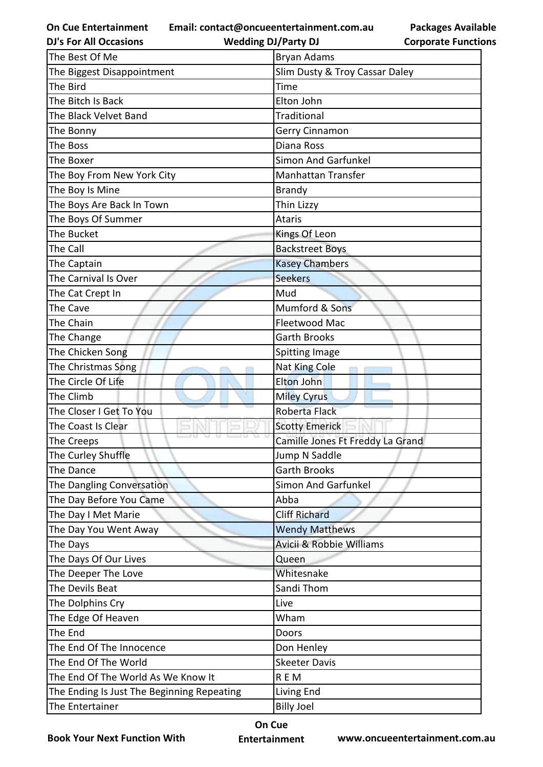**Email: contact@oncueentertainment.com.au**

**DJ's For All Occasions**

| The Best Of Me                             | Bryan Adams                      |
|--------------------------------------------|----------------------------------|
| The Biggest Disappointment                 | Slim Dusty & Troy Cassar Daley   |
| The Bird                                   | Time                             |
| The Bitch Is Back                          | Elton John                       |
| The Black Velvet Band                      | Traditional                      |
| The Bonny                                  | Gerry Cinnamon                   |
| The Boss                                   | Diana Ross                       |
| The Boxer                                  | Simon And Garfunkel              |
| The Boy From New York City                 | <b>Manhattan Transfer</b>        |
| The Boy Is Mine                            | <b>Brandy</b>                    |
| The Boys Are Back In Town                  | Thin Lizzy                       |
| The Boys Of Summer                         | <b>Ataris</b>                    |
| The Bucket                                 | Kings Of Leon                    |
| The Call                                   | <b>Backstreet Boys</b>           |
| The Captain                                | <b>Kasey Chambers</b>            |
| The Carnival Is Over                       | <b>Seekers</b>                   |
| The Cat Crept In                           | Mud                              |
| The Cave                                   | Mumford & Sons                   |
| The Chain                                  | Fleetwood Mac                    |
| The Change                                 | <b>Garth Brooks</b>              |
| The Chicken Song                           | <b>Spitting Image</b>            |
| The Christmas Song                         | Nat King Cole                    |
| The Circle Of Life                         | <b>Elton John</b>                |
| The Climb                                  | <b>Miley Cyrus</b>               |
| The Closer I Get To You                    | Roberta Flack                    |
| The Coast Is Clear                         | <b>Scotty Emerick</b>            |
| The Creeps                                 | Camille Jones Ft Freddy La Grand |
| The Curley Shuffle                         | Jump N Saddle                    |
| The Dance                                  | <b>Garth Brooks</b>              |
| The Dangling Conversation                  | Simon And Garfunkel              |
| The Day Before You Came                    | Abba                             |
| The Day I Met Marie                        | <b>Cliff Richard</b>             |
| The Day You Went Away                      | <b>Wendy Matthews</b>            |
| The Days                                   | Avicii & Robbie Williams         |
| The Days Of Our Lives                      | Queen                            |
| The Deeper The Love                        | Whitesnake                       |
| The Devils Beat                            | Sandi Thom                       |
| The Dolphins Cry                           | Live                             |
| The Edge Of Heaven                         | Wham                             |
| The End                                    | Doors                            |
| The End Of The Innocence                   | Don Henley                       |
| The End Of The World                       | <b>Skeeter Davis</b>             |
| The End Of The World As We Know It         | <b>REM</b>                       |
| The Ending Is Just The Beginning Repeating | Living End                       |
| The Entertainer                            | <b>Billy Joel</b>                |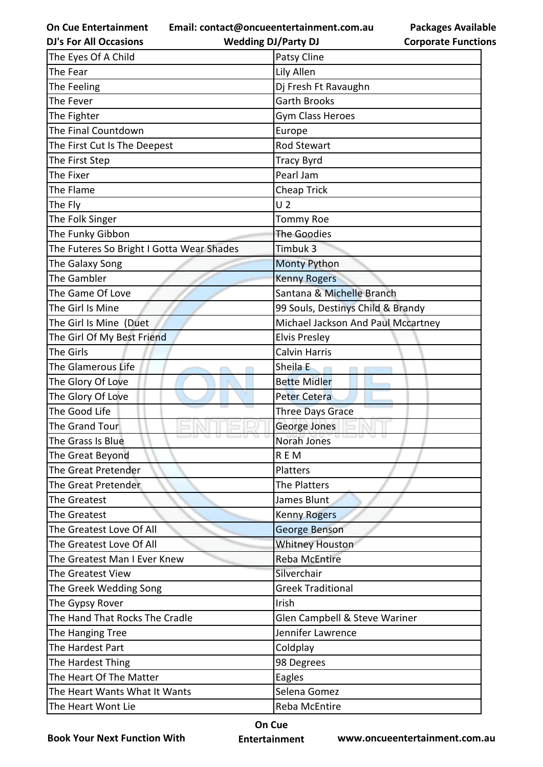**Email: contact@oncueentertainment.com.au**

| <b>Wedding DJ/Party DJ</b> |
|----------------------------|

**Packages Available Corporate Functions**

| <b>DJ's For All Occasions</b>             | <b>Wedding DJ/Party DJ</b>         | <b>Corporate Functio</b> |
|-------------------------------------------|------------------------------------|--------------------------|
| The Eyes Of A Child                       | Patsy Cline                        |                          |
| The Fear                                  | Lily Allen                         |                          |
| The Feeling                               | Dj Fresh Ft Ravaughn               |                          |
| The Fever                                 | <b>Garth Brooks</b>                |                          |
| The Fighter                               | Gym Class Heroes                   |                          |
| The Final Countdown                       | Europe                             |                          |
| The First Cut Is The Deepest              | <b>Rod Stewart</b>                 |                          |
| The First Step                            | <b>Tracy Byrd</b>                  |                          |
| The Fixer                                 | Pearl Jam                          |                          |
| The Flame                                 | <b>Cheap Trick</b>                 |                          |
| The Fly                                   | U <sub>2</sub>                     |                          |
| The Folk Singer                           | <b>Tommy Roe</b>                   |                          |
| The Funky Gibbon                          | <b>The Goodies</b>                 |                          |
| The Futeres So Bright I Gotta Wear Shades | Timbuk 3                           |                          |
| The Galaxy Song                           | <b>Monty Python</b>                |                          |
| The Gambler                               | <b>Kenny Rogers</b>                |                          |
| The Game Of Love                          | Santana & Michelle Branch          |                          |
| The Girl Is Mine                          | 99 Souls, Destinys Child & Brandy  |                          |
| The Girl Is Mine (Duet                    | Michael Jackson And Paul Mccartney |                          |
| The Girl Of My Best Friend                | <b>Elvis Presley</b>               |                          |
| The Girls                                 | <b>Calvin Harris</b>               |                          |
| The Glamerous Life                        | Sheila E                           |                          |
| The Glory Of Love                         | <b>Bette Midler</b>                |                          |
| The Glory Of Love                         | <b>Peter Cetera</b>                |                          |
| The Good Life                             | Three Days Grace                   |                          |
| The Grand Tour                            | George Jones                       |                          |
| The Grass Is Blue                         | Norah Jones                        |                          |
| The Great Beyond                          | REM                                |                          |
| The Great Pretender                       | Platters                           |                          |
| The Great Pretender                       | The Platters                       |                          |
| The Greatest                              | James Blunt                        |                          |
| The Greatest                              | <b>Kenny Rogers</b>                |                          |
| The Greatest Love Of All                  | George Benson                      |                          |
| The Greatest Love Of All                  | <b>Whitney Houston</b>             |                          |
| The Greatest Man I Ever Knew              | <b>Reba McEntire</b>               |                          |
| The Greatest View                         | Silverchair                        |                          |
| The Greek Wedding Song                    | <b>Greek Traditional</b>           |                          |
| The Gypsy Rover                           | Irish                              |                          |
| The Hand That Rocks The Cradle            | Glen Campbell & Steve Wariner      |                          |
| The Hanging Tree                          | Jennifer Lawrence                  |                          |
| The Hardest Part                          | Coldplay                           |                          |
| The Hardest Thing                         | 98 Degrees                         |                          |
| The Heart Of The Matter                   | Eagles                             |                          |
| The Heart Wants What It Wants             | Selena Gomez                       |                          |
| The Heart Wont Lie                        | Reba McEntire                      |                          |

**Book Your Next Function With**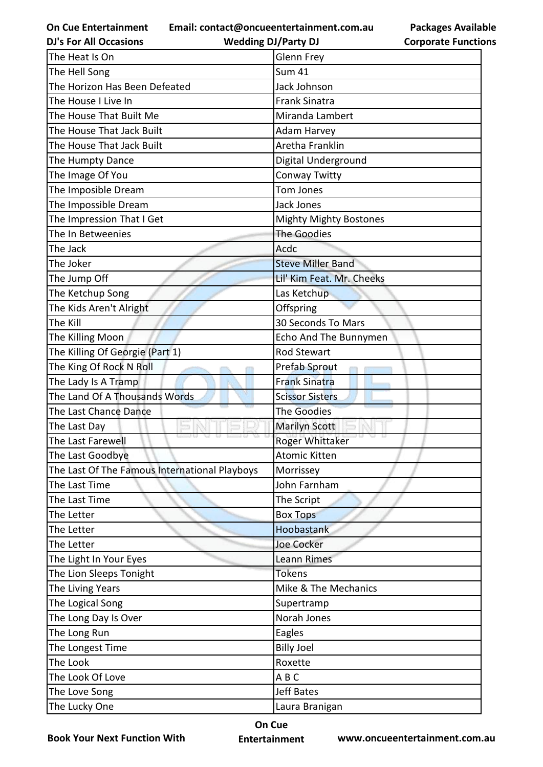**Email: contact@oncueentertainment.com.au**

**DJ's For All Occasions**

**Wedding DJ/Party DJ** 

| <b>Packages Available</b>  |
|----------------------------|
| <b>Corporate Functions</b> |

| The Heat Is On                                | <b>Glenn Frey</b>         |
|-----------------------------------------------|---------------------------|
| The Hell Song                                 | <b>Sum 41</b>             |
| The Horizon Has Been Defeated                 | Jack Johnson              |
| The House I Live In                           | <b>Frank Sinatra</b>      |
| The House That Built Me                       | Miranda Lambert           |
| The House That Jack Built                     | Adam Harvey               |
| The House That Jack Built                     | Aretha Franklin           |
| The Humpty Dance                              | Digital Underground       |
| The Image Of You                              | Conway Twitty             |
| The Imposible Dream                           | Tom Jones                 |
| The Impossible Dream                          | <b>Jack Jones</b>         |
| The Impression That I Get                     | Mighty Mighty Bostones    |
| The In Betweenies                             | The Goodies               |
| The Jack                                      | Acdc                      |
| The Joker                                     | <b>Steve Miller Band</b>  |
| The Jump Off                                  | Lil' Kim Feat. Mr. Cheeks |
| The Ketchup Song                              | Las Ketchup               |
| The Kids Aren't Alright                       | Offspring                 |
| The Kill                                      | 30 Seconds To Mars        |
| The Killing Moon                              | Echo And The Bunnymen     |
| The Killing Of Georgie (Part 1)               | <b>Rod Stewart</b>        |
| The King Of Rock N Roll                       | Prefab Sprout             |
| The Lady Is A Tramp                           | <b>Frank Sinatra</b>      |
| The Land Of A Thousands Words                 | <b>Scissor Sisters</b>    |
| The Last Chance Dance                         | <b>The Goodies</b>        |
| The Last Day                                  | <b>Marilyn Scott</b>      |
| The Last Farewell                             | Roger Whittaker           |
| The Last Goodbye                              | <b>Atomic Kitten</b>      |
| The Last Of The Famous International Playboys | Morrissey                 |
| The Last Time                                 | John Farnham              |
| The Last Time                                 | The Script                |
| The Letter                                    | <b>Box Tops</b>           |
| The Letter                                    | Hoobastank                |
| The Letter                                    | <b>Joe Cocker</b>         |
| The Light In Your Eyes                        | <b>Leann Rimes</b>        |
| The Lion Sleeps Tonight                       | <b>Tokens</b>             |
| The Living Years                              | Mike & The Mechanics      |
| The Logical Song                              | Supertramp                |
| The Long Day Is Over                          | Norah Jones               |
| The Long Run                                  | Eagles                    |
| The Longest Time                              | <b>Billy Joel</b>         |
| The Look                                      | Roxette                   |
| The Look Of Love                              | ABC                       |
| The Love Song                                 | <b>Jeff Bates</b>         |
| The Lucky One                                 | Laura Branigan            |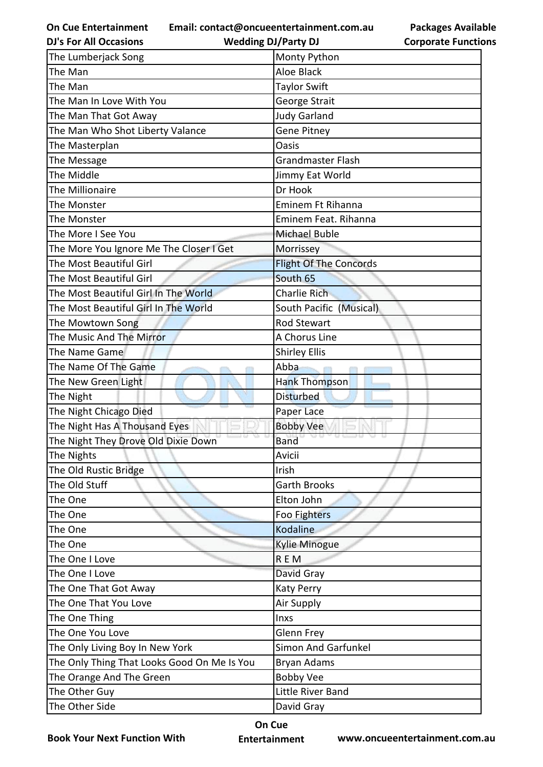**Email: contact@oncueentertainment.com.au**

**Packages Available Corporate Functions**

| <b>DJ's For All Occasions</b>               | <b>Wedding DJ/Party DJ</b>    | <b>Corporate Function</b> |
|---------------------------------------------|-------------------------------|---------------------------|
| The Lumberjack Song                         | Monty Python                  |                           |
| The Man                                     | Aloe Black                    |                           |
| The Man                                     | <b>Taylor Swift</b>           |                           |
| The Man In Love With You                    | George Strait                 |                           |
| The Man That Got Away                       | <b>Judy Garland</b>           |                           |
| The Man Who Shot Liberty Valance            | <b>Gene Pitney</b>            |                           |
| The Masterplan                              | Oasis                         |                           |
| The Message                                 | <b>Grandmaster Flash</b>      |                           |
| The Middle                                  | Jimmy Eat World               |                           |
| The Millionaire                             | Dr Hook                       |                           |
| The Monster                                 | Eminem Ft Rihanna             |                           |
| The Monster                                 | Eminem Feat. Rihanna          |                           |
| The More I See You                          | <b>Michael Buble</b>          |                           |
| The More You Ignore Me The Closer I Get     | Morrissey                     |                           |
| The Most Beautiful Girl                     | <b>Flight Of The Concords</b> |                           |
| The Most Beautiful Girl                     | South 65                      |                           |
| The Most Beautiful Girl In The World        | Charlie Rich                  |                           |
| The Most Beautiful Girl In The World        | South Pacific (Musical)       |                           |
| The Mowtown Song                            | <b>Rod Stewart</b>            |                           |
| The Music And The Mirror                    | A Chorus Line                 |                           |
| The Name Game                               | <b>Shirley Ellis</b>          |                           |
| The Name Of The Game                        | Abba                          |                           |
| The New Green Light                         | <b>Hank Thompson</b>          |                           |
| The Night                                   | <b>Disturbed</b>              |                           |
| The Night Chicago Died                      | Paper Lace                    |                           |
| The Night Has A Thousand Eyes               | <b>Bobby Vee</b>              |                           |
| The Night They Drove Old Dixie Down         | <b>Band</b>                   |                           |
| The Nights                                  | Avicii                        |                           |
| The Old Rustic Bridge                       | Irish                         |                           |
| The Old Stuff                               | <b>Garth Brooks</b>           |                           |
| The One                                     | Elton John                    |                           |
| The One                                     | <b>Foo Fighters</b>           |                           |
| The One                                     | Kodaline                      |                           |
| The One                                     | <b>Kylie Minogue</b>          |                           |
| The One I Love                              | REM                           |                           |
| The One I Love                              | David Gray                    |                           |
| The One That Got Away                       | <b>Katy Perry</b>             |                           |
| The One That You Love                       | Air Supply                    |                           |
| The One Thing                               | Inxs                          |                           |
| The One You Love                            | Glenn Frey                    |                           |
| The Only Living Boy In New York             | Simon And Garfunkel           |                           |
| The Only Thing That Looks Good On Me Is You | Bryan Adams                   |                           |
| The Orange And The Green                    | <b>Bobby Vee</b>              |                           |
| The Other Guy                               | Little River Band             |                           |
| The Other Side                              | David Gray                    |                           |
|                                             |                               |                           |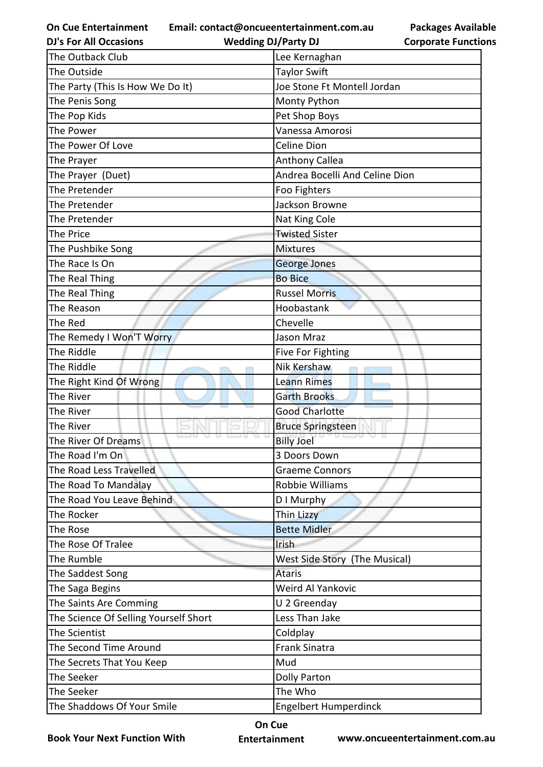**On Cue Entertainment Email: contact@oncueentertainment.com.au**

**Packages Available Corporate Functions**

| <b>DJ's For All Occasions</b>         | <b>Wedding DJ/Party DJ</b>     | <b>Corporate Functio</b> |
|---------------------------------------|--------------------------------|--------------------------|
| The Outback Club                      | Lee Kernaghan                  |                          |
| The Outside                           | <b>Taylor Swift</b>            |                          |
| The Party (This Is How We Do It)      | Joe Stone Ft Montell Jordan    |                          |
| The Penis Song                        | Monty Python                   |                          |
| The Pop Kids                          | Pet Shop Boys                  |                          |
| The Power                             | Vanessa Amorosi                |                          |
| The Power Of Love                     | <b>Celine Dion</b>             |                          |
| The Prayer                            | <b>Anthony Callea</b>          |                          |
| The Prayer (Duet)                     | Andrea Bocelli And Celine Dion |                          |
| The Pretender                         | Foo Fighters                   |                          |
| The Pretender                         | Jackson Browne                 |                          |
| The Pretender                         | Nat King Cole                  |                          |
| The Price                             | <b>Twisted Sister</b>          |                          |
| The Pushbike Song                     | <b>Mixtures</b>                |                          |
| The Race Is On                        | <b>George Jones</b>            |                          |
| The Real Thing                        | <b>Bo Bice</b>                 |                          |
| The Real Thing                        | <b>Russel Morris</b>           |                          |
| The Reason                            | Hoobastank                     |                          |
| The Red                               | Chevelle                       |                          |
| The Remedy I Won'T Worry              | Jason Mraz                     |                          |
| The Riddle                            | Five For Fighting              |                          |
| The Riddle                            | Nik Kershaw                    |                          |
| The Right Kind Of Wrong               | <b>Leann Rimes</b>             |                          |
| The River                             | <b>Garth Brooks</b>            |                          |
| The River                             | <b>Good Charlotte</b>          |                          |
| The River                             | <b>Bruce Springsteen</b>       |                          |
| The River Of Dreams                   | <b>Billy Joel</b>              |                          |
| The Road I'm On                       | 3 Doors Down                   |                          |
| The Road Less Travelled               | <b>Graeme Connors</b>          |                          |
| The Road To Mandalay                  | Robbie Williams                |                          |
| The Road You Leave Behind             | D I Murphy                     |                          |
| The Rocker                            | Thin Lizzy                     |                          |
| The Rose                              | <b>Bette Midler</b>            |                          |
| The Rose Of Tralee                    | Irish                          |                          |
| The Rumble                            | West Side Story (The Musical)  |                          |
| The Saddest Song                      | <b>Ataris</b>                  |                          |
| The Saga Begins                       | Weird Al Yankovic              |                          |
| The Saints Are Comming                | U 2 Greenday                   |                          |
| The Science Of Selling Yourself Short | Less Than Jake                 |                          |
| The Scientist                         | Coldplay                       |                          |
| The Second Time Around                | <b>Frank Sinatra</b>           |                          |
| The Secrets That You Keep             | Mud                            |                          |
| The Seeker                            | <b>Dolly Parton</b>            |                          |
| The Seeker                            | The Who                        |                          |
| The Shaddows Of Your Smile            | <b>Engelbert Humperdinck</b>   |                          |

**Book Your Next Function With**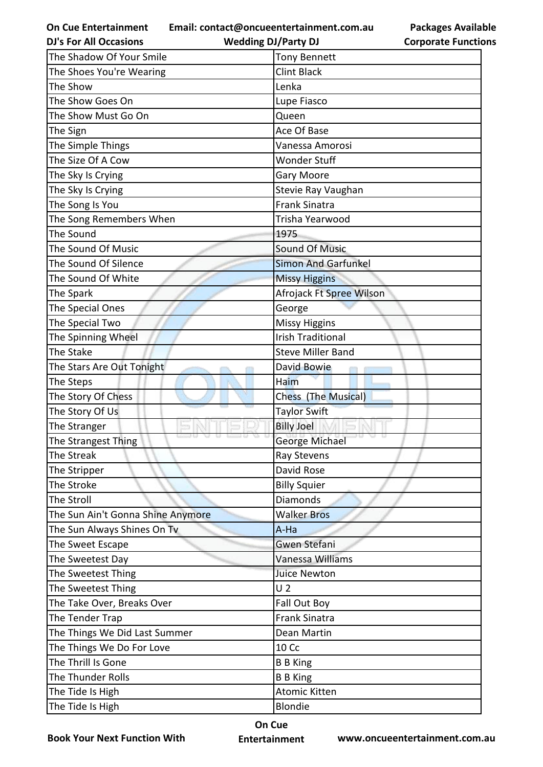**Email: contact@oncueentertainment.com.au Wedding DJ/Party DJ** 

**Packages Available Corporate Functions**

| <b>DJ's For All Occasions</b>     | <b>Wedding DJ/Party DJ</b> | <b>Corporate Functio</b> |
|-----------------------------------|----------------------------|--------------------------|
| The Shadow Of Your Smile          | <b>Tony Bennett</b>        |                          |
| The Shoes You're Wearing          | <b>Clint Black</b>         |                          |
| The Show                          | Lenka                      |                          |
| The Show Goes On                  | Lupe Fiasco                |                          |
| The Show Must Go On               | Queen                      |                          |
| The Sign                          | Ace Of Base                |                          |
| The Simple Things                 | Vanessa Amorosi            |                          |
| The Size Of A Cow                 | Wonder Stuff               |                          |
| The Sky Is Crying                 | Gary Moore                 |                          |
| The Sky Is Crying                 | Stevie Ray Vaughan         |                          |
| The Song Is You                   | <b>Frank Sinatra</b>       |                          |
| The Song Remembers When           | Trisha Yearwood            |                          |
| The Sound                         | 1975                       |                          |
| The Sound Of Music                | <b>Sound Of Music</b>      |                          |
| The Sound Of Silence              | <b>Simon And Garfunkel</b> |                          |
| The Sound Of White                | <b>Missy Higgins</b>       |                          |
| The Spark                         | Afrojack Ft Spree Wilson   |                          |
| The Special Ones                  | George                     |                          |
| The Special Two                   | <b>Missy Higgins</b>       |                          |
| The Spinning Wheel                | <b>Irish Traditional</b>   |                          |
| The Stake                         | <b>Steve Miller Band</b>   |                          |
| The Stars Are Out Tonight         | David Bowie                |                          |
| The Steps                         | Haim                       |                          |
| The Story Of Chess                | Chess (The Musical)        |                          |
| The Story Of Us                   | <b>Taylor Swift</b>        |                          |
| The Stranger                      | <b>Billy Joel</b>          |                          |
| The Strangest Thing               | George Michael             |                          |
| The Streak                        | Ray Stevens                |                          |
| The Stripper                      | David Rose                 |                          |
| The Stroke                        | <b>Billy Squier</b>        |                          |
| The Stroll                        | Diamonds                   |                          |
| The Sun Ain't Gonna Shine Anymore | <b>Walker Bros</b>         |                          |
| The Sun Always Shines On Tv       | A-Ha                       |                          |
| The Sweet Escape                  | Gwen Stefani               |                          |
| The Sweetest Day                  | Vanessa Williams           |                          |
| The Sweetest Thing                | <b>Juice Newton</b>        |                          |
| The Sweetest Thing                | U <sub>2</sub>             |                          |
| The Take Over, Breaks Over        | Fall Out Boy               |                          |
| The Tender Trap                   | <b>Frank Sinatra</b>       |                          |
| The Things We Did Last Summer     | Dean Martin                |                          |
| The Things We Do For Love         | 10 Cc                      |                          |
| The Thrill Is Gone                | <b>B</b> B King            |                          |
| The Thunder Rolls                 | <b>B B King</b>            |                          |
| The Tide Is High                  | Atomic Kitten              |                          |
| The Tide Is High                  | <b>Blondie</b>             |                          |

**Book Your Next Function With**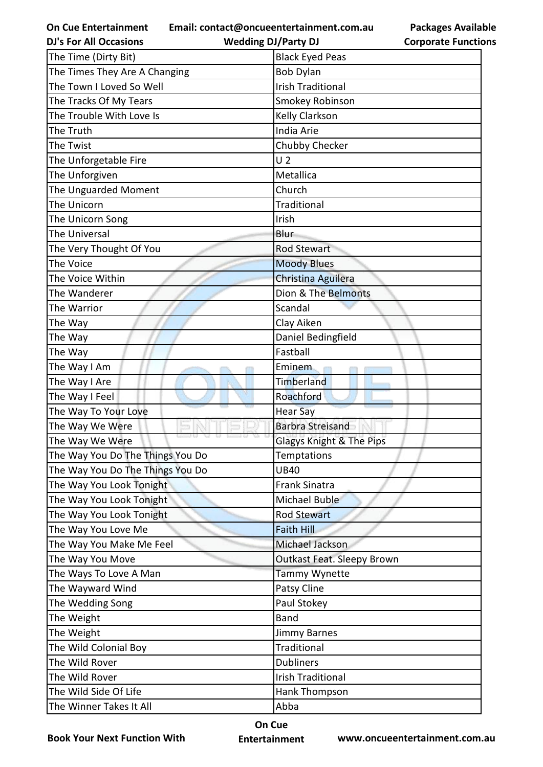**Email: contact@oncueentertainment.com.au Wedding DJ/Party DJ** 

**Packages Available Corporate Functions**

| <b>DJ's For All Occasions</b>    | <b>Wedding DJ/Party DJ</b>          | <b>Corporate Functio</b> |
|----------------------------------|-------------------------------------|--------------------------|
| The Time (Dirty Bit)             | <b>Black Eyed Peas</b>              |                          |
| The Times They Are A Changing    | <b>Bob Dylan</b>                    |                          |
| The Town I Loved So Well         | <b>Irish Traditional</b>            |                          |
| The Tracks Of My Tears           | Smokey Robinson                     |                          |
| The Trouble With Love Is         | Kelly Clarkson                      |                          |
| The Truth                        | India Arie                          |                          |
| The Twist                        | Chubby Checker                      |                          |
| The Unforgetable Fire            | U <sub>2</sub>                      |                          |
| The Unforgiven                   | Metallica                           |                          |
| The Unguarded Moment             | Church                              |                          |
| The Unicorn                      | Traditional                         |                          |
| The Unicorn Song                 | Irish                               |                          |
| The Universal                    | Blur                                |                          |
| The Very Thought Of You          | <b>Rod Stewart</b>                  |                          |
| The Voice                        | <b>Moody Blues</b>                  |                          |
| The Voice Within                 | Christina Aguilera                  |                          |
| The Wanderer                     | Dion & The Belmonts                 |                          |
| The Warrior                      | Scandal                             |                          |
| The Way                          | Clay Aiken                          |                          |
| The Way                          | Daniel Bedingfield                  |                          |
| The Way                          | Fastball                            |                          |
| The Way I Am                     | Eminem                              |                          |
| The Way I Are                    | Timberland                          |                          |
| The Way I Feel                   | Roachford                           |                          |
| The Way To Your Love             | <b>Hear Say</b>                     |                          |
| The Way We Were                  | <b>Barbra Streisand</b>             |                          |
| The Way We Were                  | <b>Glagys Knight &amp; The Pips</b> |                          |
| The Way You Do The Things You Do | <b>Temptations</b>                  |                          |
| The Way You Do The Things You Do | <b>UB40</b>                         |                          |
| The Way You Look Tonight         | <b>Frank Sinatra</b>                |                          |
| The Way You Look Tonight         | Michael Buble                       |                          |
| The Way You Look Tonight         | <b>Rod Stewart</b>                  |                          |
| The Way You Love Me              | <b>Faith Hill</b>                   |                          |
| The Way You Make Me Feel         | Michael Jackson                     |                          |
| The Way You Move                 | Outkast Feat. Sleepy Brown          |                          |
| The Ways To Love A Man           | Tammy Wynette                       |                          |
| The Wayward Wind                 | Patsy Cline                         |                          |
| The Wedding Song                 | Paul Stokey                         |                          |
| The Weight                       | <b>Band</b>                         |                          |
| The Weight                       | Jimmy Barnes                        |                          |
| The Wild Colonial Boy            | <b>Traditional</b>                  |                          |
| The Wild Rover                   | <b>Dubliners</b>                    |                          |
| The Wild Rover                   | <b>Irish Traditional</b>            |                          |
| The Wild Side Of Life            | Hank Thompson                       |                          |
| The Winner Takes It All          | Abba                                |                          |
|                                  |                                     |                          |

**Book Your Next Function With**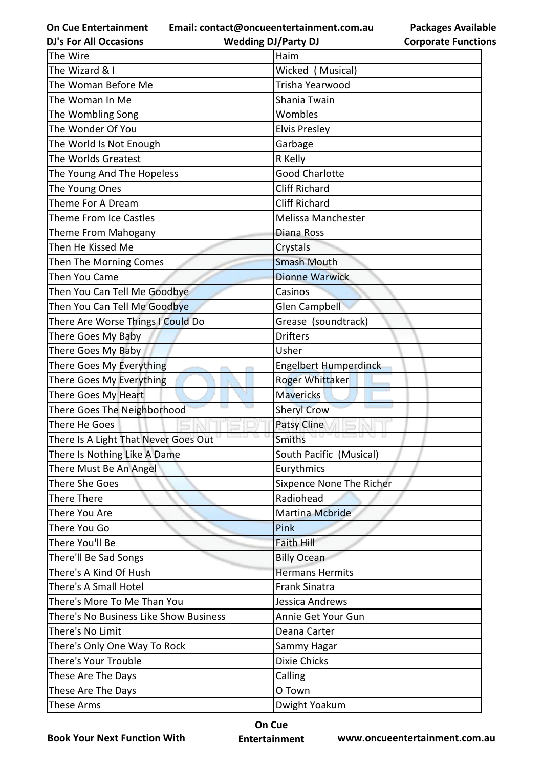**Email: contact@oncueentertainment.com.au**

**DJ's For All Occasions**

**Wedding DJ/Party DJ** 

**Packages Available Corporate Functions**

| The Wire                               | Haim                     |  |
|----------------------------------------|--------------------------|--|
| The Wizard & I                         | Wicked (Musical)         |  |
| The Woman Before Me                    | Trisha Yearwood          |  |
| The Woman In Me                        | Shania Twain             |  |
| The Wombling Song                      | Wombles                  |  |
| The Wonder Of You                      | <b>Elvis Presley</b>     |  |
| The World Is Not Enough                | Garbage                  |  |
| The Worlds Greatest                    | R Kelly                  |  |
| The Young And The Hopeless             | <b>Good Charlotte</b>    |  |
| The Young Ones                         | <b>Cliff Richard</b>     |  |
| Theme For A Dream                      | <b>Cliff Richard</b>     |  |
| <b>Theme From Ice Castles</b>          | Melissa Manchester       |  |
| Theme From Mahogany                    | Diana Ross               |  |
| Then He Kissed Me                      | Crystals                 |  |
| Then The Morning Comes                 | <b>Smash Mouth</b>       |  |
| Then You Came                          | <b>Dionne Warwick</b>    |  |
| Then You Can Tell Me Goodbye           | Casinos                  |  |
| Then You Can Tell Me Goodbye           | <b>Glen Campbell</b>     |  |
| There Are Worse Things I Could Do      | Grease (soundtrack)      |  |
| There Goes My Baby                     | <b>Drifters</b>          |  |
| There Goes My Baby                     | Usher                    |  |
| There Goes My Everything               | Engelbert Humperdinck    |  |
| There Goes My Everything               | Roger Whittaker          |  |
| There Goes My Heart                    | <b>Mavericks</b>         |  |
| There Goes The Neighborhood            | <b>Sheryl Crow</b>       |  |
| There He Goes                          | Patsy Cline              |  |
| There Is A Light That Never Goes Out   | <b>Smiths</b>            |  |
| There Is Nothing Like A Dame           | South Pacific (Musical)  |  |
| There Must Be An Angel                 | Eurythmics               |  |
| There She Goes                         | Sixpence None The Richer |  |
| There There                            | Radiohead                |  |
| There You Are                          | <b>Martina Mcbride</b>   |  |
| There You Go                           | Pink                     |  |
| There You'll Be                        | <b>Faith Hill</b>        |  |
| There'll Be Sad Songs                  | <b>Billy Ocean</b>       |  |
| There's A Kind Of Hush                 | <b>Hermans Hermits</b>   |  |
| There's A Small Hotel                  | <b>Frank Sinatra</b>     |  |
| There's More To Me Than You            | Jessica Andrews          |  |
| There's No Business Like Show Business | Annie Get Your Gun       |  |
| There's No Limit                       | Deana Carter             |  |
| There's Only One Way To Rock           | Sammy Hagar              |  |
| There's Your Trouble                   | <b>Dixie Chicks</b>      |  |
| These Are The Days                     | Calling                  |  |
| These Are The Days                     | O Town                   |  |
| These Arms                             | Dwight Yoakum            |  |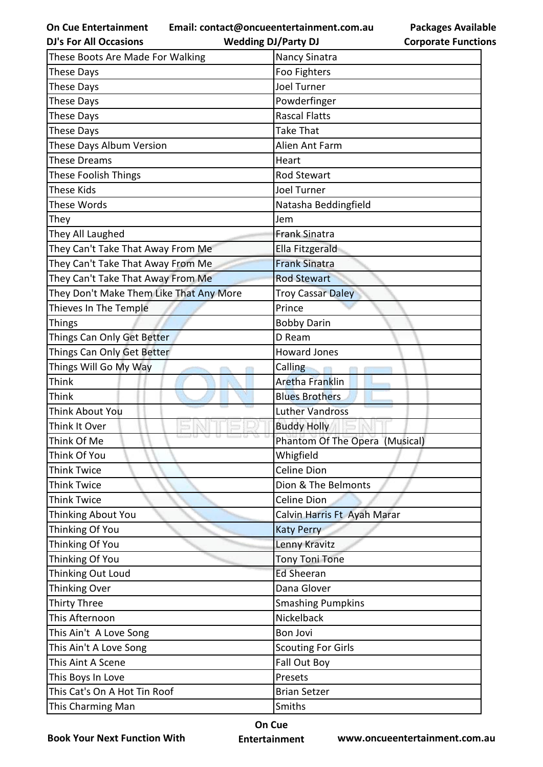**Email: contact@oncueentertainment.com.au**

|                            | <b>Packages Available</b> |
|----------------------------|---------------------------|
| <b>Corporate Functions</b> |                           |

| <b>DJ's For All Occasions</b>           | <b>Wedding DJ/Party DJ</b>     | <b>Corporate Functio</b> |
|-----------------------------------------|--------------------------------|--------------------------|
| These Boots Are Made For Walking        | Nancy Sinatra                  |                          |
| <b>These Days</b>                       | Foo Fighters                   |                          |
| <b>These Days</b>                       | <b>Joel Turner</b>             |                          |
| <b>These Days</b>                       | Powderfinger                   |                          |
| <b>These Days</b>                       | <b>Rascal Flatts</b>           |                          |
| <b>These Days</b>                       | <b>Take That</b>               |                          |
| These Days Album Version                | Alien Ant Farm                 |                          |
| <b>These Dreams</b>                     | Heart                          |                          |
| These Foolish Things                    | <b>Rod Stewart</b>             |                          |
| <b>These Kids</b>                       | <b>Joel Turner</b>             |                          |
| These Words                             | Natasha Beddingfield           |                          |
| They                                    | Jem                            |                          |
| They All Laughed                        | <b>Frank Sinatra</b>           |                          |
| They Can't Take That Away From Me       | Ella Fitzgerald                |                          |
| They Can't Take That Away From Me       | <b>Frank Sinatra</b>           |                          |
| They Can't Take That Away From Me       | <b>Rod Stewart</b>             |                          |
| They Don't Make Them Like That Any More | <b>Troy Cassar Daley</b>       |                          |
| Thieves In The Temple                   | Prince                         |                          |
| <b>Things</b>                           | <b>Bobby Darin</b>             |                          |
| Things Can Only Get Better              | D Ream                         |                          |
| Things Can Only Get Better              | <b>Howard Jones</b>            |                          |
| Things Will Go My Way                   | Calling                        |                          |
| <b>Think</b>                            | <b>Aretha Franklin</b>         |                          |
| Think                                   | <b>Blues Brothers</b>          |                          |
| <b>Think About You</b>                  | <b>Luther Vandross</b>         |                          |
| Think It Over                           | <b>Buddy Holly</b>             |                          |
| Think Of Me                             | Phantom Of The Opera (Musical) |                          |
| Think Of You                            | Whigfield                      |                          |
| <b>Think Twice</b>                      | <b>Celine Dion</b>             |                          |
| <b>Think Twice</b>                      | Dion & The Belmonts            |                          |
| <b>Think Twice</b>                      | <b>Celine Dion</b>             |                          |
| Thinking About You                      | Calvin Harris Ft Ayah Marar    |                          |
| Thinking Of You                         | <b>Katy Perry</b>              |                          |
| Thinking Of You                         | Lenny Kravitz                  |                          |
| Thinking Of You                         | <b>Tony Toni Tone</b>          |                          |
| Thinking Out Loud                       | <b>Ed Sheeran</b>              |                          |
| Thinking Over                           | Dana Glover                    |                          |
| <b>Thirty Three</b>                     | <b>Smashing Pumpkins</b>       |                          |
| This Afternoon                          | Nickelback                     |                          |
| This Ain't A Love Song                  | <b>Bon Jovi</b>                |                          |
| This Ain't A Love Song                  | <b>Scouting For Girls</b>      |                          |
| This Aint A Scene                       | Fall Out Boy                   |                          |
| This Boys In Love                       | Presets                        |                          |
| This Cat's On A Hot Tin Roof            | <b>Brian Setzer</b>            |                          |
| This Charming Man                       | Smiths                         |                          |

**Book Your Next Function With**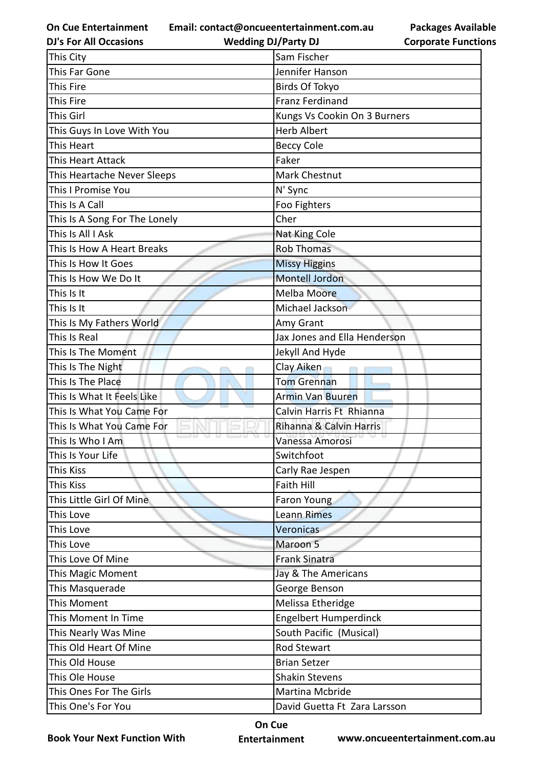**Email: contact@oncueentertainment.com.au Wedding DJ/Party DJ** 

**DJ's For All Occasions**

**Corporate Functions**

**Packages Available** 

| This City                                | Sam Fischer                  |  |
|------------------------------------------|------------------------------|--|
| This Far Gone                            | Jennifer Hanson              |  |
| This Fire                                | <b>Birds Of Tokyo</b>        |  |
| This Fire                                | <b>Franz Ferdinand</b>       |  |
| This Girl                                | Kungs Vs Cookin On 3 Burners |  |
| This Guys In Love With You               | <b>Herb Albert</b>           |  |
| This Heart                               | <b>Beccy Cole</b>            |  |
| <b>This Heart Attack</b>                 | Faker                        |  |
| This Heartache Never Sleeps              | Mark Chestnut                |  |
| This I Promise You                       | N' Sync                      |  |
| This Is A Call                           | Foo Fighters                 |  |
| This Is A Song For The Lonely            | Cher                         |  |
| This Is All I Ask                        | Nat King Cole                |  |
| This Is How A Heart Breaks               | <b>Rob Thomas</b>            |  |
| This Is How It Goes                      | <b>Missy Higgins</b>         |  |
| This Is How We Do It                     | <b>Montell Jordon</b>        |  |
| This Is It                               | <b>Melba Moore</b>           |  |
| This Is It                               | Michael Jackson              |  |
| This Is My Fathers World                 | Amy Grant                    |  |
| This Is Real                             | Jax Jones and Ella Henderson |  |
| This Is The Moment                       | Jekyll And Hyde              |  |
| This Is The Night                        | Clay Aiken                   |  |
| This Is The Place                        | <b>Tom Grennan</b>           |  |
| This Is What It Feels Like               | <b>Armin Van Buuren</b>      |  |
| <b>SALL</b><br>This Is What You Came For | Calvin Harris Ft Rhianna     |  |
| This Is What You Came For                | Rihanna & Calvin Harris      |  |
| This Is Who I Am                         | Vanessa Amorosi              |  |
| This Is Your Life                        | Switchfoot                   |  |
| This Kiss                                | Carly Rae Jespen             |  |
| <b>This Kiss</b>                         | <b>Faith Hill</b>            |  |
| This Little Girl Of Mine                 | <b>Faron Young</b>           |  |
| This Love                                | <b>Leann Rimes</b>           |  |
| This Love                                | Veronicas                    |  |
| This Love                                | Maroon 5                     |  |
| This Love Of Mine                        | <b>Frank Sinatra</b>         |  |
| This Magic Moment                        | Jay & The Americans          |  |
| This Masquerade                          | George Benson                |  |
| This Moment                              | Melissa Etheridge            |  |
| This Moment In Time                      | <b>Engelbert Humperdinck</b> |  |
| This Nearly Was Mine                     | South Pacific (Musical)      |  |
| This Old Heart Of Mine                   | <b>Rod Stewart</b>           |  |
| This Old House                           | <b>Brian Setzer</b>          |  |
| This Ole House                           | <b>Shakin Stevens</b>        |  |
| This Ones For The Girls                  | Martina Mcbride              |  |
| This One's For You                       | David Guetta Ft Zara Larsson |  |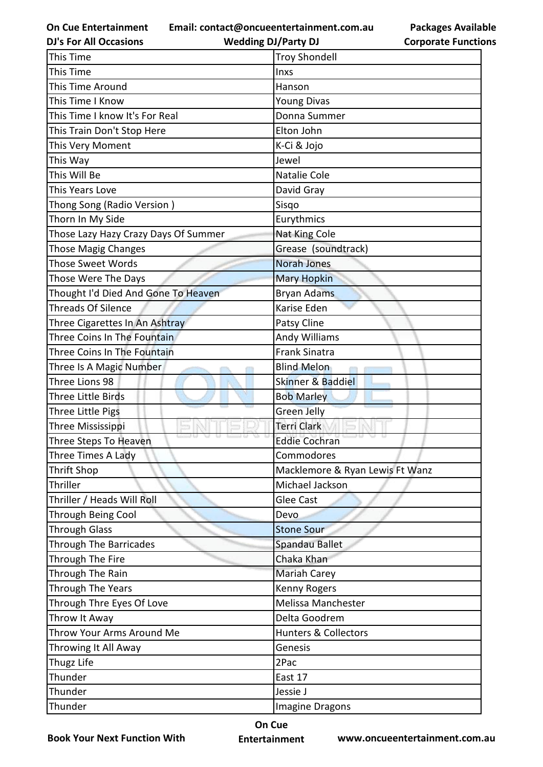**Email: contact@oncueentertainment.com.au**

**DJ's For All Occasions**

**Wedding DJ/Party DJ** 

**Packages Available Corporate Functions**

| This Time                            | <b>Troy Shondell</b>            |  |
|--------------------------------------|---------------------------------|--|
| This Time                            | Inxs                            |  |
| This Time Around                     | Hanson                          |  |
| This Time I Know                     | <b>Young Divas</b>              |  |
| This Time I know It's For Real       | Donna Summer                    |  |
| This Train Don't Stop Here           | Elton John                      |  |
| This Very Moment                     | K-Ci & Jojo                     |  |
| This Way                             | Jewel                           |  |
| This Will Be                         | Natalie Cole                    |  |
| This Years Love                      | David Gray                      |  |
| Thong Song (Radio Version)           | Sisqo                           |  |
| Thorn In My Side                     | Eurythmics                      |  |
| Those Lazy Hazy Crazy Days Of Summer | Nat King Cole                   |  |
| Those Magig Changes                  | Grease (soundtrack)             |  |
| <b>Those Sweet Words</b>             | <b>Norah Jones</b>              |  |
| Those Were The Days                  | <b>Mary Hopkin</b>              |  |
| Thought I'd Died And Gone To Heaven  | Bryan Adams                     |  |
| Threads Of Silence                   | Karise Eden                     |  |
| Three Cigarettes In An Ashtray       | Patsy Cline                     |  |
| Three Coins In The Fountain          | <b>Andy Williams</b>            |  |
| Three Coins In The Fountain          | <b>Frank Sinatra</b>            |  |
| Three Is A Magic Number              | <b>Blind Melon</b>              |  |
| Three Lions 98                       | <b>Skinner &amp; Baddiel</b>    |  |
| <b>Three Little Birds</b>            | <b>Bob Marley</b>               |  |
| Three Little Pigs                    | <b>Green Jelly</b>              |  |
| Three Mississippi                    | <b>Terri Clark</b>              |  |
| Three Steps To Heaven                | <b>Eddie Cochran</b>            |  |
| Three Times A Lady                   | Commodores                      |  |
| Thrift Shop                          | Macklemore & Ryan Lewis Ft Wanz |  |
| Thriller                             | Michael Jackson                 |  |
| Thriller / Heads Will Roll           | Glee Cast                       |  |
| <b>Through Being Cool</b>            | Devo                            |  |
| <b>Through Glass</b>                 | <b>Stone Sour</b>               |  |
| <b>Through The Barricades</b>        | Spandau Ballet                  |  |
| Through The Fire                     | Chaka Khan                      |  |
| Through The Rain                     | <b>Mariah Carey</b>             |  |
| Through The Years                    | Kenny Rogers                    |  |
| Through Thre Eyes Of Love            | Melissa Manchester              |  |
| Throw It Away                        | Delta Goodrem                   |  |
| Throw Your Arms Around Me            | <b>Hunters &amp; Collectors</b> |  |
| Throwing It All Away                 | Genesis                         |  |
| Thugz Life                           | 2Pac                            |  |
| Thunder                              | East 17                         |  |
| Thunder                              | Jessie J                        |  |
| Thunder                              | Imagine Dragons                 |  |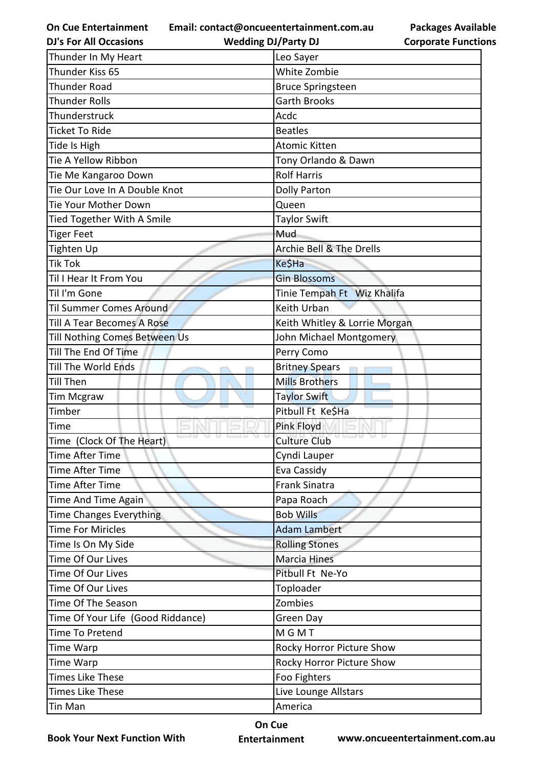**Email: contact@oncueentertainment.com.au**

**Packages Available Corporate Functions**

| <b>DJ's For All Occasions</b>     | <b>Wedding DJ/Party DJ</b>          | <b>Corporate Functio</b> |
|-----------------------------------|-------------------------------------|--------------------------|
| Thunder In My Heart               | Leo Sayer                           |                          |
| Thunder Kiss 65                   | White Zombie                        |                          |
| <b>Thunder Road</b>               | <b>Bruce Springsteen</b>            |                          |
| <b>Thunder Rolls</b>              | <b>Garth Brooks</b>                 |                          |
| Thunderstruck                     | Acdc                                |                          |
| <b>Ticket To Ride</b>             | <b>Beatles</b>                      |                          |
| Tide Is High                      | <b>Atomic Kitten</b>                |                          |
| Tie A Yellow Ribbon               | Tony Orlando & Dawn                 |                          |
| Tie Me Kangaroo Down              | <b>Rolf Harris</b>                  |                          |
| Tie Our Love In A Double Knot     | <b>Dolly Parton</b>                 |                          |
| Tie Your Mother Down              | Queen                               |                          |
| Tied Together With A Smile        | <b>Taylor Swift</b>                 |                          |
| <b>Tiger Feet</b>                 | Mud                                 |                          |
| Tighten Up                        | <b>Archie Bell &amp; The Drells</b> |                          |
| <b>Tik Tok</b>                    | Ke\$Ha                              |                          |
| Til I Hear It From You            | <b>Gin Blossoms</b>                 |                          |
| Til I'm Gone                      | Tinie Tempah Ft Wiz Khalifa         |                          |
| <b>Til Summer Comes Around</b>    | Keith Urban                         |                          |
| Till A Tear Becomes A Rose        | Keith Whitley & Lorrie Morgan       |                          |
| Till Nothing Comes Between Us     | John Michael Montgomery             |                          |
| Till The End Of Time              | Perry Como                          |                          |
| Till The World Ends               | <b>Britney Spears</b>               |                          |
| Till Then                         | <b>Mills Brothers</b>               |                          |
| <b>Tim Mcgraw</b>                 | <b>Taylor Swift</b>                 |                          |
| Timber                            | Pitbull Ft Ke\$Ha                   |                          |
| Time                              | Pink Floyd                          |                          |
| Time (Clock Of The Heart)         | <b>Culture Club</b>                 |                          |
| Time After Time                   | Cyndi Lauper                        |                          |
| <b>Time After Time</b>            | Eva Cassidy                         |                          |
| Time After Time                   | <b>Frank Sinatra</b>                |                          |
| Time And Time Again               | Papa Roach                          |                          |
| <b>Time Changes Everything</b>    | <b>Bob Wills</b>                    |                          |
| <b>Time For Miricles</b>          | <b>Adam Lambert</b>                 |                          |
| Time Is On My Side                | <b>Rolling Stones</b>               |                          |
| Time Of Our Lives                 | <b>Marcia Hines</b>                 |                          |
| Time Of Our Lives                 | Pitbull Ft Ne-Yo                    |                          |
| Time Of Our Lives                 | Toploader                           |                          |
| Time Of The Season                | Zombies                             |                          |
| Time Of Your Life (Good Riddance) | Green Day                           |                          |
| Time To Pretend                   | MGMT                                |                          |
| Time Warp                         | Rocky Horror Picture Show           |                          |
| Time Warp                         | Rocky Horror Picture Show           |                          |
| <b>Times Like These</b>           | Foo Fighters                        |                          |
| <b>Times Like These</b>           | Live Lounge Allstars                |                          |
| Tin Man                           | America                             |                          |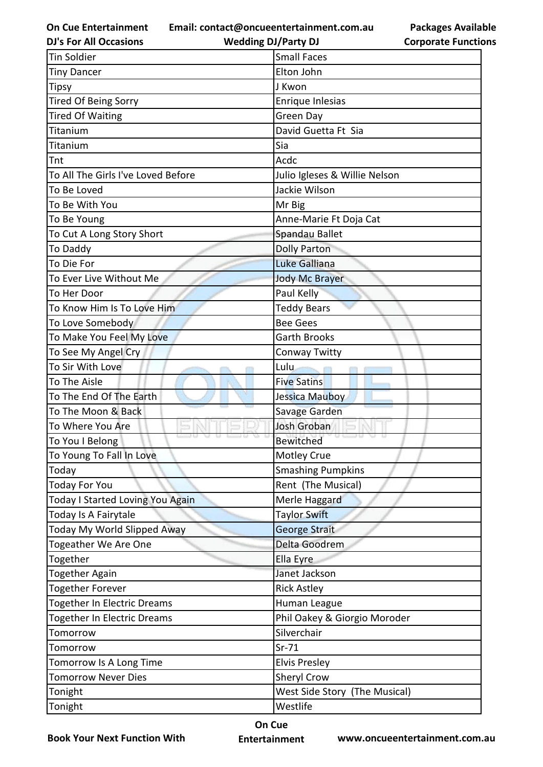**Email: contact@oncueentertainment.com.au**

**DJ's For All Occasions**

**Corporate Functions**

**Packages Available** 

| <b>DJ's For All Occasions</b>                                                                       | <b>Wedding DJ/Party DJ</b>    | <b>Corporate Functio</b> |
|-----------------------------------------------------------------------------------------------------|-------------------------------|--------------------------|
| <b>Tin Soldier</b>                                                                                  | <b>Small Faces</b>            |                          |
| <b>Tiny Dancer</b>                                                                                  | Elton John                    |                          |
| Tipsy                                                                                               | J Kwon                        |                          |
| <b>Tired Of Being Sorry</b>                                                                         | Enrique Inlesias              |                          |
| <b>Tired Of Waiting</b>                                                                             | <b>Green Day</b>              |                          |
| Titanium                                                                                            | David Guetta Ft Sia           |                          |
| Titanium                                                                                            | Sia                           |                          |
| Tnt                                                                                                 | Acdc                          |                          |
| To All The Girls I've Loved Before                                                                  | Julio Igleses & Willie Nelson |                          |
| To Be Loved                                                                                         | Jackie Wilson                 |                          |
| To Be With You                                                                                      | Mr Big                        |                          |
| To Be Young                                                                                         | Anne-Marie Ft Doja Cat        |                          |
| To Cut A Long Story Short                                                                           | Spandau Ballet                |                          |
| To Daddy                                                                                            | <b>Dolly Parton</b>           |                          |
| To Die For                                                                                          | Luke Galliana                 |                          |
| To Ever Live Without Me                                                                             | <b>Jody Mc Brayer</b>         |                          |
| To Her Door                                                                                         | Paul Kelly                    |                          |
| To Know Him Is To Love Him                                                                          | <b>Teddy Bears</b>            |                          |
| To Love Somebody                                                                                    | <b>Bee Gees</b>               |                          |
| To Make You Feel My Love                                                                            | <b>Garth Brooks</b>           |                          |
| To See My Angel Cry                                                                                 | Conway Twitty                 |                          |
| To Sir With Love                                                                                    | Lulu.                         |                          |
| To The Aisle                                                                                        | <b>Five Satins</b>            |                          |
| To The End Of The Earth                                                                             | Jessica Mauboy                |                          |
| To The Moon & Back                                                                                  | Savage Garden                 |                          |
| To Where You Are                                                                                    | <b>Josh Groban</b>            |                          |
| To You I Belong                                                                                     | <b>Bewitched</b>              |                          |
| To Young To Fall In Love                                                                            | Motley Crue                   |                          |
| Today                                                                                               | <b>Smashing Pumpkins</b>      |                          |
| Today For You                                                                                       | Rent (The Musical)            |                          |
| Today I Started Loving You Again                                                                    | Merle Haggard                 |                          |
| Today Is A Fairytale                                                                                | <b>Taylor Swift</b>           |                          |
| Today My World Slipped Away                                                                         | George Strait                 |                          |
| Togeather We Are One                                                                                | Delta Goodrem                 |                          |
| Together                                                                                            | Ella Eyre                     |                          |
| Together Again                                                                                      | Janet Jackson                 |                          |
|                                                                                                     | <b>Rick Astley</b>            |                          |
|                                                                                                     | Human League                  |                          |
| <b>Together In Electric Dreams</b>                                                                  | Phil Oakey & Giorgio Moroder  |                          |
| Tomorrow                                                                                            | Silverchair                   |                          |
| Tomorrow                                                                                            | $Sr-71$                       |                          |
|                                                                                                     | <b>Elvis Presley</b>          |                          |
| <b>Tomorrow Never Dies</b>                                                                          | Sheryl Crow                   |                          |
| Tonight                                                                                             | West Side Story (The Musical) |                          |
|                                                                                                     | Westlife                      |                          |
| <b>Together Forever</b><br><b>Together In Electric Dreams</b><br>Tomorrow Is A Long Time<br>Tonight |                               |                          |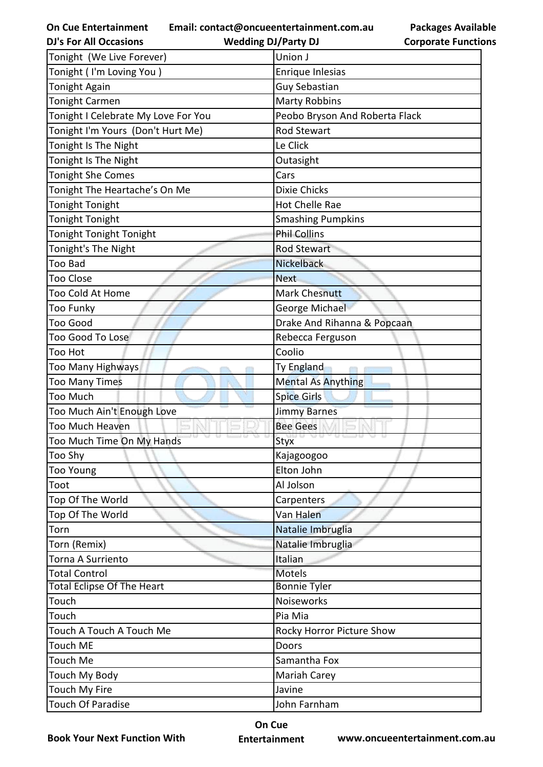**Email: contact@oncueentertainment.com.au**

| <b>Packages Available</b>  |
|----------------------------|
| <b>Corporate Functions</b> |

| <b>DJ's For All Occasions</b>       | <b>Wedding DJ/Party DJ</b>     | <b>Corporate Functio</b> |
|-------------------------------------|--------------------------------|--------------------------|
| Tonight (We Live Forever)           | Union J                        |                          |
| Tonight (I'm Loving You)            | Enrique Inlesias               |                          |
| <b>Tonight Again</b>                | Guy Sebastian                  |                          |
| <b>Tonight Carmen</b>               | <b>Marty Robbins</b>           |                          |
| Tonight I Celebrate My Love For You | Peobo Bryson And Roberta Flack |                          |
| Tonight I'm Yours (Don't Hurt Me)   | <b>Rod Stewart</b>             |                          |
| Tonight Is The Night                | Le Click                       |                          |
| Tonight Is The Night                | Outasight                      |                          |
| <b>Tonight She Comes</b>            | Cars                           |                          |
| Tonight The Heartache's On Me       | <b>Dixie Chicks</b>            |                          |
| <b>Tonight Tonight</b>              | Hot Chelle Rae                 |                          |
| <b>Tonight Tonight</b>              | <b>Smashing Pumpkins</b>       |                          |
| Tonight Tonight Tonight             | <b>Phil Collins</b>            |                          |
| Tonight's The Night                 | <b>Rod Stewart</b>             |                          |
| <b>Too Bad</b>                      | <b>Nickelback</b>              |                          |
| <b>Too Close</b>                    | <b>Next</b>                    |                          |
| Too Cold At Home                    | <b>Mark Chesnutt</b>           |                          |
| <b>Too Funky</b>                    | George Michael                 |                          |
| <b>Too Good</b>                     | Drake And Rihanna & Popcaan    |                          |
| <b>Too Good To Lose</b>             | Rebecca Ferguson               |                          |
| <b>Too Hot</b>                      | Coolio                         |                          |
| <b>Too Many Highways</b>            | Ty England                     |                          |
| <b>Too Many Times</b>               | <b>Mental As Anything</b>      |                          |
| <b>Too Much</b>                     | <b>Spice Girls</b>             |                          |
| Too Much Ain't Enough Love          | <b>Jimmy Barnes</b>            |                          |
| Too Much Heaven                     | <b>Bee Gees</b>                |                          |
| Too Much Time On My Hands           | Styx                           |                          |
| Too Shy                             | Kajagoogoo                     |                          |
| <b>Too Young</b>                    | Elton John                     |                          |
| Toot                                | Al Jolson                      |                          |
| Top Of The World                    | Carpenters                     |                          |
| Top Of The World                    | Van Halen                      |                          |
| Torn                                | Natalie Imbruglia              |                          |
| Torn (Remix)                        | Natalie Imbruglia              |                          |
| Torna A Surriento                   | Italian                        |                          |
| <b>Total Control</b>                | <b>Motels</b>                  |                          |
| <b>Total Eclipse Of The Heart</b>   | <b>Bonnie Tyler</b>            |                          |
| Touch                               | Noiseworks                     |                          |
| Touch                               | Pia Mia                        |                          |
| Touch A Touch A Touch Me            | Rocky Horror Picture Show      |                          |
| <b>Touch ME</b>                     | Doors                          |                          |
| Touch Me                            | Samantha Fox                   |                          |
| Touch My Body                       | Mariah Carey                   |                          |
| Touch My Fire                       | Javine                         |                          |
| <b>Touch Of Paradise</b>            | John Farnham                   |                          |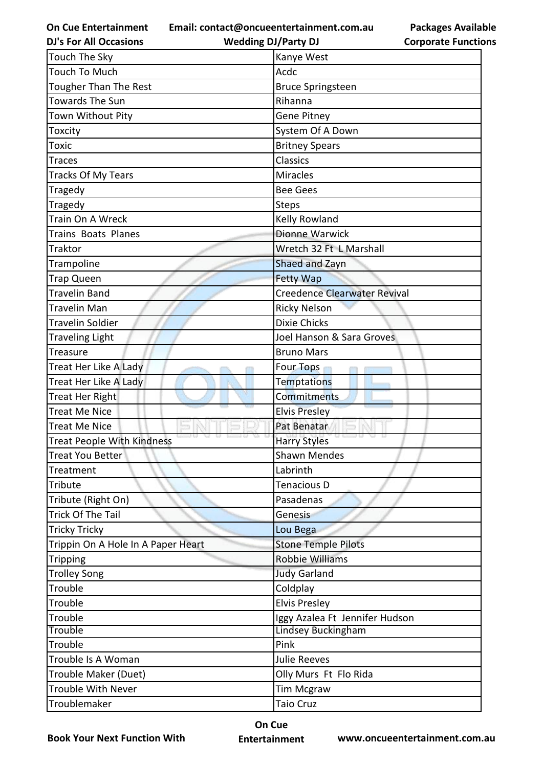**Email: contact@oncueentertainment.com.au**

**DJ's For All Occasions**

**Wedding DJ/Party DJ** 

| <b>Packages Available</b>  |
|----------------------------|
| <b>Corporate Functions</b> |

| <b>Touch The Sky</b>               | Kanye West                     |
|------------------------------------|--------------------------------|
| Touch To Much                      | Acdc                           |
| <b>Tougher Than The Rest</b>       | <b>Bruce Springsteen</b>       |
| <b>Towards The Sun</b>             | Rihanna                        |
| Town Without Pity                  | <b>Gene Pitney</b>             |
| Toxcity                            | System Of A Down               |
| Toxic                              | <b>Britney Spears</b>          |
| Traces                             | Classics                       |
| Tracks Of My Tears                 | <b>Miracles</b>                |
| Tragedy                            | <b>Bee Gees</b>                |
| <b>Tragedy</b>                     | <b>Steps</b>                   |
| Train On A Wreck                   | Kelly Rowland                  |
| Trains Boats Planes                | <b>Dionne Warwick</b>          |
| Traktor                            | Wretch 32 Ft L Marshall        |
| Trampoline                         | Shaed and Zayn                 |
| Trap Queen                         | <b>Fetty Wap</b>               |
| Travelin Band                      | Creedence Clearwater Revival   |
| Travelin Man                       | <b>Ricky Nelson</b>            |
| <b>Travelin Soldier</b>            | <b>Dixie Chicks</b>            |
| <b>Traveling Light</b>             | Joel Hanson & Sara Groves      |
| <b>Treasure</b>                    | <b>Bruno Mars</b>              |
| Treat Her Like A Lady              | <b>Four Tops</b>               |
| Treat Her Like A Lady              | <b>Temptations</b>             |
| Treat Her Right                    | Commitments                    |
| Treat Me Nice                      | <b>Elvis Presley</b>           |
| <b>Treat Me Nice</b>               | Pat Benatar                    |
| <b>Treat People With Kindness</b>  | <b>Harry Styles</b>            |
| <b>Treat You Better</b>            | Shawn Mendes                   |
| Treatment                          | Labrinth                       |
| Tribute                            | Tenacious D                    |
| Tribute (Right On)                 | Pasadenas                      |
| Trick Of The Tail                  | Genesis                        |
| <b>Tricky Tricky</b>               | Lou Bega                       |
| Trippin On A Hole In A Paper Heart | <b>Stone Temple Pilots</b>     |
| <b>Tripping</b>                    | <b>Robbie Williams</b>         |
| <b>Trolley Song</b>                | <b>Judy Garland</b>            |
| Trouble                            | Coldplay                       |
| Trouble                            | <b>Elvis Presley</b>           |
| Trouble                            | Iggy Azalea Ft Jennifer Hudson |
| <b>Trouble</b>                     | <b>Lindsey Buckingham</b>      |
| Trouble                            | Pink                           |
| Trouble Is A Woman                 | <b>Julie Reeves</b>            |
| Trouble Maker (Duet)               | Olly Murs Ft Flo Rida          |
| Trouble With Never                 | <b>Tim Mcgraw</b>              |
| Troublemaker                       | <b>Taio Cruz</b>               |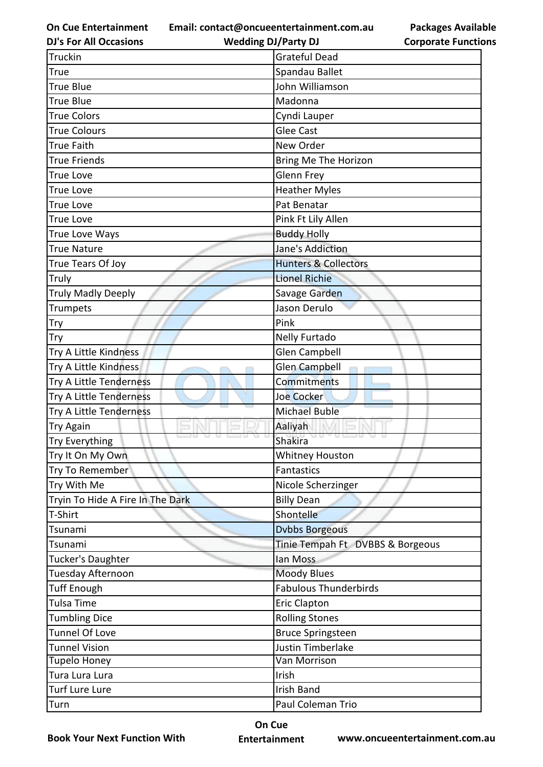**Email: contact@oncueentertainment.com.au**

**Packages Available Corporate Functions**

| <b>DJ's For All Occasions</b>    | <b>Wedding DJ/Party DJ</b>       | <b>Corporate Functio</b> |
|----------------------------------|----------------------------------|--------------------------|
| Truckin                          | <b>Grateful Dead</b>             |                          |
| True                             | Spandau Ballet                   |                          |
| <b>True Blue</b>                 | John Williamson                  |                          |
| <b>True Blue</b>                 | Madonna                          |                          |
| <b>True Colors</b>               | Cyndi Lauper                     |                          |
| <b>True Colours</b>              | <b>Glee Cast</b>                 |                          |
| <b>True Faith</b>                | New Order                        |                          |
| <b>True Friends</b>              | Bring Me The Horizon             |                          |
| <b>True Love</b>                 | <b>Glenn Frey</b>                |                          |
| <b>True Love</b>                 | <b>Heather Myles</b>             |                          |
| <b>True Love</b>                 | Pat Benatar                      |                          |
| <b>True Love</b>                 | Pink Ft Lily Allen               |                          |
| True Love Ways                   | <b>Buddy Holly</b>               |                          |
| <b>True Nature</b>               | Jane's Addiction                 |                          |
| True Tears Of Joy                | <b>Hunters &amp; Collectors</b>  |                          |
| Truly                            | <b>Lionel Richie</b>             |                          |
| <b>Truly Madly Deeply</b>        | Savage Garden                    |                          |
| Trumpets                         | Jason Derulo                     |                          |
| Try                              | Pink                             |                          |
| Try                              | Nelly Furtado                    |                          |
| Try A Little Kindness            | <b>Glen Campbell</b>             |                          |
| Try A Little Kindness            | Glen Campbell                    |                          |
| Try A Little Tenderness          | Commitments                      |                          |
| Try A Little Tenderness          | Joe Cocker                       |                          |
| Try A Little Tenderness          | <b>Michael Buble</b>             |                          |
| <b>Try Again</b>                 | Aaliyah                          |                          |
| Try Everything                   | Shakira                          |                          |
| Try It On My Own                 | Whitney Houston                  |                          |
| Try To Remember                  | <b>Fantastics</b>                |                          |
| Try With Me                      | Nicole Scherzinger               |                          |
| Tryin To Hide A Fire In The Dark | <b>Billy Dean</b>                |                          |
| T-Shirt                          | Shontelle                        |                          |
| Tsunami                          | <b>Dvbbs Borgeous</b>            |                          |
| Tsunami                          | Tinie Tempah Ft DVBBS & Borgeous |                          |
| Tucker's Daughter                | lan Moss                         |                          |
| Tuesday Afternoon                | <b>Moody Blues</b>               |                          |
| <b>Tuff Enough</b>               | <b>Fabulous Thunderbirds</b>     |                          |
| <b>Tulsa Time</b>                | <b>Eric Clapton</b>              |                          |
| <b>Tumbling Dice</b>             | <b>Rolling Stones</b>            |                          |
| Tunnel Of Love                   | <b>Bruce Springsteen</b>         |                          |
| <b>Tunnel Vision</b>             | Justin Timberlake                |                          |
| <b>Tupelo Honey</b>              | Van Morrison                     |                          |
| Tura Lura Lura                   | Irish                            |                          |
| <b>Turf Lure Lure</b>            | <b>Irish Band</b>                |                          |
| Turn                             | Paul Coleman Trio                |                          |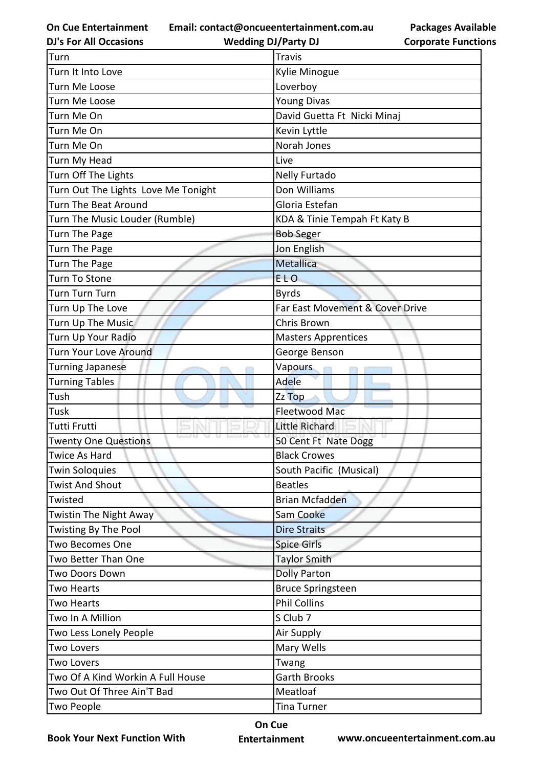**Email: contact@oncueentertainment.com.au**

**DJ's For All Occasions**

**Wedding DJ/Party DJ** 

**Packages Available Corporate Functions**

| Turn                                | <b>Travis</b>                   |
|-------------------------------------|---------------------------------|
| Turn It Into Love                   | Kylie Minogue                   |
| Turn Me Loose                       | Loverboy                        |
| Turn Me Loose                       | <b>Young Divas</b>              |
| Turn Me On                          | David Guetta Ft Nicki Minaj     |
| Turn Me On                          | Kevin Lyttle                    |
| Turn Me On                          | Norah Jones                     |
| Turn My Head                        | Live                            |
| Turn Off The Lights                 | Nelly Furtado                   |
| Turn Out The Lights Love Me Tonight | Don Williams                    |
| Turn The Beat Around                | Gloria Estefan                  |
| Turn The Music Louder (Rumble)      | KDA & Tinie Tempah Ft Katy B    |
| Turn The Page                       | <b>Bob Seger</b>                |
| Turn The Page                       | Jon English                     |
| Turn The Page                       | <b>Metallica</b>                |
| Turn To Stone                       | <b>ELO</b>                      |
| Turn Turn Turn                      | <b>Byrds</b>                    |
| Turn Up The Love                    | Far East Movement & Cover Drive |
| Turn Up The Music                   | Chris Brown                     |
| Turn Up Your Radio                  | <b>Masters Apprentices</b>      |
| Turn Your Love Around               | George Benson                   |
| <b>Turning Japanese</b>             | Vapours                         |
| <b>Turning Tables</b>               | Adele                           |
| Tush                                | Zz Top                          |
| Tusk                                | <b>Fleetwood Mac</b>            |
| Tutti Frutti                        | <b>Little Richard</b>           |
| <b>Twenty One Questions</b>         | 50 Cent Ft Nate Dogg            |
| <b>Twice As Hard</b>                | <b>Black Crowes</b>             |
| <b>Twin Soloquies</b>               | South Pacific (Musical)         |
| <b>Twist And Shout</b>              | <b>Beatles</b>                  |
| Twisted                             | <b>Brian Mcfadden</b>           |
| Twistin The Night Away              | Sam Cooke                       |
| Twisting By The Pool                | <b>Dire Straits</b>             |
| Two Becomes One                     | <b>Spice Girls</b>              |
| Two Better Than One                 | <b>Taylor Smith</b>             |
| Two Doors Down                      | <b>Dolly Parton</b>             |
| Two Hearts                          | <b>Bruce Springsteen</b>        |
| Two Hearts                          | <b>Phil Collins</b>             |
| Two In A Million                    | S Club 7                        |
| Two Less Lonely People              | Air Supply                      |
| <b>Two Lovers</b>                   | Mary Wells                      |
| <b>Two Lovers</b>                   | Twang                           |
| Two Of A Kind Workin A Full House   | <b>Garth Brooks</b>             |
| Two Out Of Three Ain'T Bad          | Meatloaf                        |
|                                     |                                 |

**Book Your Next Function With**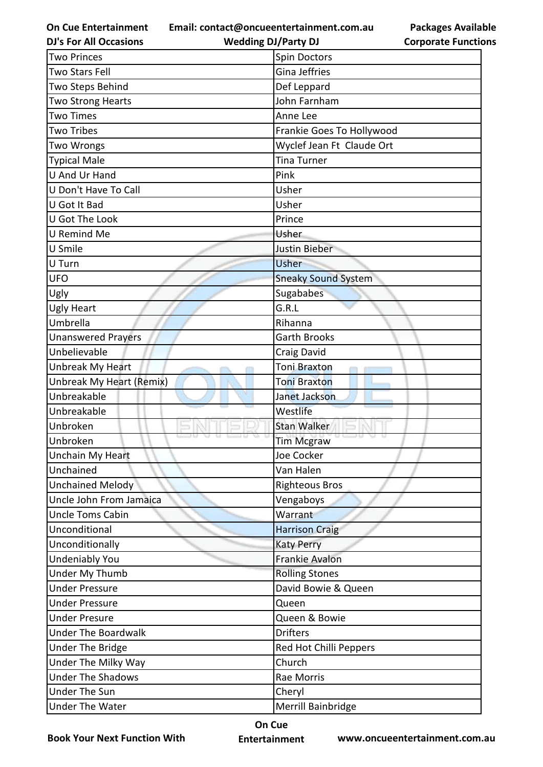**Email: contact@oncueentertainment.com.au Wedding DJ/Party DJ** 

**DJ's For All Occasions**

**Packages Available Corporate Functions**

| <b>Two Princes</b>              | Spin Doctors               |
|---------------------------------|----------------------------|
| Two Stars Fell                  | <b>Gina Jeffries</b>       |
| Two Steps Behind                | Def Leppard                |
| Two Strong Hearts               | John Farnham               |
| <b>Two Times</b>                | Anne Lee                   |
| Two Tribes                      | Frankie Goes To Hollywood  |
| Two Wrongs                      | Wyclef Jean Ft Claude Ort  |
| <b>Typical Male</b>             | <b>Tina Turner</b>         |
| <b>U And Ur Hand</b>            | Pink                       |
| U Don't Have To Call            | Usher                      |
| U Got It Bad                    | Usher                      |
| U Got The Look                  | Prince                     |
| U Remind Me                     | Usher                      |
| U Smile                         | Justin Bieber              |
| U Turn                          | Usher                      |
| <b>UFO</b>                      | <b>Sneaky Sound System</b> |
| Ugly                            | Sugababes                  |
| <b>Ugly Heart</b>               | G.R.L                      |
| Umbrella                        | Rihanna                    |
| <b>Unanswered Prayers</b>       | <b>Garth Brooks</b>        |
| Unbelievable                    | Craig David                |
| <b>Unbreak My Heart</b>         | Toni Braxton               |
| <b>Unbreak My Heart (Remix)</b> | <b>Toni Braxton</b>        |
| Unbreakable                     | Janet Jackson              |
| Unbreakable                     | Westlife                   |
| Unbroken                        | <b>Stan Walker</b>         |
| Unbroken                        | <b>Tim Mcgraw</b>          |
| <b>Unchain My Heart</b>         | Joe Cocker                 |
| Unchained                       | Van Halen                  |
| <b>Unchained Melody</b>         | <b>Righteous Bros</b>      |
| Uncle John From Jamaica         | Vengaboys                  |
| <b>Uncle Toms Cabin</b>         | Warrant                    |
| Unconditional                   | <b>Harrison Craig</b>      |
| Unconditionally                 | <b>Katy Perry</b>          |
| <b>Undeniably You</b>           | Frankie Avalon             |
| Under My Thumb                  | <b>Rolling Stones</b>      |
| <b>Under Pressure</b>           | David Bowie & Queen        |
| <b>Under Pressure</b>           | Queen                      |
| <b>Under Presure</b>            | Queen & Bowie              |
| <b>Under The Boardwalk</b>      | <b>Drifters</b>            |
| <b>Under The Bridge</b>         | Red Hot Chilli Peppers     |
| Under The Milky Way             | Church                     |
| <b>Under The Shadows</b>        | Rae Morris                 |
| <b>Under The Sun</b>            | Cheryl                     |
| <b>Under The Water</b>          | Merrill Bainbridge         |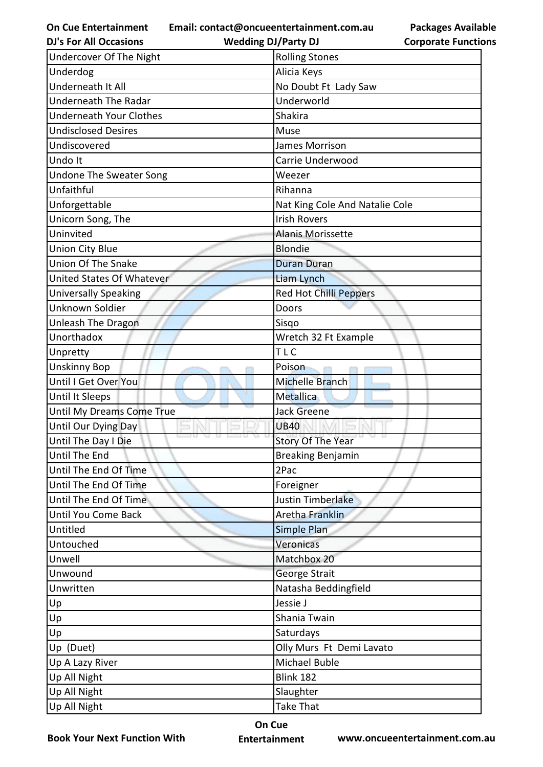**Email: contact@oncueentertainment.com.au**

**Packages Available Corporate Functions**

| <b>DJ's For All Occasions</b>  | <b>Wedding DJ/Party DJ</b>     | <b>Corporate Functio</b> |
|--------------------------------|--------------------------------|--------------------------|
| Undercover Of The Night        | <b>Rolling Stones</b>          |                          |
| Underdog                       | Alicia Keys                    |                          |
| Underneath It All              | No Doubt Ft Lady Saw           |                          |
| <b>Underneath The Radar</b>    | Underworld                     |                          |
| <b>Underneath Your Clothes</b> | Shakira                        |                          |
| <b>Undisclosed Desires</b>     | Muse                           |                          |
| Undiscovered                   | <b>James Morrison</b>          |                          |
| Undo It                        | Carrie Underwood               |                          |
| <b>Undone The Sweater Song</b> | Weezer                         |                          |
| Unfaithful                     | Rihanna                        |                          |
| Unforgettable                  | Nat King Cole And Natalie Cole |                          |
| Unicorn Song, The              | <b>Irish Rovers</b>            |                          |
| Uninvited                      | <b>Alanis Morissette</b>       |                          |
| <b>Union City Blue</b>         | <b>Blondie</b>                 |                          |
| Union Of The Snake             | <b>Duran Duran</b>             |                          |
| United States Of Whatever      | Liam Lynch                     |                          |
| <b>Universally Speaking</b>    | <b>Red Hot Chilli Peppers</b>  |                          |
| Unknown Soldier                | Doors                          |                          |
| <b>Unleash The Dragon</b>      | Sisgo                          |                          |
| Unorthadox                     | Wretch 32 Ft Example           |                          |
| Unpretty                       | <b>TLC</b>                     |                          |
| <b>Unskinny Bop</b>            | Poison                         |                          |
| Until I Get Over You           | <b>Michelle Branch</b>         |                          |
| <b>Until It Sleeps</b>         | Metallica                      |                          |
| Until My Dreams Come True      | <b>Jack Greene</b>             |                          |
| Until Our Dying Day            | <b>UB40</b>                    |                          |
| Until The Day I Die            | <b>Story Of The Year</b>       |                          |
| Until The End                  | <b>Breaking Benjamin</b>       |                          |
| Until The End Of Time          | 2Pac                           |                          |
| Until The End Of Time          | Foreigner                      |                          |
| Until The End Of Time          | Justin Timberlake              |                          |
| <b>Until You Come Back</b>     | <b>Aretha Franklin</b>         |                          |
| Untitled                       | Simple Plan                    |                          |
| Untouched                      | Veronicas                      |                          |
| Unwell                         | Matchbox 20                    |                          |
| Unwound                        | George Strait                  |                          |
| Unwritten                      | Natasha Beddingfield           |                          |
| Up                             | Jessie J                       |                          |
| Up                             | Shania Twain                   |                          |
| Up                             | Saturdays                      |                          |
| Up (Duet)                      | Olly Murs Ft Demi Lavato       |                          |
| Up A Lazy River                | Michael Buble                  |                          |
| Up All Night                   | <b>Blink 182</b>               |                          |
| Up All Night                   | Slaughter                      |                          |
| Up All Night                   | <b>Take That</b>               |                          |
|                                |                                |                          |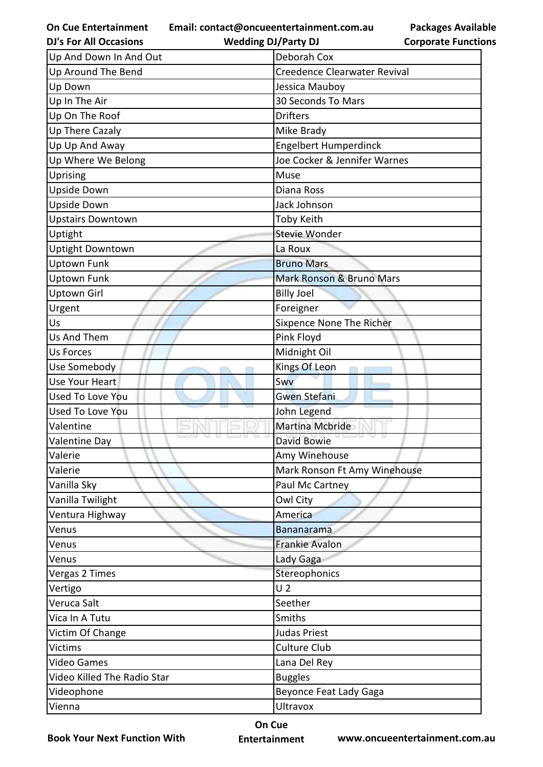**Email: contact@oncueentertainment.com.au**

**Packages Available Corporate Functions**

| <b>DJ's For All Occasions</b> | <b>Wedding DJ/Party DJ</b>   | <b>Corporate Functio</b> |
|-------------------------------|------------------------------|--------------------------|
| Up And Down In And Out        | Deborah Cox                  |                          |
| Up Around The Bend            | Creedence Clearwater Revival |                          |
| Up Down                       | Jessica Mauboy               |                          |
| Up In The Air                 | 30 Seconds To Mars           |                          |
| Up On The Roof                | <b>Drifters</b>              |                          |
| Up There Cazaly               | Mike Brady                   |                          |
| Up Up And Away                | Engelbert Humperdinck        |                          |
| Up Where We Belong            | Joe Cocker & Jennifer Warnes |                          |
| Uprising                      | Muse                         |                          |
| <b>Upside Down</b>            | Diana Ross                   |                          |
| Upside Down                   | Jack Johnson                 |                          |
| <b>Upstairs Downtown</b>      | <b>Toby Keith</b>            |                          |
| Uptight                       | Stevie Wonder                |                          |
| <b>Uptight Downtown</b>       | La Roux                      |                          |
| <b>Uptown Funk</b>            | <b>Bruno Mars</b>            |                          |
| <b>Uptown Funk</b>            | Mark Ronson & Bruno Mars     |                          |
| <b>Uptown Girl</b>            | <b>Billy Joel</b>            |                          |
| Urgent                        | Foreigner                    |                          |
| Us                            | Sixpence None The Richer     |                          |
| Us And Them                   | Pink Floyd                   |                          |
| <b>Us Forces</b>              | Midnight Oil                 |                          |
| Use Somebody                  | Kings Of Leon                |                          |
| Use Your Heart                | Swy                          |                          |
| Used To Love You              | <b>Gwen Stefani</b>          |                          |
| <b>Used To Love You</b>       | John Legend                  |                          |
| Valentine                     | Martina Mcbride              |                          |
| Valentine Day                 | David Bowie                  |                          |
| Valerie                       | Amy Winehouse                |                          |
| Valerie                       | Mark Ronson Ft Amy Winehouse |                          |
| Vanilla Sky                   | Paul Mc Cartney              |                          |
| Vanilla Twilight              | Owl City                     |                          |
| Ventura Highway               | America                      |                          |
| Venus                         | <b>Bananarama</b>            |                          |
| Venus                         | <b>Frankie Avalon</b>        |                          |
| Venus                         | Lady Gaga                    |                          |
| Vergas 2 Times                | Stereophonics                |                          |
| Vertigo                       | U <sub>2</sub>               |                          |
| Veruca Salt                   | Seether                      |                          |
| Vica In A Tutu                | Smiths                       |                          |
| Victim Of Change              | Judas Priest                 |                          |
| <b>Victims</b>                | <b>Culture Club</b>          |                          |
| <b>Video Games</b>            | Lana Del Rey                 |                          |
| Video Killed The Radio Star   | <b>Buggles</b>               |                          |
| Videophone                    | Beyonce Feat Lady Gaga       |                          |
| Vienna                        | <b>Ultravox</b>              |                          |
|                               |                              |                          |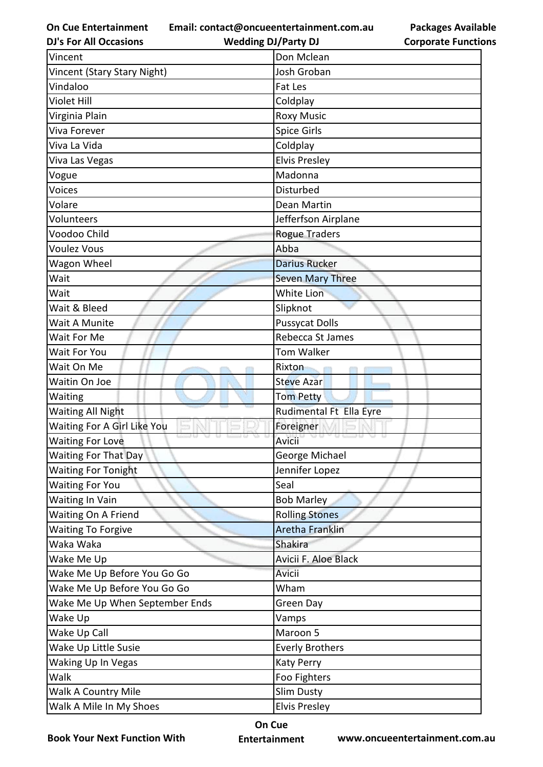**On Cue Entertainment DJ's For All Occasions**

**Email: contact@oncueentertainment.com.au Wedding DJ/Party DJ** 

**Packages Available Corporate Functions**

| Vincent                        | Don Mclean                                |
|--------------------------------|-------------------------------------------|
| Vincent (Stary Stary Night)    | Josh Groban                               |
| Vindaloo                       | Fat Les                                   |
| <b>Violet Hill</b>             | Coldplay                                  |
| Virginia Plain                 | <b>Roxy Music</b>                         |
| <b>Viva Forever</b>            | <b>Spice Girls</b>                        |
| Viva La Vida                   | Coldplay                                  |
| Viva Las Vegas                 | <b>Elvis Presley</b>                      |
| Vogue                          | Madonna                                   |
| Voices                         | Disturbed                                 |
| Volare                         | Dean Martin                               |
| Volunteers                     | Jefferfson Airplane                       |
| Voodoo Child                   | Rogue Traders                             |
| <b>Voulez Vous</b>             | Abba                                      |
| Wagon Wheel                    | <b>Darius Rucker</b>                      |
| Wait                           | <b>Seven Mary Three</b>                   |
| Wait                           | <b>White Lion</b>                         |
| Wait & Bleed                   | Slipknot                                  |
| Wait A Munite                  | <b>Pussycat Dolls</b>                     |
| Wait For Me                    | Rebecca St James                          |
| Wait For You                   | <b>Tom Walker</b>                         |
| Wait On Me                     | Rixton                                    |
| Waitin On Joe                  | <b>Steve Azar</b>                         |
| Waiting                        | <b>Tom Petty</b>                          |
| <b>Waiting All Night</b>       | Rudimental Ft Ella Eyre                   |
| Waiting For A Girl Like You    | Foreigner                                 |
| <b>Waiting For Love</b>        | 13 C.<br><b>0 0 0 0</b><br>72 D<br>Avicii |
| Waiting For That Day           | George Michael                            |
| <b>Waiting For Tonight</b>     | Jennifer Lopez                            |
| <b>Waiting For You</b>         | Seal                                      |
| <b>Waiting In Vain</b>         | <b>Bob Marley</b>                         |
| Waiting On A Friend            | <b>Rolling Stones</b>                     |
| <b>Waiting To Forgive</b>      | <b>Aretha Franklin</b>                    |
| Waka Waka                      | Shakira                                   |
| Wake Me Up                     | Avicii F. Aloe Black                      |
| Wake Me Up Before You Go Go    | Avicii                                    |
| Wake Me Up Before You Go Go    | Wham                                      |
| Wake Me Up When September Ends | Green Day                                 |
| Wake Up                        | Vamps                                     |
| Wake Up Call                   | Maroon 5                                  |
| Wake Up Little Susie           | <b>Everly Brothers</b>                    |
| Waking Up In Vegas             | <b>Katy Perry</b>                         |
| Walk                           | Foo Fighters                              |
| <b>Walk A Country Mile</b>     | Slim Dusty                                |
| Walk A Mile In My Shoes        | <b>Elvis Presley</b>                      |

**Book Your Next Function With**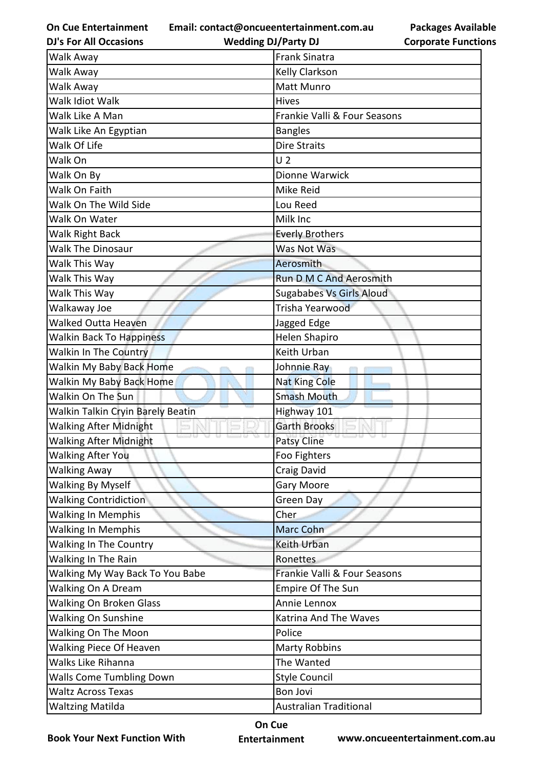**On Cue Entertainment DJ's For All Occasions**

**Email: contact@oncueentertainment.com.au Packages Available** 

| m.au | Packages Available         |
|------|----------------------------|
|      | <b>Corporate Functions</b> |

| <b>DJ's For All Occasions</b>     | <b>Wedding DJ/Party DJ</b>      | <b>Corporate Functi</b> |
|-----------------------------------|---------------------------------|-------------------------|
| Walk Away                         | <b>Frank Sinatra</b>            |                         |
| Walk Away                         | Kelly Clarkson                  |                         |
| Walk Away                         | Matt Munro                      |                         |
| Walk Idiot Walk                   | Hives                           |                         |
| Walk Like A Man                   | Frankie Valli & Four Seasons    |                         |
| Walk Like An Egyptian             | <b>Bangles</b>                  |                         |
| Walk Of Life                      | <b>Dire Straits</b>             |                         |
| Walk On                           | U <sub>2</sub>                  |                         |
| Walk On By                        | Dionne Warwick                  |                         |
| Walk On Faith                     | Mike Reid                       |                         |
| Walk On The Wild Side             | Lou Reed                        |                         |
| Walk On Water                     | Milk Inc                        |                         |
| Walk Right Back                   | <b>Everly Brothers</b>          |                         |
| <b>Walk The Dinosaur</b>          | Was Not Was                     |                         |
| Walk This Way                     | Aerosmith                       |                         |
| Walk This Way                     | <b>Run D M C And Aerosmith</b>  |                         |
| Walk This Way                     | <b>Sugababes Vs Girls Aloud</b> |                         |
| Walkaway Joe                      | Trisha Yearwood                 |                         |
| <b>Walked Outta Heaven</b>        | Jagged Edge                     |                         |
| <b>Walkin Back To Happiness</b>   | <b>Helen Shapiro</b>            |                         |
| Walkin In The Country             | Keith Urban                     |                         |
| Walkin My Baby Back Home          | Johnnie Ray                     |                         |
| Walkin My Baby Back Home          | <b>Nat King Cole</b>            |                         |
| Walkin On The Sun                 | <b>Smash Mouth</b>              |                         |
| Walkin Talkin Cryin Barely Beatin | Highway 101                     |                         |
| <b>Walking After Midnight</b>     | <b>Garth Brooks</b>             |                         |
| <b>Walking After Midnight</b>     | <b>Patsy Cline</b>              |                         |
| <b>Walking After You</b>          | Foo Fighters                    |                         |
| <b>Walking Away</b>               | Craig David                     |                         |
| <b>Walking By Myself</b>          | <b>Gary Moore</b>               |                         |
| <b>Walking Contridiction</b>      | <b>Green Day</b>                |                         |
| <b>Walking In Memphis</b>         | Cher                            |                         |
| <b>Walking In Memphis</b>         | Marc Cohn                       |                         |
| Walking In The Country            | Keith Urban                     |                         |
| Walking In The Rain               | Ronettes                        |                         |
| Walking My Way Back To You Babe   | Frankie Valli & Four Seasons    |                         |
| Walking On A Dream                | Empire Of The Sun               |                         |
| <b>Walking On Broken Glass</b>    | Annie Lennox                    |                         |
| Walking On Sunshine               | Katrina And The Waves           |                         |
| Walking On The Moon               | Police                          |                         |
| Walking Piece Of Heaven           | <b>Marty Robbins</b>            |                         |
| Walks Like Rihanna                | The Wanted                      |                         |
| <b>Walls Come Tumbling Down</b>   | <b>Style Council</b>            |                         |
| <b>Waltz Across Texas</b>         | <b>Bon Jovi</b>                 |                         |
| <b>Waltzing Matilda</b>           | <b>Australian Traditional</b>   |                         |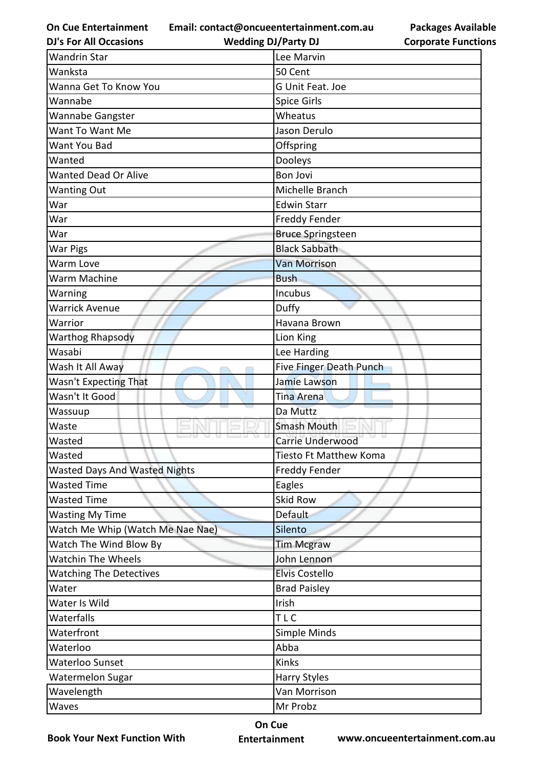**Email: contact@oncueentertainment.com.au**

**DJ's For All Occasions**

**Wedding DJ/Party DJ** 

| <b>Wandrin Star</b>                  | Lee Marvin               |
|--------------------------------------|--------------------------|
| Wanksta                              | 50 Cent                  |
| Wanna Get To Know You                | G Unit Feat. Joe         |
| Wannabe                              | Spice Girls              |
| Wannabe Gangster                     | Wheatus                  |
| Want To Want Me                      | Jason Derulo             |
| Want You Bad                         | Offspring                |
| Wanted                               | Dooleys                  |
| <b>Wanted Dead Or Alive</b>          | <b>Bon Jovi</b>          |
| <b>Wanting Out</b>                   | Michelle Branch          |
| War                                  | <b>Edwin Starr</b>       |
| War                                  | Freddy Fender            |
| War                                  | <b>Bruce Springsteen</b> |
| <b>War Pigs</b>                      | <b>Black Sabbath</b>     |
| Warm Love                            | <b>Van Morrison</b>      |
| Warm Machine                         | <b>Bush</b>              |
| Warning                              | Incubus                  |
| <b>Warrick Avenue</b>                | Duffy                    |
| Warrior                              | Havana Brown             |
| <b>Warthog Rhapsody</b>              | Lion King                |
| Wasabi                               | Lee Harding              |
| Wash It All Away                     | Five Finger Death Punch  |
| Wasn't Expecting That                | Jamie Lawson             |
| Wasn't It Good                       | Tina Arena               |
| Wassuup                              | Da Muttz                 |
| Waste                                | <b>Smash Mouth</b>       |
| Wasted                               | Carrie Underwood         |
| Wasted                               | Tiesto Ft Matthew Koma   |
| <b>Wasted Days And Wasted Nights</b> | Freddy Fender            |
| <b>Wasted Time</b>                   | Eagles                   |
| <b>Wasted Time</b>                   | <b>Skid Row</b>          |
| <b>Wasting My Time</b>               | Default                  |
| Watch Me Whip (Watch Me Nae Nae)     | Silento                  |
| Watch The Wind Blow By               | <b>Tim Mcgraw</b>        |
| <b>Watchin The Wheels</b>            | John Lennon              |
| <b>Watching The Detectives</b>       | <b>Elvis Costello</b>    |
| Water                                | <b>Brad Paisley</b>      |
| Water Is Wild                        | Irish                    |
| Waterfalls                           | TLC                      |
| Waterfront                           | Simple Minds             |
| Waterloo                             | Abba                     |
| Waterloo Sunset                      | Kinks                    |
| Watermelon Sugar                     | <b>Harry Styles</b>      |
| Wavelength                           | Van Morrison             |
| Waves                                | Mr Probz                 |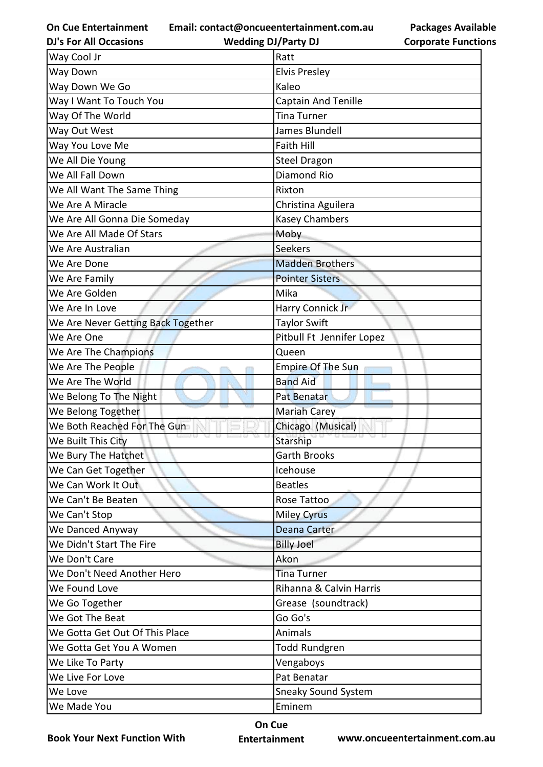**Email: contact@oncueentertainment.com.au**

**DJ's For All Occasions**

**Wedding DJ/Party DJ** 

**Packages Available Corporate Functions**

| Way Cool Jr                        | Ratt                       |
|------------------------------------|----------------------------|
| Way Down                           | <b>Elvis Presley</b>       |
| Way Down We Go                     | Kaleo                      |
| Way I Want To Touch You            | <b>Captain And Tenille</b> |
| Way Of The World                   | <b>Tina Turner</b>         |
| Way Out West                       | James Blundell             |
| Way You Love Me                    | <b>Faith Hill</b>          |
| We All Die Young                   | <b>Steel Dragon</b>        |
| We All Fall Down                   | Diamond Rio                |
| We All Want The Same Thing         | Rixton                     |
| We Are A Miracle                   | Christina Aguilera         |
| We Are All Gonna Die Someday       | <b>Kasey Chambers</b>      |
| We Are All Made Of Stars           | Moby                       |
| We Are Australian                  | <b>Seekers</b>             |
| We Are Done                        | <b>Madden Brothers</b>     |
| We Are Family                      | <b>Pointer Sisters</b>     |
| We Are Golden                      | Mika                       |
| We Are In Love                     | Harry Connick Jr           |
| We Are Never Getting Back Together | <b>Taylor Swift</b>        |
| We Are One                         | Pitbull Ft Jennifer Lopez  |
| We Are The Champions               | Queen                      |
| We Are The People                  | Empire Of The Sun          |
| We Are The World                   | <b>Band Aid</b>            |
| We Belong To The Night             | Pat Benatar                |
| We Belong Together                 | <b>Mariah Carey</b>        |
| We Both Reached For The Gun        | Chicago (Musical)          |
| We Built This City                 | Starship                   |
| We Bury The Hatchet                | <b>Garth Brooks</b>        |
| We Can Get Together                | Icehouse                   |
| We Can Work It Out                 | <b>Beatles</b>             |
| We Can't Be Beaten                 | Rose Tattoo                |
| We Can't Stop                      | <b>Miley Cyrus</b>         |
| We Danced Anyway                   | Deana Carter               |
| We Didn't Start The Fire           | <b>Billy Joel</b>          |
| We Don't Care                      | Akon                       |
| We Don't Need Another Hero         | <b>Tina Turner</b>         |
| We Found Love                      | Rihanna & Calvin Harris    |
| We Go Together                     | Grease (soundtrack)        |
| We Got The Beat                    | Go Go's                    |
| We Gotta Get Out Of This Place     | Animals                    |
| We Gotta Get You A Women           | <b>Todd Rundgren</b>       |
| We Like To Party                   | Vengaboys                  |
| We Live For Love                   | Pat Benatar                |
| We Love                            | <b>Sneaky Sound System</b> |
| We Made You                        | Eminem                     |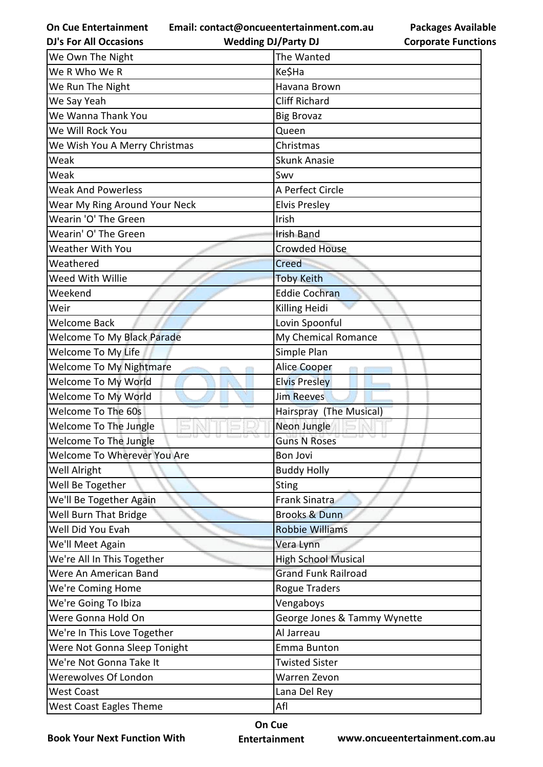**Email: contact@oncueentertainment.com.au**

**Packages Available Corporate Functions**

| <b>DJ's For All Occasions</b>     | <b>Wedding DJ/Party DJ</b>   | <b>Corporate Functio</b> |
|-----------------------------------|------------------------------|--------------------------|
| We Own The Night                  | The Wanted                   |                          |
| We R Who We R                     | Ke\$Ha                       |                          |
| We Run The Night                  | Havana Brown                 |                          |
| We Say Yeah                       | <b>Cliff Richard</b>         |                          |
| We Wanna Thank You                | <b>Big Brovaz</b>            |                          |
| We Will Rock You                  | Queen                        |                          |
| We Wish You A Merry Christmas     | Christmas                    |                          |
| Weak                              | <b>Skunk Anasie</b>          |                          |
| Weak                              | Swv                          |                          |
| <b>Weak And Powerless</b>         | A Perfect Circle             |                          |
| Wear My Ring Around Your Neck     | <b>Elvis Presley</b>         |                          |
| Wearin 'O' The Green              | Irish                        |                          |
| Wearin' O' The Green              | <b>Irish Band</b>            |                          |
| <b>Weather With You</b>           | <b>Crowded House</b>         |                          |
| Weathered                         | Creed                        |                          |
| Weed With Willie                  | <b>Toby Keith</b>            |                          |
| Weekend                           | <b>Eddie Cochran</b>         |                          |
| Weir                              | Killing Heidi                |                          |
| <b>Welcome Back</b>               | Lovin Spoonful               |                          |
| <b>Welcome To My Black Parade</b> | My Chemical Romance          |                          |
| Welcome To My Life                | Simple Plan                  |                          |
| <b>Welcome To My Nightmare</b>    | Alice Cooper                 |                          |
| Welcome To My World               | <b>Elvis Presley</b>         |                          |
| Welcome To My World               | <b>Jim Reeves</b>            |                          |
| Welcome To The 60s                | Hairspray (The Musical)      |                          |
| Welcome To The Jungle             | Neon Jungle                  |                          |
| Welcome To The Jungle             | <b>Guns N Roses</b>          |                          |
| Welcome To Wherever You Are       | <b>Bon Jovi</b>              |                          |
| Well Alright                      | <b>Buddy Holly</b>           |                          |
| Well Be Together                  | <b>Sting</b>                 |                          |
| We'll Be Together Again           | <b>Frank Sinatra</b>         |                          |
| Well Burn That Bridge             | <b>Brooks &amp; Dunn</b>     |                          |
| Well Did You Evah                 | <b>Robbie Williams</b>       |                          |
| We'll Meet Again                  | Vera Lynn                    |                          |
| We're All In This Together        | <b>High School Musical</b>   |                          |
| Were An American Band             | <b>Grand Funk Railroad</b>   |                          |
| We're Coming Home                 | Rogue Traders                |                          |
| We're Going To Ibiza              | Vengaboys                    |                          |
| Were Gonna Hold On                | George Jones & Tammy Wynette |                          |
| We're In This Love Together       | Al Jarreau                   |                          |
| Were Not Gonna Sleep Tonight      | <b>Emma Bunton</b>           |                          |
| We're Not Gonna Take It           | <b>Twisted Sister</b>        |                          |
| Werewolves Of London              | Warren Zevon                 |                          |
| <b>West Coast</b>                 | Lana Del Rey                 |                          |
| <b>West Coast Eagles Theme</b>    | Afl                          |                          |

**Book Your Next Function With**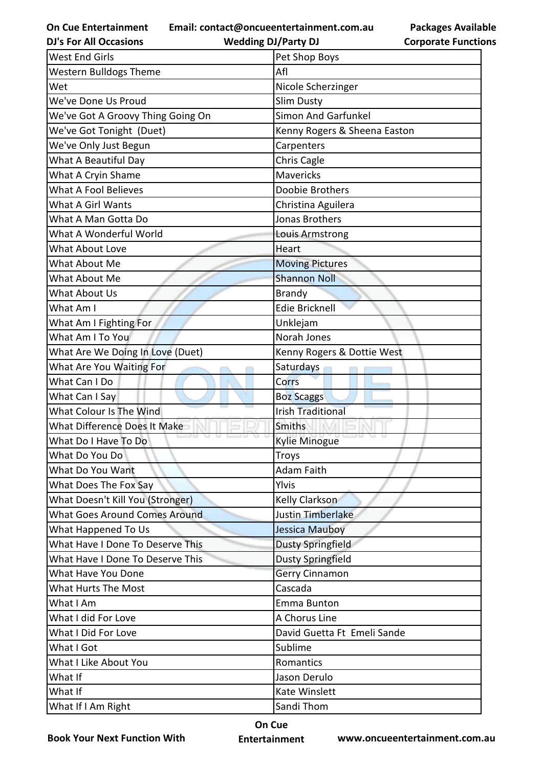**Email: contact@oncueentertainment.com.au**

**DJ's For All Occasions**

**Wedding DJ/Party DJ** 

**Packages Available Corporate Functions**

| <b>West End Girls</b>                | Pet Shop Boys                |
|--------------------------------------|------------------------------|
| <b>Western Bulldogs Theme</b>        | Afl                          |
| Wet                                  | Nicole Scherzinger           |
| We've Done Us Proud                  | <b>Slim Dusty</b>            |
| We've Got A Groovy Thing Going On    | <b>Simon And Garfunkel</b>   |
| We've Got Tonight (Duet)             | Kenny Rogers & Sheena Easton |
| We've Only Just Begun                | Carpenters                   |
| What A Beautiful Day                 | Chris Cagle                  |
| What A Cryin Shame                   | <b>Mavericks</b>             |
| <b>What A Fool Believes</b>          | Doobie Brothers              |
| What A Girl Wants                    | Christina Aguilera           |
| What A Man Gotta Do                  | <b>Jonas Brothers</b>        |
| What A Wonderful World               | Louis Armstrong              |
| <b>What About Love</b>               | Heart                        |
| What About Me                        | <b>Moving Pictures</b>       |
| What About Me                        | <b>Shannon Noll</b>          |
| What About Us                        | <b>Brandy</b>                |
| What Am I                            | <b>Edie Bricknell</b>        |
| What Am I Fighting For               | Unklejam                     |
| What Am I To You                     | Norah Jones                  |
| What Are We Doing In Love (Duet)     | Kenny Rogers & Dottie West   |
| What Are You Waiting For             | Saturdays                    |
| What Can I Do                        | Corrs                        |
| What Can I Say                       | <b>Boz Scaggs</b>            |
| What Colour Is The Wind              | <b>Irish Traditional</b>     |
| What Difference Does It Make         | <b>Smiths</b>                |
| What Do I Have To Do                 | <b>Kylie Minogue</b>         |
| What Do You Do                       | <b>Troys</b>                 |
| What Do You Want                     | <b>Adam Faith</b>            |
| What Does The Fox Say                | Ylvis                        |
| What Doesn't Kill You (Stronger)     | <b>Kelly Clarkson</b>        |
| <b>What Goes Around Comes Around</b> | Justin Timberlake            |
| What Happened To Us                  | Jessica Mauboy               |
| What Have I Done To Deserve This     | <b>Dusty Springfield</b>     |
| What Have I Done To Deserve This     | <b>Dusty Springfield</b>     |
| What Have You Done                   | <b>Gerry Cinnamon</b>        |
| <b>What Hurts The Most</b>           | Cascada                      |
| What I Am                            | Emma Bunton                  |
| What I did For Love                  | A Chorus Line                |
| What I Did For Love                  | David Guetta Ft Emeli Sande  |
| What I Got                           | Sublime                      |
| What I Like About You                | Romantics                    |
| What If                              | Jason Derulo                 |
| What If                              | Kate Winslett                |
| What If I Am Right                   | Sandi Thom                   |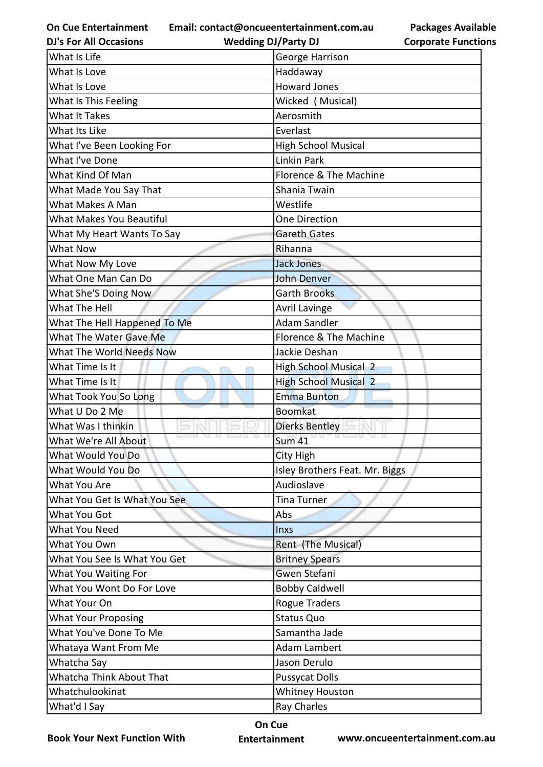**Email: contact@oncueentertainment.com.au**

**Packages Available Corporate Functions**

| <b>DJ's For All Occasions</b>   | <b>Wedding DJ/Party DJ</b>     | <b>Corporate Functio</b> |
|---------------------------------|--------------------------------|--------------------------|
| What Is Life                    | George Harrison                |                          |
| What Is Love                    | Haddaway                       |                          |
| What Is Love                    | <b>Howard Jones</b>            |                          |
| What Is This Feeling            | Wicked (Musical)               |                          |
| <b>What It Takes</b>            | Aerosmith                      |                          |
| What Its Like                   | Everlast                       |                          |
| What I've Been Looking For      | <b>High School Musical</b>     |                          |
| What I've Done                  | <b>Linkin Park</b>             |                          |
| What Kind Of Man                | Florence & The Machine         |                          |
| What Made You Say That          | Shania Twain                   |                          |
| What Makes A Man                | Westlife                       |                          |
| <b>What Makes You Beautiful</b> | <b>One Direction</b>           |                          |
| What My Heart Wants To Say      | <b>Gareth Gates</b>            |                          |
| <b>What Now</b>                 | Rihanna                        |                          |
| What Now My Love                | <b>Jack Jones</b>              |                          |
| What One Man Can Do             | <b>John Denver</b>             |                          |
| What She'S Doing Now            | <b>Garth Brooks</b>            |                          |
| What The Hell                   | <b>Avril Lavinge</b>           |                          |
| What The Hell Happened To Me    | <b>Adam Sandler</b>            |                          |
| What The Water Gave Me          | Florence & The Machine         |                          |
| What The World Needs Now        | Jackie Deshan                  |                          |
| What Time Is It                 | <b>High School Musical 2</b>   |                          |
| What Time Is It                 | <b>High School Musical 2</b>   |                          |
| What Took You So Long           | <b>Emma Bunton</b>             |                          |
| What U Do 2 Me                  | <b>Boomkat</b>                 |                          |
| What Was I thinkin              | <b>Dierks Bentley</b>          |                          |
| What We're All About            | <b>Sum 41</b>                  |                          |
| What Would You Do               | City High                      |                          |
| What Would You Do               | Isley Brothers Feat. Mr. Biggs |                          |
| What You Are                    | Audioslave                     |                          |
| What You Get Is What You See    | <b>Tina Turner</b>             |                          |
| What You Got                    | Abs                            |                          |
| What You Need                   | <b>Inxs</b>                    |                          |
| What You Own                    | Rent (The Musical)             |                          |
| What You See Is What You Get    | <b>Britney Spears</b>          |                          |
| What You Waiting For            | <b>Gwen Stefani</b>            |                          |
| What You Wont Do For Love       | <b>Bobby Caldwell</b>          |                          |
| What Your On                    | <b>Rogue Traders</b>           |                          |
| <b>What Your Proposing</b>      | <b>Status Quo</b>              |                          |
| What You've Done To Me          | Samantha Jade                  |                          |
| Whataya Want From Me            | <b>Adam Lambert</b>            |                          |
| Whatcha Say                     | Jason Derulo                   |                          |
| Whatcha Think About That        | <b>Pussycat Dolls</b>          |                          |
| Whatchulookinat                 | <b>Whitney Houston</b>         |                          |
| What'd I Say                    | <b>Ray Charles</b>             |                          |

**Book Your Next Function With**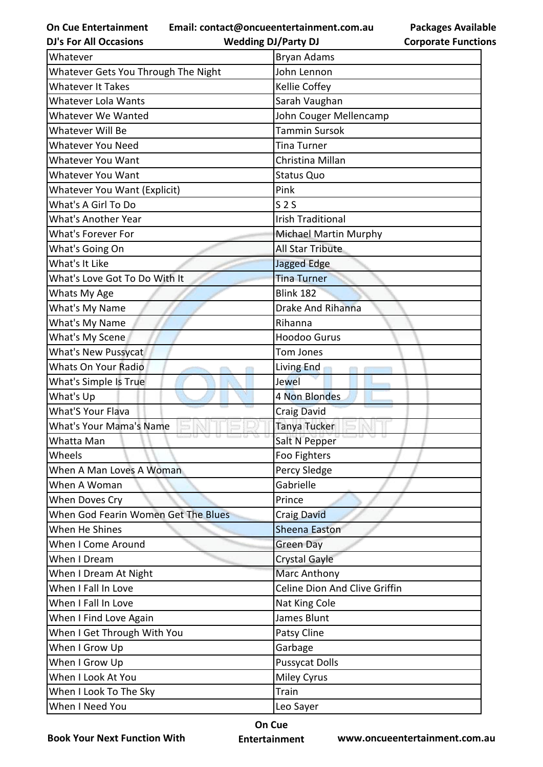**Email: contact@oncueentertainment.com.au**

**Packages Available Corporate Functions**

| <b>DJ's For All Occasions</b>       | <b>Wedding DJ/Party DJ</b>    | <b>Corporate Functio</b> |
|-------------------------------------|-------------------------------|--------------------------|
| Whatever                            | <b>Bryan Adams</b>            |                          |
| Whatever Gets You Through The Night | John Lennon                   |                          |
| <b>Whatever It Takes</b>            | Kellie Coffey                 |                          |
| Whatever Lola Wants                 | Sarah Vaughan                 |                          |
| Whatever We Wanted                  | John Couger Mellencamp        |                          |
| Whatever Will Be                    | <b>Tammin Sursok</b>          |                          |
| Whatever You Need                   | <b>Tina Turner</b>            |                          |
| Whatever You Want                   | Christina Millan              |                          |
| Whatever You Want                   | <b>Status Quo</b>             |                          |
| Whatever You Want (Explicit)        | Pink                          |                          |
| What's A Girl To Do                 | S <sub>2</sub>                |                          |
| <b>What's Another Year</b>          | <b>Irish Traditional</b>      |                          |
| What's Forever For                  | Michael Martin Murphy         |                          |
| What's Going On                     | All Star Tribute              |                          |
| What's It Like                      | Jagged Edge                   |                          |
| What's Love Got To Do With It       | <b>Tina Turner</b>            |                          |
| Whats My Age                        | <b>Blink 182</b>              |                          |
| What's My Name                      | <b>Drake And Rihanna</b>      |                          |
| What's My Name                      | Rihanna                       |                          |
| What's My Scene                     | <b>Hoodoo Gurus</b>           |                          |
| What's New Pussycat                 | <b>Tom Jones</b>              |                          |
| <b>Whats On Your Radio</b>          | Living End                    |                          |
| What's Simple Is True               | Jewel                         |                          |
| What's Up                           | 4 Non Blondes                 |                          |
| <b>What'S Your Flava</b>            | <b>Craig David</b>            |                          |
| <b>What's Your Mama's Name</b>      | Tanya Tucker                  |                          |
| Whatta Man                          | Salt N Pepper                 |                          |
| Wheels                              | Foo Fighters                  |                          |
| When A Man Loves A Woman            | Percy Sledge                  |                          |
| When A Woman                        | Gabrielle                     |                          |
| When Doves Cry                      | Prince                        |                          |
| When God Fearin Women Get The Blues | <b>Craig David</b>            |                          |
| When He Shines                      | <b>Sheena Easton</b>          |                          |
| When I Come Around                  | <b>Green Day</b>              |                          |
| When I Dream                        | <b>Crystal Gayle</b>          |                          |
| When I Dream At Night               | <b>Marc Anthony</b>           |                          |
| When I Fall In Love                 | Celine Dion And Clive Griffin |                          |
| When I Fall In Love                 | Nat King Cole                 |                          |
| When I Find Love Again              | James Blunt                   |                          |
| When I Get Through With You         | Patsy Cline                   |                          |
| When I Grow Up                      | Garbage                       |                          |
| When I Grow Up                      | <b>Pussycat Dolls</b>         |                          |
| When I Look At You                  | <b>Miley Cyrus</b>            |                          |
| When I Look To The Sky              | Train                         |                          |
| When I Need You                     | Leo Sayer                     |                          |
|                                     |                               |                          |

**Book Your Next Function With**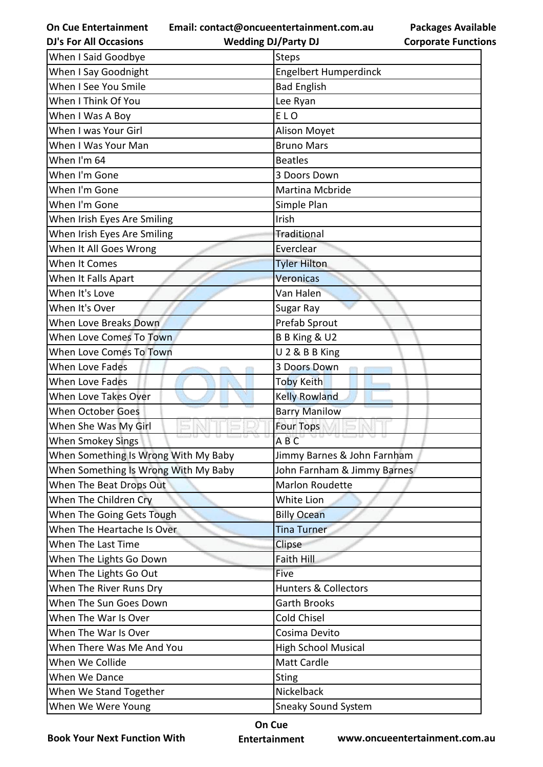**Email: contact@oncueentertainment.com.au**

**DJ's For All Occasions**

**Wedding DJ/Party DJ** 



| When I Said Goodbye                  | <b>Steps</b>                    |
|--------------------------------------|---------------------------------|
| When I Say Goodnight                 | <b>Engelbert Humperdinck</b>    |
| When I See You Smile                 | <b>Bad English</b>              |
| When I Think Of You                  | Lee Ryan                        |
| When I Was A Boy                     | ELO                             |
| When I was Your Girl                 | Alison Moyet                    |
| When I Was Your Man                  | <b>Bruno Mars</b>               |
| When I'm 64                          | <b>Beatles</b>                  |
| When I'm Gone                        | 3 Doors Down                    |
| When I'm Gone                        | Martina Mcbride                 |
| When I'm Gone                        | Simple Plan                     |
| When Irish Eyes Are Smiling          | Irish                           |
| When Irish Eyes Are Smiling          | Traditional                     |
| When It All Goes Wrong               | Everclear                       |
| When It Comes                        | <b>Tyler Hilton</b>             |
| When It Falls Apart                  | <b>Veronicas</b>                |
| When It's Love                       | Van Halen                       |
| When It's Over                       | Sugar Ray                       |
| When Love Breaks Down                | Prefab Sprout                   |
| When Love Comes To Town              | B B King & U2                   |
| <b>When Love Comes To Town</b>       | U 2 & B B King                  |
| When Love Fades                      | 3 Doors Down                    |
| When Love Fades                      | <b>Toby Keith</b>               |
| When Love Takes Over                 | <b>Kelly Rowland</b>            |
| <b>When October Goes</b>             | <b>Barry Manilow</b>            |
| When She Was My Girl                 | <b>Four Tops</b>                |
| <b>When Smokey Sings</b>             | <b>ABC</b>                      |
| When Something Is Wrong With My Baby | Jimmy Barnes & John Farnham     |
| When Something Is Wrong With My Baby | John Farnham & Jimmy Barnes     |
| When The Beat Drops Out              | <b>Marlon Roudette</b>          |
| When The Children Cry                | White Lion                      |
| When The Going Gets Tough            | <b>Billy Ocean</b>              |
| When The Heartache Is Over           | <b>Tina Turner</b>              |
| When The Last Time                   | Clipse                          |
| When The Lights Go Down              | Faith Hill                      |
| When The Lights Go Out               | Five                            |
| When The River Runs Dry              | <b>Hunters &amp; Collectors</b> |
| When The Sun Goes Down               | <b>Garth Brooks</b>             |
| When The War Is Over                 | Cold Chisel                     |
| When The War Is Over                 | Cosima Devito                   |
| When There Was Me And You            | <b>High School Musical</b>      |
| When We Collide                      | <b>Matt Cardle</b>              |
| When We Dance                        | <b>Sting</b>                    |
| When We Stand Together               | Nickelback                      |
| When We Were Young                   | <b>Sneaky Sound System</b>      |

**Book Your Next Function With**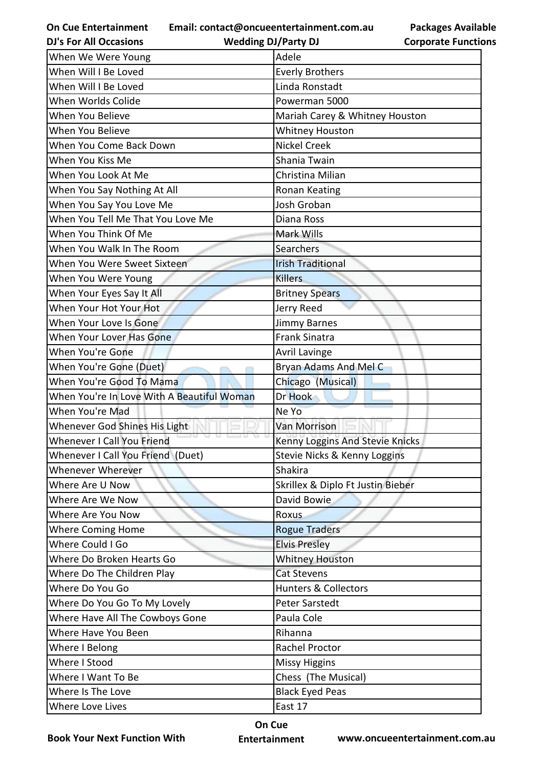**Email: contact@oncueentertainment.com.au**

**Packages Available Corporate Functions**

| <b>DJ's For All Occasions</b>              | <b>Wedding DJ/Party DJ</b>        | <b>Corporate Functio</b> |
|--------------------------------------------|-----------------------------------|--------------------------|
| When We Were Young                         | Adele                             |                          |
| When Will I Be Loved                       | <b>Everly Brothers</b>            |                          |
| When Will I Be Loved                       | Linda Ronstadt                    |                          |
| When Worlds Colide                         | Powerman 5000                     |                          |
| When You Believe                           | Mariah Carey & Whitney Houston    |                          |
| When You Believe                           | <b>Whitney Houston</b>            |                          |
| When You Come Back Down                    | <b>Nickel Creek</b>               |                          |
| When You Kiss Me                           | Shania Twain                      |                          |
| When You Look At Me                        | Christina Milian                  |                          |
| When You Say Nothing At All                | Ronan Keating                     |                          |
| When You Say You Love Me                   | Josh Groban                       |                          |
| When You Tell Me That You Love Me          | Diana Ross                        |                          |
| When You Think Of Me                       | Mark Wills                        |                          |
| When You Walk In The Room                  | Searchers                         |                          |
| When You Were Sweet Sixteen                | <b>Irish Traditional</b>          |                          |
| When You Were Young                        | <b>Killers</b>                    |                          |
| When Your Eyes Say It All                  | <b>Britney Spears</b>             |                          |
| When Your Hot Your Hot                     | Jerry Reed                        |                          |
| When Your Love Is Gone                     | <b>Jimmy Barnes</b>               |                          |
| When Your Lover Has Gone                   | <b>Frank Sinatra</b>              |                          |
| When You're Gone                           | <b>Avril Lavinge</b>              |                          |
| When You're Gone (Duet)                    | Bryan Adams And Mel C             |                          |
| When You're Good To Mama                   | Chicago (Musical)                 |                          |
| When You're In Love With A Beautiful Woman | Dr Hook                           |                          |
| When You're Mad                            | Ne Yo                             |                          |
| Whenever God Shines His Light              | <b>Van Morrison</b>               |                          |
| Whenever I Call You Friend                 | Kenny Loggins And Stevie Knicks   |                          |
| Whenever I Call You Friend (Duet)          | Stevie Nicks & Kenny Loggins      |                          |
| Whenever Wherever                          | <b>Shakira</b>                    |                          |
| Where Are U Now                            | Skrillex & Diplo Ft Justin Bieber |                          |
| Where Are We Now                           | David Bowie                       |                          |
| Where Are You Now                          | Roxus                             |                          |
| <b>Where Coming Home</b>                   | <b>Rogue Traders</b>              |                          |
| Where Could I Go                           | <b>Elvis Presley</b>              |                          |
| Where Do Broken Hearts Go                  | <b>Whitney Houston</b>            |                          |
| Where Do The Children Play                 | <b>Cat Stevens</b>                |                          |
| Where Do You Go                            | <b>Hunters &amp; Collectors</b>   |                          |
| Where Do You Go To My Lovely               | <b>Peter Sarstedt</b>             |                          |
| Where Have All The Cowboys Gone            | Paula Cole                        |                          |
| Where Have You Been                        | Rihanna                           |                          |
| Where I Belong                             | Rachel Proctor                    |                          |
| Where I Stood                              | <b>Missy Higgins</b>              |                          |
| Where I Want To Be                         | Chess (The Musical)               |                          |
| Where Is The Love                          | <b>Black Eyed Peas</b>            |                          |
| Where Love Lives                           | East 17                           |                          |
|                                            |                                   |                          |

**Book Your Next Function With**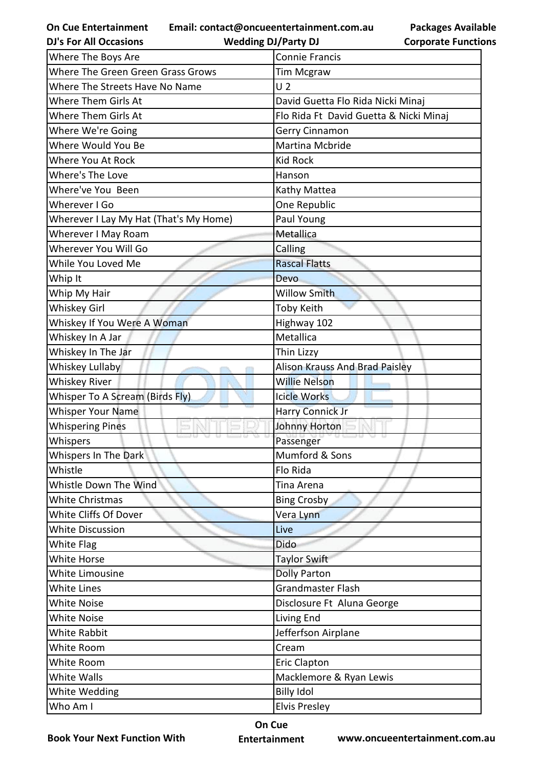**Email: contact@oncueentertainment.com.au**

**Packages Available Corporate Functions**

| <b>Wedding DJ/Party DJ</b>             | <b>Corporate Functio</b>                                                                                                                                                                                                                                                                                                                                  |
|----------------------------------------|-----------------------------------------------------------------------------------------------------------------------------------------------------------------------------------------------------------------------------------------------------------------------------------------------------------------------------------------------------------|
| <b>Connie Francis</b>                  |                                                                                                                                                                                                                                                                                                                                                           |
| <b>Tim Mcgraw</b>                      |                                                                                                                                                                                                                                                                                                                                                           |
| U <sub>2</sub>                         |                                                                                                                                                                                                                                                                                                                                                           |
| David Guetta Flo Rida Nicki Minaj      |                                                                                                                                                                                                                                                                                                                                                           |
| Flo Rida Ft David Guetta & Nicki Minaj |                                                                                                                                                                                                                                                                                                                                                           |
| Gerry Cinnamon                         |                                                                                                                                                                                                                                                                                                                                                           |
| Martina Mcbride                        |                                                                                                                                                                                                                                                                                                                                                           |
| <b>Kid Rock</b>                        |                                                                                                                                                                                                                                                                                                                                                           |
| Hanson                                 |                                                                                                                                                                                                                                                                                                                                                           |
| Kathy Mattea                           |                                                                                                                                                                                                                                                                                                                                                           |
| One Republic                           |                                                                                                                                                                                                                                                                                                                                                           |
| Paul Young                             |                                                                                                                                                                                                                                                                                                                                                           |
| Metallica                              |                                                                                                                                                                                                                                                                                                                                                           |
| Calling                                |                                                                                                                                                                                                                                                                                                                                                           |
| <b>Rascal Flatts</b>                   |                                                                                                                                                                                                                                                                                                                                                           |
| Devo                                   |                                                                                                                                                                                                                                                                                                                                                           |
| <b>Willow Smith</b>                    |                                                                                                                                                                                                                                                                                                                                                           |
| Toby Keith                             |                                                                                                                                                                                                                                                                                                                                                           |
|                                        |                                                                                                                                                                                                                                                                                                                                                           |
| Metallica                              |                                                                                                                                                                                                                                                                                                                                                           |
| Thin Lizzy                             |                                                                                                                                                                                                                                                                                                                                                           |
|                                        |                                                                                                                                                                                                                                                                                                                                                           |
| <b>Willie Nelson</b>                   |                                                                                                                                                                                                                                                                                                                                                           |
| <b>Icicle Works</b>                    |                                                                                                                                                                                                                                                                                                                                                           |
|                                        |                                                                                                                                                                                                                                                                                                                                                           |
|                                        |                                                                                                                                                                                                                                                                                                                                                           |
|                                        |                                                                                                                                                                                                                                                                                                                                                           |
| Mumford & Sons                         |                                                                                                                                                                                                                                                                                                                                                           |
| Flo Rida                               |                                                                                                                                                                                                                                                                                                                                                           |
| Tina Arena                             |                                                                                                                                                                                                                                                                                                                                                           |
|                                        |                                                                                                                                                                                                                                                                                                                                                           |
|                                        |                                                                                                                                                                                                                                                                                                                                                           |
| Live                                   |                                                                                                                                                                                                                                                                                                                                                           |
| Dido                                   |                                                                                                                                                                                                                                                                                                                                                           |
|                                        |                                                                                                                                                                                                                                                                                                                                                           |
|                                        |                                                                                                                                                                                                                                                                                                                                                           |
| Grandmaster Flash                      |                                                                                                                                                                                                                                                                                                                                                           |
|                                        |                                                                                                                                                                                                                                                                                                                                                           |
|                                        |                                                                                                                                                                                                                                                                                                                                                           |
|                                        |                                                                                                                                                                                                                                                                                                                                                           |
| Cream                                  |                                                                                                                                                                                                                                                                                                                                                           |
|                                        |                                                                                                                                                                                                                                                                                                                                                           |
|                                        |                                                                                                                                                                                                                                                                                                                                                           |
|                                        |                                                                                                                                                                                                                                                                                                                                                           |
|                                        |                                                                                                                                                                                                                                                                                                                                                           |
|                                        | Highway 102<br>Alison Krauss And Brad Paisley<br><b>Harry Connick Jr</b><br>Johnny Horton<br>Passenger<br><b>Bing Crosby</b><br>Vera Lynn<br><b>Taylor Swift</b><br><b>Dolly Parton</b><br>Disclosure Ft Aluna George<br>Living End<br>Jefferfson Airplane<br><b>Eric Clapton</b><br>Macklemore & Ryan Lewis<br><b>Billy Idol</b><br><b>Elvis Presley</b> |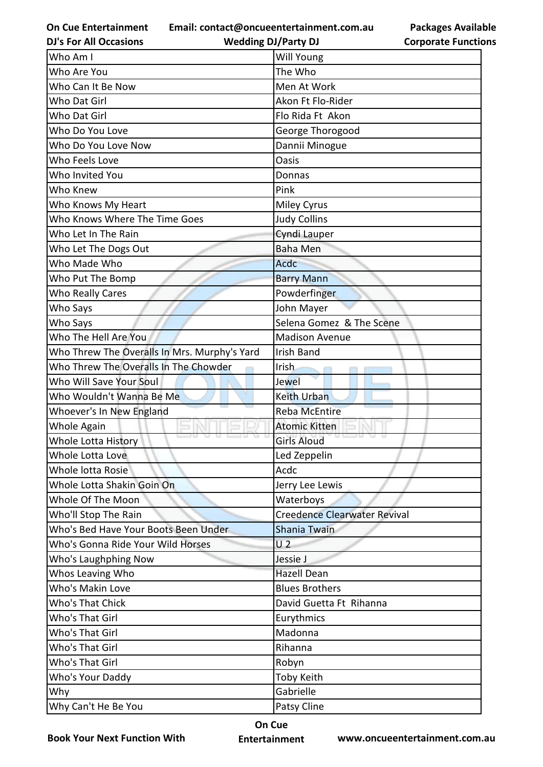**Email: contact@oncueentertainment.com.au**

**DJ's For All Occasions**

**Packages Available Corporate Functions**

| <b>DJ's For All Occasions</b>                | <b>Wedding DJ/Party DJ</b>          | <b>Corporate Functio</b> |
|----------------------------------------------|-------------------------------------|--------------------------|
| Who Am I                                     | <b>Will Young</b>                   |                          |
| Who Are You                                  | The Who                             |                          |
| Who Can It Be Now                            | Men At Work                         |                          |
| Who Dat Girl                                 | Akon Ft Flo-Rider                   |                          |
| Who Dat Girl                                 | Flo Rida Ft Akon                    |                          |
| Who Do You Love                              | George Thorogood                    |                          |
| Who Do You Love Now                          | Dannii Minogue                      |                          |
| Who Feels Love                               | Oasis                               |                          |
| Who Invited You                              | Donnas                              |                          |
| Who Knew                                     | Pink                                |                          |
| Who Knows My Heart                           | <b>Miley Cyrus</b>                  |                          |
| Who Knows Where The Time Goes                | <b>Judy Collins</b>                 |                          |
| Who Let In The Rain                          | Cyndi Lauper                        |                          |
| Who Let The Dogs Out                         | <b>Baha Men</b>                     |                          |
| Who Made Who                                 | <b>Acdc</b>                         |                          |
| Who Put The Bomp                             | <b>Barry Mann</b>                   |                          |
| <b>Who Really Cares</b>                      | Powderfinger                        |                          |
| Who Says                                     | John Mayer                          |                          |
| Who Says                                     | Selena Gomez & The Scene            |                          |
| Who The Hell Are You                         | <b>Madison Avenue</b>               |                          |
| Who Threw The Overalls In Mrs. Murphy's Yard | <b>Irish Band</b>                   |                          |
| Who Threw The Overalls In The Chowder        | Irish.                              |                          |
| Who Will Save Your Soul                      | Jewel                               |                          |
| Who Wouldn't Wanna Be Me                     | <b>Keith Urban</b>                  |                          |
| Whoever's In New England                     | <b>Reba McEntire</b>                |                          |
| Whole Again                                  | <b>Atomic Kitten</b>                |                          |
| Whole Lotta History                          | <b>Girls Aloud</b>                  |                          |
| Whole Lotta Love                             | Led Zeppelin                        |                          |
| Whole lotta Rosie                            | Acdc                                |                          |
| Whole Lotta Shakin Goin On                   | Jerry Lee Lewis                     |                          |
| Whole Of The Moon                            | Waterboys                           |                          |
| Who'll Stop The Rain                         | <b>Creedence Clearwater Revival</b> |                          |
| Who's Bed Have Your Boots Been Under         | Shania Twain                        |                          |
| Who's Gonna Ride Your Wild Horses            | U <sub>2</sub>                      |                          |
| Who's Laughphing Now                         | Jessie J                            |                          |
| Whos Leaving Who                             | <b>Hazell Dean</b>                  |                          |
| Who's Makin Love                             | <b>Blues Brothers</b>               |                          |
| Who's That Chick                             | David Guetta Ft Rihanna             |                          |
| Who's That Girl                              | Eurythmics                          |                          |
| Who's That Girl                              | Madonna                             |                          |
| Who's That Girl                              | Rihanna                             |                          |
| Who's That Girl                              | Robyn                               |                          |
| Who's Your Daddy                             | Toby Keith                          |                          |
| Why                                          | Gabrielle                           |                          |
| Why Can't He Be You                          | Patsy Cline                         |                          |
|                                              |                                     |                          |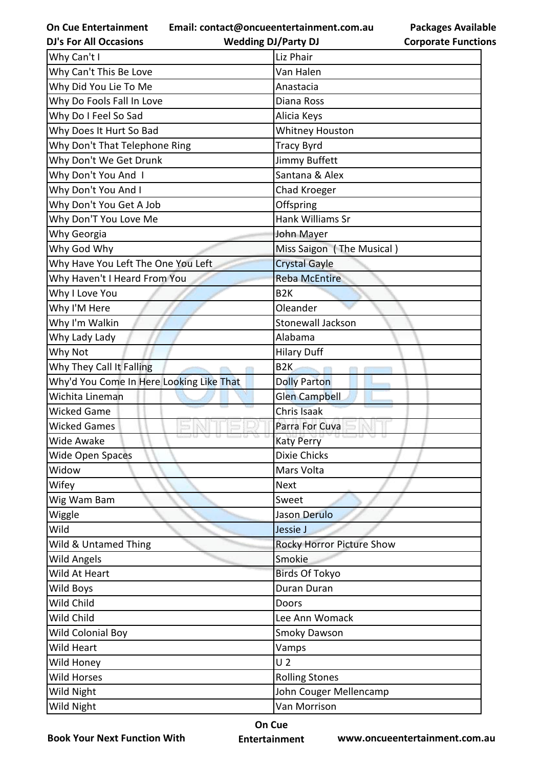**Email: contact@oncueentertainment.com.au**

**DJ's For All Occasions**

**Wedding DJ/Party DJ** 

| <b>Packages Available</b>  |
|----------------------------|
| <b>Corporate Functions</b> |

| Why Can't I                              | Liz Phair                        |
|------------------------------------------|----------------------------------|
| Why Can't This Be Love                   | Van Halen                        |
| Why Did You Lie To Me                    | Anastacia                        |
| Why Do Fools Fall In Love                | Diana Ross                       |
| Why Do I Feel So Sad                     | Alicia Keys                      |
| Why Does It Hurt So Bad                  | <b>Whitney Houston</b>           |
| Why Don't That Telephone Ring            | <b>Tracy Byrd</b>                |
| Why Don't We Get Drunk                   | Jimmy Buffett                    |
| Why Don't You And I                      | Santana & Alex                   |
| Why Don't You And I                      | Chad Kroeger                     |
| Why Don't You Get A Job                  | Offspring                        |
| Why Don'T You Love Me                    | Hank Williams Sr                 |
| Why Georgia                              | John Mayer                       |
| Why God Why                              | Miss Saigon (The Musical)        |
| Why Have You Left The One You Left       | <b>Crystal Gayle</b>             |
| Why Haven't I Heard From You             | <b>Reba McEntire</b>             |
| Why I Love You                           | B <sub>2</sub> K                 |
| Why I'M Here                             | Oleander                         |
| Why I'm Walkin                           | Stonewall Jackson                |
| Why Lady Lady                            | Alabama                          |
| Why Not                                  | <b>Hilary Duff</b>               |
| Why They Call It Falling                 | B <sub>2K</sub>                  |
| Why'd You Come In Here Looking Like That | <b>Dolly Parton</b>              |
| Wichita Lineman                          | <b>Glen Campbell</b>             |
| <b>Wicked Game</b>                       | Chris Isaak                      |
| <b>Wicked Games</b>                      | Parra For Cuva                   |
| <b>Wide Awake</b>                        | <b>Katy Perry</b>                |
| Wide Open Spaces                         | <b>Dixie Chicks</b>              |
| Widow                                    | Mars Volta                       |
| Wifey                                    | <b>Next</b>                      |
| Wig Wam Bam                              | Sweet                            |
| Wiggle                                   | Jason Derulo                     |
| Wild                                     | Jessie J                         |
| Wild & Untamed Thing                     | <b>Rocky Horror Picture Show</b> |
| <b>Wild Angels</b>                       | Smokie                           |
| Wild At Heart                            | <b>Birds Of Tokyo</b>            |
| Wild Boys                                | Duran Duran                      |
| Wild Child                               | Doors                            |
| Wild Child                               | Lee Ann Womack                   |
| Wild Colonial Boy                        | Smoky Dawson                     |
| Wild Heart                               | Vamps                            |
| Wild Honey                               | U <sub>2</sub>                   |
| <b>Wild Horses</b>                       | <b>Rolling Stones</b>            |
| Wild Night                               | John Couger Mellencamp           |
| Wild Night                               | Van Morrison                     |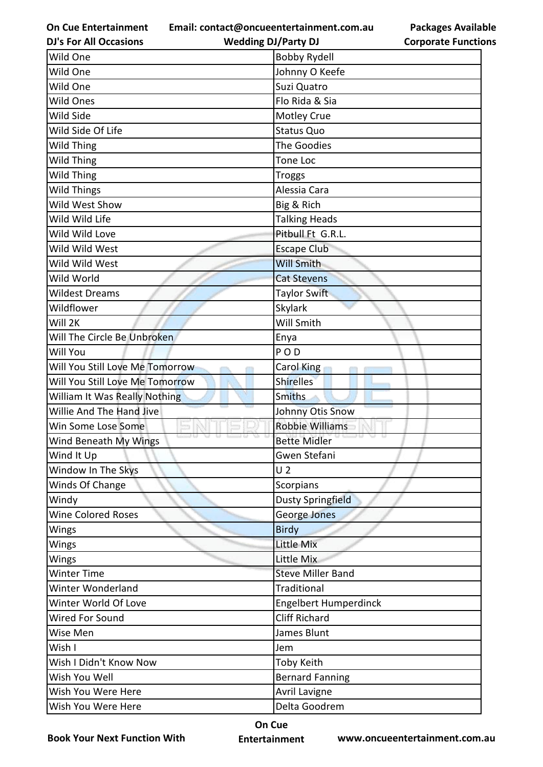**Email: contact@oncueentertainment.com.au**

**Packages Available Corporate Functions**

| <b>DJ's For All Occasions</b>   | <b>Wedding DJ/Party DJ</b>   | <b>Corporate Functio</b> |
|---------------------------------|------------------------------|--------------------------|
| Wild One                        | <b>Bobby Rydell</b>          |                          |
| Wild One                        | Johnny O Keefe               |                          |
| Wild One                        | Suzi Quatro                  |                          |
| Wild Ones                       | Flo Rida & Sia               |                          |
| Wild Side                       | <b>Motley Crue</b>           |                          |
| Wild Side Of Life               | <b>Status Quo</b>            |                          |
| Wild Thing                      | The Goodies                  |                          |
| Wild Thing                      | <b>Tone Loc</b>              |                          |
| Wild Thing                      | <b>Troggs</b>                |                          |
| Wild Things                     | Alessia Cara                 |                          |
| Wild West Show                  | Big & Rich                   |                          |
| Wild Wild Life                  | <b>Talking Heads</b>         |                          |
| Wild Wild Love                  | Pitbull Ft G.R.L.            |                          |
| Wild Wild West                  | <b>Escape Club</b>           |                          |
| Wild Wild West                  | <b>Will Smith</b>            |                          |
| Wild World                      | <b>Cat Stevens</b>           |                          |
| <b>Wildest Dreams</b>           | Taylor Swift                 |                          |
| Wildflower                      | <b>Skylark</b>               |                          |
| Will 2K                         | Will Smith                   |                          |
| Will The Circle Be Unbroken     | Enya                         |                          |
| Will You                        | PO <sub>D</sub>              |                          |
| Will You Still Love Me Tomorrow | Carol King                   |                          |
| Will You Still Love Me Tomorrow | <b>Shirelles</b>             |                          |
| William It Was Really Nothing   | <b>Smiths</b>                |                          |
| Willie And The Hand Jive        | Johnny Otis Snow             |                          |
| Win Some Lose Some              | <b>Robbie Williams</b>       |                          |
| Wind Beneath My Wings           | <b>Bette Midler</b>          |                          |
| Wind It Up                      | Gwen Stefani                 |                          |
| Window In The Skys              | U <sub>2</sub>               |                          |
| Winds Of Change                 | Scorpians                    |                          |
| Windy                           | Dusty Springfield            |                          |
| Wine Colored Roses              | George Jones                 |                          |
| Wings                           | <b>Birdy</b>                 |                          |
| Wings                           | <b>Little Mix</b>            |                          |
| Wings                           | Little Mix                   |                          |
| Winter Time                     | <b>Steve Miller Band</b>     |                          |
| Winter Wonderland               | Traditional                  |                          |
| Winter World Of Love            | <b>Engelbert Humperdinck</b> |                          |
| Wired For Sound                 | <b>Cliff Richard</b>         |                          |
| Wise Men                        | James Blunt                  |                          |
| Wish I                          | Jem                          |                          |
| Wish I Didn't Know Now          | <b>Toby Keith</b>            |                          |
| Wish You Well                   | <b>Bernard Fanning</b>       |                          |
| Wish You Were Here              | Avril Lavigne                |                          |
| Wish You Were Here              | Delta Goodrem                |                          |

**Book Your Next Function With**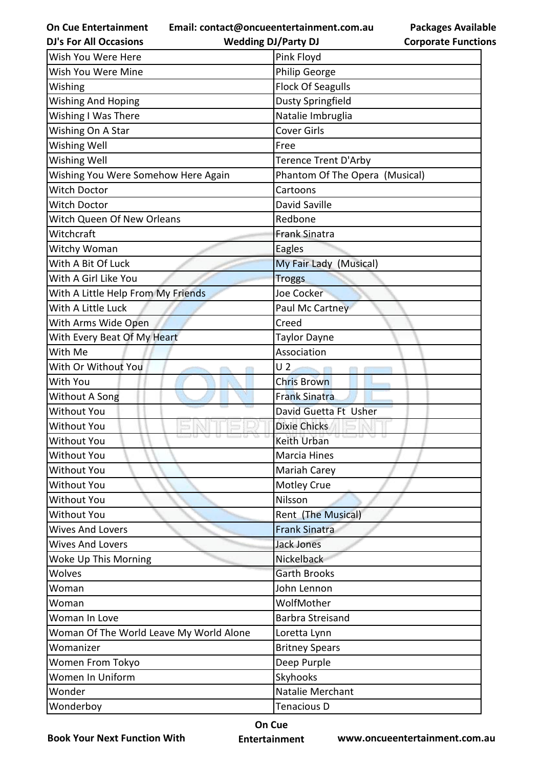**Email: contact@oncueentertainment.com.au**

**Packages Available Corporate Functions**

| <b>DJ's For All Occasions</b>           | <b>Wedding DJ/Party DJ</b><br><b>Corporate Functio</b> |
|-----------------------------------------|--------------------------------------------------------|
| Wish You Were Here                      | Pink Floyd                                             |
| Wish You Were Mine                      | Philip George                                          |
| Wishing                                 | <b>Flock Of Seagulls</b>                               |
| <b>Wishing And Hoping</b>               | <b>Dusty Springfield</b>                               |
| Wishing I Was There                     | Natalie Imbruglia                                      |
| Wishing On A Star                       | <b>Cover Girls</b>                                     |
| <b>Wishing Well</b>                     | Free                                                   |
| <b>Wishing Well</b>                     | Terence Trent D'Arby                                   |
| Wishing You Were Somehow Here Again     | Phantom Of The Opera (Musical)                         |
| <b>Witch Doctor</b>                     | Cartoons                                               |
| Witch Doctor                            | David Saville                                          |
| Witch Queen Of New Orleans              | Redbone                                                |
| Witchcraft                              | <b>Frank Sinatra</b>                                   |
| Witchy Woman                            | Eagles                                                 |
| With A Bit Of Luck                      | My Fair Lady (Musical)                                 |
| With A Girl Like You                    | <b>Troggs</b>                                          |
| With A Little Help From My Friends      | <b>Joe Cocker</b>                                      |
| With A Little Luck                      | Paul Mc Cartney                                        |
| With Arms Wide Open                     | Creed                                                  |
| With Every Beat Of My Heart             | <b>Taylor Dayne</b>                                    |
| With Me                                 | Association                                            |
| With Or Without You                     | U <sub>2</sub>                                         |
| With You                                | <b>Chris Brown</b>                                     |
| Without A Song                          | <b>Frank Sinatra</b>                                   |
| <b>Without You</b>                      | David Guetta Ft Usher                                  |
| <b>Without You</b>                      | <b>Dixie Chicks</b>                                    |
| <b>Without You</b>                      | Keith Urban                                            |
| <b>Without You</b>                      | Marcia Hines                                           |
| <b>Without You</b>                      | Mariah Carey                                           |
| Without You                             | Motley Crue                                            |
| <b>Without You</b>                      | Nilsson                                                |
| <b>Without You</b>                      | Rent (The Musical)                                     |
| <b>Wives And Lovers</b>                 | <b>Frank Sinatra</b>                                   |
| <b>Wives And Lovers</b>                 | Jack Jones                                             |
| Woke Up This Morning                    | Nickelback                                             |
| Wolves                                  | <b>Garth Brooks</b>                                    |
| Woman                                   | John Lennon                                            |
| Woman                                   | WolfMother                                             |
| Woman In Love                           | <b>Barbra Streisand</b>                                |
| Woman Of The World Leave My World Alone | Loretta Lynn                                           |
| Womanizer                               | <b>Britney Spears</b>                                  |
| Women From Tokyo                        | Deep Purple                                            |
| Women In Uniform                        | Skyhooks                                               |
| Wonder                                  | Natalie Merchant                                       |
| Wonderboy                               | Tenacious D                                            |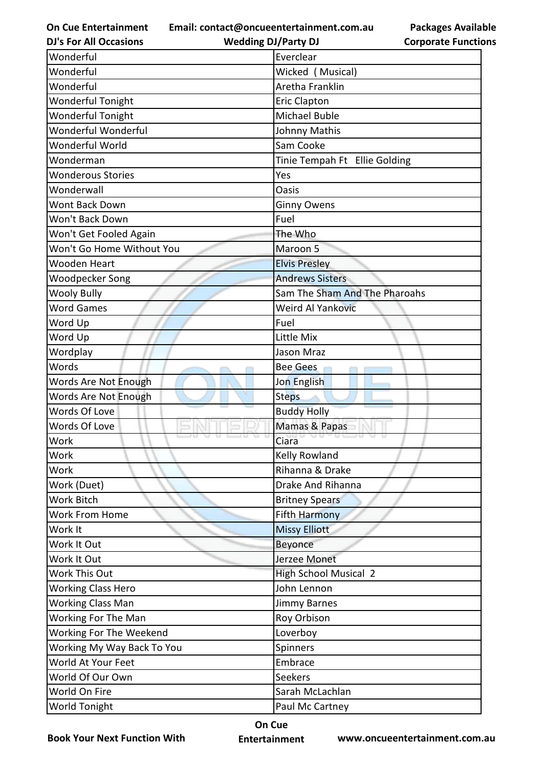**Email: contact@oncueentertainment.com.au**

**DJ's For All Occasions**

**Wedding DJ/Party DJ** 

**Packages Available Corporate Functions**

| Wonderful                  | Everclear                     |
|----------------------------|-------------------------------|
| Wonderful                  | Wicked (Musical)              |
| Wonderful                  | Aretha Franklin               |
| Wonderful Tonight          | <b>Eric Clapton</b>           |
| Wonderful Tonight          | <b>Michael Buble</b>          |
| Wonderful Wonderful        | Johnny Mathis                 |
| Wonderful World            | Sam Cooke                     |
| Wonderman                  | Tinie Tempah Ft Ellie Golding |
| <b>Wonderous Stories</b>   | Yes                           |
| Wonderwall                 | <b>Oasis</b>                  |
| Wont Back Down             | <b>Ginny Owens</b>            |
| Won't Back Down            | Fuel                          |
| Won't Get Fooled Again     | The Who                       |
| Won't Go Home Without You  | Maroon 5                      |
| Wooden Heart               | <b>Elvis Presley</b>          |
| Woodpecker Song            | <b>Andrews Sisters</b>        |
| <b>Wooly Bully</b>         | Sam The Sham And The Pharoahs |
| <b>Word Games</b>          | <b>Weird Al Yankovic</b>      |
| Word Up                    | Fuel                          |
| Word Up                    | Little Mix                    |
| Wordplay                   | Jason Mraz                    |
| Words                      | <b>Bee Gees</b>               |
| Words Are Not Enough       | Jon English                   |
| Words Are Not Enough       | <b>Steps</b>                  |
| <b>Words Of Love</b>       | <b>Buddy Holly</b>            |
| Words Of Love              | Mamas & Papas                 |
| Work                       | Ciara                         |
| Work                       | Kelly Rowland                 |
| Work                       | Rihanna & Drake               |
| Work (Duet)                | Drake And Rihanna             |
| Work Bitch                 | <b>Britney Spears</b>         |
| <b>Work From Home</b>      | <b>Fifth Harmony</b>          |
| Work It                    | <b>Missy Elliott</b>          |
| Work It Out                | Beyonce                       |
| Work It Out                | Jerzee Monet                  |
| Work This Out              | <b>High School Musical 2</b>  |
| <b>Working Class Hero</b>  | John Lennon                   |
| <b>Working Class Man</b>   | Jimmy Barnes                  |
| Working For The Man        | Roy Orbison                   |
| Working For The Weekend    | Loverboy                      |
| Working My Way Back To You | Spinners                      |
| World At Your Feet         | Embrace                       |
| World Of Our Own           | Seekers                       |
| World On Fire              | Sarah McLachlan               |
| World Tonight              | Paul Mc Cartney               |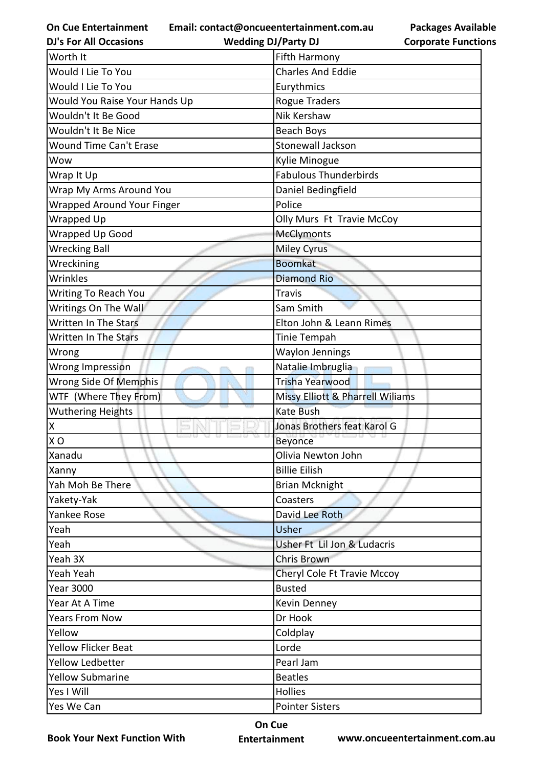**Email: contact@oncueentertainment.com.au**

**Packages Available Corporate Functions**

| <b>DJ's For All Occasions</b>     | <b>Wedding DJ/Party DJ</b>       | <b>Corporate Functio</b> |
|-----------------------------------|----------------------------------|--------------------------|
| Worth It                          | Fifth Harmony                    |                          |
| Would I Lie To You                | <b>Charles And Eddie</b>         |                          |
| Would I Lie To You                | Eurythmics                       |                          |
| Would You Raise Your Hands Up     | <b>Rogue Traders</b>             |                          |
| Wouldn't It Be Good               | Nik Kershaw                      |                          |
| Wouldn't It Be Nice               | <b>Beach Boys</b>                |                          |
| <b>Wound Time Can't Erase</b>     | <b>Stonewall Jackson</b>         |                          |
| Wow                               | Kylie Minogue                    |                          |
| Wrap It Up                        | <b>Fabulous Thunderbirds</b>     |                          |
| Wrap My Arms Around You           | Daniel Bedingfield               |                          |
| <b>Wrapped Around Your Finger</b> | Police                           |                          |
| Wrapped Up                        | Olly Murs Ft Travie McCoy        |                          |
| <b>Wrapped Up Good</b>            | <b>McClymonts</b>                |                          |
| <b>Wrecking Ball</b>              | <b>Miley Cyrus</b>               |                          |
| Wreckining                        | <b>Boomkat</b>                   |                          |
| Wrinkles                          | <b>Diamond Rio</b>               |                          |
| Writing To Reach You              | <b>Travis</b>                    |                          |
| Writings On The Wall              | Sam Smith                        |                          |
| Written In The Stars              | Elton John & Leann Rimes         |                          |
| Written In The Stars              | Tinie Tempah                     |                          |
| Wrong                             | <b>Waylon Jennings</b>           |                          |
| Wrong Impression                  | Natalie Imbruglia                |                          |
| Wrong Side Of Memphis             | <b>Trisha Yearwood</b>           |                          |
| WTF (Where They From)             | Missy Elliott & Pharrell Wiliams |                          |
| <b>Wuthering Heights</b>          | <b>Kate Bush</b>                 |                          |
| Χ                                 | Jonas Brothers feat Karol G      |                          |
| X <sub>O</sub>                    | Beyonce                          |                          |
| Xanadu                            | Olivia Newton John               |                          |
| Xanny                             | <b>Billie Eilish</b>             |                          |
| Yah Moh Be There                  | <b>Brian Mcknight</b>            |                          |
| Yakety-Yak                        | Coasters                         |                          |
| Yankee Rose                       | David Lee Roth                   |                          |
| Yeah                              | Usher                            |                          |
| Yeah                              | Usher Ft Lil Jon & Ludacris      |                          |
| Yeah 3X                           | Chris Brown                      |                          |
| Yeah Yeah                         | Cheryl Cole Ft Travie Mccoy      |                          |
| <b>Year 3000</b>                  | <b>Busted</b>                    |                          |
| Year At A Time                    | Kevin Denney                     |                          |
| <b>Years From Now</b>             | Dr Hook                          |                          |
| Yellow                            | Coldplay                         |                          |
| <b>Yellow Flicker Beat</b>        | Lorde                            |                          |
| Yellow Ledbetter                  | Pearl Jam                        |                          |
| <b>Yellow Submarine</b>           | <b>Beatles</b>                   |                          |
| Yes I Will                        | <b>Hollies</b>                   |                          |
| Yes We Can                        | <b>Pointer Sisters</b>           |                          |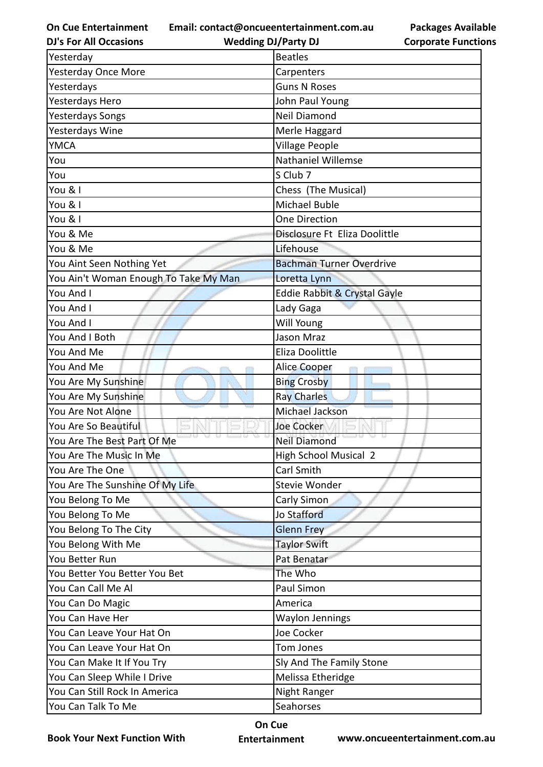**Email: contact@oncueentertainment.com.au**

**DJ's For All Occasions**

**Wedding DJ/Party DJ** 

**Packages Available Corporate Functions**

| Yesterday                             | <b>Beatles</b>                  |
|---------------------------------------|---------------------------------|
| <b>Yesterday Once More</b>            | Carpenters                      |
| Yesterdays                            | <b>Guns N Roses</b>             |
| Yesterdays Hero                       | John Paul Young                 |
| <b>Yesterdays Songs</b>               | <b>Neil Diamond</b>             |
| Yesterdays Wine                       | Merle Haggard                   |
| <b>YMCA</b>                           | Village People                  |
| You                                   | Nathaniel Willemse              |
| You                                   | S Club 7                        |
| You & I                               | Chess (The Musical)             |
| You & I                               | <b>Michael Buble</b>            |
| You & I                               | <b>One Direction</b>            |
| You & Me                              | Disclosure Ft Eliza Doolittle   |
| You & Me                              | Lifehouse                       |
| You Aint Seen Nothing Yet             | <b>Bachman Turner Overdrive</b> |
| You Ain't Woman Enough To Take My Man | Loretta Lynn                    |
| You And I                             | Eddie Rabbit & Crystal Gayle    |
| You And I                             | Lady Gaga                       |
| You And I                             | Will Young                      |
| You And I Both                        | Jason Mraz                      |
| You And Me                            | Eliza Doolittle                 |
| You And Me                            | <b>Alice Cooper</b>             |
| You Are My Sunshine                   | <b>Bing Crosby</b>              |
| You Are My Sunshine                   | <b>Ray Charles</b>              |
| You Are Not Alone                     | Michael Jackson                 |
| You Are So Beautiful                  | Joe Cocker                      |
| You Are The Best Part Of Me           | <b>Neil Diamond</b>             |
| You Are The Music In Me               | <b>High School Musical 2</b>    |
| You Are The One                       | Carl Smith                      |
| You Are The Sunshine Of My Life       | <b>Stevie Wonder</b>            |
| You Belong To Me                      | Carly Simon                     |
| You Belong To Me                      | <b>Jo Stafford</b>              |
| You Belong To The City                | <b>Glenn Frey</b>               |
| You Belong With Me                    | <b>Taylor Swift</b>             |
| You Better Run                        | Pat Benatar                     |
| You Better You Better You Bet         | The Who                         |
| You Can Call Me Al                    | Paul Simon                      |
| You Can Do Magic                      | America                         |
| You Can Have Her                      | <b>Waylon Jennings</b>          |
| You Can Leave Your Hat On             | Joe Cocker                      |
| You Can Leave Your Hat On             | Tom Jones                       |
| You Can Make It If You Try            | Sly And The Family Stone        |
| You Can Sleep While I Drive           | Melissa Etheridge               |
| You Can Still Rock In America         | Night Ranger                    |
| You Can Talk To Me                    | Seahorses                       |

**Book Your Next Function With**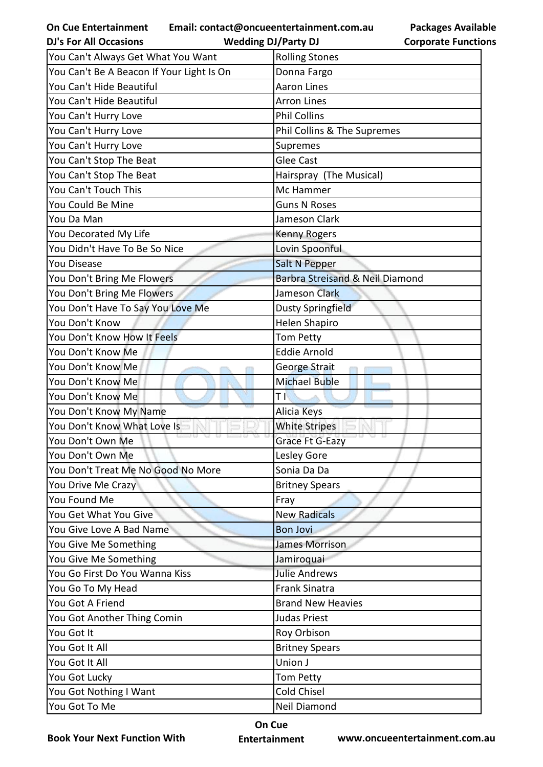**Email: contact@oncueentertainment.com.au Wedding DJ/Party DJ** 

**Packages Available Corporate Functions**

| <b>DJ's For All Occasions</b>             | <b>Wedding DJ/Party DJ</b>      | <b>Corporate Functio</b> |
|-------------------------------------------|---------------------------------|--------------------------|
| You Can't Always Get What You Want        | <b>Rolling Stones</b>           |                          |
| You Can't Be A Beacon If Your Light Is On | Donna Fargo                     |                          |
| You Can't Hide Beautiful                  | <b>Aaron Lines</b>              |                          |
| You Can't Hide Beautiful                  | <b>Arron Lines</b>              |                          |
| You Can't Hurry Love                      | <b>Phil Collins</b>             |                          |
| You Can't Hurry Love                      | Phil Collins & The Supremes     |                          |
| You Can't Hurry Love                      | Supremes                        |                          |
| You Can't Stop The Beat                   | <b>Glee Cast</b>                |                          |
| You Can't Stop The Beat                   | Hairspray (The Musical)         |                          |
| You Can't Touch This                      | Mc Hammer                       |                          |
| You Could Be Mine                         | <b>Guns N Roses</b>             |                          |
| You Da Man                                | Jameson Clark                   |                          |
| You Decorated My Life                     | <b>Kenny Rogers</b>             |                          |
| You Didn't Have To Be So Nice             | Lovin Spoonful                  |                          |
| <b>You Disease</b>                        | Salt N Pepper                   |                          |
| You Don't Bring Me Flowers                | Barbra Streisand & Neil Diamond |                          |
| You Don't Bring Me Flowers                | Jameson Clark                   |                          |
| You Don't Have To Say You Love Me         | <b>Dusty Springfield</b>        |                          |
| You Don't Know                            | <b>Helen Shapiro</b>            |                          |
| You Don't Know How It Feels               | <b>Tom Petty</b>                |                          |
| You Don't Know Me                         | <b>Eddie Arnold</b>             |                          |
| You Don't Know Me                         | George Strait                   |                          |
| You Don't Know Me                         | <b>Michael Buble</b>            |                          |
| You Don't Know Me                         | Τľ                              |                          |
| You Don't Know My Name                    | Alicia Keys                     |                          |
| You Don't Know What Love Is               | <b>White Stripes</b>            |                          |
| You Don't Own Me                          | Grace Ft G-Eazy                 |                          |
| You Don't Own Me                          | Lesley Gore                     |                          |
| You Don't Treat Me No Good No More        | Sonia Da Da                     |                          |
| You Drive Me Crazy                        | <b>Britney Spears</b>           |                          |
| You Found Me                              | Fray                            |                          |
| You Get What You Give                     | <b>New Radicals</b>             |                          |
| You Give Love A Bad Name                  | <b>Bon Jovi</b>                 |                          |
| You Give Me Something                     | <b>James Morrison</b>           |                          |
| You Give Me Something                     | Jamiroquai                      |                          |
| You Go First Do You Wanna Kiss            | <b>Julie Andrews</b>            |                          |
| You Go To My Head                         | <b>Frank Sinatra</b>            |                          |
| You Got A Friend                          | <b>Brand New Heavies</b>        |                          |
| You Got Another Thing Comin               | <b>Judas Priest</b>             |                          |
| You Got It                                | Roy Orbison                     |                          |
| You Got It All                            | <b>Britney Spears</b>           |                          |
| You Got It All                            | Union J                         |                          |
| You Got Lucky                             | <b>Tom Petty</b>                |                          |
| You Got Nothing I Want                    | Cold Chisel                     |                          |
| You Got To Me                             | Neil Diamond                    |                          |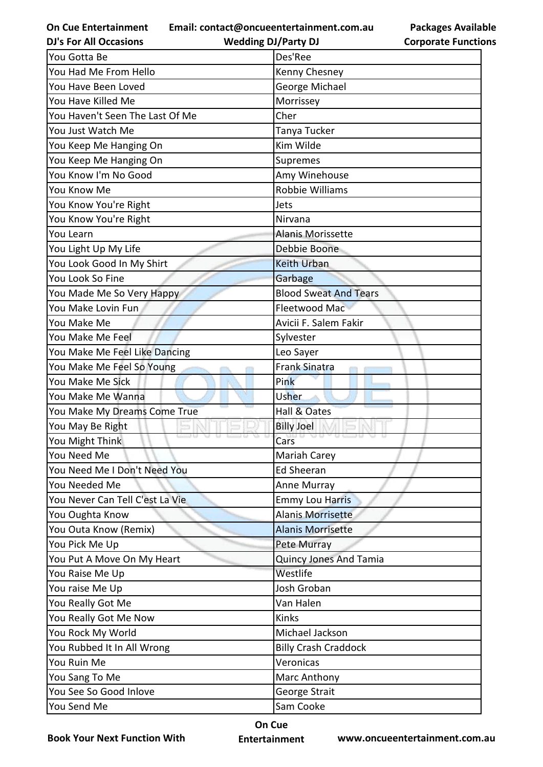**On Cue Entertainment DJ's For All Occasions**

**Email: contact@oncueentertainment.com.au**

**Wedding DJ/Party DJ** 

| You Gotta Be                    | Des'Ree                       |
|---------------------------------|-------------------------------|
| You Had Me From Hello           | Kenny Chesney                 |
| You Have Been Loved             | George Michael                |
| You Have Killed Me              | Morrissey                     |
| You Haven't Seen The Last Of Me | Cher                          |
| You Just Watch Me               | Tanya Tucker                  |
| You Keep Me Hanging On          | Kim Wilde                     |
| You Keep Me Hanging On          | Supremes                      |
| You Know I'm No Good            | Amy Winehouse                 |
| You Know Me                     | Robbie Williams               |
| You Know You're Right           | Jets                          |
| You Know You're Right           | Nirvana                       |
| You Learn                       | <b>Alanis Morissette</b>      |
| You Light Up My Life            | Debbie Boone                  |
| You Look Good In My Shirt       | <b>Keith Urban</b>            |
| You Look So Fine                | Garbage                       |
| You Made Me So Very Happy       | <b>Blood Sweat And Tears</b>  |
| You Make Lovin Fun              | Fleetwood Mac                 |
| You Make Me                     | Avicii F. Salem Fakir         |
| You Make Me Feel                | Sylvester                     |
| You Make Me Feel Like Dancing   | Leo Sayer                     |
| You Make Me Feel So Young       | <b>Frank Sinatra</b>          |
| You Make Me Sick                | Pink                          |
| You Make Me Wanna               | Usher                         |
| You Make My Dreams Come True    | Hall & Oates                  |
| You May Be Right                | <b>Billy Joel</b>             |
| You Might Think                 | Cars                          |
| You Need Me                     | Mariah Carey                  |
| You Need Me I Don't Need You    | Ed Sheeran                    |
| You Needed Me                   | Anne Murray                   |
| You Never Can Tell C'est La Vie | <b>Emmy Lou Harris</b>        |
| You Oughta Know                 | <b>Alanis Morrisette</b>      |
| You Outa Know (Remix)           | <b>Alanis Morrisette</b>      |
| You Pick Me Up                  | <b>Pete Murray</b>            |
| You Put A Move On My Heart      | <b>Quincy Jones And Tamia</b> |
| You Raise Me Up                 | Westlife                      |
| You raise Me Up                 | Josh Groban                   |
| You Really Got Me               | Van Halen                     |
| You Really Got Me Now           | Kinks                         |
| You Rock My World               | Michael Jackson               |
| You Rubbed It In All Wrong      | <b>Billy Crash Craddock</b>   |
| You Ruin Me                     | Veronicas                     |
| You Sang To Me                  | Marc Anthony                  |
| You See So Good Inlove          | George Strait                 |
| You Send Me                     | Sam Cooke                     |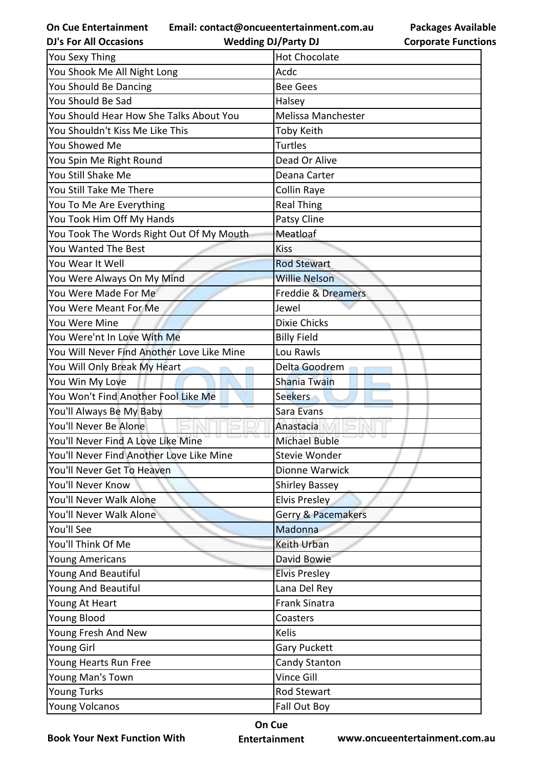**Email: contact@oncueentertainment.com.au**

**DJ's For All Occasions**

**Wedding DJ/Party DJ** 



| You Sexy Thing                             | <b>Hot Chocolate</b>          |
|--------------------------------------------|-------------------------------|
| You Shook Me All Night Long                | Acdc                          |
| You Should Be Dancing                      | <b>Bee Gees</b>               |
| You Should Be Sad                          | Halsey                        |
| You Should Hear How She Talks About You    | <b>Melissa Manchester</b>     |
| You Shouldn't Kiss Me Like This            | <b>Toby Keith</b>             |
| You Showed Me                              | <b>Turtles</b>                |
| You Spin Me Right Round                    | Dead Or Alive                 |
| You Still Shake Me                         | Deana Carter                  |
| You Still Take Me There                    | Collin Raye                   |
| You To Me Are Everything                   | <b>Real Thing</b>             |
| You Took Him Off My Hands                  | Patsy Cline                   |
| You Took The Words Right Out Of My Mouth   | Meatloaf                      |
| You Wanted The Best                        | <b>Kiss</b>                   |
| You Wear It Well                           | <b>Rod Stewart</b>            |
| You Were Always On My Mind                 | <b>Willie Nelson</b>          |
| You Were Made For Me                       | <b>Freddie &amp; Dreamers</b> |
| You Were Meant For Me                      | Jewel                         |
| You Were Mine                              | <b>Dixie Chicks</b>           |
| You Were'nt In Love With Me                | <b>Billy Field</b>            |
| You Will Never Find Another Love Like Mine | Lou Rawls                     |
| You Will Only Break My Heart               | Delta Goodrem                 |
| You Win My Love                            | <b>Shania Twain</b>           |
| You Won't Find Another Fool Like Me        | <b>Seekers</b>                |
| You'll Always Be My Baby                   | Sara Evans                    |
| You'll Never Be Alone                      | Anastacia                     |
| You'll Never Find A Love Like Mine         | <b>Michael Buble</b>          |
| You'll Never Find Another Love Like Mine   | Stevie Wonder                 |
| You'll Never Get To Heaven                 | Dionne Warwick                |
| You'll Never Know                          | <b>Shirley Bassey</b>         |
| You'll Never Walk Alone                    | <b>Elvis Presley</b>          |
| You'll Never Walk Alone                    | Gerry & Pacemakers            |
| You'll See                                 | Madonna                       |
| You'll Think Of Me                         | Keith Urban                   |
| <b>Young Americans</b>                     | David Bowie                   |
| Young And Beautiful                        | <b>Elvis Presley</b>          |
| Young And Beautiful                        | Lana Del Rey                  |
| Young At Heart                             | <b>Frank Sinatra</b>          |
| Young Blood                                |                               |
|                                            | Coasters                      |
| Young Fresh And New                        | Kelis                         |
| Young Girl                                 | Gary Puckett                  |
| Young Hearts Run Free                      | Candy Stanton                 |
| Young Man's Town                           | Vince Gill                    |
| <b>Young Turks</b>                         | <b>Rod Stewart</b>            |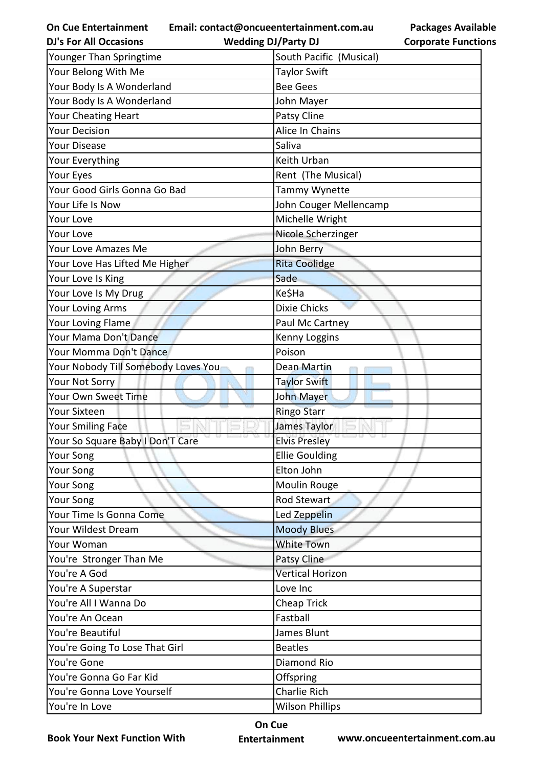**Email: contact@oncueentertainment.com.au**

**Wedding DJ/Party DJ** 

**Packages Available Corporate Functions**

| <b>DJ's For All Occasions</b>       | <b>Wedding DJ/Party DJ</b> | <b>Corporate Functio</b> |
|-------------------------------------|----------------------------|--------------------------|
| Younger Than Springtime             | South Pacific (Musical)    |                          |
| Your Belong With Me                 | <b>Taylor Swift</b>        |                          |
| Your Body Is A Wonderland           | <b>Bee Gees</b>            |                          |
| Your Body Is A Wonderland           | John Mayer                 |                          |
| Your Cheating Heart                 | Patsy Cline                |                          |
| <b>Your Decision</b>                | Alice In Chains            |                          |
| Your Disease                        | Saliva                     |                          |
| Your Everything                     | Keith Urban                |                          |
| Your Eyes                           | Rent (The Musical)         |                          |
| Your Good Girls Gonna Go Bad        | Tammy Wynette              |                          |
| Your Life Is Now                    | John Couger Mellencamp     |                          |
| <b>Your Love</b>                    | Michelle Wright            |                          |
| <b>Your Love</b>                    | Nicole Scherzinger         |                          |
| Your Love Amazes Me                 | John Berry                 |                          |
| Your Love Has Lifted Me Higher      | <b>Rita Coolidge</b>       |                          |
| Your Love Is King                   | Sade                       |                          |
| Your Love Is My Drug                | Ke\$Ha                     |                          |
| Your Loving Arms                    | <b>Dixie Chicks</b>        |                          |
| Your Loving Flame                   | Paul Mc Cartney            |                          |
| Your Mama Don't Dance               | Kenny Loggins              |                          |
| Your Momma Don't Dance              | Poison                     |                          |
| Your Nobody Till Somebody Loves You | <b>Dean Martin</b>         |                          |
| Your Not Sorry                      | <b>Taylor Swift</b>        |                          |
| Your Own Sweet Time                 | John Mayer                 |                          |
| <b>Your Sixteen</b>                 | <b>Ringo Starr</b>         |                          |
| <b>Your Smiling Face</b>            | James Taylor               |                          |
| Your So Square Baby I Don'T Care    | <b>Elvis Presley</b>       |                          |
| Your Song                           | <b>Ellie Goulding</b>      |                          |
| Your Song                           | Elton John                 |                          |
| Your Song                           | Moulin Rouge               |                          |
| Your Song                           | Rod Stewart                |                          |
| Your Time Is Gonna Come             | Led Zeppelin               |                          |
| Your Wildest Dream                  | <b>Moody Blues</b>         |                          |
| Your Woman                          | <b>White Town</b>          |                          |
| You're Stronger Than Me             | Patsy Cline                |                          |
| You're A God                        | <b>Vertical Horizon</b>    |                          |
| You're A Superstar                  | Love Inc                   |                          |
| You're All I Wanna Do               | Cheap Trick                |                          |
| You're An Ocean                     | Fastball                   |                          |
| You're Beautiful                    | James Blunt                |                          |
| You're Going To Lose That Girl      | <b>Beatles</b>             |                          |
| You're Gone                         | Diamond Rio                |                          |
| You're Gonna Go Far Kid             | Offspring                  |                          |
| You're Gonna Love Yourself          | <b>Charlie Rich</b>        |                          |
| You're In Love                      | <b>Wilson Phillips</b>     |                          |

**Book Your Next Function With**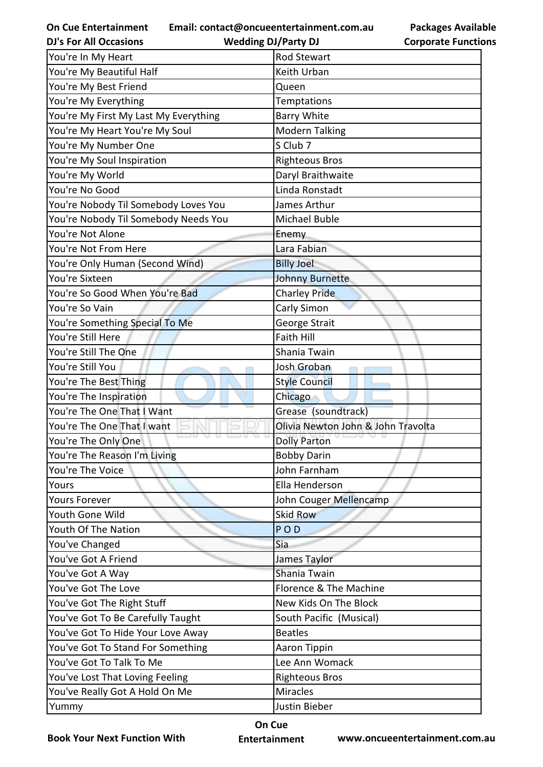**Email: contact@oncueentertainment.com.au**

**DJ's For All Occasions**

**Wedding DJ/Party DJ** 

**Packages Available Corporate Functions**

| You're In My Heart                    | <b>Rod Stewart</b>                 |
|---------------------------------------|------------------------------------|
| You're My Beautiful Half              | Keith Urban                        |
| You're My Best Friend                 | Queen                              |
| You're My Everything                  | <b>Temptations</b>                 |
| You're My First My Last My Everything | <b>Barry White</b>                 |
| You're My Heart You're My Soul        | <b>Modern Talking</b>              |
| You're My Number One                  | S Club 7                           |
| You're My Soul Inspiration            | <b>Righteous Bros</b>              |
| You're My World                       | Daryl Braithwaite                  |
| You're No Good                        | Linda Ronstadt                     |
| You're Nobody Til Somebody Loves You  | James Arthur                       |
| You're Nobody Til Somebody Needs You  | Michael Buble                      |
| You're Not Alone                      | Enemy                              |
| You're Not From Here                  | Lara Fabian                        |
| You're Only Human (Second Wind)       | <b>Billy Joel</b>                  |
| You're Sixteen                        | <b>Johnny Burnette</b>             |
| You're So Good When You're Bad        | <b>Charley Pride</b>               |
| You're So Vain                        | Carly Simon                        |
| You're Something Special To Me        | George Strait                      |
| You're Still Here                     | <b>Faith Hill</b>                  |
| You're Still The One                  | Shania Twain                       |
| You're Still You                      | Josh Groban                        |
| You're The Best Thing                 | <b>Style Council</b>               |
| You're The Inspiration                | Chicago                            |
| You're The One That I Want            | Grease (soundtrack)                |
| You're The One That I want            | Olivia Newton John & John Travolta |
| You're The Only One                   | <b>Dolly Parton</b>                |
| You're The Reason I'm Living          | <b>Bobby Darin</b>                 |
| You're The Voice                      | John Farnham                       |
| Yours                                 | Ella Henderson                     |
| <b>Yours Forever</b>                  | John Couger Mellencamp             |
| Youth Gone Wild                       | <b>Skid Row</b>                    |
| Youth Of The Nation                   | POD                                |
| You've Changed                        | Sia                                |
| You've Got A Friend                   | James Taylor                       |
| You've Got A Way                      | Shania Twain                       |
| You've Got The Love                   | Florence & The Machine             |
| You've Got The Right Stuff            | New Kids On The Block              |
| You've Got To Be Carefully Taught     | South Pacific (Musical)            |
| You've Got To Hide Your Love Away     | <b>Beatles</b>                     |
| You've Got To Stand For Something     | Aaron Tippin                       |
| You've Got To Talk To Me              | Lee Ann Womack                     |
| You've Lost That Loving Feeling       | <b>Righteous Bros</b>              |
| You've Really Got A Hold On Me        | <b>Miracles</b>                    |
| Yummy                                 | Justin Bieber                      |